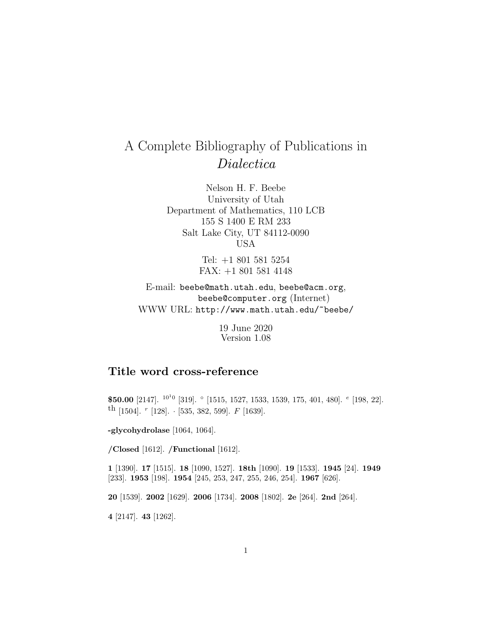# A Complete Bibliography of Publications in Dialectica

Nelson H. F. Beebe University of Utah Department of Mathematics, 110 LCB 155 S 1400 E RM 233 Salt Lake City, UT 84112-0090 USA

> Tel: +1 801 581 5254 FAX: +1 801 581 4148

E-mail: beebe@math.utah.edu, beebe@acm.org, beebe@computer.org (Internet) WWW URL: http://www.math.utah.edu/~beebe/

> 19 June 2020 Version 1.08

## **Title word cross-reference**

**\$50.00** [2147]. <sup>10</sup>1<sup>0</sup> [319]. ◦ [1515, 1527, 1533, 1539, 175, 401, 480]. <sup>e</sup> [198, 22]. <sup>th</sup> [1504]. <sup>r</sup> [128]. · [535, 382, 599]. *F* [1639].

**-glycohydrolase** [1064, 1064].

**/Closed** [1612]. **/Functional** [1612].

**1** [1390]. **17** [1515]. **18** [1090, 1527]. **18th** [1090]. **19** [1533]. **1945** [24]. **1949** [233]. **1953** [198]. **1954** [245, 253, 247, 255, 246, 254]. **1967** [626].

**20** [1539]. **2002** [1629]. **2006** [1734]. **2008** [1802]. **2e** [264]. **2nd** [264].

**4** [2147]. **43** [1262].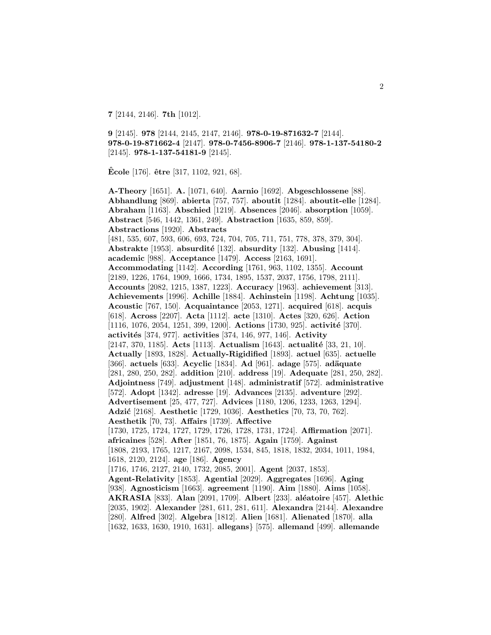**7** [2144, 2146]. **7th** [1012].

**9** [2145]. **978** [2144, 2145, 2147, 2146]. **978-0-19-871632-7** [2144]. **978-0-19-871662-4** [2147]. **978-0-7456-8906-7** [2146]. **978-1-137-54180-2** [2145]. **978-1-137-54181-9** [2145].

**Ecole ˆ** [176]. **ˆetre** [317, 1102, 921, 68].

**A-Theory** [1651]. **A.** [1071, 640]. **Aarnio** [1692]. **Abgeschlossene** [88]. **Abhandlung** [869]. **abierta** [757, 757]. **aboutit** [1284]. **aboutit-elle** [1284]. **Abraham** [1163]. **Abschied** [1219]. **Absences** [2046]. **absorption** [1059]. **Abstract** [546, 1442, 1361, 249]. **Abstraction** [1635, 859, 859]. **Abstractions** [1920]. **Abstracts** [481, 535, 607, 593, 606, 693, 724, 704, 705, 711, 751, 778, 378, 379, 304]. **Abstrakte** [1953]. **absurdit´e** [132]. **absurdity** [132]. **Abusing** [1414]. **academic** [988]. **Acceptance** [1479]. **Access** [2163, 1691]. **Accommodating** [1142]. **According** [1761, 963, 1102, 1355]. **Account** [2189, 1226, 1764, 1909, 1666, 1734, 1895, 1537, 2037, 1756, 1798, 2111]. **Accounts** [2082, 1215, 1387, 1223]. **Accuracy** [1963]. **achievement** [313]. **Achievements** [1996]. **Achille** [1884]. **Achinstein** [1198]. **Achtung** [1035]. **Acoustic** [767, 150]. **Acquaintance** [2053, 1271]. **acquired** [618]. **acquis** [618]. **Across** [2207]. **Acta** [1112]. **acte** [1310]. **Actes** [320, 626]. **Action** [1116, 1076, 2054, 1251, 399, 1200]. **Actions** [1730, 925]. **activité** [370]. **activit´es** [374, 977]. **activities** [374, 146, 977, 146]. **Activity** [2147, 370, 1185]. **Acts** [1113]. **Actualism** [1643]. **actualité** [33, 21, 10]. **Actually** [1893, 1828]. **Actually-Rigidified** [1893]. **actuel** [635]. **actuelle** [366]. **actuels** [633]. **Acyclic** [1834]. **Ad** [961]. **adage** [575]. **ad¨aquate** [281, 280, 250, 282]. **addition** [210]. **address** [19]. **Adequate** [281, 250, 282]. **Adjointness** [749]. **adjustment** [148]. **administratif** [572]. **administrative** [572]. **Adopt** [1342]. **adresse** [19]. **Advances** [2135]. **adventure** [292]. **Advertisement** [25, 477, 727]. **Advices** [1180, 1206, 1233, 1263, 1294]. **Adzi´c** [2168]. **Aesthetic** [1729, 1036]. **Aesthetics** [70, 73, 70, 762]. **Aesthetik** [70, 73]. **Affairs** [1739]. **Affective** [1730, 1725, 1724, 1727, 1729, 1726, 1728, 1731, 1724]. **Affirmation** [2071]. **africaines** [528]. **After** [1851, 76, 1875]. **Again** [1759]. **Against** [1808, 2193, 1765, 1217, 2167, 2098, 1534, 845, 1818, 1832, 2034, 1011, 1984, 1618, 2120, 2124]. **age** [186]. **Agency** [1716, 1746, 2127, 2140, 1732, 2085, 2001]. **Agent** [2037, 1853]. **Agent-Relativity** [1853]. **Agential** [2029]. **Aggregates** [1696]. **Aging** [938]. **Agnosticism** [1663]. **agreement** [1190]. **Aim** [1880]. **Aims** [1058]. **AKRASIA** [833]. **Alan** [2091, 1709]. **Albert** [233]. **al´eatoire** [457]. **Alethic** [2035, 1902]. **Alexander** [281, 611, 281, 611]. **Alexandra** [2144]. **Alexandre** [280]. **Alfred** [302]. **Algebra** [1812]. **Alien** [1681]. **Alienated** [1870]. **alla** [1632, 1633, 1630, 1910, 1631]. **allegans**} [575]. **allemand** [499]. **allemande**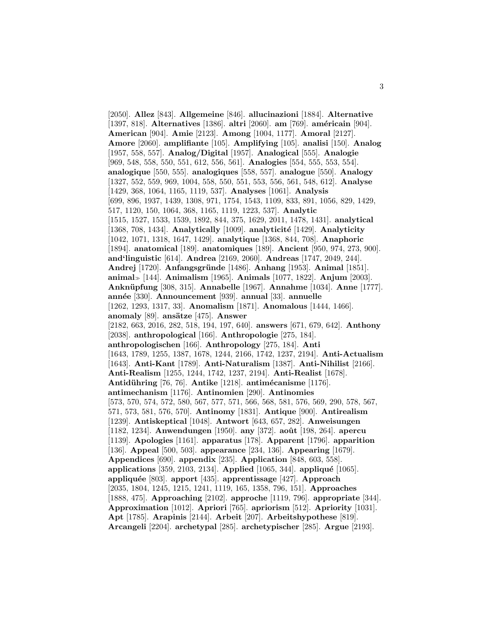[2050]. **Allez** [843]. **Allgemeine** [846]. **allucinazioni** [1884]. **Alternative** [1397, 818]. **Alternatives** [1386]. **altri** [2060]. **am** [769]. **am´ericain** [904]. **American** [904]. **Amie** [2123]. **Among** [1004, 1177]. **Amoral** [2127]. **Amore** [2060]. **amplifiante** [105]. **Amplifying** [105]. **analisi** [150]. **Analog** [1957, 558, 557]. **Analog/Digital** [1957]. **Analogical** [555]. **Analogie** [969, 548, 558, 550, 551, 612, 556, 561]. **Analogies** [554, 555, 553, 554]. **analogique** [550, 555]. **analogiques** [558, 557]. **analogue** [550]. **Analogy** [1327, 552, 559, 969, 1004, 558, 550, 551, 553, 556, 561, 548, 612]. **Analyse** [1429, 368, 1064, 1165, 1119, 537]. **Analyses** [1061]. **Analysis** [699, 896, 1937, 1439, 1308, 971, 1754, 1543, 1109, 833, 891, 1056, 829, 1429, 517, 1120, 150, 1064, 368, 1165, 1119, 1223, 537]. **Analytic** [1515, 1527, 1533, 1539, 1892, 844, 375, 1629, 2011, 1478, 1431]. **analytical** [1368, 708, 1434]. **Analytically** [1009]. **analyticit´e** [1429]. **Analyticity** [1042, 1071, 1318, 1647, 1429]. **analytique** [1368, 844, 708]. **Anaphoric** [1894]. **anatomical** [189]. **anatomiques** [189]. **Ancient** [950, 974, 273, 900]. **and'linguistic** [614]. **Andrea** [2169, 2060]. **Andreas** [1747, 2049, 244]. **Andrej** [1720]. **Anfangsgr¨unde** [1486]. **Anhang** [1953]. **Animal** [1851]. **animal** [144]. **Animalism** [1965]. **Animals** [1077, 1822]. **Anjum** [2003]. **Ankn¨upfung** [308, 315]. **Annabelle** [1967]. **Annahme** [1034]. **Anne** [1777]. **ann´ee** [330]. **Announcement** [939]. **annual** [33]. **annuelle** [1262, 1293, 1317, 33]. **Anomalism** [1871]. **Anomalous** [1444, 1466]. **anomaly** [89]. **ans¨atze** [475]. **Answer** [2182, 663, 2016, 282, 518, 194, 197, 640]. **answers** [671, 679, 642]. **Anthony** [2038]. **anthropological** [166]. **Anthropologie** [275, 184]. **anthropologischen** [166]. **Anthropology** [275, 184]. **Anti** [1643, 1789, 1255, 1387, 1678, 1244, 2166, 1742, 1237, 2194]. **Anti-Actualism** [1643]. **Anti-Kant** [1789]. **Anti-Naturalism** [1387]. **Anti-Nihilist** [2166]. **Anti-Realism** [1255, 1244, 1742, 1237, 2194]. **Anti-Realist** [1678]. **Antidühring** [76, 76]. **Antike** [1218]. **antimécanisme** [1176]. **antimechanism** [1176]. **Antinomien** [290]. **Antinomies** [573, 570, 574, 572, 580, 567, 577, 571, 566, 568, 581, 576, 569, 290, 578, 567, 571, 573, 581, 576, 570]. **Antinomy** [1831]. **Antique** [900]. **Antirealism** [1239]. **Antiskeptical** [1048]. **Antwort** [643, 657, 282]. **Anweisungen** [1182, 1234]. **Anwendungen** [1950]. **any** [372]. **aoˆut** [198, 264]. **apercu** [1139]. **Apologies** [1161]. **apparatus** [178]. **Apparent** [1796]. **apparition** [136]. **Appeal** [500, 503]. **appearance** [234, 136]. **Appearing** [1679]. **Appendices** [690]. **appendix** [235]. **Application** [848, 603, 558]. **applications** [359, 2103, 2134]. **Applied** [1065, 344]. **appliqué** [1065]. **appliqu´ee** [803]. **apport** [435]. **apprentissage** [427]. **Approach** [2035, 1804, 1245, 1215, 1241, 1119, 165, 1358, 796, 151]. **Approaches** [1888, 475]. **Approaching** [2102]. **approche** [1119, 796]. **appropriate** [344]. **Approximation** [1012]. **Apriori** [765]. **apriorism** [512]. **Apriority** [1031]. **Apt** [1785]. **Arapinis** [2144]. **Arbeit** [207]. **Arbeitshypothese** [819]. **Arcangeli** [2204]. **archetypal** [285]. **archetypischer** [285]. **Argue** [2193].

3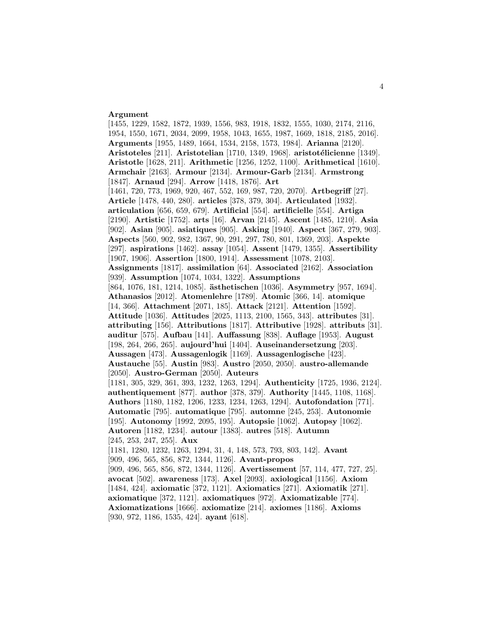#### **Argument**

[1455, 1229, 1582, 1872, 1939, 1556, 983, 1918, 1832, 1555, 1030, 2174, 2116, 1954, 1550, 1671, 2034, 2099, 1958, 1043, 1655, 1987, 1669, 1818, 2185, 2016]. **Arguments** [1955, 1489, 1664, 1534, 2158, 1573, 1984]. **Arianna** [2120]. **Aristoteles** [211]. **Aristotelian** [1710, 1349, 1968]. **aristot´elicienne** [1349]. **Aristotle** [1628, 211]. **Arithmetic** [1256, 1252, 1100]. **Arithmetical** [1610]. **Armchair** [2163]. **Armour** [2134]. **Armour-Garb** [2134]. **Armstrong** [1847]. **Arnaud** [294]. **Arrow** [1418, 1876]. **Art** [1461, 720, 773, 1969, 920, 467, 552, 169, 987, 720, 2070]. **Artbegriff** [27]. **Article** [1478, 440, 280]. **articles** [378, 379, 304]. **Articulated** [1932]. **articulation** [656, 659, 679]. **Artificial** [554]. **artificielle** [554]. **Artiga** [2190]. **Artistic** [1752]. **arts** [16]. **Arvan** [2145]. **Ascent** [1485, 1210]. **Asia** [902]. **Asian** [905]. **asiatiques** [905]. **Asking** [1940]. **Aspect** [367, 279, 903]. **Aspects** [560, 902, 982, 1367, 90, 291, 297, 780, 801, 1369, 203]. **Aspekte** [297]. **aspirations** [1462]. **assay** [1054]. **Assent** [1479, 1355]. **Assertibility** [1907, 1906]. **Assertion** [1800, 1914]. **Assessment** [1078, 2103]. **Assignments** [1817]. **assimilation** [64]. **Associated** [2162]. **Association** [939]. **Assumption** [1074, 1034, 1322]. **Assumptions** [864, 1076, 181, 1214, 1085]. **ästhetischen** [1036]. **Asymmetry** [957, 1694]. **Athanasios** [2012]. **Atomenlehre** [1789]. **Atomic** [366, 14]. **atomique** [14, 366]. **Attachment** [2071, 185]. **Attack** [2121]. **Attention** [1592]. **Attitude** [1036]. **Attitudes** [2025, 1113, 2100, 1565, 343]. **attributes** [31]. **attributing** [156]. **Attributions** [1817]. **Attributive** [1928]. **attributs** [31]. **auditur** [575]. **Aufbau** [141]. **Auffassung** [838]. **Auflage** [1953]. **August** [198, 264, 266, 265]. **aujourd'hui** [1404]. **Auseinandersetzung** [203]. **Aussagen** [473]. **Aussagenlogik** [1169]. **Aussagenlogische** [423]. **Austauche** [55]. **Austin** [983]. **Austro** [2050, 2050]. **austro-allemande** [2050]. **Austro-German** [2050]. **Auteurs** [1181, 305, 329, 361, 393, 1232, 1263, 1294]. **Authenticity** [1725, 1936, 2124]. **authentiquement** [877]. **author** [378, 379]. **Authority** [1445, 1108, 1168]. **Authors** [1180, 1182, 1206, 1233, 1234, 1263, 1294]. **Autofondation** [771]. **Automatic** [795]. **automatique** [795]. **automne** [245, 253]. **Autonomie** [195]. **Autonomy** [1992, 2095, 195]. **Autopsie** [1062]. **Autopsy** [1062]. **Autoren** [1182, 1234]. **autour** [1383]. **autres** [518]. **Autumn** [245, 253, 247, 255]. **Aux** [1181, 1280, 1232, 1263, 1294, 31, 4, 148, 573, 793, 803, 142]. **Avant** [909, 496, 565, 856, 872, 1344, 1126]. **Avant-propos** [909, 496, 565, 856, 872, 1344, 1126]. **Avertissement** [57, 114, 477, 727, 25]. **avocat** [502]. **awareness** [173]. **Axel** [2093]. **axiological** [1156]. **Axiom** [1484, 424]. **axiomatic** [372, 1121]. **Axiomatics** [271]. **Axiomatik** [271]. **axiomatique** [372, 1121]. **axiomatiques** [972]. **Axiomatizable** [774]. **Axiomatizations** [1666]. **axiomatize** [214]. **axiomes** [1186]. **Axioms** [930, 972, 1186, 1535, 424]. **ayant** [618].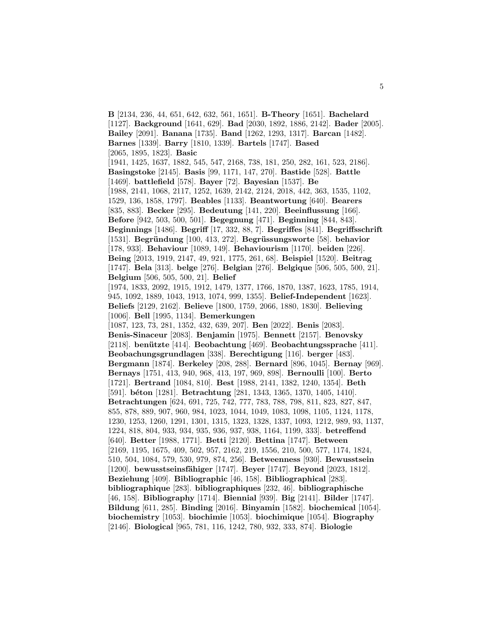**B** [2134, 236, 44, 651, 642, 632, 561, 1651]. **B-Theory** [1651]. **Bachelard** [1127]. **Background** [1641, 629]. **Bad** [2030, 1892, 1886, 2142]. **Bader** [2005]. **Bailey** [2091]. **Banana** [1735]. **Band** [1262, 1293, 1317]. **Barcan** [1482]. **Barnes** [1339]. **Barry** [1810, 1339]. **Bartels** [1747]. **Based** [2065, 1895, 1823]. **Basic** [1941, 1425, 1637, 1882, 545, 547, 2168, 738, 181, 250, 282, 161, 523, 2186]. **Basingstoke** [2145]. **Basis** [99, 1171, 147, 270]. **Bastide** [528]. **Battle** [1469]. **battlefield** [578]. **Bayer** [72]. **Bayesian** [1537]. **Be** [1988, 2141, 1068, 2117, 1252, 1639, 2142, 2124, 2018, 442, 363, 1535, 1102, 1529, 136, 1858, 1797]. **Beables** [1133]. **Beantwortung** [640]. **Bearers** [835, 883]. **Becker** [295]. **Bedeutung** [141, 220]. **Beeinflussung** [166]. **Before** [942, 503, 500, 501]. **Begegnung** [471]. **Beginning** [844, 843]. **Beginnings** [1486]. **Begriff** [17, 332, 88, 7]. **Begriffes** [841]. **Begriffsschrift** [1531]. **Begr¨undung** [100, 413, 272]. **Begr¨ussungsworte** [58]. **behavior** [178, 933]. **Behaviour** [1089, 149]. **Behaviourism** [1170]. **beiden** [226]. **Being** [2013, 1919, 2147, 49, 921, 1775, 261, 68]. **Beispiel** [1520]. **Beitrag** [1747]. **Bela** [313]. **belge** [276]. **Belgian** [276]. **Belgique** [506, 505, 500, 21]. **Belgium** [506, 505, 500, 21]. **Belief** [1974, 1833, 2092, 1915, 1912, 1479, 1377, 1766, 1870, 1387, 1623, 1785, 1914, 945, 1092, 1889, 1043, 1913, 1074, 999, 1355]. **Belief-Independent** [1623]. **Beliefs** [2129, 2162]. **Believe** [1800, 1759, 2066, 1880, 1830]. **Believing** [1006]. **Bell** [1995, 1134]. **Bemerkungen** [1087, 123, 73, 281, 1352, 432, 639, 207]. **Ben** [2022]. **Benis** [2083]. **Benis-Sinaceur** [2083]. **Benjamin** [1975]. **Bennett** [2157]. **Benovsky** [2118]. **benützte** [414]. **Beobachtung** [469]. **Beobachtungssprache** [411]. **Beobachungsgrundlagen** [338]. **Berechtigung** [116]. **berger** [483]. **Bergmann** [1874]. **Berkeley** [208, 288]. **Bernard** [896, 1045]. **Bernay** [969]. **Bernays** [1751, 413, 940, 968, 413, 197, 969, 898]. **Bernoulli** [100]. **Berto** [1721]. **Bertrand** [1084, 810]. **Best** [1988, 2141, 1382, 1240, 1354]. **Beth** [591]. **béton** [1281]. **Betrachtung** [281, 1343, 1365, 1370, 1405, 1410]. **Betrachtungen** [624, 691, 725, 742, 777, 783, 788, 798, 811, 823, 827, 847, 855, 878, 889, 907, 960, 984, 1023, 1044, 1049, 1083, 1098, 1105, 1124, 1178, 1230, 1253, 1260, 1291, 1301, 1315, 1323, 1328, 1337, 1093, 1212, 989, 93, 1137, 1224, 818, 804, 933, 934, 935, 936, 937, 938, 1164, 1199, 333]. **betreffend** [640]. **Better** [1988, 1771]. **Betti** [2120]. **Bettina** [1747]. **Between** [2169, 1195, 1675, 409, 502, 957, 2162, 219, 1556, 210, 500, 577, 1174, 1824, 510, 504, 1084, 579, 530, 979, 874, 256]. **Betweenness** [930]. **Bewusstsein** [1200]. **bewusstseinsfähiger** [1747]. **Beyer** [1747]. **Beyond** [2023, 1812]. **Beziehung** [409]. **Bibliographic** [46, 158]. **Bibliographical** [283]. **bibliographique** [283]. **bibliographiques** [232, 46]. **bibliographische** [46, 158]. **Bibliography** [1714]. **Biennial** [939]. **Big** [2141]. **Bilder** [1747]. **Bildung** [611, 285]. **Binding** [2016]. **Binyamin** [1582]. **biochemical** [1054]. **biochemistry** [1053]. **biochimie** [1053]. **biochimique** [1054]. **Biography** [2146]. **Biological** [965, 781, 116, 1242, 780, 932, 333, 874]. **Biologie**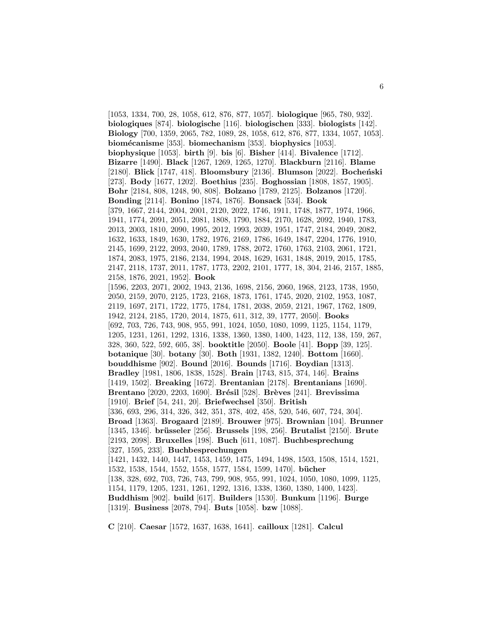[1053, 1334, 700, 28, 1058, 612, 876, 877, 1057]. **biologique** [965, 780, 932]. **biologiques** [874]. **biologische** [116]. **biologischen** [333]. **biologists** [142]. **Biology** [700, 1359, 2065, 782, 1089, 28, 1058, 612, 876, 877, 1334, 1057, 1053]. **biom´ecanisme** [353]. **biomechanism** [353]. **biophysics** [1053]. **biophysique** [1053]. **birth** [9]. **bis** [6]. **Bisher** [414]. **Bivalence** [1712]. **Bizarre** [1490]. **Black** [1267, 1269, 1265, 1270]. **Blackburn** [2116]. **Blame** [2180]. **Blick** [1747, 418]. **Bloomsbury** [2136]. **Blumson** [2022]. **Bocheński** [273]. **Body** [1677, 1202]. **Boethius** [235]. **Boghossian** [1808, 1857, 1905]. **Bohr** [2184, 808, 1248, 90, 808]. **Bolzano** [1789, 2125]. **Bolzanos** [1720]. **Bonding** [2114]. **Bonino** [1874, 1876]. **Bonsack** [534]. **Book** [379, 1667, 2144, 2004, 2001, 2120, 2022, 1746, 1911, 1748, 1877, 1974, 1966, 1941, 1774, 2091, 2051, 2081, 1808, 1790, 1884, 2170, 1628, 2092, 1940, 1783, 2013, 2003, 1810, 2090, 1995, 2012, 1993, 2039, 1951, 1747, 2184, 2049, 2082, 1632, 1633, 1849, 1630, 1782, 1976, 2169, 1786, 1649, 1847, 2204, 1776, 1910, 2145, 1699, 2122, 2093, 2040, 1789, 1788, 2072, 1760, 1763, 2103, 2061, 1721, 1874, 2083, 1975, 2186, 2134, 1994, 2048, 1629, 1631, 1848, 2019, 2015, 1785, 2147, 2118, 1737, 2011, 1787, 1773, 2202, 2101, 1777, 18, 304, 2146, 2157, 1885, 2158, 1876, 2021, 1952]. **Book** [1596, 2203, 2071, 2002, 1943, 2136, 1698, 2156, 2060, 1968, 2123, 1738, 1950, 2050, 2159, 2070, 2125, 1723, 2168, 1873, 1761, 1745, 2020, 2102, 1953, 1087, 2119, 1697, 2171, 1722, 1775, 1784, 1781, 2038, 2059, 2121, 1967, 1762, 1809, 1942, 2124, 2185, 1720, 2014, 1875, 611, 312, 39, 1777, 2050]. **Books** [692, 703, 726, 743, 908, 955, 991, 1024, 1050, 1080, 1099, 1125, 1154, 1179, 1205, 1231, 1261, 1292, 1316, 1338, 1360, 1380, 1400, 1423, 112, 138, 159, 267, 328, 360, 522, 592, 605, 38]. **booktitle** [2050]. **Boole** [41]. **Bopp** [39, 125]. **botanique** [30]. **botany** [30]. **Both** [1931, 1382, 1240]. **Bottom** [1660]. **bouddhisme** [902]. **Bound** [2016]. **Bounds** [1716]. **Boydian** [1313]. **Bradley** [1981, 1806, 1838, 1528]. **Brain** [1743, 815, 374, 146]. **Brains** [1419, 1502]. **Breaking** [1672]. **Brentanian** [2178]. **Brentanians** [1690]. **Brentano** [2020, 2203, 1690]. **Brésil** [528]. **Brèves** [241]. **Brevissima** [1910]. **Brief** [54, 241, 20]. **Briefwechsel** [350]. **British** [336, 693, 296, 314, 326, 342, 351, 378, 402, 458, 520, 546, 607, 724, 304]. **Broad** [1363]. **Brogaard** [2189]. **Brouwer** [975]. **Brownian** [104]. **Brunner** [1345, 1346]. **br¨usseler** [256]. **Brussels** [198, 256]. **Brutalist** [2150]. **Brute** [2193, 2098]. **Bruxelles** [198]. **Buch** [611, 1087]. **Buchbesprechung** [327, 1595, 233]. **Buchbesprechungen** [1421, 1432, 1440, 1447, 1453, 1459, 1475, 1494, 1498, 1503, 1508, 1514, 1521, 1532, 1538, 1544, 1552, 1558, 1577, 1584, 1599, 1470]. **b¨ucher** [138, 328, 692, 703, 726, 743, 799, 908, 955, 991, 1024, 1050, 1080, 1099, 1125, 1154, 1179, 1205, 1231, 1261, 1292, 1316, 1338, 1360, 1380, 1400, 1423]. **Buddhism** [902]. **build** [617]. **Builders** [1530]. **Bunkum** [1196]. **Burge** [1319]. **Business** [2078, 794]. **Buts** [1058]. **bzw** [1088].

**C** [210]. **Caesar** [1572, 1637, 1638, 1641]. **cailloux** [1281]. **Calcul**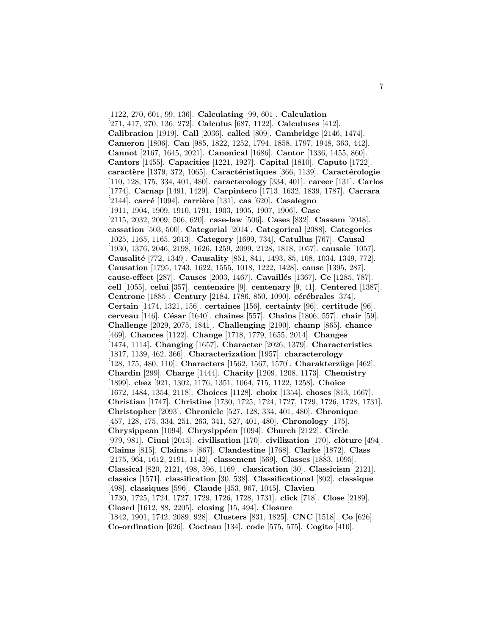[1122, 270, 601, 99, 136]. **Calculating** [99, 601]. **Calculation** [271, 417, 270, 136, 272]. **Calculus** [687, 1122]. **Calculuses** [412]. **Calibration** [1919]. **Call** [2036]. **called** [809]. **Cambridge** [2146, 1474]. **Cameron** [1806]. **Can** [985, 1822, 1252, 1794, 1858, 1797, 1948, 363, 442]. **Cannot** [2167, 1645, 2021]. **Canonical** [1686]. **Cantor** [1336, 1455, 860]. **Cantors** [1455]. **Capacities** [1221, 1927]. **Capital** [1810]. **Caputo** [1722]. **caractère** [1379, 372, 1065]. **Caractéristiques** [366, 1139]. **Caractérologie** [110, 128, 175, 334, 401, 480]. **caracterology** [334, 401]. **career** [131]. **Carlos** [1774]. **Carnap** [1491, 1429]. **Carpintero** [1713, 1632, 1839, 1787]. **Carrara** [2144]. **carr´e** [1094]. **carri`ere** [131]. **cas** [620]. **Casalegno** [1911, 1904, 1909, 1910, 1791, 1903, 1905, 1907, 1906]. **Case** [2115, 2032, 2009, 506, 620]. **case-law** [506]. **Cases** [832]. **Cassam** [2048]. **cassation** [503, 500]. **Categorial** [2014]. **Categorical** [2088]. **Categories** [1025, 1165, 1165, 2013]. **Category** [1699, 734]. **Catullus** [767]. **Causal** [1930, 1376, 2046, 2198, 1626, 1259, 2099, 2128, 1818, 1057]. **causale** [1057]. **Causalit´e** [772, 1349]. **Causality** [851, 841, 1493, 85, 108, 1034, 1349, 772]. **Causation** [1795, 1743, 1622, 1555, 1018, 1222, 1428]. **cause** [1395, 287]. **cause-effect** [287]. **Causes** [2003, 1467]. **Cavaill´es** [1367]. **Ce** [1285, 787]. **cell** [1055]. **celui** [357]. **centenaire** [9]. **centenary** [9, 41]. **Centered** [1387]. **Centrone** [1885]. **Century** [2184, 1786, 850, 1090]. **cérébrales** [374]. **Certain** [1474, 1321, 156]. **certaines** [156]. **certainty** [96]. **certitude** [96]. **cerveau** [146]. **C´esar** [1640]. **chaines** [557]. **Chains** [1806, 557]. **chair** [59]. **Challenge** [2029, 2075, 1841]. **Challenging** [2190]. **champ** [865]. **chance** [469]. **Chances** [1122]. **Change** [1718, 1779, 1655, 2014]. **Changes** [1474, 1114]. **Changing** [1657]. **Character** [2026, 1379]. **Characteristics** [1817, 1139, 462, 366]. **Characterization** [1957]. **characterology** [128, 175, 480, 110]. **Characters** [1562, 1567, 1570]. **Charakterz¨uge** [462]. **Chardin** [299]. **Charge** [1444]. **Charity** [1209, 1208, 1173]. **Chemistry** [1899]. **chez** [921, 1302, 1176, 1351, 1064, 715, 1122, 1258]. **Choice** [1672, 1484, 1354, 2118]. **Choices** [1128]. **choix** [1354]. **choses** [813, 1667]. **Christian** [1747]. **Christine** [1730, 1725, 1724, 1727, 1729, 1726, 1728, 1731]. **Christopher** [2093]. **Chronicle** [527, 128, 334, 401, 480]. **Chronique** [457, 128, 175, 334, 251, 263, 341, 527, 401, 480]. **Chronology** [175]. **Chrysippean** [1094]. **Chrysipp´een** [1094]. **Church** [2122]. **Circle** [979, 981]. **Ciuni** [2015]. **civilisation** [170]. **civilization** [170]. **clˆoture** [494]. **Claims** [815]. **Claims** [867]. **Clandestine** [1768]. **Clarke** [1872]. **Class** [2175, 964, 1612, 2191, 1142]. **classement** [569]. **Classes** [1883, 1095]. **Classical** [820, 2121, 498, 596, 1169]. **classication** [30]. **Classicism** [2121]. **classics** [1571]. **classification** [30, 538]. **Classificational** [802]. **classique** [498]. **classiques** [596]. **Claude** [453, 967, 1045]. **Clavien** [1730, 1725, 1724, 1727, 1729, 1726, 1728, 1731]. **click** [718]. **Close** [2189]. **Closed** [1612, 88, 2205]. **closing** [15, 494]. **Closure** [1842, 1901, 1742, 2089, 928]. **Clusters** [831, 1825]. **CNC** [1518]. **Co** [626]. **Co-ordination** [626]. **Cocteau** [134]. **code** [575, 575]. **Cogito** [410].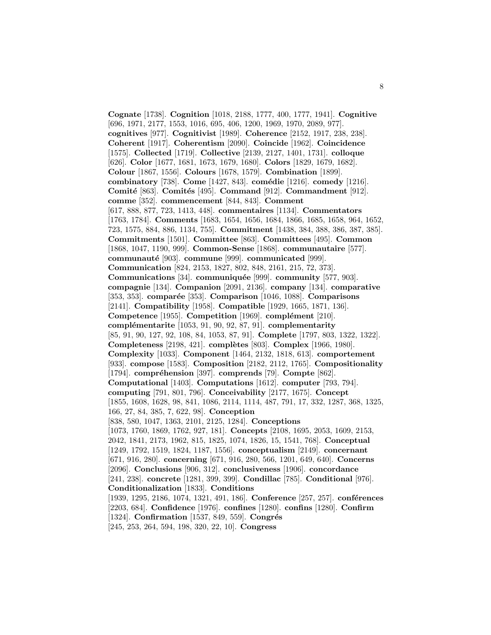**Cognate** [1738]. **Cognition** [1018, 2188, 1777, 400, 1777, 1941]. **Cognitive** [696, 1971, 2177, 1553, 1016, 695, 406, 1200, 1969, 1970, 2089, 977]. **cognitives** [977]. **Cognitivist** [1989]. **Coherence** [2152, 1917, 238, 238]. **Coherent** [1917]. **Coherentism** [2090]. **Coincide** [1962]. **Coincidence** [1575]. **Collected** [1719]. **Collective** [2139, 2127, 1401, 1731]. **colloque** [626]. **Color** [1677, 1681, 1673, 1679, 1680]. **Colors** [1829, 1679, 1682]. **Colour** [1867, 1556]. **Colours** [1678, 1579]. **Combination** [1899]. **combinatory** [738]. **Come** [1427, 843]. **comédie** [1216]. **comedy** [1216]. **Comité** [863]. **Comités** [495]. **Command** [912]. **Commandment** [912]. **comme** [352]. **commencement** [844, 843]. **Comment** [617, 888, 877, 723, 1413, 448]. **commentaires** [1134]. **Commentators** [1763, 1784]. **Comments** [1683, 1654, 1656, 1684, 1866, 1685, 1658, 964, 1652, 723, 1575, 884, 886, 1134, 755]. **Commitment** [1438, 384, 388, 386, 387, 385]. **Commitments** [1501]. **Committee** [863]. **Committees** [495]. **Common** [1868, 1047, 1190, 999]. **Common-Sense** [1868]. **communautaire** [577]. **communauté** [903]. **commune** [999]. **communicated** [999]. **Communication** [824, 2153, 1827, 802, 848, 2161, 215, 72, 373]. **Communications** [34]. **communiquée** [999]. **community** [577, 903]. **compagnie** [134]. **Companion** [2091, 2136]. **company** [134]. **comparative** [353, 353]. **comparée** [353]. **Comparison** [1046, 1088]. **Comparisons** [2141]. **Compatibility** [1958]. **Compatible** [1929, 1665, 1871, 136]. **Competence** [1955]. **Competition** [1969]. **complément** [210]. **complémentarite** [1053, 91, 90, 92, 87, 91]. **complementarity** [85, 91, 90, 127, 92, 108, 84, 1053, 87, 91]. **Complete** [1797, 803, 1322, 1322]. **Completeness** [2198, 421]. **complètes** [803]. **Complex** [1966, 1980]. **Complexity** [1033]. **Component** [1464, 2132, 1818, 613]. **comportement** [933]. **compose** [1583]. **Composition** [2182, 2112, 1765]. **Compositionality** [1794]. **compréhension** [397]. **comprends** [79]. **Compte** [862]. **Computational** [1403]. **Computations** [1612]. **computer** [793, 794]. **computing** [791, 801, 796]. **Conceivability** [2177, 1675]. **Concept** [1855, 1608, 1628, 98, 841, 1086, 2114, 1114, 487, 791, 17, 332, 1287, 368, 1325, 166, 27, 84, 385, 7, 622, 98]. **Conception** [838, 580, 1047, 1363, 2101, 2125, 1284]. **Conceptions** [1073, 1760, 1869, 1762, 927, 181]. **Concepts** [2108, 1695, 2053, 1609, 2153, 2042, 1841, 2173, 1962, 815, 1825, 1074, 1826, 15, 1541, 768]. **Conceptual** [1249, 1792, 1519, 1824, 1187, 1556]. **conceptualism** [2149]. **concernant** [671, 916, 280]. **concerning** [671, 916, 280, 566, 1201, 649, 640]. **Concerns** [2096]. **Conclusions** [906, 312]. **conclusiveness** [1906]. **concordance** [241, 238]. **concrete** [1281, 399, 399]. **Condillac** [785]. **Conditional** [976]. **Conditionalization** [1833]. **Conditions** [1939, 1295, 2186, 1074, 1321, 491, 186]. **Conference** [257, 257]. **conférences** [2203, 684]. **Confidence** [1976]. **confines** [1280]. **confins** [1280]. **Confirm** [1324]. **Confirmation** [1537, 849, 559]. **Congrés** [245, 253, 264, 594, 198, 320, 22, 10]. **Congress**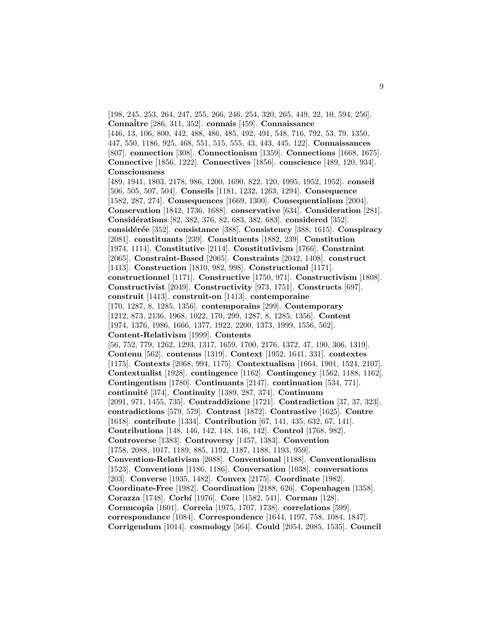[198, 245, 253, 264, 247, 255, 266, 246, 254, 320, 265, 449, 22, 10, 594, 256]. **Connaˆitre** [286, 311, 352]. **connais** [459]. **Connaissance** [446, 13, 106, 800, 442, 488, 486, 485, 492, 491, 548, 716, 792, 53, 79, 1350, 447, 550, 1186, 925, 468, 551, 515, 555, 43, 443, 445, 122]. **Connaissances** [807]. **connection** [308]. **Connectionism** [1359]. **Connections** [1668, 1675]. **Connective** [1856, 1222]. **Connectives** [1856]. **conscience** [489, 120, 934]. **Consciousness** [489, 1941, 1803, 2178, 986, 1200, 1690, 822, 120, 1995, 1952, 1952]. **conseil** [506, 505, 507, 504]. **Conseils** [1181, 1232, 1263, 1294]. **Consequence** [1582, 287, 274]. **Consequences** [1669, 1300]. **Consequentialism** [2004]. **Conservation** [1842, 1736, 1688]. **conservative** [634]. **Consideration** [281]. **Consid´erations** [82, 382, 376, 82, 683, 382, 683]. **considered** [352]. **consid´er´ee** [352]. **consistance** [388]. **Consistency** [388, 1615]. **Conspiracy** [2081]. **constituants** [239]. **Constituents** [1882, 239]. **Constitution** [1974, 1114]. **Constitutive** [2114]. **Constitutivism** [1766]. **Constraint** [2065]. **Constraint-Based** [2065]. **Constraints** [2042, 1408]. **construct** [1413]. **Construction** [1810, 982, 998]. **Constructional** [1171]. **constructionnel** [1171]. **Constructive** [1750, 971]. **Constructivism** [1808]. **Constructivist** [2049]. **Constructivity** [973, 1751]. **Constructs** [697]. **construit** [1413]. **construit-on** [1413]. **contemporaine** [170, 1287, 8, 1285, 1356]. **contemporains** [299]. **Contemporary** [1212, 873, 2136, 1968, 1022, 170, 299, 1287, 8, 1285, 1356]. **Content** [1974, 1376, 1986, 1666, 1377, 1922, 2200, 1373, 1999, 1556, 562]. **Content-Relativism** [1999]. **Contents** [56, 752, 779, 1262, 1293, 1317, 1659, 1700, 2176, 1372, 47, 190, 306, 1319]. **Contenu** [562]. **contenus** [1319]. **Context** [1952, 1641, 331]. **contextes** [1175]. **Contexts** [2068, 994, 1175]. **Contextualism** [1664, 1901, 1524, 2107]. **Contextualist** [1928]. **contingence** [1162]. **Contingency** [1562, 1188, 1162]. **Contingentism** [1780]. **Continuants** [2147]. **continuation** [534, 771]. **continuit´e** [374]. **Continuity** [1389, 287, 374]. **Continuum** [2091, 971, 1455, 735]. **Contraddizione** [1721]. **Contradiction** [37, 37, 323]. **contradictions** [579, 579]. **Contrast** [1872]. **Contrastive** [1625]. **Contre** [1618]. **contribute** [1334]. **Contribution** [67, 141, 435, 632, 67, 141]. **Contributions** [148, 146, 142, 148, 146, 142]. **Control** [1768, 982]. **Controverse** [1383]. **Controversy** [1457, 1383]. **Convention** [1758, 2088, 1017, 1189, 885, 1192, 1187, 1188, 1193, 959]. **Convention-Relativism** [2088]. **Conventional** [1188]. **Conventionalism** [1523]. **Conventions** [1186, 1186]. **Conversation** [1038]. **conversations** [203]. **Converse** [1935, 1482]. **Convex** [2175]. **Coordinate** [1982]. **Coordinate-Free** [1982]. **Coordination** [2188, 626]. **Copenhagen** [1358]. **Corazza** [1748]. **Corb´ı** [1976]. **Core** [1582, 541]. **Corman** [128]. **Cornucopia** [1601]. **Correia** [1975, 1707, 1738]. **correlations** [599]. **correspondance** [1084]. **Correspondence** [1644, 1197, 758, 1084, 1847]. **Corrigendum** [1014]. **cosmology** [564]. **Could** [2054, 2085, 1535]. **Council**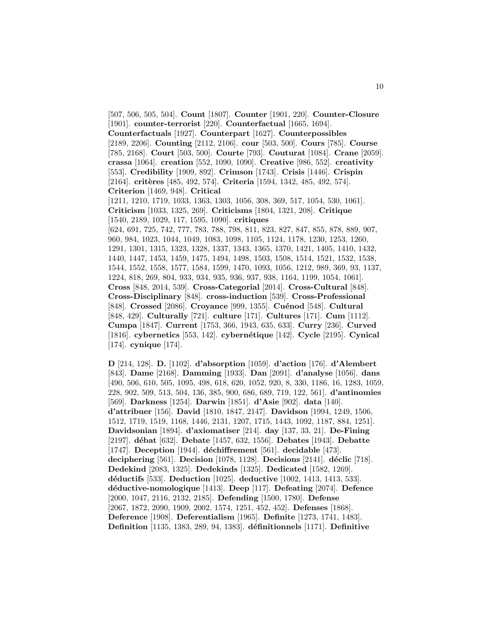[507, 506, 505, 504]. **Count** [1807]. **Counter** [1901, 220]. **Counter-Closure** [1901]. **counter-terrorist** [220]. **Counterfactual** [1665, 1694]. **Counterfactuals** [1927]. **Counterpart** [1627]. **Counterpossibles** [2189, 2206]. **Counting** [2112, 2106]. **cour** [503, 500]. **Cours** [785]. **Course** [785, 2168]. **Court** [503, 500]. **Courte** [793]. **Couturat** [1084]. **Crane** [2059]. **crassa** [1064]. **creation** [552, 1090, 1090]. **Creative** [986, 552]. **creativity** [553]. **Credibility** [1909, 892]. **Crimson** [1743]. **Crisis** [1446]. **Crispin** [2164]. **critères** [485, 492, 574]. **Criteria** [1594, 1342, 485, 492, 574]. **Criterion** [1469, 948]. **Critical** [1211, 1210, 1719, 1033, 1363, 1303, 1056, 308, 369, 517, 1054, 530, 1061]. **Criticism** [1033, 1325, 269]. **Criticisms** [1804, 1321, 208]. **Critique** [1540, 2189, 1029, 117, 1595, 1090]. **critiques** [624, 691, 725, 742, 777, 783, 788, 798, 811, 823, 827, 847, 855, 878, 889, 907, 960, 984, 1023, 1044, 1049, 1083, 1098, 1105, 1124, 1178, 1230, 1253, 1260, 1291, 1301, 1315, 1323, 1328, 1337, 1343, 1365, 1370, 1421, 1405, 1410, 1432, 1440, 1447, 1453, 1459, 1475, 1494, 1498, 1503, 1508, 1514, 1521, 1532, 1538, 1544, 1552, 1558, 1577, 1584, 1599, 1470, 1093, 1056, 1212, 989, 369, 93, 1137, 1224, 818, 269, 804, 933, 934, 935, 936, 937, 938, 1164, 1199, 1054, 1061]. **Cross** [848, 2014, 539]. **Cross-Categorial** [2014]. **Cross-Cultural** [848]. **Cross-Disciplinary** [848]. **cross-induction** [539]. **Cross-Professional** [848]. **Crossed** [2086]. **Croyance** [999, 1355]. **Cuénod** [548]. **Cultural** [848, 429]. **Culturally** [721]. **culture** [171]. **Cultures** [171]. **Cum** [1112]. **Cumpa** [1847]. **Current** [1753, 366, 1943, 635, 633]. **Curry** [236]. **Curved** [1816]. **cybernetics** [553, 142]. **cybern´etique** [142]. **Cycle** [2195]. **Cynical** [174]. **cynique** [174].

**D** [214, 128]. **D.** [1102]. **d'absorption** [1059]. **d'action** [176]. **d'Alembert** [843]. **Dame** [2168]. **Damming** [1933]. **Dan** [2091]. **d'analyse** [1056]. **dans** [490, 506, 610, 505, 1095, 498, 618, 620, 1052, 920, 8, 330, 1186, 16, 1283, 1059, 228, 902, 509, 513, 504, 136, 385, 900, 686, 689, 719, 122, 561]. **d'antinomies** [569]. **Darkness** [1254]. **Darwin** [1851]. **d'Asie** [902]. **data** [140]. **d'attribuer** [156]. **David** [1810, 1847, 2147]. **Davidson** [1994, 1249, 1506, 1512, 1719, 1519, 1168, 1446, 2131, 1207, 1715, 1443, 1092, 1187, 884, 1251]. **Davidsonian** [1894]. **d'axiomatiser** [214]. **day** [137, 33, 21]. **De-Fining** [2197]. **d´ebat** [632]. **Debate** [1457, 632, 1556]. **Debates** [1943]. **Debatte** [1747]. **Deception** [1944]. **d´echiffrement** [561]. **decidable** [473]. **deciphering** [561]. **Decision** [1078, 1128]. **Decisions** [2141]. **d´eclic** [718]. **Dedekind** [2083, 1325]. **Dedekinds** [1325]. **Dedicated** [1582, 1269]. **d´eductifs** [533]. **Deduction** [1025]. **deductive** [1002, 1413, 1413, 533]. **d´eductive-nomologique** [1413]. **Deep** [117]. **Defeating** [2074]. **Defence** [2000, 1047, 2116, 2132, 2185]. **Defending** [1500, 1780]. **Defense** [2067, 1872, 2090, 1909, 2002, 1574, 1251, 452, 452]. **Defenses** [1868]. **Deference** [1908]. **Deferentialism** [1965]. **Definite** [1273, 1741, 1483]. **Definition** [1135, 1383, 289, 94, 1383]. **d´efinitionnels** [1171]. **Definitive**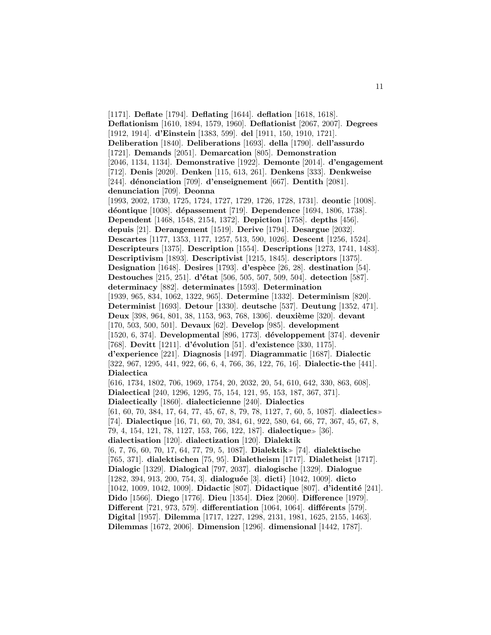[1171]. **Deflate** [1794]. **Deflating** [1644]. **deflation** [1618, 1618]. **Deflationism** [1610, 1894, 1579, 1960]. **Deflationist** [2067, 2007]. **Degrees** [1912, 1914]. **d'Einstein** [1383, 599]. **del** [1911, 150, 1910, 1721]. **Deliberation** [1840]. **Deliberations** [1693]. **della** [1790]. **dell'assurdo** [1721]. **Demands** [2051]. **Demarcation** [805]. **Demonstration** [2046, 1134, 1134]. **Demonstrative** [1922]. **Demonte** [2014]. **d'engagement** [712]. **Denis** [2020]. **Denken** [115, 613, 261]. **Denkens** [333]. **Denkweise** [244]. **d´enonciation** [709]. **d'enseignement** [667]. **Dentith** [2081]. **denunciation** [709]. **Deonna** [1993, 2002, 1730, 1725, 1724, 1727, 1729, 1726, 1728, 1731]. **deontic** [1008]. **d´eontique** [1008]. **d´epassement** [719]. **Dependence** [1694, 1806, 1738]. **Dependent** [1468, 1548, 2154, 1372]. **Depiction** [1758]. **depths** [456]. **depuis** [21]. **Derangement** [1519]. **Derive** [1794]. **Desargue** [2032]. **Descartes** [1177, 1353, 1177, 1257, 513, 590, 1026]. **Descent** [1256, 1524]. **Descripteurs** [1375]. **Description** [1554]. **Descriptions** [1273, 1741, 1483]. **Descriptivism** [1893]. **Descriptivist** [1215, 1845]. **descriptors** [1375]. **Designation** [1648]. **Desires** [1793]. **d'espèce** [26, 28]. **destination** [54]. **Destouches** [215, 251]. **d'état** [506, 505, 507, 509, 504]. **detection** [587]. **determinacy** [882]. **determinates** [1593]. **Determination** [1939, 965, 834, 1062, 1322, 965]. **Determine** [1332]. **Determinism** [820]. **Determinist** [1693]. **Detour** [1330]. **deutsche** [537]. **Deutung** [1352, 471]. **Deux** [398, 964, 801, 38, 1153, 963, 768, 1306]. **deuxième** [320]. **devant** [170, 503, 500, 501]. **Devaux** [62]. **Develop** [985]. **development** [1520, 6, 374]. **Developmental** [896, 1773]. **d´eveloppement** [374]. **devenir** [768]. **Devitt** [1211]. **d'´evolution** [51]. **d'existence** [330, 1175]. **d'experience** [221]. **Diagnosis** [1497]. **Diagrammatic** [1687]. **Dialectic** [322, 967, 1295, 441, 922, 66, 6, 4, 766, 36, 122, 76, 16]. **Dialectic-the** [441]. **Dialectica** [616, 1734, 1802, 706, 1969, 1754, 20, 2032, 20, 54, 610, 642, 330, 863, 608]. **Dialectical** [240, 1296, 1295, 75, 154, 121, 95, 153, 187, 367, 371]. **Dialectically** [1860]. **dialecticienne** [240]. **Dialectics** [61, 60, 70, 384, 17, 64, 77, 45, 67, 8, 79, 78, 1127, 7, 60, 5, 1087]. **dialectics** [74]. **Dialectique** [16, 71, 60, 70, 384, 61, 922, 580, 64, 66, 77, 367, 45, 67, 8, 79, 4, 154, 121, 78, 1127, 153, 766, 122, 187]. **dialectique** [36]. **dialectisation** [120]. **dialectization** [120]. **Dialektik** [6, 7, 76, 60, 70, 17, 64, 77, 79, 5, 1087]. **Dialektik** [74]. **dialektische** [765, 371]. **dialektischen** [75, 95]. **Dialetheism** [1717]. **Dialetheist** [1717]. **Dialogic** [1329]. **Dialogical** [797, 2037]. **dialogische** [1329]. **Dialogue** [1282, 394, 913, 200, 754, 3]. **dialogu´ee** [3]. **dicti**} [1042, 1009]. **dicto** [1042, 1009, 1042, 1009]. **Didactic** [807]. **Didactique** [807]. **d'identité** [241]. **Dido** [1566]. **Diego** [1776]. **Dieu** [1354]. **Diez** [2060]. **Difference** [1979]. **Different** [721, 973, 579]. **differentiation** [1064, 1064]. **différents** [579]. **Digital** [1957]. **Dilemma** [1717, 1227, 1298, 2131, 1981, 1625, 2155, 1463]. **Dilemmas** [1672, 2006]. **Dimension** [1296]. **dimensional** [1442, 1787].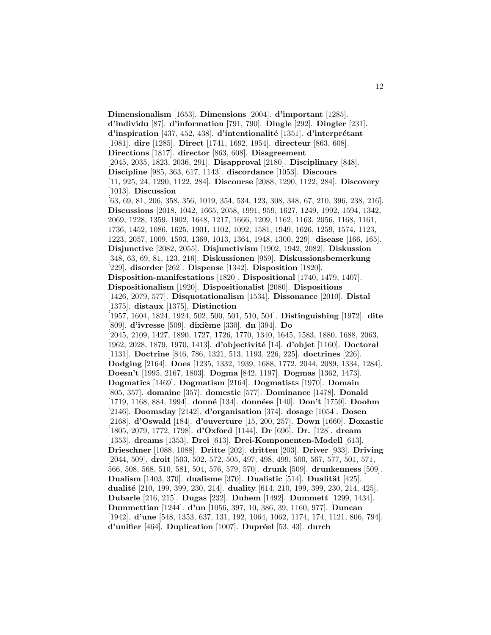**Dimensionalism** [1653]. **Dimensions** [2004]. **d'important** [1285]. **d'individu** [87]. **d'information** [791, 790]. **Dingle** [292]. **Dingler** [231]. **d'inspiration** [437, 452, 438]. **d'intentionalité** [1351]. **d'interprétant** [1081]. **dire** [1285]. **Direct** [1741, 1692, 1954]. **directeur** [863, 608]. **Directions** [1817]. **director** [863, 608]. **Disagreement** [2045, 2035, 1823, 2036, 291]. **Disapproval** [2180]. **Disciplinary** [848]. **Discipline** [985, 363, 617, 1143]. **discordance** [1053]. **Discours** [11, 925, 24, 1290, 1122, 284]. **Discourse** [2088, 1290, 1122, 284]. **Discovery** [1013]. **Discussion** [63, 69, 81, 206, 358, 356, 1019, 354, 534, 123, 308, 348, 67, 210, 396, 238, 216]. **Discussions** [2018, 1042, 1665, 2058, 1991, 959, 1627, 1249, 1992, 1594, 1342, 2069, 1228, 1359, 1902, 1648, 1217, 1666, 1209, 1162, 1163, 2056, 1168, 1161, 1736, 1452, 1086, 1625, 1901, 1102, 1092, 1581, 1949, 1626, 1259, 1574, 1123, 1223, 2057, 1009, 1593, 1369, 1013, 1364, 1948, 1300, 229]. **disease** [166, 165]. **Disjunctive** [2082, 2055]. **Disjunctivism** [1902, 1942, 2082]. **Diskussion** [348, 63, 69, 81, 123, 216]. **Diskussionen** [959]. **Diskussionsbemerkung** [229]. **disorder** [262]. **Dispense** [1342]. **Disposition** [1820]. **Disposition-manifestations** [1820]. **Dispositional** [1740, 1479, 1407]. **Dispositionalism** [1920]. **Dispositionalist** [2080]. **Dispositions** [1426, 2079, 577]. **Disquotationalism** [1534]. **Dissonance** [2010]. **Distal** [1375]. **distaux** [1375]. **Distinction** [1957, 1604, 1824, 1924, 502, 500, 501, 510, 504]. **Distinguishing** [1972]. **dite** [809]. **d'ivresse** [509]. **dixi`eme** [330]. **dn** [394]. **Do** [2045, 2109, 1427, 1890, 1727, 1726, 1770, 1340, 1645, 1583, 1880, 1688, 2063, 1962, 2028, 1879, 1970, 1413]. **d'objectivité** [14]. **d'objet** [1160]. **Doctoral** [1131]. **Doctrine** [846, 786, 1321, 513, 1193, 226, 225]. **doctrines** [226]. **Dodging** [2164]. **Does** [1235, 1332, 1939, 1688, 1772, 2044, 2089, 1334, 1284]. **Doesn't** [1995, 2167, 1803]. **Dogma** [842, 1197]. **Dogmas** [1362, 1473]. **Dogmatics** [1469]. **Dogmatism** [2164]. **Dogmatists** [1970]. **Domain** [805, 357]. **domaine** [357]. **domestic** [577]. **Dominance** [1478]. **Donald** [1719, 1168, 884, 1994]. **donn´e** [134]. **donn´ees** [140]. **Don't** [1759]. **Doohm** [2146]. **Doomsday** [2142]. **d'organisation** [374]. **dosage** [1054]. **Dosen** [2168]. **d'Oswald** [184]. **d'ouverture** [15, 200, 257]. **Down** [1660]. **Doxastic** [1805, 2079, 1772, 1798]. **d'Oxford** [1144]. **Dr** [696]. **Dr.** [128]. **dream** [1353]. **dreams** [1353]. **Drei** [613]. **Drei-Komponenten-Modell** [613]. **Drieschner** [1088, 1088]. **Dritte** [202]. **dritten** [203]. **Driver** [933]. **Driving** [2044, 509]. **droit** [503, 502, 572, 505, 497, 498, 499, 500, 567, 577, 501, 571, 566, 508, 568, 510, 581, 504, 576, 579, 570]. **drunk** [509]. **drunkenness** [509]. **Dualism** [1403, 370]. **dualisme** [370]. **Dualistic** [514]. **Dualität** [425]. **dualit´e** [210, 199, 399, 230, 214]. **duality** [614, 210, 199, 399, 230, 214, 425]. **Dubarle** [216, 215]. **Dugas** [232]. **Duhem** [1492]. **Dummett** [1299, 1434]. **Dummettian** [1244]. **d'un** [1056, 397, 10, 386, 39, 1160, 977]. **Duncan** [1942]. **d'une** [548, 1353, 637, 131, 192, 1064, 1062, 1174, 174, 1121, 806, 794]. **d'unifier** [464]. **Duplication** [1007]. **Dupréel** [53, 43]. **durch**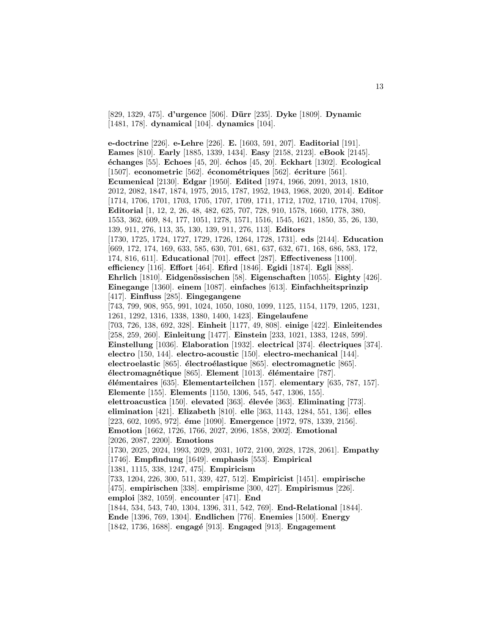[829, 1329, 475]. **d'urgence** [506]. **D¨urr** [235]. **Dyke** [1809]. **Dynamic** [1481, 178]. **dynamical** [104]. **dynamics** [104].

**e-doctrine** [226]. **e-Lehre** [226]. **E.** [1603, 591, 207]. **Eaditorial** [191]. **Eames** [810]. **Early** [1885, 1339, 1434]. **Easy** [2158, 2123]. **eBook** [2145]. **´echanges** [55]. **Echoes** [45, 20]. **´echos** [45, 20]. **Eckhart** [1302]. **Ecological** [1507]. **econometric** [562]. **économétriques** [562]. **écriture** [561]. **Ecumenical** [2130]. **Edgar** [1950]. **Edited** [1974, 1966, 2091, 2013, 1810, 2012, 2082, 1847, 1874, 1975, 2015, 1787, 1952, 1943, 1968, 2020, 2014]. **Editor** [1714, 1706, 1701, 1703, 1705, 1707, 1709, 1711, 1712, 1702, 1710, 1704, 1708]. **Editorial** [1, 12, 2, 26, 48, 482, 625, 707, 728, 910, 1578, 1660, 1778, 380, 1553, 362, 609, 84, 177, 1051, 1278, 1571, 1516, 1545, 1621, 1850, 35, 26, 130, 139, 911, 276, 113, 35, 130, 139, 911, 276, 113]. **Editors** [1730, 1725, 1724, 1727, 1729, 1726, 1264, 1728, 1731]. **eds** [2144]. **Education** [669, 172, 174, 169, 633, 585, 630, 701, 681, 637, 632, 671, 168, 686, 583, 172, 174, 816, 611]. **Educational** [701]. **effect** [287]. **Effectiveness** [1100]. **efficiency** [116]. **Effort** [464]. **Efird** [1846]. **Egidi** [1874]. **Egli** [888]. **Ehrlich** [1810]. **Eidgen¨ossischen** [58]. **Eigenschaften** [1055]. **Eighty** [426]. **Einegange** [1360]. **einem** [1087]. **einfaches** [613]. **Einfachheitsprinzip** [417]. **Einfluss** [285]. **Eingegangene** [743, 799, 908, 955, 991, 1024, 1050, 1080, 1099, 1125, 1154, 1179, 1205, 1231, 1261, 1292, 1316, 1338, 1380, 1400, 1423]. **Eingelaufene** [703, 726, 138, 692, 328]. **Einheit** [1177, 49, 808]. **einige** [422]. **Einleitendes** [258, 259, 260]. **Einleitung** [1477]. **Einstein** [233, 1021, 1383, 1248, 599]. **Einstellung** [1036]. **Elaboration** [1932]. **electrical** [374]. **´electriques** [374]. **electro** [150, 144]. **electro-acoustic** [150]. **electro-mechanical** [144]. **electroelastic** [865]. **´electro´elastique** [865]. **electromagnetic** [865]. **´electromagn´etique** [865]. **Element** [1013]. **´el´ementaire** [787]. **´el´ementaires** [635]. **Elementarteilchen** [157]. **elementary** [635, 787, 157]. **Elemente** [155]. **Elements** [1150, 1306, 545, 547, 1306, 155]. **elettroacustica** [150]. **elevated** [363]. **´elev´ee** [363]. **Eliminating** [773]. **elimination** [421]. **Elizabeth** [810]. **elle** [363, 1143, 1284, 551, 136]. **elles** [223, 602, 1095, 972]. **éme** [1090]. **Emergence** [1972, 978, 1339, 2156]. **Emotion** [1662, 1726, 1766, 2027, 2096, 1858, 2002]. **Emotional** [2026, 2087, 2200]. **Emotions** [1730, 2025, 2024, 1993, 2029, 2031, 1072, 2100, 2028, 1728, 2061]. **Empathy** [1746]. **Empfindung** [1649]. **emphasis** [553]. **Empirical** [1381, 1115, 338, 1247, 475]. **Empiricism** [733, 1204, 226, 300, 511, 339, 427, 512]. **Empiricist** [1451]. **empirische** [475]. **empirischen** [338]. **empirisme** [300, 427]. **Empirismus** [226]. **emploi** [382, 1059]. **encounter** [471]. **End** [1844, 534, 543, 740, 1304, 1396, 311, 542, 769]. **End-Relational** [1844]. **Ende** [1396, 769, 1304]. **Endlichen** [776]. **Enemies** [1500]. **Energy**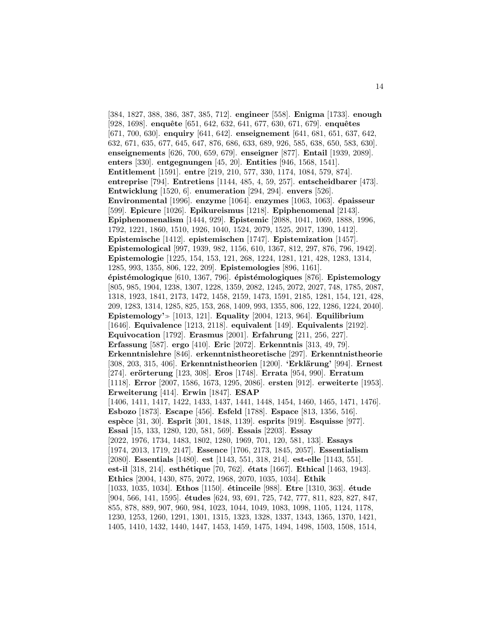[384, 1827, 388, 386, 387, 385, 712]. **engineer** [558]. **Enigma** [1733]. **enough** [928, 1698]. **enquête** [651, 642, 632, 641, 677, 630, 671, 679]. **enquêtes** [671, 700, 630]. **enquiry** [641, 642]. **enseignement** [641, 681, 651, 637, 642, 632, 671, 635, 677, 645, 647, 876, 686, 633, 689, 926, 585, 638, 650, 583, 630]. **enseignements** [626, 700, 659, 679]. **enseigner** [877]. **Entail** [1939, 2089]. **enters** [330]. **entgegnungen** [45, 20]. **Entities** [946, 1568, 1541]. **Entitlement** [1591]. **entre** [219, 210, 577, 330, 1174, 1084, 579, 874]. **entreprise** [794]. **Entretiens** [1144, 485, 4, 59, 257]. **entscheidbarer** [473]. **Entwicklung** [1520, 6]. **enumeration** [294, 294]. **envers** [526]. **Environmental** [1996]. **enzyme** [1064]. **enzymes** [1063, 1063]. **´epaisseur** [599]. **Epicure** [1026]. **Epikureismus** [1218]. **Epiphenomenal** [2143]. **Epiphenomenalism** [1444, 929]. **Epistemic** [2088, 1041, 1069, 1888, 1996, 1792, 1221, 1860, 1510, 1926, 1040, 1524, 2079, 1525, 2017, 1390, 1412]. **Epistemische** [1412]. **epistemischen** [1747]. **Epistemization** [1457]. **Epistemological** [997, 1939, 982, 1156, 610, 1367, 812, 297, 876, 796, 1942]. **Epistemologie** [1225, 154, 153, 121, 268, 1224, 1281, 121, 428, 1283, 1314, 1285, 993, 1355, 806, 122, 209]. **Epistemologies** [896, 1161]. **´epist´emologique** [610, 1367, 796]. **´epist´emologiques** [876]. **Epistemology** [805, 985, 1904, 1238, 1307, 1228, 1359, 2082, 1245, 2072, 2027, 748, 1785, 2087, 1318, 1923, 1841, 2173, 1472, 1458, 2159, 1473, 1591, 2185, 1281, 154, 121, 428, 209, 1283, 1314, 1285, 825, 153, 268, 1409, 993, 1355, 806, 122, 1286, 1224, 2040]. **Epistemology'** [1013, 121]. **Equality** [2004, 1213, 964]. **Equilibrium** [1646]. **Equivalence** [1213, 2118]. **equivalent** [149]. **Equivalents** [2192]. **Equivocation** [1792]. **Erasmus** [2001]. **Erfahrung** [211, 256, 227]. **Erfassung** [587]. **ergo** [410]. **Eric** [2072]. **Erkenntnis** [313, 49, 79]. **Erkenntnislehre** [846]. **erkenntnistheoretische** [297]. **Erkenntnistheorie** [308, 203, 315, 406]. **Erkenntnistheorien** [1200]. **'Erkl¨arung'** [994]. **Ernest** [274]. **er¨orterung** [123, 308]. **Eros** [1748]. **Errata** [954, 990]. **Erratum** [1118]. **Error** [2007, 1586, 1673, 1295, 2086]. **ersten** [912]. **erweiterte** [1953]. **Erweiterung** [414]. **Erwin** [1847]. **ESAP** [1406, 1411, 1417, 1422, 1433, 1437, 1441, 1448, 1454, 1460, 1465, 1471, 1476]. **Esbozo** [1873]. **Escape** [456]. **Esfeld** [1788]. **Espace** [813, 1356, 516]. **esp`ece** [31, 30]. **Esprit** [301, 1848, 1139]. **esprits** [919]. **Esquisse** [977]. **Essai** [15, 133, 1280, 120, 581, 569]. **Essais** [2203]. **Essay** [2022, 1976, 1734, 1483, 1802, 1280, 1969, 701, 120, 581, 133]. **Essays** [1974, 2013, 1719, 2147]. **Essence** [1706, 2173, 1845, 2057]. **Essentialism** [2080]. **Essentials** [1480]. **est** [1143, 551, 318, 214]. **est-elle** [1143, 551]. **est-il** [318, 214]. **esth´etique** [70, 762]. **´etats** [1667]. **Ethical** [1463, 1943]. **Ethics** [2004, 1430, 875, 2072, 1968, 2070, 1035, 1034]. **Ethik** [1033, 1035, 1034]. **Ethos** [1150]. **´etinceile** [988]. **Etre** [1310, 363]. **´etude** [904, 566, 141, 1595]. **études** [624, 93, 691, 725, 742, 777, 811, 823, 827, 847, 855, 878, 889, 907, 960, 984, 1023, 1044, 1049, 1083, 1098, 1105, 1124, 1178, 1230, 1253, 1260, 1291, 1301, 1315, 1323, 1328, 1337, 1343, 1365, 1370, 1421, 1405, 1410, 1432, 1440, 1447, 1453, 1459, 1475, 1494, 1498, 1503, 1508, 1514,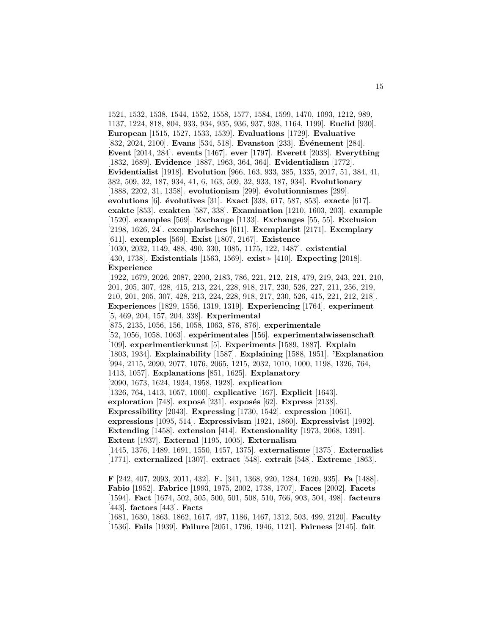1521, 1532, 1538, 1544, 1552, 1558, 1577, 1584, 1599, 1470, 1093, 1212, 989, 1137, 1224, 818, 804, 933, 934, 935, 936, 937, 938, 1164, 1199]. **Euclid** [930]. **European** [1515, 1527, 1533, 1539]. **Evaluations** [1729]. **Evaluative** [832, 2024, 2100]. **Evans** [534, 518]. **Evanston** [233]. **Événement** [284]. **Event** [2014, 284]. **events** [1467]. **ever** [1797]. **Everett** [2038]. **Everything** [1832, 1689]. **Evidence** [1887, 1963, 364, 364]. **Evidentialism** [1772]. **Evidentialist** [1918]. **Evolution** [966, 163, 933, 385, 1335, 2017, 51, 384, 41, 382, 509, 32, 187, 934, 41, 6, 163, 509, 32, 933, 187, 934]. **Evolutionary** [1888, 2202, 31, 1358]. **evolutionism** [299]. **´evolutionnismes** [299]. **evolutions** [6]. **´evolutives** [31]. **Exact** [338, 617, 587, 853]. **exacte** [617]. **exakte** [853]. **exakten** [587, 338]. **Examination** [1210, 1603, 203]. **example** [1520]. **examples** [569]. **Exchange** [1133]. **Exchanges** [55, 55]. **Exclusion** [2198, 1626, 24]. **exemplarisches** [611]. **Exemplarist** [2171]. **Exemplary** [611]. **exemples** [569]. **Exist** [1807, 2167]. **Existence** [1030, 2032, 1149, 488, 490, 330, 1085, 1175, 122, 1487]. **existential** [430, 1738]. **Existentials** [1563, 1569]. **exist** [410]. **Expecting** [2018]. **Experience** [1922, 1679, 2026, 2087, 2200, 2183, 786, 221, 212, 218, 479, 219, 243, 221, 210, 201, 205, 307, 428, 415, 213, 224, 228, 918, 217, 230, 526, 227, 211, 256, 219, 210, 201, 205, 307, 428, 213, 224, 228, 918, 217, 230, 526, 415, 221, 212, 218]. **Experiences** [1829, 1556, 1319, 1319]. **Experiencing** [1764]. **experiment** [5, 469, 204, 157, 204, 338]. **Experimental** [875, 2135, 1056, 156, 1058, 1063, 876, 876]. **experimentale** [52, 1056, 1058, 1063]. **expérimentales** [156]. **experimentalwissenschaft** [109]. **experimentierkunst** [5]. **Experiments** [1589, 1887]. **Explain** [1803, 1934]. **Explainability** [1587]. **Explaining** [1588, 1951]. **'Explanation** [994, 2115, 2090, 2077, 1076, 2065, 1215, 2032, 1010, 1000, 1198, 1326, 764, 1413, 1057]. **Explanations** [851, 1625]. **Explanatory** [2090, 1673, 1624, 1934, 1958, 1928]. **explication** [1326, 764, 1413, 1057, 1000]. **explicative** [167]. **Explicit** [1643]. **exploration** [748]. **exposé** [231]. **exposés** [62]. **Express** [2138]. **Expressibility** [2043]. **Expressing** [1730, 1542]. **expression** [1061]. **expressions** [1095, 514]. **Expressivism** [1921, 1860]. **Expressivist** [1992]. **Extending** [1458]. **extension** [414]. **Extensionality** [1973, 2068, 1391]. **Extent** [1937]. **External** [1195, 1005]. **Externalism** [1445, 1376, 1489, 1691, 1550, 1457, 1375]. **externalisme** [1375]. **Externalist** [1771]. **externalized** [1307]. **extract** [548]. **extrait** [548]. **Extreme** [1863]. **F** [242, 407, 2093, 2011, 432]. **F.** [341, 1368, 920, 1284, 1620, 935]. **Fa** [1488]. **Fabio** [1952]. **Fabrice** [1993, 1975, 2002, 1738, 1707]. **Faces** [2002]. **Facets** [1594]. **Fact** [1674, 502, 505, 500, 501, 508, 510, 766, 903, 504, 498]. **facteurs**

[443]. **factors** [443]. **Facts**

[1681, 1630, 1863, 1862, 1617, 497, 1186, 1467, 1312, 503, 499, 2120]. **Faculty** [1536]. **Fails** [1939]. **Failure** [2051, 1796, 1946, 1121]. **Fairness** [2145]. **fait**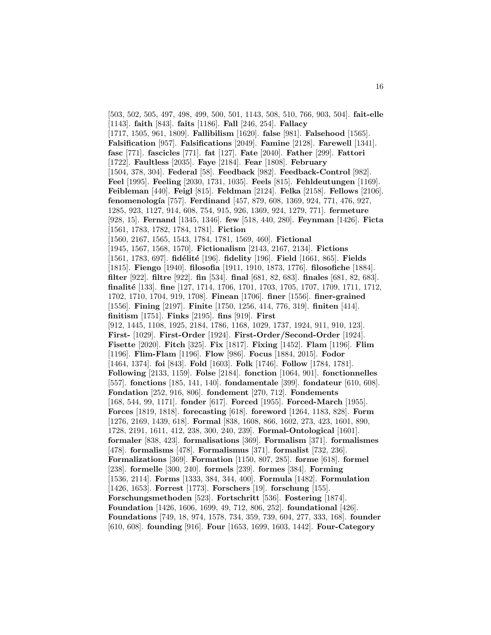[503, 502, 505, 497, 498, 499, 500, 501, 1143, 508, 510, 766, 903, 504]. **fait-elle** [1143]. **faith** [843]. **faits** [1186]. **Fall** [246, 254]. **Fallacy** [1717, 1505, 961, 1809]. **Fallibilism** [1620]. **false** [981]. **Falsehood** [1565]. **Falsification** [957]. **Falsifications** [2049]. **Famine** [2128]. **Farewell** [1341]. **fasc** [771]. **fascicles** [771]. **fat** [127]. **Fate** [2040]. **Father** [299]. **Fattori** [1722]. **Faultless** [2035]. **Faye** [2184]. **Fear** [1808]. **February** [1504, 378, 304]. **Federal** [58]. **Feedback** [982]. **Feedback-Control** [982]. **Feel** [1995]. **Feeling** [2030, 1731, 1035]. **Feels** [815]. **Fehldeutungen** [1169]. **Feibleman** [440]. **Feigl** [815]. **Feldman** [2124]. **Felka** [2158]. **Fellows** [2106]. **fenomenología** [757]. **Ferdinand** [457, 879, 608, 1369, 924, 771, 476, 927, 1285, 923, 1127, 914, 608, 754, 915, 926, 1369, 924, 1279, 771]. **fermeture** [928, 15]. **Fernand** [1345, 1346]. **few** [518, 440, 280]. **Feynman** [1426]. **Ficta** [1561, 1783, 1782, 1784, 1781]. **Fiction** [1560, 2167, 1565, 1543, 1784, 1781, 1569, 460]. **Fictional** [1945, 1567, 1568, 1570]. **Fictionalism** [2143, 2167, 2134]. **Fictions** [1561, 1783, 697]. **fid´elit´e** [196]. **fidelity** [196]. **Field** [1661, 865]. **Fields** [1815]. **Fiengo** [1940]. **filosofia** [1911, 1910, 1873, 1776]. **filosofiche** [1884]. **filter** [922]. **filtre** [922]. **fin** [534]. **final** [681, 82, 683]. **finales** [681, 82, 683]. **finalit´e** [133]. **fine** [127, 1714, 1706, 1701, 1703, 1705, 1707, 1709, 1711, 1712, 1702, 1710, 1704, 919, 1708]. **Finean** [1706]. **finer** [1556]. **finer-grained** [1556]. **Fining** [2197]. **Finite** [1750, 1256, 414, 776, 319]. **finiten** [414]. **finitism** [1751]. **Finks** [2195]. **fins** [919]. **First** [912, 1445, 1108, 1925, 2184, 1786, 1168, 1029, 1737, 1924, 911, 910, 123]. **First-** [1029]. **First-Order** [1924]. **First-Order/Second-Order** [1924]. **Fisette** [2020]. **Fitch** [325]. **Fix** [1817]. **Fixing** [1452]. **Flam** [1196]. **Flim** [1196]. **Flim-Flam** [1196]. **Flow** [986]. **Focus** [1884, 2015]. **Fodor** [1464, 1374]. **foi** [843]. **Fold** [1603]. **Folk** [1746]. **Follow** [1784, 1781]. **Following** [2133, 1159]. **Folse** [2184]. **fonction** [1064, 901]. **fonctionnelles** [557]. **fonctions** [185, 141, 140]. **fondamentale** [399]. **fondateur** [610, 608]. **Fondation** [252, 916, 806]. **fondement** [270, 712]. **Fondements** [168, 544, 99, 1171]. **fonder** [617]. **Forced** [1955]. **Forced-March** [1955]. **Forces** [1819, 1818]. **forecasting** [618]. **foreword** [1264, 1183, 828]. **Form** [1276, 2169, 1439, 618]. **Formal** [838, 1608, 866, 1602, 273, 423, 1601, 890, 1728, 2191, 1611, 412, 238, 300, 240, 239]. **Formal-Ontological** [1601]. **formaler** [838, 423]. **formalisations** [369]. **Formalism** [371]. **formalismes** [478]. **formalisms** [478]. **Formalismus** [371]. **formalist** [732, 236]. **Formalizations** [369]. **Formation** [1150, 807, 285]. **forme** [618]. **formel** [238]. **formelle** [300, 240]. **formels** [239]. **formes** [384]. **Forming** [1536, 2114]. **Forms** [1333, 384, 344, 400]. **Formula** [1482]. **Formulation** [1426, 1653]. **Forrest** [1773]. **Forschers** [19]. **forschung** [155]. **Forschungsmethoden** [523]. **Fortschritt** [536]. **Fostering** [1874]. **Foundation** [1426, 1606, 1699, 49, 712, 806, 252]. **foundational** [426]. **Foundations** [749, 18, 974, 1578, 734, 359, 739, 604, 277, 333, 168]. **founder** [610, 608]. **founding** [916]. **Four** [1653, 1699, 1603, 1442]. **Four-Category**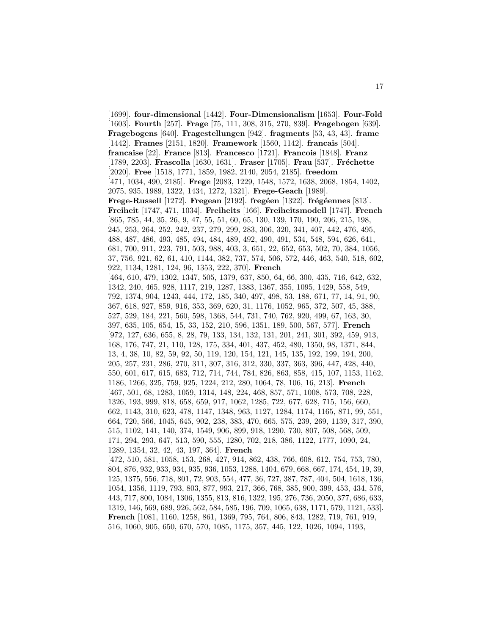[1699]. **four-dimensional** [1442]. **Four-Dimensionalism** [1653]. **Four-Fold** [1603]. **Fourth** [257]. **Frage** [75, 111, 308, 315, 270, 839]. **Fragebogen** [639]. **Fragebogens** [640]. **Fragestellungen** [942]. **fragments** [53, 43, 43]. **frame** [1442]. **Frames** [2151, 1820]. **Framework** [1560, 1142]. **francais** [504]. **francaise** [22]. **France** [813]. **Francesco** [1721]. **Francois** [1848]. **Franz** [1789, 2203]. **Frascolla** [1630, 1631]. **Fraser** [1705]. **Frau** [537]. **Fréchette** [2020]. **Free** [1518, 1771, 1859, 1982, 2140, 2054, 2185]. **freedom** [471, 1034, 490, 2185]. **Frege** [2083, 1229, 1548, 1572, 1638, 2068, 1854, 1402, 2075, 935, 1989, 1322, 1434, 1272, 1321]. **Frege-Geach** [1989]. **Frege-Russell** [1272]. **Fregean** [2192]. **fregéen** [1322]. **frégéennes** [813]. **Freiheit** [1747, 471, 1034]. **Freiheits** [166]. **Freiheitsmodell** [1747]. **French** [865, 785, 44, 35, 26, 9, 47, 55, 51, 60, 65, 130, 139, 170, 190, 206, 215, 198, 245, 253, 264, 252, 242, 237, 279, 299, 283, 306, 320, 341, 407, 442, 476, 495, 488, 487, 486, 493, 485, 494, 484, 489, 492, 490, 491, 534, 548, 594, 626, 641, 681, 700, 911, 223, 791, 503, 988, 403, 3, 651, 22, 652, 653, 502, 70, 384, 1056, 37, 756, 921, 62, 61, 410, 1144, 382, 737, 574, 506, 572, 446, 463, 540, 518, 602, 922, 1134, 1281, 124, 96, 1353, 222, 370]. **French** [464, 610, 479, 1302, 1347, 505, 1379, 637, 850, 64, 66, 300, 435, 716, 642, 632, 1342, 240, 465, 928, 1117, 219, 1287, 1383, 1367, 355, 1095, 1429, 558, 549, 792, 1374, 904, 1243, 444, 172, 185, 340, 497, 498, 53, 188, 671, 77, 14, 91, 90, 367, 618, 927, 859, 916, 353, 369, 620, 31, 1176, 1052, 965, 372, 507, 45, 388, 527, 529, 184, 221, 560, 598, 1368, 544, 731, 740, 762, 920, 499, 67, 163, 30, 397, 635, 105, 654, 15, 33, 152, 210, 596, 1351, 189, 500, 567, 577]. **French** [972, 127, 636, 655, 8, 28, 79, 133, 134, 132, 131, 201, 241, 301, 392, 459, 913, 168, 176, 747, 21, 110, 128, 175, 334, 401, 437, 452, 480, 1350, 98, 1371, 844, 13, 4, 38, 10, 82, 59, 92, 50, 119, 120, 154, 121, 145, 135, 192, 199, 194, 200, 205, 257, 231, 286, 270, 311, 307, 316, 312, 330, 337, 363, 396, 447, 428, 440, 550, 601, 617, 615, 683, 712, 714, 744, 784, 826, 863, 858, 415, 107, 1153, 1162, 1186, 1266, 325, 759, 925, 1224, 212, 280, 1064, 78, 106, 16, 213]. **French** [467, 501, 68, 1283, 1059, 1314, 148, 224, 468, 857, 571, 1008, 573, 708, 228, 1326, 193, 999, 818, 658, 659, 917, 1062, 1285, 722, 677, 628, 715, 156, 660, 662, 1143, 310, 623, 478, 1147, 1348, 963, 1127, 1284, 1174, 1165, 871, 99, 551, 664, 720, 566, 1045, 645, 902, 238, 383, 470, 665, 575, 239, 269, 1139, 317, 390, 515, 1102, 141, 140, 374, 1549, 906, 899, 918, 1290, 730, 807, 508, 568, 509, 171, 294, 293, 647, 513, 590, 555, 1280, 702, 218, 386, 1122, 1777, 1090, 24, 1289, 1354, 32, 42, 43, 197, 364]. **French** [472, 510, 581, 1058, 153, 268, 427, 914, 862, 438, 766, 608, 612, 754, 753, 780, 804, 876, 932, 933, 934, 935, 936, 1053, 1288, 1404, 679, 668, 667, 174, 454, 19, 39, 125, 1375, 556, 718, 801, 72, 903, 554, 477, 36, 727, 387, 787, 404, 504, 1618, 136, 1054, 1356, 1119, 793, 803, 877, 993, 217, 366, 768, 385, 900, 399, 453, 434, 576, 443, 717, 800, 1084, 1306, 1355, 813, 816, 1322, 195, 276, 736, 2050, 377, 686, 633, 1319, 146, 569, 689, 926, 562, 584, 585, 196, 709, 1065, 638, 1171, 579, 1121, 533]. **French** [1081, 1160, 1258, 861, 1369, 795, 764, 806, 843, 1282, 719, 761, 919,

516, 1060, 905, 650, 670, 570, 1085, 1175, 357, 445, 122, 1026, 1094, 1193,

17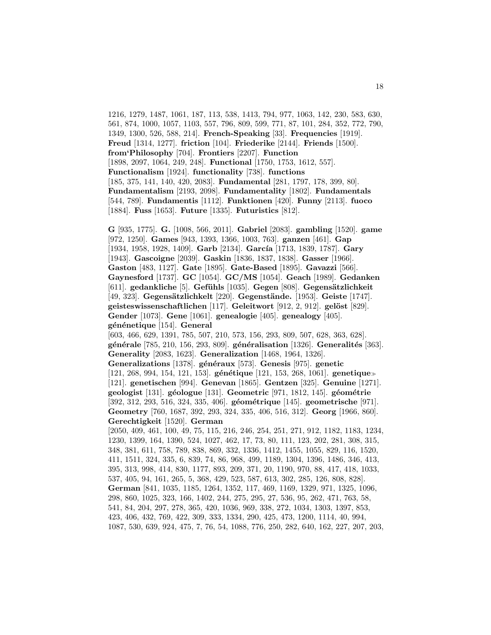1216, 1279, 1487, 1061, 187, 113, 538, 1413, 794, 977, 1063, 142, 230, 583, 630, 561, 874, 1000, 1057, 1103, 557, 796, 809, 599, 771, 87, 101, 284, 352, 772, 790, 1349, 1300, 526, 588, 214]. **French-Speaking** [33]. **Frequencies** [1919]. **Freud** [1314, 1277]. **friction** [104]. **Friederike** [2144]. **Friends** [1500]. **from'Philosophy** [704]. **Frontiers** [2207]. **Function** [1898, 2097, 1064, 249, 248]. **Functional** [1750, 1753, 1612, 557]. **Functionalism** [1924]. **functionality** [738]. **functions** [185, 375, 141, 140, 420, 2083]. **Fundamental** [281, 1797, 178, 399, 80]. **Fundamentalism** [2193, 2098]. **Fundamentality** [1802]. **Fundamentals** [544, 789]. **Fundamentis** [1112]. **Funktionen** [420]. **Funny** [2113]. **fuoco** [1884]. **Fuss** [1653]. **Future** [1335]. **Futuristics** [812].

**G** [935, 1775]. **G.** [1008, 566, 2011]. **Gabriel** [2083]. **gambling** [1520]. **game** [972, 1250]. **Games** [943, 1393, 1366, 1003, 763]. **ganzen** [461]. **Gap** [1934, 1958, 1928, 1409]. **Garb** [2134]. **García** [1713, 1839, 1787]. **Gary** [1943]. **Gascoigne** [2039]. **Gaskin** [1836, 1837, 1838]. **Gasser** [1966]. **Gaston** [483, 1127]. **Gate** [1895]. **Gate-Based** [1895]. **Gavazzi** [566]. **Gaynesford** [1737]. **GC** [1054]. **GC/MS** [1054]. **Geach** [1989]. **Gedanken** [611]. gedankliche<sup>[5]</sup>. Gefühls<sup>[1035]</sup>. Gegen<sup>[808]</sup>. Gegensätzlichkeit [49, 323]. **Gegens¨atzlichkelt** [220]. **Gegenst¨ande.** [1953]. **Geiste** [1747]. **geisteswissenschaftlichen** [117]. **Geleitwort** [912, 2, 912]. **gelöst** [829]. **Gender** [1073]. **Gene** [1061]. **genealogie** [405]. **genealogy** [405]. **g´en´enetique** [154]. **General**

[603, 466, 629, 1391, 785, 507, 210, 573, 156, 293, 809, 507, 628, 363, 628]. **g´en´erale** [785, 210, 156, 293, 809]. **g´en´eralisation** [1326]. **Generalit´es** [363]. **Generality** [2083, 1623]. **Generalization** [1468, 1964, 1326]. **Generalizations** [1378]. **g´en´eraux** [573]. **Genesis** [975]. **genetic**

[121, 268, 994, 154, 121, 153]. **g´en´etique** [121, 153, 268, 1061]. **genetique** [121]. **genetischen** [994]. **Genevan** [1865]. **Gentzen** [325]. **Genuine** [1271]. **geologist** [131]. **g´eologue** [131]. **Geometric** [971, 1812, 145]. **g´eom´etrie** [392, 312, 293, 516, 324, 335, 406]. **g´eom´etrique** [145]. **geometrische** [971]. **Geometry** [760, 1687, 392, 293, 324, 335, 406, 516, 312]. **Georg** [1966, 860]. **Gerechtigkeit** [1520]. **German**

[2050, 409, 461, 100, 49, 75, 115, 216, 246, 254, 251, 271, 912, 1182, 1183, 1234, 1230, 1399, 164, 1390, 524, 1027, 462, 17, 73, 80, 111, 123, 202, 281, 308, 315, 348, 381, 611, 758, 789, 838, 869, 332, 1336, 1412, 1455, 1055, 829, 116, 1520, 411, 1511, 324, 335, 6, 839, 74, 86, 968, 499, 1189, 1304, 1396, 1486, 346, 413, 395, 313, 998, 414, 830, 1177, 893, 209, 371, 20, 1190, 970, 88, 417, 418, 1033, 537, 405, 94, 161, 265, 5, 368, 429, 523, 587, 613, 302, 285, 126, 808, 828]. **German** [841, 1035, 1185, 1264, 1352, 117, 469, 1169, 1329, 971, 1325, 1096, 298, 860, 1025, 323, 166, 1402, 244, 275, 295, 27, 536, 95, 262, 471, 763, 58, 541, 84, 204, 297, 278, 365, 420, 1036, 969, 338, 272, 1034, 1303, 1397, 853, 423, 406, 432, 769, 422, 309, 333, 1334, 290, 425, 473, 1200, 1114, 40, 994, 1087, 530, 639, 924, 475, 7, 76, 54, 1088, 776, 250, 282, 640, 162, 227, 207, 203,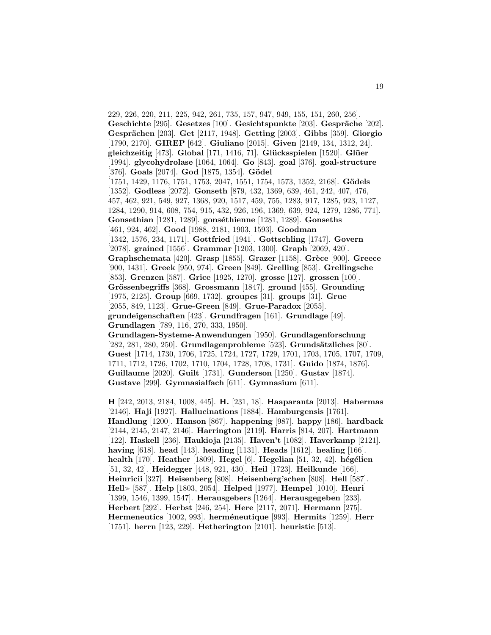229, 226, 220, 211, 225, 942, 261, 735, 157, 947, 949, 155, 151, 260, 256]. **Geschichte** [295]. **Gesetzes** [100]. **Gesichtspunkte** [203]. **Gespräche** [202]. **Gespr¨achen** [203]. **Get** [2117, 1948]. **Getting** [2003]. **Gibbs** [359]. **Giorgio** [1790, 2170]. **GIREP** [642]. **Giuliano** [2015]. **Given** [2149, 134, 1312, 24]. **gleichzeitig** [473]. **Global** [171, 1416, 71]. **Gl¨ucksspielen** [1520]. **Gl¨uer** [1994]. **glycohydrolase** [1064, 1064]. **Go** [843]. **goal** [376]. **goal-structure** [376]. **Goals** [2074]. **God** [1875, 1354]. **Gödel** [1751, 1429, 1176, 1751, 1753, 2047, 1551, 1754, 1573, 1352, 2168]. **Gödels** [1352]. **Godless** [2072]. **Gonseth** [879, 432, 1369, 639, 461, 242, 407, 476, 457, 462, 921, 549, 927, 1368, 920, 1517, 459, 755, 1283, 917, 1285, 923, 1127, 1284, 1290, 914, 608, 754, 915, 432, 926, 196, 1369, 639, 924, 1279, 1286, 771]. **Gonsethian** [1281, 1289]. **gonséthienne** [1281, 1289]. **Gonseths** [461, 924, 462]. **Good** [1988, 2181, 1903, 1593]. **Goodman** [1342, 1576, 234, 1171]. **Gottfried** [1941]. **Gottschling** [1747]. **Govern** [2078]. **grained** [1556]. **Grammar** [1203, 1300]. **Graph** [2069, 420]. **Graphschemata** [420]. **Grasp** [1855]. **Grazer** [1158]. **Grèce** [900]. **Greece** [900, 1431]. **Greek** [950, 974]. **Green** [849]. **Grelling** [853]. **Grellingsche** [853]. **Grenzen** [587]. **Grice** [1925, 1270]. **grosse** [127]. **grossen** [100]. **Grössenbegriffs** [368]. **Grossmann** [1847]. **ground** [455]. **Grounding** [1975, 2125]. **Group** [669, 1732]. **groupes** [31]. **groups** [31]. **Grue** [2055, 849, 1123]. **Grue-Green** [849]. **Grue-Paradox** [2055]. **grundeigenschaften** [423]. **Grundfragen** [161]. **Grundlage** [49]. **Grundlagen** [789, 116, 270, 333, 1950]. **Grundlagen-Systeme-Anwendungen** [1950]. **Grundlagenforschung**

[282, 281, 280, 250]. **Grundlagenprobleme** [523]. **Grundsätzliches** [80]. **Guest** [1714, 1730, 1706, 1725, 1724, 1727, 1729, 1701, 1703, 1705, 1707, 1709, 1711, 1712, 1726, 1702, 1710, 1704, 1728, 1708, 1731]. **Guido** [1874, 1876]. **Guillaume** [2020]. **Guilt** [1731]. **Gunderson** [1250]. **Gustav** [1874]. **Gustave** [299]. **Gymnasialfach** [611]. **Gymnasium** [611].

**H** [242, 2013, 2184, 1008, 445]. **H.** [231, 18]. **Haaparanta** [2013]. **Habermas** [2146]. **Haji** [1927]. **Hallucinations** [1884]. **Hamburgensis** [1761]. **Handlung** [1200]. **Hanson** [867]. **happening** [987]. **happy** [186]. **hardback** [2144, 2145, 2147, 2146]. **Harrington** [2119]. **Harris** [814, 207]. **Hartmann** [122]. **Haskell** [236]. **Haukioja** [2135]. **Haven't** [1082]. **Haverkamp** [2121]. **having** [618]. **head** [143]. **heading** [1131]. **Heads** [1612]. **healing** [166]. **health** [170]. **Heather** [1809]. **Hegel** [6]. **Hegelian** [51, 32, 42]. **h´eg´elien** [51, 32, 42]. **Heidegger** [448, 921, 430]. **Heil** [1723]. **Heilkunde** [166]. **Heinricii** [327]. **Heisenberg** [808]. **Heisenberg'schen** [808]. **Hell** [587]. **Hell** [587]. **Help** [1803, 2054]. **Helped** [1977]. **Hempel** [1010]. **Henri** [1399, 1546, 1399, 1547]. **Herausgebers** [1264]. **Herausgegeben** [233]. **Herbert** [292]. **Herbst** [246, 254]. **Here** [2117, 2071]. **Hermann** [275]. **Hermeneutics** [1002, 993]. **herm´eneutique** [993]. **Hermits** [1259]. **Herr** [1751]. **herrn** [123, 229]. **Hetherington** [2101]. **heuristic** [513].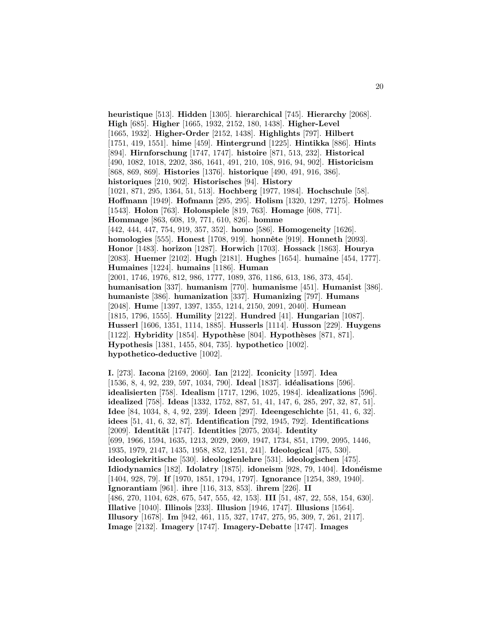**heuristique** [513]. **Hidden** [1305]. **hierarchical** [745]. **Hierarchy** [2068]. **High** [685]. **Higher** [1665, 1932, 2152, 180, 1438]. **Higher-Level** [1665, 1932]. **Higher-Order** [2152, 1438]. **Highlights** [797]. **Hilbert** [1751, 419, 1551]. **hime** [459]. **Hintergrund** [1225]. **Hintikka** [886]. **Hints** [894]. **Hirnforschung** [1747, 1747]. **histoire** [871, 513, 232]. **Historical** [490, 1082, 1018, 2202, 386, 1641, 491, 210, 108, 916, 94, 902]. **Historicism** [868, 869, 869]. **Histories** [1376]. **historique** [490, 491, 916, 386]. **historiques** [210, 902]. **Historisches** [94]. **History** [1021, 871, 295, 1364, 51, 513]. **Hochberg** [1977, 1984]. **Hochschule** [58]. **Hoffmann** [1949]. **Hofmann** [295, 295]. **Holism** [1320, 1297, 1275]. **Holmes** [1543]. **Holon** [763]. **Holonspiele** [819, 763]. **Homage** [608, 771]. **Hommage** [863, 608, 19, 771, 610, 826]. **homme** [442, 444, 447, 754, 919, 357, 352]. **homo** [586]. **Homogeneity** [1626]. **homologies** [555]. **Honest** [1708, 919]. **honnˆete** [919]. **Honneth** [2093]. **Honor** [1483]. **horizon** [1287]. **Horwich** [1703]. **Hossack** [1863]. **Hourya** [2083]. **Huemer** [2102]. **Hugh** [2181]. **Hughes** [1654]. **humaine** [454, 1777]. **Humaines** [1224]. **humains** [1186]. **Human** [2001, 1746, 1976, 812, 986, 1777, 1089, 376, 1186, 613, 186, 373, 454]. **humanisation** [337]. **humanism** [770]. **humanisme** [451]. **Humanist** [386]. **humaniste** [386]. **humanization** [337]. **Humanizing** [797]. **Humans** [2048]. **Hume** [1397, 1397, 1355, 1214, 2150, 2091, 2040]. **Humean** [1815, 1796, 1555]. **Humility** [2122]. **Hundred** [41]. **Hungarian** [1087]. **Husserl** [1606, 1351, 1114, 1885]. **Husserls** [1114]. **Husson** [229]. **Huygens** [1122]. **Hybridity** [1854]. **Hypothèse** [804]. **Hypothèses** [871, 871]. **Hypothesis** [1381, 1455, 804, 735]. **hypothetico** [1002]. **hypothetico-deductive** [1002].

**I.** [273]. **Iacona** [2169, 2060]. **Ian** [2122]. **Iconicity** [1597]. **Idea** [1536, 8, 4, 92, 239, 597, 1034, 790]. **Ideal** [1837]. **id´ealisations** [596]. **idealisierten** [758]. **Idealism** [1717, 1296, 1025, 1984]. **idealizations** [596]. **idealized** [758]. **Ideas** [1332, 1752, 887, 51, 41, 147, 6, 285, 297, 32, 87, 51]. **Idee** [84, 1034, 8, 4, 92, 239]. **Ideen** [297]. **Ideengeschichte** [51, 41, 6, 32]. **idees** [51, 41, 6, 32, 87]. **Identification** [792, 1945, 792]. **Identifications** [2009]. **Identit¨at** [1747]. **Identities** [2075, 2034]. **Identity** [699, 1966, 1594, 1635, 1213, 2029, 2069, 1947, 1734, 851, 1799, 2095, 1446, 1935, 1979, 2147, 1435, 1958, 852, 1251, 241]. **Ideological** [475, 530]. **ideologiekritische** [530]. **ideologienlehre** [531]. **ideologischen** [475]. **Idiodynamics** [182]. **Idolatry** [1875]. **idoneism** [928, 79, 1404]. **Idon´eisme** [1404, 928, 79]. **If** [1970, 1851, 1794, 1797]. **Ignorance** [1254, 389, 1940]. **Ignorantiam** [961]. **ihre** [116, 313, 853]. **ihrem** [226]. **II** [486, 270, 1104, 628, 675, 547, 555, 42, 153]. **III** [51, 487, 22, 558, 154, 630]. **Illative** [1040]. **Illinois** [233]. **Illusion** [1946, 1747]. **Illusions** [1564]. **Illusory** [1678]. **Im** [942, 461, 115, 327, 1747, 275, 95, 309, 7, 261, 2117]. **Image** [2132]. **Imagery** [1747]. **Imagery-Debatte** [1747]. **Images**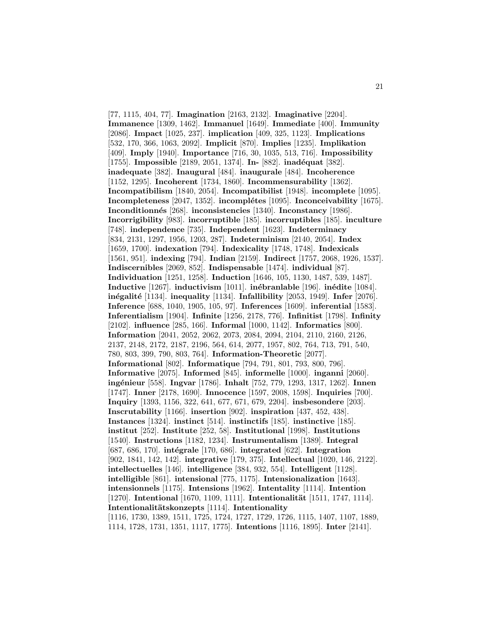[77, 1115, 404, 77]. **Imagination** [2163, 2132]. **Imaginative** [2204]. **Immanence** [1309, 1462]. **Immanuel** [1649]. **Immediate** [400]. **Immunity** [2086]. **Impact** [1025, 237]. **implication** [409, 325, 1123]. **Implications** [532, 170, 366, 1063, 2092]. **Implicit** [870]. **Implies** [1235]. **Implikation** [409]. **Imply** [1940]. **Importance** [716, 30, 1035, 513, 716]. **Impossibility** [1755]. **Impossible** [2189, 2051, 1374]. **In-** [882]. **inadéquat** [382]. **inadequate** [382]. **Inaugural** [484]. **inaugurale** [484]. **Incoherence** [1152, 1295]. **Incoherent** [1734, 1860]. **Incommensurability** [1362]. **Incompatibilism** [1840, 2054]. **Incompatibilist** [1948]. **incomplete** [1095]. **Incompleteness** [2047, 1352]. **incomplétes** [1095]. **Inconceivability** [1675]. **Inconditionn´es** [268]. **inconsistencies** [1340]. **Inconstancy** [1986]. **Incorrigibility** [983]. **incorruptible** [185]. **incorruptibles** [185]. **inculture** [748]. **independence** [735]. **Independent** [1623]. **Indeterminacy** [834, 2131, 1297, 1956, 1203, 287]. **Indeterminism** [2140, 2054]. **Index** [1659, 1700]. **indexation** [794]. **Indexicality** [1748, 1748]. **Indexicals** [1561, 951]. **indexing** [794]. **Indian** [2159]. **Indirect** [1757, 2068, 1926, 1537]. **Indiscernibles** [2069, 852]. **Indispensable** [1474]. **individual** [87]. **Individuation** [1251, 1258]. **Induction** [1646, 105, 1130, 1487, 539, 1487]. **Inductive** [1267]. **inductivism** [1011]. **in´ebranlable** [196]. **in´edite** [1084]. **in´egalit´e** [1134]. **inequality** [1134]. **Infallibility** [2053, 1949]. **Infer** [2076]. **Inference** [688, 1040, 1905, 105, 97]. **Inferences** [1609]. **inferential** [1583]. **Inferentialism** [1904]. **Infinite** [1256, 2178, 776]. **Infinitist** [1798]. **Infinity** [2102]. **influence** [285, 166]. **Informal** [1000, 1142]. **Informatics** [800]. **Information** [2041, 2052, 2062, 2073, 2084, 2094, 2104, 2110, 2160, 2126, 2137, 2148, 2172, 2187, 2196, 564, 614, 2077, 1957, 802, 764, 713, 791, 540, 780, 803, 399, 790, 803, 764]. **Information-Theoretic** [2077]. **Informational** [802]. **Informatique** [794, 791, 801, 793, 800, 796]. **Informative** [2075]. **Informed** [845]. **informelle** [1000]. **inganni** [2060]. **ing´enieur** [558]. **Ingvar** [1786]. **Inhalt** [752, 779, 1293, 1317, 1262]. **Innen** [1747]. **Inner** [2178, 1690]. **Innocence** [1597, 2008, 1598]. **Inquiries** [700]. **Inquiry** [1393, 1156, 322, 641, 677, 671, 679, 2204]. **insbesondere** [203]. **Inscrutability** [1166]. **insertion** [902]. **inspiration** [437, 452, 438]. **Instances** [1324]. **instinct** [514]. **instinctifs** [185]. **instinctive** [185]. **institut** [252]. **Institute** [252, 58]. **Institutional** [1998]. **Institutions** [1540]. **Instructions** [1182, 1234]. **Instrumentalism** [1389]. **Integral** [687, 686, 170]. **int´egrale** [170, 686]. **integrated** [622]. **Integration** [902, 1841, 142, 142]. **integrative** [179, 375]. **Intellectual** [1020, 146, 2122]. **intellectuelles** [146]. **intelligence** [384, 932, 554]. **Intelligent** [1128]. **intelligible** [861]. **intensional** [775, 1175]. **Intensionalization** [1643]. **intensionnels** [1175]. **Intensions** [1962]. **Intentality** [1114]. **Intention** [1270]. **Intentional** [1670, 1109, 1111]. **Intentionalität** [1511, 1747, 1114]. **Intentionalit¨atskonzepts** [1114]. **Intentionality** [1116, 1730, 1389, 1511, 1725, 1724, 1727, 1729, 1726, 1115, 1407, 1107, 1889, 1114, 1728, 1731, 1351, 1117, 1775]. **Intentions** [1116, 1895]. **Inter** [2141].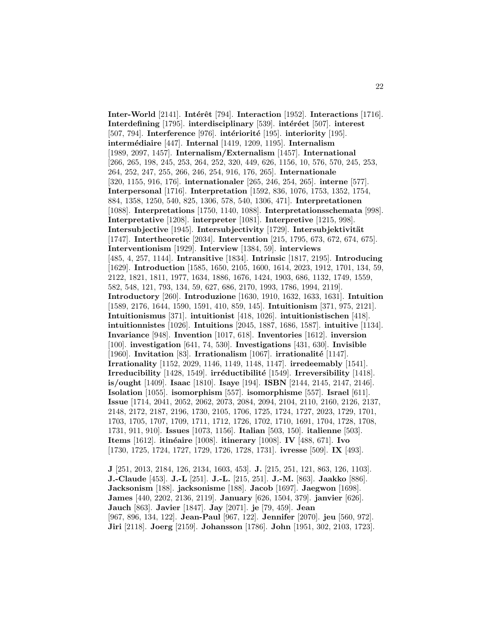**Inter-World** [2141]. **Intérêt** [794]. **Interaction** [1952]. **Interactions** [1716]. **Interdefining** [1795]. **interdisciplinary** [539]. **intéréet** [507]. **interest** [507, 794]. **Interference** [976]. **intériorité** [195]. **interiority** [195]. **interm´ediaire** [447]. **Internal** [1419, 1209, 1195]. **Internalism** [1989, 2097, 1457]. **Internalism/Externalism** [1457]. **International** [266, 265, 198, 245, 253, 264, 252, 320, 449, 626, 1156, 10, 576, 570, 245, 253, 264, 252, 247, 255, 266, 246, 254, 916, 176, 265]. **Internationale** [320, 1155, 916, 176]. **internationaler** [265, 246, 254, 265]. **interne** [577]. **Interpersonal** [1716]. **Interpretation** [1592, 836, 1076, 1753, 1352, 1754, 884, 1358, 1250, 540, 825, 1306, 578, 540, 1306, 471]. **Interpretationen** [1088]. **Interpretations** [1750, 1140, 1088]. **Interpretationsschemata** [998]. **Interpretative** [1208]. **interpreter** [1081]. **Interpretive** [1215, 998]. Intersubjective<sup>[1945]</sup>. Intersubjectivity<sup>[1729]</sup>. Intersubjektivität [1747]. **Intertheoretic** [2034]. **Intervention** [215, 1795, 673, 672, 674, 675]. **Interventionism** [1929]. **Interview** [1384, 59]. **interviews** [485, 4, 257, 1144]. **Intransitive** [1834]. **Intrinsic** [1817, 2195]. **Introducing** [1629]. **Introduction** [1585, 1650, 2105, 1600, 1614, 2023, 1912, 1701, 134, 59, 2122, 1821, 1811, 1977, 1634, 1886, 1676, 1424, 1903, 686, 1132, 1749, 1559, 582, 548, 121, 793, 134, 59, 627, 686, 2170, 1993, 1786, 1994, 2119]. **Introductory** [260]. **Introduzione** [1630, 1910, 1632, 1633, 1631]. **Intuition** [1589, 2176, 1644, 1590, 1591, 410, 859, 145]. **Intuitionism** [371, 975, 2121]. **Intuitionismus** [371]. **intuitionist** [418, 1026]. **intuitionistischen** [418]. **intuitionnistes** [1026]. **Intuitions** [2045, 1887, 1686, 1587]. **intuitive** [1134]. **Invariance** [948]. **Invention** [1017, 618]. **Inventories** [1612]. **inversion** [100]. **investigation** [641, 74, 530]. **Investigations** [431, 630]. **Invisible** [1960]. **Invitation** [83]. **Irrationalism** [1067]. **irrationalité** [1147]. **Irrationality** [1152, 2029, 1146, 1149, 1148, 1147]. **irredeemably** [1541]. **Irreducibility** [1428, 1549]. **irréductibilité** [1549]. **Irreversibility** [1418]. **is/ought** [1409]. **Isaac** [1810]. **Isaye** [194]. **ISBN** [2144, 2145, 2147, 2146]. **Isolation** [1055]. **isomorphism** [557]. **isomorphisme** [557]. **Israel** [611]. **Issue** [1714, 2041, 2052, 2062, 2073, 2084, 2094, 2104, 2110, 2160, 2126, 2137, 2148, 2172, 2187, 2196, 1730, 2105, 1706, 1725, 1724, 1727, 2023, 1729, 1701, 1703, 1705, 1707, 1709, 1711, 1712, 1726, 1702, 1710, 1691, 1704, 1728, 1708, 1731, 911, 910]. **Issues** [1073, 1156]. **Italian** [503, 150]. **italienne** [503]. **Items** [1612]. **itin´eaire** [1008]. **itinerary** [1008]. **IV** [488, 671]. **Ivo** [1730, 1725, 1724, 1727, 1729, 1726, 1728, 1731]. **ivresse** [509]. **IX** [493].

**J** [251, 2013, 2184, 126, 2134, 1603, 453]. **J.** [215, 251, 121, 863, 126, 1103]. **J.-Claude** [453]. **J.-L** [251]. **J.-L.** [215, 251]. **J.-M.** [863]. **Jaakko** [886]. **Jacksonism** [188]. **jacksonisme** [188]. **Jacob** [1697]. **Jaegwon** [1698]. **James** [440, 2202, 2136, 2119]. **January** [626, 1504, 379]. **janvier** [626]. **Jauch** [863]. **Javier** [1847]. **Jay** [2071]. **je** [79, 459]. **Jean** [967, 896, 134, 122]. **Jean-Paul** [967, 122]. **Jennifer** [2070]. **jeu** [560, 972]. **Jiri** [2118]. **Joerg** [2159]. **Johansson** [1786]. **John** [1951, 302, 2103, 1723].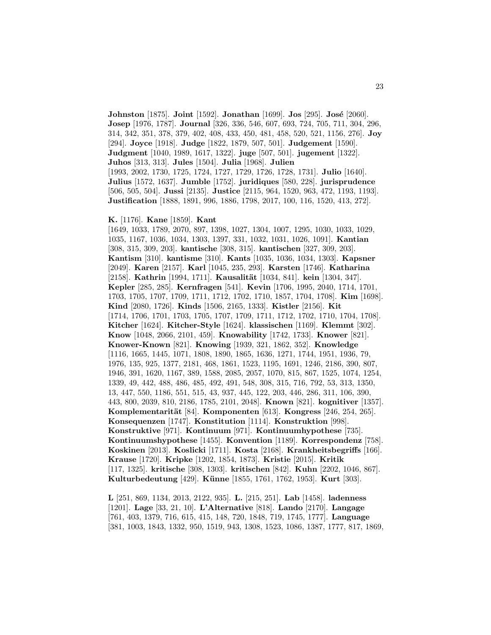**Johnston** [1875]. **Joint** [1592]. **Jonathan** [1699]. **Jos** [295]. **Jos´e** [2060]. **Josep** [1976, 1787]. **Journal** [326, 336, 546, 607, 693, 724, 705, 711, 304, 296, 314, 342, 351, 378, 379, 402, 408, 433, 450, 481, 458, 520, 521, 1156, 276]. **Joy** [294]. **Joyce** [1918]. **Judge** [1822, 1879, 507, 501]. **Judgement** [1590]. **Judgment** [1040, 1989, 1617, 1322]. **juge** [507, 501]. **jugement** [1322]. **Juhos** [313, 313]. **Jules** [1504]. **Julia** [1968]. **Julien** [1993, 2002, 1730, 1725, 1724, 1727, 1729, 1726, 1728, 1731]. **Julio** [1640]. **Julius** [1572, 1637]. **Jumble** [1752]. **juridiques** [580, 228]. **jurisprudence** [506, 505, 504]. **Jussi** [2135]. **Justice** [2115, 964, 1520, 963, 472, 1193, 1193]. **Justification** [1888, 1891, 996, 1886, 1798, 2017, 100, 116, 1520, 413, 272].

#### **K.** [1176]. **Kane** [1859]. **Kant**

[1649, 1033, 1789, 2070, 897, 1398, 1027, 1304, 1007, 1295, 1030, 1033, 1029, 1035, 1167, 1036, 1034, 1303, 1397, 331, 1032, 1031, 1026, 1091]. **Kantian** [308, 315, 309, 203]. **kantische** [308, 315]. **kantischen** [327, 309, 203]. **Kantism** [310]. **kantisme** [310]. **Kants** [1035, 1036, 1034, 1303]. **Kapsner** [2049]. **Karen** [2157]. **Karl** [1045, 235, 293]. **Karsten** [1746]. **Katharina** [2158]. **Kathrin** [1994, 1711]. **Kausalität** [1034, 841]. **kein** [1304, 347]. **Kepler** [285, 285]. **Kernfragen** [541]. **Kevin** [1706, 1995, 2040, 1714, 1701, 1703, 1705, 1707, 1709, 1711, 1712, 1702, 1710, 1857, 1704, 1708]. **Kim** [1698]. **Kind** [2080, 1726]. **Kinds** [1506, 2165, 1333]. **Kistler** [2156]. **Kit** [1714, 1706, 1701, 1703, 1705, 1707, 1709, 1711, 1712, 1702, 1710, 1704, 1708]. **Kitcher** [1624]. **Kitcher-Style** [1624]. **klassischen** [1169]. **Klemmt** [302]. **Know** [1048, 2066, 2101, 459]. **Knowability** [1742, 1733]. **Knower** [821]. **Knower-Known** [821]. **Knowing** [1939, 321, 1862, 352]. **Knowledge** [1116, 1665, 1445, 1071, 1808, 1890, 1865, 1636, 1271, 1744, 1951, 1936, 79, 1976, 135, 925, 1377, 2181, 468, 1861, 1523, 1195, 1691, 1246, 2186, 390, 807, 1946, 391, 1620, 1167, 389, 1588, 2085, 2057, 1070, 815, 867, 1525, 1074, 1254, 1339, 49, 442, 488, 486, 485, 492, 491, 548, 308, 315, 716, 792, 53, 313, 1350, 13, 447, 550, 1186, 551, 515, 43, 937, 445, 122, 203, 446, 286, 311, 106, 390, 443, 800, 2039, 810, 2186, 1785, 2101, 2048]. **Known** [821]. **kognitiver** [1357]. **Komplementarität** [84]. **Komponenten** [613]. **Kongress** [246, 254, 265]. **Konsequenzen** [1747]. **Konstitution** [1114]. **Konstruktion** [998]. **Konstruktive** [971]. **Kontinuum** [971]. **Kontinuumhypothese** [735]. **Kontinuumshypothese** [1455]. **Konvention** [1189]. **Korrespondenz** [758]. **Koskinen** [2013]. **Koslicki** [1711]. **Kosta** [2168]. **Krankheitsbegriffs** [166]. **Krause** [1720]. **Kripke** [1202, 1854, 1873]. **Kristie** [2015]. **Kritik** [117, 1325]. **kritische** [308, 1303]. **kritischen** [842]. **Kuhn** [2202, 1046, 867]. **Kulturbedeutung** [429]. **K¨unne** [1855, 1761, 1762, 1953]. **Kurt** [303].

**L** [251, 869, 1134, 2013, 2122, 935]. **L.** [215, 251]. **Lab** [1458]. **ladenness** [1201]. **Lage** [33, 21, 10]. **L'Alternative** [818]. **Lando** [2170]. **Langage** [761, 403, 1379, 716, 615, 415, 148, 720, 1848, 719, 1745, 1777]. **Language** [381, 1003, 1843, 1332, 950, 1519, 943, 1308, 1523, 1086, 1387, 1777, 817, 1869,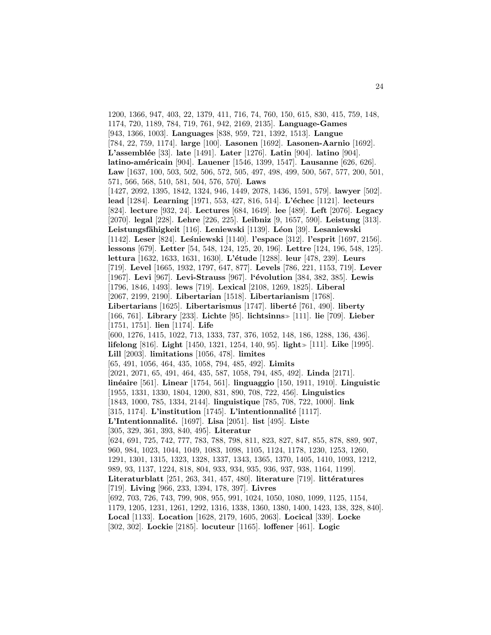1200, 1366, 947, 403, 22, 1379, 411, 716, 74, 760, 150, 615, 830, 415, 759, 148, 1174, 720, 1189, 784, 719, 761, 942, 2169, 2135]. **Language-Games** [943, 1366, 1003]. **Languages** [838, 959, 721, 1392, 1513]. **Langue** [784, 22, 759, 1174]. **large** [100]. **Lasonen** [1692]. **Lasonen-Aarnio** [1692]. **L'assembl´ee** [33]. **late** [1491]. **Later** [1276]. **Latin** [904]. **latino** [904]. **latino-am´ericain** [904]. **Lauener** [1546, 1399, 1547]. **Lausanne** [626, 626]. **Law** [1637, 100, 503, 502, 506, 572, 505, 497, 498, 499, 500, 567, 577, 200, 501, 571, 566, 568, 510, 581, 504, 576, 570]. **Laws** [1427, 2092, 1395, 1842, 1324, 946, 1449, 2078, 1436, 1591, 579]. **lawyer** [502]. **lead** [1284]. **Learning** [1971, 553, 427, 816, 514]. **L'échec** [1121]. **lecteurs** [824]. **lecture** [932, 24]. **Lectures** [684, 1649]. **lee** [489]. **Left** [2076]. **Legacy** [2070]. **legal** [228]. **Lehre** [226, 225]. **Leibniz** [9, 1657, 590]. **Leistung** [313]. **Leistungsf¨ahigkeit** [116]. **Leniewski** [1139]. **L´eon** [39]. **Lesaniewski** [1142]. **Leser** [824]. **Le´sniewski** [1140]. **l'espace** [312]. **l'esprit** [1697, 2156]. **lessons** [679]. **Letter** [54, 548, 124, 125, 20, 196]. **Lettre** [124, 196, 548, 125]. **lettura** [1632, 1633, 1631, 1630]. **L'étude** [1288]. **leur** [478, 239]. **Leurs** [719]. **Level** [1665, 1932, 1797, 647, 877]. **Levels** [786, 221, 1153, 719]. **Lever** [1967]. **Levi** [967]. **Levi-Strauss** [967]. **l'´evolution** [384, 382, 385]. **Lewis** [1796, 1846, 1493]. **lews** [719]. **Lexical** [2108, 1269, 1825]. **Liberal** [2067, 2199, 2190]. **Libertarian** [1518]. **Libertarianism** [1768]. **Libertarians** [1625]. **Libertarismus** [1747]. **liberté** [761, 490]. **liberty** [166, 761]. **Library** [233]. **Lichte** [95]. **lichtsinns** [111]. **lie** [709]. **Lieber** [1751, 1751]. **lien** [1174]. **Life** [600, 1276, 1415, 1022, 713, 1333, 737, 376, 1052, 148, 186, 1288, 136, 436]. **lifelong** [816]. **Light** [1450, 1321, 1254, 140, 95]. **light** [111]. **Like** [1995]. **Lill** [2003]. **limitations** [1056, 478]. **limites** [65, 491, 1056, 464, 435, 1058, 794, 485, 492]. **Limits** [2021, 2071, 65, 491, 464, 435, 587, 1058, 794, 485, 492]. **Linda** [2171]. **lin´eaire** [561]. **Linear** [1754, 561]. **linguaggio** [150, 1911, 1910]. **Linguistic** [1955, 1331, 1330, 1804, 1200, 831, 890, 708, 722, 456]. **Linguistics** [1843, 1000, 785, 1334, 2144]. **linguistique** [785, 708, 722, 1000]. **link** [315, 1174]. **L'institution** [1745]. **L'intentionnalité** [1117]. **L'Intentionnalit´e.** [1697]. **Lisa** [2051]. **list** [495]. **Liste** [305, 329, 361, 393, 840, 495]. **Literatur** [624, 691, 725, 742, 777, 783, 788, 798, 811, 823, 827, 847, 855, 878, 889, 907, 960, 984, 1023, 1044, 1049, 1083, 1098, 1105, 1124, 1178, 1230, 1253, 1260, 1291, 1301, 1315, 1323, 1328, 1337, 1343, 1365, 1370, 1405, 1410, 1093, 1212, 989, 93, 1137, 1224, 818, 804, 933, 934, 935, 936, 937, 938, 1164, 1199]. **Literaturblatt** [251, 263, 341, 457, 480]. **literature** [719]. **littératures** [719]. **Living** [966, 233, 1394, 178, 397]. **Livres** [692, 703, 726, 743, 799, 908, 955, 991, 1024, 1050, 1080, 1099, 1125, 1154, 1179, 1205, 1231, 1261, 1292, 1316, 1338, 1360, 1380, 1400, 1423, 138, 328, 840]. **Local** [1133]. **Location** [1628, 2179, 1605, 2063]. **Locical** [339]. **Locke** [302, 302]. **Lockie** [2185]. **locuteur** [1165]. **loffener** [461]. **Logic**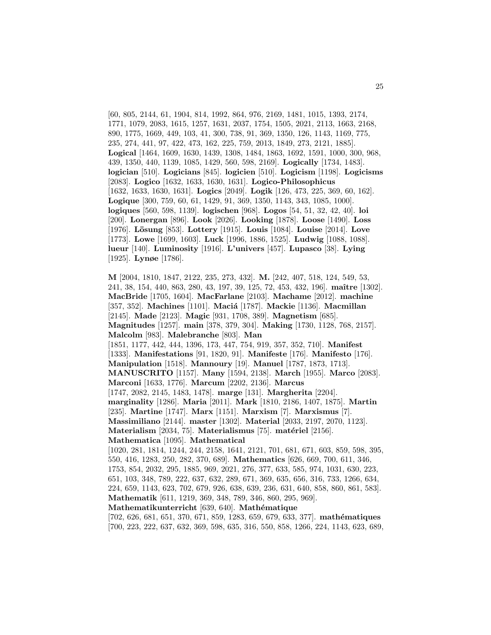[60, 805, 2144, 61, 1904, 814, 1992, 864, 976, 2169, 1481, 1015, 1393, 2174, 1771, 1079, 2083, 1615, 1257, 1631, 2037, 1754, 1505, 2021, 2113, 1663, 2168, 890, 1775, 1669, 449, 103, 41, 300, 738, 91, 369, 1350, 126, 1143, 1169, 775, 235, 274, 441, 97, 422, 473, 162, 225, 759, 2013, 1849, 273, 2121, 1885]. **Logical** [1464, 1609, 1630, 1439, 1308, 1484, 1863, 1692, 1591, 1000, 300, 968, 439, 1350, 440, 1139, 1085, 1429, 560, 598, 2169]. **Logically** [1734, 1483]. **logician** [510]. **Logicians** [845]. **logicien** [510]. **Logicism** [1198]. **Logicisms** [2083]. **Logico** [1632, 1633, 1630, 1631]. **Logico-Philosophicus** [1632, 1633, 1630, 1631]. **Logics** [2049]. **Logik** [126, 473, 225, 369, 60, 162]. **Logique** [300, 759, 60, 61, 1429, 91, 369, 1350, 1143, 343, 1085, 1000]. **logiques** [560, 598, 1139]. **logischen** [968]. **Logos** [54, 51, 32, 42, 40]. **loi** [200]. **Lonergan** [896]. **Look** [2026]. **Looking** [1878]. **Loose** [1490]. **Loss** [1976]. **L¨osung** [853]. **Lottery** [1915]. **Louis** [1084]. **Louise** [2014]. **Love** [1773]. **Lowe** [1699, 1603]. **Luck** [1996, 1886, 1525]. **Ludwig** [1088, 1088]. **lueur** [140]. **Luminosity** [1916]. **L'univers** [457]. **Lupasco** [38]. **Lying** [1925]. **Lynøe** [1786].

**M** [2004, 1810, 1847, 2122, 235, 273, 432]. **M.** [242, 407, 518, 124, 549, 53, 241, 38, 154, 440, 863, 280, 43, 197, 39, 125, 72, 453, 432, 196]. **maˆıtre** [1302]. **MacBride** [1705, 1604]. **MacFarlane** [2103]. **Machame** [2012]. **machine** [357, 352]. **Machines** [1101]. **Maci´a** [1787]. **Mackie** [1136]. **Macmillan** [2145]. **Made** [2123]. **Magic** [931, 1708, 389]. **Magnetism** [685]. **Magnitudes** [1257]. **main** [378, 379, 304]. **Making** [1730, 1128, 768, 2157]. **Malcolm** [983]. **Malebranche** [803]. **Man** [1851, 1177, 442, 444, 1396, 173, 447, 754, 919, 357, 352, 710]. **Manifest** [1333]. **Manifestations** [91, 1820, 91]. **Manifeste** [176]. **Manifesto** [176]. **Manipulation** [1518]. **Mannoury** [19]. **Manuel** [1787, 1873, 1713]. **MANUSCRITO** [1157]. **Many** [1594, 2138]. **March** [1955]. **Marco** [2083]. **Marconi** [1633, 1776]. **Marcum** [2202, 2136]. **Marcus** [1747, 2082, 2145, 1483, 1478]. **marge** [131]. **Margherita** [2204]. **marginality** [1286]. **Maria** [2011]. **Mark** [1810, 2186, 1407, 1875]. **Martin** [235]. **Martine** [1747]. **Marx** [1151]. **Marxism** [7]. **Marxismus** [7]. **Massimiliano** [2144]. **master** [1302]. **Material** [2033, 2197, 2070, 1123]. **Materialism** [2034, 75]. **Materialismus** [75]. **matériel** [2156]. **Mathematica** [1095]. **Mathematical** [1020, 281, 1814, 1244, 244, 2158, 1641, 2121, 701, 681, 671, 603, 859, 598, 395, 550, 416, 1283, 250, 282, 370, 689]. **Mathematics** [626, 669, 700, 611, 346, 1753, 854, 2032, 295, 1885, 969, 2021, 276, 377, 633, 585, 974, 1031, 630, 223, 651, 103, 348, 789, 222, 637, 632, 289, 671, 369, 635, 656, 316, 733, 1266, 634, 224, 659, 1143, 623, 702, 679, 926, 638, 639, 236, 631, 640, 858, 860, 861, 583]. **Mathematik** [611, 1219, 369, 348, 789, 346, 860, 295, 969]. **Mathematikunterricht** [639, 640]. **Mathématique** [702, 626, 681, 651, 370, 671, 859, 1283, 659, 679, 633, 377]. **mathématiques** [700, 223, 222, 637, 632, 369, 598, 635, 316, 550, 858, 1266, 224, 1143, 623, 689,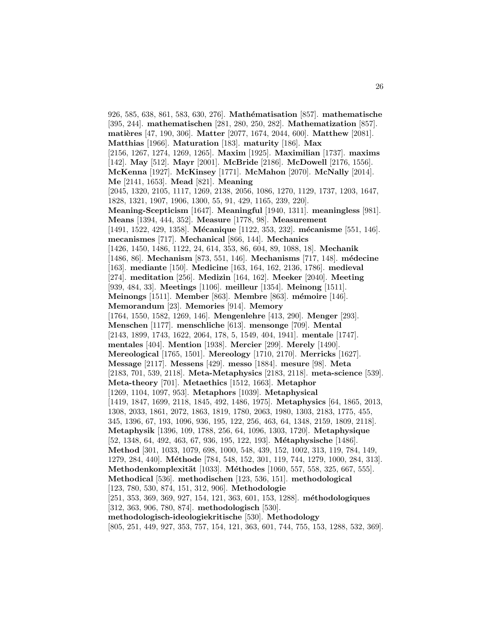926, 585, 638, 861, 583, 630, 276]. **Math´ematisation** [857]. **mathematische** [395, 244]. **mathematischen** [281, 280, 250, 282]. **Mathematization** [857]. **matières** [47, 190, 306]. **Matter** [2077, 1674, 2044, 600]. **Matthew** [2081]. **Matthias** [1966]. **Maturation** [183]. **maturity** [186]. **Max** [2156, 1267, 1274, 1269, 1265]. **Maxim** [1925]. **Maximilian** [1737]. **maxims** [142]. **May** [512]. **Mayr** [2001]. **McBride** [2186]. **McDowell** [2176, 1556]. **McKenna** [1927]. **McKinsey** [1771]. **McMahon** [2070]. **McNally** [2014]. **Me** [2141, 1653]. **Mead** [821]. **Meaning** [2045, 1320, 2105, 1117, 1269, 2138, 2056, 1086, 1270, 1129, 1737, 1203, 1647, 1828, 1321, 1907, 1906, 1300, 55, 91, 429, 1165, 239, 220]. **Meaning-Scepticism** [1647]. **Meaningful** [1940, 1311]. **meaningless** [981]. **Means** [1394, 444, 352]. **Measure** [1778, 98]. **Measurement** [1491, 1522, 429, 1358]. **Mécanique** [1122, 353, 232]. **mécanisme** [551, 146]. **mecanismes** [717]. **Mechanical** [866, 144]. **Mechanics** [1426, 1450, 1486, 1122, 24, 614, 353, 86, 604, 89, 1088, 18]. **Mechanik** [1486, 86]. **Mechanism** [873, 551, 146]. **Mechanisms** [717, 148]. **m´edecine** [163]. **mediante** [150]. **Medicine** [163, 164, 162, 2136, 1786]. **medieval** [274]. **meditation** [256]. **Medizin** [164, 162]. **Meeker** [2040]. **Meeting** [939, 484, 33]. **Meetings** [1106]. **meilleur** [1354]. **Meinong** [1511]. **Meinongs** [1511]. **Member** [863]. **Membre** [863]. **m´emoire** [146]. **Memorandum** [23]. **Memories** [914]. **Memory** [1764, 1550, 1582, 1269, 146]. **Mengenlehre** [413, 290]. **Menger** [293]. **Menschen** [1177]. **menschliche** [613]. **mensonge** [709]. **Mental** [2143, 1899, 1743, 1622, 2064, 178, 5, 1549, 404, 1941]. **mentale** [1747]. **mentales** [404]. **Mention** [1938]. **Mercier** [299]. **Merely** [1490]. **Mereological** [1765, 1501]. **Mereology** [1710, 2170]. **Merricks** [1627]. **Message** [2117]. **Messens** [429]. **messo** [1884]. **mesure** [98]. **Meta** [2183, 701, 539, 2118]. **Meta-Metaphysics** [2183, 2118]. **meta-science** [539]. **Meta-theory** [701]. **Metaethics** [1512, 1663]. **Metaphor** [1269, 1104, 1097, 953]. **Metaphors** [1039]. **Metaphysical** [1419, 1847, 1699, 2118, 1845, 492, 1486, 1975]. **Metaphysics** [64, 1865, 2013, 1308, 2033, 1861, 2072, 1863, 1819, 1780, 2063, 1980, 1303, 2183, 1775, 455, 345, 1396, 67, 193, 1096, 936, 195, 122, 256, 463, 64, 1348, 2159, 1809, 2118]. **Metaphysik** [1396, 109, 1788, 256, 64, 1096, 1303, 1720]. **Metaphysique** [52, 1348, 64, 492, 463, 67, 936, 195, 122, 193]. **Métaphysische** [1486]. **Method** [301, 1033, 1079, 698, 1000, 548, 439, 152, 1002, 313, 119, 784, 149, 1279, 284, 440]. **M´ethode** [784, 548, 152, 301, 119, 744, 1279, 1000, 284, 313]. **Methodenkomplexität** [1033]. **Méthodes** [1060, 557, 558, 325, 667, 555]. **Methodical** [536]. **methodischen** [123, 536, 151]. **methodological** [123, 780, 530, 874, 151, 312, 906]. **Methodologie** [251, 353, 369, 369, 927, 154, 121, 363, 601, 153, 1288]. **méthodologiques** [312, 363, 906, 780, 874]. **methodologisch** [530]. **methodologisch-ideologiekritische** [530]. **Methodology** [805, 251, 449, 927, 353, 757, 154, 121, 363, 601, 744, 755, 153, 1288, 532, 369].

26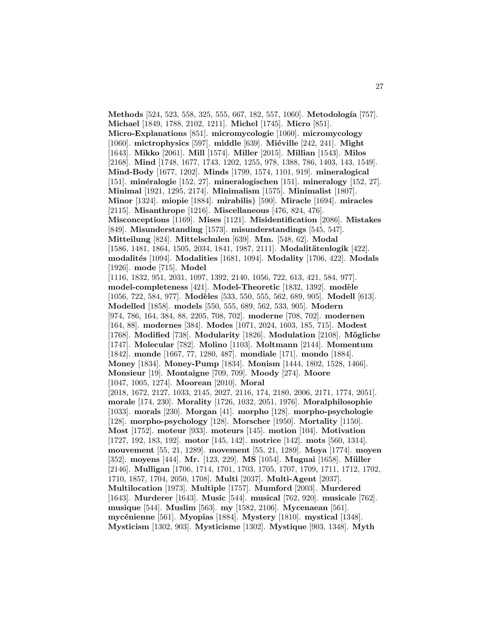**Methods** [524, 523, 558, 325, 555, 667, 182, 557, 1060]. **Metodología** [757]. **Michael** [1849, 1788, 2102, 1211]. **Michel** [1745]. **Micro** [851]. **Micro-Explanations** [851]. **micromycologie** [1060]. **micromycology** [1060]. **mictrophysics** [597]. **middle** [639]. **Miéville** [242, 241]. **Might** [1643]. **Mikko** [2061]. **Mill** [1574]. **Miller** [2015]. **Millian** [1543]. **Milos** [2168]. **Mind** [1748, 1677, 1743, 1202, 1255, 978, 1388, 786, 1403, 143, 1549]. **Mind-Body** [1677, 1202]. **Minds** [1799, 1574, 1101, 919]. **mineralogical** [151]. **min´eralogie** [152, 27]. **mineralogischen** [151]. **mineralogy** [152, 27]. **Minimal** [1921, 1295, 2174]. **Minimalism** [1575]. **Minimalist** [1807]. **Minor** [1324]. **miopie** [1884]. **mirabilis**} [590]. **Miracle** [1694]. **miracles** [2115]. **Misanthrope** [1216]. **Miscellaneous** [476, 824, 476]. **Misconceptions** [1169]. **Mises** [1121]. **Misidentification** [2086]. **Mistakes** [849]. **Misunderstanding** [1573]. **misunderstandings** [545, 547]. **Mitteilung** [824]. **Mittelschulen** [639]. **Mm.** [548, 62]. **Modal** [1586, 1481, 1864, 1505, 2034, 1841, 1987, 2111]. **Modalitätenlogik** [422]. **modalit´es** [1094]. **Modalities** [1681, 1094]. **Modality** [1706, 422]. **Modals** [1926]. **mode** [715]. **Model** [1116, 1832, 951, 2031, 1097, 1392, 2140, 1056, 722, 613, 421, 584, 977]. **model-completeness** [421]. **Model-Theoretic** [1832, 1392]. **mod`ele** [1056, 722, 584, 977]. **Modèles** [533, 550, 555, 562, 689, 905]. **Modell** [613]. **Modelled** [1858]. **models** [550, 555, 689, 562, 533, 905]. **Modern** [974, 786, 164, 384, 88, 2205, 708, 702]. **moderne** [708, 702]. **modernen** [164, 88]. **modernes** [384]. **Modes** [1071, 2024, 1603, 185, 715]. **Modest** [1768]. **Modified** [738]. **Modularity** [1826]. **Modulation** [2108]. **M¨ogliche** [1747]. **Molecular** [782]. **Molino** [1103]. **Moltmann** [2144]. **Momentum** [1842]. **monde** [1667, 77, 1280, 487]. **mondiale** [171]. **mondo** [1884]. **Money** [1834]. **Money-Pump** [1834]. **Monism** [1444, 1802, 1528, 1466]. **Monsieur** [19]. **Montaigne** [709, 709]. **Moody** [274]. **Moore** [1047, 1005, 1274]. **Moorean** [2010]. **Moral** [2018, 1672, 2127, 1033, 2145, 2027, 2116, 174, 2180, 2006, 2171, 1774, 2051]. **morale** [174, 230]. **Morality** [1726, 1032, 2051, 1976]. **Moralphilosophie** [1033]. **morals** [230]. **Morgan** [41]. **morpho** [128]. **morpho-psychologie** [128]. **morpho-psychology** [128]. **Morscher** [1950]. **Mortality** [1150]. **Most** [1752]. **moteur** [933]. **moteurs** [145]. **motion** [104]. **Motivation** [1727, 192, 183, 192]. **motor** [145, 142]. **motrice** [142]. **mots** [560, 1314]. **mouvement** [55, 21, 1289]. **movement** [55, 21, 1289]. **Moya** [1774]. **moyen** [352]. **moyens** [444]. **Mr.** [123, 229]. **MS** [1054]. **Mugnai** [1658]. **M¨uller** [2146]. **Mulligan** [1706, 1714, 1701, 1703, 1705, 1707, 1709, 1711, 1712, 1702, 1710, 1857, 1704, 2050, 1708]. **Multi** [2037]. **Multi-Agent** [2037]. **Multilocation** [1973]. **Multiple** [1757]. **Mumford** [2003]. **Murdered** [1643]. **Murderer** [1643]. **Music** [544]. **musical** [762, 920]. **musicale** [762]. **musique** [544]. **Muslim** [563]. **my** [1582, 2106]. **Mycenaean** [561]. **myc´enienne** [561]. **Myopias** [1884]. **Mystery** [1810]. **mystical** [1348]. **Mysticism** [1302, 903]. **Mysticisme** [1302]. **Mystique** [903, 1348]. **Myth**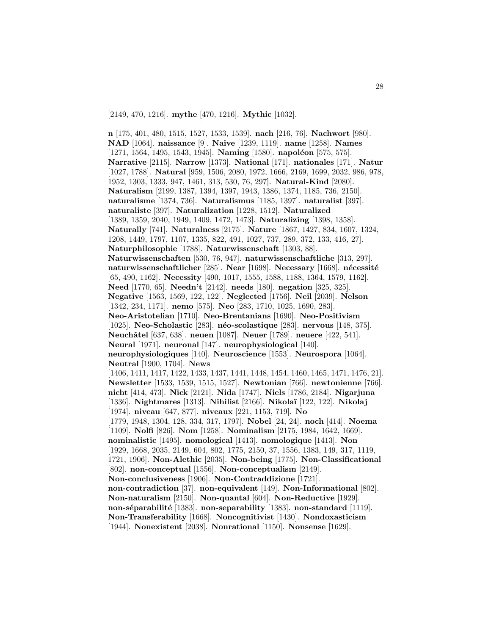[2149, 470, 1216]. **mythe** [470, 1216]. **Mythic** [1032].

**n** [175, 401, 480, 1515, 1527, 1533, 1539]. **nach** [216, 76]. **Nachwort** [980]. **NAD** [1064]. **naissance** [9]. **Naive** [1239, 1119]. **name** [1258]. **Names** [1271, 1564, 1495, 1543, 1945]. **Naming** [1580]. **napoléon** [575, 575]. **Narrative** [2115]. **Narrow** [1373]. **National** [171]. **nationales** [171]. **Natur** [1027, 1788]. **Natural** [959, 1506, 2080, 1972, 1666, 2169, 1699, 2032, 986, 978, 1952, 1303, 1333, 947, 1461, 313, 530, 76, 297]. **Natural-Kind** [2080]. **Naturalism** [2199, 1387, 1394, 1397, 1943, 1386, 1374, 1185, 736, 2150]. **naturalisme** [1374, 736]. **Naturalismus** [1185, 1397]. **naturalist** [397]. **naturaliste** [397]. **Naturalization** [1228, 1512]. **Naturalized** [1389, 1359, 2040, 1949, 1409, 1472, 1473]. **Naturalizing** [1398, 1358]. **Naturally** [741]. **Naturalness** [2175]. **Nature** [1867, 1427, 834, 1607, 1324, 1208, 1449, 1797, 1107, 1335, 822, 491, 1027, 737, 289, 372, 133, 416, 27]. **Naturphilosophie** [1788]. **Naturwissenschaft** [1303, 88]. **Naturwissenschaften** [530, 76, 947]. **naturwissenschaftliche** [313, 297]. **naturwissenschaftlicher** [285]. **Near** [1698]. **Necessary** [1668]. **nécessité** [65, 490, 1162]. **Necessity** [490, 1017, 1555, 1588, 1188, 1364, 1579, 1162]. **Need** [1770, 65]. **Needn't** [2142]. **needs** [180]. **negation** [325, 325]. **Negative** [1563, 1569, 122, 122]. **Neglected** [1756]. **Neil** [2039]. **Nelson** [1342, 234, 1171]. **nemo** [575]. **Neo** [283, 1710, 1025, 1690, 283]. **Neo-Aristotelian** [1710]. **Neo-Brentanians** [1690]. **Neo-Positivism** [1025]. **Neo-Scholastic** [283]. **n´eo-scolastique** [283]. **nervous** [148, 375]. **Neuchˆatel** [637, 638]. **neuen** [1087]. **Neuer** [1789]. **neuere** [422, 541]. **Neural** [1971]. **neuronal** [147]. **neurophysiological** [140]. **neurophysiologiques** [140]. **Neuroscience** [1553]. **Neurospora** [1064]. **Neutral** [1900, 1704]. **News** [1406, 1411, 1417, 1422, 1433, 1437, 1441, 1448, 1454, 1460, 1465, 1471, 1476, 21]. **Newsletter** [1533, 1539, 1515, 1527]. **Newtonian** [766]. **newtonienne** [766]. **nicht** [414, 473]. **Nick** [2121]. **Nida** [1747]. **Niels** [1786, 2184]. **Nigarjuna** [1336]. **Nightmares** [1313]. **Nihilist** [2166]. **Nikola¨ı** [122, 122]. **Nikolaj** [1974]. **niveau** [647, 877]. **niveaux** [221, 1153, 719]. **No** [1779, 1948, 1304, 128, 334, 317, 1797]. **Nobel** [24, 24]. **noch** [414]. **Noema** [1109]. **Nolfi** [826]. **Nom** [1258]. **Nominalism** [2175, 1984, 1642, 1669]. **nominalistic** [1495]. **nomological** [1413]. **nomologique** [1413]. **Non** [1929, 1668, 2035, 2149, 604, 802, 1775, 2150, 37, 1556, 1383, 149, 317, 1119, 1721, 1906]. **Non-Alethic** [2035]. **Non-being** [1775]. **Non-Classificational** [802]. **non-conceptual** [1556]. **Non-conceptualism** [2149]. **Non-conclusiveness** [1906]. **Non-Contraddizione** [1721]. **non-contradiction** [37]. **non-equivalent** [149]. **Non-Informational** [802]. **Non-naturalism** [2150]. **Non-quantal** [604]. **Non-Reductive** [1929]. **non-s´eparabilit´e** [1383]. **non-separability** [1383]. **non-standard** [1119]. **Non-Transferability** [1668]. **Noncognitivist** [1430]. **Nondoxasticism** [1944]. **Nonexistent** [2038]. **Nonrational** [1150]. **Nonsense** [1629].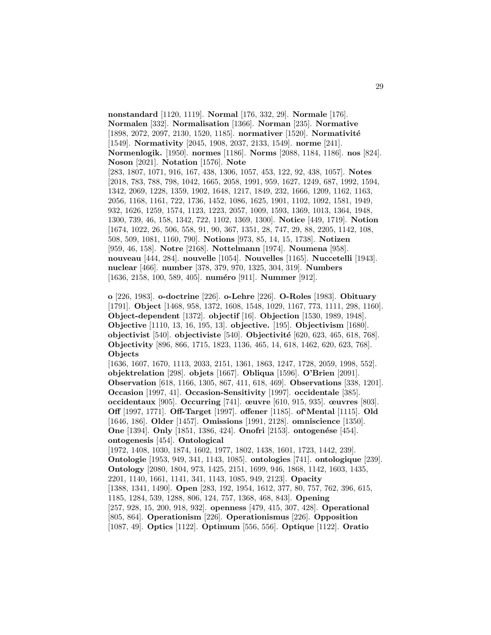**nonstandard** [1120, 1119]. **Normal** [176, 332, 29]. **Normale** [176]. **Normalen** [332]. **Normalisation** [1366]. **Norman** [235]. **Normative** [1898, 2072, 2097, 2130, 1520, 1185]. **normativer** [1520]. **Normativité** [1549]. **Normativity** [2045, 1908, 2037, 2133, 1549]. **norme** [241]. **Normenlogik.** [1950]. **normes** [1186]. **Norms** [2088, 1184, 1186]. **nos** [824]. **Noson** [2021]. **Notation** [1576]. **Note** [283, 1807, 1071, 916, 167, 438, 1306, 1057, 453, 122, 92, 438, 1057]. **Notes** [2018, 783, 788, 798, 1042, 1665, 2058, 1991, 959, 1627, 1249, 687, 1992, 1594, 1342, 2069, 1228, 1359, 1902, 1648, 1217, 1849, 232, 1666, 1209, 1162, 1163, 2056, 1168, 1161, 722, 1736, 1452, 1086, 1625, 1901, 1102, 1092, 1581, 1949, 932, 1626, 1259, 1574, 1123, 1223, 2057, 1009, 1593, 1369, 1013, 1364, 1948, 1300, 739, 46, 158, 1342, 722, 1102, 1369, 1300]. **Notice** [449, 1719]. **Notion** [1674, 1022, 26, 506, 558, 91, 90, 367, 1351, 28, 747, 29, 88, 2205, 1142, 108, 508, 509, 1081, 1160, 790]. **Notions** [973, 85, 14, 15, 1738]. **Notizen** [959, 46, 158]. **Notre** [2168]. **Nottelmann** [1974]. **Noumena** [958]. **nouveau** [444, 284]. **nouvelle** [1054]. **Nouvelles** [1165]. **Nuccetelli** [1943]. **nuclear** [466]. **number** [378, 379, 970, 1325, 304, 319]. **Numbers** [1636, 2158, 100, 589, 405]. **numéro** [911]. **Nummer** [912].

**o** [226, 1983]. **o-doctrine** [226]. **o-Lehre** [226]. **O-Roles** [1983]. **Obituary** [1791]. **Object** [1468, 958, 1372, 1608, 1548, 1029, 1167, 773, 1111, 298, 1160]. **Object-dependent** [1372]. **objectif** [16]. **Objection** [1530, 1989, 1948]. **Objective** [1110, 13, 16, 195, 13]. **objective.** [195]. **Objectivism** [1680]. **objectivist** [540]. **objectiviste** [540]. **Objectivit´e** [620, 623, 465, 618, 768]. **Objectivity** [896, 866, 1715, 1823, 1136, 465, 14, 618, 1462, 620, 623, 768]. **Objects**

[1636, 1607, 1670, 1113, 2033, 2151, 1361, 1863, 1247, 1728, 2059, 1998, 552]. **objektrelation** [298]. **objets** [1667]. **Obliqua** [1596]. **O'Brien** [2091]. **Observation** [618, 1166, 1305, 867, 411, 618, 469]. **Observations** [338, 1201]. **Occasion** [1997, 41]. **Occasion-Sensitivity** [1997]. **occidentale** [385]. **occidentaux** [905]. **Occurring** [741]. **œuvre** [610, 915, 935]. **œuvres** [803]. **Off** [1997, 1771]. **Off-Target** [1997]. **offener** [1185]. **of'Mental** [1115]. **Old** [1646, 186]. **Older** [1457]. **Omissions** [1991, 2128]. **omniscience** [1350]. **One** [1394]. **Only** [1851, 1386, 424]. **Onofri** [2153]. **ontogenése** [454]. **ontogenesis** [454]. **Ontological**

[1972, 1408, 1030, 1874, 1602, 1977, 1802, 1438, 1601, 1723, 1442, 239]. **Ontologie** [1953, 949, 341, 1143, 1085]. **ontologies** [741]. **ontologique** [239]. **Ontology** [2080, 1804, 973, 1425, 2151, 1699, 946, 1868, 1142, 1603, 1435, 2201, 1140, 1661, 1141, 341, 1143, 1085, 949, 2123]. **Opacity** [1388, 1341, 1490]. **Open** [283, 192, 1954, 1612, 377, 80, 757, 762, 396, 615, 1185, 1284, 539, 1288, 806, 124, 757, 1368, 468, 843]. **Opening** [257, 928, 15, 200, 918, 932]. **openness** [479, 415, 307, 428]. **Operational** [805, 864]. **Operationism** [226]. **Operationismus** [226]. **Opposition** [1087, 49]. **Optics** [1122]. **Optimum** [556, 556]. **Optique** [1122]. **Oratio**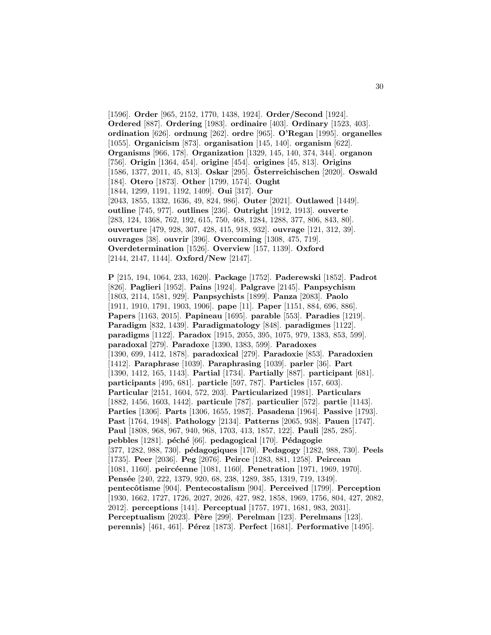[1596]. **Order** [965, 2152, 1770, 1438, 1924]. **Order/Second** [1924]. **Ordered** [887]. **Ordering** [1983]. **ordinaire** [403]. **Ordinary** [1523, 403]. **ordination** [626]. **ordnung** [262]. **ordre** [965]. **O'Regan** [1995]. **organelles** [1055]. **Organicism** [873]. **organisation** [145, 140]. **organism** [622]. **Organisms** [966, 178]. **Organization** [1329, 145, 140, 374, 344]. **organon** [756]. **Origin** [1364, 454]. **origine** [454]. **origines** [45, 813]. **Origins** [1586, 1377, 2011, 45, 813]. **Oskar** [295]. **Osterreichischen ¨** [2020]. **Oswald** [184]. **Otero** [1873]. **Other** [1799, 1574]. **Ought** [1844, 1299, 1191, 1192, 1409]. **Oui** [317]. **Our** [2043, 1855, 1332, 1636, 49, 824, 986]. **Outer** [2021]. **Outlawed** [1449]. **outline** [745, 977]. **outlines** [236]. **Outright** [1912, 1913]. **ouverte** [283, 124, 1368, 762, 192, 615, 750, 468, 1284, 1288, 377, 806, 843, 80]. **ouverture** [479, 928, 307, 428, 415, 918, 932]. **ouvrage** [121, 312, 39]. **ouvrages** [38]. **ouvrir** [396]. **Overcoming** [1308, 475, 719]. **Overdetermination** [1526]. **Overview** [157, 1139]. **Oxford** [2144, 2147, 1144]. **Oxford/New** [2147].

**P** [215, 194, 1064, 233, 1620]. **Package** [1752]. **Paderewski** [1852]. **Padrot** [826]. **Paglieri** [1952]. **Pains** [1924]. **Palgrave** [2145]. **Panpsychism** [1803, 2114, 1581, 929]. **Panpsychists** [1899]. **Panza** [2083]. **Paolo** [1911, 1910, 1791, 1903, 1906]. **pape** [11]. **Paper** [1151, 884, 696, 886]. **Papers** [1163, 2015]. **Papineau** [1695]. **parable** [553]. **Paradies** [1219]. **Paradigm** [832, 1439]. **Paradigmatology** [848]. **paradigmes** [1122]. **paradigms** [1122]. **Paradox** [1915, 2055, 395, 1075, 979, 1383, 853, 599]. **paradoxal** [279]. **Paradoxe** [1390, 1383, 599]. **Paradoxes** [1390, 699, 1412, 1878]. **paradoxical** [279]. **Paradoxie** [853]. **Paradoxien** [1412]. **Paraphrase** [1039]. **Paraphrasing** [1039]. **parler** [36]. **Part** [1390, 1412, 165, 1143]. **Partial** [1734]. **Partially** [887]. **participant** [681]. **participants** [495, 681]. **particle** [597, 787]. **Particles** [157, 603]. **Particular** [2151, 1604, 572, 203]. **Particularized** [1981]. **Particulars** [1882, 1456, 1603, 1442]. **particule** [787]. **particulier** [572]. **partie** [1143]. **Parties** [1306]. **Parts** [1306, 1655, 1987]. **Pasadena** [1964]. **Passive** [1793]. **Past** [1764, 1948]. **Pathology** [2134]. **Patterns** [2065, 938]. **Pauen** [1747]. **Paul** [1808, 968, 967, 940, 968, 1703, 413, 1857, 122]. **Pauli** [285, 285]. **pebbles** [1281]. **p´ech´e** [66]. **pedagogical** [170]. **P´edagogie** [377, 1282, 988, 730]. **p´edagogiques** [170]. **Pedagogy** [1282, 988, 730]. **Peels** [1735]. **Peer** [2036]. **Peg** [2076]. **Peirce** [1283, 881, 1258]. **Peircean** [1081, 1160]. **peircéenne** [1081, 1160]. **Penetration** [1971, 1969, 1970]. **Pens´ee** [240, 222, 1379, 920, 68, 238, 1289, 385, 1319, 719, 1349]. **pentecˆotisme** [904]. **Pentecostalism** [904]. **Perceived** [1799]. **Perception** [1930, 1662, 1727, 1726, 2027, 2026, 427, 982, 1858, 1969, 1756, 804, 427, 2082, 2012]. **perceptions** [141]. **Perceptual** [1757, 1971, 1681, 983, 2031]. **Perceptualism** [2023]. **P`ere** [299]. **Perelman** [123]. **Perelmans** [123]. **perennis** [461, 461]. **Pérez** [1873]. **Perfect** [1681]. **Performative** [1495].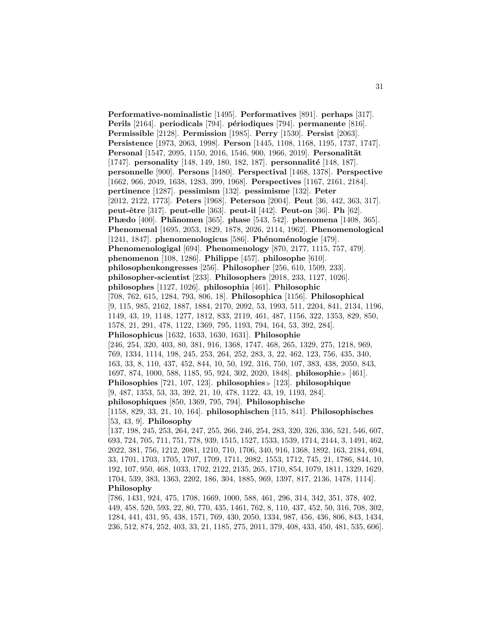**Performative-nominalistic** [1495]. **Performatives** [891]. **perhaps** [317]. **Perils** [2164]. **periodicals** [794]. **périodiques** [794]. **permanente** [816]. **Permissible** [2128]. **Permission** [1985]. **Perry** [1530]. **Persist** [2063]. **Persistence** [1973, 2063, 1998]. **Person** [1445, 1108, 1168, 1195, 1737, 1747]. **Personal** [1547, 2095, 1150, 2016, 1546, 900, 1966, 2019]. **Personalität** [1747]. **personality** [148, 149, 180, 182, 187]. **personnalité** [148, 187]. **personnelle** [900]. **Persons** [1480]. **Perspectival** [1468, 1378]. **Perspective** [1662, 966, 2049, 1638, 1283, 399, 1968]. **Perspectives** [1167, 2161, 2184]. **pertinence** [1287]. **pessimism** [132]. **pessimisme** [132]. **Peter** [2012, 2122, 1773]. **Peters** [1968]. **Peterson** [2004]. **Peut** [36, 442, 363, 317]. **peut-ˆetre** [317]. **peut-elle** [363]. **peut-il** [442]. **Peut-on** [36]. **Ph** [62]. **Phædo** [400]. **Phänomen** [365]. **phase** [543, 542]. **phenomena** [1408, 365]. **Phenomenal** [1695, 2053, 1829, 1878, 2026, 2114, 1962]. **Phenomenological** [1241, 1847]. **phenomenologicus** [586]. **Ph´enom´enologie** [479]. **Phenomenologigal** [694]. **Phenomenology** [870, 2177, 1115, 757, 479]. **phenomenon** [108, 1286]. **Philippe** [457]. **philosophe** [610]. **philosophenkongresses** [256]. **Philosopher** [256, 610, 1509, 233]. **philosopher-scientist** [233]. **Philosophers** [2018, 233, 1127, 1026]. **philosophes** [1127, 1026]. **philosophia** [461]. **Philosophic** [708, 762, 615, 1284, 793, 806, 18]. **Philosophica** [1156]. **Philosophical** [9, 115, 985, 2162, 1887, 1884, 2170, 2092, 53, 1993, 511, 2204, 841, 2134, 1196, 1149, 43, 19, 1148, 1277, 1812, 833, 2119, 461, 487, 1156, 322, 1353, 829, 850, 1578, 21, 291, 478, 1122, 1369, 795, 1193, 794, 164, 53, 392, 284]. **Philosophicus** [1632, 1633, 1630, 1631]. **Philosophie** [246, 254, 320, 403, 80, 381, 916, 1368, 1747, 468, 265, 1329, 275, 1218, 969, 769, 1334, 1114, 198, 245, 253, 264, 252, 283, 3, 22, 462, 123, 756, 435, 340, 163, 33, 8, 110, 437, 452, 844, 10, 50, 192, 316, 750, 107, 383, 438, 2050, 843, 1697, 874, 1000, 588, 1185, 95, 924, 302, 2020, 1848]. **philosophie** [461]. **Philosophies** [721, 107, 123]. **philosophies** [123]. **philosophique** [9, 487, 1353, 53, 33, 392, 21, 10, 478, 1122, 43, 19, 1193, 284]. **philosophiques** [850, 1369, 795, 794]. **Philosophische** [1158, 829, 33, 21, 10, 164]. **philosophischen** [115, 841]. **Philosophisches** [53, 43, 9]. **Philosophy** [137, 198, 245, 253, 264, 247, 255, 266, 246, 254, 283, 320, 326, 336, 521, 546, 607, 693, 724, 705, 711, 751, 778, 939, 1515, 1527, 1533, 1539, 1714, 2144, 3, 1491, 462, 2022, 381, 756, 1212, 2081, 1210, 710, 1706, 340, 916, 1368, 1892, 163, 2184, 694, 33, 1701, 1703, 1705, 1707, 1709, 1711, 2082, 1553, 1712, 745, 21, 1786, 844, 10, 192, 107, 950, 468, 1033, 1702, 2122, 2135, 265, 1710, 854, 1079, 1811, 1329, 1629, 1704, 539, 383, 1363, 2202, 186, 304, 1885, 969, 1397, 817, 2136, 1478, 1114]. **Philosophy** [786, 1431, 924, 475, 1708, 1669, 1000, 588, 461, 296, 314, 342, 351, 378, 402,

449, 458, 520, 593, 22, 80, 770, 435, 1461, 762, 8, 110, 437, 452, 50, 316, 708, 302, 1284, 441, 431, 95, 438, 1571, 769, 430, 2050, 1334, 987, 456, 436, 806, 843, 1434, 236, 512, 874, 252, 403, 33, 21, 1185, 275, 2011, 379, 408, 433, 450, 481, 535, 606].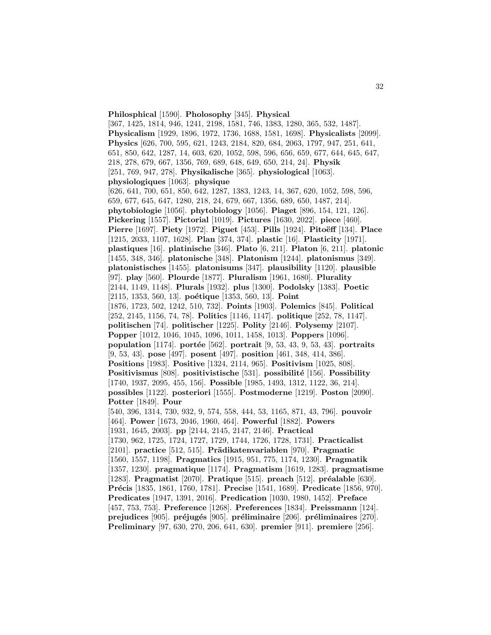**Philosphical** [1590]. **Pholosophy** [345]. **Physical** [367, 1425, 1814, 946, 1241, 2198, 1581, 746, 1383, 1280, 365, 532, 1487]. **Physicalism** [1929, 1896, 1972, 1736, 1688, 1581, 1698]. **Physicalists** [2099]. **Physics** [626, 700, 595, 621, 1243, 2184, 820, 684, 2063, 1797, 947, 251, 641, 651, 850, 642, 1287, 14, 603, 620, 1052, 598, 596, 656, 659, 677, 644, 645, 647, 218, 278, 679, 667, 1356, 769, 689, 648, 649, 650, 214, 24]. **Physik** [251, 769, 947, 278]. **Physikalische** [365]. **physiological** [1063]. **physiologiques** [1063]. **physique** [626, 641, 700, 651, 850, 642, 1287, 1383, 1243, 14, 367, 620, 1052, 598, 596, 659, 677, 645, 647, 1280, 218, 24, 679, 667, 1356, 689, 650, 1487, 214]. **phytobiologie** [1056]. **phytobiology** [1056]. **Piaget** [896, 154, 121, 126]. **Pickering** [1557]. **Pictorial** [1019]. **Pictures** [1630, 2022]. **piece** [460]. **Pierre** [1697]. **Piety** [1972]. **Piguet** [453]. **Pills** [1924]. **Pitoëff** [134]. **Place** [1215, 2033, 1107, 1628]. **Plan** [374, 374]. **plastic** [16]. **Plasticity** [1971]. **plastiques** [16]. **platinische** [346]. **Plato** [6, 211]. **Platon** [6, 211]. **platonic** [1455, 348, 346]. **platonische** [348]. **Platonism** [1244]. **platonismus** [349]. **platonistisches** [1455]. **platonisums** [347]. **plausibility** [1120]. **plausible** [97]. **play** [560]. **Plourde** [1877]. **Pluralism** [1961, 1680]. **Plurality** [2144, 1149, 1148]. **Plurals** [1932]. **plus** [1300]. **Podolsky** [1383]. **Poetic** [2115, 1353, 560, 13]. **poétique** [1353, 560, 13]. **Point** [1876, 1723, 502, 1242, 510, 732]. **Points** [1903]. **Polemics** [845]. **Political** [252, 2145, 1156, 74, 78]. **Politics** [1146, 1147]. **politique** [252, 78, 1147]. **politischen** [74]. **politischer** [1225]. **Polity** [2146]. **Polysemy** [2107]. **Popper** [1012, 1046, 1045, 1096, 1011, 1458, 1013]. **Poppers** [1096]. **population** [1174]. **portée** [562]. **portrait** [9, 53, 43, 9, 53, 43]. **portraits** [9, 53, 43]. **pose** [497]. **posent** [497]. **position** [461, 348, 414, 386]. **Positions** [1983]. **Positive** [1324, 2114, 965]. **Positivism** [1025, 808]. **Positivismus** [808]. **positivistische** [531]. **possibilité** [156]. **Possibility** [1740, 1937, 2095, 455, 156]. **Possible** [1985, 1493, 1312, 1122, 36, 214]. **possibles** [1122]. **posteriori** [1555]. **Postmoderne** [1219]. **Poston** [2090]. **Potter** [1849]. **Pour** [540, 396, 1314, 730, 932, 9, 574, 558, 444, 53, 1165, 871, 43, 796]. **pouvoir** [464]. **Power** [1673, 2046, 1960, 464]. **Powerful** [1882]. **Powers** [1931, 1645, 2003]. **pp** [2144, 2145, 2147, 2146]. **Practical** [1730, 962, 1725, 1724, 1727, 1729, 1744, 1726, 1728, 1731]. **Practicalist** [2101]. **practice** [512, 515]. **Pr¨adikatenvariablen** [970]. **Pragmatic** [1560, 1557, 1198]. **Pragmatics** [1915, 951, 775, 1174, 1230]. **Pragmatik** [1357, 1230]. **pragmatique** [1174]. **Pragmatism** [1619, 1283]. **pragmatisme** [1283]. **Pragmatist** [2070]. **Pratique** [515]. **preach** [512]. **préalable** [630]. **Pr´ecis** [1835, 1861, 1760, 1781]. **Precise** [1541, 1689]. **Predicate** [1856, 970]. **Predicates** [1947, 1391, 2016]. **Predication** [1030, 1980, 1452]. **Preface** [457, 753, 753]. **Preference** [1268]. **Preferences** [1834]. **Preissmann** [124]. **prejudices** [905]. **préjugés** [905]. **préliminaire** [206]. **préliminaires** [270]. **Preliminary** [97, 630, 270, 206, 641, 630]. **premier** [911]. **premiere** [256].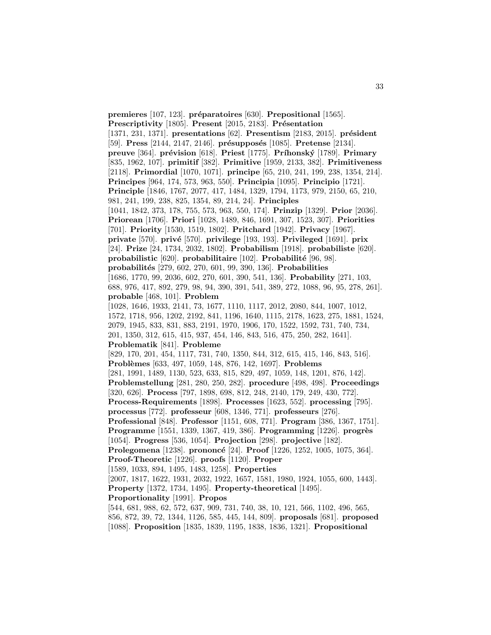**premieres** [107, 123]. **préparatoires** [630]. **Prepositional** [1565]. **Prescriptivity** [1805]. **Present** [2015, 2183]. **Présentation** [1371, 231, 1371]. **presentations** [62]. **Presentism** [2183, 2015]. **pr´esident** [59]. **Press** [2144, 2147, 2146]. **présupposés** [1085]. **Pretense** [2134]. **preuve** [364]. **pr´evision** [618]. **Priest** [1775]. **Pr´ıhonsk´y** [1789]. **Primary** [835, 1962, 107]. **primitif** [382]. **Primitive** [1959, 2133, 382]. **Primitiveness** [2118]. **Primordial** [1070, 1071]. **principe** [65, 210, 241, 199, 238, 1354, 214]. **Principes** [964, 174, 573, 963, 550]. **Principia** [1095]. **Principio** [1721]. **Principle** [1846, 1767, 2077, 417, 1484, 1329, 1794, 1173, 979, 2150, 65, 210, 981, 241, 199, 238, 825, 1354, 89, 214, 24]. **Principles** [1041, 1842, 373, 178, 755, 573, 963, 550, 174]. **Prinzip** [1329]. **Prior** [2036]. **Priorean** [1706]. **Priori** [1028, 1489, 846, 1691, 307, 1523, 307]. **Priorities** [701]. **Priority** [1530, 1519, 1802]. **Pritchard** [1942]. **Privacy** [1967]. **private** [570]. **priv´e** [570]. **privilege** [193, 193]. **Privileged** [1691]. **prix** [24]. **Prize** [24, 1734, 2032, 1802]. **Probabilism** [1918]. **probabiliste** [620]. **probabilistic** [620]. **probabilitaire** [102]. **Probabilité** [96, 98]. **probabilit´es** [279, 602, 270, 601, 99, 390, 136]. **Probabilities** [1686, 1770, 99, 2036, 602, 270, 601, 390, 541, 136]. **Probability** [271, 103, 688, 976, 417, 892, 279, 98, 94, 390, 391, 541, 389, 272, 1088, 96, 95, 278, 261]. **probable** [468, 101]. **Problem** [1028, 1646, 1933, 2141, 73, 1677, 1110, 1117, 2012, 2080, 844, 1007, 1012, 1572, 1718, 956, 1202, 2192, 841, 1196, 1640, 1115, 2178, 1623, 275, 1881, 1524, 2079, 1945, 833, 831, 883, 2191, 1970, 1906, 170, 1522, 1592, 731, 740, 734, 201, 1350, 312, 615, 415, 937, 454, 146, 843, 516, 475, 250, 282, 1641]. **Problematik** [841]. **Probleme** [829, 170, 201, 454, 1117, 731, 740, 1350, 844, 312, 615, 415, 146, 843, 516]. **Probl`emes** [633, 497, 1059, 148, 876, 142, 1697]. **Problems** [281, 1991, 1489, 1130, 523, 633, 815, 829, 497, 1059, 148, 1201, 876, 142]. **Problemstellung** [281, 280, 250, 282]. **procedure** [498, 498]. **Proceedings** [320, 626]. **Process** [797, 1898, 698, 812, 248, 2140, 179, 249, 430, 772]. **Process-Requirements** [1898]. **Processes** [1623, 552]. **processing** [795]. **processus** [772]. **professeur** [608, 1346, 771]. **professeurs** [276]. **Professional** [848]. **Professor** [1151, 608, 771]. **Program** [386, 1367, 1751]. **Programme** [1551, 1339, 1367, 419, 386]. **Programming** [1226]. **progrès** [1054]. **Progress** [536, 1054]. **Projection** [298]. **projective** [182]. **Prolegomena** [1238]. **prononcé** [24]. **Proof** [1226, 1252, 1005, 1075, 364]. **Proof-Theoretic** [1226]. **proofs** [1120]. **Proper** [1589, 1033, 894, 1495, 1483, 1258]. **Properties** [2007, 1817, 1622, 1931, 2032, 1922, 1657, 1581, 1980, 1924, 1055, 600, 1443]. **Property** [1372, 1734, 1495]. **Property-theoretical** [1495]. **Proportionality** [1991]. **Propos** [544, 681, 988, 62, 572, 637, 909, 731, 740, 38, 10, 121, 566, 1102, 496, 565, 856, 872, 39, 72, 1344, 1126, 585, 445, 144, 809]. **proposals** [681]. **proposed** [1088]. **Proposition** [1835, 1839, 1195, 1838, 1836, 1321]. **Propositional**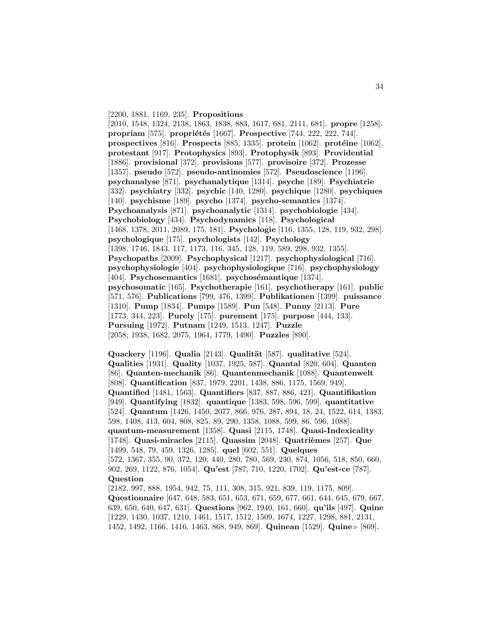[2200, 1881, 1169, 235]. **Propositions**

[2010, 1548, 1324, 2138, 1863, 1838, 883, 1617, 681, 2111, 681]. **propre** [1258]. **propriam** [575]. **propriétés** [1667]. **Prospective** [744, 222, 222, 744]. **prospectives** [816]. **Prospects** [885, 1335]. **protein** [1062]. **protéine** [1062]. **protestant** [917]. **Protophysics** [893]. **Protophysik** [893]. **Providential** [1886]. **provisional** [372]. **provisions** [577]. **provisoire** [372]. **Prozesse** [1357]. **pseudo** [572]. **pseudo-antinomies** [572]. **Pseudoscience** [1196]. **psychanalyse** [871]. **psychanalytique** [1314]. **psyche** [189]. **Psychiatrie** [332]. **psychiatry** [332]. **psychic** [140, 1280]. **psychique** [1280]. **psychiques** [140]. **psychisme** [189]. **psycho** [1374]. **psycho-semantics** [1374]. **Psychoanalysis** [871]. **psychoanalytic** [1314]. **psychobiologie** [434]. **Psychobiology** [434]. **Psychodynamics** [118]. **Psychological** [1468, 1378, 2011, 2089, 175, 181]. **Psychologie** [116, 1355, 128, 119, 932, 298]. **psychologique** [175]. **psychologists** [142]. **Psychology** [1398, 1746, 1843, 117, 1173, 116, 345, 128, 119, 589, 298, 932, 1355]. **Psychopaths** [2009]. **Psychophysical** [1217]. **psychophysiological** [716]. **psychophysiologie** [404]. **psychophysiologique** [716]. **psychophysiology** [404]. **Psychosemantics** [1681]. **psychosémantique** [1374]. **psychosomatic** [165]. **Psychotherapie** [161]. **psychotherapy** [161]. **public** [571, 576]. **Publications** [799, 476, 1399]. **Publikationen** [1399]. **puissance** [1310]. **Pump** [1834]. **Pumps** [1589]. **Pun** [548]. **Punny** [2113]. **Pure** [1773, 344, 223]. **Purely** [175]. **purement** [175]. **purpose** [444, 133]. **Pursuing** [1972]. **Putnam** [1249, 1513, 1247]. **Puzzle** [2058, 1938, 1682, 2075, 1964, 1779, 1490]. **Puzzles** [890].

**Quackery** [1196]. **Qualia** [2143]. **Qualität** [587]. **qualitative** [524]. **Qualities** [1931]. **Quality** [1037, 1925, 587]. **Quantal** [820, 604]. **Quanten** [86]. **Quanten-mechanik** [86]. **Quantenmechanik** [1088]. **Quantenwelt** [808]. **Quantification** [837, 1979, 2201, 1438, 886, 1175, 1569, 949]. **Quantified** [1481, 1563]. **Quantifiers** [837, 887, 886, 421]. **Quantifikation** [949]. **Quantifying** [1832]. **quantique** [1383, 598, 596, 599]. **quantitative** [524]. **Quantum** [1426, 1450, 2077, 866, 976, 287, 894, 18, 24, 1522, 614, 1383, 598, 1408, 413, 604, 808, 825, 89, 290, 1358, 1088, 599, 86, 596, 1088]. **quantum-measurement** [1358]. **Quasi** [2115, 1748]. **Quasi-Indexicality** [1748]. **Quasi-miracles** [2115]. **Quassim** [2048]. **Quatrièmes** [257]. **Que** [1499, 548, 79, 459, 1326, 1285]. **quel** [602, 551]. **Quelques** [572, 1367, 355, 90, 372, 120, 440, 280, 780, 569, 230, 874, 1056, 518, 850, 660, 902, 269, 1122, 876, 1054]. **Qu'est** [787, 710, 1220, 1702]. **Qu'est-ce** [787]. **Question** [2182, 997, 888, 1954, 942, 75, 111, 308, 315, 921, 839, 119, 1175, 809].

**Questionnaire** [647, 648, 583, 651, 653, 671, 659, 677, 661, 644, 645, 679, 667, 639, 650, 640, 647, 631]. **Questions** [962, 1940, 161, 660]. **qu'ils** [497]. **Quine** [1229, 1430, 1037, 1210, 1461, 1517, 1512, 1509, 1674, 1227, 1298, 881, 2131, 1452, 1492, 1166, 1416, 1463, 868, 949, 869. **Quinean** [1529]. **Quine** [869].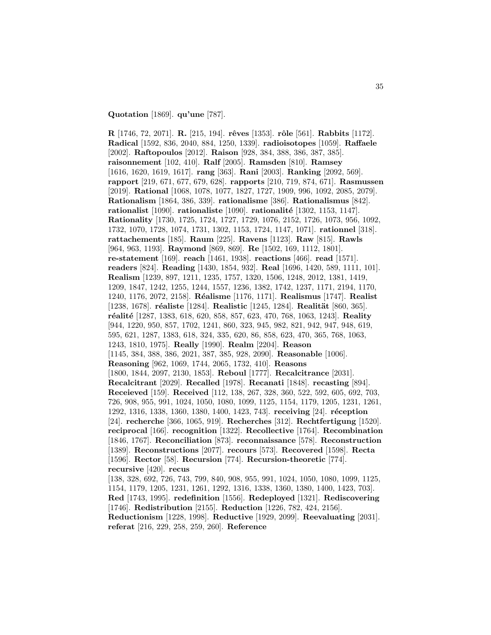### **Quotation** [1869]. **qu'une** [787].

**R** [1746, 72, 2071]. **R.** [215, 194]. **rˆeves** [1353]. **rˆole** [561]. **Rabbits** [1172]. **Radical** [1592, 836, 2040, 884, 1250, 1339]. **radioisotopes** [1059]. **Raffaele** [2002]. **Raftopoulos** [2012]. **Raison** [928, 384, 388, 386, 387, 385]. **raisonnement** [102, 410]. **Ralf** [2005]. **Ramsden** [810]. **Ramsey** [1616, 1620, 1619, 1617]. **rang** [363]. **Rani** [2003]. **Ranking** [2092, 569]. **rapport** [219, 671, 677, 679, 628]. **rapports** [210, 719, 874, 671]. **Rasmussen** [2019]. **Rational** [1068, 1078, 1077, 1827, 1727, 1909, 996, 1092, 2085, 2079]. **Rationalism** [1864, 386, 339]. **rationalisme** [386]. **Rationalismus** [842]. **rationalist** [1090]. **rationaliste** [1090]. **rationalit´e** [1302, 1153, 1147]. **Rationality** [1730, 1725, 1724, 1727, 1729, 1076, 2152, 1726, 1073, 956, 1092, 1732, 1070, 1728, 1074, 1731, 1302, 1153, 1724, 1147, 1071]. **rationnel** [318]. **rattachements** [185]. **Raum** [225]. **Ravens** [1123]. **Raw** [815]. **Rawls** [964, 963, 1193]. **Raymond** [869, 869]. **Re** [1502, 169, 1112, 1801]. **re-statement** [169]. **reach** [1461, 1938]. **reactions** [466]. **read** [1571]. **readers** [824]. **Reading** [1430, 1854, 932]. **Real** [1696, 1420, 589, 1111, 101]. **Realism** [1239, 897, 1211, 1235, 1757, 1320, 1506, 1248, 2012, 1381, 1419, 1209, 1847, 1242, 1255, 1244, 1557, 1236, 1382, 1742, 1237, 1171, 2194, 1170, 1240, 1176, 2072, 2158]. **R´ealisme** [1176, 1171]. **Realismus** [1747]. **Realist** [1238, 1678]. **réaliste** [1284]. **Realistic** [1245, 1284]. **Realität** [860, 365]. **r´ealit´e** [1287, 1383, 618, 620, 858, 857, 623, 470, 768, 1063, 1243]. **Reality** [944, 1220, 950, 857, 1702, 1241, 860, 323, 945, 982, 821, 942, 947, 948, 619, 595, 621, 1287, 1383, 618, 324, 335, 620, 86, 858, 623, 470, 365, 768, 1063, 1243, 1810, 1975]. **Really** [1990]. **Realm** [2204]. **Reason** [1145, 384, 388, 386, 2021, 387, 385, 928, 2090]. **Reasonable** [1006]. **Reasoning** [962, 1069, 1744, 2065, 1732, 410]. **Reasons** [1800, 1844, 2097, 2130, 1853]. **Reboul** [1777]. **Recalcitrance** [2031]. **Recalcitrant** [2029]. **Recalled** [1978]. **Recanati** [1848]. **recasting** [894]. **Receieved** [159]. **Received** [112, 138, 267, 328, 360, 522, 592, 605, 692, 703, 726, 908, 955, 991, 1024, 1050, 1080, 1099, 1125, 1154, 1179, 1205, 1231, 1261, 1292, 1316, 1338, 1360, 1380, 1400, 1423, 743]. **receiving** [24]. **réception** [24]. **recherche** [366, 1065, 919]. **Recherches** [312]. **Rechtfertigung** [1520]. **reciprocal** [166]. **recognition** [1322]. **Recollective** [1764]. **Recombination** [1846, 1767]. **Reconciliation** [873]. **reconnaissance** [578]. **Reconstruction** [1389]. **Reconstructions** [2077]. **recours** [573]. **Recovered** [1598]. **Recta** [1596]. **Rector** [58]. **Recursion** [774]. **Recursion-theoretic** [774]. **recursive** [420]. **recus** [138, 328, 692, 726, 743, 799, 840, 908, 955, 991, 1024, 1050, 1080, 1099, 1125, 1154, 1179, 1205, 1231, 1261, 1292, 1316, 1338, 1360, 1380, 1400, 1423, 703]. **Red** [1743, 1995]. **redefinition** [1556]. **Redeployed** [1321]. **Rediscovering** [1746]. **Redistribution** [2155]. **Reduction** [1226, 782, 424, 2156]. **Reductionism** [1228, 1998]. **Reductive** [1929, 2099]. **Reevaluating** [2031]. **referat** [216, 229, 258, 259, 260]. **Reference**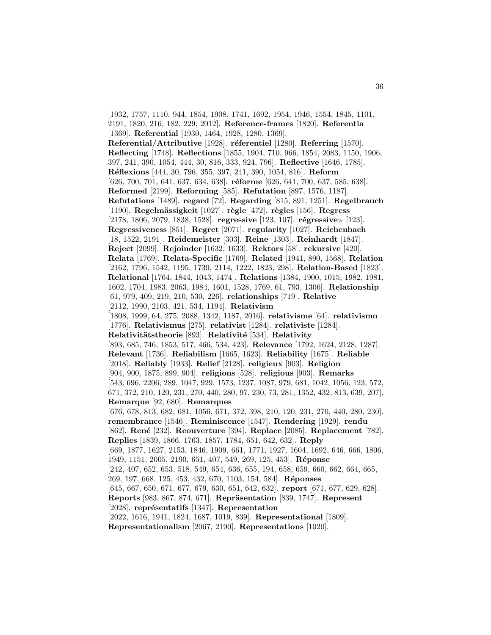[1932, 1757, 1110, 944, 1854, 1908, 1741, 1692, 1954, 1946, 1554, 1845, 1101, 2191, 1820, 216, 182, 229, 2012]. **Reference-frames** [1820]. **Referentia** [1369]. **Referential** [1930, 1464, 1928, 1280, 1369]. **Referential/Attributive** [1928]. **réferentiel** [1280]. **Referring** [1570]. **Reflecting** [1748]. **Reflections** [1855, 1904, 710, 966, 1854, 2083, 1150, 1906, 397, 241, 390, 1054, 444, 30, 816, 333, 924, 796]. **Reflective** [1646, 1785]. **R´eflexions** [444, 30, 796, 355, 397, 241, 390, 1054, 816]. **Reform** [626, 700, 701, 641, 637, 634, 638]. **réforme** [626, 641, 700, 637, 585, 638]. **Reformed** [2199]. **Reforming** [585]. **Refutation** [897, 1576, 1187]. **Refutations** [1489]. **regard** [72]. **Regarding** [815, 891, 1251]. **Regelbrauch** [1190]. **Regelm¨assigkeit** [1027]. **r`egle** [472]. **r`egles** [156]. **Regress** [2178, 1806, 2079, 1838, 1528]. **regressive** [123, 107]. **régressive** [123]. **Regressiveness** [851]. **Regret** [2071]. **regularity** [1027]. **Reichenbach** [18, 1522, 2191]. **Reidemeister** [303]. **Reine** [1303]. **Reinhardt** [1847]. **Reject** [2099]. **Rejoinder** [1632, 1633]. **Rektors** [58]. **rekursive** [420]. **Relata** [1769]. **Relata-Specific** [1769]. **Related** [1941, 890, 1568]. **Relation** [2162, 1796, 1542, 1195, 1739, 2114, 1222, 1823, 298]. **Relation-Based** [1823]. **Relational** [1764, 1844, 1043, 1474]. **Relations** [1384, 1900, 1015, 1982, 1981, 1602, 1704, 1983, 2063, 1984, 1601, 1528, 1769, 61, 793, 1306]. **Relationship** [61, 979, 409, 219, 210, 530, 226]. **relationships** [719]. **Relative** [2112, 1990, 2103, 421, 534, 1194]. **Relativism** [1808, 1999, 64, 275, 2088, 1342, 1187, 2016]. **relativisme** [64]. **relativismo** [1776]. **Relativismus** [275]. **relativist** [1284]. **relativiste** [1284]. **Relativitätstheorie** [893]. **Relativité** [534]. **Relativity** [893, 685, 746, 1853, 517, 466, 534, 423]. **Relevance** [1792, 1624, 2128, 1287]. **Relevant** [1736]. **Reliabilism** [1665, 1623]. **Reliability** [1675]. **Reliable** [2018]. **Reliably** [1933]. **Relief** [2128]. **religieux** [903]. **Religion** [904, 900, 1875, 899, 904]. **religions** [528]. **religious** [903]. **Remarks** [543, 696, 2206, 289, 1047, 929, 1573, 1237, 1087, 979, 681, 1042, 1056, 123, 572, 671, 372, 210, 120, 231, 270, 440, 280, 97, 230, 73, 281, 1352, 432, 813, 639, 207]. **Remarque** [92, 680]. **Remarques** [676, 678, 813, 682, 681, 1056, 671, 372, 398, 210, 120, 231, 270, 440, 280, 230]. **remembrance** [1546]. **Reminiscence** [1547]. **Rendering** [1929]. **rendu** [862]. **Ren´e** [232]. **Reouverture** [394]. **Replace** [2085]. **Replacement** [782]. **Replies** [1839, 1866, 1763, 1857, 1784, 651, 642, 632]. **Reply** [669, 1877, 1627, 2153, 1846, 1909, 661, 1771, 1927, 1604, 1692, 646, 666, 1806, 1949, 1151, 2005, 2190, 651, 407, 549, 269, 125, 453]. **R´eponse** [242, 407, 652, 653, 518, 549, 654, 636, 655, 194, 658, 659, 660, 662, 664, 665, 269, 197, 668, 125, 453, 432, 670, 1103, 154, 584]. **R´eponses** [645, 667, 650, 671, 677, 679, 630, 651, 642, 632]. **report** [671, 677, 629, 628]. **Reports** [983, 867, 874, 671]. **Repräsentation** [839, 1747]. **Represent** [2028]. **représentatifs** [1347]. **Representation** [2022, 1616, 1941, 1824, 1687, 1019, 839]. **Representational** [1809]. **Representationalism** [2067, 2190]. **Representations** [1020].

36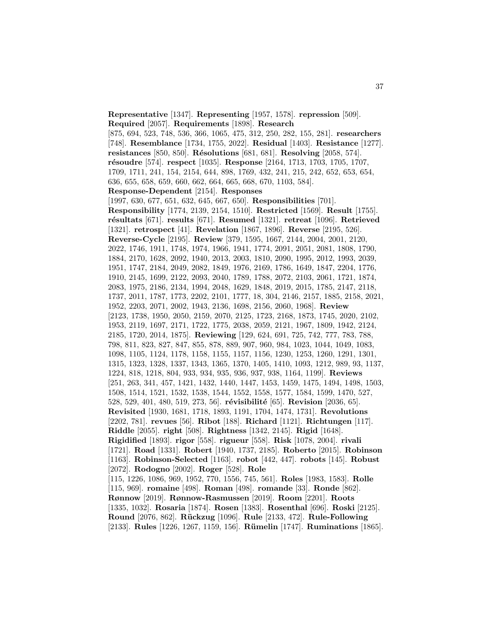**Representative** [1347]. **Representing** [1957, 1578]. **repression** [509]. **Required** [2057]. **Requirements** [1898]. **Research** [875, 694, 523, 748, 536, 366, 1065, 475, 312, 250, 282, 155, 281]. **researchers** [748]. **Resemblance** [1734, 1755, 2022]. **Residual** [1403]. **Resistance** [1277]. **resistances** [850, 850]. **R´esolutions** [681, 681]. **Resolving** [2058, 574]. **r´esoudre** [574]. **respect** [1035]. **Response** [2164, 1713, 1703, 1705, 1707, 1709, 1711, 241, 154, 2154, 644, 898, 1769, 432, 241, 215, 242, 652, 653, 654, 636, 655, 658, 659, 660, 662, 664, 665, 668, 670, 1103, 584]. **Response-Dependent** [2154]. **Responses** [1997, 630, 677, 651, 632, 645, 667, 650]. **Responsibilities** [701]. **Responsibility** [1774, 2139, 2154, 1510]. **Restricted** [1569]. **Result** [1755]. **r´esultats** [671]. **results** [671]. **Resumed** [1321]. **retreat** [1096]. **Retrieved** [1321]. **retrospect** [41]. **Revelation** [1867, 1896]. **Reverse** [2195, 526]. **Reverse-Cycle** [2195]. **Review** [379, 1595, 1667, 2144, 2004, 2001, 2120, 2022, 1746, 1911, 1748, 1974, 1966, 1941, 1774, 2091, 2051, 2081, 1808, 1790, 1884, 2170, 1628, 2092, 1940, 2013, 2003, 1810, 2090, 1995, 2012, 1993, 2039, 1951, 1747, 2184, 2049, 2082, 1849, 1976, 2169, 1786, 1649, 1847, 2204, 1776, 1910, 2145, 1699, 2122, 2093, 2040, 1789, 1788, 2072, 2103, 2061, 1721, 1874, 2083, 1975, 2186, 2134, 1994, 2048, 1629, 1848, 2019, 2015, 1785, 2147, 2118, 1737, 2011, 1787, 1773, 2202, 2101, 1777, 18, 304, 2146, 2157, 1885, 2158, 2021, 1952, 2203, 2071, 2002, 1943, 2136, 1698, 2156, 2060, 1968]. **Review** [2123, 1738, 1950, 2050, 2159, 2070, 2125, 1723, 2168, 1873, 1745, 2020, 2102, 1953, 2119, 1697, 2171, 1722, 1775, 2038, 2059, 2121, 1967, 1809, 1942, 2124, 2185, 1720, 2014, 1875]. **Reviewing** [129, 624, 691, 725, 742, 777, 783, 788, 798, 811, 823, 827, 847, 855, 878, 889, 907, 960, 984, 1023, 1044, 1049, 1083, 1098, 1105, 1124, 1178, 1158, 1155, 1157, 1156, 1230, 1253, 1260, 1291, 1301, 1315, 1323, 1328, 1337, 1343, 1365, 1370, 1405, 1410, 1093, 1212, 989, 93, 1137, 1224, 818, 1218, 804, 933, 934, 935, 936, 937, 938, 1164, 1199]. **Reviews** [251, 263, 341, 457, 1421, 1432, 1440, 1447, 1453, 1459, 1475, 1494, 1498, 1503, 1508, 1514, 1521, 1532, 1538, 1544, 1552, 1558, 1577, 1584, 1599, 1470, 527, 528, 529, 401, 480, 519, 273, 56]. **révisibilité** [65]. **Revision** [2036, 65]. **Revisited** [1930, 1681, 1718, 1893, 1191, 1704, 1474, 1731]. **Revolutions** [2202, 781]. **revues** [56]. **Ribot** [188]. **Richard** [1121]. **Richtungen** [117]. **Riddle** [2055]. **right** [508]. **Rightness** [1342, 2145]. **Rigid** [1648]. **Rigidified** [1893]. **rigor** [558]. **rigueur** [558]. **Risk** [1078, 2004]. **rivali** [1721]. **Road** [1331]. **Robert** [1940, 1737, 2185]. **Roberto** [2015]. **Robinson** [1163]. **Robinson-Selected** [1163]. **robot** [442, 447]. **robots** [145]. **Robust** [2072]. **Rodogno** [2002]. **Roger** [528]. **Role** [115, 1226, 1086, 969, 1952, 770, 1556, 745, 561]. **Roles** [1983, 1583]. **Rolle** [115, 969]. **romaine** [498]. **Roman** [498]. **romande** [33]. **Ronde** [862]. **Rønnow** [2019]. **Rønnow-Rasmussen** [2019]. **Room** [2201]. **Roots** [1335, 1032]. **Rosaria** [1874]. **Rosen** [1383]. **Rosenthal** [696]. **Roski** [2125]. **Round** [2076, 862]. **R¨uckzug** [1096]. **Rule** [2133, 472]. **Rule-Following** [2133]. **Rules** [1226, 1267, 1159, 156]. **R¨umelin** [1747]. **Ruminations** [1865].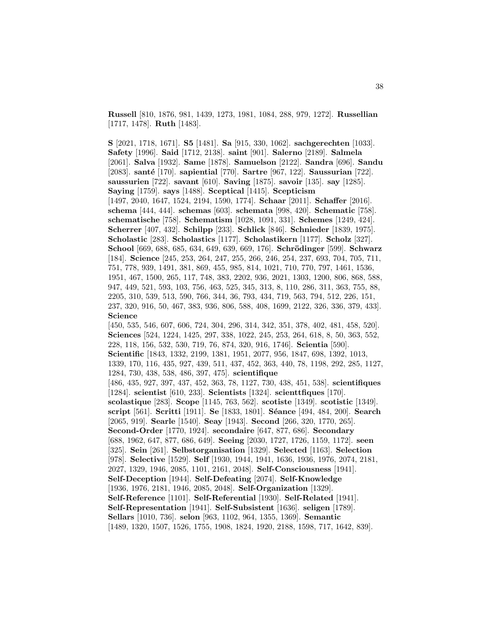**Russell** [810, 1876, 981, 1439, 1273, 1981, 1084, 288, 979, 1272]. **Russellian** [1717, 1478]. **Ruth** [1483].

**S** [2021, 1718, 1671]. **S5** [1481]. **Sa** [915, 330, 1062]. **sachgerechten** [1033]. **Safety** [1996]. **Said** [1712, 2138]. **saint** [901]. **Salerno** [2189]. **Salmela** [2061]. **Salva** [1932]. **Same** [1878]. **Samuelson** [2122]. **Sandra** [696]. **Sandu** [2083]. **sant´e** [170]. **sapiential** [770]. **Sartre** [967, 122]. **Saussurian** [722]. **saussurien** [722]. **savant** [610]. **Saving** [1875]. **savoir** [135]. **say** [1285]. **Saying** [1759]. **says** [1488]. **Sceptical** [1415]. **Scepticism** [1497, 2040, 1647, 1524, 2194, 1590, 1774]. **Schaar** [2011]. **Schaffer** [2016]. **schema** [444, 444]. **schemas** [603]. **schemata** [998, 420]. **Schematic** [758]. **schematische** [758]. **Schematism** [1028, 1091, 331]. **Schemes** [1249, 424]. **Scherrer** [407, 432]. **Schilpp** [233]. **Schlick** [846]. **Schnieder** [1839, 1975]. **Scholastic** [283]. **Scholastics** [1177]. **Scholastikern** [1177]. **Scholz** [327]. **School** [669, 688, 685, 634, 649, 639, 669, 176]. **Schr¨odinger** [599]. **Schwarz** [184]. **Science** [245, 253, 264, 247, 255, 266, 246, 254, 237, 693, 704, 705, 711, 751, 778, 939, 1491, 381, 869, 455, 985, 814, 1021, 710, 770, 797, 1461, 1536, 1951, 467, 1500, 265, 117, 748, 383, 2202, 936, 2021, 1303, 1200, 806, 868, 588, 947, 449, 521, 593, 103, 756, 463, 525, 345, 313, 8, 110, 286, 311, 363, 755, 88, 2205, 310, 539, 513, 590, 766, 344, 36, 793, 434, 719, 563, 794, 512, 226, 151, 237, 320, 916, 50, 467, 383, 936, 806, 588, 408, 1699, 2122, 326, 336, 379, 433]. **Science** [450, 535, 546, 607, 606, 724, 304, 296, 314, 342, 351, 378, 402, 481, 458, 520]. **Sciences** [524, 1224, 1425, 297, 338, 1022, 245, 253, 264, 618, 8, 50, 363, 552, 228, 118, 156, 532, 530, 719, 76, 874, 320, 916, 1746]. **Scientia** [590]. **Scientific** [1843, 1332, 2199, 1381, 1951, 2077, 956, 1847, 698, 1392, 1013, 1339, 170, 116, 435, 927, 439, 511, 437, 452, 363, 440, 78, 1198, 292, 285, 1127, 1284, 730, 438, 538, 486, 397, 475]. **scientifique** [486, 435, 927, 397, 437, 452, 363, 78, 1127, 730, 438, 451, 538]. **scientifiques** [1284]. **scientist** [610, 233]. **Scientists** [1324]. **scienttfiques** [170]. **scolastique** [283]. **Scope** [1145, 763, 562]. **scotiste** [1349]. **scotistic** [1349]. **script** [561]. **Scritti** [1911]. **Se** [1833, 1801]. **S´eance** [494, 484, 200]. **Search** [2065, 919]. **Searle** [1540]. **Seay** [1943]. **Second** [266, 320, 1770, 265]. **Second-Order** [1770, 1924]. **secondaire** [647, 877, 686]. **Secondary** [688, 1962, 647, 877, 686, 649]. **Seeing** [2030, 1727, 1726, 1159, 1172]. **seen** [325]. **Sein** [261]. **Selbstorganisation** [1329]. **Selected** [1163]. **Selection** [978]. **Selective** [1529]. **Self** [1930, 1944, 1941, 1636, 1936, 1976, 2074, 2181, 2027, 1329, 1946, 2085, 1101, 2161, 2048]. **Self-Consciousness** [1941]. **Self-Deception** [1944]. **Self-Defeating** [2074]. **Self-Knowledge** [1936, 1976, 2181, 1946, 2085, 2048]. **Self-Organization** [1329]. **Self-Reference** [1101]. **Self-Referential** [1930]. **Self-Related** [1941]. **Self-Representation** [1941]. **Self-Subsistent** [1636]. **seligen** [1789]. **Sellars** [1010, 736]. **selon** [963, 1102, 964, 1355, 1369]. **Semantic** [1489, 1320, 1507, 1526, 1755, 1908, 1824, 1920, 2188, 1598, 717, 1642, 839].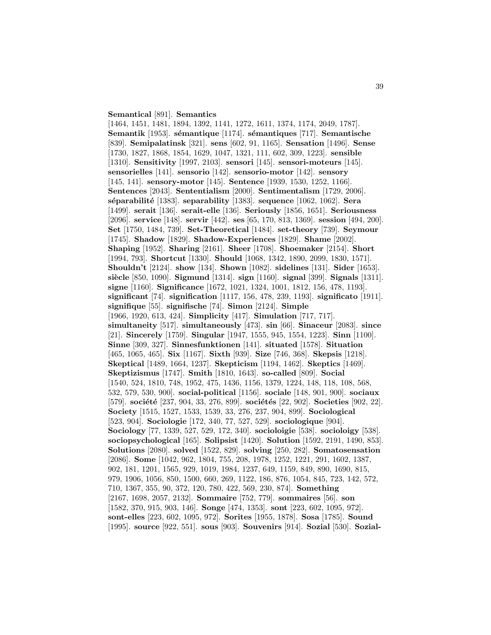#### **Semantical** [891]. **Semantics**

[1464, 1451, 1481, 1894, 1392, 1141, 1272, 1611, 1374, 1174, 2049, 1787]. **Semantik** [1953]. **sémantique** [1174]. **sémantiques** [717]. **Semantische** [839]. **Semipalatinsk** [321]. **sens** [602, 91, 1165]. **Sensation** [1496]. **Sense** [1730, 1827, 1868, 1854, 1629, 1047, 1321, 111, 602, 309, 1223]. **sensible** [1310]. **Sensitivity** [1997, 2103]. **sensori** [145]. **sensori-moteurs** [145]. **sensorielles** [141]. **sensorio** [142]. **sensorio-motor** [142]. **sensory** [145, 141]. **sensory-motor** [145]. **Sentence** [1939, 1530, 1252, 1166]. **Sentences** [2043]. **Sententialism** [2000]. **Sentimentalism** [1729, 2006]. **s´eparabilit´e** [1383]. **separability** [1383]. **sequence** [1062, 1062]. **Sera** [1499]. **serait** [136]. **serait-elle** [136]. **Seriously** [1856, 1651]. **Seriousness** [2096]. **service** [148]. **servir** [442]. **ses** [65, 170, 813, 1369]. **session** [494, 200]. **Set** [1750, 1484, 739]. **Set-Theoretical** [1484]. **set-theory** [739]. **Seymour** [1745]. **Shadow** [1829]. **Shadow-Experiences** [1829]. **Shame** [2002]. **Shaping** [1952]. **Sharing** [2161]. **Sheer** [1708]. **Shoemaker** [2154]. **Short** [1994, 793]. **Shortcut** [1330]. **Should** [1068, 1342, 1890, 2099, 1830, 1571]. **Shouldn't** [2124]. **show** [134]. **Shown** [1082]. **sidelines** [131]. **Sider** [1653]. **si`ecle** [850, 1090]. **Sigmund** [1314]. **sign** [1160]. **signal** [399]. **Signals** [1311]. **signe** [1160]. **Significance** [1672, 1021, 1324, 1001, 1812, 156, 478, 1193]. **significant** [74]. **signification** [1117, 156, 478, 239, 1193]. **significato** [1911]. **signifique** [55]. **signifische** [74]. **Simon** [2124]. **Simple** [1966, 1920, 613, 424]. **Simplicity** [417]. **Simulation** [717, 717]. **simultaneity** [517]. **simultaneously** [473]. **sin** [66]. **Sinaceur** [2083]. **since** [21]. **Sincerely** [1759]. **Singular** [1947, 1555, 945, 1554, 1223]. **Sinn** [1100]. **Sinne** [309, 327]. **Sinnesfunktionen** [141]. **situated** [1578]. **Situation** [465, 1065, 465]. **Six** [1167]. **Sixth** [939]. **Size** [746, 368]. **Skepsis** [1218]. **Skeptical** [1489, 1664, 1237]. **Skepticism** [1194, 1462]. **Skeptics** [1469]. **Skeptizismus** [1747]. **Smith** [1810, 1643]. **so-called** [809]. **Social** [1540, 524, 1810, 748, 1952, 475, 1436, 1156, 1379, 1224, 148, 118, 108, 568, 532, 579, 530, 900]. **social-political** [1156]. **sociale** [148, 901, 900]. **sociaux** [579]. **société** [237, 904, 33, 276, 899]. **sociétés** [22, 902]. **Societies** [902, 22]. **Society** [1515, 1527, 1533, 1539, 33, 276, 237, 904, 899]. **Sociological** [523, 904]. **Sociologie** [172, 340, 77, 527, 529]. **sociologique** [904]. **Sociology** [77, 1339, 527, 529, 172, 340]. **socioloigie** [538]. **socioloigy** [538]. **sociopsychological** [165]. **Solipsist** [1420]. **Solution** [1592, 2191, 1490, 853]. **Solutions** [2080]. **solved** [1522, 829]. **solving** [250, 282]. **Somatosensation** [2086]. **Some** [1042, 962, 1804, 755, 208, 1978, 1252, 1221, 291, 1602, 1387, 902, 181, 1201, 1565, 929, 1019, 1984, 1237, 649, 1159, 849, 890, 1690, 815, 979, 1906, 1056, 850, 1500, 660, 269, 1122, 186, 876, 1054, 845, 723, 142, 572, 710, 1367, 355, 90, 372, 120, 780, 422, 569, 230, 874]. **Something** [2167, 1698, 2057, 2132]. **Sommaire** [752, 779]. **sommaires** [56]. **son** [1582, 370, 915, 903, 146]. **Songe** [474, 1353]. **sont** [223, 602, 1095, 972]. **sont-elles** [223, 602, 1095, 972]. **Sorites** [1955, 1878]. **Sosa** [1785]. **Sound** [1995]. **source** [922, 551]. **sous** [903]. **Souvenirs** [914]. **Sozial** [530]. **Sozial-**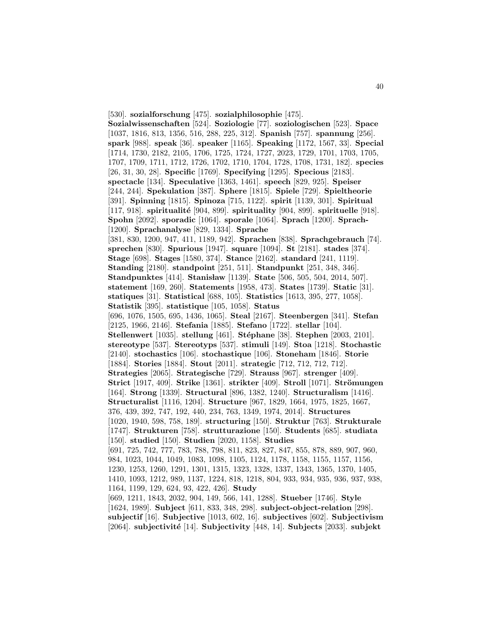[530]. **sozialforschung** [475]. **sozialphilosophie** [475]. **Sozialwissenschaften** [524]. **Soziologie** [77]. **soziologischen** [523]. **Space** [1037, 1816, 813, 1356, 516, 288, 225, 312]. **Spanish** [757]. **spannung** [256]. **spark** [988]. **speak** [36]. **speaker** [1165]. **Speaking** [1172, 1567, 33]. **Special** [1714, 1730, 2182, 2105, 1706, 1725, 1724, 1727, 2023, 1729, 1701, 1703, 1705, 1707, 1709, 1711, 1712, 1726, 1702, 1710, 1704, 1728, 1708, 1731, 182]. **species** [26, 31, 30, 28]. **Specific** [1769]. **Specifying** [1295]. **Specious** [2183]. **spectacle** [134]. **Speculative** [1363, 1461]. **speech** [829, 925]. **Speiser** [244, 244]. **Spekulation** [387]. **Sphere** [1815]. **Spiele** [729]. **Spieltheorie** [391]. **Spinning** [1815]. **Spinoza** [715, 1122]. **spirit** [1139, 301]. **Spiritual** [117, 918]. **spiritualité** [904, 899]. **spirituality** [904, 899]. **spirituelle** [918]. **Spohn** [2092]. **sporadic** [1064]. **sporale** [1064]. **Sprach** [1200]. **Sprach-** [1200]. **Sprachanalyse** [829, 1334]. **Sprache** [381, 830, 1200, 947, 411, 1189, 942]. **Sprachen** [838]. **Sprachgebrauch** [74]. **sprechen** [830]. **Spurious** [1947]. **square** [1094]. **St** [2181]. **stades** [374]. **Stage** [698]. **Stages** [1580, 374]. **Stance** [2162]. **standard** [241, 1119]. **Standing** [2180]. **standpoint** [251, 511]. **Standpunkt** [251, 348, 346]. **Standpunktes** [414]. **Stanisław** [1139]. **State** [506, 505, 504, 2014, 507]. **statement** [169, 260]. **Statements** [1958, 473]. **States** [1739]. **Static** [31]. **statiques** [31]. **Statistical** [688, 105]. **Statistics** [1613, 395, 277, 1058]. **Statistik** [395]. **statistique** [105, 1058]. **Status** [696, 1076, 1505, 695, 1436, 1065]. **Steal** [2167]. **Steenbergen** [341]. **Stefan** [2125, 1966, 2146]. **Stefania** [1885]. **Stefano** [1722]. **stellar** [104]. **Stellenwert** [1035]. **stellung** [461]. **St´ephane** [38]. **Stephen** [2003, 2101]. **stereotype** [537]. **Stereotyps** [537]. **stimuli** [149]. **Stoa** [1218]. **Stochastic** [2140]. **stochastics** [106]. **stochastique** [106]. **Stoneham** [1846]. **Storie** [1884]. **Stories** [1884]. **Stout** [2011]. **strategic** [712, 712, 712, 712]. **Strategies** [2065]. **Strategische** [729]. **Strauss** [967]. **strenger** [409]. **Strict** [1917, 409]. **Strike** [1361]. **strikter** [409]. **Stroll** [1071]. **Strömungen** [164]. **Strong** [1339]. **Structural** [896, 1382, 1240]. **Structuralism** [1416]. **Structuralist** [1116, 1204]. **Structure** [967, 1829, 1664, 1975, 1825, 1667, 376, 439, 392, 747, 192, 440, 234, 763, 1349, 1974, 2014]. **Structures** [1020, 1940, 598, 758, 189]. **structuring** [150]. **Struktur** [763]. **Strukturale** [1747]. **Strukturen** [758]. **strutturazione** [150]. **Students** [685]. **studiata** [150]. **studied** [150]. **Studien** [2020, 1158]. **Studies** [691, 725, 742, 777, 783, 788, 798, 811, 823, 827, 847, 855, 878, 889, 907, 960, 984, 1023, 1044, 1049, 1083, 1098, 1105, 1124, 1178, 1158, 1155, 1157, 1156, 1230, 1253, 1260, 1291, 1301, 1315, 1323, 1328, 1337, 1343, 1365, 1370, 1405, 1410, 1093, 1212, 989, 1137, 1224, 818, 1218, 804, 933, 934, 935, 936, 937, 938, 1164, 1199, 129, 624, 93, 422, 426]. **Study** [669, 1211, 1843, 2032, 904, 149, 566, 141, 1288]. **Stueber** [1746]. **Style** [1624, 1989]. **Subject** [611, 833, 348, 298]. **subject-object-relation** [298]. **subjectif** [16]. **Subjective** [1013, 602, 16]. **subjectives** [602]. **Subjectivism** [2064]. **subjectivit´e** [14]. **Subjectivity** [448, 14]. **Subjects** [2033]. **subjekt**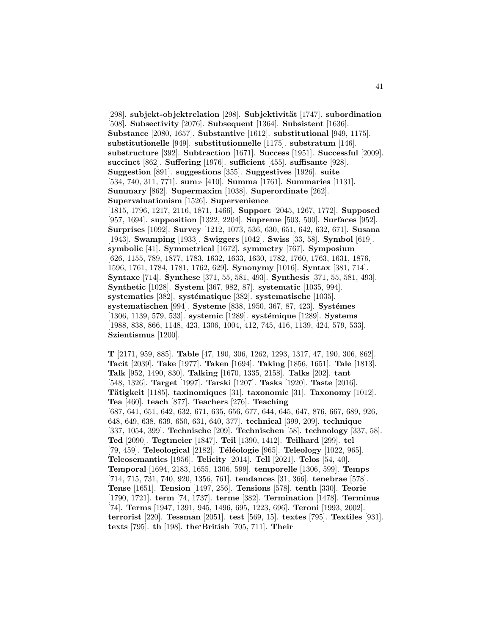[298]. **subjekt-objektrelation** [298]. **Subjektivit¨at** [1747]. **subordination** [508]. **Subsectivity** [2076]. **Subsequent** [1364]. **Subsistent** [1636]. **Substance** [2080, 1657]. **Substantive** [1612]. **substitutional** [949, 1175]. **substitutionelle** [949]. **substitutionnelle** [1175]. **substratum** [146]. **substructure** [392]. **Subtraction** [1671]. **Success** [1951]. **Successful** [2009]. **succinct** [862]. **Suffering** [1976]. **sufficient** [455]. **suffisante** [928]. **Suggestion** [891]. **suggestions** [355]. **Suggestives** [1926]. **suite** [534, 740, 311, 771]. **sum** [410]. **Summa** [1761]. **Summaries** [1131]. **Summary** [862]. **Supermaxim** [1038]. **Superordinate** [262]. **Supervaluationism** [1526]. **Supervenience** [1815, 1796, 1217, 2116, 1871, 1466]. **Support** [2045, 1267, 1772]. **Supposed** [957, 1694]. **supposition** [1322, 2204]. **Supreme** [503, 500]. **Surfaces** [952]. **Surprises** [1092]. **Survey** [1212, 1073, 536, 630, 651, 642, 632, 671]. **Susana** [1943]. **Swamping** [1933]. **Swiggers** [1042]. **Swiss** [33, 58]. **Symbol** [619]. **symbolic** [41]. **Symmetrical** [1672]. **symmetry** [767]. **Symposium** [626, 1155, 789, 1877, 1783, 1632, 1633, 1630, 1782, 1760, 1763, 1631, 1876, 1596, 1761, 1784, 1781, 1762, 629]. **Synonymy** [1016]. **Syntax** [381, 714]. **Syntaxe** [714]. **Synthese** [371, 55, 581, 493]. **Synthesis** [371, 55, 581, 493]. **Synthetic** [1028]. **System** [367, 982, 87]. **systematic** [1035, 994]. **systematics** [382]. **systématique** [382]. **systematische** [1035]. **systematischen** [994]. **Systeme** [838, 1950, 367, 87, 423]. **Systémes** [1306, 1139, 579, 533]. **systemic** [1289]. **systémique** [1289]. **Systems** [1988, 838, 866, 1148, 423, 1306, 1004, 412, 745, 416, 1139, 424, 579, 533]. **Szientismus** [1200].

**T** [2171, 959, 885]. **Table** [47, 190, 306, 1262, 1293, 1317, 47, 190, 306, 862]. **Tacit** [2039]. **Take** [1977]. **Taken** [1694]. **Taking** [1856, 1651]. **Tale** [1813]. **Talk** [952, 1490, 830]. **Talking** [1670, 1335, 2158]. **Talks** [202]. **tant** [548, 1326]. **Target** [1997]. **Tarski** [1207]. **Tasks** [1920]. **Taste** [2016]. **T¨atigkeit** [1185]. **taxinomiques** [31]. **taxonomic** [31]. **Taxonomy** [1012]. **Tea** [460]. **teach** [877]. **Teachers** [276]. **Teaching** [687, 641, 651, 642, 632, 671, 635, 656, 677, 644, 645, 647, 876, 667, 689, 926, 648, 649, 638, 639, 650, 631, 640, 377]. **technical** [399, 209]. **technique** [337, 1054, 399]. **Technische** [209]. **Technischen** [58]. **technology** [337, 58]. **Ted** [2090]. **Tegtmeier** [1847]. **Teil** [1390, 1412]. **Teilhard** [299]. **tel** [79, 459]. **Teleological** [2182]. **Téléologie** [965]. **Teleology** [1022, 965]. **Teleosemantics** [1956]. **Telicity** [2014]. **Tell** [2021]. **Telos** [54, 40]. **Temporal** [1694, 2183, 1655, 1306, 599]. **temporelle** [1306, 599]. **Temps** [714, 715, 731, 740, 920, 1356, 761]. **tendances** [31, 366]. **tenebrae** [578]. **Tense** [1651]. **Tension** [1497, 256]. **Tensions** [578]. **tenth** [330]. **Teorie** [1790, 1721]. **term** [74, 1737]. **terme** [382]. **Termination** [1478]. **Terminus** [74]. **Terms** [1947, 1391, 945, 1496, 695, 1223, 696]. **Teroni** [1993, 2002]. **terrorist** [220]. **Tessman** [2051]. **test** [569, 15]. **textes** [795]. **Textiles** [931]. **texts** [795]. **th** [198]. **the'British** [705, 711]. **Their**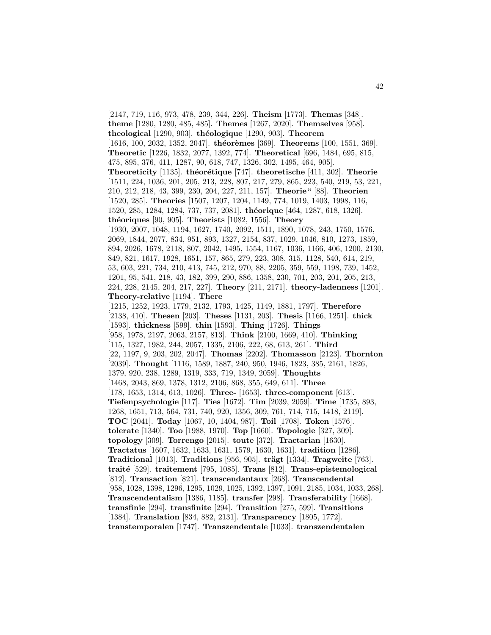[2147, 719, 116, 973, 478, 239, 344, 226]. **Theism** [1773]. **Themas** [348]. **theme** [1280, 1280, 485, 485]. **Themes** [1267, 2020]. **Themselves** [958]. **theological** [1290, 903]. **th´eologique** [1290, 903]. **Theorem** [1616, 100, 2032, 1352, 2047]. **théorèmes** [369]. **Theorems** [100, 1551, 369]. **Theoretic** [1226, 1832, 2077, 1392, 774]. **Theoretical** [696, 1484, 695, 815, 475, 895, 376, 411, 1287, 90, 618, 747, 1326, 302, 1495, 464, 905]. **Theoreticity** [1135]. **théorétique** [747]. **theoretische** [411, 302]. **Theorie** [1511, 224, 1036, 201, 205, 213, 228, 807, 217, 279, 865, 223, 540, 219, 53, 221, 210, 212, 218, 43, 399, 230, 204, 227, 211, 157]. **Theorie"** [88]. **Theorien** [1520, 285]. **Theories** [1507, 1207, 1204, 1149, 774, 1019, 1403, 1998, 116, 1520, 285, 1284, 1284, 737, 737, 2081]. **th´eorique** [464, 1287, 618, 1326]. **th´eoriques** [90, 905]. **Theorists** [1082, 1556]. **Theory** [1930, 2007, 1048, 1194, 1627, 1740, 2092, 1511, 1890, 1078, 243, 1750, 1576, 2069, 1844, 2077, 834, 951, 893, 1327, 2154, 837, 1029, 1046, 810, 1273, 1859, 894, 2026, 1678, 2118, 807, 2042, 1495, 1554, 1167, 1036, 1166, 406, 1200, 2130, 849, 821, 1617, 1928, 1651, 157, 865, 279, 223, 308, 315, 1128, 540, 614, 219, 53, 603, 221, 734, 210, 413, 745, 212, 970, 88, 2205, 359, 559, 1198, 739, 1452, 1201, 95, 541, 218, 43, 182, 399, 290, 886, 1358, 230, 701, 203, 201, 205, 213, 224, 228, 2145, 204, 217, 227]. **Theory** [211, 2171]. **theory-ladenness** [1201]. **Theory-relative** [1194]. **There** [1215, 1252, 1923, 1779, 2132, 1793, 1425, 1149, 1881, 1797]. **Therefore** [2138, 410]. **Thesen** [203]. **Theses** [1131, 203]. **Thesis** [1166, 1251]. **thick** [1593]. **thickness** [599]. **thin** [1593]. **Thing** [1726]. **Things** [958, 1978, 2197, 2063, 2157, 813]. **Think** [2100, 1669, 410]. **Thinking** [115, 1327, 1982, 244, 2057, 1335, 2106, 222, 68, 613, 261]. **Third** [22, 1197, 9, 203, 202, 2047]. **Thomas** [2202]. **Thomasson** [2123]. **Thornton** [2039]. **Thought** [1116, 1589, 1887, 240, 950, 1946, 1823, 385, 2161, 1826, 1379, 920, 238, 1289, 1319, 333, 719, 1349, 2059]. **Thoughts** [1468, 2043, 869, 1378, 1312, 2106, 868, 355, 649, 611]. **Three** [178, 1653, 1314, 613, 1026]. **Three-** [1653]. **three-component** [613]. **Tiefenpsychologie** [117]. **Ties** [1672]. **Tim** [2039, 2059]. **Time** [1735, 893, 1268, 1651, 713, 564, 731, 740, 920, 1356, 309, 761, 714, 715, 1418, 2119]. **TOC** [2041]. **Today** [1067, 10, 1404, 987]. **Toil** [1708]. **Token** [1576]. **tolerate** [1340]. **Too** [1988, 1970]. **Top** [1660]. **Topologie** [327, 309]. **topology** [309]. **Torrengo** [2015]. **toute** [372]. **Tractarian** [1630]. **Tractatus** [1607, 1632, 1633, 1631, 1579, 1630, 1631]. **tradition** [1286]. **Traditional** [1013]. **Traditions** [956, 905]. **trägt** [1334]. **Tragweite** [763]. **trait´e** [529]. **traitement** [795, 1085]. **Trans** [812]. **Trans-epistemological** [812]. **Transaction** [821]. **transcendantaux** [268]. **Transcendental** [958, 1028, 1398, 1296, 1295, 1029, 1025, 1392, 1397, 1091, 2185, 1034, 1033, 268]. **Transcendentalism** [1386, 1185]. **transfer** [298]. **Transferability** [1668]. **transfinie** [294]. **transfinite** [294]. **Transition** [275, 599]. **Transitions** [1384]. **Translation** [834, 882, 2131]. **Transparency** [1805, 1772]. **transtemporalen** [1747]. **Transzendentale** [1033]. **transzendentalen**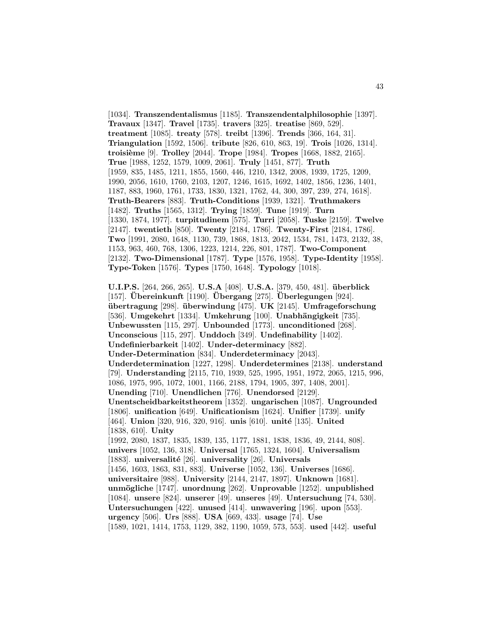[1034]. **Transzendentalismus** [1185]. **Transzendentalphilosophie** [1397]. **Travaux** [1347]. **Travel** [1735]. **travers** [325]. **treatise** [869, 529]. **treatment** [1085]. **treaty** [578]. **treibt** [1396]. **Trends** [366, 164, 31]. **Triangulation** [1592, 1506]. **tribute** [826, 610, 863, 19]. **Trois** [1026, 1314]. **troisi`eme** [9]. **Trolley** [2044]. **Trope** [1984]. **Tropes** [1668, 1882, 2165]. **True** [1988, 1252, 1579, 1009, 2061]. **Truly** [1451, 877]. **Truth** [1959, 835, 1485, 1211, 1855, 1560, 446, 1210, 1342, 2008, 1939, 1725, 1209, 1990, 2056, 1610, 1760, 2103, 1207, 1246, 1615, 1692, 1402, 1856, 1236, 1401, 1187, 883, 1960, 1761, 1733, 1830, 1321, 1762, 44, 300, 397, 239, 274, 1618]. **Truth-Bearers** [883]. **Truth-Conditions** [1939, 1321]. **Truthmakers** [1482]. **Truths** [1565, 1312]. **Trying** [1859]. **Tune** [1919]. **Turn** [1330, 1874, 1977]. **turpitudinem** [575]. **Turri** [2058]. **Tuske** [2159]. **Twelve** [2147]. **twentieth** [850]. **Twenty** [2184, 1786]. **Twenty-First** [2184, 1786]. **Two** [1991, 2080, 1648, 1130, 739, 1868, 1813, 2042, 1534, 781, 1473, 2132, 38, 1153, 963, 460, 768, 1306, 1223, 1214, 226, 801, 1787]. **Two-Component** [2132]. **Two-Dimensional** [1787]. **Type** [1576, 1958]. **Type-Identity** [1958]. **Type-Token** [1576]. **Types** [1750, 1648]. **Typology** [1018].

**U.I.P.S.** [264, 266, 265]. **U.S.A** [408]. **U.S.A.** [379, 450, 481]. **uberblick ¨** [157]. **Ubereinkunft ¨** [1190]. **Ubergang ¨** [275]. **Uberlegungen ¨** [924]. **ubertragung** [298]. **überwindung** [475]. **UK** [2145]. **Umfrageforschung** [536]. **Umgekehrt** [1334]. **Umkehrung** [100]. **Unabhängigkeit** [735]. **Unbewussten** [115, 297]. **Unbounded** [1773]. **unconditioned** [268]. **Unconscious** [115, 297]. **Unddoch** [349]. **Undefinability** [1402]. **Undefinierbarkeit** [1402]. **Under-determinacy** [882]. **Under-Determination** [834]. **Underdeterminacy** [2043]. **Underdetermination** [1227, 1298]. **Underdetermines** [2138]. **understand** [79]. **Understanding** [2115, 710, 1939, 525, 1995, 1951, 1972, 2065, 1215, 996, 1086, 1975, 995, 1072, 1001, 1166, 2188, 1794, 1905, 397, 1408, 2001]. **Unending** [710]. **Unendlichen** [776]. **Unendorsed** [2129]. **Unentscheidbarkeitstheorem** [1352]. **ungarischen** [1087]. **Ungrounded** [1806]. **unification** [649]. **Unificationism** [1624]. **Unifier** [1739]. **unify** [464]. **Union** [320, 916, 320, 916]. **unis** [610]. **unité** [135]. **United** [1838, 610]. **Unity** [1992, 2080, 1837, 1835, 1839, 135, 1177, 1881, 1838, 1836, 49, 2144, 808]. **univers** [1052, 136, 318]. **Universal** [1765, 1324, 1604]. **Universalism** [1883]. **universalité** [26]. **universality** [26]. **Universals** [1456, 1603, 1863, 831, 883]. **Universe** [1052, 136]. **Universes** [1686]. **universitaire** [988]. **University** [2144, 2147, 1897]. **Unknown** [1681]. **unm¨ogliche** [1747]. **unordnung** [262]. **Unprovable** [1252]. **unpublished** [1084]. **unsere** [824]. **unserer** [49]. **unseres** [49]. **Untersuchung** [74, 530]. **Untersuchungen** [422]. **unused** [414]. **unwavering** [196]. **upon** [553]. **urgency** [506]. **Urs** [888]. **USA** [669, 433]. **usage** [74]. **Use** [1589, 1021, 1414, 1753, 1129, 382, 1190, 1059, 573, 553]. **used** [442]. **useful**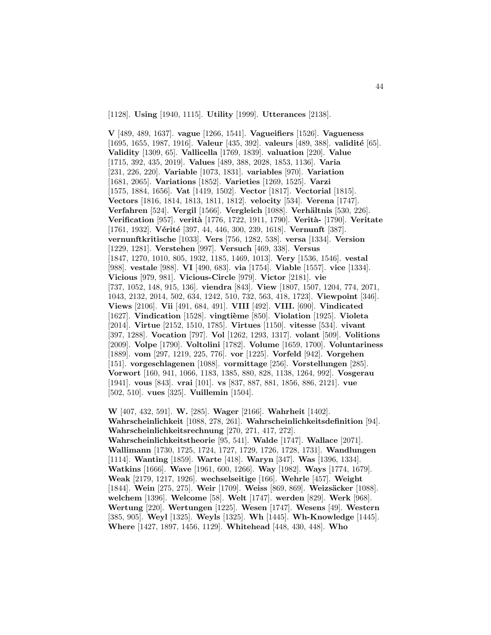[1128]. **Using** [1940, 1115]. **Utility** [1999]. **Utterances** [2138].

**V** [489, 489, 1637]. **vague** [1266, 1541]. **Vagueifiers** [1526]. **Vagueness** [1695, 1655, 1987, 1916]. **Valeur** [435, 392]. **valeurs** [489, 388]. **validité** [65]. **Validity** [1309, 65]. **Vallicella** [1769, 1839]. **valuation** [220]. **Value** [1715, 392, 435, 2019]. **Values** [489, 388, 2028, 1853, 1136]. **Varia** [231, 226, 220]. **Variable** [1073, 1831]. **variables** [970]. **Variation** [1681, 2065]. **Variations** [1852]. **Varieties** [1269, 1525]. **Varzi** [1575, 1884, 1656]. **Vat** [1419, 1502]. **Vector** [1817]. **Vectorial** [1815]. **Vectors** [1816, 1814, 1813, 1811, 1812]. **velocity** [534]. **Verena** [1747]. **Verfahren** [524]. **Vergil** [1566]. **Vergleich** [1088]. **Verhältnis** [530, 226]. **Verification** [957]. **verit`a** [1776, 1722, 1911, 1790]. **Verit`a-** [1790]. **Veritate** [1761, 1932]. **Vérité** [397, 44, 446, 300, 239, 1618]. **Vernunft** [387]. **vernunftkritische** [1033]. **Vers** [756, 1282, 538]. **versa** [1334]. **Version** [1229, 1281]. **Verstehen** [997]. **Versuch** [469, 338]. **Versus** [1847, 1270, 1010, 805, 1932, 1185, 1469, 1013]. **Very** [1536, 1546]. **vestal** [988]. **vestale** [988]. **VI** [490, 683]. **via** [1754]. **Viable** [1557]. **vice** [1334]. **Vicious** [979, 981]. **Vicious-Circle** [979]. **Victor** [2181]. **vie** [737, 1052, 148, 915, 136]. **viendra** [843]. **View** [1807, 1507, 1204, 774, 2071, 1043, 2132, 2014, 502, 634, 1242, 510, 732, 563, 418, 1723]. **Viewpoint** [346]. **Views** [2106]. **Vii** [491, 684, 491]. **VIII** [492]. **VIII.** [690]. **Vindicated** [1627]. **Vindication** [1528]. **vingti`eme** [850]. **Violation** [1925]. **Violeta** [2014]. **Virtue** [2152, 1510, 1785]. **Virtues** [1150]. **vitesse** [534]. **vivant** [397, 1288]. **Vocation** [797]. **Vol** [1262, 1293, 1317]. **volant** [509]. **Volitions** [2009]. **Volpe** [1790]. **Voltolini** [1782]. **Volume** [1659, 1700]. **Voluntariness** [1889]. **vom** [297, 1219, 225, 776]. **vor** [1225]. **Vorfeld** [942]. **Vorgehen** [151]. **vorgeschlagenen** [1088]. **vormittage** [256]. **Vorstellungen** [285]. **Vorwort** [160, 941, 1066, 1183, 1385, 880, 828, 1138, 1264, 992]. **Vosgerau** [1941]. **vous** [843]. **vrai** [101]. **vs** [837, 887, 881, 1856, 886, 2121]. **vue** [502, 510]. **vues** [325]. **Vuillemin** [1504].

**W** [407, 432, 591]. **W.** [285]. **Wager** [2166]. **Wahrheit** [1402]. **Wahrscheinlichkeit** [1088, 278, 261]. **Wahrscheinlichkeitsdefinition** [94]. **Wahrscheinlichkeitsrechnung** [270, 271, 417, 272]. **Wahrscheinlichkeitstheorie** [95, 541]. **Walde** [1747]. **Wallace** [2071]. **Wallimann** [1730, 1725, 1724, 1727, 1729, 1726, 1728, 1731]. **Wandlungen** [1114]. **Wanting** [1859]. **Warte** [418]. **Waryn** [347]. **Was** [1396, 1334]. **Watkins** [1666]. **Wave** [1961, 600, 1266]. **Way** [1982]. **Ways** [1774, 1679]. **Weak** [2179, 1217, 1926]. **wechselseitige** [166]. **Wehrle** [457]. **Weight** [1844]. **Wein** [275, 275]. **Weir** [1709]. **Weiss** [869, 869]. **Weizsäcker** [1088]. **welchem** [1396]. **Welcome** [58]. **Welt** [1747]. **werden** [829]. **Werk** [968]. **Wertung** [220]. **Wertungen** [1225]. **Wesen** [1747]. **Wesens** [49]. **Western** [385, 905]. **Weyl** [1325]. **Weyls** [1325]. **Wh** [1445]. **Wh-Knowledge** [1445]. **Where** [1427, 1897, 1456, 1129]. **Whitehead** [448, 430, 448]. **Who**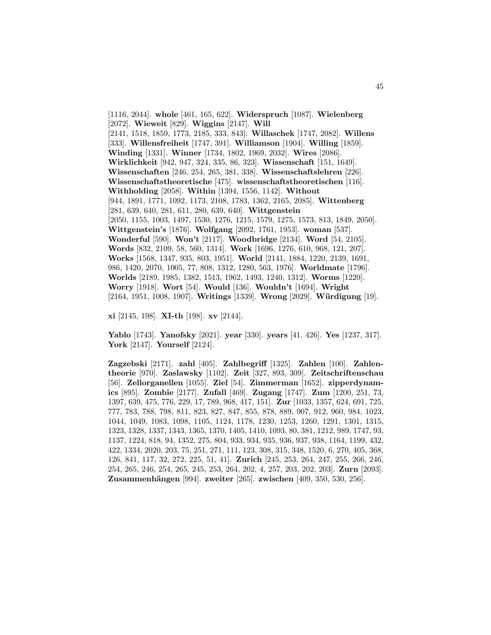[1116, 2044]. **whole** [461, 165, 622]. **Widerspruch** [1087]. **Wielenberg** [2072]. **Wieweit** [829]. **Wiggins** [2147]. **Will** [2141, 1518, 1859, 1773, 2185, 333, 843]. **Willaschek** [1747, 2082]. **Willens** [333]. **Willensfreiheit** [1747, 391]. **Williamson** [1904]. **Willing** [1859]. **Winding** [1331]. **Winner** [1734, 1802, 1969, 2032]. **Wires** [2086]. **Wirklichkeit** [942, 947, 324, 335, 86, 323]. **Wissenschaft** [151, 1649]. **Wissenschaften** [246, 254, 265, 381, 338]. **Wissenschaftslehren** [226]. **Wissenschaftstheoretische** [475]. **wissenschaftstheoretischen** [116]. **Withholding** [2058]. **Within** [1394, 1556, 1142]. **Without** [944, 1891, 1771, 1092, 1173, 2108, 1783, 1362, 2165, 2085]. **Wittenberg** [281, 639, 640, 281, 611, 280, 639, 640]. **Wittgenstein** [2050, 1155, 1003, 1497, 1530, 1276, 1215, 1579, 1275, 1573, 813, 1849, 2050]. **Wittgenstein's** [1876]. **Wolfgang** [2092, 1761, 1953]. **woman** [537]. **Wonderful** [590]. **Won't** [2117]. **Woodbridge** [2134]. **Word** [54, 2105]. **Words** [832, 2109, 58, 560, 1314]. **Work** [1696, 1276, 610, 968, 121, 207]. **Works** [1568, 1347, 935, 803, 1951]. **World** [2141, 1884, 1220, 2139, 1691, 986, 1420, 2070, 1005, 77, 808, 1312, 1280, 563, 1976]. **Worldmate** [1796]. **Worlds** [2189, 1985, 1382, 1513, 1962, 1493, 1240, 1312]. **Worms** [1220]. **Worry** [1918]. **Wort** [54]. **Would** [136]. **Wouldn't** [1694]. **Wright** [2164, 1951, 1008, 1907]. **Writings** [1339]. **Wrong** [2029]. **W¨urdigung** [19].

**xi** [2145, 198]. **XI-th** [198]. **xv** [2144].

**Yablo** [1743]. **Yanofsky** [2021]. **year** [330]. **years** [41, 426]. **Yes** [1237, 317]. **York** [2147]. **Yourself** [2124].

**Zagzebski** [2171]. **zahl** [405]. **Zahlbegriff** [1325]. **Zahlen** [100]. **Zahlentheorie** [970]. **Zaslawsky** [1102]. **Zeit** [327, 893, 309]. **Zeitschriftenschau** [56]. **Zellorganellen** [1055]. **Ziel** [54]. **Zimmerman** [1652]. **zipperdynamics** [895]. **Zombie** [2177]. **Zufall** [469]. **Zugang** [1747]. **Zum** [1200, 251, 73, 1397, 639, 475, 776, 229, 17, 789, 968, 417, 151]. **Zur** [1033, 1357, 624, 691, 725, 777, 783, 788, 798, 811, 823, 827, 847, 855, 878, 889, 907, 912, 960, 984, 1023, 1044, 1049, 1083, 1098, 1105, 1124, 1178, 1230, 1253, 1260, 1291, 1301, 1315, 1323, 1328, 1337, 1343, 1365, 1370, 1405, 1410, 1093, 80, 381, 1212, 989, 1747, 93, 1137, 1224, 818, 94, 1352, 275, 804, 933, 934, 935, 936, 937, 938, 1164, 1199, 432, 422, 1334, 2020, 203, 75, 251, 271, 111, 123, 308, 315, 348, 1520, 6, 270, 405, 368, 126, 841, 117, 32, 272, 225, 51, 41]. **Zurich** [245, 253, 264, 247, 255, 266, 246, 254, 265, 246, 254, 265, 245, 253, 264, 202, 4, 257, 203, 202, 203]. **Zurn** [2093]. **Zusammenhängen** [994]. **zweiter** [265]. **zwischen** [409, 350, 530, 256].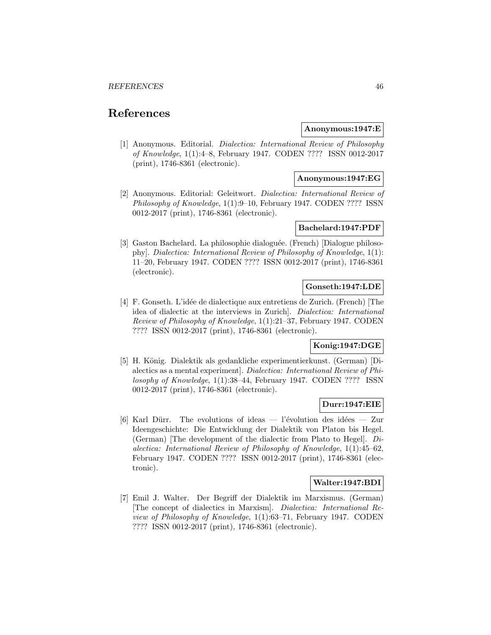# **References**

### **Anonymous:1947:E**

[1] Anonymous. Editorial. Dialectica: International Review of Philosophy of Knowledge, 1(1):4–8, February 1947. CODEN ???? ISSN 0012-2017 (print), 1746-8361 (electronic).

### **Anonymous:1947:EG**

[2] Anonymous. Editorial: Geleitwort. Dialectica: International Review of Philosophy of Knowledge, 1(1):9–10, February 1947. CODEN ???? ISSN 0012-2017 (print), 1746-8361 (electronic).

## **Bachelard:1947:PDF**

[3] Gaston Bachelard. La philosophie dialoguée. (French) [Dialogue philosophy]. Dialectica: International Review of Philosophy of Knowledge, 1(1): 11–20, February 1947. CODEN ???? ISSN 0012-2017 (print), 1746-8361 (electronic).

## **Gonseth:1947:LDE**

[4] F. Gonseth. L'id´ee de dialectique aux entretiens de Zurich. (French) [The idea of dialectic at the interviews in Zurich]. Dialectica: International Review of Philosophy of Knowledge, 1(1):21–37, February 1947. CODEN ???? ISSN 0012-2017 (print), 1746-8361 (electronic).

## **Konig:1947:DGE**

[5] H. König. Dialektik als gedankliche experimentierkunst. (German) [Dialectics as a mental experiment]. Dialectica: International Review of Philosophy of Knowledge, 1(1):38–44, February 1947. CODEN ???? ISSN 0012-2017 (print), 1746-8361 (electronic).

## **Durr:1947:EIE**

[6] Karl Dürr. The evolutions of ideas — l'évolution des idées — Zur Ideengeschichte: Die Entwicklung der Dialektik von Platon bis Hegel. (German) [The development of the dialectic from Plato to Hegel]. Dialectica: International Review of Philosophy of Knowledge, 1(1):45–62, February 1947. CODEN ???? ISSN 0012-2017 (print), 1746-8361 (electronic).

## **Walter:1947:BDI**

[7] Emil J. Walter. Der Begriff der Dialektik im Marxismus. (German) [The concept of dialectics in Marxism]. Dialectica: International Review of Philosophy of Knowledge, 1(1):63–71, February 1947. CODEN ???? ISSN 0012-2017 (print), 1746-8361 (electronic).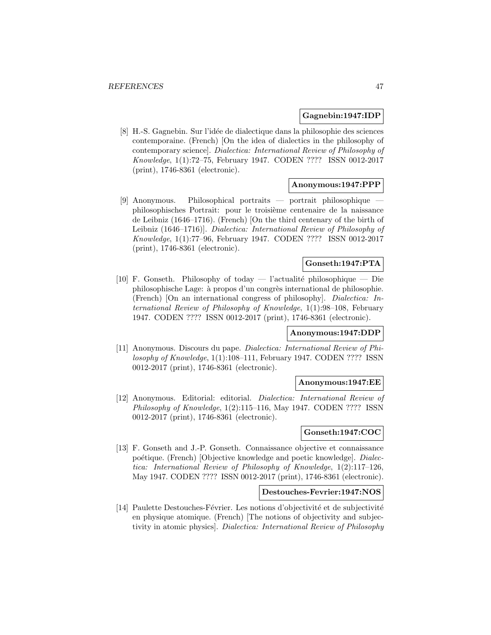### **Gagnebin:1947:IDP**

[8] H.-S. Gagnebin. Sur l'id´ee de dialectique dans la philosophie des sciences contemporaine. (French) [On the idea of dialectics in the philosophy of contemporary science]. Dialectica: International Review of Philosophy of Knowledge, 1(1):72–75, February 1947. CODEN ???? ISSN 0012-2017 (print), 1746-8361 (electronic).

### **Anonymous:1947:PPP**

 $[9]$  Anonymous. Philosophical portraits — portrait philosophique philosophisches Portrait: pour le troisième centenaire de la naissance de Leibniz (1646–1716). (French) [On the third centenary of the birth of Leibniz (1646–1716)]. Dialectica: International Review of Philosophy of Knowledge, 1(1):77–96, February 1947. CODEN ???? ISSN 0012-2017 (print), 1746-8361 (electronic).

# **Gonseth:1947:PTA**

[10] F. Gonseth. Philosophy of today — l'actualité philosophique — Die philosophische Lage: à propos d'un congrès international de philosophie. (French) [On an international congress of philosophy]. Dialectica: International Review of Philosophy of Knowledge, 1(1):98–108, February 1947. CODEN ???? ISSN 0012-2017 (print), 1746-8361 (electronic).

### **Anonymous:1947:DDP**

[11] Anonymous. Discours du pape. Dialectica: International Review of Philosophy of Knowledge, 1(1):108–111, February 1947. CODEN ???? ISSN 0012-2017 (print), 1746-8361 (electronic).

## **Anonymous:1947:EE**

[12] Anonymous. Editorial: editorial. Dialectica: International Review of Philosophy of Knowledge, 1(2):115–116, May 1947. CODEN ???? ISSN 0012-2017 (print), 1746-8361 (electronic).

## **Gonseth:1947:COC**

[13] F. Gonseth and J.-P. Gonseth. Connaissance objective et connaissance poétique. (French) [Objective knowledge and poetic knowledge]. *Dialec*tica: International Review of Philosophy of Knowledge, 1(2):117–126, May 1947. CODEN ???? ISSN 0012-2017 (print), 1746-8361 (electronic).

## **Destouches-Fevrier:1947:NOS**

[14] Paulette Destouches-Février. Les notions d'objectivité et de subjectivité en physique atomique. (French) [The notions of objectivity and subjectivity in atomic physics]. Dialectica: International Review of Philosophy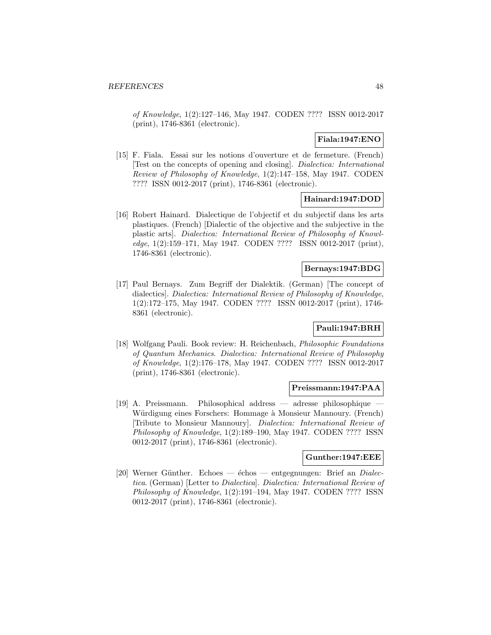of Knowledge, 1(2):127–146, May 1947. CODEN ???? ISSN 0012-2017 (print), 1746-8361 (electronic).

## **Fiala:1947:ENO**

[15] F. Fiala. Essai sur les notions d'ouverture et de fermeture. (French) [Test on the concepts of opening and closing]. Dialectica: International Review of Philosophy of Knowledge, 1(2):147–158, May 1947. CODEN ???? ISSN 0012-2017 (print), 1746-8361 (electronic).

## **Hainard:1947:DOD**

[16] Robert Hainard. Dialectique de l'objectif et du subjectif dans les arts plastiques. (French) [Dialectic of the objective and the subjective in the plastic arts]. Dialectica: International Review of Philosophy of Knowledge, 1(2):159–171, May 1947. CODEN ???? ISSN 0012-2017 (print), 1746-8361 (electronic).

## **Bernays:1947:BDG**

[17] Paul Bernays. Zum Begriff der Dialektik. (German) [The concept of dialectics]. Dialectica: International Review of Philosophy of Knowledge, 1(2):172–175, May 1947. CODEN ???? ISSN 0012-2017 (print), 1746- 8361 (electronic).

## **Pauli:1947:BRH**

[18] Wolfgang Pauli. Book review: H. Reichenbach, Philosophic Foundations of Quantum Mechanics. Dialectica: International Review of Philosophy of Knowledge, 1(2):176–178, May 1947. CODEN ???? ISSN 0012-2017 (print), 1746-8361 (electronic).

#### **Preissmann:1947:PAA**

 $[19]$  A. Preissmann. Philosophical address — adresse philosophique Würdigung eines Forschers: Hommage à Monsieur Mannoury. (French) [Tribute to Monsieur Mannoury]. Dialectica: International Review of Philosophy of Knowledge, 1(2):189–190, May 1947. CODEN ???? ISSN 0012-2017 (print), 1746-8361 (electronic).

#### **Gunther:1947:EEE**

[20] Werner Günther. Echoes —  $\acute{e}$ chos — entgegnungen: Brief an *Dialec*tica. (German) [Letter to Dialectica]. Dialectica: International Review of Philosophy of Knowledge, 1(2):191–194, May 1947. CODEN ???? ISSN 0012-2017 (print), 1746-8361 (electronic).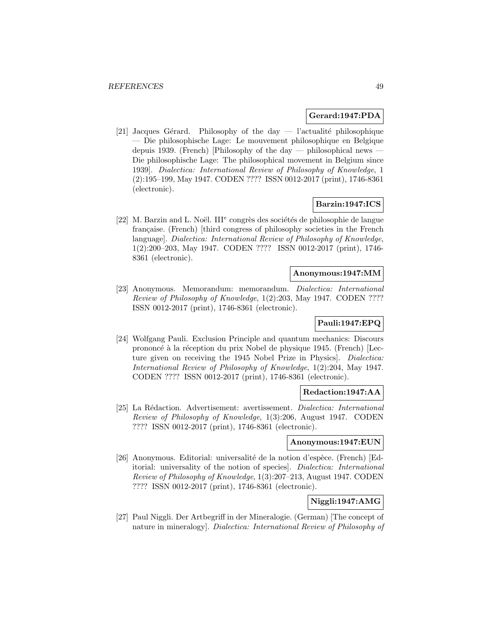### **Gerard:1947:PDA**

[21] Jacques Gérard. Philosophy of the day  $-$  l'actualité philosophique — Die philosophische Lage: Le mouvement philosophique en Belgique depuis 1939. (French) [Philosophy of the day — philosophical news  $\overline{\phantom{a}}$ Die philosophische Lage: The philosophical movement in Belgium since 1939]. Dialectica: International Review of Philosophy of Knowledge, 1 (2):195–199, May 1947. CODEN ???? ISSN 0012-2017 (print), 1746-8361 (electronic).

## **Barzin:1947:ICS**

[22] M. Barzin and L. Noël. III<sup>e</sup> congrès des sociétés de philosophie de langue française. (French) [third congress of philosophy societies in the French language]. Dialectica: International Review of Philosophy of Knowledge, 1(2):200–203, May 1947. CODEN ???? ISSN 0012-2017 (print), 1746- 8361 (electronic).

## **Anonymous:1947:MM**

[23] Anonymous. Memorandum: memorandum. Dialectica: International Review of Philosophy of Knowledge, 1(2):203, May 1947. CODEN ???? ISSN 0012-2017 (print), 1746-8361 (electronic).

# **Pauli:1947:EPQ**

[24] Wolfgang Pauli. Exclusion Principle and quantum mechanics: Discours prononcé à la réception du prix Nobel de physique 1945. (French) [Lecture given on receiving the 1945 Nobel Prize in Physics. Dialectica: International Review of Philosophy of Knowledge, 1(2):204, May 1947. CODEN ???? ISSN 0012-2017 (print), 1746-8361 (electronic).

## **Redaction:1947:AA**

[25] La Rédaction. Advertisement: avertissement. *Dialectica: International* Review of Philosophy of Knowledge, 1(3):206, August 1947. CODEN ???? ISSN 0012-2017 (print), 1746-8361 (electronic).

### **Anonymous:1947:EUN**

[26] Anonymous. Editorial: universalité de la notion d'espèce. (French) [Editorial: universality of the notion of species]. Dialectica: International Review of Philosophy of Knowledge, 1(3):207–213, August 1947. CODEN ???? ISSN 0012-2017 (print), 1746-8361 (electronic).

### **Niggli:1947:AMG**

[27] Paul Niggli. Der Artbegriff in der Mineralogie. (German) [The concept of nature in mineralogy]. Dialectica: International Review of Philosophy of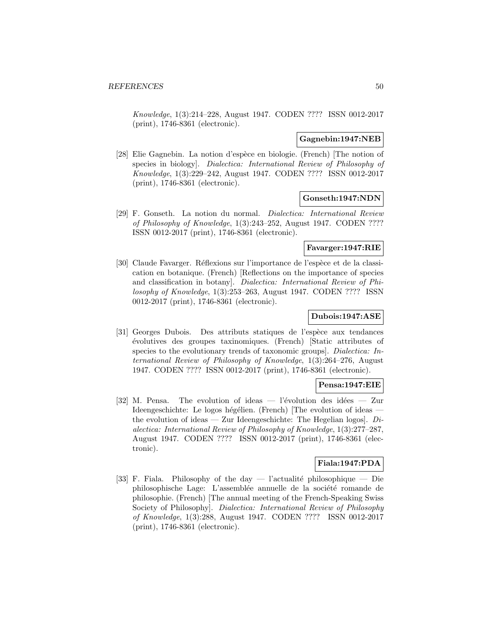Knowledge, 1(3):214–228, August 1947. CODEN ???? ISSN 0012-2017 (print), 1746-8361 (electronic).

### **Gagnebin:1947:NEB**

[28] Elie Gagnebin. La notion d'espèce en biologie. (French) [The notion of species in biology]. Dialectica: International Review of Philosophy of Knowledge, 1(3):229–242, August 1947. CODEN ???? ISSN 0012-2017 (print), 1746-8361 (electronic).

## **Gonseth:1947:NDN**

[29] F. Gonseth. La notion du normal. Dialectica: International Review of Philosophy of Knowledge, 1(3):243–252, August 1947. CODEN ???? ISSN 0012-2017 (print), 1746-8361 (electronic).

### **Favarger:1947:RIE**

[30] Claude Favarger. Réflexions sur l'importance de l'espèce et de la classication en botanique. (French) [Reflections on the importance of species and classification in botany]. Dialectica: International Review of Philosophy of Knowledge, 1(3):253–263, August 1947. CODEN ???? ISSN 0012-2017 (print), 1746-8361 (electronic).

## **Dubois:1947:ASE**

[31] Georges Dubois. Des attributs statiques de l'espèce aux tendances ´evolutives des groupes taxinomiques. (French) [Static attributes of species to the evolutionary trends of taxonomic groups]. Dialectica: International Review of Philosophy of Knowledge, 1(3):264–276, August 1947. CODEN ???? ISSN 0012-2017 (print), 1746-8361 (electronic).

### **Pensa:1947:EIE**

[32] M. Pensa. The evolution of ideas  $-$  l'évolution des idées  $-$  Zur Ideengeschichte: Le logos hégélien. (French) [The evolution of ideas the evolution of ideas — Zur Ideengeschichte: The Hegelian logos].  $Di$ alectica: International Review of Philosophy of Knowledge, 1(3):277–287, August 1947. CODEN ???? ISSN 0012-2017 (print), 1746-8361 (electronic).

# **Fiala:1947:PDA**

[33] F. Fiala. Philosophy of the day — l'actualité philosophique — Die philosophische Lage: L'assemblée annuelle de la société romande de philosophie. (French) [The annual meeting of the French-Speaking Swiss Society of Philosophy]. Dialectica: International Review of Philosophy of Knowledge, 1(3):288, August 1947. CODEN ???? ISSN 0012-2017 (print), 1746-8361 (electronic).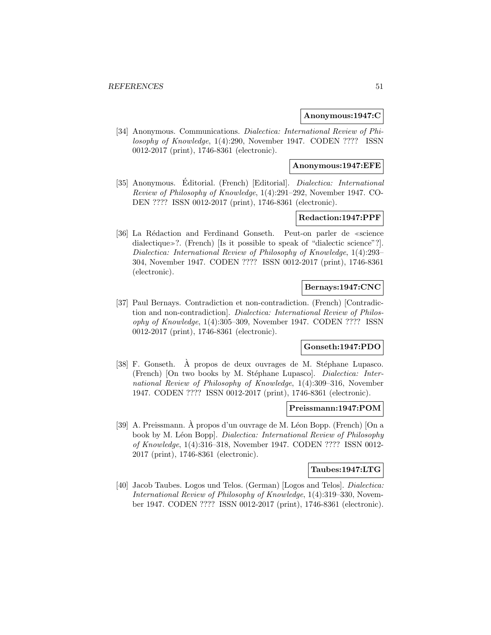### **Anonymous:1947:C**

[34] Anonymous. Communications. Dialectica: International Review of Philosophy of Knowledge, 1(4):290, November 1947. CODEN ???? ISSN 0012-2017 (print), 1746-8361 (electronic).

### **Anonymous:1947:EFE**

[35] Anonymous. Editorial. (French) [Editorial]. *Dialectica: International* Review of Philosophy of Knowledge, 1(4):291–292, November 1947. CO-DEN ???? ISSN 0012-2017 (print), 1746-8361 (electronic).

### **Redaction:1947:PPF**

[36] La Rédaction and Ferdinand Gonseth. Peut-on parler de «science dialectique»?. (French) [Is it possible to speak of "dialectic science"?]. Dialectica: International Review of Philosophy of Knowledge, 1(4):293– 304, November 1947. CODEN ???? ISSN 0012-2017 (print), 1746-8361 (electronic).

## **Bernays:1947:CNC**

[37] Paul Bernays. Contradiction et non-contradiction. (French) [Contradiction and non-contradiction]. Dialectica: International Review of Philosophy of Knowledge, 1(4):305–309, November 1947. CODEN ???? ISSN 0012-2017 (print), 1746-8361 (electronic).

### **Gonseth:1947:PDO**

 $[38]$  F. Gonseth. A propos de deux ouvrages de M. Stéphane Lupasco. (French) [On two books by M. Stéphane Lupasco]. Dialectica: International Review of Philosophy of Knowledge, 1(4):309–316, November 1947. CODEN ???? ISSN 0012-2017 (print), 1746-8361 (electronic).

#### **Preissmann:1947:POM**

[39] A. Preissmann. À propos d'un ouvrage de M. Léon Bopp. (French) [On a book by M. Léon Bopp]. Dialectica: International Review of Philosophy of Knowledge, 1(4):316–318, November 1947. CODEN ???? ISSN 0012- 2017 (print), 1746-8361 (electronic).

#### **Taubes:1947:LTG**

[40] Jacob Taubes. Logos und Telos. (German) [Logos and Telos]. *Dialectica:* International Review of Philosophy of Knowledge, 1(4):319–330, November 1947. CODEN ???? ISSN 0012-2017 (print), 1746-8361 (electronic).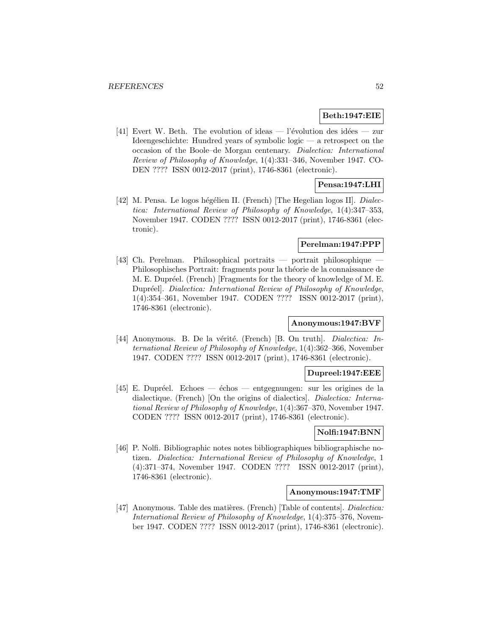## **Beth:1947:EIE**

[41] Evert W. Beth. The evolution of ideas — l'évolution des idées — zur Ideengeschichte: Hundred years of symbolic logic — a retrospect on the occasion of the Boole–de Morgan centenary. Dialectica: International Review of Philosophy of Knowledge, 1(4):331–346, November 1947. CO-DEN ???? ISSN 0012-2017 (print), 1746-8361 (electronic).

## **Pensa:1947:LHI**

[42] M. Pensa. Le logos hégélien II. (French) [The Hegelian logos II]. *Dialec*tica: International Review of Philosophy of Knowledge, 1(4):347–353, November 1947. CODEN ???? ISSN 0012-2017 (print), 1746-8361 (electronic).

## **Perelman:1947:PPP**

 $[43]$  Ch. Perelman. Philosophical portraits — portrait philosophique Philosophisches Portrait: fragments pour la théorie de la connaissance de M. E. Dupréel. (French) [Fragments for the theory of knowledge of M. E. Dupréel]. Dialectica: International Review of Philosophy of Knowledge, 1(4):354–361, November 1947. CODEN ???? ISSN 0012-2017 (print), 1746-8361 (electronic).

### **Anonymous:1947:BVF**

[44] Anonymous. B. De la vérité. (French) [B. On truth]. Dialectica: International Review of Philosophy of Knowledge, 1(4):362–366, November 1947. CODEN ???? ISSN 0012-2017 (print), 1746-8361 (electronic).

#### **Dupreel:1947:EEE**

[45] E. Dupréel. Echoes — échos — entgegnungen: sur les origines de la dialectique. (French) [On the origins of dialectics]. Dialectica: International Review of Philosophy of Knowledge, 1(4):367–370, November 1947. CODEN ???? ISSN 0012-2017 (print), 1746-8361 (electronic).

## **Nolfi:1947:BNN**

[46] P. Nolfi. Bibliographic notes notes bibliographiques bibliographische notizen. Dialectica: International Review of Philosophy of Knowledge, 1 (4):371–374, November 1947. CODEN ???? ISSN 0012-2017 (print), 1746-8361 (electronic).

### **Anonymous:1947:TMF**

[47] Anonymous. Table des matières. (French) [Table of contents]. *Dialectica:* International Review of Philosophy of Knowledge, 1(4):375–376, November 1947. CODEN ???? ISSN 0012-2017 (print), 1746-8361 (electronic).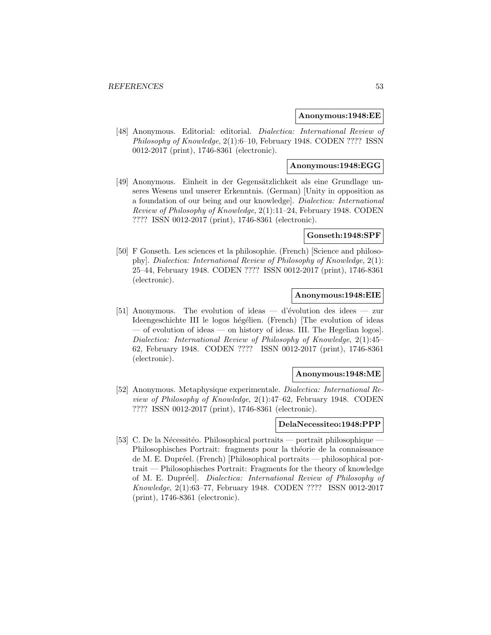#### **Anonymous:1948:EE**

[48] Anonymous. Editorial: editorial. Dialectica: International Review of Philosophy of Knowledge, 2(1):6–10, February 1948. CODEN ???? ISSN 0012-2017 (print), 1746-8361 (electronic).

### **Anonymous:1948:EGG**

[49] Anonymous. Einheit in der Gegensätzlichkeit als eine Grundlage unseres Wesens und unserer Erkenntnis. (German) [Unity in opposition as a foundation of our being and our knowledge]. Dialectica: International Review of Philosophy of Knowledge, 2(1):11–24, February 1948. CODEN ???? ISSN 0012-2017 (print), 1746-8361 (electronic).

#### **Gonseth:1948:SPF**

[50] F Gonseth. Les sciences et la philosophie. (French) [Science and philosophy]. Dialectica: International Review of Philosophy of Knowledge, 2(1): 25–44, February 1948. CODEN ???? ISSN 0012-2017 (print), 1746-8361 (electronic).

## **Anonymous:1948:EIE**

[51] Anonymous. The evolution of ideas — d'évolution des idees — zur Ideengeschichte III le logos hégélien. (French) [The evolution of ideas — of evolution of ideas — on history of ideas. III. The Hegelian logos]. Dialectica: International Review of Philosophy of Knowledge, 2(1):45– 62, February 1948. CODEN ???? ISSN 0012-2017 (print), 1746-8361 (electronic).

### **Anonymous:1948:ME**

[52] Anonymous. Metaphysique experimentale. Dialectica: International Review of Philosophy of Knowledge, 2(1):47–62, February 1948. CODEN ???? ISSN 0012-2017 (print), 1746-8361 (electronic).

### **DelaNecessiteo:1948:PPP**

[53] C. De la Nécessitéo. Philosophical portraits — portrait philosophique  $\overline{\phantom{a}}$ Philosophisches Portrait: fragments pour la théorie de la connaissance de M. E. Dupréel. (French) [Philosophical portraits — philosophical portrait — Philosophisches Portrait: Fragments for the theory of knowledge of M. E. Dupréel]. Dialectica: International Review of Philosophy of Knowledge, 2(1):63–77, February 1948. CODEN ???? ISSN 0012-2017 (print), 1746-8361 (electronic).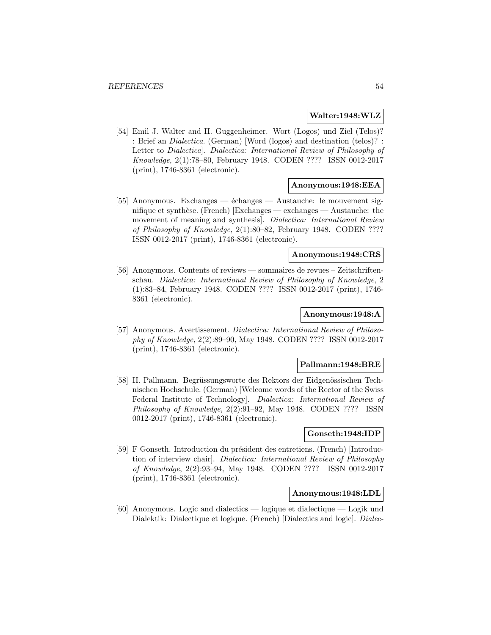### **Walter:1948:WLZ**

[54] Emil J. Walter and H. Guggenheimer. Wort (Logos) und Ziel (Telos)? : Brief an Dialectica. (German) [Word (logos) and destination (telos)? : Letter to Dialectica]. Dialectica: International Review of Philosophy of Knowledge, 2(1):78–80, February 1948. CODEN ???? ISSN 0012-2017 (print), 1746-8361 (electronic).

### **Anonymous:1948:EEA**

[55] Anonymous. Exchanges —  $\acute{e}$ changes — Austauche: le mouvement signifique et synthèse. (French)  $|$ Exchanges — exchanges — Austauche: the movement of meaning and synthesis]. Dialectica: International Review of Philosophy of Knowledge, 2(1):80–82, February 1948. CODEN ???? ISSN 0012-2017 (print), 1746-8361 (electronic).

### **Anonymous:1948:CRS**

[56] Anonymous. Contents of reviews — sommaires de revues – Zeitschriftenschau. Dialectica: International Review of Philosophy of Knowledge, 2 (1):83–84, February 1948. CODEN ???? ISSN 0012-2017 (print), 1746- 8361 (electronic).

#### **Anonymous:1948:A**

[57] Anonymous. Avertissement. Dialectica: International Review of Philosophy of Knowledge, 2(2):89–90, May 1948. CODEN ???? ISSN 0012-2017 (print), 1746-8361 (electronic).

### **Pallmann:1948:BRE**

[58] H. Pallmann. Begrüssungsworte des Rektors der Eidgenössischen Technischen Hochschule. (German) [Welcome words of the Rector of the Swiss Federal Institute of Technology]. Dialectica: International Review of Philosophy of Knowledge, 2(2):91–92, May 1948. CODEN ???? ISSN 0012-2017 (print), 1746-8361 (electronic).

### **Gonseth:1948:IDP**

[59] F Gonseth. Introduction du président des entretiens. (French) [Introduction of interview chair]. Dialectica: International Review of Philosophy of Knowledge, 2(2):93–94, May 1948. CODEN ???? ISSN 0012-2017 (print), 1746-8361 (electronic).

### **Anonymous:1948:LDL**

[60] Anonymous. Logic and dialectics — logique et dialectique — Logik und Dialektik: Dialectique et logique. (French) [Dialectics and logic]. Dialec-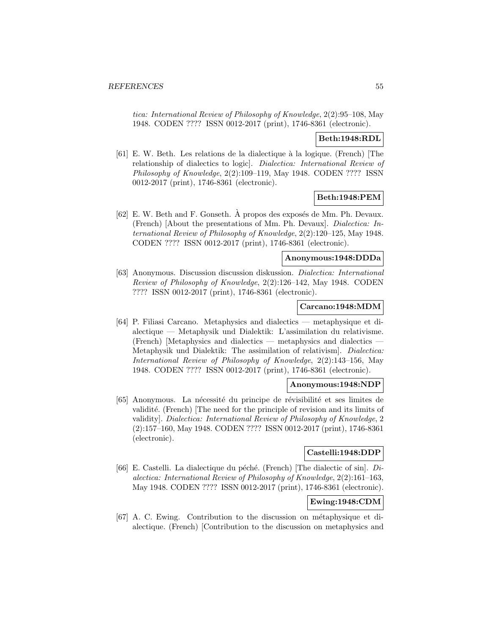tica: International Review of Philosophy of Knowledge, 2(2):95–108, May 1948. CODEN ???? ISSN 0012-2017 (print), 1746-8361 (electronic).

## **Beth:1948:RDL**

[61] E. W. Beth. Les relations de la dialectique à la logique. (French) [The relationship of dialectics to logic]. Dialectica: International Review of Philosophy of Knowledge, 2(2):109–119, May 1948. CODEN ???? ISSN 0012-2017 (print), 1746-8361 (electronic).

# **Beth:1948:PEM**

[62] E. W. Beth and F. Gonseth.  $\hat{A}$  propos des exposés de Mm. Ph. Devaux. (French) [About the presentations of Mm. Ph. Devaux]. Dialectica: International Review of Philosophy of Knowledge, 2(2):120–125, May 1948. CODEN ???? ISSN 0012-2017 (print), 1746-8361 (electronic).

### **Anonymous:1948:DDDa**

[63] Anonymous. Discussion discussion diskussion. Dialectica: International Review of Philosophy of Knowledge, 2(2):126–142, May 1948. CODEN ???? ISSN 0012-2017 (print), 1746-8361 (electronic).

### **Carcano:1948:MDM**

[64] P. Filiasi Carcano. Metaphysics and dialectics — metaphysique et dialectique — Metaphysik und Dialektik: L'assimilation du relativisme. (French) [Metaphysics and dialectics — metaphysics and dialectics — Metaphysik und Dialektik: The assimilation of relativism]. Dialectica: International Review of Philosophy of Knowledge, 2(2):143–156, May 1948. CODEN ???? ISSN 0012-2017 (print), 1746-8361 (electronic).

### **Anonymous:1948:NDP**

[65] Anonymous. La nécessité du principe de révisibilité et ses limites de validité. (French) [The need for the principle of revision and its limits of validity]. Dialectica: International Review of Philosophy of Knowledge, 2 (2):157–160, May 1948. CODEN ???? ISSN 0012-2017 (print), 1746-8361 (electronic).

## **Castelli:1948:DDP**

[66] E. Castelli. La dialectique du péché. (French) [The dialectic of sin].  $Di$ alectica: International Review of Philosophy of Knowledge, 2(2):161–163, May 1948. CODEN ???? ISSN 0012-2017 (print), 1746-8361 (electronic).

# **Ewing:1948:CDM**

[67] A. C. Ewing. Contribution to the discussion on métaphysique et dialectique. (French) [Contribution to the discussion on metaphysics and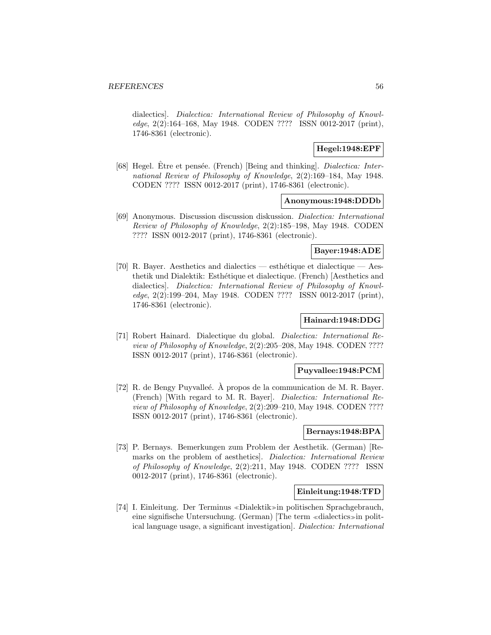dialectics]. Dialectica: International Review of Philosophy of Knowledge, 2(2):164–168, May 1948. CODEN ???? ISSN 0012-2017 (print), 1746-8361 (electronic).

### **Hegel:1948:EPF**

[68] Hegel. Etre et pensée. (French) [Being and thinking]. *Dialectica: Inter*national Review of Philosophy of Knowledge, 2(2):169–184, May 1948. CODEN ???? ISSN 0012-2017 (print), 1746-8361 (electronic).

### **Anonymous:1948:DDDb**

[69] Anonymous. Discussion discussion diskussion. Dialectica: International Review of Philosophy of Knowledge, 2(2):185–198, May 1948. CODEN ???? ISSN 0012-2017 (print), 1746-8361 (electronic).

## **Bayer:1948:ADE**

[70] R. Bayer. Aesthetics and dialectics — esthétique et dialectique — Aesthetik und Dialektik: Esth´etique et dialectique. (French) [Aesthetics and dialectics]. Dialectica: International Review of Philosophy of Knowledge, 2(2):199–204, May 1948. CODEN ???? ISSN 0012-2017 (print), 1746-8361 (electronic).

### **Hainard:1948:DDG**

[71] Robert Hainard. Dialectique du global. Dialectica: International Review of Philosophy of Knowledge, 2(2):205–208, May 1948. CODEN ???? ISSN 0012-2017 (print), 1746-8361 (electronic).

### **Puyvallee:1948:PCM**

[72] R. de Bengy Puyvalleé.  $\hat{A}$  propos de la communication de M. R. Bayer. (French) [With regard to M. R. Bayer]. Dialectica: International Review of Philosophy of Knowledge, 2(2):209–210, May 1948. CODEN ???? ISSN 0012-2017 (print), 1746-8361 (electronic).

#### **Bernays:1948:BPA**

[73] P. Bernays. Bemerkungen zum Problem der Aesthetik. (German) [Remarks on the problem of aesthetics]. Dialectica: International Review of Philosophy of Knowledge, 2(2):211, May 1948. CODEN ???? ISSN 0012-2017 (print), 1746-8361 (electronic).

### **Einleitung:1948:TFD**

[74] I. Einleitung. Der Terminus «Dialektik» in politischen Sprachgebrauch, eine signifische Untersuchung. (German) [The term  $\ll$  dialectics  $\gg$  in political language usage, a significant investigation]. Dialectica: International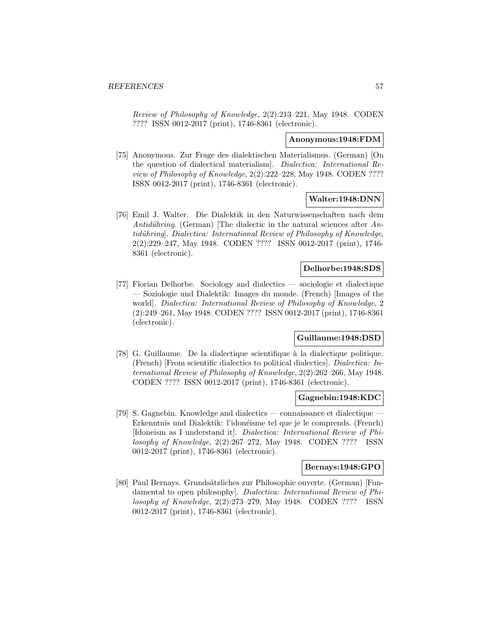Review of Philosophy of Knowledge, 2(2):213–221, May 1948. CODEN ???? ISSN 0012-2017 (print), 1746-8361 (electronic).

#### **Anonymous:1948:FDM**

[75] Anonymous. Zur Frage des dialektischen Materialismus. (German) [On the question of dialectical materialism]. Dialectica: International Review of Philosophy of Knowledge, 2(2):222–228, May 1948. CODEN ???? ISSN 0012-2017 (print), 1746-8361 (electronic).

## **Walter:1948:DNN**

[76] Emil J. Walter. Die Dialektik in den Naturwissenschaften nach dem Antidühring. (German) [The dialectic in the natural sciences after  $An$ tidühring]. Dialectica: International Review of Philosophy of Knowledge, 2(2):229–247, May 1948. CODEN ???? ISSN 0012-2017 (print), 1746- 8361 (electronic).

## **Delhorbe:1948:SDS**

[77] Florian Delhorbe. Sociology and dialectics — sociologie et dialectique — Soziologie und Dialektik: Images du monde. (French) [Images of the world]. Dialectica: International Review of Philosophy of Knowledge, 2 (2):249–261, May 1948. CODEN ???? ISSN 0012-2017 (print), 1746-8361 (electronic).

### **Guillaume:1948:DSD**

[78] G. Guillaume. De la dialectique scientifique à la dialectique politique. (French) [From scientific dialectics to political dialectics]. Dialectica: International Review of Philosophy of Knowledge, 2(2):262–266, May 1948. CODEN ???? ISSN 0012-2017 (print), 1746-8361 (electronic).

## **Gagnebin:1948:KDC**

[79] S. Gagnebin. Knowledge and dialectics — connaissance et dialectique Erkenntnis und Dialektik: l'idonéisme tel que je le comprends. (French) [Idoneism as I understand it]. Dialectica: International Review of Philosophy of Knowledge, 2(2):267–272, May 1948. CODEN ???? ISSN 0012-2017 (print), 1746-8361 (electronic).

## **Bernays:1948:GPO**

[80] Paul Bernays. Grundsätzliches zur Philosophie ouverte. (German) [Fundamental to open philosophy]. Dialectica: International Review of Philosophy of Knowledge, 2(2):273–279, May 1948. CODEN ???? ISSN 0012-2017 (print), 1746-8361 (electronic).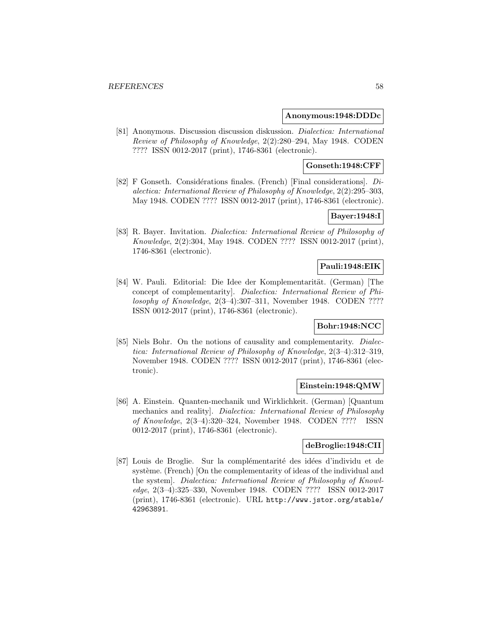#### **Anonymous:1948:DDDc**

[81] Anonymous. Discussion discussion diskussion. Dialectica: International Review of Philosophy of Knowledge, 2(2):280–294, May 1948. CODEN ???? ISSN 0012-2017 (print), 1746-8361 (electronic).

### **Gonseth:1948:CFF**

[82] F Gonseth. Considérations finales. (French) [Final considerations].  $Di$ alectica: International Review of Philosophy of Knowledge, 2(2):295–303, May 1948. CODEN ???? ISSN 0012-2017 (print), 1746-8361 (electronic).

## **Bayer:1948:I**

[83] R. Bayer. Invitation. Dialectica: International Review of Philosophy of Knowledge, 2(2):304, May 1948. CODEN ???? ISSN 0012-2017 (print), 1746-8361 (electronic).

### **Pauli:1948:EIK**

[84] W. Pauli. Editorial: Die Idee der Komplementarität. (German) [The concept of complementarity]. Dialectica: International Review of Philosophy of Knowledge, 2(3–4):307–311, November 1948. CODEN ???? ISSN 0012-2017 (print), 1746-8361 (electronic).

## **Bohr:1948:NCC**

[85] Niels Bohr. On the notions of causality and complementarity. Dialectica: International Review of Philosophy of Knowledge, 2(3–4):312–319, November 1948. CODEN ???? ISSN 0012-2017 (print), 1746-8361 (electronic).

## **Einstein:1948:QMW**

[86] A. Einstein. Quanten-mechanik und Wirklichkeit. (German) [Quantum mechanics and reality]. Dialectica: International Review of Philosophy of Knowledge, 2(3–4):320–324, November 1948. CODEN ???? ISSN 0012-2017 (print), 1746-8361 (electronic).

## **deBroglie:1948:CII**

[87] Louis de Broglie. Sur la complémentarité des idées d'individu et de système. (French) [On the complementarity of ideas of the individual and the system]. Dialectica: International Review of Philosophy of Knowledge, 2(3–4):325–330, November 1948. CODEN ???? ISSN 0012-2017 (print), 1746-8361 (electronic). URL http://www.jstor.org/stable/ 42963891.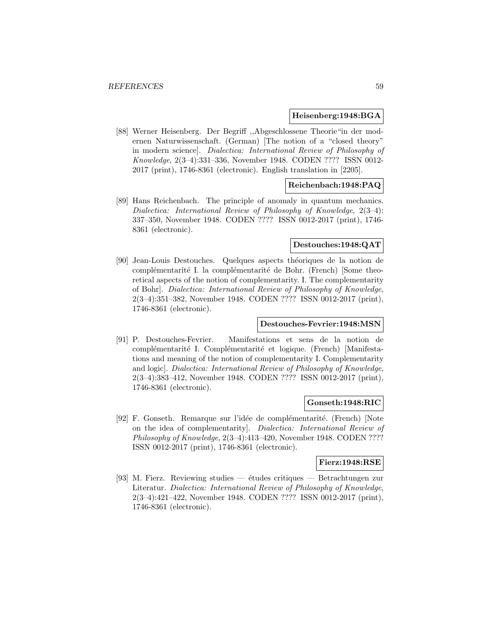### **Heisenberg:1948:BGA**

[88] Werner Heisenberg. Der Begriff ,,Abgeschlossene Theorie"in der modernen Naturwissenschaft. (German) [The notion of a "closed theory" in modern science]. Dialectica: International Review of Philosophy of Knowledge, 2(3–4):331–336, November 1948. CODEN ???? ISSN 0012- 2017 (print), 1746-8361 (electronic). English translation in [2205].

## **Reichenbach:1948:PAQ**

[89] Hans Reichenbach. The principle of anomaly in quantum mechanics. Dialectica: International Review of Philosophy of Knowledge, 2(3–4): 337–350, November 1948. CODEN ???? ISSN 0012-2017 (print), 1746- 8361 (electronic).

#### **Destouches:1948:QAT**

[90] Jean-Louis Destouches. Quelques aspects théoriques de la notion de complémentarité I. la complémentarité de Bohr. (French) [Some theoretical aspects of the notion of complementarity. I. The complementarity of Bohr]. Dialectica: International Review of Philosophy of Knowledge, 2(3–4):351–382, November 1948. CODEN ???? ISSN 0012-2017 (print), 1746-8361 (electronic).

### **Destouches-Fevrier:1948:MSN**

[91] P. Destouches-Fevrier. Manifestations et sens de la notion de complémentarité I. Complémentarité et logique. (French) [Manifestations and meaning of the notion of complementarity I. Complementarity and logic]. Dialectica: International Review of Philosophy of Knowledge, 2(3–4):383–412, November 1948. CODEN ???? ISSN 0012-2017 (print), 1746-8361 (electronic).

#### **Gonseth:1948:RIC**

[92] F. Gonseth. Remarque sur l'idée de complémentarité. (French) [Note on the idea of complementarity]. Dialectica: International Review of Philosophy of Knowledge, 2(3–4):413–420, November 1948. CODEN ???? ISSN 0012-2017 (print), 1746-8361 (electronic).

### **Fierz:1948:RSE**

[93] M. Fierz. Reviewing studies — études critiques — Betrachtungen zur Literatur. Dialectica: International Review of Philosophy of Knowledge, 2(3–4):421–422, November 1948. CODEN ???? ISSN 0012-2017 (print), 1746-8361 (electronic).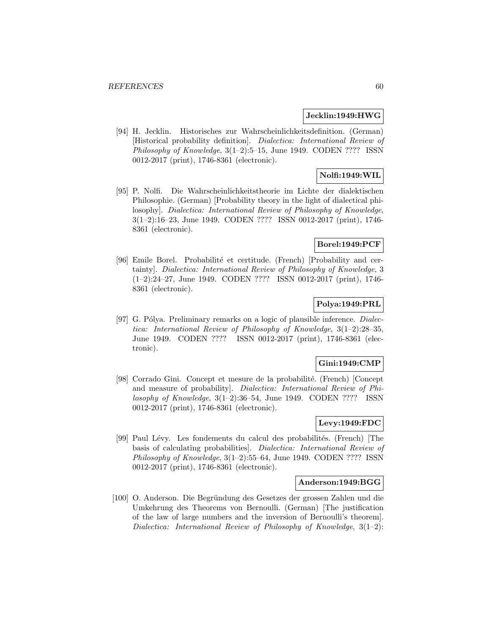### **Jecklin:1949:HWG**

[94] H. Jecklin. Historisches zur Wahrscheinlichkeitsdefinition. (German) [Historical probability definition]. Dialectica: International Review of Philosophy of Knowledge,  $3(1-2):5-15$ , June 1949. CODEN ???? ISSN 0012-2017 (print), 1746-8361 (electronic).

## **Nolfi:1949:WIL**

[95] P. Nolfi. Die Wahrscheinlichkeitstheorie im Lichte der dialektischen Philosophie. (German) [Probability theory in the light of dialectical philosophy]. Dialectica: International Review of Philosophy of Knowledge, 3(1–2):16–23, June 1949. CODEN ???? ISSN 0012-2017 (print), 1746- 8361 (electronic).

## **Borel:1949:PCF**

[96] Emile Borel. Probabilité et certitude. (French) [Probability and certainty]. Dialectica: International Review of Philosophy of Knowledge, 3 (1–2):24–27, June 1949. CODEN ???? ISSN 0012-2017 (print), 1746- 8361 (electronic).

# **Polya:1949:PRL**

[97] G. Pólya. Preliminary remarks on a logic of plausible inference. *Dialec*tica: International Review of Philosophy of Knowledge, 3(1–2):28–35, June 1949. CODEN ???? ISSN 0012-2017 (print), 1746-8361 (electronic).

## **Gini:1949:CMP**

[98] Corrado Gini. Concept et mesure de la probabilité. (French) [Concept and measure of probability]. Dialectica: International Review of Philosophy of Knowledge,  $3(1-2)$ :36-54, June 1949. CODEN ???? ISSN 0012-2017 (print), 1746-8361 (electronic).

# **Levy:1949:FDC**

[99] Paul Lévy. Les fondements du calcul des probabilités. (French) [The basis of calculating probabilities]. Dialectica: International Review of Philosophy of Knowledge, 3(1–2):55–64, June 1949. CODEN ???? ISSN 0012-2017 (print), 1746-8361 (electronic).

### **Anderson:1949:BGG**

[100] O. Anderson. Die Begründung des Gesetzes der grossen Zahlen und die Umkehrung des Theorems von Bernoulli. (German) [The justification of the law of large numbers and the inversion of Bernoulli's theorem]. Dialectica: International Review of Philosophy of Knowledge, 3(1–2):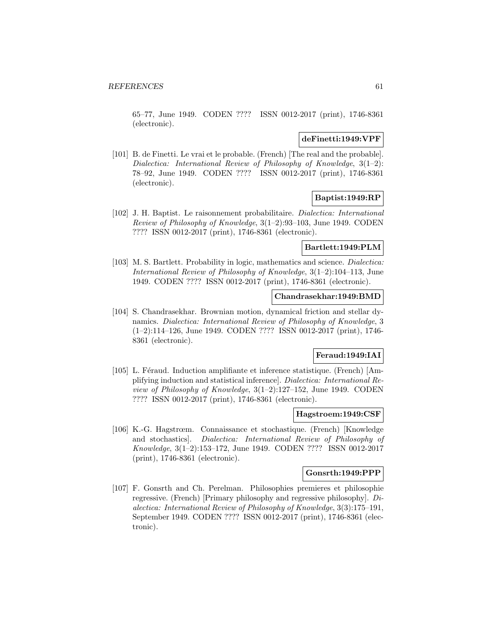65–77, June 1949. CODEN ???? ISSN 0012-2017 (print), 1746-8361 (electronic).

### **deFinetti:1949:VPF**

[101] B. de Finetti. Le vrai et le probable. (French) [The real and the probable]. Dialectica: International Review of Philosophy of Knowledge, 3(1–2): 78–92, June 1949. CODEN ???? ISSN 0012-2017 (print), 1746-8361 (electronic).

## **Baptist:1949:RP**

[102] J. H. Baptist. Le raisonnement probabilitaire. Dialectica: International Review of Philosophy of Knowledge, 3(1–2):93–103, June 1949. CODEN ???? ISSN 0012-2017 (print), 1746-8361 (electronic).

## **Bartlett:1949:PLM**

[103] M. S. Bartlett. Probability in logic, mathematics and science. Dialectica: International Review of Philosophy of Knowledge, 3(1–2):104–113, June 1949. CODEN ???? ISSN 0012-2017 (print), 1746-8361 (electronic).

## **Chandrasekhar:1949:BMD**

[104] S. Chandrasekhar. Brownian motion, dynamical friction and stellar dynamics. Dialectica: International Review of Philosophy of Knowledge, 3 (1–2):114–126, June 1949. CODEN ???? ISSN 0012-2017 (print), 1746- 8361 (electronic).

### **Feraud:1949:IAI**

[105] L. Féraud. Induction amplifiante et inference statistique. (French) [Amplifying induction and statistical inference]. Dialectica: International Review of Philosophy of Knowledge, 3(1–2):127–152, June 1949. CODEN ???? ISSN 0012-2017 (print), 1746-8361 (electronic).

#### **Hagstroem:1949:CSF**

[106] K.-G. Hagstrœm. Connaissance et stochastique. (French) [Knowledge and stochastics]. Dialectica: International Review of Philosophy of Knowledge, 3(1–2):153–172, June 1949. CODEN ???? ISSN 0012-2017 (print), 1746-8361 (electronic).

#### **Gonsrth:1949:PPP**

[107] F. Gonsrth and Ch. Perelman. Philosophies premieres et philosophie regressive. (French) [Primary philosophy and regressive philosophy]. Dialectica: International Review of Philosophy of Knowledge, 3(3):175–191, September 1949. CODEN ???? ISSN 0012-2017 (print), 1746-8361 (electronic).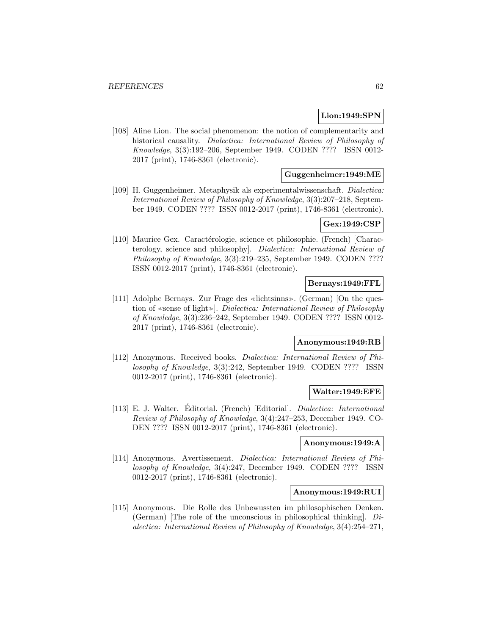## **Lion:1949:SPN**

[108] Aline Lion. The social phenomenon: the notion of complementarity and historical causality. Dialectica: International Review of Philosophy of Knowledge, 3(3):192–206, September 1949. CODEN ???? ISSN 0012- 2017 (print), 1746-8361 (electronic).

## **Guggenheimer:1949:ME**

[109] H. Guggenheimer. Metaphysik als experimentalwissenschaft. Dialectica: International Review of Philosophy of Knowledge, 3(3):207–218, September 1949. CODEN ???? ISSN 0012-2017 (print), 1746-8361 (electronic).

# **Gex:1949:CSP**

[110] Maurice Gex. Caractérologie, science et philosophie. (French) [Characterology, science and philosophy]. Dialectica: International Review of Philosophy of Knowledge, 3(3):219–235, September 1949. CODEN ???? ISSN 0012-2017 (print), 1746-8361 (electronic).

## **Bernays:1949:FFL**

[111] Adolphe Bernays. Zur Frage des «lichtsinns». (German) [On the question of «sense of light»]. Dialectica: International Review of Philosophy of Knowledge, 3(3):236–242, September 1949. CODEN ???? ISSN 0012- 2017 (print), 1746-8361 (electronic).

### **Anonymous:1949:RB**

[112] Anonymous. Received books. Dialectica: International Review of Philosophy of Knowledge, 3(3):242, September 1949. CODEN ???? ISSN 0012-2017 (print), 1746-8361 (electronic).

### **Walter:1949:EFE**

[113] E. J. Walter. Editorial. (French) [Editorial]. *Dialectica: International* Review of Philosophy of Knowledge, 3(4):247–253, December 1949. CO-DEN ???? ISSN 0012-2017 (print), 1746-8361 (electronic).

### **Anonymous:1949:A**

[114] Anonymous. Avertissement. Dialectica: International Review of Philosophy of Knowledge, 3(4):247, December 1949. CODEN ???? ISSN 0012-2017 (print), 1746-8361 (electronic).

#### **Anonymous:1949:RUI**

[115] Anonymous. Die Rolle des Unbewussten im philosophischen Denken. (German) The role of the unconscious in philosophical thinking.  $Di$ alectica: International Review of Philosophy of Knowledge, 3(4):254–271,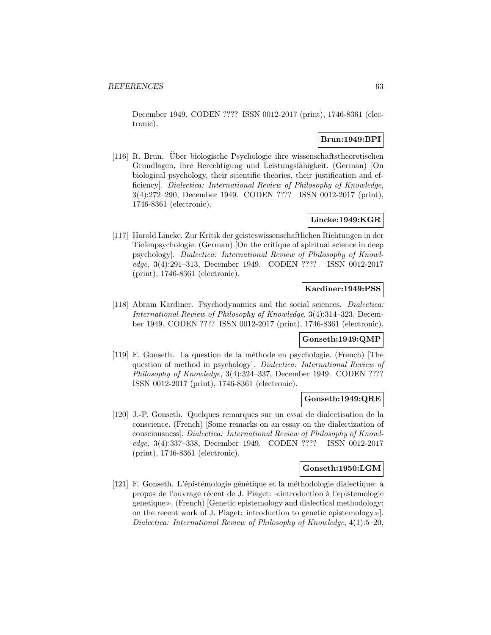December 1949. CODEN ???? ISSN 0012-2017 (print), 1746-8361 (electronic).

## **Brun:1949:BPI**

[116] R. Brun. Uber biologische Psychologie ihre wissenschaftstheoretischen ¨ Grundlagen, ihre Berechtigung und Leistungsfähigkeit. (German) [On biological psychology, their scientific theories, their justification and efficiency]. Dialectica: International Review of Philosophy of Knowledge, 3(4):272–290, December 1949. CODEN ???? ISSN 0012-2017 (print), 1746-8361 (electronic).

## **Lincke:1949:KGR**

[117] Harold Lincke. Zur Kritik der geisteswissenschaftlichen Richtungen in der Tiefenpsychologie. (German) [On the critique of spiritual science in deep psychology]. Dialectica: International Review of Philosophy of Knowledge, 3(4):291–313, December 1949. CODEN ???? ISSN 0012-2017 (print), 1746-8361 (electronic).

## **Kardiner:1949:PSS**

[118] Abram Kardiner. Psychodynamics and the social sciences. Dialectica: International Review of Philosophy of Knowledge, 3(4):314–323, December 1949. CODEN ???? ISSN 0012-2017 (print), 1746-8361 (electronic).

## **Gonseth:1949:QMP**

[119] F. Gonseth. La question de la m´ethode en psychologie. (French) [The question of method in psychology]. Dialectica: International Review of Philosophy of Knowledge, 3(4):324–337, December 1949. CODEN ???? ISSN 0012-2017 (print), 1746-8361 (electronic).

### **Gonseth:1949:QRE**

[120] J.-P. Gonseth. Quelques remarques sur un essai de dialectisation de la conscience. (French) [Some remarks on an essay on the dialectization of consciousness]. Dialectica: International Review of Philosophy of Knowledge, 3(4):337–338, December 1949. CODEN ???? ISSN 0012-2017 (print), 1746-8361 (electronic).

### **Gonseth:1950:LGM**

[121] F. Gonseth. L'épistémologie génétique et la méthodologie dialectique: à propos de l'ouvrage récent de J. Piaget: «introduction à l'epistemologie genetique». (French) [Genetic epistemology and dialectical methodology: on the recent work of J. Piaget: introduction to genetic epistemology. Dialectica: International Review of Philosophy of Knowledge, 4(1):5–20,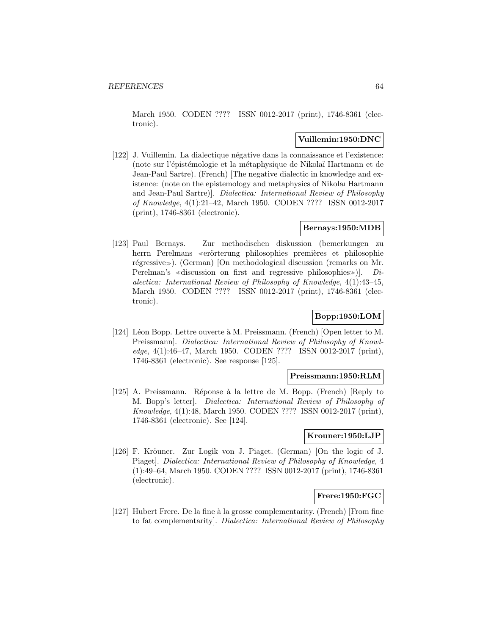March 1950. CODEN ???? ISSN 0012-2017 (print), 1746-8361 (electronic).

## **Vuillemin:1950:DNC**

[122] J. Vuillemin. La dialectique négative dans la connaissance et l'existence: (note sur l'épistémologie et la métaphysique de Nikolaï Hartmann et de Jean-Paul Sartre). (French) [The negative dialectic in knowledge and existence: (note on the epistemology and metaphysics of Nikolaı Hartmann and Jean-Paul Sartre)]. Dialectica: International Review of Philosophy of Knowledge, 4(1):21–42, March 1950. CODEN ???? ISSN 0012-2017 (print), 1746-8361 (electronic).

## **Bernays:1950:MDB**

[123] Paul Bernays. Zur methodischen diskussion (bemerkungen zu herrn Perelmans «erörterung philosophies premières et philosophie régressive»). (German) [On methodological discussion (remarks on Mr. Perelman's «discussion on first and regressive philosophies»). Dialectica: International Review of Philosophy of Knowledge, 4(1):43–45, March 1950. CODEN ???? ISSN 0012-2017 (print), 1746-8361 (electronic).

# **Bopp:1950:LOM**

[124] Léon Bopp. Lettre ouverte à M. Preissmann. (French) [Open letter to M. Preissmann]. Dialectica: International Review of Philosophy of Knowledge, 4(1):46–47, March 1950. CODEN ???? ISSN 0012-2017 (print), 1746-8361 (electronic). See response [125].

#### **Preissmann:1950:RLM**

[125] A. Preissmann. Réponse à la lettre de M. Bopp. (French) [Reply to M. Bopp's letter]. Dialectica: International Review of Philosophy of Knowledge, 4(1):48, March 1950. CODEN ???? ISSN 0012-2017 (print), 1746-8361 (electronic). See [124].

## **Krouner:1950:LJP**

[126] F. Kröuner. Zur Logik von J. Piaget. (German) [On the logic of J. Piaget]. Dialectica: International Review of Philosophy of Knowledge, 4 (1):49–64, March 1950. CODEN ???? ISSN 0012-2017 (print), 1746-8361 (electronic).

### **Frere:1950:FGC**

[127] Hubert Frere. De la fine à la grosse complementarity. (French) [From fine to fat complementarity]. Dialectica: International Review of Philosophy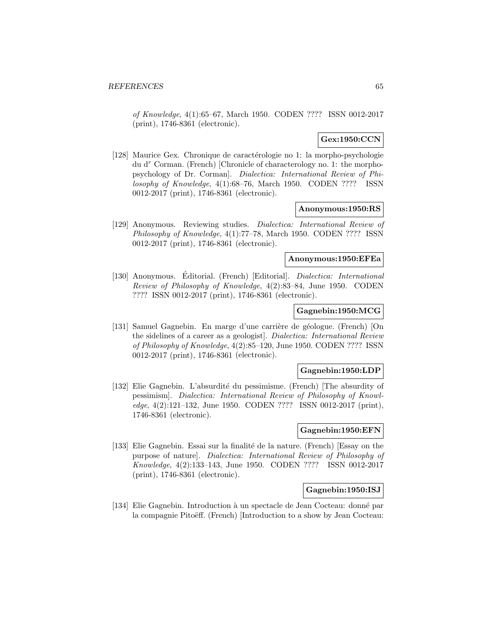of Knowledge, 4(1):65–67, March 1950. CODEN ???? ISSN 0012-2017 (print), 1746-8361 (electronic).

## **Gex:1950:CCN**

[128] Maurice Gex. Chronique de caractérologie no 1: la morpho-psychologie du d<sup>r</sup> Corman. (French) [Chronicle of characterology no. 1: the morphopsychology of Dr. Corman]. Dialectica: International Review of Philosophy of Knowledge, 4(1):68–76, March 1950. CODEN ???? ISSN 0012-2017 (print), 1746-8361 (electronic).

#### **Anonymous:1950:RS**

[129] Anonymous. Reviewing studies. Dialectica: International Review of Philosophy of Knowledge, 4(1):77–78, March 1950. CODEN ???? ISSN 0012-2017 (print), 1746-8361 (electronic).

#### **Anonymous:1950:EFEa**

[130] Anonymous. Editorial. (French) [Editorial]. *Dialectica: International* Review of Philosophy of Knowledge, 4(2):83–84, June 1950. CODEN ???? ISSN 0012-2017 (print), 1746-8361 (electronic).

### **Gagnebin:1950:MCG**

[131] Samuel Gagnebin. En marge d'une carrière de géologue. (French) [On the sidelines of a career as a geologist]. Dialectica: International Review of Philosophy of Knowledge, 4(2):85–120, June 1950. CODEN ???? ISSN 0012-2017 (print), 1746-8361 (electronic).

#### **Gagnebin:1950:LDP**

[132] Elie Gagnebin. L'absurdité du pessimisme. (French) [The absurdity of pessimism]. Dialectica: International Review of Philosophy of Knowledge, 4(2):121–132, June 1950. CODEN ???? ISSN 0012-2017 (print), 1746-8361 (electronic).

### **Gagnebin:1950:EFN**

[133] Elie Gagnebin. Essai sur la finalité de la nature. (French) [Essay on the purpose of nature]. Dialectica: International Review of Philosophy of Knowledge, 4(2):133–143, June 1950. CODEN ???? ISSN 0012-2017 (print), 1746-8361 (electronic).

### **Gagnebin:1950:ISJ**

[134] Elie Gagnebin. Introduction à un spectacle de Jean Cocteau: donné par la compagnie Pitoëff. (French) [Introduction to a show by Jean Cocteau: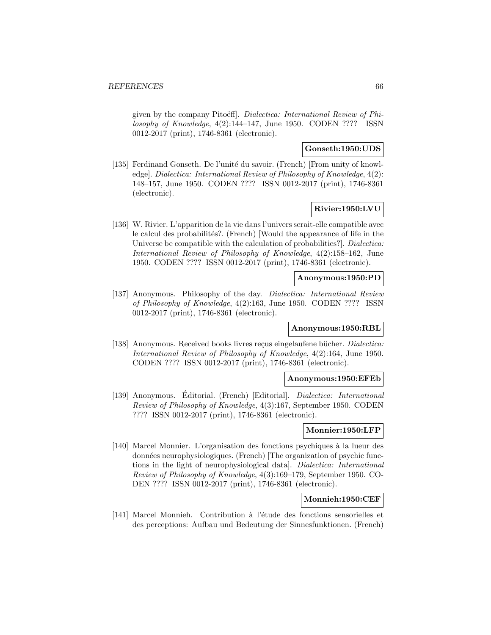given by the company Pitoëff. Dialectica: International Review of Philosophy of Knowledge, 4(2):144–147, June 1950. CODEN ???? ISSN 0012-2017 (print), 1746-8361 (electronic).

## **Gonseth:1950:UDS**

[135] Ferdinand Gonseth. De l'unité du savoir. (French) [From unity of knowledge]. Dialectica: International Review of Philosophy of Knowledge, 4(2): 148–157, June 1950. CODEN ???? ISSN 0012-2017 (print), 1746-8361 (electronic).

### **Rivier:1950:LVU**

[136] W. Rivier. L'apparition de la vie dans l'univers serait-elle compatible avec le calcul des probabilités?. (French) [Would the appearance of life in the Universe be compatible with the calculation of probabilities?]. *Dialectica*: International Review of Philosophy of Knowledge, 4(2):158–162, June 1950. CODEN ???? ISSN 0012-2017 (print), 1746-8361 (electronic).

## **Anonymous:1950:PD**

[137] Anonymous. Philosophy of the day. Dialectica: International Review of Philosophy of Knowledge, 4(2):163, June 1950. CODEN ???? ISSN 0012-2017 (print), 1746-8361 (electronic).

### **Anonymous:1950:RBL**

[138] Anonymous. Received books livres reçus eingelaufene bücher. *Dialectica:* International Review of Philosophy of Knowledge, 4(2):164, June 1950. CODEN ???? ISSN 0012-2017 (print), 1746-8361 (electronic).

#### **Anonymous:1950:EFEb**

[139] Anonymous. Editorial. (French) [Editorial]. *Dialectica: International* Review of Philosophy of Knowledge, 4(3):167, September 1950. CODEN ???? ISSN 0012-2017 (print), 1746-8361 (electronic).

#### **Monnier:1950:LFP**

[140] Marcel Monnier. L'organisation des fonctions psychiques `a la lueur des données neurophysiologiques. (French) [The organization of psychic functions in the light of neurophysiological data]. Dialectica: International Review of Philosophy of Knowledge, 4(3):169–179, September 1950. CO-DEN ???? ISSN 0012-2017 (print), 1746-8361 (electronic).

#### **Monnieh:1950:CEF**

[141] Marcel Monnieh. Contribution à l'étude des fonctions sensorielles et des perceptions: Aufbau und Bedeutung der Sinnesfunktionen. (French)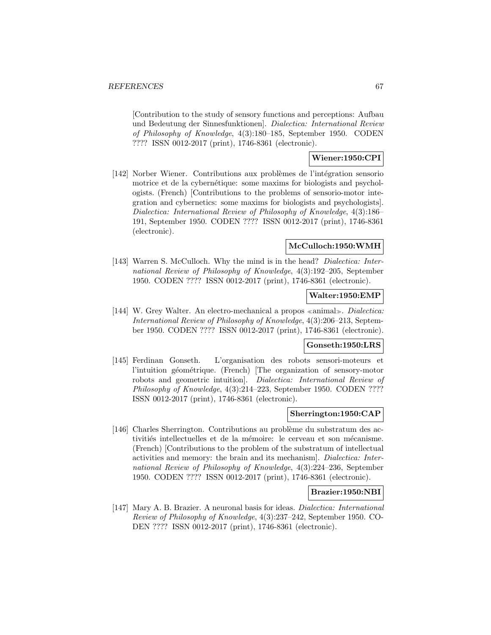[Contribution to the study of sensory functions and perceptions: Aufbau und Bedeutung der Sinnesfunktionen]. Dialectica: International Review of Philosophy of Knowledge, 4(3):180–185, September 1950. CODEN ???? ISSN 0012-2017 (print), 1746-8361 (electronic).

## **Wiener:1950:CPI**

[142] Norber Wiener. Contributions aux problèmes de l'intégration sensorio motrice et de la cybernétique: some maxims for biologists and psychologists. (French) [Contributions to the problems of sensorio-motor integration and cybernetics: some maxims for biologists and psychologists]. Dialectica: International Review of Philosophy of Knowledge, 4(3):186– 191, September 1950. CODEN ???? ISSN 0012-2017 (print), 1746-8361 (electronic).

### **McCulloch:1950:WMH**

[143] Warren S. McCulloch. Why the mind is in the head? *Dialectica: Inter*national Review of Philosophy of Knowledge, 4(3):192–205, September 1950. CODEN ???? ISSN 0012-2017 (print), 1746-8361 (electronic).

### **Walter:1950:EMP**

[144] W. Grey Walter. An electro-mechanical a propos  $\alpha$  animal. Dialectica: International Review of Philosophy of Knowledge, 4(3):206–213, September 1950. CODEN ???? ISSN 0012-2017 (print), 1746-8361 (electronic).

## **Gonseth:1950:LRS**

[145] Ferdinan Gonseth. L'organisation des robots sensori-moteurs et l'intuition géométrique. (French) [The organization of sensory-motor robots and geometric intuition]. Dialectica: International Review of Philosophy of Knowledge, 4(3):214–223, September 1950. CODEN ???? ISSN 0012-2017 (print), 1746-8361 (electronic).

### **Sherrington:1950:CAP**

[146] Charles Sherrington. Contributions au problème du substratum des activitiés intellectuelles et de la mémoire: le cerveau et son mécanisme. (French) [Contributions to the problem of the substratum of intellectual activities and memory: the brain and its mechanism]. Dialectica: International Review of Philosophy of Knowledge, 4(3):224–236, September 1950. CODEN ???? ISSN 0012-2017 (print), 1746-8361 (electronic).

### **Brazier:1950:NBI**

[147] Mary A. B. Brazier. A neuronal basis for ideas. Dialectica: International Review of Philosophy of Knowledge, 4(3):237–242, September 1950. CO-DEN ???? ISSN 0012-2017 (print), 1746-8361 (electronic).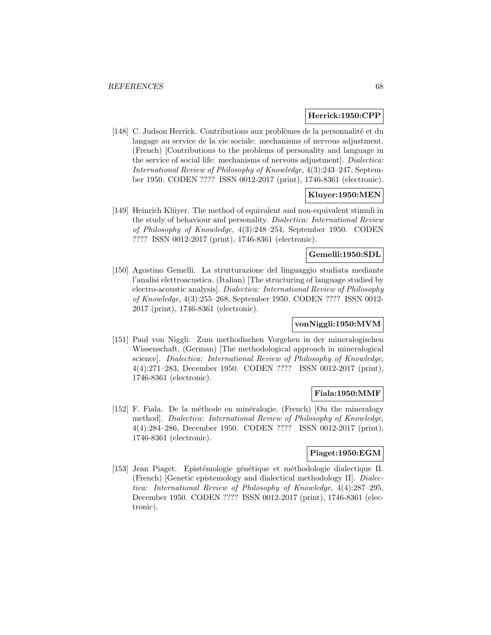#### **Herrick:1950:CPP**

[148] C. Judson Herrick. Contributions aux problèmes de la personnalité et du langage au service de la vie sociale: mechanisms of nervous adjustment. (French) [Contributions to the problems of personality and language in the service of social life: mechanisms of nervous adjustment]. Dialectica: International Review of Philosophy of Knowledge, 4(3):243–247, September 1950. CODEN ???? ISSN 0012-2017 (print), 1746-8361 (electronic).

### **Kluyer:1950:MEN**

[149] Heinrich Klüyer. The method of equivalent and non-equivalent stimuli in the study of behaviour and personality. Dialectica: International Review of Philosophy of Knowledge, 4(3):248–254, September 1950. CODEN ???? ISSN 0012-2017 (print), 1746-8361 (electronic).

## **Gemelli:1950:SDL**

[150] Agostino Gemelli. La strutturazione del linguaggio studiata mediante l'analisi elettroacustica. (Italian) [The structuring of language studied by electro-acoustic analysis]. Dialectica: International Review of Philosophy of Knowledge, 4(3):255–268, September 1950. CODEN ???? ISSN 0012- 2017 (print), 1746-8361 (electronic).

# **vonNiggli:1950:MVM**

[151] Paul von Niggli. Zum methodischen Vorgehen in der mineralogischen Wissenschaft. (German) [The methodological approach in mineralogical science]. Dialectica: International Review of Philosophy of Knowledge, 4(4):271–283, December 1950. CODEN ???? ISSN 0012-2017 (print), 1746-8361 (electronic).

### **Fiala:1950:MMF**

[152] F. Fiala. De la méthode en minéralogie. (French) [On the mineralogy method]. Dialectica: International Review of Philosophy of Knowledge, 4(4):284–286, December 1950. CODEN ???? ISSN 0012-2017 (print), 1746-8361 (electronic).

### **Piaget:1950:EGM**

[153] Jean Piaget. Epistémologie génétique et méthodologie dialectique II. (French) [Genetic epistemology and dialectical methodology II]. Dialectica: International Review of Philosophy of Knowledge, 4(4):287–295, December 1950. CODEN ???? ISSN 0012-2017 (print), 1746-8361 (electronic).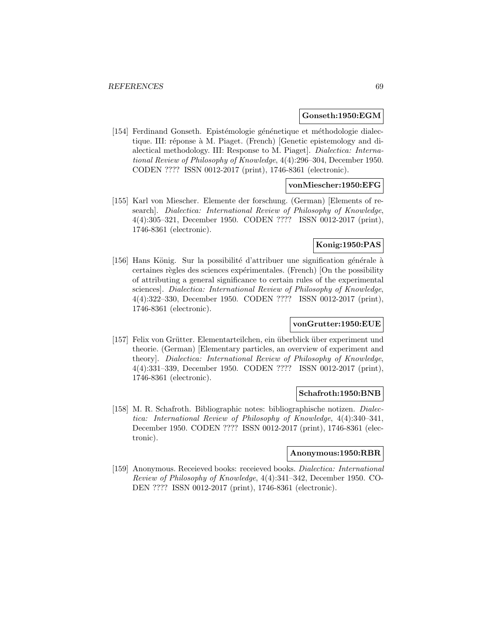#### **Gonseth:1950:EGM**

[154] Ferdinand Gonseth. Epistémologie génénetique et méthodologie dialectique. III: réponse à M. Piaget. (French) [Genetic epistemology and dialectical methodology. III: Response to M. Piaget]. Dialectica: International Review of Philosophy of Knowledge, 4(4):296–304, December 1950. CODEN ???? ISSN 0012-2017 (print), 1746-8361 (electronic).

### **vonMiescher:1950:EFG**

[155] Karl von Miescher. Elemente der forschung. (German) [Elements of research]. Dialectica: International Review of Philosophy of Knowledge, 4(4):305–321, December 1950. CODEN ???? ISSN 0012-2017 (print), 1746-8361 (electronic).

## **Konig:1950:PAS**

[156] Hans König. Sur la possibilité d'attribuer une signification générale à certaines règles des sciences expérimentales. (French) [On the possibility of attributing a general significance to certain rules of the experimental sciences]. Dialectica: International Review of Philosophy of Knowledge, 4(4):322–330, December 1950. CODEN ???? ISSN 0012-2017 (print), 1746-8361 (electronic).

### **vonGrutter:1950:EUE**

[157] Felix von Grütter. Elementarteilchen, ein überblick über experiment und theorie. (German) [Elementary particles, an overview of experiment and theory]. Dialectica: International Review of Philosophy of Knowledge, 4(4):331–339, December 1950. CODEN ???? ISSN 0012-2017 (print), 1746-8361 (electronic).

#### **Schafroth:1950:BNB**

[158] M. R. Schafroth. Bibliographic notes: bibliographische notizen. Dialectica: International Review of Philosophy of Knowledge, 4(4):340–341, December 1950. CODEN ???? ISSN 0012-2017 (print), 1746-8361 (electronic).

### **Anonymous:1950:RBR**

[159] Anonymous. Receieved books: receieved books. Dialectica: International Review of Philosophy of Knowledge, 4(4):341–342, December 1950. CO-DEN ???? ISSN 0012-2017 (print), 1746-8361 (electronic).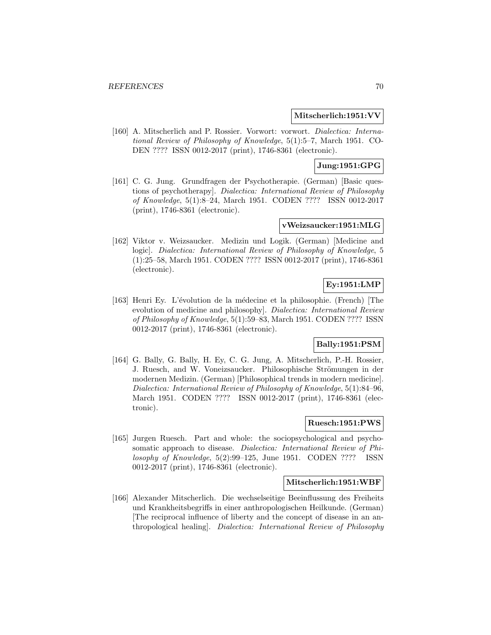### **Mitscherlich:1951:VV**

[160] A. Mitscherlich and P. Rossier. Vorwort: vorwort. Dialectica: International Review of Philosophy of Knowledge, 5(1):5–7, March 1951. CO-DEN ???? ISSN 0012-2017 (print), 1746-8361 (electronic).

# **Jung:1951:GPG**

[161] C. G. Jung. Grundfragen der Psychotherapie. (German) [Basic questions of psychotherapy]. Dialectica: International Review of Philosophy of Knowledge, 5(1):8–24, March 1951. CODEN ???? ISSN 0012-2017 (print), 1746-8361 (electronic).

## **vWeizsaucker:1951:MLG**

[162] Viktor v. Weizsaucker. Medizin und Logik. (German) [Medicine and logic]. Dialectica: International Review of Philosophy of Knowledge, 5 (1):25–58, March 1951. CODEN ???? ISSN 0012-2017 (print), 1746-8361 (electronic).

# **Ey:1951:LMP**

[163] Henri Ey. L'évolution de la médecine et la philosophie. (French) [The evolution of medicine and philosophy]. Dialectica: International Review of Philosophy of Knowledge, 5(1):59–83, March 1951. CODEN ???? ISSN 0012-2017 (print), 1746-8361 (electronic).

# **Bally:1951:PSM**

[164] G. Bally, G. Bally, H. Ey, C. G. Jung, A. Mitscherlich, P.-H. Rossier, J. Ruesch, and W. Voneizsaucker. Philosophische Strömungen in der modernen Medizin. (German) [Philosophical trends in modern medicine]. Dialectica: International Review of Philosophy of Knowledge, 5(1):84–96, March 1951. CODEN ???? ISSN 0012-2017 (print), 1746-8361 (electronic).

### **Ruesch:1951:PWS**

[165] Jurgen Ruesch. Part and whole: the sociopsychological and psychosomatic approach to disease. Dialectica: International Review of Philosophy of Knowledge, 5(2):99–125, June 1951. CODEN ???? ISSN 0012-2017 (print), 1746-8361 (electronic).

### **Mitscherlich:1951:WBF**

[166] Alexander Mitscherlich. Die wechselseitige Beeinflussung des Freiheits und Krankheitsbegriffs in einer anthropologischen Heilkunde. (German) [The reciprocal influence of liberty and the concept of disease in an anthropological healing]. Dialectica: International Review of Philosophy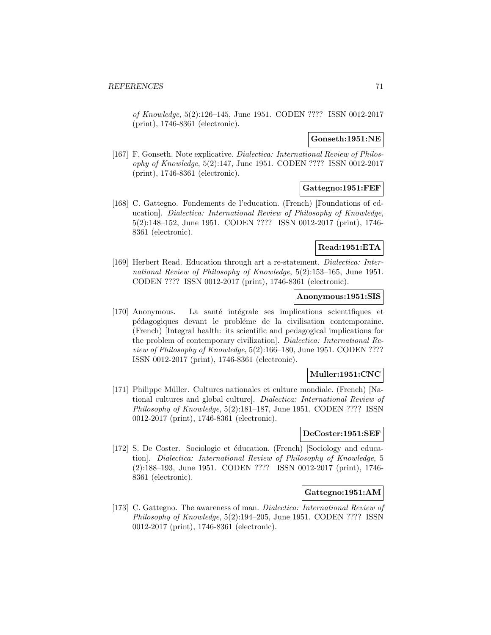of Knowledge, 5(2):126–145, June 1951. CODEN ???? ISSN 0012-2017 (print), 1746-8361 (electronic).

## **Gonseth:1951:NE**

[167] F. Gonseth. Note explicative. Dialectica: International Review of Philosophy of Knowledge, 5(2):147, June 1951. CODEN ???? ISSN 0012-2017 (print), 1746-8361 (electronic).

## **Gattegno:1951:FEF**

[168] C. Gattegno. Fondements de l'education. (French) [Foundations of education]. Dialectica: International Review of Philosophy of Knowledge, 5(2):148–152, June 1951. CODEN ???? ISSN 0012-2017 (print), 1746- 8361 (electronic).

## **Read:1951:ETA**

[169] Herbert Read. Education through art a re-statement. Dialectica: International Review of Philosophy of Knowledge, 5(2):153–165, June 1951. CODEN ???? ISSN 0012-2017 (print), 1746-8361 (electronic).

### **Anonymous:1951:SIS**

[170] Anonymous. La santé intégrale ses implications scienttfiques et pédagogiques devant le probléme de la civilisation contemporaine. (French) [Integral health: its scientific and pedagogical implications for the problem of contemporary civilization]. Dialectica: International Review of Philosophy of Knowledge, 5(2):166–180, June 1951. CODEN ???? ISSN 0012-2017 (print), 1746-8361 (electronic).

### **Muller:1951:CNC**

[171] Philippe Müller. Cultures nationales et culture mondiale. (French) [National cultures and global culture]. Dialectica: International Review of Philosophy of Knowledge, 5(2):181–187, June 1951. CODEN ???? ISSN 0012-2017 (print), 1746-8361 (electronic).

### **DeCoster:1951:SEF**

[172] S. De Coster. Sociologie et éducation. (French) [Sociology and education]. Dialectica: International Review of Philosophy of Knowledge, 5 (2):188–193, June 1951. CODEN ???? ISSN 0012-2017 (print), 1746- 8361 (electronic).

### **Gattegno:1951:AM**

[173] C. Gattegno. The awareness of man. Dialectica: International Review of Philosophy of Knowledge, 5(2):194–205, June 1951. CODEN ???? ISSN 0012-2017 (print), 1746-8361 (electronic).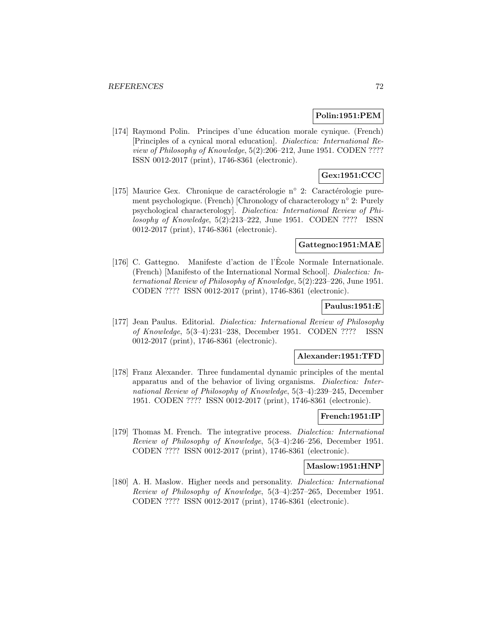## **Polin:1951:PEM**

[174] Raymond Polin. Principes d'une éducation morale cynique. (French) [Principles of a cynical moral education]. Dialectica: International Review of Philosophy of Knowledge, 5(2):206–212, June 1951. CODEN ???? ISSN 0012-2017 (print), 1746-8361 (electronic).

# **Gex:1951:CCC**

[175] Maurice Gex. Chronique de caractérologie n° 2: Caractérologie purement psychologique. (French) [Chronology of characterology n◦ 2: Purely psychological characterology]. Dialectica: International Review of Philosophy of Knowledge, 5(2):213–222, June 1951. CODEN ???? ISSN 0012-2017 (print), 1746-8361 (electronic).

### **Gattegno:1951:MAE**

[176] C. Gattegno. Manifeste d'action de l'Ecole Normale Internationale. (French) [Manifesto of the International Normal School]. Dialectica: International Review of Philosophy of Knowledge, 5(2):223–226, June 1951. CODEN ???? ISSN 0012-2017 (print), 1746-8361 (electronic).

## **Paulus:1951:E**

[177] Jean Paulus. Editorial. Dialectica: International Review of Philosophy of Knowledge, 5(3–4):231–238, December 1951. CODEN ???? ISSN 0012-2017 (print), 1746-8361 (electronic).

## **Alexander:1951:TFD**

[178] Franz Alexander. Three fundamental dynamic principles of the mental apparatus and of the behavior of living organisms. Dialectica: International Review of Philosophy of Knowledge, 5(3–4):239–245, December 1951. CODEN ???? ISSN 0012-2017 (print), 1746-8361 (electronic).

#### **French:1951:IP**

[179] Thomas M. French. The integrative process. Dialectica: International Review of Philosophy of Knowledge, 5(3–4):246–256, December 1951. CODEN ???? ISSN 0012-2017 (print), 1746-8361 (electronic).

### **Maslow:1951:HNP**

[180] A. H. Maslow. Higher needs and personality. Dialectica: International Review of Philosophy of Knowledge, 5(3–4):257–265, December 1951. CODEN ???? ISSN 0012-2017 (print), 1746-8361 (electronic).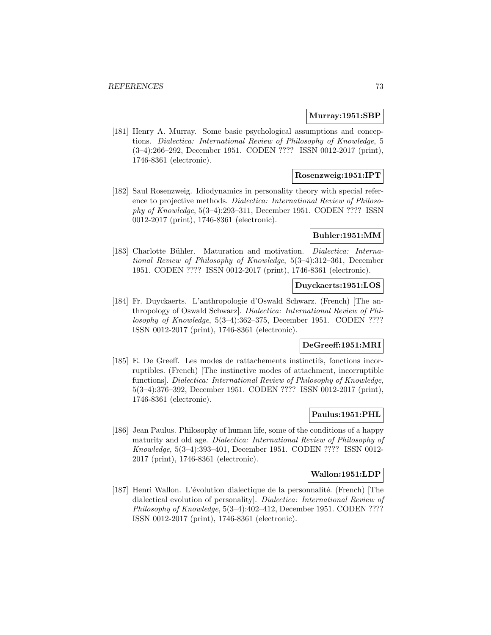#### **Murray:1951:SBP**

[181] Henry A. Murray. Some basic psychological assumptions and conceptions. Dialectica: International Review of Philosophy of Knowledge, 5 (3–4):266–292, December 1951. CODEN ???? ISSN 0012-2017 (print), 1746-8361 (electronic).

# **Rosenzweig:1951:IPT**

[182] Saul Rosenzweig. Idiodynamics in personality theory with special reference to projective methods. Dialectica: International Review of Philosophy of Knowledge, 5(3–4):293–311, December 1951. CODEN ???? ISSN 0012-2017 (print), 1746-8361 (electronic).

#### **Buhler:1951:MM**

[183] Charlotte Bühler. Maturation and motivation. *Dialectica: Interna*tional Review of Philosophy of Knowledge, 5(3–4):312–361, December 1951. CODEN ???? ISSN 0012-2017 (print), 1746-8361 (electronic).

### **Duyckaerts:1951:LOS**

[184] Fr. Duyckaerts. L'anthropologie d'Oswald Schwarz. (French) [The anthropology of Oswald Schwarz]. Dialectica: International Review of Philosophy of Knowledge, 5(3–4):362–375, December 1951. CODEN ???? ISSN 0012-2017 (print), 1746-8361 (electronic).

# **DeGreeff:1951:MRI**

[185] E. De Greeff. Les modes de rattachements instinctifs, fonctions incorruptibles. (French) [The instinctive modes of attachment, incorruptible functions]. Dialectica: International Review of Philosophy of Knowledge, 5(3–4):376–392, December 1951. CODEN ???? ISSN 0012-2017 (print), 1746-8361 (electronic).

# **Paulus:1951:PHL**

[186] Jean Paulus. Philosophy of human life, some of the conditions of a happy maturity and old age. Dialectica: International Review of Philosophy of Knowledge, 5(3–4):393–401, December 1951. CODEN ???? ISSN 0012- 2017 (print), 1746-8361 (electronic).

### **Wallon:1951:LDP**

[187] Henri Wallon. L'évolution dialectique de la personnalité. (French) [The dialectical evolution of personality]. Dialectica: International Review of Philosophy of Knowledge, 5(3–4):402–412, December 1951. CODEN ???? ISSN 0012-2017 (print), 1746-8361 (electronic).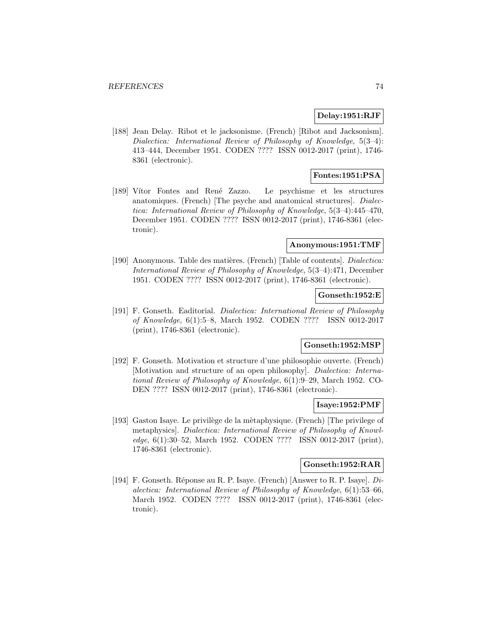### **Delay:1951:RJF**

[188] Jean Delay. Ribot et le jacksonisme. (French) [Ribot and Jacksonism]. Dialectica: International Review of Philosophy of Knowledge, 5(3–4): 413–444, December 1951. CODEN ???? ISSN 0012-2017 (print), 1746- 8361 (electronic).

# **Fontes:1951:PSA**

[189] Vítor Fontes and René Zazzo. Le psychisme et les structures anatomiques. (French) [The psyche and anatomical structures]. Dialectica: International Review of Philosophy of Knowledge, 5(3–4):445–470, December 1951. CODEN ???? ISSN 0012-2017 (print), 1746-8361 (electronic).

#### **Anonymous:1951:TMF**

[190] Anonymous. Table des matières. (French) [Table of contents]. *Dialectica:* International Review of Philosophy of Knowledge, 5(3–4):471, December 1951. CODEN ???? ISSN 0012-2017 (print), 1746-8361 (electronic).

## **Gonseth:1952:E**

[191] F. Gonseth. Eaditorial. Dialectica: International Review of Philosophy of Knowledge, 6(1):5–8, March 1952. CODEN ???? ISSN 0012-2017 (print), 1746-8361 (electronic).

# **Gonseth:1952:MSP**

[192] F. Gonseth. Motivation et structure d'une philosophie ouverte. (French) [Motivation and structure of an open philosophy]. Dialectica: International Review of Philosophy of Knowledge, 6(1):9–29, March 1952. CO-DEN ???? ISSN 0012-2017 (print), 1746-8361 (electronic).

#### **Isaye:1952:PMF**

[193] Gaston Isaye. Le privilège de la mètaphysique. (French) [The privilege of metaphysics]. Dialectica: International Review of Philosophy of Knowledge, 6(1):30–52, March 1952. CODEN ???? ISSN 0012-2017 (print), 1746-8361 (electronic).

# **Gonseth:1952:RAR**

[194] F. Gonseth. Réponse au R. P. Isaye. (French) [Answer to R. P. Isaye].  $Di$ alectica: International Review of Philosophy of Knowledge, 6(1):53–66, March 1952. CODEN ???? ISSN 0012-2017 (print), 1746-8361 (electronic).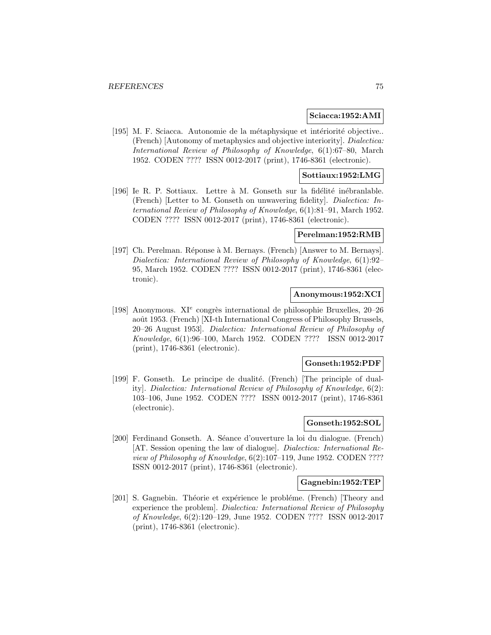#### **Sciacca:1952:AMI**

[195] M. F. Sciacca. Autonomie de la métaphysique et intériorité objective.. (French) [Autonomy of metaphysics and objective interiority]. Dialectica: International Review of Philosophy of Knowledge, 6(1):67–80, March 1952. CODEN ???? ISSN 0012-2017 (print), 1746-8361 (electronic).

# **Sottiaux:1952:LMG**

[196] Ie R. P. Sottiaux. Lettre à M. Gonseth sur la fidélité inébranlable. (French) [Letter to M. Gonseth on unwavering fidelity]. Dialectica: International Review of Philosophy of Knowledge, 6(1):81–91, March 1952. CODEN ???? ISSN 0012-2017 (print), 1746-8361 (electronic).

#### **Perelman:1952:RMB**

[197] Ch. Perelman. Réponse à M. Bernays. (French) [Answer to M. Bernays]. Dialectica: International Review of Philosophy of Knowledge, 6(1):92– 95, March 1952. CODEN ???? ISSN 0012-2017 (print), 1746-8361 (electronic).

# **Anonymous:1952:XCI**

[198] Anonymous.  $XI^e$  congrès international de philosophie Bruxelles, 20–26 août 1953. (French) [XI-th International Congress of Philosophy Brussels, 20–26 August 1953]. Dialectica: International Review of Philosophy of Knowledge, 6(1):96–100, March 1952. CODEN ???? ISSN 0012-2017 (print), 1746-8361 (electronic).

#### **Gonseth:1952:PDF**

[199] F. Gonseth. Le principe de dualité. (French) [The principle of duality]. Dialectica: International Review of Philosophy of Knowledge, 6(2): 103–106, June 1952. CODEN ???? ISSN 0012-2017 (print), 1746-8361 (electronic).

# **Gonseth:1952:SOL**

[200] Ferdinand Gonseth. A. Séance d'ouverture la loi du dialogue. (French) [AT. Session opening the law of dialogue]. Dialectica: International Review of Philosophy of Knowledge, 6(2):107–119, June 1952. CODEN ???? ISSN 0012-2017 (print), 1746-8361 (electronic).

### **Gagnebin:1952:TEP**

[201] S. Gagnebin. Théorie et expérience le probléme. (French) [Theory and experience the problem]. Dialectica: International Review of Philosophy of Knowledge, 6(2):120–129, June 1952. CODEN ???? ISSN 0012-2017 (print), 1746-8361 (electronic).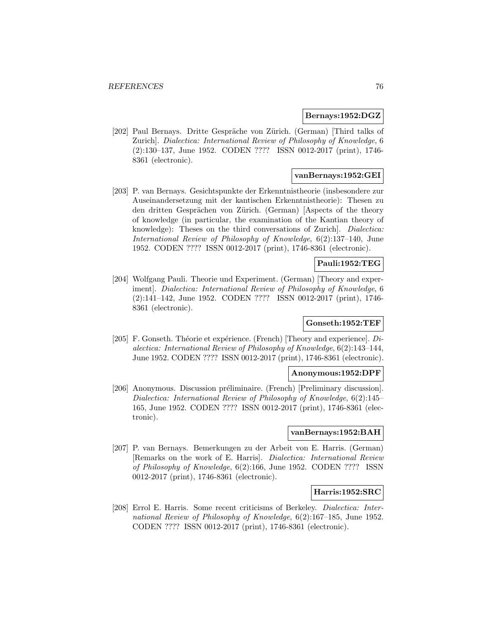### **Bernays:1952:DGZ**

[202] Paul Bernays. Dritte Gespräche von Zürich. (German) [Third talks of Zurich]. Dialectica: International Review of Philosophy of Knowledge, 6 (2):130–137, June 1952. CODEN ???? ISSN 0012-2017 (print), 1746- 8361 (electronic).

# **vanBernays:1952:GEI**

[203] P. van Bernays. Gesichtspunkte der Erkenntnistheorie (insbesondere zur Auseinandersetzung mit der kantischen Erkenntnistheorie): Thesen zu den dritten Gesprächen von Zürich. (German) [Aspects of the theory of knowledge (in particular, the examination of the Kantian theory of knowledge): Theses on the third conversations of Zurich]. Dialectica: International Review of Philosophy of Knowledge, 6(2):137–140, June 1952. CODEN ???? ISSN 0012-2017 (print), 1746-8361 (electronic).

# **Pauli:1952:TEG**

[204] Wolfgang Pauli. Theorie und Experiment. (German) [Theory and experiment]. Dialectica: International Review of Philosophy of Knowledge, 6 (2):141–142, June 1952. CODEN ???? ISSN 0012-2017 (print), 1746- 8361 (electronic).

# **Gonseth:1952:TEF**

[205] F. Gonseth. Théorie et expérience. (French) [Theory and experience].  $Di$ alectica: International Review of Philosophy of Knowledge, 6(2):143–144, June 1952. CODEN ???? ISSN 0012-2017 (print), 1746-8361 (electronic).

#### **Anonymous:1952:DPF**

[206] Anonymous. Discussion préliminaire. (French) [Preliminary discussion]. Dialectica: International Review of Philosophy of Knowledge, 6(2):145– 165, June 1952. CODEN ???? ISSN 0012-2017 (print), 1746-8361 (electronic).

### **vanBernays:1952:BAH**

[207] P. van Bernays. Bemerkungen zu der Arbeit von E. Harris. (German) [Remarks on the work of E. Harris]. Dialectica: International Review of Philosophy of Knowledge, 6(2):166, June 1952. CODEN ???? ISSN 0012-2017 (print), 1746-8361 (electronic).

# **Harris:1952:SRC**

[208] Errol E. Harris. Some recent criticisms of Berkeley. Dialectica: International Review of Philosophy of Knowledge, 6(2):167–185, June 1952. CODEN ???? ISSN 0012-2017 (print), 1746-8361 (electronic).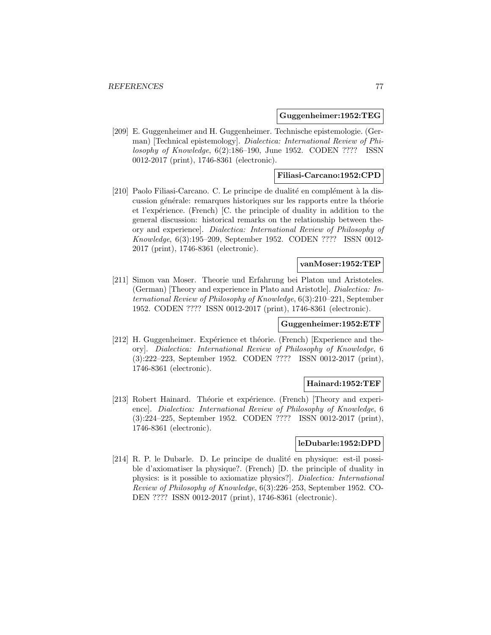### **Guggenheimer:1952:TEG**

[209] E. Guggenheimer and H. Guggenheimer. Technische epistemologie. (German) [Technical epistemology]. Dialectica: International Review of Philosophy of Knowledge, 6(2):186–190, June 1952. CODEN ???? ISSN 0012-2017 (print), 1746-8361 (electronic).

# **Filiasi-Carcano:1952:CPD**

[210] Paolo Filiasi-Carcano. C. Le principe de dualité en complément à la discussion générale: remarques historiques sur les rapports entre la théorie et l'expérience. (French) [C. the principle of duality in addition to the general discussion: historical remarks on the relationship between theory and experience]. Dialectica: International Review of Philosophy of Knowledge, 6(3):195–209, September 1952. CODEN ???? ISSN 0012- 2017 (print), 1746-8361 (electronic).

# **vanMoser:1952:TEP**

[211] Simon van Moser. Theorie und Erfahrung bei Platon und Aristoteles. (German) [Theory and experience in Plato and Aristotle]. Dialectica: International Review of Philosophy of Knowledge, 6(3):210–221, September 1952. CODEN ???? ISSN 0012-2017 (print), 1746-8361 (electronic).

# **Guggenheimer:1952:ETF**

[212] H. Guggenheimer. Expérience et théorie. (French) [Experience and theory]. Dialectica: International Review of Philosophy of Knowledge, 6 (3):222–223, September 1952. CODEN ???? ISSN 0012-2017 (print), 1746-8361 (electronic).

# **Hainard:1952:TEF**

[213] Robert Hainard. Théorie et expérience. (French) [Theory and experience]. Dialectica: International Review of Philosophy of Knowledge, 6 (3):224–225, September 1952. CODEN ???? ISSN 0012-2017 (print), 1746-8361 (electronic).

#### **leDubarle:1952:DPD**

[214] R. P. le Dubarle. D. Le principe de dualité en physique: est-il possible d'axiomatiser la physique?. (French) [D. the principle of duality in physics: is it possible to axiomatize physics?]. Dialectica: International Review of Philosophy of Knowledge, 6(3):226–253, September 1952. CO-DEN ???? ISSN 0012-2017 (print), 1746-8361 (electronic).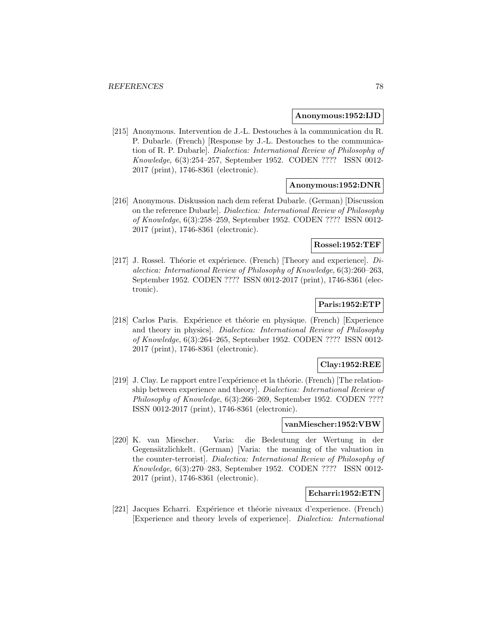#### **Anonymous:1952:IJD**

[215] Anonymous. Intervention de J.-L. Destouches à la communication du R. P. Dubarle. (French) [Response by J.-L. Destouches to the communication of R. P. Dubarle]. Dialectica: International Review of Philosophy of Knowledge, 6(3):254–257, September 1952. CODEN ???? ISSN 0012- 2017 (print), 1746-8361 (electronic).

# **Anonymous:1952:DNR**

[216] Anonymous. Diskussion nach dem referat Dubarle. (German) [Discussion on the reference Dubarle]. Dialectica: International Review of Philosophy of Knowledge, 6(3):258–259, September 1952. CODEN ???? ISSN 0012- 2017 (print), 1746-8361 (electronic).

### **Rossel:1952:TEF**

[217] J. Rossel. Théorie et expérience. (French) [Theory and experience].  $Di$ alectica: International Review of Philosophy of Knowledge, 6(3):260–263, September 1952. CODEN ???? ISSN 0012-2017 (print), 1746-8361 (electronic).

# **Paris:1952:ETP**

[218] Carlos Paris. Expérience et théorie en physique. (French) [Experience and theory in physics]. Dialectica: International Review of Philosophy of Knowledge, 6(3):264–265, September 1952. CODEN ???? ISSN 0012- 2017 (print), 1746-8361 (electronic).

### **Clay:1952:REE**

[219] J. Clay. Le rapport entre l'expérience et la théorie. (French) [The relationship between experience and theory]. Dialectica: International Review of Philosophy of Knowledge, 6(3):266–269, September 1952. CODEN ???? ISSN 0012-2017 (print), 1746-8361 (electronic).

# **vanMiescher:1952:VBW**

[220] K. van Miescher. Varia: die Bedeutung der Wertung in der Gegensätzlichkelt. (German) [Varia: the meaning of the valuation in the counter-terrorist]. Dialectica: International Review of Philosophy of Knowledge, 6(3):270–283, September 1952. CODEN ???? ISSN 0012- 2017 (print), 1746-8361 (electronic).

### **Echarri:1952:ETN**

[221] Jacques Echarri. Expérience et théorie niveaux d'experience. (French) [Experience and theory levels of experience]. Dialectica: International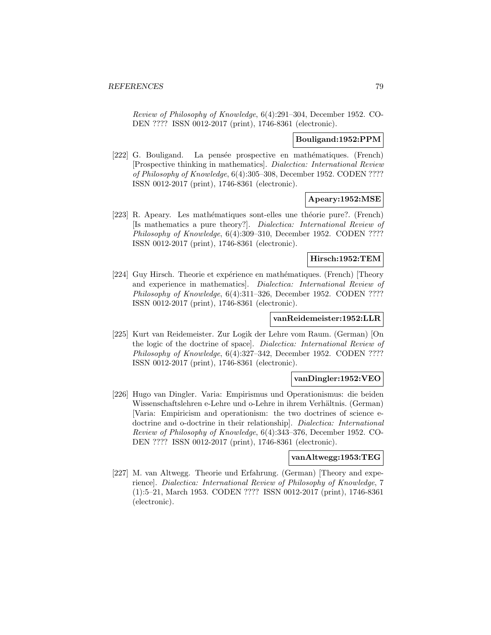Review of Philosophy of Knowledge, 6(4):291–304, December 1952. CO-DEN ???? ISSN 0012-2017 (print), 1746-8361 (electronic).

### **Bouligand:1952:PPM**

[222] G. Bouligand. La pensée prospective en mathématiques. (French) [Prospective thinking in mathematics]. Dialectica: International Review of Philosophy of Knowledge, 6(4):305–308, December 1952. CODEN ???? ISSN 0012-2017 (print), 1746-8361 (electronic).

# **Apeary:1952:MSE**

[223] R. Apeary. Les mathématiques sont-elles une théorie pure?. (French) [Is mathematics a pure theory?]. Dialectica: International Review of Philosophy of Knowledge, 6(4):309-310, December 1952. CODEN ???? ISSN 0012-2017 (print), 1746-8361 (electronic).

### **Hirsch:1952:TEM**

[224] Guy Hirsch. Theorie et expérience en mathématiques. (French) [Theory and experience in mathematics]. Dialectica: International Review of Philosophy of Knowledge, 6(4):311–326, December 1952. CODEN ???? ISSN 0012-2017 (print), 1746-8361 (electronic).

# **vanReidemeister:1952:LLR**

[225] Kurt van Reidemeister. Zur Logik der Lehre vom Raum. (German) [On the logic of the doctrine of space]. Dialectica: International Review of Philosophy of Knowledge, 6(4):327–342, December 1952. CODEN ???? ISSN 0012-2017 (print), 1746-8361 (electronic).

#### **vanDingler:1952:VEO**

[226] Hugo van Dingler. Varia: Empirismus und Operationismus: die beiden Wissenschaftslehren e-Lehre und o-Lehre in ihrem Verhältnis. (German) [Varia: Empiricism and operationism: the two doctrines of science edoctrine and o-doctrine in their relationship]. Dialectica: International Review of Philosophy of Knowledge, 6(4):343–376, December 1952. CO-DEN ???? ISSN 0012-2017 (print), 1746-8361 (electronic).

### **vanAltwegg:1953:TEG**

[227] M. van Altwegg. Theorie und Erfahrung. (German) [Theory and experience]. Dialectica: International Review of Philosophy of Knowledge, 7 (1):5–21, March 1953. CODEN ???? ISSN 0012-2017 (print), 1746-8361 (electronic).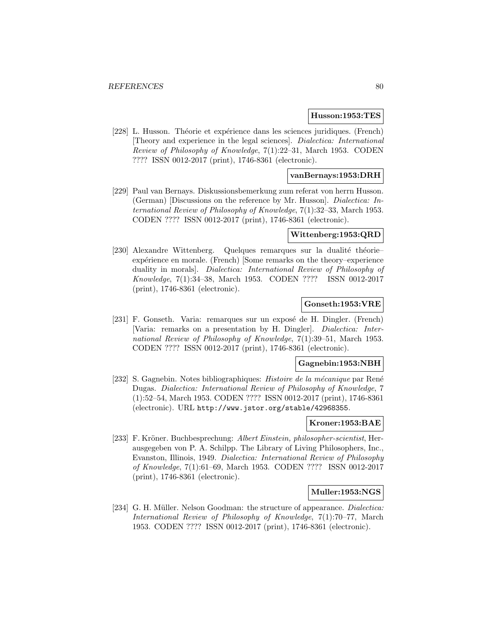#### **Husson:1953:TES**

[228] L. Husson. Théorie et expérience dans les sciences juridiques. (French) [Theory and experience in the legal sciences]. Dialectica: International Review of Philosophy of Knowledge, 7(1):22–31, March 1953. CODEN ???? ISSN 0012-2017 (print), 1746-8361 (electronic).

# **vanBernays:1953:DRH**

[229] Paul van Bernays. Diskussionsbemerkung zum referat von herrn Husson. (German) [Discussions on the reference by Mr. Husson]. Dialectica: International Review of Philosophy of Knowledge, 7(1):32–33, March 1953. CODEN ???? ISSN 0012-2017 (print), 1746-8361 (electronic).

#### **Wittenberg:1953:QRD**

[230] Alexandre Wittenberg. Quelques remarques sur la dualité théorie– expérience en morale. (French) [Some remarks on the theory–experience duality in morals]. Dialectica: International Review of Philosophy of Knowledge, 7(1):34–38, March 1953. CODEN ???? ISSN 0012-2017 (print), 1746-8361 (electronic).

### **Gonseth:1953:VRE**

[231] F. Gonseth. Varia: remarques sur un exposé de H. Dingler. (French) [Varia: remarks on a presentation by H. Dingler]. Dialectica: International Review of Philosophy of Knowledge, 7(1):39–51, March 1953. CODEN ???? ISSN 0012-2017 (print), 1746-8361 (electronic).

#### **Gagnebin:1953:NBH**

[232] S. Gagnebin. Notes bibliographiques: *Histoire de la mécanique* par René Dugas. Dialectica: International Review of Philosophy of Knowledge, 7 (1):52–54, March 1953. CODEN ???? ISSN 0012-2017 (print), 1746-8361 (electronic). URL http://www.jstor.org/stable/42968355.

# **Kroner:1953:BAE**

[233] F. Kröner. Buchbesprechung: Albert Einstein, philosopher-scientist, Herausgegeben von P. A. Schilpp. The Library of Living Philosophers, Inc., Evanston, Illinois, 1949. Dialectica: International Review of Philosophy of Knowledge, 7(1):61–69, March 1953. CODEN ???? ISSN 0012-2017 (print), 1746-8361 (electronic).

### **Muller:1953:NGS**

[234] G. H. Müller. Nelson Goodman: the structure of appearance. *Dialectica:* International Review of Philosophy of Knowledge, 7(1):70–77, March 1953. CODEN ???? ISSN 0012-2017 (print), 1746-8361 (electronic).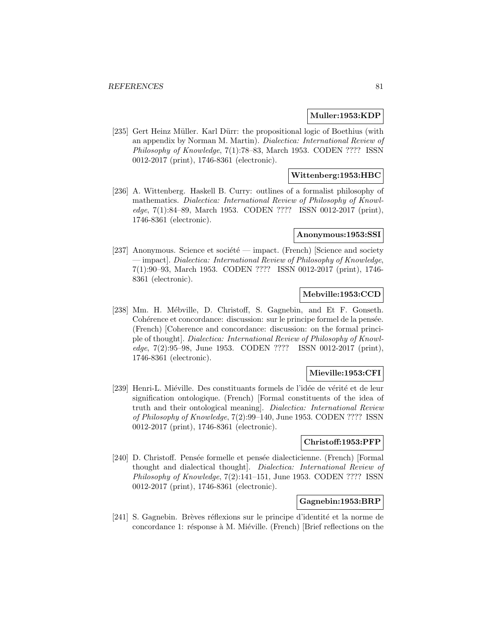### **Muller:1953:KDP**

[235] Gert Heinz Müller. Karl Dürr: the propositional logic of Boethius (with an appendix by Norman M. Martin). Dialectica: International Review of Philosophy of Knowledge, 7(1):78–83, March 1953. CODEN ???? ISSN 0012-2017 (print), 1746-8361 (electronic).

# **Wittenberg:1953:HBC**

[236] A. Wittenberg. Haskell B. Curry: outlines of a formalist philosophy of mathematics. Dialectica: International Review of Philosophy of Knowledge, 7(1):84–89, March 1953. CODEN ???? ISSN 0012-2017 (print), 1746-8361 (electronic).

#### **Anonymous:1953:SSI**

[237] Anonymous. Science et société — impact. (French) [Science and society — impact]. Dialectica: International Review of Philosophy of Knowledge, 7(1):90–93, March 1953. CODEN ???? ISSN 0012-2017 (print), 1746- 8361 (electronic).

# **Mebville:1953:CCD**

[238] Mm. H. Mébville, D. Christoff, S. Gagnebin, and Et F. Gonseth. Cohérence et concordance: discussion: sur le principe formel de la pensée. (French) [Coherence and concordance: discussion: on the formal principle of thought]. Dialectica: International Review of Philosophy of Knowledge, 7(2):95–98, June 1953. CODEN ???? ISSN 0012-2017 (print), 1746-8361 (electronic).

# **Mieville:1953:CFI**

[239] Henri-L. Miéville. Des constituants formels de l'idée de vérité et de leur signification ontologique. (French) [Formal constituents of the idea of truth and their ontological meaning]. Dialectica: International Review of Philosophy of Knowledge, 7(2):99–140, June 1953. CODEN ???? ISSN 0012-2017 (print), 1746-8361 (electronic).

### **Christoff:1953:PFP**

[240] D. Christoff. Pensée formelle et pensée dialecticienne. (French) [Formal thought and dialectical thought]. Dialectica: International Review of Philosophy of Knowledge, 7(2):141–151, June 1953. CODEN ???? ISSN 0012-2017 (print), 1746-8361 (electronic).

# **Gagnebin:1953:BRP**

[241] S. Gagnebin. Brèves réflexions sur le principe d'identité et la norme de concordance 1: résponse à M. Miéville. (French) [Brief reflections on the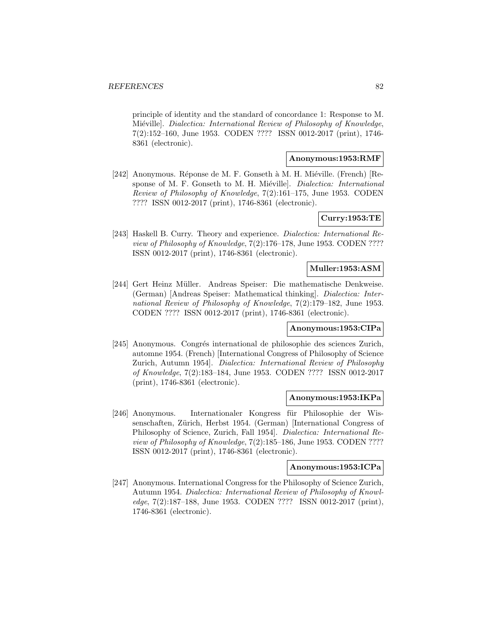principle of identity and the standard of concordance 1: Response to M. Miéville]. Dialectica: International Review of Philosophy of Knowledge, 7(2):152–160, June 1953. CODEN ???? ISSN 0012-2017 (print), 1746- 8361 (electronic).

# **Anonymous:1953:RMF**

[242] Anonymous. Réponse de M. F. Gonseth à M. H. Miéville. (French) [Response of M. F. Gonseth to M. H. Miéville]. *Dialectica: International* Review of Philosophy of Knowledge, 7(2):161–175, June 1953. CODEN ???? ISSN 0012-2017 (print), 1746-8361 (electronic).

# **Curry:1953:TE**

[243] Haskell B. Curry. Theory and experience. Dialectica: International Review of Philosophy of Knowledge, 7(2):176–178, June 1953. CODEN ???? ISSN 0012-2017 (print), 1746-8361 (electronic).

# **Muller:1953:ASM**

[244] Gert Heinz Müller. Andreas Speiser: Die mathematische Denkweise. (German) [Andreas Speiser: Mathematical thinking]. Dialectica: International Review of Philosophy of Knowledge, 7(2):179–182, June 1953. CODEN ???? ISSN 0012-2017 (print), 1746-8361 (electronic).

# **Anonymous:1953:CIPa**

[245] Anonymous. Congrés international de philosophie des sciences Zurich, automne 1954. (French) [International Congress of Philosophy of Science Zurich, Autumn 1954]. Dialectica: International Review of Philosophy of Knowledge, 7(2):183–184, June 1953. CODEN ???? ISSN 0012-2017 (print), 1746-8361 (electronic).

# **Anonymous:1953:IKPa**

[246] Anonymous. Internationaler Kongress für Philosophie der Wissenschaften, Zürich, Herbst 1954. (German) [International Congress of Philosophy of Science, Zurich, Fall 1954]. Dialectica: International Review of Philosophy of Knowledge, 7(2):185–186, June 1953. CODEN ???? ISSN 0012-2017 (print), 1746-8361 (electronic).

#### **Anonymous:1953:ICPa**

[247] Anonymous. International Congress for the Philosophy of Science Zurich, Autumn 1954. Dialectica: International Review of Philosophy of Knowledge, 7(2):187–188, June 1953. CODEN ???? ISSN 0012-2017 (print), 1746-8361 (electronic).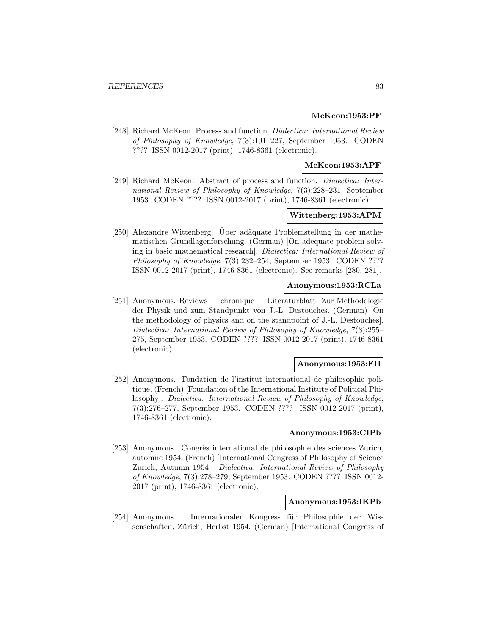# **McKeon:1953:PF**

[248] Richard McKeon. Process and function. Dialectica: International Review of Philosophy of Knowledge, 7(3):191–227, September 1953. CODEN ???? ISSN 0012-2017 (print), 1746-8361 (electronic).

# **McKeon:1953:APF**

[249] Richard McKeon. Abstract of process and function. Dialectica: International Review of Philosophy of Knowledge, 7(3):228–231, September 1953. CODEN ???? ISSN 0012-2017 (print), 1746-8361 (electronic).

# **Wittenberg:1953:APM**

[250] Alexandre Wittenberg. Uber adäquate Problemstellung in der mathematischen Grundlagenforschung. (German) [On adequate problem solving in basic mathematical research]. Dialectica: International Review of Philosophy of Knowledge, 7(3):232–254, September 1953. CODEN ???? ISSN 0012-2017 (print), 1746-8361 (electronic). See remarks [280, 281].

## **Anonymous:1953:RCLa**

[251] Anonymous. Reviews — chronique — Literaturblatt: Zur Methodologie der Physik und zum Standpunkt von J.-L. Destouches. (German) [On the methodology of physics and on the standpoint of J.-L. Destouches]. Dialectica: International Review of Philosophy of Knowledge, 7(3):255– 275, September 1953. CODEN ???? ISSN 0012-2017 (print), 1746-8361 (electronic).

#### **Anonymous:1953:FII**

[252] Anonymous. Fondation de l'institut international de philosophie politique. (French) [Foundation of the International Institute of Political Philosophy]. Dialectica: International Review of Philosophy of Knowledge, 7(3):276–277, September 1953. CODEN ???? ISSN 0012-2017 (print), 1746-8361 (electronic).

### **Anonymous:1953:CIPb**

[253] Anonymous. Congrès international de philosophie des sciences Zurich, automne 1954. (French) [International Congress of Philosophy of Science Zurich, Autumn 1954]. Dialectica: International Review of Philosophy of Knowledge, 7(3):278–279, September 1953. CODEN ???? ISSN 0012- 2017 (print), 1746-8361 (electronic).

### **Anonymous:1953:IKPb**

[254] Anonymous. Internationaler Kongress für Philosophie der Wissenschaften, Zürich, Herbst 1954. (German) [International Congress of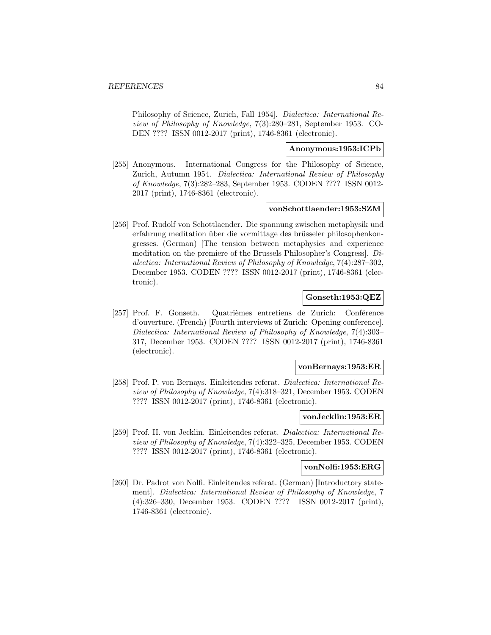Philosophy of Science, Zurich, Fall 1954]. Dialectica: International Review of Philosophy of Knowledge, 7(3):280–281, September 1953. CO-DEN ???? ISSN 0012-2017 (print), 1746-8361 (electronic).

# **Anonymous:1953:ICPb**

[255] Anonymous. International Congress for the Philosophy of Science, Zurich, Autumn 1954. Dialectica: International Review of Philosophy of Knowledge, 7(3):282–283, September 1953. CODEN ???? ISSN 0012- 2017 (print), 1746-8361 (electronic).

#### **vonSchottlaender:1953:SZM**

[256] Prof. Rudolf von Schottlaender. Die spannung zwischen metaphysik und erfahrung meditation über die vormittage des brüsseler philosophenkongresses. (German) [The tension between metaphysics and experience meditation on the premiere of the Brussels Philosopher's Congress]. Dialectica: International Review of Philosophy of Knowledge, 7(4):287–302, December 1953. CODEN ???? ISSN 0012-2017 (print), 1746-8361 (electronic).

# **Gonseth:1953:QEZ**

[257] Prof. F. Gonseth. Quatrièmes entretiens de Zurich: Conférence d'ouverture. (French) [Fourth interviews of Zurich: Opening conference]. Dialectica: International Review of Philosophy of Knowledge, 7(4):303– 317, December 1953. CODEN ???? ISSN 0012-2017 (print), 1746-8361 (electronic).

### **vonBernays:1953:ER**

[258] Prof. P. von Bernays. Einleitendes referat. Dialectica: International Review of Philosophy of Knowledge, 7(4):318–321, December 1953. CODEN ???? ISSN 0012-2017 (print), 1746-8361 (electronic).

#### **vonJecklin:1953:ER**

[259] Prof. H. von Jecklin. Einleitendes referat. Dialectica: International Review of Philosophy of Knowledge, 7(4):322–325, December 1953. CODEN ???? ISSN 0012-2017 (print), 1746-8361 (electronic).

#### **vonNolfi:1953:ERG**

[260] Dr. Padrot von Nolfi. Einleitendes referat. (German) [Introductory statement]. Dialectica: International Review of Philosophy of Knowledge, 7 (4):326–330, December 1953. CODEN ???? ISSN 0012-2017 (print), 1746-8361 (electronic).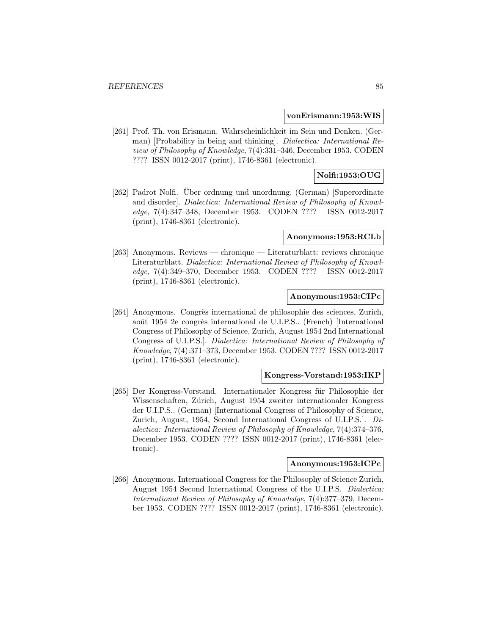#### **vonErismann:1953:WIS**

[261] Prof. Th. von Erismann. Wahrscheinlichkeit im Sein und Denken. (German) [Probability in being and thinking]. Dialectica: International Review of Philosophy of Knowledge, 7(4):331–346, December 1953. CODEN ???? ISSN 0012-2017 (print), 1746-8361 (electronic).

# **Nolfi:1953:OUG**

[262] Padrot Nolfi. Uber ordnung und unordnung. (German) [Superordinate and disorder]. Dialectica: International Review of Philosophy of Knowledge, 7(4):347–348, December 1953. CODEN ???? ISSN 0012-2017 (print), 1746-8361 (electronic).

#### **Anonymous:1953:RCLb**

[263] Anonymous. Reviews — chronique — Literaturblatt: reviews chronique Literaturblatt. Dialectica: International Review of Philosophy of Knowledge, 7(4):349–370, December 1953. CODEN ???? ISSN 0012-2017 (print), 1746-8361 (electronic).

# **Anonymous:1953:CIPc**

[264] Anonymous. Congrès international de philosophie des sciences, Zurich, août 1954 2e congrès international de U.I.P.S.. (French) [International Congress of Philosophy of Science, Zurich, August 1954 2nd International Congress of U.I.P.S.]. Dialectica: International Review of Philosophy of Knowledge, 7(4):371–373, December 1953. CODEN ???? ISSN 0012-2017 (print), 1746-8361 (electronic).

### **Kongress-Vorstand:1953:IKP**

[265] Der Kongress-Vorstand. Internationaler Kongress für Philosophie der Wissenschaften, Zürich, August 1954 zweiter internationaler Kongress der U.I.P.S.. (German) [International Congress of Philosophy of Science, Zurich, August, 1954, Second International Congress of U.I.P.S.]. Dialectica: International Review of Philosophy of Knowledge, 7(4):374–376, December 1953. CODEN ???? ISSN 0012-2017 (print), 1746-8361 (electronic).

# **Anonymous:1953:ICPc**

[266] Anonymous. International Congress for the Philosophy of Science Zurich, August 1954 Second International Congress of the U.I.P.S. Dialectica: International Review of Philosophy of Knowledge, 7(4):377–379, December 1953. CODEN ???? ISSN 0012-2017 (print), 1746-8361 (electronic).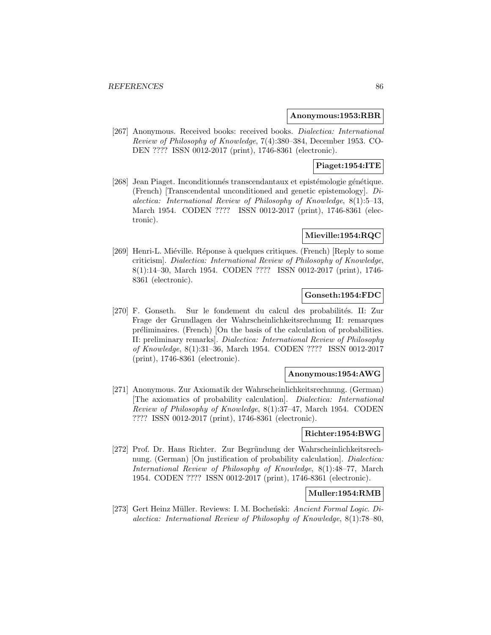#### **Anonymous:1953:RBR**

[267] Anonymous. Received books: received books. *Dialectica: International* Review of Philosophy of Knowledge, 7(4):380–384, December 1953. CO-DEN ???? ISSN 0012-2017 (print), 1746-8361 (electronic).

# **Piaget:1954:ITE**

[268] Jean Piaget. Inconditionnés transcendantaux et epistémologie génétique. (French) [Transcendental unconditioned and genetic epistemology]. Dialectica: International Review of Philosophy of Knowledge, 8(1):5–13, March 1954. CODEN ???? ISSN 0012-2017 (print), 1746-8361 (electronic).

# **Mieville:1954:RQC**

[269] Henri-L. Miéville. Réponse à quelques critiques. (French) [Reply to some criticism]. Dialectica: International Review of Philosophy of Knowledge, 8(1):14–30, March 1954. CODEN ???? ISSN 0012-2017 (print), 1746- 8361 (electronic).

# **Gonseth:1954:FDC**

[270] F. Gonseth. Sur le fondement du calcul des probabilités. II: Zur Frage der Grundlagen der Wahrscheinlichkeitsrechnung II: remarques préliminaires. (French) [On the basis of the calculation of probabilities. II: preliminary remarks]. Dialectica: International Review of Philosophy of Knowledge, 8(1):31–36, March 1954. CODEN ???? ISSN 0012-2017 (print), 1746-8361 (electronic).

# **Anonymous:1954:AWG**

[271] Anonymous. Zur Axiomatik der Wahrscheinlichkeitsrechnung. (German) [The axiomatics of probability calculation]. Dialectica: International Review of Philosophy of Knowledge, 8(1):37–47, March 1954. CODEN ???? ISSN 0012-2017 (print), 1746-8361 (electronic).

# **Richter:1954:BWG**

[272] Prof. Dr. Hans Richter. Zur Begründung der Wahrscheinlichkeitsrechnung. (German) [On justification of probability calculation]. *Dialectica*: International Review of Philosophy of Knowledge, 8(1):48–77, March 1954. CODEN ???? ISSN 0012-2017 (print), 1746-8361 (electronic).

# **Muller:1954:RMB**

[273] Gert Heinz Müller. Reviews: I. M. Bocheński: Ancient Formal Logic. Dialectica: International Review of Philosophy of Knowledge, 8(1):78–80,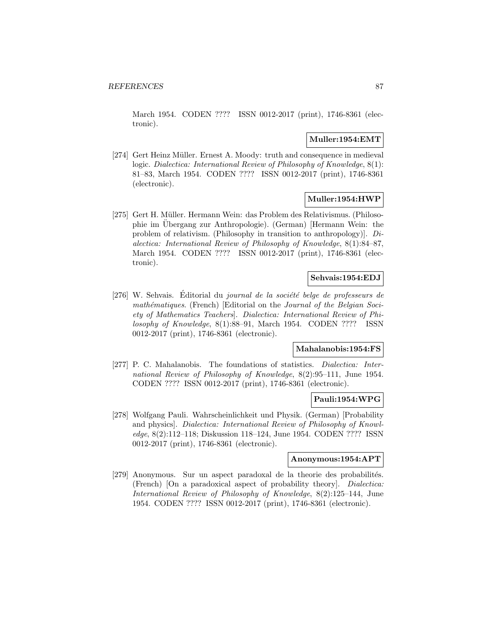March 1954. CODEN ???? ISSN 0012-2017 (print), 1746-8361 (electronic).

# **Muller:1954:EMT**

[274] Gert Heinz Müller. Ernest A. Moody: truth and consequence in medieval logic. Dialectica: International Review of Philosophy of Knowledge, 8(1): 81–83, March 1954. CODEN ???? ISSN 0012-2017 (print), 1746-8361 (electronic).

# **Muller:1954:HWP**

[275] Gert H. Müller. Hermann Wein: das Problem des Relativismus. (Philosophie im Übergang zur Anthropologie). (German) [Hermann Wein: the problem of relativism. (Philosophy in transition to anthropology)]. Dialectica: International Review of Philosophy of Knowledge, 8(1):84–87, March 1954. CODEN ???? ISSN 0012-2017 (print), 1746-8361 (electronic).

# **Sehvais:1954:EDJ**

 $[276]$  W. Sehvais. Éditorial du *journal de la société belge de professeurs de* mathématiques. (French) [Editorial on the Journal of the Belgian Society of Mathematics Teachers]. Dialectica: International Review of Philosophy of Knowledge, 8(1):88–91, March 1954. CODEN ???? ISSN 0012-2017 (print), 1746-8361 (electronic).

# **Mahalanobis:1954:FS**

[277] P. C. Mahalanobis. The foundations of statistics. Dialectica: International Review of Philosophy of Knowledge, 8(2):95–111, June 1954. CODEN ???? ISSN 0012-2017 (print), 1746-8361 (electronic).

# **Pauli:1954:WPG**

[278] Wolfgang Pauli. Wahrscheinlichkeit und Physik. (German) [Probability and physics]. Dialectica: International Review of Philosophy of Knowledge, 8(2):112–118; Diskussion 118–124, June 1954. CODEN ???? ISSN 0012-2017 (print), 1746-8361 (electronic).

## **Anonymous:1954:APT**

[279] Anonymous. Sur un aspect paradoxal de la theorie des probabilités. (French) [On a paradoxical aspect of probability theory]. Dialectica: International Review of Philosophy of Knowledge, 8(2):125–144, June 1954. CODEN ???? ISSN 0012-2017 (print), 1746-8361 (electronic).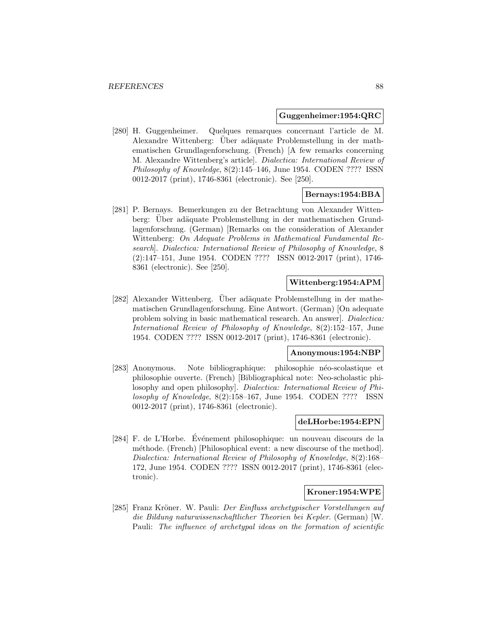#### **Guggenheimer:1954:QRC**

[280] H. Guggenheimer. Quelques remarques concernant l'article de M. Alexandre Wittenberg: Über adäquate Problemstellung in der mathematischen Grundlagenforschung. (French) [A few remarks concerning M. Alexandre Wittenberg's article]. Dialectica: International Review of Philosophy of Knowledge, 8(2):145–146, June 1954. CODEN ???? ISSN 0012-2017 (print), 1746-8361 (electronic). See [250].

# **Bernays:1954:BBA**

[281] P. Bernays. Bemerkungen zu der Betrachtung von Alexander Wittenberg: Über adäquate Problemstellung in der mathematischen Grundlagenforschung. (German) [Remarks on the consideration of Alexander Wittenberg: On Adequate Problems in Mathematical Fundamental Research]. Dialectica: International Review of Philosophy of Knowledge, 8 (2):147–151, June 1954. CODEN ???? ISSN 0012-2017 (print), 1746- 8361 (electronic). See [250].

# **Wittenberg:1954:APM**

[282] Alexander Wittenberg. Über adäquate Problemstellung in der mathematischen Grundlagenforschung. Eine Antwort. (German) [On adequate problem solving in basic mathematical research. An answer]. Dialectica: International Review of Philosophy of Knowledge, 8(2):152–157, June 1954. CODEN ???? ISSN 0012-2017 (print), 1746-8361 (electronic).

#### **Anonymous:1954:NBP**

[283] Anonymous. Note bibliographique: philosophie néo-scolastique et philosophie ouverte. (French) [Bibliographical note: Neo-scholastic philosophy and open philosophy]. Dialectica: International Review of Philosophy of Knowledge, 8(2):158–167, June 1954. CODEN ???? ISSN 0012-2017 (print), 1746-8361 (electronic).

### **deLHorbe:1954:EPN**

[284] F. de L'Horbe. Evénement philosophique: un nouveau discours de la méthode. (French) [Philosophical event: a new discourse of the method]. Dialectica: International Review of Philosophy of Knowledge, 8(2):168– 172, June 1954. CODEN ???? ISSN 0012-2017 (print), 1746-8361 (electronic).

# **Kroner:1954:WPE**

[285] Franz Kröner. W. Pauli: Der Einfluss archetypischer Vorstellungen auf die Bildung naturwissenschaftlicher Theorien bei Kepler. (German) [W. Pauli: The influence of archetypal ideas on the formation of scientific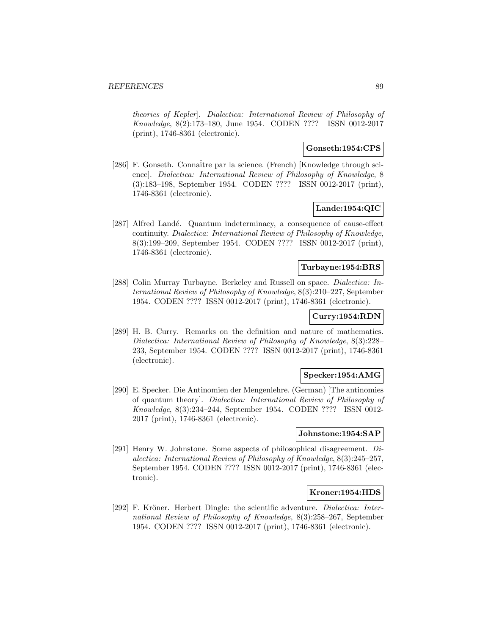theories of Kepler]. Dialectica: International Review of Philosophy of Knowledge, 8(2):173–180, June 1954. CODEN ???? ISSN 0012-2017 (print), 1746-8361 (electronic).

# **Gonseth:1954:CPS**

[286] F. Gonseth. Connaître par la science. (French) [Knowledge through science]. Dialectica: International Review of Philosophy of Knowledge, 8 (3):183–198, September 1954. CODEN ???? ISSN 0012-2017 (print), 1746-8361 (electronic).

# **Lande:1954:QIC**

[287] Alfred Landé. Quantum indeterminacy, a consequence of cause-effect continuity. Dialectica: International Review of Philosophy of Knowledge, 8(3):199–209, September 1954. CODEN ???? ISSN 0012-2017 (print), 1746-8361 (electronic).

# **Turbayne:1954:BRS**

[288] Colin Murray Turbayne. Berkeley and Russell on space. *Dialectica: In*ternational Review of Philosophy of Knowledge, 8(3):210–227, September 1954. CODEN ???? ISSN 0012-2017 (print), 1746-8361 (electronic).

# **Curry:1954:RDN**

[289] H. B. Curry. Remarks on the definition and nature of mathematics. Dialectica: International Review of Philosophy of Knowledge, 8(3):228– 233, September 1954. CODEN ???? ISSN 0012-2017 (print), 1746-8361 (electronic).

# **Specker:1954:AMG**

[290] E. Specker. Die Antinomien der Mengenlehre. (German) [The antinomies of quantum theory]. Dialectica: International Review of Philosophy of Knowledge, 8(3):234–244, September 1954. CODEN ???? ISSN 0012- 2017 (print), 1746-8361 (electronic).

### **Johnstone:1954:SAP**

[291] Henry W. Johnstone. Some aspects of philosophical disagreement. Dialectica: International Review of Philosophy of Knowledge, 8(3):245–257, September 1954. CODEN ???? ISSN 0012-2017 (print), 1746-8361 (electronic).

# **Kroner:1954:HDS**

[292] F. Kröner. Herbert Dingle: the scientific adventure. *Dialectica: Inter*national Review of Philosophy of Knowledge, 8(3):258–267, September 1954. CODEN ???? ISSN 0012-2017 (print), 1746-8361 (electronic).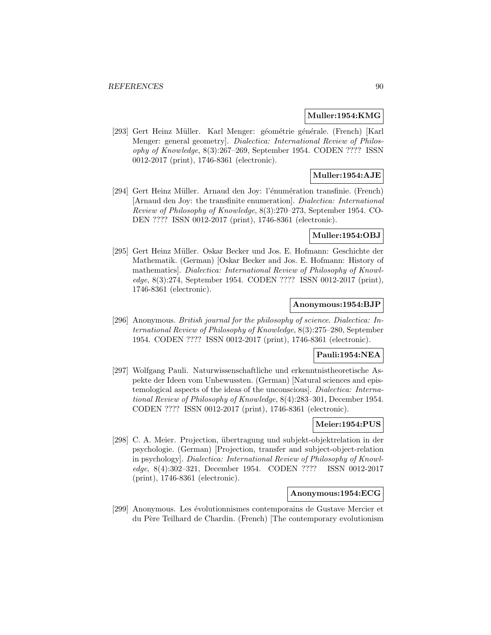#### **Muller:1954:KMG**

[293] Gert Heinz Müller. Karl Menger: géométrie générale. (French) [Karl Menger: general geometry]. Dialectica: International Review of Philosophy of Knowledge, 8(3):267–269, September 1954. CODEN ???? ISSN 0012-2017 (print), 1746-8361 (electronic).

# **Muller:1954:AJE**

[294] Gert Heinz Müller. Arnaud den Joy: l'énumération transfinie. (French) [Arnaud den Joy: the transfinite enumeration]. Dialectica: International Review of Philosophy of Knowledge, 8(3):270–273, September 1954. CO-DEN ???? ISSN 0012-2017 (print), 1746-8361 (electronic).

## **Muller:1954:OBJ**

[295] Gert Heinz Müller. Oskar Becker und Jos. E. Hofmann: Geschichte der Mathematik. (German) [Oskar Becker and Jos. E. Hofmann: History of mathematics]. Dialectica: International Review of Philosophy of Knowledge, 8(3):274, September 1954. CODEN ???? ISSN 0012-2017 (print), 1746-8361 (electronic).

# **Anonymous:1954:BJP**

[296] Anonymous. British journal for the philosophy of science. Dialectica: International Review of Philosophy of Knowledge, 8(3):275–280, September 1954. CODEN ???? ISSN 0012-2017 (print), 1746-8361 (electronic).

# **Pauli:1954:NEA**

[297] Wolfgang Pauli. Naturwissenschaftliche und erkenntnistheoretische Aspekte der Ideen vom Unbewussten. (German) [Natural sciences and epistemological aspects of the ideas of the unconscious]. Dialectica: International Review of Philosophy of Knowledge, 8(4):283–301, December 1954. CODEN ???? ISSN 0012-2017 (print), 1746-8361 (electronic).

# **Meier:1954:PUS**

[298] C. A. Meier. Projection, übertragung und subjekt-objektrelation in der psychologie. (German) [Projection, transfer and subject-object-relation in psychology]. Dialectica: International Review of Philosophy of Knowledge, 8(4):302–321, December 1954. CODEN ???? ISSN 0012-2017 (print), 1746-8361 (electronic).

# **Anonymous:1954:ECG**

[299] Anonymous. Les ´evolutionnismes contemporains de Gustave Mercier et du Père Teilhard de Chardin. (French) [The contemporary evolutionism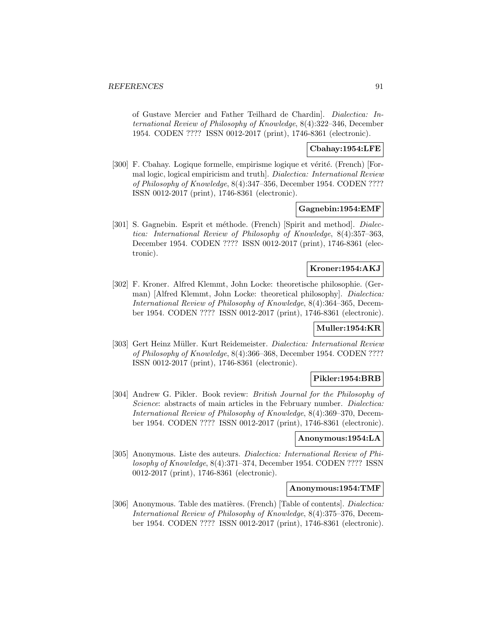of Gustave Mercier and Father Teilhard de Chardin]. Dialectica: International Review of Philosophy of Knowledge, 8(4):322–346, December 1954. CODEN ???? ISSN 0012-2017 (print), 1746-8361 (electronic).

# **Cbahay:1954:LFE**

[300] F. Cbahay. Logique formelle, empirisme logique et vérité. (French) [Formal logic, logical empiricism and truth]. Dialectica: International Review of Philosophy of Knowledge, 8(4):347–356, December 1954. CODEN ???? ISSN 0012-2017 (print), 1746-8361 (electronic).

#### **Gagnebin:1954:EMF**

[301] S. Gagnebin. Esprit et méthode. (French) [Spirit and method]. *Dialec*tica: International Review of Philosophy of Knowledge, 8(4):357–363, December 1954. CODEN ???? ISSN 0012-2017 (print), 1746-8361 (electronic).

# **Kroner:1954:AKJ**

[302] F. Kroner. Alfred Klemmt, John Locke: theoretische philosophie. (German) [Alfred Klemmt, John Locke: theoretical philosophy]. Dialectica: International Review of Philosophy of Knowledge, 8(4):364–365, December 1954. CODEN ???? ISSN 0012-2017 (print), 1746-8361 (electronic).

# **Muller:1954:KR**

[303] Gert Heinz Müller. Kurt Reidemeister. Dialectica: International Review of Philosophy of Knowledge, 8(4):366–368, December 1954. CODEN ???? ISSN 0012-2017 (print), 1746-8361 (electronic).

# **Pikler:1954:BRB**

[304] Andrew G. Pikler. Book review: British Journal for the Philosophy of Science: abstracts of main articles in the February number. *Dialectica*: International Review of Philosophy of Knowledge, 8(4):369–370, December 1954. CODEN ???? ISSN 0012-2017 (print), 1746-8361 (electronic).

## **Anonymous:1954:LA**

[305] Anonymous. Liste des auteurs. Dialectica: International Review of Philosophy of Knowledge, 8(4):371–374, December 1954. CODEN ???? ISSN 0012-2017 (print), 1746-8361 (electronic).

#### **Anonymous:1954:TMF**

[306] Anonymous. Table des matières. (French) [Table of contents]. *Dialectica:* International Review of Philosophy of Knowledge, 8(4):375–376, December 1954. CODEN ???? ISSN 0012-2017 (print), 1746-8361 (electronic).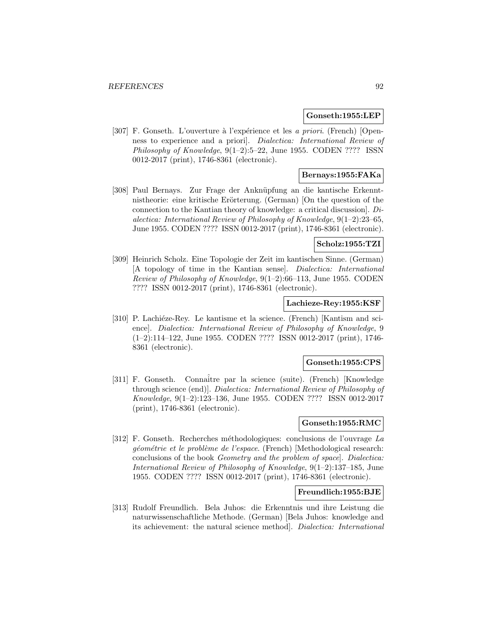### **Gonseth:1955:LEP**

[307] F. Gonseth. L'ouverture à l'expérience et les *a priori*. (French) [Openness to experience and a priori]. Dialectica: International Review of Philosophy of Knowledge, 9(1–2):5–22, June 1955. CODEN ???? ISSN 0012-2017 (print), 1746-8361 (electronic).

# **Bernays:1955:FAKa**

[308] Paul Bernays. Zur Frage der Anknüpfung an die kantische Erkenntnistheorie: eine kritische Erörterung. (German) [On the question of the connection to the Kantian theory of knowledge: a critical discussion]. Dialectica: International Review of Philosophy of Knowledge, 9(1–2):23–65, June 1955. CODEN ???? ISSN 0012-2017 (print), 1746-8361 (electronic).

# **Scholz:1955:TZI**

[309] Heinrich Scholz. Eine Topologie der Zeit im kantischen Sinne. (German) [A topology of time in the Kantian sense]. Dialectica: International *Review of Philosophy of Knowledge,*  $9(1-2):66-113$ , June 1955. CODEN ???? ISSN 0012-2017 (print), 1746-8361 (electronic).

### **Lachieze-Rey:1955:KSF**

[310] P. Lachiéze-Rey. Le kantisme et la science. (French) [Kantism and science]. *Dialectica: International Review of Philosophy of Knowledge*, 9 (1–2):114–122, June 1955. CODEN ???? ISSN 0012-2017 (print), 1746- 8361 (electronic).

### **Gonseth:1955:CPS**

[311] F. Gonseth. Connaître par la science (suite). (French) [Knowledge through science (end)]. Dialectica: International Review of Philosophy of Knowledge, 9(1–2):123–136, June 1955. CODEN ???? ISSN 0012-2017 (print), 1746-8361 (electronic).

# **Gonseth:1955:RMC**

[312] F. Gonseth. Recherches méthodologiques: conclusions de l'ouvrage La géométrie et le problème de l'espace. (French) [Methodological research: conclusions of the book Geometry and the problem of space]. Dialectica: International Review of Philosophy of Knowledge, 9(1–2):137–185, June 1955. CODEN ???? ISSN 0012-2017 (print), 1746-8361 (electronic).

# **Freundlich:1955:BJE**

[313] Rudolf Freundlich. Bela Juhos: die Erkenntnis und ihre Leistung die naturwissenschaftliche Methode. (German) [Bela Juhos: knowledge and its achievement: the natural science method]. Dialectica: International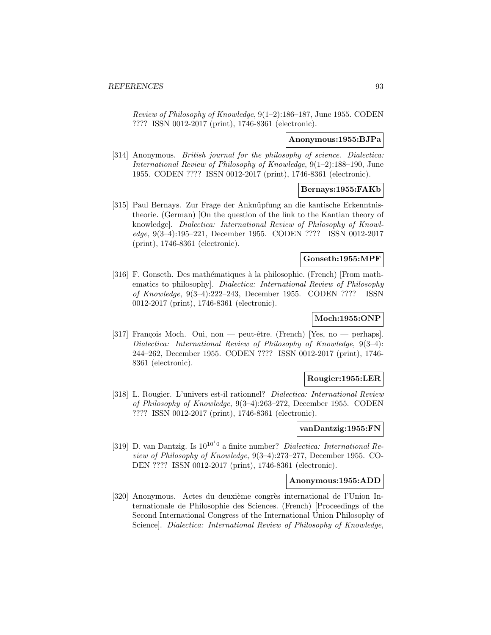Review of Philosophy of Knowledge, 9(1–2):186–187, June 1955. CODEN ???? ISSN 0012-2017 (print), 1746-8361 (electronic).

#### **Anonymous:1955:BJPa**

[314] Anonymous. British journal for the philosophy of science. Dialectica: International Review of Philosophy of Knowledge, 9(1–2):188–190, June 1955. CODEN ???? ISSN 0012-2017 (print), 1746-8361 (electronic).

# **Bernays:1955:FAKb**

[315] Paul Bernays. Zur Frage der Anknüpfung an die kantische Erkenntnistheorie. (German) [On the question of the link to the Kantian theory of knowledge]. Dialectica: International Review of Philosophy of Knowledge, 9(3–4):195–221, December 1955. CODEN ???? ISSN 0012-2017 (print), 1746-8361 (electronic).

### **Gonseth:1955:MPF**

[316] F. Gonseth. Des mathématiques à la philosophie. (French) [From mathematics to philosophy]. Dialectica: International Review of Philosophy of Knowledge, 9(3–4):222–243, December 1955. CODEN ???? ISSN 0012-2017 (print), 1746-8361 (electronic).

# **Moch:1955:ONP**

[317] François Moch. Oui, non — peut-être. (French) [Yes, no — perhaps]. Dialectica: International Review of Philosophy of Knowledge, 9(3–4): 244–262, December 1955. CODEN ???? ISSN 0012-2017 (print), 1746- 8361 (electronic).

#### **Rougier:1955:LER**

[318] L. Rougier. L'univers est-il rationnel? Dialectica: International Review of Philosophy of Knowledge, 9(3–4):263–272, December 1955. CODEN ???? ISSN 0012-2017 (print), 1746-8361 (electronic).

# **vanDantzig:1955:FN**

[319] D. van Dantzig. Is  $10^{10^10}$  a finite number? *Dialectica: International Re*view of Philosophy of Knowledge, 9(3–4):273–277, December 1955. CO-DEN ???? ISSN 0012-2017 (print), 1746-8361 (electronic).

### **Anonymous:1955:ADD**

[320] Anonymous. Actes du deuxième congrès international de l'Union Internationale de Philosophie des Sciences. (French) [Proceedings of the Second International Congress of the International Union Philosophy of Science]. Dialectica: International Review of Philosophy of Knowledge,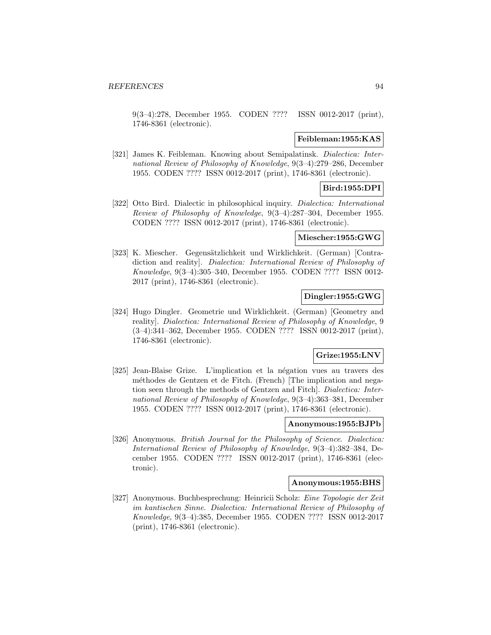9(3–4):278, December 1955. CODEN ???? ISSN 0012-2017 (print), 1746-8361 (electronic).

### **Feibleman:1955:KAS**

[321] James K. Feibleman. Knowing about Semipalatinsk. Dialectica: International Review of Philosophy of Knowledge, 9(3–4):279–286, December 1955. CODEN ???? ISSN 0012-2017 (print), 1746-8361 (electronic).

# **Bird:1955:DPI**

[322] Otto Bird. Dialectic in philosophical inquiry. Dialectica: International Review of Philosophy of Knowledge, 9(3–4):287–304, December 1955. CODEN ???? ISSN 0012-2017 (print), 1746-8361 (electronic).

# **Miescher:1955:GWG**

[323] K. Miescher. Gegensätzlichkeit und Wirklichkeit. (German) [Contradiction and reality]. Dialectica: International Review of Philosophy of Knowledge, 9(3–4):305–340, December 1955. CODEN ???? ISSN 0012- 2017 (print), 1746-8361 (electronic).

# **Dingler:1955:GWG**

[324] Hugo Dingler. Geometrie und Wirklichkeit. (German) [Geometry and reality]. Dialectica: International Review of Philosophy of Knowledge, 9 (3–4):341–362, December 1955. CODEN ???? ISSN 0012-2017 (print), 1746-8361 (electronic).

# **Grize:1955:LNV**

[325] Jean-Blaise Grize. L'implication et la négation vues au travers des méthodes de Gentzen et de Fitch. (French) [The implication and negation seen through the methods of Gentzen and Fitch]. Dialectica: International Review of Philosophy of Knowledge, 9(3–4):363–381, December 1955. CODEN ???? ISSN 0012-2017 (print), 1746-8361 (electronic).

# **Anonymous:1955:BJPb**

[326] Anonymous. British Journal for the Philosophy of Science. Dialectica: International Review of Philosophy of Knowledge, 9(3–4):382–384, December 1955. CODEN ???? ISSN 0012-2017 (print), 1746-8361 (electronic).

### **Anonymous:1955:BHS**

[327] Anonymous. Buchbesprechung: Heinricii Scholz: Eine Topologie der Zeit im kantischen Sinne. Dialectica: International Review of Philosophy of Knowledge, 9(3–4):385, December 1955. CODEN ???? ISSN 0012-2017 (print), 1746-8361 (electronic).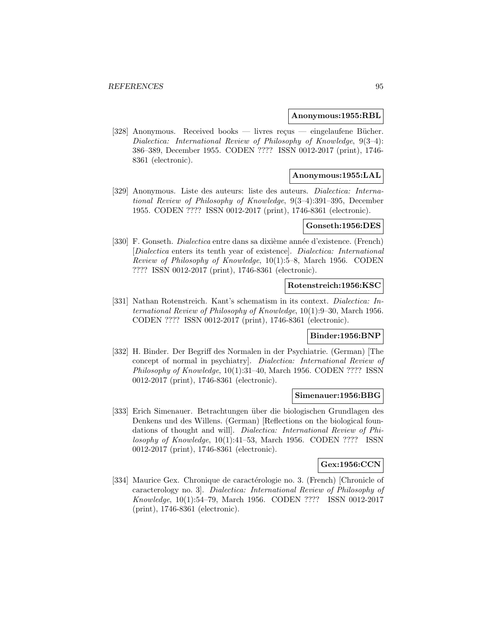#### **Anonymous:1955:RBL**

[328] Anonymous. Received books — livres reçus — eingelaufene Bücher. Dialectica: International Review of Philosophy of Knowledge, 9(3–4): 386–389, December 1955. CODEN ???? ISSN 0012-2017 (print), 1746- 8361 (electronic).

# **Anonymous:1955:LAL**

[329] Anonymous. Liste des auteurs: liste des auteurs. Dialectica: International Review of Philosophy of Knowledge, 9(3–4):391–395, December 1955. CODEN ???? ISSN 0012-2017 (print), 1746-8361 (electronic).

#### **Gonseth:1956:DES**

[330] F. Gonseth. *Dialectica* entre dans sa dixième année d'existence. (French) [Dialectica enters its tenth year of existence]. Dialectica: International Review of Philosophy of Knowledge, 10(1):5–8, March 1956. CODEN ???? ISSN 0012-2017 (print), 1746-8361 (electronic).

### **Rotenstreich:1956:KSC**

[331] Nathan Rotenstreich. Kant's schematism in its context. Dialectica: International Review of Philosophy of Knowledge, 10(1):9–30, March 1956. CODEN ???? ISSN 0012-2017 (print), 1746-8361 (electronic).

#### **Binder:1956:BNP**

[332] H. Binder. Der Begriff des Normalen in der Psychiatrie. (German) [The concept of normal in psychiatry]. Dialectica: International Review of Philosophy of Knowledge, 10(1):31–40, March 1956. CODEN ???? ISSN 0012-2017 (print), 1746-8361 (electronic).

#### **Simenauer:1956:BBG**

[333] Erich Simenauer. Betrachtungen über die biologischen Grundlagen des Denkens und des Willens. (German) [Reflections on the biological foundations of thought and will]. Dialectica: International Review of Philosophy of Knowledge, 10(1):41–53, March 1956. CODEN ???? ISSN 0012-2017 (print), 1746-8361 (electronic).

### **Gex:1956:CCN**

[334] Maurice Gex. Chronique de caractérologie no. 3. (French) [Chronicle of caracterology no. 3]. Dialectica: International Review of Philosophy of Knowledge, 10(1):54–79, March 1956. CODEN ???? ISSN 0012-2017 (print), 1746-8361 (electronic).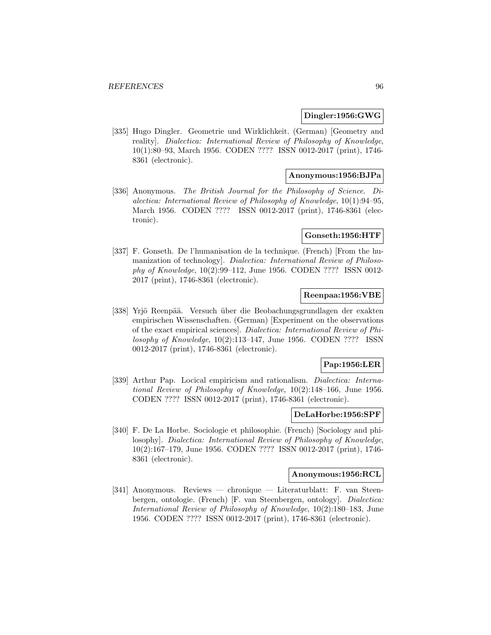# **Dingler:1956:GWG**

[335] Hugo Dingler. Geometrie und Wirklichkeit. (German) [Geometry and reality]. Dialectica: International Review of Philosophy of Knowledge, 10(1):80–93, March 1956. CODEN ???? ISSN 0012-2017 (print), 1746- 8361 (electronic).

## **Anonymous:1956:BJPa**

[336] Anonymous. The British Journal for the Philosophy of Science. Dialectica: International Review of Philosophy of Knowledge, 10(1):94–95, March 1956. CODEN ???? ISSN 0012-2017 (print), 1746-8361 (electronic).

## **Gonseth:1956:HTF**

[337] F. Gonseth. De l'humanisation de la technique. (French) [From the humanization of technology]. Dialectica: International Review of Philosophy of Knowledge, 10(2):99–112, June 1956. CODEN ???? ISSN 0012- 2017 (print), 1746-8361 (electronic).

# **Reenpaa:1956:VBE**

[338] Yrjö Reenpää. Versuch über die Beobachungsgrundlagen der exakten empirischen Wissenschaften. (German) [Experiment on the observations of the exact empirical sciences]. Dialectica: International Review of Philosophy of Knowledge, 10(2):113–147, June 1956. CODEN ???? ISSN 0012-2017 (print), 1746-8361 (electronic).

# **Pap:1956:LER**

[339] Arthur Pap. Locical empiricism and rationalism. *Dialectica: Interna*tional Review of Philosophy of Knowledge, 10(2):148–166, June 1956. CODEN ???? ISSN 0012-2017 (print), 1746-8361 (electronic).

### **DeLaHorbe:1956:SPF**

[340] F. De La Horbe. Sociologie et philosophie. (French) [Sociology and philosophy]. Dialectica: International Review of Philosophy of Knowledge, 10(2):167–179, June 1956. CODEN ???? ISSN 0012-2017 (print), 1746- 8361 (electronic).

#### **Anonymous:1956:RCL**

[341] Anonymous. Reviews — chronique — Literaturblatt: F. van Steenbergen, ontologie. (French) [F. van Steenbergen, ontology]. Dialectica: International Review of Philosophy of Knowledge, 10(2):180–183, June 1956. CODEN ???? ISSN 0012-2017 (print), 1746-8361 (electronic).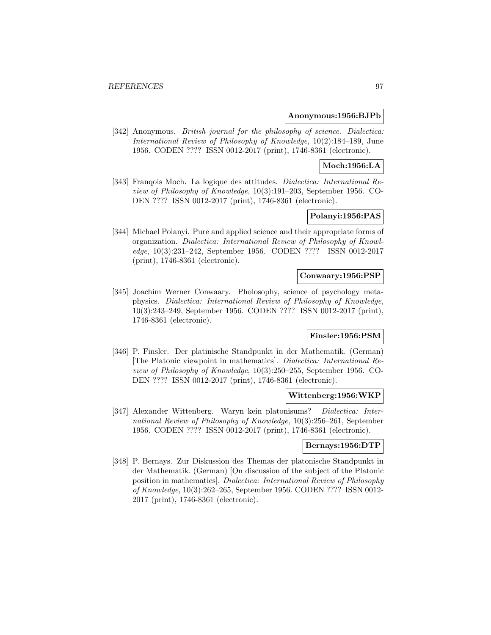### **Anonymous:1956:BJPb**

[342] Anonymous. *British journal for the philosophy of science*. *Dialectica:* International Review of Philosophy of Knowledge, 10(2):184–189, June 1956. CODEN ???? ISSN 0012-2017 (print), 1746-8361 (electronic).

# **Moch:1956:LA**

[343] Franqois Moch. La logique des attitudes. Dialectica: International Review of Philosophy of Knowledge, 10(3):191–203, September 1956. CO-DEN ???? ISSN 0012-2017 (print), 1746-8361 (electronic).

# **Polanyi:1956:PAS**

[344] Michael Polanyi. Pure and applied science and their appropriate forms of organization. Dialectica: International Review of Philosophy of Knowledge, 10(3):231–242, September 1956. CODEN ???? ISSN 0012-2017 (print), 1746-8361 (electronic).

### **Conwaary:1956:PSP**

[345] Joachim Werner Conwaary. Pholosophy, science of psychology metaphysics. Dialectica: International Review of Philosophy of Knowledge, 10(3):243–249, September 1956. CODEN ???? ISSN 0012-2017 (print), 1746-8361 (electronic).

# **Finsler:1956:PSM**

[346] P. Finsler. Der platinische Standpunkt in der Mathematik. (German) [The Platonic viewpoint in mathematics]. Dialectica: International Review of Philosophy of Knowledge, 10(3):250–255, September 1956. CO-DEN ???? ISSN 0012-2017 (print), 1746-8361 (electronic).

#### **Wittenberg:1956:WKP**

[347] Alexander Wittenberg. Waryn kein platonisums? Dialectica: International Review of Philosophy of Knowledge, 10(3):256–261, September 1956. CODEN ???? ISSN 0012-2017 (print), 1746-8361 (electronic).

# **Bernays:1956:DTP**

[348] P. Bernays. Zur Diskussion des Themas der platonische Standpunkt in der Mathematik. (German) [On discussion of the subject of the Platonic position in mathematics]. Dialectica: International Review of Philosophy of Knowledge, 10(3):262–265, September 1956. CODEN ???? ISSN 0012- 2017 (print), 1746-8361 (electronic).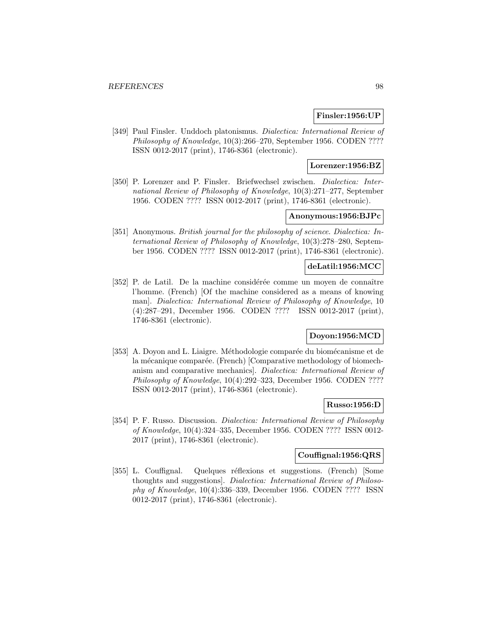# **Finsler:1956:UP**

[349] Paul Finsler. Unddoch platonismus. Dialectica: International Review of Philosophy of Knowledge, 10(3):266–270, September 1956. CODEN ???? ISSN 0012-2017 (print), 1746-8361 (electronic).

# **Lorenzer:1956:BZ**

[350] P. Lorenzer and P. Finsler. Briefwechsel zwischen. Dialectica: International Review of Philosophy of Knowledge, 10(3):271–277, September 1956. CODEN ???? ISSN 0012-2017 (print), 1746-8361 (electronic).

# **Anonymous:1956:BJPc**

[351] Anonymous. British journal for the philosophy of science. Dialectica: International Review of Philosophy of Knowledge, 10(3):278–280, September 1956. CODEN ???? ISSN 0012-2017 (print), 1746-8361 (electronic).

# **deLatil:1956:MCC**

[352] P. de Latil. De la machine considérée comme un moyen de connaître l'homme. (French) [Of the machine considered as a means of knowing man]. Dialectica: International Review of Philosophy of Knowledge, 10 (4):287–291, December 1956. CODEN ???? ISSN 0012-2017 (print), 1746-8361 (electronic).

# **Doyon:1956:MCD**

[353] A. Doyon and L. Liaigre. Méthodologie comparée du biomécanisme et de la mécanique comparée. (French) [Comparative methodology of biomechanism and comparative mechanics]. Dialectica: International Review of Philosophy of Knowledge, 10(4):292–323, December 1956. CODEN ???? ISSN 0012-2017 (print), 1746-8361 (electronic).

#### **Russo:1956:D**

[354] P. F. Russo. Discussion. Dialectica: International Review of Philosophy of Knowledge, 10(4):324–335, December 1956. CODEN ???? ISSN 0012- 2017 (print), 1746-8361 (electronic).

# **Couffignal:1956:QRS**

[355] L. Couffignal. Quelques réflexions et suggestions. (French) [Some thoughts and suggestions]. Dialectica: International Review of Philosophy of Knowledge, 10(4):336–339, December 1956. CODEN ???? ISSN 0012-2017 (print), 1746-8361 (electronic).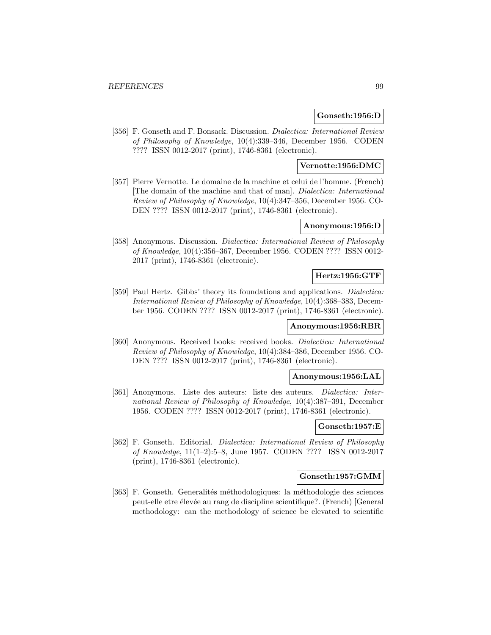# **Gonseth:1956:D**

[356] F. Gonseth and F. Bonsack. Discussion. Dialectica: International Review of Philosophy of Knowledge, 10(4):339–346, December 1956. CODEN ???? ISSN 0012-2017 (print), 1746-8361 (electronic).

# **Vernotte:1956:DMC**

[357] Pierre Vernotte. Le domaine de la machine et celui de l'homme. (French) [The domain of the machine and that of man]. Dialectica: International Review of Philosophy of Knowledge, 10(4):347–356, December 1956. CO-DEN ???? ISSN 0012-2017 (print), 1746-8361 (electronic).

#### **Anonymous:1956:D**

[358] Anonymous. Discussion. Dialectica: International Review of Philosophy of Knowledge, 10(4):356–367, December 1956. CODEN ???? ISSN 0012- 2017 (print), 1746-8361 (electronic).

# **Hertz:1956:GTF**

[359] Paul Hertz. Gibbs' theory its foundations and applications. Dialectica: International Review of Philosophy of Knowledge, 10(4):368–383, December 1956. CODEN ???? ISSN 0012-2017 (print), 1746-8361 (electronic).

### **Anonymous:1956:RBR**

[360] Anonymous. Received books: received books. Dialectica: International Review of Philosophy of Knowledge, 10(4):384–386, December 1956. CO-DEN ???? ISSN 0012-2017 (print), 1746-8361 (electronic).

#### **Anonymous:1956:LAL**

[361] Anonymous. Liste des auteurs: liste des auteurs. Dialectica: International Review of Philosophy of Knowledge, 10(4):387–391, December 1956. CODEN ???? ISSN 0012-2017 (print), 1746-8361 (electronic).

# **Gonseth:1957:E**

[362] F. Gonseth. Editorial. Dialectica: International Review of Philosophy of Knowledge, 11(1–2):5–8, June 1957. CODEN ???? ISSN 0012-2017 (print), 1746-8361 (electronic).

# **Gonseth:1957:GMM**

[363] F. Gonseth. Generalités méthodologiques: la méthodologie des sciences peut-elle etre élevée au rang de discipline scientifique?. (French) [General methodology: can the methodology of science be elevated to scientific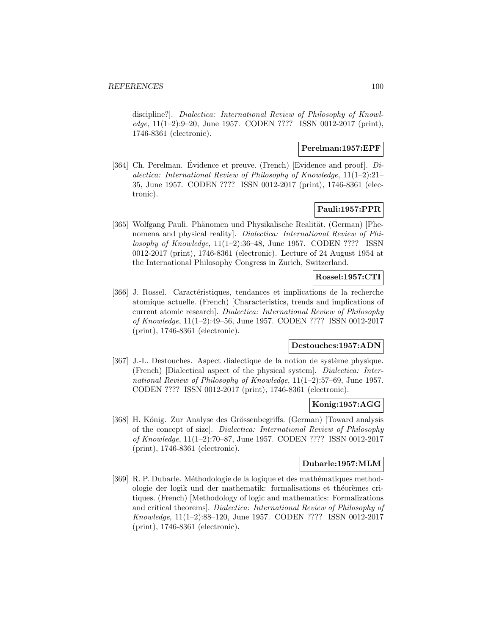discipline?]. Dialectica: International Review of Philosophy of Knowledge, 11(1–2):9–20, June 1957. CODEN ???? ISSN 0012-2017 (print), 1746-8361 (electronic).

# **Perelman:1957:EPF**

[364] Ch. Perelman. Évidence et preuve. (French) [Evidence and proof].  $Di$ alectica: International Review of Philosophy of Knowledge, 11(1–2):21– 35, June 1957. CODEN ???? ISSN 0012-2017 (print), 1746-8361 (electronic).

# **Pauli:1957:PPR**

[365] Wolfgang Pauli. Phänomen und Physikalische Realität. (German) [Phenomena and physical reality]. Dialectica: International Review of Philosophy of Knowledge, 11(1–2):36–48, June 1957. CODEN ???? ISSN 0012-2017 (print), 1746-8361 (electronic). Lecture of 24 August 1954 at the International Philosophy Congress in Zurich, Switzerland.

# **Rossel:1957:CTI**

[366] J. Rossel. Caractéristiques, tendances et implications de la recherche atomique actuelle. (French) [Characteristics, trends and implications of current atomic research]. Dialectica: International Review of Philosophy of Knowledge, 11(1–2):49–56, June 1957. CODEN ???? ISSN 0012-2017 (print), 1746-8361 (electronic).

# **Destouches:1957:ADN**

[367] J.-L. Destouches. Aspect dialectique de la notion de système physique. (French) [Dialectical aspect of the physical system]. Dialectica: International Review of Philosophy of Knowledge, 11(1–2):57–69, June 1957. CODEN ???? ISSN 0012-2017 (print), 1746-8361 (electronic).

#### **Konig:1957:AGG**

[368] H. König. Zur Analyse des Grössenbegriffs. (German) [Toward analysis of the concept of size]. Dialectica: International Review of Philosophy of Knowledge, 11(1–2):70–87, June 1957. CODEN ???? ISSN 0012-2017 (print), 1746-8361 (electronic).

# **Dubarle:1957:MLM**

[369] R. P. Dubarle. Méthodologie de la logique et des mathématiques methodologie der logik und der mathematik: formalisations et théorèmes critiques. (French) [Methodology of logic and mathematics: Formalizations and critical theorems]. Dialectica: International Review of Philosophy of Knowledge, 11(1–2):88–120, June 1957. CODEN ???? ISSN 0012-2017 (print), 1746-8361 (electronic).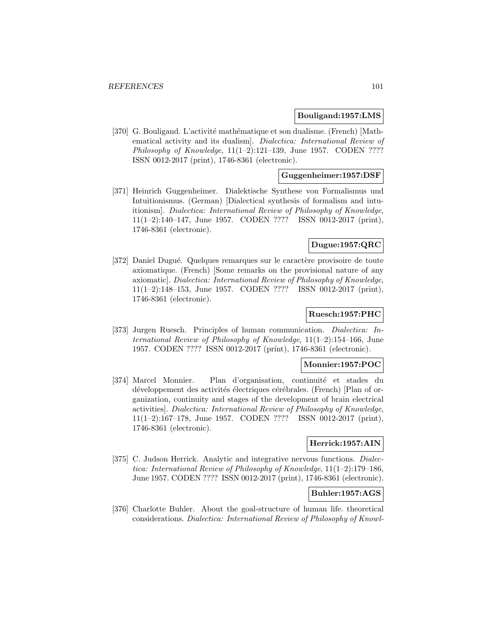#### **Bouligand:1957:LMS**

[370] G. Bouligand. L'activité mathématique et son dualisme. (French) [Mathematical activity and its dualism]. Dialectica: International Review of Philosophy of Knowledge,  $11(1-2):121-139$ , June 1957. CODEN ???? ISSN 0012-2017 (print), 1746-8361 (electronic).

# **Guggenheimer:1957:DSF**

[371] Heinrich Guggenheimer. Dialektische Synthese von Formalismus und Intuitionismus. (German) [Dialectical synthesis of formalism and intuitionism]. Dialectica: International Review of Philosophy of Knowledge, 11(1–2):140–147, June 1957. CODEN ???? ISSN 0012-2017 (print), 1746-8361 (electronic).

### **Dugue:1957:QRC**

[372] Daniel Dugué. Quelques remarques sur le caractère provisoire de toute axiomatique. (French) [Some remarks on the provisional nature of any axiomatic]. Dialectica: International Review of Philosophy of Knowledge, 11(1–2):148–153, June 1957. CODEN ???? ISSN 0012-2017 (print), 1746-8361 (electronic).

### **Ruesch:1957:PHC**

[373] Jurgen Ruesch. Principles of human communication. Dialectica: International Review of Philosophy of Knowledge, 11(1–2):154–166, June 1957. CODEN ???? ISSN 0012-2017 (print), 1746-8361 (electronic).

# **Monnier:1957:POC**

[374] Marcel Monnier. Plan d'organisation, continuité et stades du développement des activités électriques cérébrales. (French) [Plan of organization, continuity and stages of the development of brain electrical activities]. Dialectica: International Review of Philosophy of Knowledge, 11(1–2):167–178, June 1957. CODEN ???? ISSN 0012-2017 (print), 1746-8361 (electronic).

# **Herrick:1957:AIN**

[375] C. Judson Herrick. Analytic and integrative nervous functions. *Dialec*tica: International Review of Philosophy of Knowledge, 11(1–2):179–186, June 1957. CODEN ???? ISSN 0012-2017 (print), 1746-8361 (electronic).

# **Buhler:1957:AGS**

[376] Charlotte Buhler. About the goal-structure of human life. theoretical considerations. Dialectica: International Review of Philosophy of Knowl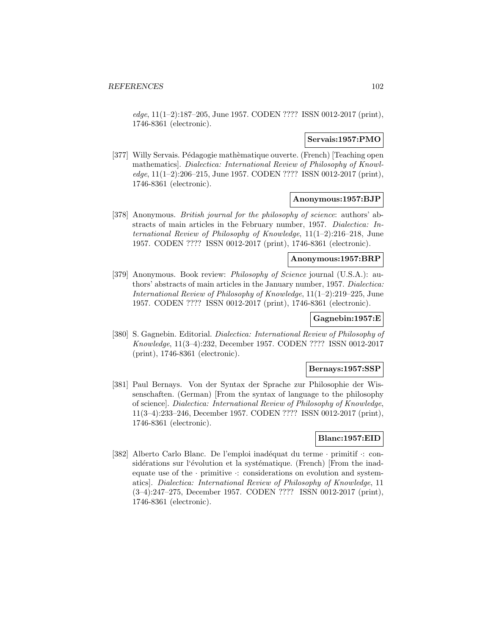edge, 11(1–2):187–205, June 1957. CODEN ???? ISSN 0012-2017 (print), 1746-8361 (electronic).

### **Servais:1957:PMO**

[377] Willy Servais. Pédagogie mathèmatique ouverte. (French) [Teaching open mathematics]. Dialectica: International Review of Philosophy of Knowledge, 11(1–2):206–215, June 1957. CODEN ???? ISSN 0012-2017 (print), 1746-8361 (electronic).

# **Anonymous:1957:BJP**

[378] Anonymous. British journal for the philosophy of science: authors' abstracts of main articles in the February number, 1957. Dialectica: International Review of Philosophy of Knowledge, 11(1–2):216–218, June 1957. CODEN ???? ISSN 0012-2017 (print), 1746-8361 (electronic).

### **Anonymous:1957:BRP**

[379] Anonymous. Book review: *Philosophy of Science* journal (U.S.A.): authors' abstracts of main articles in the January number, 1957. Dialectica: International Review of Philosophy of Knowledge, 11(1–2):219–225, June 1957. CODEN ???? ISSN 0012-2017 (print), 1746-8361 (electronic).

# **Gagnebin:1957:E**

[380] S. Gagnebin. Editorial. Dialectica: International Review of Philosophy of Knowledge, 11(3–4):232, December 1957. CODEN ???? ISSN 0012-2017 (print), 1746-8361 (electronic).

#### **Bernays:1957:SSP**

[381] Paul Bernays. Von der Syntax der Sprache zur Philosophie der Wissenschaften. (German) [From the syntax of language to the philosophy of science]. Dialectica: International Review of Philosophy of Knowledge, 11(3–4):233–246, December 1957. CODEN ???? ISSN 0012-2017 (print), 1746-8361 (electronic).

## **Blanc:1957:EID**

[382] Alberto Carlo Blanc. De l'emploi inadéquat du terme · primitif ·: considérations sur l'évolution et la systématique. (French) [From the inadequate use of the  $\cdot$  primitive  $\cdot$ : considerations on evolution and systematics]. Dialectica: International Review of Philosophy of Knowledge, 11 (3–4):247–275, December 1957. CODEN ???? ISSN 0012-2017 (print), 1746-8361 (electronic).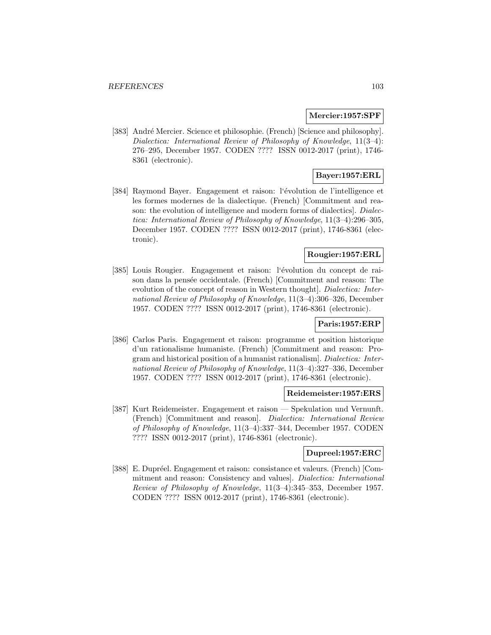#### **Mercier:1957:SPF**

[383] André Mercier. Science et philosophie. (French) [Science and philosophy]. Dialectica: International Review of Philosophy of Knowledge, 11(3–4): 276–295, December 1957. CODEN ???? ISSN 0012-2017 (print), 1746- 8361 (electronic).

# **Bayer:1957:ERL**

[384] Raymond Bayer. Engagement et raison: l'évolution de l'intelligence et les formes modernes de la dialectique. (French) [Commitment and reason: the evolution of intelligence and modern forms of dialectics. Dialectica: International Review of Philosophy of Knowledge, 11(3–4):296–305, December 1957. CODEN ???? ISSN 0012-2017 (print), 1746-8361 (electronic).

# **Rougier:1957:ERL**

[385] Louis Rougier. Engagement et raison: l'évolution du concept de raison dans la pensée occidentale. (French) [Commitment and reason: The evolution of the concept of reason in Western thought]. Dialectica: International Review of Philosophy of Knowledge, 11(3–4):306–326, December 1957. CODEN ???? ISSN 0012-2017 (print), 1746-8361 (electronic).

# **Paris:1957:ERP**

[386] Carlos Paris. Engagement et raison: programme et position historique d'un rationalisme humaniste. (French) [Commitment and reason: Program and historical position of a humanist rationalism]. Dialectica: International Review of Philosophy of Knowledge, 11(3–4):327–336, December 1957. CODEN ???? ISSN 0012-2017 (print), 1746-8361 (electronic).

### **Reidemeister:1957:ERS**

[387] Kurt Reidemeister. Engagement et raison — Spekulation und Vernunft. (French) [Commitment and reason]. Dialectica: International Review of Philosophy of Knowledge, 11(3–4):337–344, December 1957. CODEN ???? ISSN 0012-2017 (print), 1746-8361 (electronic).

# **Dupreel:1957:ERC**

[388] E. Dupréel. Engagement et raison: consistance et valeurs. (French) [Commitment and reason: Consistency and values]. Dialectica: International Review of Philosophy of Knowledge, 11(3–4):345–353, December 1957. CODEN ???? ISSN 0012-2017 (print), 1746-8361 (electronic).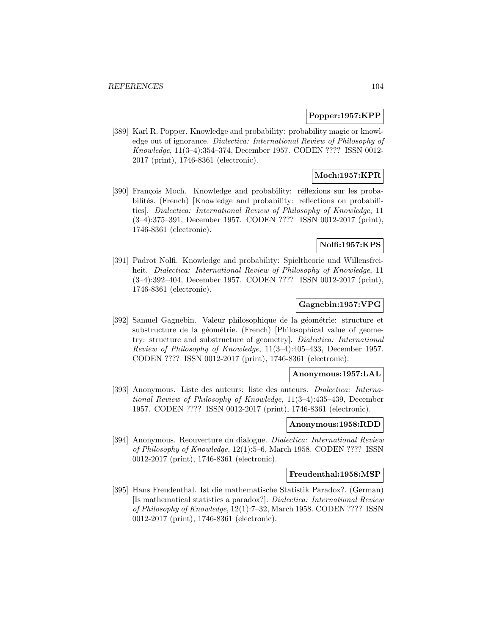### **Popper:1957:KPP**

[389] Karl R. Popper. Knowledge and probability: probability magic or knowledge out of ignorance. Dialectica: International Review of Philosophy of Knowledge, 11(3–4):354–374, December 1957. CODEN ???? ISSN 0012- 2017 (print), 1746-8361 (electronic).

# **Moch:1957:KPR**

[390] François Moch. Knowledge and probability: réflexions sur les probabilités. (French) [Knowledge and probability: reflections on probabilities]. Dialectica: International Review of Philosophy of Knowledge, 11 (3–4):375–391, December 1957. CODEN ???? ISSN 0012-2017 (print), 1746-8361 (electronic).

### **Nolfi:1957:KPS**

[391] Padrot Nolfi. Knowledge and probability: Spieltheorie und Willensfreiheit. *Dialectica: International Review of Philosophy of Knowledge*, 11 (3–4):392–404, December 1957. CODEN ???? ISSN 0012-2017 (print), 1746-8361 (electronic).

# **Gagnebin:1957:VPG**

[392] Samuel Gagnebin. Valeur philosophique de la géométrie: structure et substructure de la géométrie. (French) [Philosophical value of geometry: structure and substructure of geometry]. Dialectica: International Review of Philosophy of Knowledge, 11(3–4):405–433, December 1957. CODEN ???? ISSN 0012-2017 (print), 1746-8361 (electronic).

### **Anonymous:1957:LAL**

[393] Anonymous. Liste des auteurs: liste des auteurs. Dialectica: International Review of Philosophy of Knowledge, 11(3–4):435–439, December 1957. CODEN ???? ISSN 0012-2017 (print), 1746-8361 (electronic).

#### **Anonymous:1958:RDD**

[394] Anonymous. Reouverture dn dialogue. Dialectica: International Review of Philosophy of Knowledge, 12(1):5–6, March 1958. CODEN ???? ISSN 0012-2017 (print), 1746-8361 (electronic).

### **Freudenthal:1958:MSP**

[395] Hans Freudenthal. Ist die mathematische Statistik Paradox?. (German) [Is mathematical statistics a paradox?]. Dialectica: International Review of Philosophy of Knowledge, 12(1):7–32, March 1958. CODEN ???? ISSN 0012-2017 (print), 1746-8361 (electronic).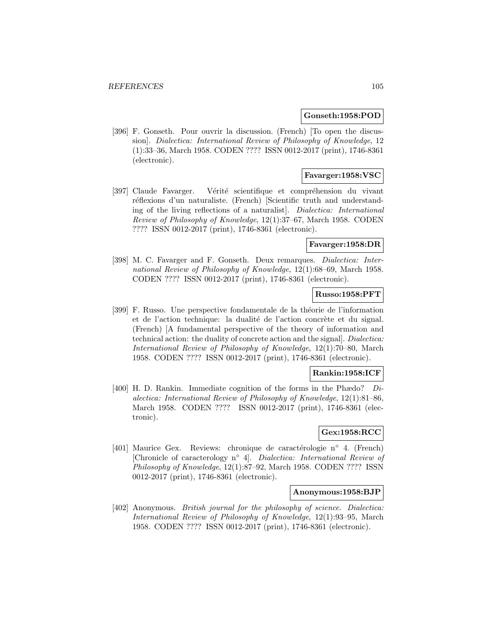#### **Gonseth:1958:POD**

[396] F. Gonseth. Pour ouvrir la discussion. (French) [To open the discussion]. Dialectica: International Review of Philosophy of Knowledge, 12 (1):33–36, March 1958. CODEN ???? ISSN 0012-2017 (print), 1746-8361 (electronic).

# **Favarger:1958:VSC**

[397] Claude Favarger. Vérité scientifique et compréhension du vivant réflexions d'un naturaliste. (French) [Scientific truth and understanding of the living reflections of a naturalist]. Dialectica: International Review of Philosophy of Knowledge, 12(1):37–67, March 1958. CODEN ???? ISSN 0012-2017 (print), 1746-8361 (electronic).

### **Favarger:1958:DR**

[398] M. C. Favarger and F. Gonseth. Deux remarques. Dialectica: International Review of Philosophy of Knowledge, 12(1):68–69, March 1958. CODEN ???? ISSN 0012-2017 (print), 1746-8361 (electronic).

## **Russo:1958:PFT**

[399] F. Russo. Une perspective fondamentale de la théorie de l'information et de l'action technique: la dualité de l'action concrète et du signal. (French) [A fundamental perspective of the theory of information and technical action: the duality of concrete action and the signal]. Dialectica: International Review of Philosophy of Knowledge, 12(1):70–80, March 1958. CODEN ???? ISSN 0012-2017 (print), 1746-8361 (electronic).

# **Rankin:1958:ICF**

[400] H. D. Rankin. Immediate cognition of the forms in the Phædo?  $Di$ alectica: International Review of Philosophy of Knowledge, 12(1):81–86, March 1958. CODEN ???? ISSN 0012-2017 (print), 1746-8361 (electronic).

# **Gex:1958:RCC**

[401] Maurice Gex. Reviews: chronique de caractérologie n° 4. (French) [Chronicle of caracterology n◦ 4]. Dialectica: International Review of Philosophy of Knowledge, 12(1):87–92, March 1958. CODEN ???? ISSN 0012-2017 (print), 1746-8361 (electronic).

# **Anonymous:1958:BJP**

[402] Anonymous. British journal for the philosophy of science. Dialectica: International Review of Philosophy of Knowledge, 12(1):93–95, March 1958. CODEN ???? ISSN 0012-2017 (print), 1746-8361 (electronic).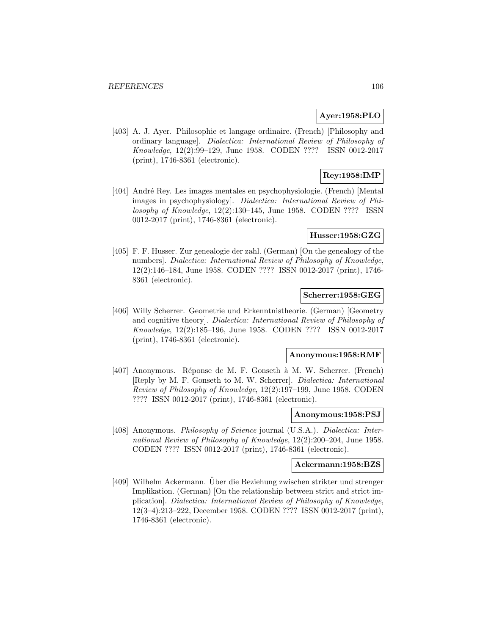### **Ayer:1958:PLO**

[403] A. J. Ayer. Philosophie et langage ordinaire. (French) [Philosophy and ordinary language]. Dialectica: International Review of Philosophy of Knowledge, 12(2):99–129, June 1958. CODEN ???? ISSN 0012-2017 (print), 1746-8361 (electronic).

# **Rey:1958:IMP**

[404] André Rey. Les images mentales en psychophysiologie. (French) [Mental images in psychophysiology]. Dialectica: International Review of Philosophy of Knowledge, 12(2):130–145, June 1958. CODEN ???? ISSN 0012-2017 (print), 1746-8361 (electronic).

# **Husser:1958:GZG**

[405] F. F. Husser. Zur genealogie der zahl. (German) [On the genealogy of the numbers]. Dialectica: International Review of Philosophy of Knowledge, 12(2):146–184, June 1958. CODEN ???? ISSN 0012-2017 (print), 1746- 8361 (electronic).

# **Scherrer:1958:GEG**

[406] Willy Scherrer. Geometrie und Erkenntnistheorie. (German) [Geometry and cognitive theory]. Dialectica: International Review of Philosophy of Knowledge, 12(2):185–196, June 1958. CODEN ???? ISSN 0012-2017 (print), 1746-8361 (electronic).

#### **Anonymous:1958:RMF**

[407] Anonymous. Réponse de M. F. Gonseth à M. W. Scherrer. (French) [Reply by M. F. Gonseth to M. W. Scherrer]. Dialectica: International Review of Philosophy of Knowledge, 12(2):197–199, June 1958. CODEN ???? ISSN 0012-2017 (print), 1746-8361 (electronic).

### **Anonymous:1958:PSJ**

[408] Anonymous. *Philosophy of Science* journal (U.S.A.). *Dialectica: Inter*national Review of Philosophy of Knowledge, 12(2):200–204, June 1958. CODEN ???? ISSN 0012-2017 (print), 1746-8361 (electronic).

#### **Ackermann:1958:BZS**

[409] Wilhelm Ackermann. Uber die Beziehung zwischen strikter und strenger ¨ Implikation. (German) [On the relationship between strict and strict implication]. Dialectica: International Review of Philosophy of Knowledge, 12(3–4):213–222, December 1958. CODEN ???? ISSN 0012-2017 (print), 1746-8361 (electronic).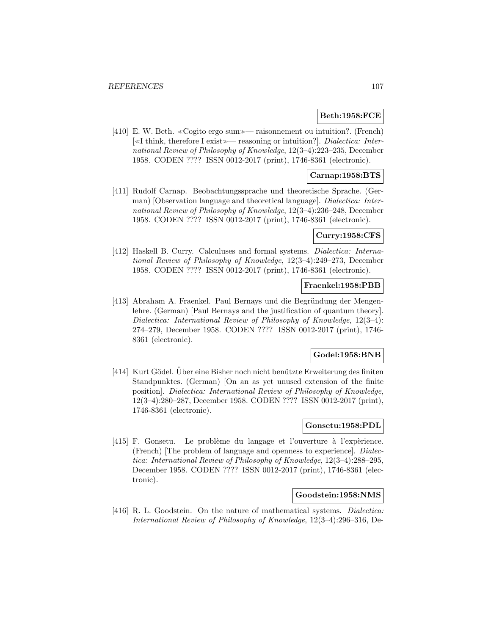# **Beth:1958:FCE**

[410] E. W. Beth. «Cogito ergo sum»— raisonnement ou intuition?. (French)  $\left[\ll\text{I think, therefore I exist}\rightleftharpoons\text{reasoning or intuition?}. \quad \text{Dialectica: Inter-}$ national Review of Philosophy of Knowledge, 12(3–4):223–235, December 1958. CODEN ???? ISSN 0012-2017 (print), 1746-8361 (electronic).

# **Carnap:1958:BTS**

[411] Rudolf Carnap. Beobachtungssprache und theoretische Sprache. (German) [Observation language and theoretical language]. Dialectica: International Review of Philosophy of Knowledge, 12(3–4):236–248, December 1958. CODEN ???? ISSN 0012-2017 (print), 1746-8361 (electronic).

# **Curry:1958:CFS**

[412] Haskell B. Curry. Calculuses and formal systems. *Dialectica: Interna*tional Review of Philosophy of Knowledge, 12(3–4):249–273, December 1958. CODEN ???? ISSN 0012-2017 (print), 1746-8361 (electronic).

### **Fraenkel:1958:PBB**

[413] Abraham A. Fraenkel. Paul Bernays und die Begründung der Mengenlehre. (German) [Paul Bernays and the justification of quantum theory]. Dialectica: International Review of Philosophy of Knowledge, 12(3–4): 274–279, December 1958. CODEN ???? ISSN 0012-2017 (print), 1746- 8361 (electronic).

#### **Godel:1958:BNB**

[414] Kurt Gödel. Uber eine Bisher noch nicht benützte Erweiterung des finiten Standpunktes. (German) [On an as yet unused extension of the finite position]. Dialectica: International Review of Philosophy of Knowledge, 12(3–4):280–287, December 1958. CODEN ???? ISSN 0012-2017 (print), 1746-8361 (electronic).

# **Gonsetu:1958:PDL**

[415] F. Gonsetu. Le problème du langage et l'ouverture à l'expèrience. (French) [The problem of language and openness to experience]. Dialectica: International Review of Philosophy of Knowledge, 12(3–4):288–295, December 1958. CODEN ???? ISSN 0012-2017 (print), 1746-8361 (electronic).

# **Goodstein:1958:NMS**

[416] R. L. Goodstein. On the nature of mathematical systems. *Dialectica:* International Review of Philosophy of Knowledge, 12(3–4):296–316, De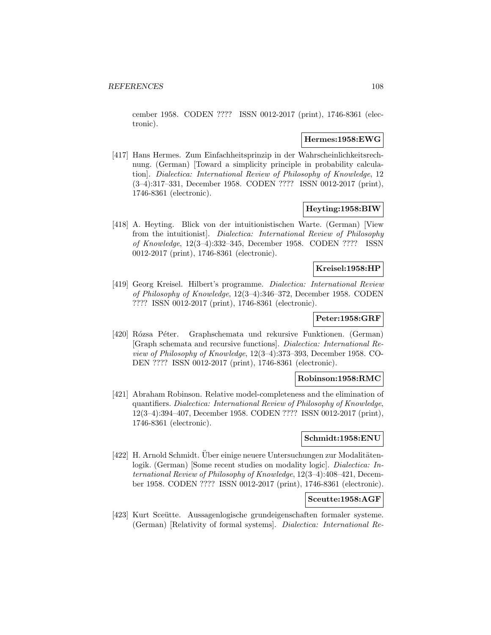cember 1958. CODEN ???? ISSN 0012-2017 (print), 1746-8361 (electronic).

# **Hermes:1958:EWG**

[417] Hans Hermes. Zum Einfachheitsprinzip in der Wahrscheinlichkeitsrechnung. (German) [Toward a simplicity principle in probability calculation]. Dialectica: International Review of Philosophy of Knowledge, 12 (3–4):317–331, December 1958. CODEN ???? ISSN 0012-2017 (print), 1746-8361 (electronic).

### **Heyting:1958:BIW**

[418] A. Heyting. Blick von der intuitionistischen Warte. (German) [View from the intuitionist]. Dialectica: International Review of Philosophy of Knowledge, 12(3–4):332–345, December 1958. CODEN ???? ISSN 0012-2017 (print), 1746-8361 (electronic).

# **Kreisel:1958:HP**

[419] Georg Kreisel. Hilbert's programme. Dialectica: International Review of Philosophy of Knowledge, 12(3–4):346–372, December 1958. CODEN ???? ISSN 0012-2017 (print), 1746-8361 (electronic).

# **Peter:1958:GRF**

[420] Rózsa Péter. Graphschemata und rekursive Funktionen. (German) [Graph schemata and recursive functions]. Dialectica: International Review of Philosophy of Knowledge, 12(3–4):373–393, December 1958. CO-DEN ???? ISSN 0012-2017 (print), 1746-8361 (electronic).

#### **Robinson:1958:RMC**

[421] Abraham Robinson. Relative model-completeness and the elimination of quantifiers. Dialectica: International Review of Philosophy of Knowledge, 12(3–4):394–407, December 1958. CODEN ???? ISSN 0012-2017 (print), 1746-8361 (electronic).

# **Schmidt:1958:ENU**

[422] H. Arnold Schmidt. Über einige neuere Untersuchungen zur Modalitätenlogik. (German) [Some recent studies on modality logic]. Dialectica: International Review of Philosophy of Knowledge, 12(3–4):408–421, December 1958. CODEN ???? ISSN 0012-2017 (print), 1746-8361 (electronic).

## **Sceutte:1958:AGF**

[423] Kurt Sceütte. Aussagenlogische grundeigenschaften formaler systeme. (German) [Relativity of formal systems]. Dialectica: International Re-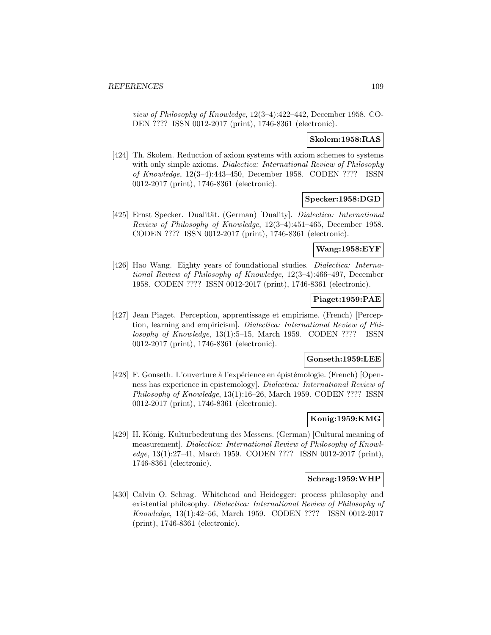view of Philosophy of Knowledge, 12(3–4):422–442, December 1958. CO-DEN ???? ISSN 0012-2017 (print), 1746-8361 (electronic).

### **Skolem:1958:RAS**

[424] Th. Skolem. Reduction of axiom systems with axiom schemes to systems with only simple axioms. *Dialectica: International Review of Philosophy* of Knowledge, 12(3–4):443–450, December 1958. CODEN ???? ISSN 0012-2017 (print), 1746-8361 (electronic).

### **Specker:1958:DGD**

[425] Ernst Specker. Dualität. (German) [Duality]. Dialectica: International Review of Philosophy of Knowledge, 12(3–4):451–465, December 1958. CODEN ???? ISSN 0012-2017 (print), 1746-8361 (electronic).

#### **Wang:1958:EYF**

[426] Hao Wang. Eighty years of foundational studies. Dialectica: International Review of Philosophy of Knowledge, 12(3–4):466–497, December 1958. CODEN ???? ISSN 0012-2017 (print), 1746-8361 (electronic).

### **Piaget:1959:PAE**

[427] Jean Piaget. Perception, apprentissage et empirisme. (French) [Perception, learning and empiricism]. Dialectica: International Review of Philosophy of Knowledge, 13(1):5–15, March 1959. CODEN ???? ISSN 0012-2017 (print), 1746-8361 (electronic).

#### **Gonseth:1959:LEE**

[428] F. Gonseth. L'ouverture à l'expérience en épistémologie. (French) [Openness has experience in epistemology]. Dialectica: International Review of Philosophy of Knowledge, 13(1):16–26, March 1959. CODEN ???? ISSN 0012-2017 (print), 1746-8361 (electronic).

### **Konig:1959:KMG**

[429] H. König. Kulturbedeutung des Messens. (German) [Cultural meaning of measurement]. Dialectica: International Review of Philosophy of Knowledge, 13(1):27–41, March 1959. CODEN ???? ISSN 0012-2017 (print), 1746-8361 (electronic).

### **Schrag:1959:WHP**

[430] Calvin O. Schrag. Whitehead and Heidegger: process philosophy and existential philosophy. Dialectica: International Review of Philosophy of Knowledge, 13(1):42–56, March 1959. CODEN ???? ISSN 0012-2017 (print), 1746-8361 (electronic).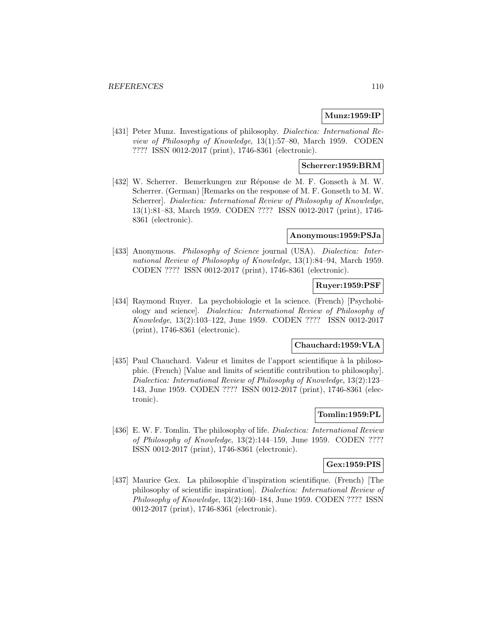# **Munz:1959:IP**

[431] Peter Munz. Investigations of philosophy. *Dialectica: International Re*view of Philosophy of Knowledge, 13(1):57–80, March 1959. CODEN ???? ISSN 0012-2017 (print), 1746-8361 (electronic).

### **Scherrer:1959:BRM**

[432] W. Scherrer. Bemerkungen zur Réponse de M. F. Gonseth à M. W. Scherrer. (German) [Remarks on the response of M. F. Gonseth to M. W. Scherrer]. Dialectica: International Review of Philosophy of Knowledge, 13(1):81–83, March 1959. CODEN ???? ISSN 0012-2017 (print), 1746- 8361 (electronic).

#### **Anonymous:1959:PSJa**

[433] Anonymous. Philosophy of Science journal (USA). Dialectica: International Review of Philosophy of Knowledge, 13(1):84–94, March 1959. CODEN ???? ISSN 0012-2017 (print), 1746-8361 (electronic).

#### **Ruyer:1959:PSF**

[434] Raymond Ruyer. La psychobiologie et la science. (French) [Psychobiology and science]. Dialectica: International Review of Philosophy of Knowledge, 13(2):103–122, June 1959. CODEN ???? ISSN 0012-2017 (print), 1746-8361 (electronic).

# **Chauchard:1959:VLA**

[435] Paul Chauchard. Valeur et limites de l'apport scientifique à la philosophie. (French) [Value and limits of scientific contribution to philosophy]. Dialectica: International Review of Philosophy of Knowledge, 13(2):123– 143, June 1959. CODEN ???? ISSN 0012-2017 (print), 1746-8361 (electronic).

### **Tomlin:1959:PL**

[436] E. W. F. Tomlin. The philosophy of life. *Dialectica: International Review* of Philosophy of Knowledge, 13(2):144–159, June 1959. CODEN ???? ISSN 0012-2017 (print), 1746-8361 (electronic).

### **Gex:1959:PIS**

[437] Maurice Gex. La philosophie d'inspiration scientifique. (French) [The philosophy of scientific inspiration]. Dialectica: International Review of Philosophy of Knowledge, 13(2):160–184, June 1959. CODEN ???? ISSN 0012-2017 (print), 1746-8361 (electronic).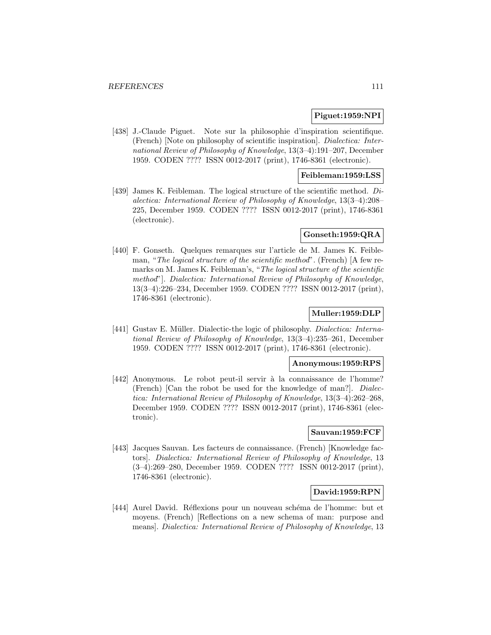### **Piguet:1959:NPI**

[438] J.-Claude Piguet. Note sur la philosophie d'inspiration scientifique. (French) [Note on philosophy of scientific inspiration]. Dialectica: International Review of Philosophy of Knowledge, 13(3–4):191–207, December 1959. CODEN ???? ISSN 0012-2017 (print), 1746-8361 (electronic).

#### **Feibleman:1959:LSS**

[439] James K. Feibleman. The logical structure of the scientific method. Dialectica: International Review of Philosophy of Knowledge, 13(3–4):208– 225, December 1959. CODEN ???? ISSN 0012-2017 (print), 1746-8361 (electronic).

### **Gonseth:1959:QRA**

[440] F. Gonseth. Quelques remarques sur l'article de M. James K. Feibleman, "The logical structure of the scientific method". (French) [A few remarks on M. James K. Feibleman's, "The logical structure of the scientific method"]. Dialectica: International Review of Philosophy of Knowledge, 13(3–4):226–234, December 1959. CODEN ???? ISSN 0012-2017 (print), 1746-8361 (electronic).

### **Muller:1959:DLP**

[441] Gustav E. Müller. Dialectic-the logic of philosophy. Dialectica: International Review of Philosophy of Knowledge, 13(3–4):235–261, December 1959. CODEN ???? ISSN 0012-2017 (print), 1746-8361 (electronic).

#### **Anonymous:1959:RPS**

[442] Anonymous. Le robot peut-il servir à la connaissance de l'homme? (French) [Can the robot be used for the knowledge of man?]. Dialectica: International Review of Philosophy of Knowledge, 13(3–4):262–268, December 1959. CODEN ???? ISSN 0012-2017 (print), 1746-8361 (electronic).

#### **Sauvan:1959:FCF**

[443] Jacques Sauvan. Les facteurs de connaissance. (French) [Knowledge factors]. Dialectica: International Review of Philosophy of Knowledge, 13 (3–4):269–280, December 1959. CODEN ???? ISSN 0012-2017 (print), 1746-8361 (electronic).

### **David:1959:RPN**

[444] Aurel David. Réflexions pour un nouveau schéma de l'homme: but et moyens. (French) [Reflections on a new schema of man: purpose and means]. Dialectica: International Review of Philosophy of Knowledge, 13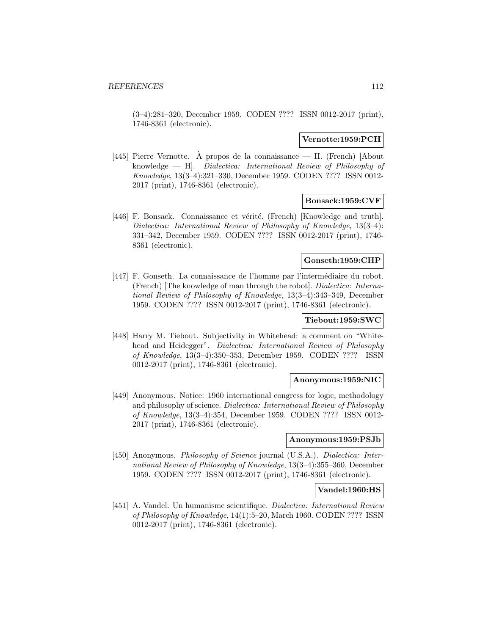(3–4):281–320, December 1959. CODEN ???? ISSN 0012-2017 (print), 1746-8361 (electronic).

### **Vernotte:1959:PCH**

[445] Pierre Vernotte. À propos de la connaissance — H. (French) [About knowledge — H]. Dialectica: International Review of Philosophy of Knowledge, 13(3–4):321–330, December 1959. CODEN ???? ISSN 0012- 2017 (print), 1746-8361 (electronic).

#### **Bonsack:1959:CVF**

[446] F. Bonsack. Connaissance et vérité. (French) [Knowledge and truth]. Dialectica: International Review of Philosophy of Knowledge, 13(3–4): 331–342, December 1959. CODEN ???? ISSN 0012-2017 (print), 1746- 8361 (electronic).

### **Gonseth:1959:CHP**

[447] F. Gonseth. La connaissance de l'homme par l'intermédiaire du robot. (French) [The knowledge of man through the robot]. Dialectica: International Review of Philosophy of Knowledge, 13(3–4):343–349, December 1959. CODEN ???? ISSN 0012-2017 (print), 1746-8361 (electronic).

# **Tiebout:1959:SWC**

[448] Harry M. Tiebout. Subjectivity in Whitehead: a comment on "Whitehead and Heidegger". Dialectica: International Review of Philosophy of Knowledge, 13(3–4):350–353, December 1959. CODEN ???? ISSN 0012-2017 (print), 1746-8361 (electronic).

#### **Anonymous:1959:NIC**

[449] Anonymous. Notice: 1960 international congress for logic, methodology and philosophy of science. Dialectica: International Review of Philosophy of Knowledge, 13(3–4):354, December 1959. CODEN ???? ISSN 0012- 2017 (print), 1746-8361 (electronic).

### **Anonymous:1959:PSJb**

[450] Anonymous. *Philosophy of Science* journal (U.S.A.). *Dialectica: Inter*national Review of Philosophy of Knowledge, 13(3–4):355–360, December 1959. CODEN ???? ISSN 0012-2017 (print), 1746-8361 (electronic).

### **Vandel:1960:HS**

[451] A. Vandel. Un humanisme scientifique. Dialectica: International Review of Philosophy of Knowledge, 14(1):5–20, March 1960. CODEN ???? ISSN 0012-2017 (print), 1746-8361 (electronic).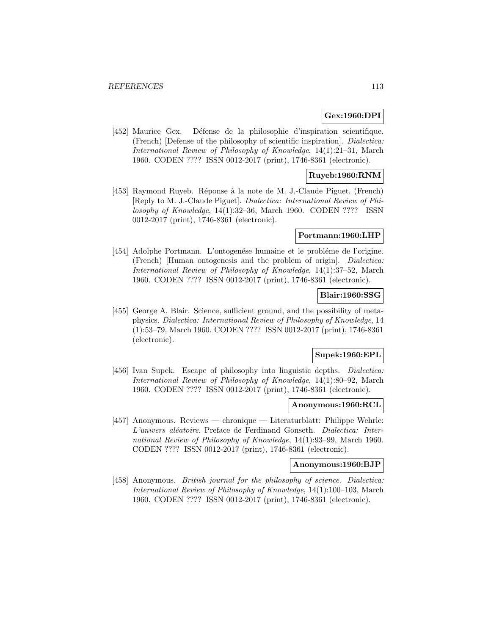## **Gex:1960:DPI**

[452] Maurice Gex. Défense de la philosophie d'inspiration scientifique. (French) [Defense of the philosophy of scientific inspiration]. Dialectica: International Review of Philosophy of Knowledge, 14(1):21–31, March 1960. CODEN ???? ISSN 0012-2017 (print), 1746-8361 (electronic).

### **Ruyeb:1960:RNM**

[453] Raymond Ruyeb. Réponse à la note de M. J.-Claude Piguet. (French) [Reply to M. J.-Claude Piguet]. Dialectica: International Review of Philosophy of Knowledge, 14(1):32–36, March 1960. CODEN ???? ISSN 0012-2017 (print), 1746-8361 (electronic).

### **Portmann:1960:LHP**

[454] Adolphe Portmann. L'ontogenése humaine et le probléme de l'origine. (French) [Human ontogenesis and the problem of origin]. Dialectica: International Review of Philosophy of Knowledge, 14(1):37–52, March 1960. CODEN ???? ISSN 0012-2017 (print), 1746-8361 (electronic).

# **Blair:1960:SSG**

[455] George A. Blair. Science, sufficient ground, and the possibility of metaphysics. Dialectica: International Review of Philosophy of Knowledge, 14 (1):53–79, March 1960. CODEN ???? ISSN 0012-2017 (print), 1746-8361 (electronic).

#### **Supek:1960:EPL**

[456] Ivan Supek. Escape of philosophy into linguistic depths. Dialectica: International Review of Philosophy of Knowledge, 14(1):80–92, March 1960. CODEN ???? ISSN 0012-2017 (print), 1746-8361 (electronic).

#### **Anonymous:1960:RCL**

[457] Anonymous. Reviews — chronique — Literaturblatt: Philippe Wehrle: L'univers aléatoire. Preface de Ferdinand Gonseth. Dialectica: International Review of Philosophy of Knowledge, 14(1):93–99, March 1960. CODEN ???? ISSN 0012-2017 (print), 1746-8361 (electronic).

#### **Anonymous:1960:BJP**

[458] Anonymous. British journal for the philosophy of science. Dialectica: International Review of Philosophy of Knowledge, 14(1):100–103, March 1960. CODEN ???? ISSN 0012-2017 (print), 1746-8361 (electronic).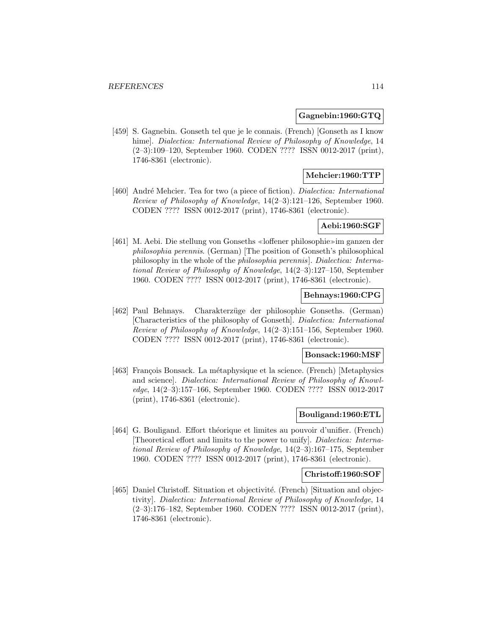### **Gagnebin:1960:GTQ**

[459] S. Gagnebin. Gonseth tel que je le connais. (French) [Gonseth as I know hime]. *Dialectica: International Review of Philosophy of Knowledge*, 14 (2–3):109–120, September 1960. CODEN ???? ISSN 0012-2017 (print), 1746-8361 (electronic).

### **Mehcier:1960:TTP**

[460] André Mehcier. Tea for two (a piece of fiction). *Dialectica: International* Review of Philosophy of Knowledge, 14(2–3):121–126, September 1960. CODEN ???? ISSN 0012-2017 (print), 1746-8361 (electronic).

#### **Aebi:1960:SGF**

[461] M. Aebi. Die stellung von Gonseths «loffener philosophie» im ganzen der philosophia perennis. (German) [The position of Gonseth's philosophical philosophy in the whole of the philosophia perennis]. Dialectica: International Review of Philosophy of Knowledge, 14(2–3):127–150, September 1960. CODEN ???? ISSN 0012-2017 (print), 1746-8361 (electronic).

### **Behnays:1960:CPG**

[462] Paul Behnays. Charakterzüge der philosophie Gonseths. (German) [Characteristics of the philosophy of Gonseth]. Dialectica: International Review of Philosophy of Knowledge, 14(2–3):151–156, September 1960. CODEN ???? ISSN 0012-2017 (print), 1746-8361 (electronic).

#### **Bonsack:1960:MSF**

[463] François Bonsack. La métaphysique et la science. (French) [Metaphysics and science]. Dialectica: International Review of Philosophy of Knowledge, 14(2–3):157–166, September 1960. CODEN ???? ISSN 0012-2017 (print), 1746-8361 (electronic).

### **Bouligand:1960:ETL**

[464] G. Bouligand. Effort théorique et limites au pouvoir d'unifier. (French) [Theoretical effort and limits to the power to unify]. Dialectica: International Review of Philosophy of Knowledge, 14(2–3):167–175, September 1960. CODEN ???? ISSN 0012-2017 (print), 1746-8361 (electronic).

#### **Christoff:1960:SOF**

[465] Daniel Christoff. Situation et objectivité. (French) [Situation and objectivity]. Dialectica: International Review of Philosophy of Knowledge, 14 (2–3):176–182, September 1960. CODEN ???? ISSN 0012-2017 (print), 1746-8361 (electronic).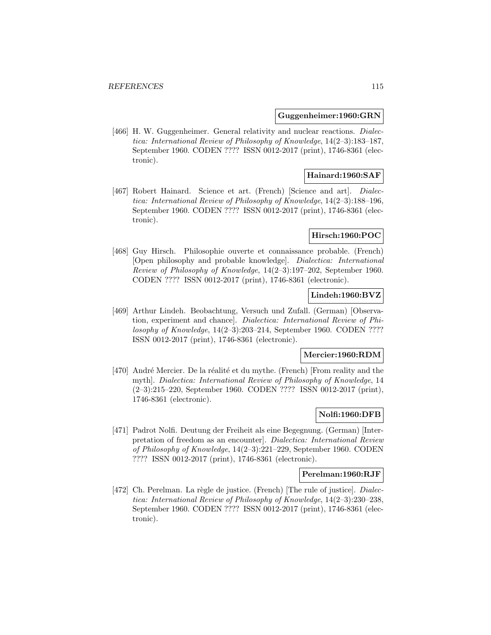#### **Guggenheimer:1960:GRN**

[466] H. W. Guggenheimer. General relativity and nuclear reactions. Dialectica: International Review of Philosophy of Knowledge, 14(2–3):183–187, September 1960. CODEN ???? ISSN 0012-2017 (print), 1746-8361 (electronic).

### **Hainard:1960:SAF**

[467] Robert Hainard. Science et art. (French) [Science and art]. *Dialec*tica: International Review of Philosophy of Knowledge, 14(2–3):188–196, September 1960. CODEN ???? ISSN 0012-2017 (print), 1746-8361 (electronic).

### **Hirsch:1960:POC**

[468] Guy Hirsch. Philosophie ouverte et connaissance probable. (French) [Open philosophy and probable knowledge]. Dialectica: International Review of Philosophy of Knowledge, 14(2–3):197–202, September 1960. CODEN ???? ISSN 0012-2017 (print), 1746-8361 (electronic).

### **Lindeh:1960:BVZ**

[469] Arthur Lindeh. Beobachtung, Versuch und Zufall. (German) [Observation, experiment and chance]. Dialectica: International Review of Philosophy of Knowledge, 14(2–3):203–214, September 1960. CODEN ???? ISSN 0012-2017 (print), 1746-8361 (electronic).

#### **Mercier:1960:RDM**

[470] André Mercier. De la réalité et du mythe. (French) [From reality and the myth]. Dialectica: International Review of Philosophy of Knowledge, 14 (2–3):215–220, September 1960. CODEN ???? ISSN 0012-2017 (print), 1746-8361 (electronic).

### **Nolfi:1960:DFB**

[471] Padrot Nolfi. Deutung der Freiheit als eine Begegnung. (German) [Interpretation of freedom as an encounter]. Dialectica: International Review of Philosophy of Knowledge, 14(2–3):221–229, September 1960. CODEN ???? ISSN 0012-2017 (print), 1746-8361 (electronic).

#### **Perelman:1960:RJF**

[472] Ch. Perelman. La règle de justice. (French) [The rule of justice]. *Dialec*tica: International Review of Philosophy of Knowledge, 14(2–3):230–238, September 1960. CODEN ???? ISSN 0012-2017 (print), 1746-8361 (electronic).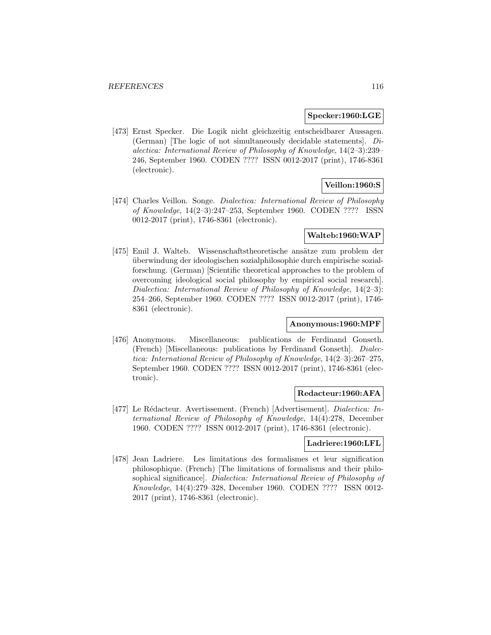#### **Specker:1960:LGE**

[473] Ernst Specker. Die Logik nicht gleichzeitig entscheidbarer Aussagen. (German) [The logic of not simultaneously decidable statements]. Dialectica: International Review of Philosophy of Knowledge, 14(2–3):239– 246, September 1960. CODEN ???? ISSN 0012-2017 (print), 1746-8361 (electronic).

# **Veillon:1960:S**

[474] Charles Veillon. Songe. Dialectica: International Review of Philosophy of Knowledge, 14(2–3):247–253, September 1960. CODEN ???? ISSN 0012-2017 (print), 1746-8361 (electronic).

#### **Walteb:1960:WAP**

[475] Emil J. Walteb. Wissenschaftstheoretische ansätze zum problem der uberwindung der ideologischen sozialphilosophie durch empirische sozial- ¨ forschung. (German) [Scientific theoretical approaches to the problem of overcoming ideological social philosophy by empirical social research]. Dialectica: International Review of Philosophy of Knowledge, 14(2–3): 254–266, September 1960. CODEN ???? ISSN 0012-2017 (print), 1746- 8361 (electronic).

### **Anonymous:1960:MPF**

[476] Anonymous. Miscellaneous: publications de Ferdinand Gonseth. (French) [Miscellaneous: publications by Ferdinand Gonseth]. Dialectica: International Review of Philosophy of Knowledge, 14(2–3):267–275, September 1960. CODEN ???? ISSN 0012-2017 (print), 1746-8361 (electronic).

#### **Redacteur:1960:AFA**

[477] Le Rédacteur. Avertissement. (French) [Advertisement]. Dialectica: International Review of Philosophy of Knowledge, 14(4):278, December 1960. CODEN ???? ISSN 0012-2017 (print), 1746-8361 (electronic).

#### **Ladriere:1960:LFL**

[478] Jean Ladriere. Les limitations des formalismes et leur signification philosophique. (French) [The limitations of formalisms and their philosophical significance]. Dialectica: International Review of Philosophy of Knowledge, 14(4):279–328, December 1960. CODEN ???? ISSN 0012- 2017 (print), 1746-8361 (electronic).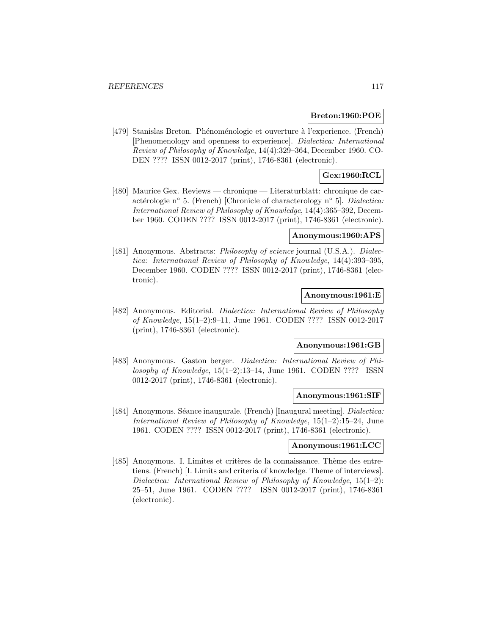#### **Breton:1960:POE**

[479] Stanislas Breton. Phénoménologie et ouverture à l'experience. (French) [Phenomenology and openness to experience]. Dialectica: International Review of Philosophy of Knowledge, 14(4):329–364, December 1960. CO-DEN ???? ISSN 0012-2017 (print), 1746-8361 (electronic).

### **Gex:1960:RCL**

[480] Maurice Gex. Reviews — chronique — Literaturblatt: chronique de caractérologie n∘ 5. (French) [Chronicle of characterology n° 5]. Dialectica: International Review of Philosophy of Knowledge, 14(4):365–392, December 1960. CODEN ???? ISSN 0012-2017 (print), 1746-8361 (electronic).

### **Anonymous:1960:APS**

[481] Anonymous. Abstracts: *Philosophy of science* journal (U.S.A.). *Dialec*tica: International Review of Philosophy of Knowledge, 14(4):393–395, December 1960. CODEN ???? ISSN 0012-2017 (print), 1746-8361 (electronic).

### **Anonymous:1961:E**

[482] Anonymous. Editorial. Dialectica: International Review of Philosophy of Knowledge, 15(1–2):9–11, June 1961. CODEN ???? ISSN 0012-2017 (print), 1746-8361 (electronic).

### **Anonymous:1961:GB**

[483] Anonymous. Gaston berger. *Dialectica: International Review of Phi*losophy of Knowledge, 15(1–2):13–14, June 1961. CODEN ???? ISSN 0012-2017 (print), 1746-8361 (electronic).

### **Anonymous:1961:SIF**

[484] Anonymous. Séance inaugurale. (French) [Inaugural meeting]. *Dialectica:* International Review of Philosophy of Knowledge, 15(1–2):15–24, June 1961. CODEN ???? ISSN 0012-2017 (print), 1746-8361 (electronic).

#### **Anonymous:1961:LCC**

[485] Anonymous. I. Limites et critères de la connaissance. Thème des entretiens. (French) [I. Limits and criteria of knowledge. Theme of interviews]. Dialectica: International Review of Philosophy of Knowledge, 15(1–2): 25–51, June 1961. CODEN ???? ISSN 0012-2017 (print), 1746-8361 (electronic).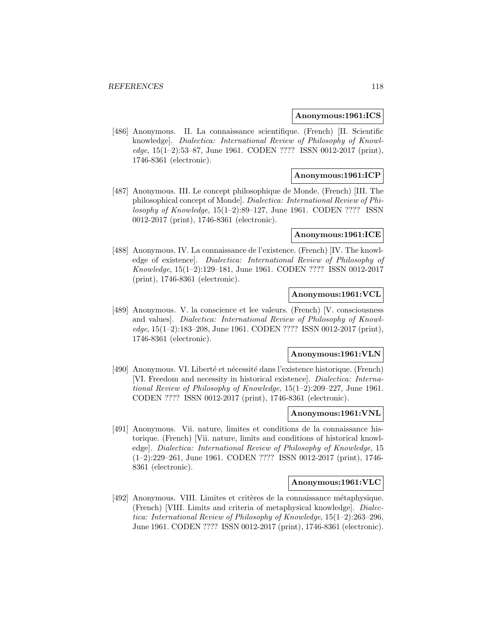#### **Anonymous:1961:ICS**

[486] Anonymous. II. La connaissance scientifique. (French) [II. Scientific knowledge]. Dialectica: International Review of Philosophy of Knowledge, 15(1–2):53–87, June 1961. CODEN ???? ISSN 0012-2017 (print), 1746-8361 (electronic).

### **Anonymous:1961:ICP**

[487] Anonymous. III. Le concept philosophique de Monde. (French) [III. The philosophical concept of Monde]. Dialectica: International Review of Philosophy of Knowledge, 15(1–2):89–127, June 1961. CODEN ???? ISSN 0012-2017 (print), 1746-8361 (electronic).

#### **Anonymous:1961:ICE**

[488] Anonymous. IV. La connaissance de l'existence. (French) [IV. The knowledge of existence]. Dialectica: International Review of Philosophy of Knowledge, 15(1–2):129–181, June 1961. CODEN ???? ISSN 0012-2017 (print), 1746-8361 (electronic).

### **Anonymous:1961:VCL**

[489] Anonymous. V. la conscience et lee valeurs. (French) [V. consciousness and values]. Dialectica: International Review of Philosophy of Knowledge, 15(1–2):183–208, June 1961. CODEN ???? ISSN 0012-2017 (print), 1746-8361 (electronic).

#### **Anonymous:1961:VLN**

[490] Anonymous. VI. Liberté et nécessité dans l'existence historique. (French) [VI. Freedom and necessity in historical existence]. Dialectica: International Review of Philosophy of Knowledge, 15(1–2):209–227, June 1961. CODEN ???? ISSN 0012-2017 (print), 1746-8361 (electronic).

#### **Anonymous:1961:VNL**

[491] Anonymous. Vii. nature, limites et conditions de la connaissance historique. (French) [Vii. nature, limits and conditions of historical knowledge]. Dialectica: International Review of Philosophy of Knowledge, 15 (1–2):229–261, June 1961. CODEN ???? ISSN 0012-2017 (print), 1746- 8361 (electronic).

#### **Anonymous:1961:VLC**

[492] Anonymous. VIII. Limites et critères de la connaissance métaphysique. (French) [VIII. Limits and criteria of metaphysical knowledge]. Dialectica: International Review of Philosophy of Knowledge, 15(1–2):263–296, June 1961. CODEN ???? ISSN 0012-2017 (print), 1746-8361 (electronic).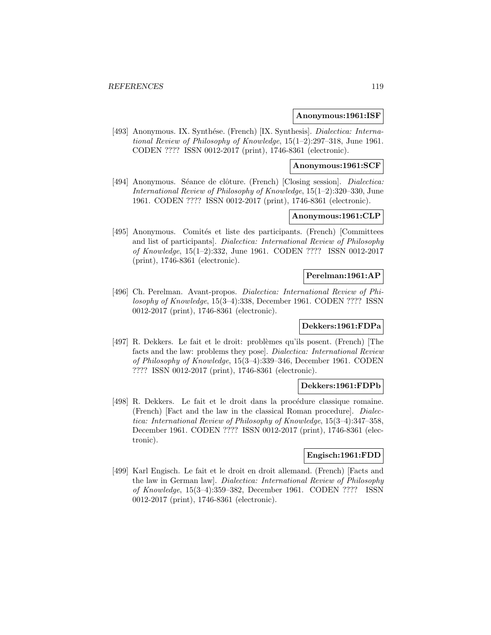#### **Anonymous:1961:ISF**

[493] Anonymous. IX. Synthése. (French) [IX. Synthesis]. Dialectica: International Review of Philosophy of Knowledge, 15(1–2):297–318, June 1961. CODEN ???? ISSN 0012-2017 (print), 1746-8361 (electronic).

### **Anonymous:1961:SCF**

[494] Anonymous. Séance de clôture. (French) [Closing session]. *Dialectica:* International Review of Philosophy of Knowledge, 15(1–2):320–330, June 1961. CODEN ???? ISSN 0012-2017 (print), 1746-8361 (electronic).

## **Anonymous:1961:CLP**

[495] Anonymous. Comités et liste des participants. (French) [Committees and list of participants]. Dialectica: International Review of Philosophy of Knowledge, 15(1–2):332, June 1961. CODEN ???? ISSN 0012-2017 (print), 1746-8361 (electronic).

#### **Perelman:1961:AP**

[496] Ch. Perelman. Avant-propos. Dialectica: International Review of Philosophy of Knowledge, 15(3–4):338, December 1961. CODEN ???? ISSN 0012-2017 (print), 1746-8361 (electronic).

### **Dekkers:1961:FDPa**

[497] R. Dekkers. Le fait et le droit: probl`emes qu'ils posent. (French) [The facts and the law: problems they pose]. Dialectica: International Review of Philosophy of Knowledge, 15(3–4):339–346, December 1961. CODEN ???? ISSN 0012-2017 (print), 1746-8361 (electronic).

#### **Dekkers:1961:FDPb**

[498] R. Dekkers. Le fait et le droit dans la procédure classique romaine. (French) [Fact and the law in the classical Roman procedure]. Dialectica: International Review of Philosophy of Knowledge, 15(3–4):347–358, December 1961. CODEN ???? ISSN 0012-2017 (print), 1746-8361 (electronic).

### **Engisch:1961:FDD**

[499] Karl Engisch. Le fait et le droit en droit allemand. (French) [Facts and the law in German law]. Dialectica: International Review of Philosophy of Knowledge, 15(3–4):359–382, December 1961. CODEN ???? ISSN 0012-2017 (print), 1746-8361 (electronic).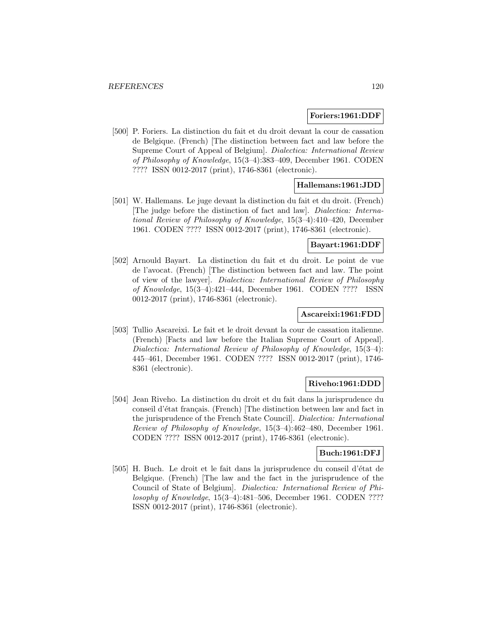#### **Foriers:1961:DDF**

[500] P. Foriers. La distinction du fait et du droit devant la cour de cassation de Belgique. (French) [The distinction between fact and law before the Supreme Court of Appeal of Belgium]. Dialectica: International Review of Philosophy of Knowledge, 15(3–4):383–409, December 1961. CODEN ???? ISSN 0012-2017 (print), 1746-8361 (electronic).

### **Hallemans:1961:JDD**

[501] W. Hallemans. Le juge devant la distinction du fait et du droit. (French) [The judge before the distinction of fact and law]. Dialectica: International Review of Philosophy of Knowledge, 15(3–4):410–420, December 1961. CODEN ???? ISSN 0012-2017 (print), 1746-8361 (electronic).

#### **Bayart:1961:DDF**

[502] Arnould Bayart. La distinction du fait et du droit. Le point de vue de l'avocat. (French) [The distinction between fact and law. The point of view of the lawyer]. Dialectica: International Review of Philosophy of Knowledge, 15(3–4):421–444, December 1961. CODEN ???? ISSN 0012-2017 (print), 1746-8361 (electronic).

#### **Ascareixi:1961:FDD**

[503] Tullio Ascareixi. Le fait et le droit devant la cour de cassation italienne. (French) [Facts and law before the Italian Supreme Court of Appeal]. Dialectica: International Review of Philosophy of Knowledge, 15(3–4): 445–461, December 1961. CODEN ???? ISSN 0012-2017 (print), 1746- 8361 (electronic).

# **Riveho:1961:DDD**

[504] Jean Riveho. La distinction du droit et du fait dans la jurisprudence du conseil d'état français. (French) [The distinction between law and fact in the jurisprudence of the French State Council]. Dialectica: International Review of Philosophy of Knowledge, 15(3–4):462–480, December 1961. CODEN ???? ISSN 0012-2017 (print), 1746-8361 (electronic).

#### **Buch:1961:DFJ**

[505] H. Buch. Le droit et le fait dans la jurisprudence du conseil d'état de Belgique. (French) [The law and the fact in the jurisprudence of the Council of State of Belgium]. Dialectica: International Review of Philosophy of Knowledge, 15(3–4):481–506, December 1961. CODEN ???? ISSN 0012-2017 (print), 1746-8361 (electronic).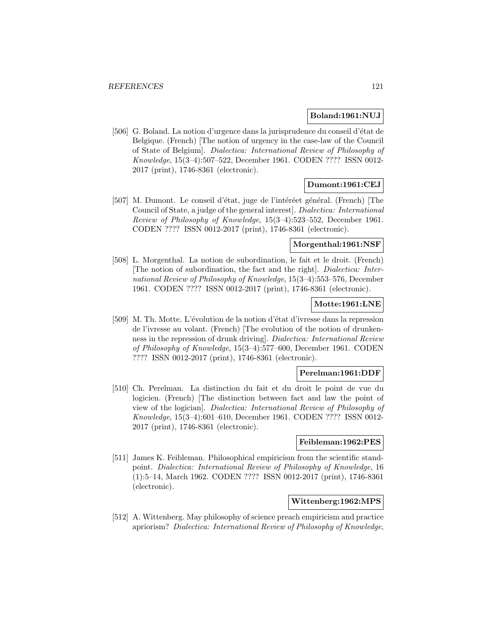### **Boland:1961:NUJ**

[506] G. Boland. La notion d'urgence dans la jurisprudence du conseil d'état de Belgique. (French) [The notion of urgency in the case-law of the Council of State of Belgium]. Dialectica: International Review of Philosophy of Knowledge, 15(3–4):507–522, December 1961. CODEN ???? ISSN 0012- 2017 (print), 1746-8361 (electronic).

### **Dumont:1961:CEJ**

[507] M. Dumont. Le conseil d'état, juge de l'intéréet général. (French) [The Council of State, a judge of the general interest]. Dialectica: International Review of Philosophy of Knowledge, 15(3–4):523–552, December 1961. CODEN ???? ISSN 0012-2017 (print), 1746-8361 (electronic).

#### **Morgenthal:1961:NSF**

[508] L. Morgenthal. La notion de subordination, le fait et le droit. (French) [The notion of subordination, the fact and the right]. Dialectica: International Review of Philosophy of Knowledge, 15(3–4):553–576, December 1961. CODEN ???? ISSN 0012-2017 (print), 1746-8361 (electronic).

### **Motte:1961:LNE**

[509] M. Th. Motte. L'évolution de la notion d'état d'ivresse dans la repression de l'ivresse au volant. (French) [The evolution of the notion of drunkenness in the repression of drunk driving]. Dialectica: International Review of Philosophy of Knowledge, 15(3–4):577–600, December 1961. CODEN ???? ISSN 0012-2017 (print), 1746-8361 (electronic).

### **Perelman:1961:DDF**

[510] Ch. Perelman. La distinction du fait et du droit le point de vue du logicien. (French) [The distinction between fact and law the point of view of the logician]. Dialectica: International Review of Philosophy of Knowledge, 15(3–4):601–610, December 1961. CODEN ???? ISSN 0012- 2017 (print), 1746-8361 (electronic).

#### **Feibleman:1962:PES**

[511] James K. Feibleman. Philosophical empiricism from the scientific standpoint. Dialectica: International Review of Philosophy of Knowledge, 16 (1):5–14, March 1962. CODEN ???? ISSN 0012-2017 (print), 1746-8361 (electronic).

#### **Wittenberg:1962:MPS**

[512] A. Wittenberg. May philosophy of science preach empiricism and practice apriorism? Dialectica: International Review of Philosophy of Knowledge,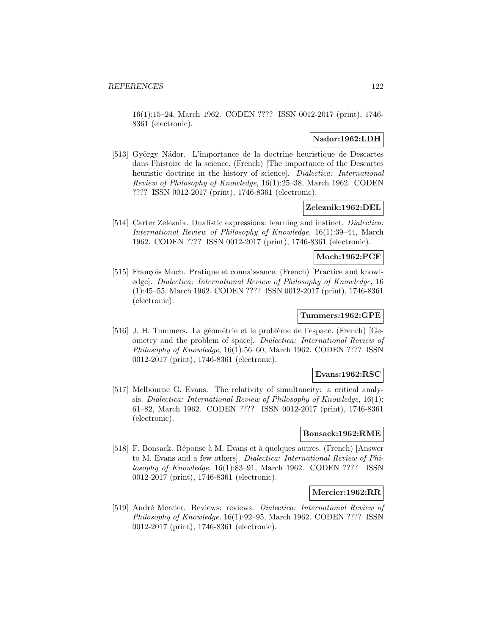16(1):15–24, March 1962. CODEN ???? ISSN 0012-2017 (print), 1746- 8361 (electronic).

### **Nador:1962:LDH**

[513] György Nádor. L'importance de la doctrine heuristique de Descartes dans l'histoire de la science. (French) [The importance of the Descartes heuristic doctrine in the history of science. *Dialectica: International* Review of Philosophy of Knowledge, 16(1):25–38, March 1962. CODEN ???? ISSN 0012-2017 (print), 1746-8361 (electronic).

### **Zeleznik:1962:DEL**

[514] Carter Zeleznik. Dualistic expressions: learning and instinct. Dialectica: International Review of Philosophy of Knowledge, 16(1):39–44, March 1962. CODEN ???? ISSN 0012-2017 (print), 1746-8361 (electronic).

# **Moch:1962:PCF**

[515] François Moch. Pratique et connaissance. (French) [Practice and knowledge]. Dialectica: International Review of Philosophy of Knowledge, 16 (1):45–55, March 1962. CODEN ???? ISSN 0012-2017 (print), 1746-8361 (electronic).

#### **Tummers:1962:GPE**

[516] J. H. Tummers. La géométrie et le problème de l'espace. (French) [Geometry and the problem of space]. Dialectica: International Review of Philosophy of Knowledge, 16(1):56–60, March 1962. CODEN ???? ISSN 0012-2017 (print), 1746-8361 (electronic).

### **Evans:1962:RSC**

[517] Melbourne G. Evans. The relativity of simultaneity: a critical analysis. Dialectica: International Review of Philosophy of Knowledge, 16(1): 61–82, March 1962. CODEN ???? ISSN 0012-2017 (print), 1746-8361 (electronic).

#### **Bonsack:1962:RME**

[518] F. Bonsack. Réponse à M. Evans et à quelques autres. (French) [Answer to M. Evans and a few others]. Dialectica: International Review of Philosophy of Knowledge, 16(1):83–91, March 1962. CODEN ???? ISSN 0012-2017 (print), 1746-8361 (electronic).

#### **Mercier:1962:RR**

[519] André Mercier. Reviews: reviews. Dialectica: International Review of Philosophy of Knowledge, 16(1):92–95, March 1962. CODEN ???? ISSN 0012-2017 (print), 1746-8361 (electronic).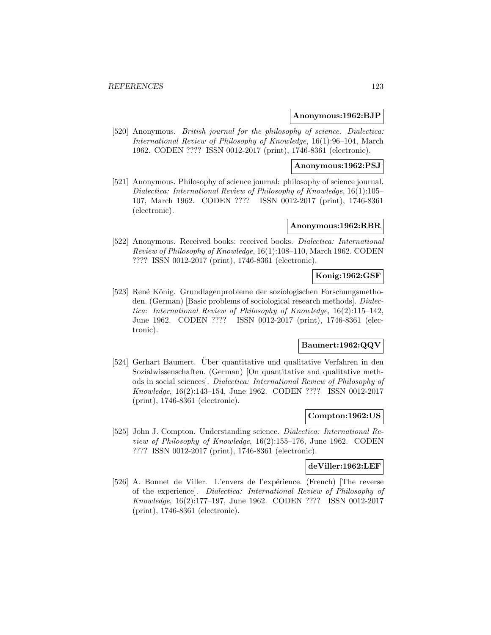#### **Anonymous:1962:BJP**

[520] Anonymous. *British journal for the philosophy of science*. *Dialectica:* International Review of Philosophy of Knowledge, 16(1):96–104, March 1962. CODEN ???? ISSN 0012-2017 (print), 1746-8361 (electronic).

#### **Anonymous:1962:PSJ**

[521] Anonymous. Philosophy of science journal: philosophy of science journal. Dialectica: International Review of Philosophy of Knowledge, 16(1):105– 107, March 1962. CODEN ???? ISSN 0012-2017 (print), 1746-8361 (electronic).

### **Anonymous:1962:RBR**

[522] Anonymous. Received books: received books. *Dialectica: International* Review of Philosophy of Knowledge, 16(1):108–110, March 1962. CODEN ???? ISSN 0012-2017 (print), 1746-8361 (electronic).

# **Konig:1962:GSF**

[523] René König. Grundlagenprobleme der soziologischen Forschungsmethoden. (German) [Basic problems of sociological research methods]. Dialectica: International Review of Philosophy of Knowledge, 16(2):115–142, June 1962. CODEN ???? ISSN 0012-2017 (print), 1746-8361 (electronic).

# **Baumert:1962:QQV**

[524] Gerhart Baumert. Über quantitative und qualitative Verfahren in den Sozialwissenschaften. (German) [On quantitative and qualitative methods in social sciences]. Dialectica: International Review of Philosophy of Knowledge, 16(2):143–154, June 1962. CODEN ???? ISSN 0012-2017 (print), 1746-8361 (electronic).

### **Compton:1962:US**

[525] John J. Compton. Understanding science. Dialectica: International Review of Philosophy of Knowledge, 16(2):155–176, June 1962. CODEN ???? ISSN 0012-2017 (print), 1746-8361 (electronic).

### **deViller:1962:LEF**

[526] A. Bonnet de Viller. L'envers de l'expérience. (French) [The reverse of the experience]. Dialectica: International Review of Philosophy of Knowledge, 16(2):177–197, June 1962. CODEN ???? ISSN 0012-2017 (print), 1746-8361 (electronic).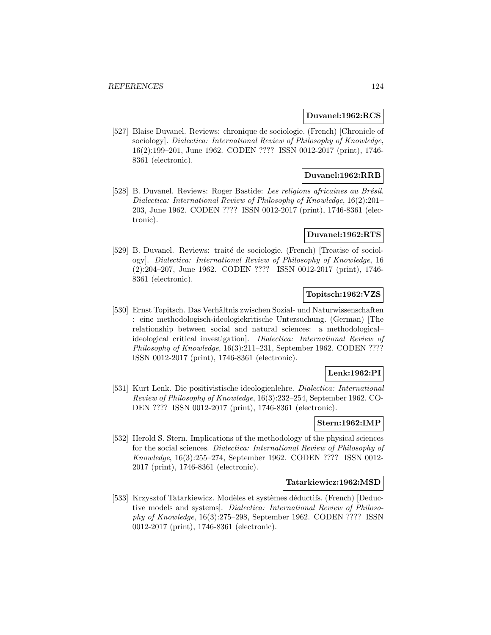#### **Duvanel:1962:RCS**

[527] Blaise Duvanel. Reviews: chronique de sociologie. (French) [Chronicle of sociology]. Dialectica: International Review of Philosophy of Knowledge, 16(2):199–201, June 1962. CODEN ???? ISSN 0012-2017 (print), 1746- 8361 (electronic).

### **Duvanel:1962:RRB**

[528] B. Duvanel. Reviews: Roger Bastide: Les religions africaines au Brésil. Dialectica: International Review of Philosophy of Knowledge, 16(2):201– 203, June 1962. CODEN ???? ISSN 0012-2017 (print), 1746-8361 (electronic).

#### **Duvanel:1962:RTS**

[529] B. Duvanel. Reviews: traité de sociologie. (French) [Treatise of sociology]. Dialectica: International Review of Philosophy of Knowledge, 16 (2):204–207, June 1962. CODEN ???? ISSN 0012-2017 (print), 1746- 8361 (electronic).

### **Topitsch:1962:VZS**

[530] Ernst Topitsch. Das Verhältnis zwischen Sozial- und Naturwissenschaften : eine methodologisch-ideologiekritische Untersuchung. (German) [The relationship between social and natural sciences: a methodological– ideological critical investigation]. Dialectica: International Review of Philosophy of Knowledge, 16(3):211–231, September 1962. CODEN ???? ISSN 0012-2017 (print), 1746-8361 (electronic).

### **Lenk:1962:PI**

[531] Kurt Lenk. Die positivistische ideologienlehre. Dialectica: International Review of Philosophy of Knowledge, 16(3):232–254, September 1962. CO-DEN ???? ISSN 0012-2017 (print), 1746-8361 (electronic).

### **Stern:1962:IMP**

[532] Herold S. Stern. Implications of the methodology of the physical sciences for the social sciences. Dialectica: International Review of Philosophy of Knowledge, 16(3):255–274, September 1962. CODEN ???? ISSN 0012- 2017 (print), 1746-8361 (electronic).

#### **Tatarkiewicz:1962:MSD**

[533] Krzysztof Tatarkiewicz. Modèles et systèmes déductifs. (French) [Deductive models and systems]. Dialectica: International Review of Philosophy of Knowledge, 16(3):275–298, September 1962. CODEN ???? ISSN 0012-2017 (print), 1746-8361 (electronic).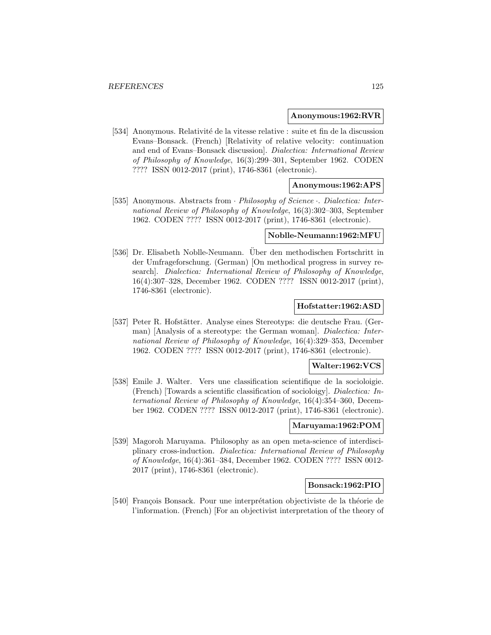#### **Anonymous:1962:RVR**

[534] Anonymous. Relativité de la vitesse relative : suite et fin de la discussion Evans–Bonsack. (French) [Relativity of relative velocity: continuation and end of Evans–Bonsack discussion]. Dialectica: International Review of Philosophy of Knowledge, 16(3):299–301, September 1962. CODEN ???? ISSN 0012-2017 (print), 1746-8361 (electronic).

### **Anonymous:1962:APS**

[535] Anonymous. Abstracts from · Philosophy of Science · Dialectica: International Review of Philosophy of Knowledge, 16(3):302–303, September 1962. CODEN ???? ISSN 0012-2017 (print), 1746-8361 (electronic).

#### **Noblle-Neumann:1962:MFU**

[536] Dr. Elisabeth Noblle-Neumann. Uber den methodischen Fortschritt in ¨ der Umfrageforschung. (German) [On methodical progress in survey research]. Dialectica: International Review of Philosophy of Knowledge, 16(4):307–328, December 1962. CODEN ???? ISSN 0012-2017 (print), 1746-8361 (electronic).

#### **Hofstatter:1962:ASD**

[537] Peter R. Hofstätter. Analyse eines Stereotyps: die deutsche Frau. (German) [Analysis of a stereotype: the German woman]. Dialectica: International Review of Philosophy of Knowledge, 16(4):329–353, December 1962. CODEN ???? ISSN 0012-2017 (print), 1746-8361 (electronic).

#### **Walter:1962:VCS**

[538] Emile J. Walter. Vers une classification scientifique de la socioloigie. (French) [Towards a scientific classification of socioloigy]. Dialectica: International Review of Philosophy of Knowledge, 16(4):354–360, December 1962. CODEN ???? ISSN 0012-2017 (print), 1746-8361 (electronic).

### **Maruyama:1962:POM**

[539] Magoroh Maruyama. Philosophy as an open meta-science of interdisciplinary cross-induction. Dialectica: International Review of Philosophy of Knowledge, 16(4):361–384, December 1962. CODEN ???? ISSN 0012- 2017 (print), 1746-8361 (electronic).

#### **Bonsack:1962:PIO**

[540] François Bonsack. Pour une interprétation objectiviste de la théorie de l'information. (French) [For an objectivist interpretation of the theory of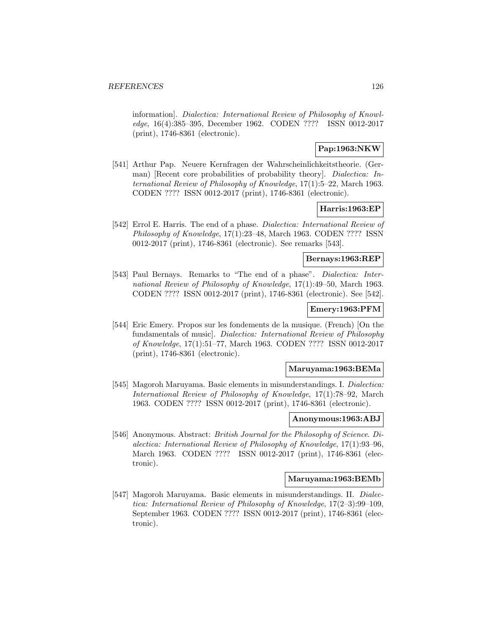information]. Dialectica: International Review of Philosophy of Knowledge, 16(4):385–395, December 1962. CODEN ???? ISSN 0012-2017 (print), 1746-8361 (electronic).

## **Pap:1963:NKW**

[541] Arthur Pap. Neuere Kernfragen der Wahrscheinlichkeitstheorie. (German) [Recent core probabilities of probability theory]. *Dialectica: In*ternational Review of Philosophy of Knowledge, 17(1):5–22, March 1963. CODEN ???? ISSN 0012-2017 (print), 1746-8361 (electronic).

### **Harris:1963:EP**

[542] Errol E. Harris. The end of a phase. Dialectica: International Review of Philosophy of Knowledge, 17(1):23–48, March 1963. CODEN ???? ISSN 0012-2017 (print), 1746-8361 (electronic). See remarks [543].

#### **Bernays:1963:REP**

[543] Paul Bernays. Remarks to "The end of a phase". Dialectica: International Review of Philosophy of Knowledge, 17(1):49–50, March 1963. CODEN ???? ISSN 0012-2017 (print), 1746-8361 (electronic). See [542].

### **Emery:1963:PFM**

[544] Eric Emery. Propos sur les fondements de la musique. (French) [On the fundamentals of music]. Dialectica: International Review of Philosophy of Knowledge, 17(1):51–77, March 1963. CODEN ???? ISSN 0012-2017 (print), 1746-8361 (electronic).

### **Maruyama:1963:BEMa**

[545] Magoroh Maruyama. Basic elements in misunderstandings. I. Dialectica: International Review of Philosophy of Knowledge, 17(1):78–92, March 1963. CODEN ???? ISSN 0012-2017 (print), 1746-8361 (electronic).

#### **Anonymous:1963:ABJ**

[546] Anonymous. Abstract: *British Journal for the Philosophy of Science. Di*alectica: International Review of Philosophy of Knowledge, 17(1):93–96, March 1963. CODEN ???? ISSN 0012-2017 (print), 1746-8361 (electronic).

### **Maruyama:1963:BEMb**

[547] Magoroh Maruyama. Basic elements in misunderstandings. II. Dialectica: International Review of Philosophy of Knowledge, 17(2–3):99–109, September 1963. CODEN ???? ISSN 0012-2017 (print), 1746-8361 (electronic).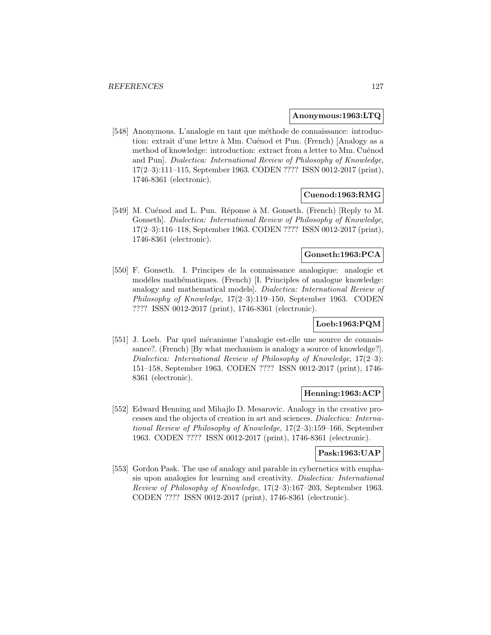#### **Anonymous:1963:LTQ**

[548] Anonymous. L'analogie en tant que méthode de connaissance: introduction: extrait d'une lettre à Mm. Cuénod et Pun. (French) [Analogy as a method of knowledge: introduction: extract from a letter to Mm. Cuénod and Pun]. Dialectica: International Review of Philosophy of Knowledge, 17(2–3):111–115, September 1963. CODEN ???? ISSN 0012-2017 (print), 1746-8361 (electronic).

### **Cuenod:1963:RMG**

[549] M. Cuénod and L. Pun. Réponse à M. Gonseth. (French) [Reply to M. Gonseth]. Dialectica: International Review of Philosophy of Knowledge, 17(2–3):116–118, September 1963. CODEN ???? ISSN 0012-2017 (print), 1746-8361 (electronic).

### **Gonseth:1963:PCA**

[550] F. Gonseth. I. Principes de la connaissance analogique: analogie et modéles mathématiques. (French) [I. Principles of analogue knowledge: analogy and mathematical models]. Dialectica: International Review of Philosophy of Knowledge, 17(2–3):119–150, September 1963. CODEN ???? ISSN 0012-2017 (print), 1746-8361 (electronic).

## **Loeb:1963:PQM**

[551] J. Loeb. Par quel mécanisme l'analogie est-elle une source de connaissance?. (French) [By what mechanism is analogy a source of knowledge?]. Dialectica: International Review of Philosophy of Knowledge, 17(2–3): 151–158, September 1963. CODEN ???? ISSN 0012-2017 (print), 1746- 8361 (electronic).

### **Henning:1963:ACP**

[552] Edward Henning and Mihajlo D. Mesarovic. Analogy in the creative processes and the objects of creation in art and sciences. Dialectica: International Review of Philosophy of Knowledge, 17(2–3):159–166, September 1963. CODEN ???? ISSN 0012-2017 (print), 1746-8361 (electronic).

#### **Pask:1963:UAP**

[553] Gordon Pask. The use of analogy and parable in cybernetics with emphasis upon analogies for learning and creativity. Dialectica: International Review of Philosophy of Knowledge, 17(2–3):167–203, September 1963. CODEN ???? ISSN 0012-2017 (print), 1746-8361 (electronic).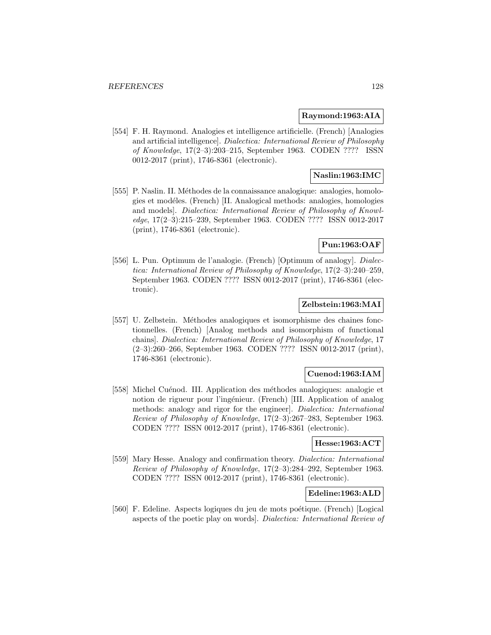#### **Raymond:1963:AIA**

[554] F. H. Raymond. Analogies et intelligence artificielle. (French) [Analogies and artificial intelligence]. Dialectica: International Review of Philosophy of Knowledge, 17(2–3):203–215, September 1963. CODEN ???? ISSN 0012-2017 (print), 1746-8361 (electronic).

### **Naslin:1963:IMC**

[555] P. Naslin. II. Méthodes de la connaissance analogique: analogies, homologies et mod´eles. (French) [II. Analogical methods: analogies, homologies and models]. Dialectica: International Review of Philosophy of Knowledge, 17(2–3):215–239, September 1963. CODEN ???? ISSN 0012-2017 (print), 1746-8361 (electronic).

### **Pun:1963:OAF**

[556] L. Pun. Optimum de l'analogie. (French) [Optimum of analogy]. Dialectica: International Review of Philosophy of Knowledge, 17(2–3):240–259, September 1963. CODEN ???? ISSN 0012-2017 (print), 1746-8361 (electronic).

### **Zelbstein:1963:MAI**

[557] U. Zelbstein. Méthodes analogiques et isomorphisme des chaines fonctionnelles. (French) [Analog methods and isomorphism of functional chains]. Dialectica: International Review of Philosophy of Knowledge, 17 (2–3):260–266, September 1963. CODEN ???? ISSN 0012-2017 (print), 1746-8361 (electronic).

### **Cuenod:1963:IAM**

[558] Michel Cuénod. III. Application des méthodes analogiques: analogie et notion de rigueur pour l'ingénieur. (French) [III. Application of analog methods: analogy and rigor for the engineer]. Dialectica: International Review of Philosophy of Knowledge, 17(2–3):267–283, September 1963. CODEN ???? ISSN 0012-2017 (print), 1746-8361 (electronic).

#### **Hesse:1963:ACT**

[559] Mary Hesse. Analogy and confirmation theory. *Dialectica: International* Review of Philosophy of Knowledge, 17(2–3):284–292, September 1963. CODEN ???? ISSN 0012-2017 (print), 1746-8361 (electronic).

# **Edeline:1963:ALD**

[560] F. Edeline. Aspects logiques du jeu de mots poétique. (French) [Logical aspects of the poetic play on words]. Dialectica: International Review of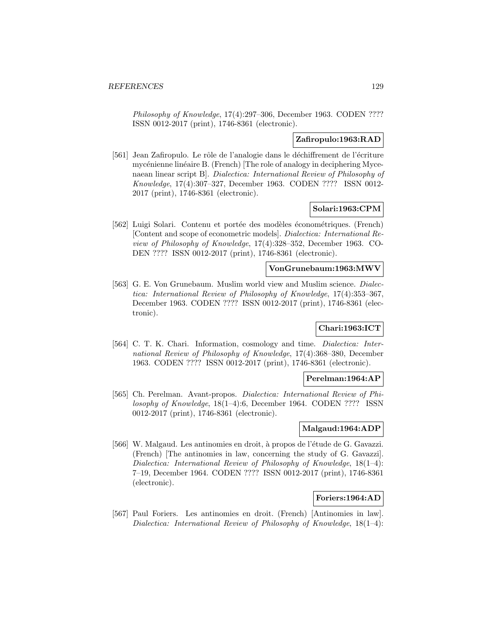Philosophy of Knowledge, 17(4):297-306, December 1963. CODEN ???? ISSN 0012-2017 (print), 1746-8361 (electronic).

#### **Zafiropulo:1963:RAD**

[561] Jean Zafiropulo. Le rôle de l'analogie dans le déchiffrement de l'écriture mycénienne linéaire B. (French) [The role of analogy in deciphering Mycenaean linear script B]. Dialectica: International Review of Philosophy of Knowledge, 17(4):307–327, December 1963. CODEN ???? ISSN 0012- 2017 (print), 1746-8361 (electronic).

#### **Solari:1963:CPM**

[562] Luigi Solari. Contenu et portée des modèles économétriques. (French) [Content and scope of econometric models]. Dialectica: International Review of Philosophy of Knowledge, 17(4):328–352, December 1963. CO-DEN ???? ISSN 0012-2017 (print), 1746-8361 (electronic).

### **VonGrunebaum:1963:MWV**

[563] G. E. Von Grunebaum. Muslim world view and Muslim science. *Dialec*tica: International Review of Philosophy of Knowledge, 17(4):353–367, December 1963. CODEN ???? ISSN 0012-2017 (print), 1746-8361 (electronic).

### **Chari:1963:ICT**

[564] C. T. K. Chari. Information, cosmology and time. *Dialectica: Inter*national Review of Philosophy of Knowledge, 17(4):368–380, December 1963. CODEN ???? ISSN 0012-2017 (print), 1746-8361 (electronic).

#### **Perelman:1964:AP**

[565] Ch. Perelman. Avant-propos. Dialectica: International Review of Philosophy of Knowledge, 18(1–4):6, December 1964. CODEN ???? ISSN 0012-2017 (print), 1746-8361 (electronic).

### **Malgaud:1964:ADP**

[566] W. Malgaud. Les antinomies en droit, à propos de l'étude de G. Gavazzi. (French) [The antinomies in law, concerning the study of G. Gavazzi]. Dialectica: International Review of Philosophy of Knowledge, 18(1–4): 7–19, December 1964. CODEN ???? ISSN 0012-2017 (print), 1746-8361 (electronic).

#### **Foriers:1964:AD**

[567] Paul Foriers. Les antinomies en droit. (French) [Antinomies in law]. Dialectica: International Review of Philosophy of Knowledge, 18(1–4):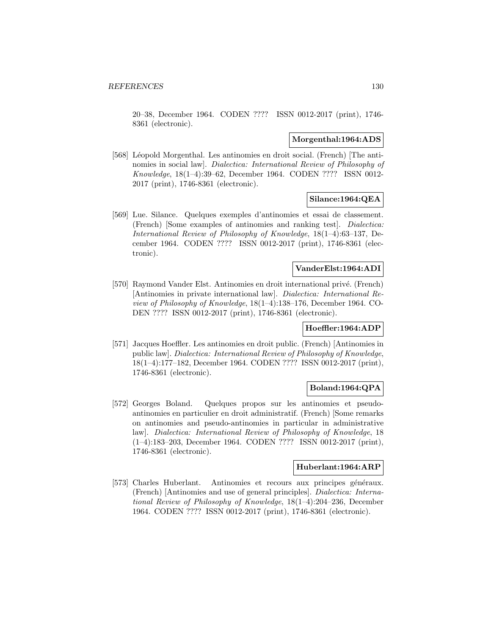20–38, December 1964. CODEN ???? ISSN 0012-2017 (print), 1746- 8361 (electronic).

#### **Morgenthal:1964:ADS**

[568] Léopold Morgenthal. Les antinomies en droit social. (French) [The antinomies in social law]. Dialectica: International Review of Philosophy of Knowledge, 18(1–4):39–62, December 1964. CODEN ???? ISSN 0012- 2017 (print), 1746-8361 (electronic).

### **Silance:1964:QEA**

[569] Lue. Silance. Quelques exemples d'antinomies et essai de classement. (French) [Some examples of antinomies and ranking test]. Dialectica: International Review of Philosophy of Knowledge, 18(1–4):63–137, December 1964. CODEN ???? ISSN 0012-2017 (print), 1746-8361 (electronic).

### **VanderElst:1964:ADI**

[570] Raymond Vander Elst. Antinomies en droit international privé. (French) [Antinomies in private international law]. Dialectica: International Review of Philosophy of Knowledge, 18(1–4):138–176, December 1964. CO-DEN ???? ISSN 0012-2017 (print), 1746-8361 (electronic).

### **Hoeffler:1964:ADP**

[571] Jacques Hoeffler. Les antinomies en droit public. (French) [Antinomies in public law]. Dialectica: International Review of Philosophy of Knowledge, 18(1–4):177–182, December 1964. CODEN ???? ISSN 0012-2017 (print), 1746-8361 (electronic).

## **Boland:1964:QPA**

[572] Georges Boland. Quelques propos sur les antinomies et pseudoantinomies en particulier en droit administratif. (French) [Some remarks on antinomies and pseudo-antinomies in particular in administrative law]. Dialectica: International Review of Philosophy of Knowledge, 18 (1–4):183–203, December 1964. CODEN ???? ISSN 0012-2017 (print), 1746-8361 (electronic).

### **Huberlant:1964:ARP**

[573] Charles Huberlant. Antinomies et recours aux principes généraux. (French) [Antinomies and use of general principles]. Dialectica: International Review of Philosophy of Knowledge, 18(1–4):204–236, December 1964. CODEN ???? ISSN 0012-2017 (print), 1746-8361 (electronic).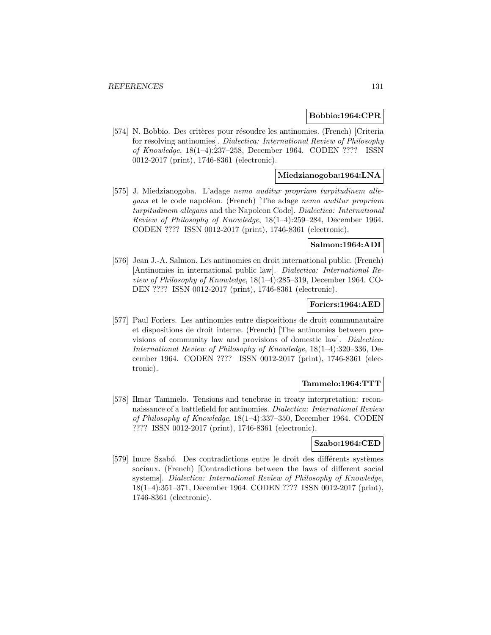#### **Bobbio:1964:CPR**

[574] N. Bobbio. Des critères pour résoudre les antinomies. (French) [Criteria for resolving antinomies]. Dialectica: International Review of Philosophy of Knowledge, 18(1–4):237–258, December 1964. CODEN ???? ISSN 0012-2017 (print), 1746-8361 (electronic).

### **Miedzianogoba:1964:LNA**

[575] J. Miedzianogoba. L'adage nemo auditur propriam turpitudinem allegans et le code napoléon. (French) [The adage nemo auditur propriam turpitudinem allegans and the Napoleon Code]. Dialectica: International Review of Philosophy of Knowledge, 18(1–4):259–284, December 1964. CODEN ???? ISSN 0012-2017 (print), 1746-8361 (electronic).

### **Salmon:1964:ADI**

[576] Jean J.-A. Salmon. Les antinomies en droit international public. (French) [Antinomies in international public law]. Dialectica: International Review of Philosophy of Knowledge, 18(1–4):285–319, December 1964. CO-DEN ???? ISSN 0012-2017 (print), 1746-8361 (electronic).

### **Foriers:1964:AED**

[577] Paul Foriers. Les antinomies entre dispositions de droit communautaire et dispositions de droit interne. (French) [The antinomies between provisions of community law and provisions of domestic law]. Dialectica: International Review of Philosophy of Knowledge, 18(1–4):320–336, December 1964. CODEN ???? ISSN 0012-2017 (print), 1746-8361 (electronic).

### **Tammelo:1964:TTT**

[578] Ilmar Tammelo. Tensions and tenebrae in treaty interpretation: reconnaissance of a battlefield for antinomies. Dialectica: International Review of Philosophy of Knowledge, 18(1–4):337–350, December 1964. CODEN ???? ISSN 0012-2017 (print), 1746-8361 (electronic).

### **Szabo:1964:CED**

[579] Inure Szabó. Des contradictions entre le droit des différents systèmes sociaux. (French) [Contradictions between the laws of different social systems]. Dialectica: International Review of Philosophy of Knowledge, 18(1–4):351–371, December 1964. CODEN ???? ISSN 0012-2017 (print), 1746-8361 (electronic).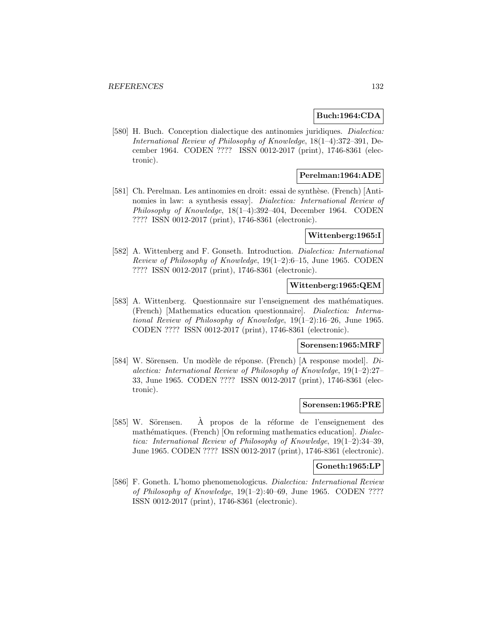### **Buch:1964:CDA**

[580] H. Buch. Conception dialectique des antinomies juridiques. Dialectica: International Review of Philosophy of Knowledge, 18(1–4):372–391, December 1964. CODEN ???? ISSN 0012-2017 (print), 1746-8361 (electronic).

### **Perelman:1964:ADE**

[581] Ch. Perelman. Les antinomies en droit: essai de synthèse. (French) [Antinomies in law: a synthesis essay]. Dialectica: International Review of Philosophy of Knowledge, 18(1–4):392–404, December 1964. CODEN ???? ISSN 0012-2017 (print), 1746-8361 (electronic).

#### **Wittenberg:1965:I**

[582] A. Wittenberg and F. Gonseth. Introduction. Dialectica: International Review of Philosophy of Knowledge, 19(1–2):6–15, June 1965. CODEN ???? ISSN 0012-2017 (print), 1746-8361 (electronic).

### **Wittenberg:1965:QEM**

[583] A. Wittenberg. Questionnaire sur l'enseignement des mathématiques. (French) [Mathematics education questionnaire]. Dialectica: International Review of Philosophy of Knowledge, 19(1–2):16–26, June 1965. CODEN ???? ISSN 0012-2017 (print), 1746-8361 (electronic).

### **Sorensen:1965:MRF**

[584] W. Sörensen. Un modèle de réponse. (French) [A response model].  $Di$ alectica: International Review of Philosophy of Knowledge, 19(1–2):27– 33, June 1965. CODEN ???? ISSN 0012-2017 (print), 1746-8361 (electronic).

#### **Sorensen:1965:PRE**

[585] W. Sörensen. À propos de la réforme de l'enseignement des mathématiques. (French) [On reforming mathematics education]. Dialectica: International Review of Philosophy of Knowledge, 19(1–2):34–39, June 1965. CODEN ???? ISSN 0012-2017 (print), 1746-8361 (electronic).

#### **Goneth:1965:LP**

[586] F. Goneth. L'homo phenomenologicus. Dialectica: International Review of Philosophy of Knowledge, 19(1–2):40–69, June 1965. CODEN ???? ISSN 0012-2017 (print), 1746-8361 (electronic).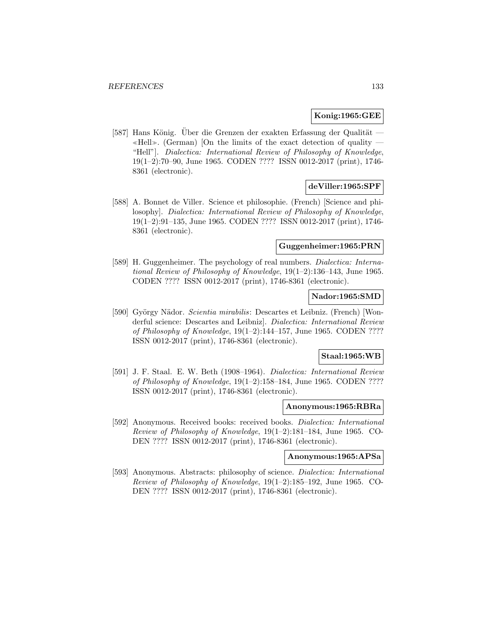#### **Konig:1965:GEE**

[587] Hans König. Uber die Grenzen der exakten Erfassung der Qualität —  $\ll$ Hell». (German) [On the limits of the exact detection of quality — "Hell"]. Dialectica: International Review of Philosophy of Knowledge, 19(1–2):70–90, June 1965. CODEN ???? ISSN 0012-2017 (print), 1746- 8361 (electronic).

### **deViller:1965:SPF**

[588] A. Bonnet de Viller. Science et philosophie. (French) [Science and philosophy]. Dialectica: International Review of Philosophy of Knowledge, 19(1–2):91–135, June 1965. CODEN ???? ISSN 0012-2017 (print), 1746- 8361 (electronic).

### **Guggenheimer:1965:PRN**

[589] H. Guggenheimer. The psychology of real numbers. *Dialectica: Interna*tional Review of Philosophy of Knowledge, 19(1–2):136–143, June 1965. CODEN ???? ISSN 0012-2017 (print), 1746-8361 (electronic).

### **Nador:1965:SMD**

[590] György Nädor. Scientia mirabilis: Descartes et Leibniz. (French) [Wonderful science: Descartes and Leibniz]. Dialectica: International Review of Philosophy of Knowledge, 19(1–2):144–157, June 1965. CODEN ???? ISSN 0012-2017 (print), 1746-8361 (electronic).

# **Staal:1965:WB**

[591] J. F. Staal. E. W. Beth (1908–1964). Dialectica: International Review of Philosophy of Knowledge, 19(1–2):158–184, June 1965. CODEN ???? ISSN 0012-2017 (print), 1746-8361 (electronic).

#### **Anonymous:1965:RBRa**

[592] Anonymous. Received books: received books. *Dialectica: International* Review of Philosophy of Knowledge, 19(1–2):181–184, June 1965. CO-DEN ???? ISSN 0012-2017 (print), 1746-8361 (electronic).

#### **Anonymous:1965:APSa**

[593] Anonymous. Abstracts: philosophy of science. *Dialectica: International* Review of Philosophy of Knowledge, 19(1–2):185–192, June 1965. CO-DEN ???? ISSN 0012-2017 (print), 1746-8361 (electronic).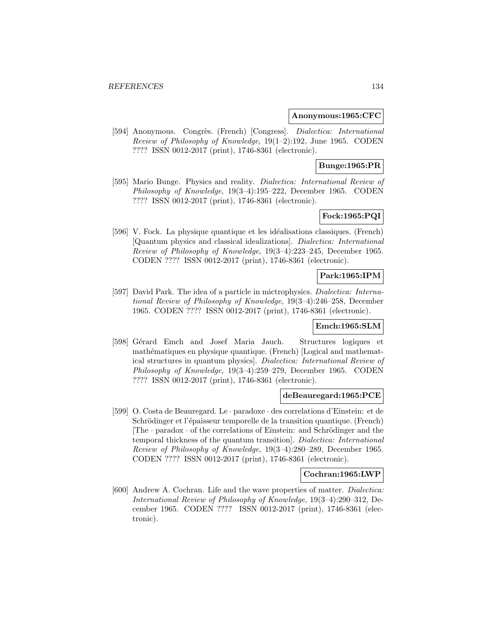#### **Anonymous:1965:CFC**

[594] Anonymous. Congrès. (French) [Congress]. Dialectica: International Review of Philosophy of Knowledge, 19(1–2):192, June 1965. CODEN ???? ISSN 0012-2017 (print), 1746-8361 (electronic).

## **Bunge:1965:PR**

[595] Mario Bunge. Physics and reality. *Dialectica: International Review of* Philosophy of Knowledge, 19(3–4):195–222, December 1965. CODEN ???? ISSN 0012-2017 (print), 1746-8361 (electronic).

# **Fock:1965:PQI**

[596] V. Fock. La physique quantique et les idéalisations classiques. (French) [Quantum physics and classical idealizations]. Dialectica: International Review of Philosophy of Knowledge, 19(3–4):223–245, December 1965. CODEN ???? ISSN 0012-2017 (print), 1746-8361 (electronic).

### **Park:1965:IPM**

[597] David Park. The idea of a particle in mictrophysics. Dialectica: International Review of Philosophy of Knowledge, 19(3–4):246–258, December 1965. CODEN ???? ISSN 0012-2017 (print), 1746-8361 (electronic).

### **Emch:1965:SLM**

[598] Gérard Emch and Josef Maria Jauch. Structures logiques et mathématiques en physique quantique. (French) [Logical and mathematical structures in quantum physics]. Dialectica: International Review of Philosophy of Knowledge, 19(3–4):259–279, December 1965. CODEN ???? ISSN 0012-2017 (print), 1746-8361 (electronic).

#### **deBeauregard:1965:PCE**

[599] O. Costa de Beauregard. Le · paradoxe · des correlations d'Einstein: et de Schrödinger et l'épaisseur temporelle de la transition quantique. (French) [The  $\cdot$  paradox  $\cdot$  of the correlations of Einstein: and Schrödinger and the temporal thickness of the quantum transition]. Dialectica: International Review of Philosophy of Knowledge, 19(3–4):280–289, December 1965. CODEN ???? ISSN 0012-2017 (print), 1746-8361 (electronic).

#### **Cochran:1965:LWP**

[600] Andrew A. Cochran. Life and the wave properties of matter. *Dialectica:* International Review of Philosophy of Knowledge, 19(3–4):290–312, December 1965. CODEN ???? ISSN 0012-2017 (print), 1746-8361 (electronic).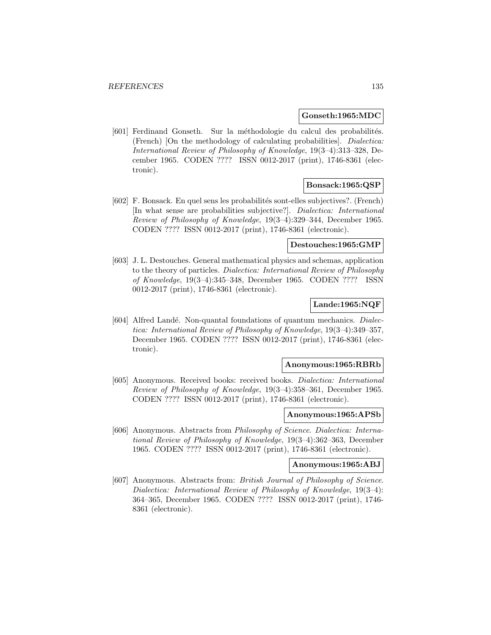#### **Gonseth:1965:MDC**

[601] Ferdinand Gonseth. Sur la méthodologie du calcul des probabilités. (French) [On the methodology of calculating probabilities]. Dialectica: International Review of Philosophy of Knowledge, 19(3–4):313–328, December 1965. CODEN ???? ISSN 0012-2017 (print), 1746-8361 (electronic).

### **Bonsack:1965:QSP**

[602] F. Bonsack. En quel sens les probabilit´es sont-elles subjectives?. (French) [In what sense are probabilities subjective?]. Dialectica: International Review of Philosophy of Knowledge, 19(3–4):329–344, December 1965. CODEN ???? ISSN 0012-2017 (print), 1746-8361 (electronic).

#### **Destouches:1965:GMP**

[603] J. L. Destouches. General mathematical physics and schemas, application to the theory of particles. Dialectica: International Review of Philosophy of Knowledge, 19(3–4):345–348, December 1965. CODEN ???? ISSN 0012-2017 (print), 1746-8361 (electronic).

### **Lande:1965:NQF**

[604] Alfred Landé. Non-quantal foundations of quantum mechanics. Dialectica: International Review of Philosophy of Knowledge, 19(3–4):349–357, December 1965. CODEN ???? ISSN 0012-2017 (print), 1746-8361 (electronic).

#### **Anonymous:1965:RBRb**

[605] Anonymous. Received books: received books. Dialectica: International Review of Philosophy of Knowledge, 19(3–4):358–361, December 1965. CODEN ???? ISSN 0012-2017 (print), 1746-8361 (electronic).

#### **Anonymous:1965:APSb**

[606] Anonymous. Abstracts from Philosophy of Science. Dialectica: International Review of Philosophy of Knowledge, 19(3–4):362–363, December 1965. CODEN ???? ISSN 0012-2017 (print), 1746-8361 (electronic).

#### **Anonymous:1965:ABJ**

[607] Anonymous. Abstracts from: British Journal of Philosophy of Science. Dialectica: International Review of Philosophy of Knowledge, 19(3–4): 364–365, December 1965. CODEN ???? ISSN 0012-2017 (print), 1746- 8361 (electronic).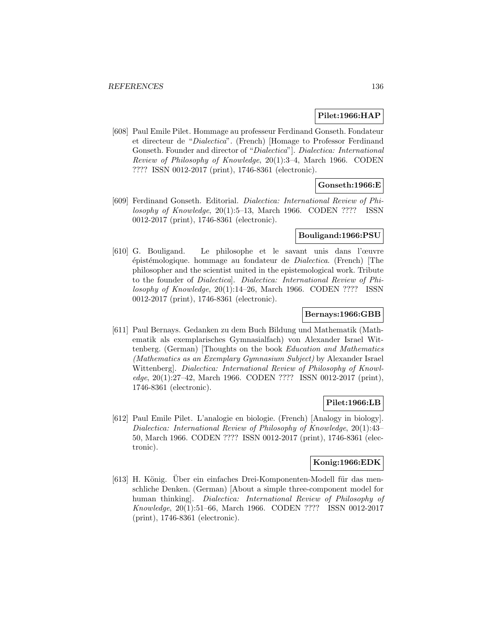#### **Pilet:1966:HAP**

[608] Paul Emile Pilet. Hommage au professeur Ferdinand Gonseth. Fondateur et directeur de "Dialectica". (French) [Homage to Professor Ferdinand Gonseth. Founder and director of "Dialectica"]. Dialectica: International Review of Philosophy of Knowledge, 20(1):3–4, March 1966. CODEN ???? ISSN 0012-2017 (print), 1746-8361 (electronic).

# **Gonseth:1966:E**

[609] Ferdinand Gonseth. Editorial. Dialectica: International Review of Philosophy of Knowledge, 20(1):5–13, March 1966. CODEN ???? ISSN 0012-2017 (print), 1746-8361 (electronic).

### **Bouligand:1966:PSU**

[610] G. Bouligand. Le philosophe et le savant unis dans l'œuvre ´epist´emologique. hommage au fondateur de Dialectica. (French) [The philosopher and the scientist united in the epistemological work. Tribute to the founder of Dialectica]. Dialectica: International Review of Philosophy of Knowledge, 20(1):14–26, March 1966. CODEN ???? ISSN 0012-2017 (print), 1746-8361 (electronic).

### **Bernays:1966:GBB**

[611] Paul Bernays. Gedanken zu dem Buch Bildung und Mathematik (Mathematik als exemplarisches Gymnasialfach) von Alexander Israel Wittenberg. (German) [Thoughts on the book Education and Mathematics (Mathematics as an Exemplary Gymnasium Subject) by Alexander Israel Wittenberg]. Dialectica: International Review of Philosophy of Knowledge, 20(1):27–42, March 1966. CODEN ???? ISSN 0012-2017 (print), 1746-8361 (electronic).

### **Pilet:1966:LB**

[612] Paul Emile Pilet. L'analogie en biologie. (French) [Analogy in biology]. Dialectica: International Review of Philosophy of Knowledge, 20(1):43– 50, March 1966. CODEN ???? ISSN 0012-2017 (print), 1746-8361 (electronic).

# **Konig:1966:EDK**

[613] H. König. Uber ein einfaches Drei-Komponenten-Modell für das menschliche Denken. (German) [About a simple three-component model for human thinking]. Dialectica: International Review of Philosophy of Knowledge, 20(1):51–66, March 1966. CODEN ???? ISSN 0012-2017 (print), 1746-8361 (electronic).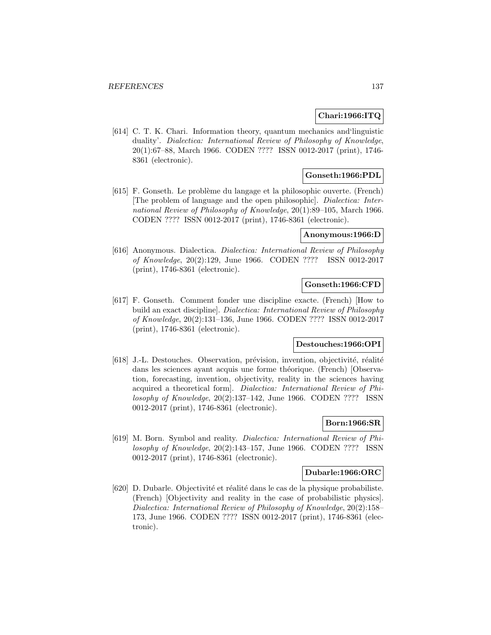### **Chari:1966:ITQ**

[614] C. T. K. Chari. Information theory, quantum mechanics and'linguistic duality'. Dialectica: International Review of Philosophy of Knowledge, 20(1):67–88, March 1966. CODEN ???? ISSN 0012-2017 (print), 1746- 8361 (electronic).

### **Gonseth:1966:PDL**

[615] F. Gonseth. Le problème du langage et la philosophic ouverte. (French) [The problem of language and the open philosophic]. Dialectica: International Review of Philosophy of Knowledge, 20(1):89–105, March 1966. CODEN ???? ISSN 0012-2017 (print), 1746-8361 (electronic).

#### **Anonymous:1966:D**

[616] Anonymous. Dialectica. Dialectica: International Review of Philosophy of Knowledge, 20(2):129, June 1966. CODEN ???? ISSN 0012-2017 (print), 1746-8361 (electronic).

#### **Gonseth:1966:CFD**

[617] F. Gonseth. Comment fonder une discipline exacte. (French) [How to build an exact discipline]. Dialectica: International Review of Philosophy of Knowledge, 20(2):131–136, June 1966. CODEN ???? ISSN 0012-2017 (print), 1746-8361 (electronic).

#### **Destouches:1966:OPI**

[618] J.-L. Destouches. Observation, prévision, invention, objectivité, réalité dans les sciences ayant acquis une forme théorique. (French) [Observation, forecasting, invention, objectivity, reality in the sciences having acquired a theoretical form]. Dialectica: International Review of Philosophy of Knowledge, 20(2):137–142, June 1966. CODEN ???? ISSN 0012-2017 (print), 1746-8361 (electronic).

# **Born:1966:SR**

[619] M. Born. Symbol and reality. Dialectica: International Review of Philosophy of Knowledge, 20(2):143–157, June 1966. CODEN ???? ISSN 0012-2017 (print), 1746-8361 (electronic).

#### **Dubarle:1966:ORC**

[620] D. Dubarle. Objectivité et réalité dans le cas de la physique probabiliste. (French) [Objectivity and reality in the case of probabilistic physics]. Dialectica: International Review of Philosophy of Knowledge, 20(2):158– 173, June 1966. CODEN ???? ISSN 0012-2017 (print), 1746-8361 (electronic).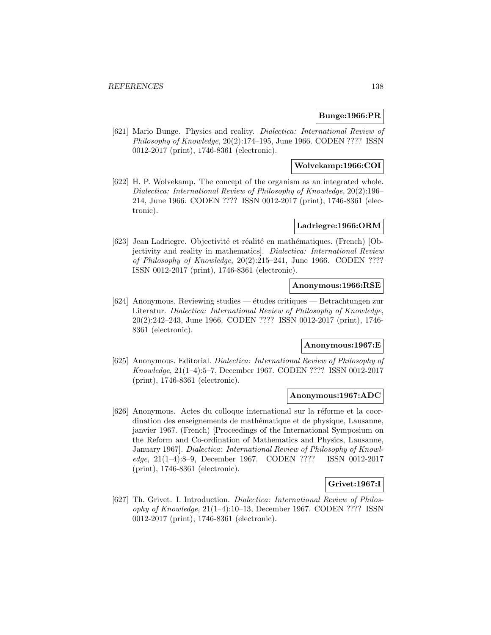### **Bunge:1966:PR**

[621] Mario Bunge. Physics and reality. *Dialectica: International Review of* Philosophy of Knowledge, 20(2):174–195, June 1966. CODEN ???? ISSN 0012-2017 (print), 1746-8361 (electronic).

### **Wolvekamp:1966:COI**

[622] H. P. Wolvekamp. The concept of the organism as an integrated whole. Dialectica: International Review of Philosophy of Knowledge, 20(2):196– 214, June 1966. CODEN ???? ISSN 0012-2017 (print), 1746-8361 (electronic).

### **Ladriegre:1966:ORM**

[623] Jean Ladriegre. Objectivité et réalité en mathématiques. (French) [Objectivity and reality in mathematics]. Dialectica: International Review of Philosophy of Knowledge, 20(2):215–241, June 1966. CODEN ???? ISSN 0012-2017 (print), 1746-8361 (electronic).

#### **Anonymous:1966:RSE**

[624] Anonymous. Reviewing studies — études critiques — Betrachtungen zur Literatur. Dialectica: International Review of Philosophy of Knowledge, 20(2):242–243, June 1966. CODEN ???? ISSN 0012-2017 (print), 1746- 8361 (electronic).

# **Anonymous:1967:E**

[625] Anonymous. Editorial. Dialectica: International Review of Philosophy of Knowledge, 21(1–4):5–7, December 1967. CODEN ???? ISSN 0012-2017 (print), 1746-8361 (electronic).

#### **Anonymous:1967:ADC**

[626] Anonymous. Actes du colloque international sur la réforme et la coordination des enseignements de mathématique et de physique, Lausanne, janvier 1967. (French) [Proceedings of the International Symposium on the Reform and Co-ordination of Mathematics and Physics, Lausanne, January 1967]. Dialectica: International Review of Philosophy of Knowledge, 21(1–4):8–9, December 1967. CODEN ???? ISSN 0012-2017 (print), 1746-8361 (electronic).

## **Grivet:1967:I**

[627] Th. Grivet. I. Introduction. Dialectica: International Review of Philosophy of Knowledge, 21(1–4):10–13, December 1967. CODEN ???? ISSN 0012-2017 (print), 1746-8361 (electronic).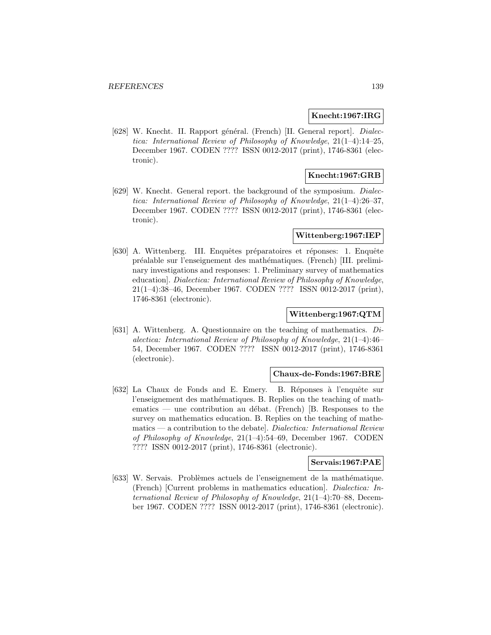#### **Knecht:1967:IRG**

[628] W. Knecht. II. Rapport général. (French) [II. General report]. Dialectica: International Review of Philosophy of Knowledge, 21(1–4):14–25, December 1967. CODEN ???? ISSN 0012-2017 (print), 1746-8361 (electronic).

### **Knecht:1967:GRB**

[629] W. Knecht. General report. the background of the symposium. Dialectica: International Review of Philosophy of Knowledge, 21(1–4):26–37, December 1967. CODEN ???? ISSN 0012-2017 (print), 1746-8361 (electronic).

#### **Wittenberg:1967:IEP**

[630] A. Wittenberg. III. Enquêtes préparatoires et réponses: 1. Enquête préalable sur l'enseignement des mathématiques. (French) [III. preliminary investigations and responses: 1. Preliminary survey of mathematics education]. Dialectica: International Review of Philosophy of Knowledge, 21(1–4):38–46, December 1967. CODEN ???? ISSN 0012-2017 (print), 1746-8361 (electronic).

#### **Wittenberg:1967:QTM**

[631] A. Wittenberg. A. Questionnaire on the teaching of mathematics.  $Di$ alectica: International Review of Philosophy of Knowledge, 21(1–4):46– 54, December 1967. CODEN ???? ISSN 0012-2017 (print), 1746-8361 (electronic).

### **Chaux-de-Fonds:1967:BRE**

[632] La Chaux de Fonds and E. Emery. B. Réponses à l'enquête sur l'enseignement des mathématiques. B. Replies on the teaching of mathematics — une contribution au débat. (French) [B. Responses to the survey on mathematics education. B. Replies on the teaching of mathematics — a contribution to the debate]. Dialectica: International Review of Philosophy of Knowledge, 21(1–4):54–69, December 1967. CODEN ???? ISSN 0012-2017 (print), 1746-8361 (electronic).

### **Servais:1967:PAE**

[633] W. Servais. Problèmes actuels de l'enseignement de la mathématique. (French) [Current problems in mathematics education]. Dialectica: International Review of Philosophy of Knowledge, 21(1–4):70–88, December 1967. CODEN ???? ISSN 0012-2017 (print), 1746-8361 (electronic).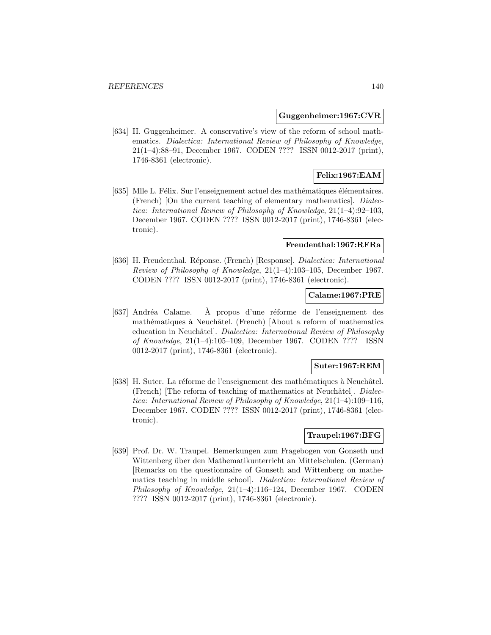#### **Guggenheimer:1967:CVR**

[634] H. Guggenheimer. A conservative's view of the reform of school mathematics. Dialectica: International Review of Philosophy of Knowledge, 21(1–4):88–91, December 1967. CODEN ???? ISSN 0012-2017 (print), 1746-8361 (electronic).

# **Felix:1967:EAM**

[635] Mlle L. Félix. Sur l'enseignement actuel des mathématiques élémentaires. (French) [On the current teaching of elementary mathematics]. Dialectica: International Review of Philosophy of Knowledge, 21(1–4):92–103, December 1967. CODEN ???? ISSN 0012-2017 (print), 1746-8361 (electronic).

#### **Freudenthal:1967:RFRa**

[636] H. Freudenthal. Réponse. (French) [Response]. *Dialectica: International* Review of Philosophy of Knowledge, 21(1–4):103–105, December 1967. CODEN ???? ISSN 0012-2017 (print), 1746-8361 (electronic).

### **Calame:1967:PRE**

[637] Andréa Calame. À propos d'une réforme de l'enseignement des mathématiques à Neuchâtel. (French) [About a reform of mathematics education in Neuchâtel. *Dialectica: International Review of Philosophy* of Knowledge, 21(1–4):105–109, December 1967. CODEN ???? ISSN 0012-2017 (print), 1746-8361 (electronic).

#### **Suter:1967:REM**

[638] H. Suter. La réforme de l'enseignement des mathématiques à Neuchâtel.  $(French)$  [The reform of teaching of mathematics at Neuchâtel]. *Dialec*tica: International Review of Philosophy of Knowledge, 21(1–4):109–116, December 1967. CODEN ???? ISSN 0012-2017 (print), 1746-8361 (electronic).

# **Traupel:1967:BFG**

[639] Prof. Dr. W. Traupel. Bemerkungen zum Fragebogen von Gonseth und Wittenberg über den Mathematikunterricht an Mittelschulen. (German) [Remarks on the questionnaire of Gonseth and Wittenberg on mathematics teaching in middle school]. Dialectica: International Review of Philosophy of Knowledge, 21(1–4):116–124, December 1967. CODEN ???? ISSN 0012-2017 (print), 1746-8361 (electronic).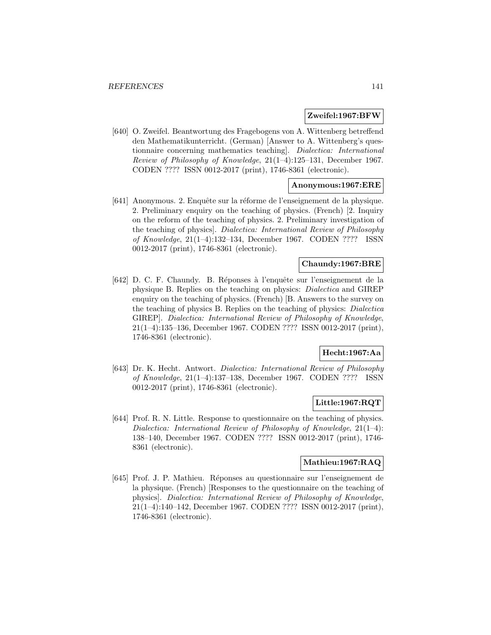#### **Zweifel:1967:BFW**

[640] O. Zweifel. Beantwortung des Fragebogens von A. Wittenberg betreffend den Mathematikunterricht. (German) [Answer to A. Wittenberg's questionnaire concerning mathematics teaching]. Dialectica: International Review of Philosophy of Knowledge, 21(1–4):125–131, December 1967. CODEN ???? ISSN 0012-2017 (print), 1746-8361 (electronic).

### **Anonymous:1967:ERE**

[641] Anonymous. 2. Enquête sur la réforme de l'enseignement de la physique. 2. Preliminary enquiry on the teaching of physics. (French) [2. Inquiry on the reform of the teaching of physics. 2. Preliminary investigation of the teaching of physics]. Dialectica: International Review of Philosophy of Knowledge, 21(1–4):132–134, December 1967. CODEN ???? ISSN 0012-2017 (print), 1746-8361 (electronic).

### **Chaundy:1967:BRE**

[642] D. C. F. Chaundy. B. Réponses à l'enquête sur l'enseignement de la physique B. Replies on the teaching on physics: Dialectica and GIREP enquiry on the teaching of physics. (French) [B. Answers to the survey on the teaching of physics B. Replies on the teaching of physics: Dialectica GIREP]. Dialectica: International Review of Philosophy of Knowledge, 21(1–4):135–136, December 1967. CODEN ???? ISSN 0012-2017 (print), 1746-8361 (electronic).

## **Hecht:1967:Aa**

[643] Dr. K. Hecht. Antwort. Dialectica: International Review of Philosophy of Knowledge, 21(1–4):137–138, December 1967. CODEN ???? ISSN 0012-2017 (print), 1746-8361 (electronic).

### **Little:1967:RQT**

[644] Prof. R. N. Little. Response to questionnaire on the teaching of physics. Dialectica: International Review of Philosophy of Knowledge, 21(1–4): 138–140, December 1967. CODEN ???? ISSN 0012-2017 (print), 1746- 8361 (electronic).

# **Mathieu:1967:RAQ**

[645] Prof. J. P. Mathieu. R´eponses au questionnaire sur l'enseignement de la physique. (French) [Responses to the questionnaire on the teaching of physics]. Dialectica: International Review of Philosophy of Knowledge, 21(1–4):140–142, December 1967. CODEN ???? ISSN 0012-2017 (print), 1746-8361 (electronic).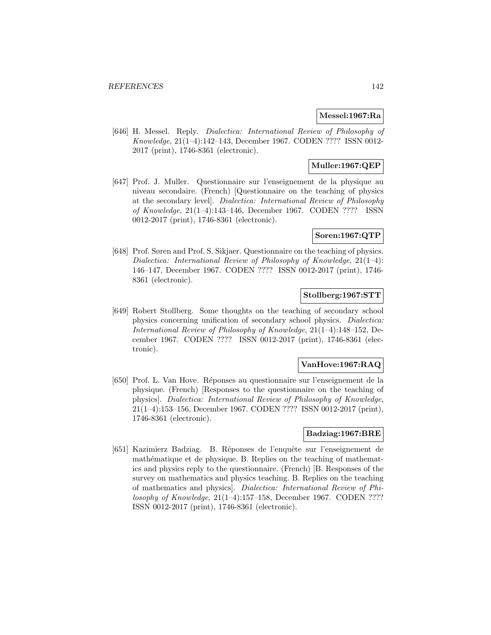#### **Messel:1967:Ra**

[646] H. Messel. Reply. Dialectica: International Review of Philosophy of Knowledge, 21(1–4):142–143, December 1967. CODEN ???? ISSN 0012- 2017 (print), 1746-8361 (electronic).

# **Muller:1967:QEP**

[647] Prof. J. Muller. Questionnaire sur l'enseignement de la physique au niveau secondaire. (French) [Questionnaire on the teaching of physics at the secondary level]. Dialectica: International Review of Philosophy of Knowledge, 21(1–4):143–146, December 1967. CODEN ???? ISSN 0012-2017 (print), 1746-8361 (electronic).

### **Soren:1967:QTP**

[648] Prof. Søren and Prof. S. Sikjaer. Questionnaire on the teaching of physics. Dialectica: International Review of Philosophy of Knowledge, 21(1–4): 146–147, December 1967. CODEN ???? ISSN 0012-2017 (print), 1746- 8361 (electronic).

# **Stollberg:1967:STT**

[649] Robert Stollberg. Some thoughts on the teaching of secondary school physics concerning unification of secondary school physics. Dialectica: International Review of Philosophy of Knowledge, 21(1–4):148–152, December 1967. CODEN ???? ISSN 0012-2017 (print), 1746-8361 (electronic).

#### **VanHove:1967:RAQ**

[650] Prof. L. Van Hove. R´eponses au questionnaire sur l'enseignement de la physique. (French) [Responses to the questionnaire on the teaching of physics]. Dialectica: International Review of Philosophy of Knowledge, 21(1–4):153–156, December 1967. CODEN ???? ISSN 0012-2017 (print), 1746-8361 (electronic).

### **Badziag:1967:BRE**

[651] Kazimierz Badziag. B. Réponses de l'enquête sur l'enseignement de mathématique et de physique. B. Replies on the teaching of mathematics and physics reply to the questionnaire. (French) [B. Responses of the survey on mathematics and physics teaching. B. Replies on the teaching of mathematics and physics]. Dialectica: International Review of Philosophy of Knowledge, 21(1–4):157–158, December 1967. CODEN ???? ISSN 0012-2017 (print), 1746-8361 (electronic).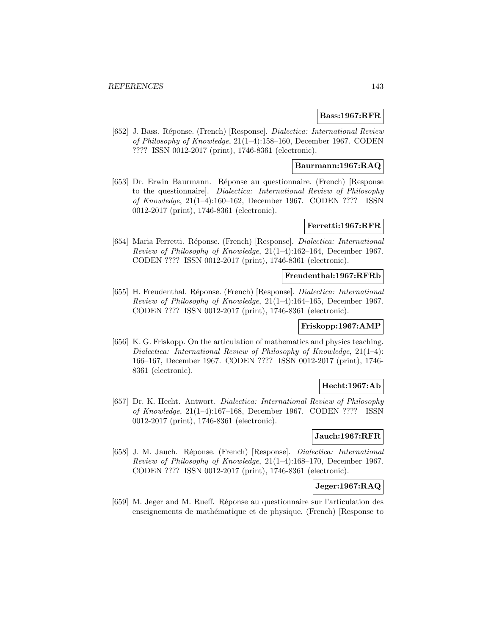#### **Bass:1967:RFR**

[652] J. Bass. Réponse. (French) [Response]. *Dialectica: International Review* of Philosophy of Knowledge, 21(1–4):158–160, December 1967. CODEN ???? ISSN 0012-2017 (print), 1746-8361 (electronic).

### **Baurmann:1967:RAQ**

[653] Dr. Erwin Baurmann. Réponse au questionnaire. (French) [Response to the questionnaire]. Dialectica: International Review of Philosophy of Knowledge, 21(1–4):160–162, December 1967. CODEN ???? ISSN 0012-2017 (print), 1746-8361 (electronic).

#### **Ferretti:1967:RFR**

[654] Maria Ferretti. Réponse. (French) [Response]. Dialectica: International Review of Philosophy of Knowledge, 21(1–4):162–164, December 1967. CODEN ???? ISSN 0012-2017 (print), 1746-8361 (electronic).

### **Freudenthal:1967:RFRb**

[655] H. Freudenthal. Réponse. (French) [Response]. *Dialectica: International* Review of Philosophy of Knowledge, 21(1–4):164–165, December 1967. CODEN ???? ISSN 0012-2017 (print), 1746-8361 (electronic).

### **Friskopp:1967:AMP**

[656] K. G. Friskopp. On the articulation of mathematics and physics teaching. Dialectica: International Review of Philosophy of Knowledge, 21(1–4): 166–167, December 1967. CODEN ???? ISSN 0012-2017 (print), 1746- 8361 (electronic).

### **Hecht:1967:Ab**

[657] Dr. K. Hecht. Antwort. Dialectica: International Review of Philosophy of Knowledge, 21(1–4):167–168, December 1967. CODEN ???? ISSN 0012-2017 (print), 1746-8361 (electronic).

### **Jauch:1967:RFR**

[658] J. M. Jauch. Réponse. (French) [Response]. Dialectica: International Review of Philosophy of Knowledge, 21(1–4):168–170, December 1967. CODEN ???? ISSN 0012-2017 (print), 1746-8361 (electronic).

### **Jeger:1967:RAQ**

[659] M. Jeger and M. Rueff. R´eponse au questionnaire sur l'articulation des enseignements de mathématique et de physique. (French) [Response to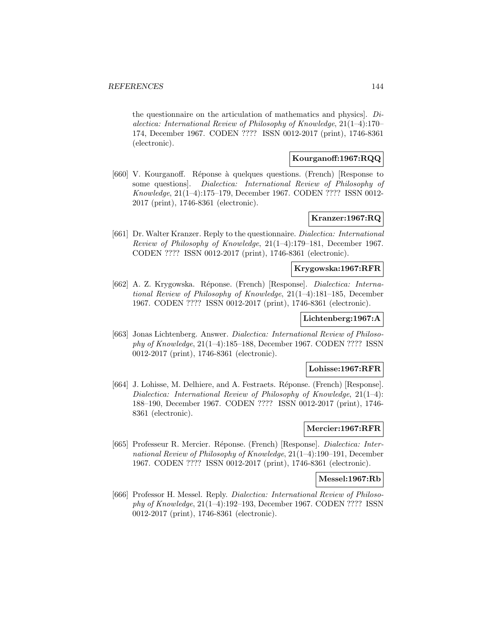the questionnaire on the articulation of mathematics and physics]. Dialectica: International Review of Philosophy of Knowledge, 21(1–4):170– 174, December 1967. CODEN ???? ISSN 0012-2017 (print), 1746-8361 (electronic).

## **Kourganoff:1967:RQQ**

[660] V. Kourganoff. Réponse à quelques questions. (French) [Response to some questions]. Dialectica: International Review of Philosophy of Knowledge, 21(1–4):175–179, December 1967. CODEN ???? ISSN 0012- 2017 (print), 1746-8361 (electronic).

## **Kranzer:1967:RQ**

[661] Dr. Walter Kranzer. Reply to the questionnaire. Dialectica: International Review of Philosophy of Knowledge, 21(1–4):179–181, December 1967. CODEN ???? ISSN 0012-2017 (print), 1746-8361 (electronic).

### **Krygowska:1967:RFR**

[662] A. Z. Krygowska. Réponse. (French) [Response]. *Dialectica: Interna*tional Review of Philosophy of Knowledge, 21(1–4):181–185, December 1967. CODEN ???? ISSN 0012-2017 (print), 1746-8361 (electronic).

# **Lichtenberg:1967:A**

[663] Jonas Lichtenberg. Answer. Dialectica: International Review of Philosophy of Knowledge, 21(1–4):185–188, December 1967. CODEN ???? ISSN 0012-2017 (print), 1746-8361 (electronic).

### **Lohisse:1967:RFR**

[664] J. Lohisse, M. Delhiere, and A. Festraets. R´eponse. (French) [Response]. Dialectica: International Review of Philosophy of Knowledge, 21(1–4): 188–190, December 1967. CODEN ???? ISSN 0012-2017 (print), 1746- 8361 (electronic).

### **Mercier:1967:RFR**

[665] Professeur R. Mercier. R´eponse. (French) [Response]. Dialectica: International Review of Philosophy of Knowledge, 21(1–4):190–191, December 1967. CODEN ???? ISSN 0012-2017 (print), 1746-8361 (electronic).

#### **Messel:1967:Rb**

[666] Professor H. Messel. Reply. Dialectica: International Review of Philosophy of Knowledge, 21(1–4):192–193, December 1967. CODEN ???? ISSN 0012-2017 (print), 1746-8361 (electronic).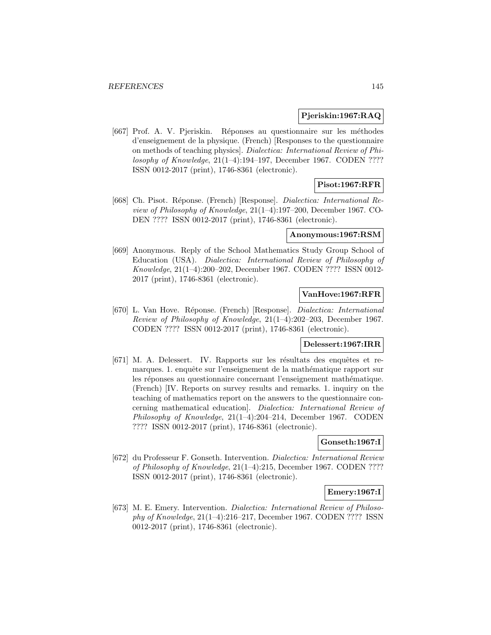## **Pjeriskin:1967:RAQ**

[667] Prof. A. V. Pjeriskin. Réponses au questionnaire sur les méthodes d'enseignement de la physique. (French) [Responses to the questionnaire on methods of teaching physics]. Dialectica: International Review of Philosophy of Knowledge, 21(1–4):194–197, December 1967. CODEN ???? ISSN 0012-2017 (print), 1746-8361 (electronic).

# **Pisot:1967:RFR**

[668] Ch. Pisot. R´eponse. (French) [Response]. Dialectica: International Review of Philosophy of Knowledge, 21(1–4):197–200, December 1967. CO-DEN ???? ISSN 0012-2017 (print), 1746-8361 (electronic).

#### **Anonymous:1967:RSM**

[669] Anonymous. Reply of the School Mathematics Study Group School of Education (USA). Dialectica: International Review of Philosophy of Knowledge, 21(1–4):200–202, December 1967. CODEN ???? ISSN 0012- 2017 (print), 1746-8361 (electronic).

# **VanHove:1967:RFR**

[670] L. Van Hove. Réponse. (French) [Response]. Dialectica: International Review of Philosophy of Knowledge, 21(1–4):202–203, December 1967. CODEN ???? ISSN 0012-2017 (print), 1746-8361 (electronic).

## **Delessert:1967:IRR**

[671] M. A. Delessert. IV. Rapports sur les résultats des enquêtes et remarques. 1. enquête sur l'enseignement de la mathématique rapport sur les réponses au questionnaire concernant l'enseignement mathématique. (French) [IV. Reports on survey results and remarks. 1. inquiry on the teaching of mathematics report on the answers to the questionnaire concerning mathematical education]. Dialectica: International Review of Philosophy of Knowledge, 21(1–4):204–214, December 1967. CODEN ???? ISSN 0012-2017 (print), 1746-8361 (electronic).

### **Gonseth:1967:I**

[672] du Professeur F. Gonseth. Intervention. Dialectica: International Review of Philosophy of Knowledge, 21(1–4):215, December 1967. CODEN ???? ISSN 0012-2017 (print), 1746-8361 (electronic).

# **Emery:1967:I**

[673] M. E. Emery. Intervention. Dialectica: International Review of Philosophy of Knowledge, 21(1–4):216–217, December 1967. CODEN ???? ISSN 0012-2017 (print), 1746-8361 (electronic).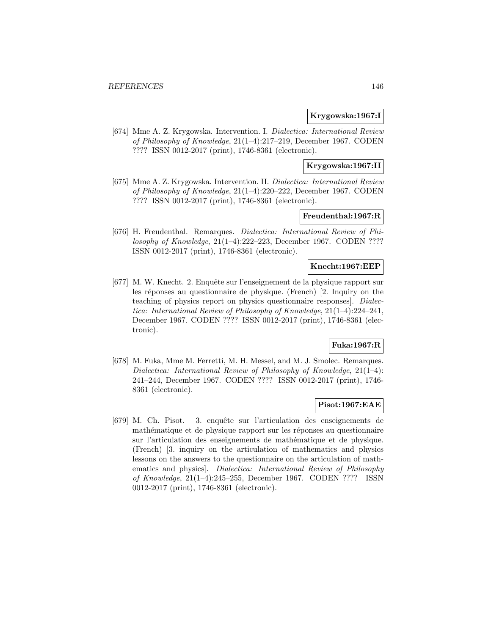## **Krygowska:1967:I**

[674] Mme A. Z. Krygowska. Intervention. I. Dialectica: International Review of Philosophy of Knowledge, 21(1–4):217–219, December 1967. CODEN ???? ISSN 0012-2017 (print), 1746-8361 (electronic).

# **Krygowska:1967:II**

[675] Mme A. Z. Krygowska. Intervention. II. Dialectica: International Review of Philosophy of Knowledge, 21(1–4):220–222, December 1967. CODEN ???? ISSN 0012-2017 (print), 1746-8361 (electronic).

# **Freudenthal:1967:R**

[676] H. Freudenthal. Remarques. Dialectica: International Review of Philosophy of Knowledge, 21(1–4):222–223, December 1967. CODEN ???? ISSN 0012-2017 (print), 1746-8361 (electronic).

### **Knecht:1967:EEP**

[677] M. W. Knecht. 2. Enquête sur l'enseignement de la physique rapport sur les réponses au questionnaire de physique. (French) [2. Inquiry on the teaching of physics report on physics questionnaire responses]. Dialectica: International Review of Philosophy of Knowledge, 21(1–4):224–241, December 1967. CODEN ???? ISSN 0012-2017 (print), 1746-8361 (electronic).

# **Fuka:1967:R**

[678] M. Fuka, Mme M. Ferretti, M. H. Messel, and M. J. Smolec. Remarques. Dialectica: International Review of Philosophy of Knowledge, 21(1–4): 241–244, December 1967. CODEN ???? ISSN 0012-2017 (print), 1746- 8361 (electronic).

## **Pisot:1967:EAE**

[679] M. Ch. Pisot. 3. enquˆete sur l'articulation des enseignements de mathématique et de physique rapport sur les réponses au questionnaire sur l'articulation des enseignements de mathématique et de physique. (French) [3. inquiry on the articulation of mathematics and physics lessons on the answers to the questionnaire on the articulation of mathematics and physics]. Dialectica: International Review of Philosophy of Knowledge, 21(1–4):245–255, December 1967. CODEN ???? ISSN 0012-2017 (print), 1746-8361 (electronic).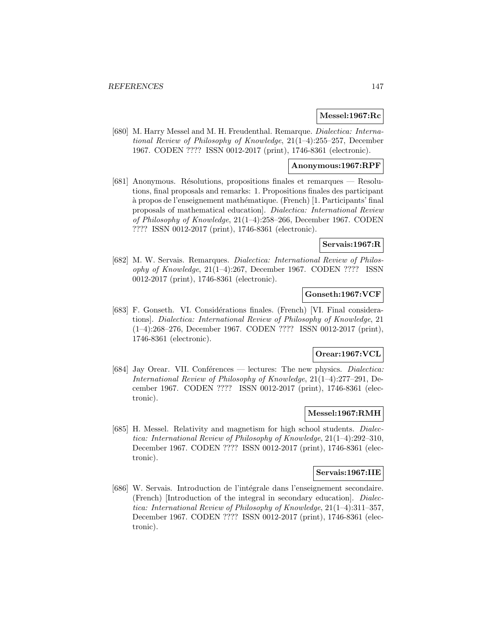### **Messel:1967:Rc**

[680] M. Harry Messel and M. H. Freudenthal. Remarque. Dialectica: International Review of Philosophy of Knowledge, 21(1–4):255–257, December 1967. CODEN ???? ISSN 0012-2017 (print), 1746-8361 (electronic).

### **Anonymous:1967:RPF**

[681] Anonymous. Résolutions, propositions finales et remarques — Resolutions, final proposals and remarks: 1. Propositions finales des participant à propos de l'enseignement mathématique. (French) [1. Participants' final proposals of mathematical education]. Dialectica: International Review of Philosophy of Knowledge, 21(1–4):258–266, December 1967. CODEN ???? ISSN 0012-2017 (print), 1746-8361 (electronic).

### **Servais:1967:R**

[682] M. W. Servais. Remarques. Dialectica: International Review of Philosophy of Knowledge, 21(1–4):267, December 1967. CODEN ???? ISSN 0012-2017 (print), 1746-8361 (electronic).

## **Gonseth:1967:VCF**

[683] F. Gonseth. VI. Considérations finales. (French) [VI. Final considerations]. Dialectica: International Review of Philosophy of Knowledge, 21 (1–4):268–276, December 1967. CODEN ???? ISSN 0012-2017 (print), 1746-8361 (electronic).

## **Orear:1967:VCL**

[684] Jay Orear. VII. Conferences — lectures: The new physics. *Dialectica:* International Review of Philosophy of Knowledge, 21(1–4):277–291, December 1967. CODEN ???? ISSN 0012-2017 (print), 1746-8361 (electronic).

## **Messel:1967:RMH**

[685] H. Messel. Relativity and magnetism for high school students. Dialectica: International Review of Philosophy of Knowledge, 21(1–4):292–310, December 1967. CODEN ???? ISSN 0012-2017 (print), 1746-8361 (electronic).

#### **Servais:1967:IIE**

[686] W. Servais. Introduction de l'intégrale dans l'enseignement secondaire. (French) [Introduction of the integral in secondary education]. Dialectica: International Review of Philosophy of Knowledge, 21(1–4):311–357, December 1967. CODEN ???? ISSN 0012-2017 (print), 1746-8361 (electronic).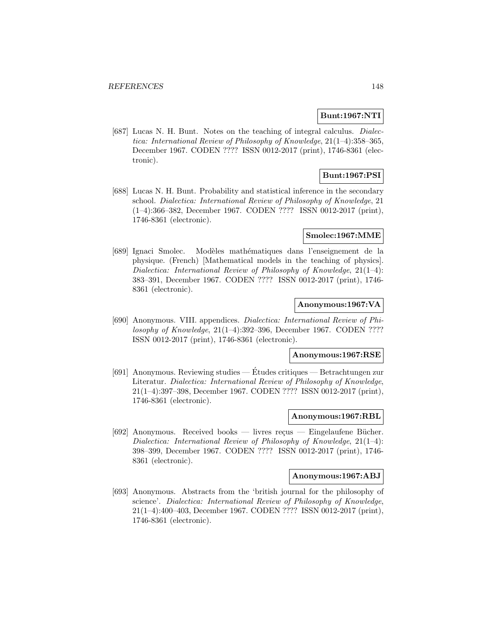## **Bunt:1967:NTI**

[687] Lucas N. H. Bunt. Notes on the teaching of integral calculus. Dialectica: International Review of Philosophy of Knowledge, 21(1–4):358–365, December 1967. CODEN ???? ISSN 0012-2017 (print), 1746-8361 (electronic).

# **Bunt:1967:PSI**

[688] Lucas N. H. Bunt. Probability and statistical inference in the secondary school. Dialectica: International Review of Philosophy of Knowledge, 21 (1–4):366–382, December 1967. CODEN ???? ISSN 0012-2017 (print), 1746-8361 (electronic).

### **Smolec:1967:MME**

[689] Ignaci Smolec. Modèles mathématiques dans l'enseignement de la physique. (French) [Mathematical models in the teaching of physics]. Dialectica: International Review of Philosophy of Knowledge,  $21(1-4)$ : 383–391, December 1967. CODEN ???? ISSN 0012-2017 (print), 1746- 8361 (electronic).

## **Anonymous:1967:VA**

[690] Anonymous. VIII. appendices. Dialectica: International Review of Philosophy of Knowledge, 21(1–4):392–396, December 1967. CODEN ???? ISSN 0012-2017 (print), 1746-8361 (electronic).

#### **Anonymous:1967:RSE**

[691] Anonymous. Reviewing studies — Etudes critiques — Betrachtungen zur ´ Literatur. Dialectica: International Review of Philosophy of Knowledge, 21(1–4):397–398, December 1967. CODEN ???? ISSN 0012-2017 (print), 1746-8361 (electronic).

### **Anonymous:1967:RBL**

[692] Anonymous. Received books — livres reçus — Eingelaufene Bücher. Dialectica: International Review of Philosophy of Knowledge, 21(1–4): 398–399, December 1967. CODEN ???? ISSN 0012-2017 (print), 1746- 8361 (electronic).

# **Anonymous:1967:ABJ**

[693] Anonymous. Abstracts from the 'british journal for the philosophy of science'. Dialectica: International Review of Philosophy of Knowledge, 21(1–4):400–403, December 1967. CODEN ???? ISSN 0012-2017 (print), 1746-8361 (electronic).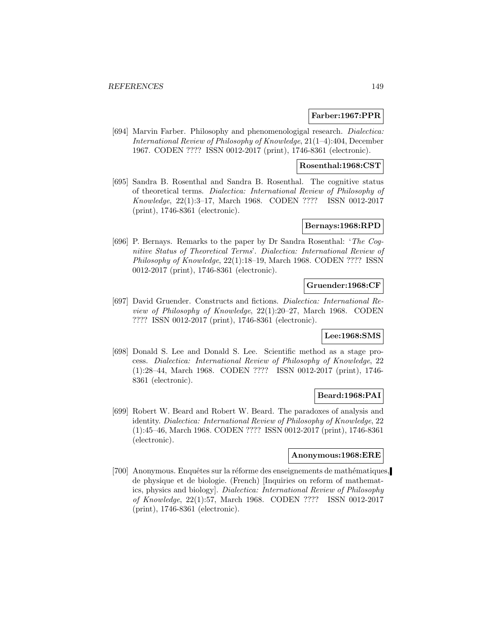### **Farber:1967:PPR**

[694] Marvin Farber. Philosophy and phenomenologigal research. *Dialectica:* International Review of Philosophy of Knowledge, 21(1–4):404, December 1967. CODEN ???? ISSN 0012-2017 (print), 1746-8361 (electronic).

### **Rosenthal:1968:CST**

[695] Sandra B. Rosenthal and Sandra B. Rosenthal. The cognitive status of theoretical terms. Dialectica: International Review of Philosophy of Knowledge, 22(1):3–17, March 1968. CODEN ???? ISSN 0012-2017 (print), 1746-8361 (electronic).

### **Bernays:1968:RPD**

[696] P. Bernays. Remarks to the paper by Dr Sandra Rosenthal: 'The Cognitive Status of Theoretical Terms'. Dialectica: International Review of Philosophy of Knowledge, 22(1):18–19, March 1968. CODEN ???? ISSN 0012-2017 (print), 1746-8361 (electronic).

## **Gruender:1968:CF**

[697] David Gruender. Constructs and fictions. Dialectica: International Review of Philosophy of Knowledge, 22(1):20–27, March 1968. CODEN ???? ISSN 0012-2017 (print), 1746-8361 (electronic).

#### **Lee:1968:SMS**

[698] Donald S. Lee and Donald S. Lee. Scientific method as a stage process. Dialectica: International Review of Philosophy of Knowledge, 22 (1):28–44, March 1968. CODEN ???? ISSN 0012-2017 (print), 1746- 8361 (electronic).

#### **Beard:1968:PAI**

[699] Robert W. Beard and Robert W. Beard. The paradoxes of analysis and identity. Dialectica: International Review of Philosophy of Knowledge, 22 (1):45–46, March 1968. CODEN ???? ISSN 0012-2017 (print), 1746-8361 (electronic).

## **Anonymous:1968:ERE**

[700] Anonymous. Enquêtes sur la réforme des enseignements de mathématiques, de physique et de biologie. (French) [Inquiries on reform of mathematics, physics and biology]. Dialectica: International Review of Philosophy of Knowledge, 22(1):57, March 1968. CODEN ???? ISSN 0012-2017 (print), 1746-8361 (electronic).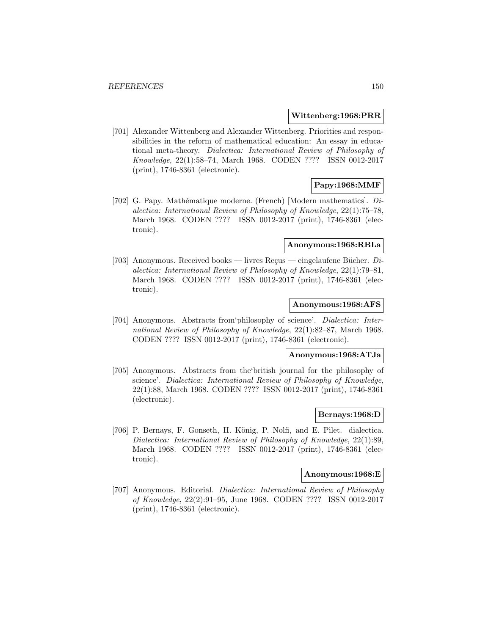#### **Wittenberg:1968:PRR**

[701] Alexander Wittenberg and Alexander Wittenberg. Priorities and responsibilities in the reform of mathematical education: An essay in educational meta-theory. Dialectica: International Review of Philosophy of Knowledge, 22(1):58–74, March 1968. CODEN ???? ISSN 0012-2017 (print), 1746-8361 (electronic).

# **Papy:1968:MMF**

[702] G. Papy. Mathématique moderne. (French) [Modern mathematics].  $Di$ alectica: International Review of Philosophy of Knowledge, 22(1):75–78, March 1968. CODEN ???? ISSN 0012-2017 (print), 1746-8361 (electronic).

#### **Anonymous:1968:RBLa**

[703] Anonymous. Received books — livres Reçus — eingelaufene Bücher. Dialectica: International Review of Philosophy of Knowledge, 22(1):79–81, March 1968. CODEN ???? ISSN 0012-2017 (print), 1746-8361 (electronic).

# **Anonymous:1968:AFS**

[704] Anonymous. Abstracts from philosophy of science'. Dialectica: International Review of Philosophy of Knowledge, 22(1):82–87, March 1968. CODEN ???? ISSN 0012-2017 (print), 1746-8361 (electronic).

#### **Anonymous:1968:ATJa**

[705] Anonymous. Abstracts from the'british journal for the philosophy of science'. Dialectica: International Review of Philosophy of Knowledge, 22(1):88, March 1968. CODEN ???? ISSN 0012-2017 (print), 1746-8361 (electronic).

## **Bernays:1968:D**

[706] P. Bernays, F. Gonseth, H. König, P. Nolfi, and E. Pilet. dialectica. Dialectica: International Review of Philosophy of Knowledge, 22(1):89, March 1968. CODEN ???? ISSN 0012-2017 (print), 1746-8361 (electronic).

### **Anonymous:1968:E**

[707] Anonymous. Editorial. Dialectica: International Review of Philosophy of Knowledge, 22(2):91–95, June 1968. CODEN ???? ISSN 0012-2017 (print), 1746-8361 (electronic).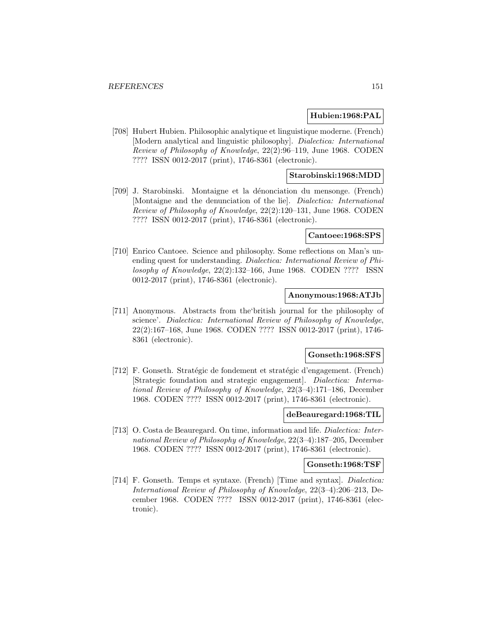### **Hubien:1968:PAL**

[708] Hubert Hubien. Philosophic analytique et linguistique moderne. (French) [Modern analytical and linguistic philosophy]. Dialectica: International Review of Philosophy of Knowledge, 22(2):96–119, June 1968. CODEN ???? ISSN 0012-2017 (print), 1746-8361 (electronic).

# **Starobinski:1968:MDD**

[709] J. Starobinski. Montaigne et la d´enonciation du mensonge. (French) [Montaigne and the denunciation of the lie]. Dialectica: International Review of Philosophy of Knowledge, 22(2):120–131, June 1968. CODEN ???? ISSN 0012-2017 (print), 1746-8361 (electronic).

#### **Cantoee:1968:SPS**

[710] Enrico Cantoee. Science and philosophy. Some reflections on Man's unending quest for understanding. Dialectica: International Review of Philosophy of Knowledge, 22(2):132–166, June 1968. CODEN ???? ISSN 0012-2017 (print), 1746-8361 (electronic).

## **Anonymous:1968:ATJb**

[711] Anonymous. Abstracts from the'british journal for the philosophy of science'. Dialectica: International Review of Philosophy of Knowledge, 22(2):167–168, June 1968. CODEN ???? ISSN 0012-2017 (print), 1746- 8361 (electronic).

#### **Gonseth:1968:SFS**

[712] F. Gonseth. Stratégic de fondement et stratégic d'engagement. (French) [Strategic foundation and strategic engagement]. Dialectica: International Review of Philosophy of Knowledge, 22(3–4):171–186, December 1968. CODEN ???? ISSN 0012-2017 (print), 1746-8361 (electronic).

### **deBeauregard:1968:TIL**

[713] O. Costa de Beauregard. On time, information and life. Dialectica: International Review of Philosophy of Knowledge, 22(3–4):187–205, December 1968. CODEN ???? ISSN 0012-2017 (print), 1746-8361 (electronic).

#### **Gonseth:1968:TSF**

[714] F. Gonseth. Temps et syntaxe. (French) [Time and syntax]. Dialectica: International Review of Philosophy of Knowledge, 22(3–4):206–213, December 1968. CODEN ???? ISSN 0012-2017 (print), 1746-8361 (electronic).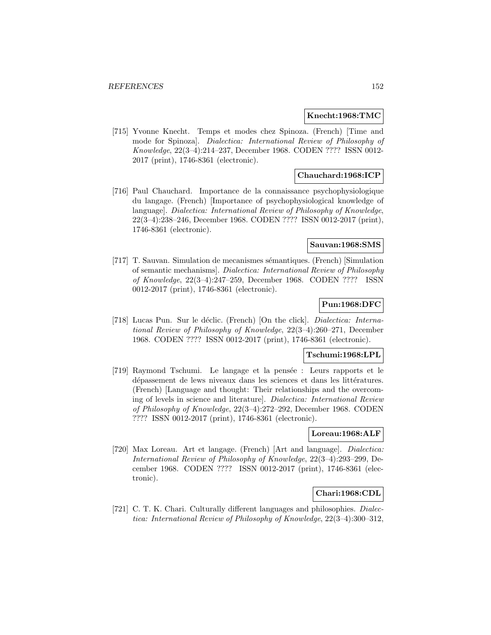### **Knecht:1968:TMC**

[715] Yvonne Knecht. Temps et modes chez Spinoza. (French) [Time and mode for Spinoza]. Dialectica: International Review of Philosophy of Knowledge, 22(3–4):214–237, December 1968. CODEN ???? ISSN 0012- 2017 (print), 1746-8361 (electronic).

## **Chauchard:1968:ICP**

[716] Paul Chauchard. Importance de la connaissance psychophysiologique du langage. (French) [Importance of psychophysiological knowledge of language]. Dialectica: International Review of Philosophy of Knowledge, 22(3–4):238–246, December 1968. CODEN ???? ISSN 0012-2017 (print), 1746-8361 (electronic).

### **Sauvan:1968:SMS**

[717] T. Sauvan. Simulation de mecanismes sémantiques. (French) [Simulation of semantic mechanisms]. Dialectica: International Review of Philosophy of Knowledge, 22(3–4):247–259, December 1968. CODEN ???? ISSN 0012-2017 (print), 1746-8361 (electronic).

# **Pun:1968:DFC**

[718] Lucas Pun. Sur le déclic. (French) [On the click]. *Dialectica: Interna*tional Review of Philosophy of Knowledge, 22(3–4):260–271, December 1968. CODEN ???? ISSN 0012-2017 (print), 1746-8361 (electronic).

#### **Tschumi:1968:LPL**

[719] Raymond Tschumi. Le langage et la pensée : Leurs rapports et le dépassement de lews niveaux dans les sciences et dans les littératures. (French) [Language and thought: Their relationships and the overcoming of levels in science and literature]. Dialectica: International Review of Philosophy of Knowledge, 22(3–4):272–292, December 1968. CODEN ???? ISSN 0012-2017 (print), 1746-8361 (electronic).

### **Loreau:1968:ALF**

[720] Max Loreau. Art et langage. (French) [Art and language]. Dialectica: International Review of Philosophy of Knowledge, 22(3–4):293–299, December 1968. CODEN ???? ISSN 0012-2017 (print), 1746-8361 (electronic).

# **Chari:1968:CDL**

[721] C. T. K. Chari. Culturally different languages and philosophies. Dialectica: International Review of Philosophy of Knowledge, 22(3–4):300–312,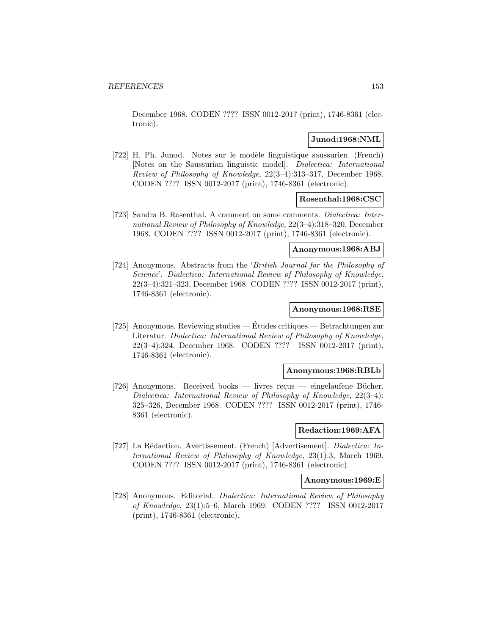December 1968. CODEN ???? ISSN 0012-2017 (print), 1746-8361 (electronic).

### **Junod:1968:NML**

[722] H. Ph. Junod. Notes sur le modèle linguistique saussurien. (French) [Notes on the Saussurian linguistic model]. Dialectica: International Review of Philosophy of Knowledge, 22(3–4):313–317, December 1968. CODEN ???? ISSN 0012-2017 (print), 1746-8361 (electronic).

### **Rosenthal:1968:CSC**

[723] Sandra B. Rosenthal. A comment on some comments. Dialectica: International Review of Philosophy of Knowledge, 22(3–4):318–320, December 1968. CODEN ???? ISSN 0012-2017 (print), 1746-8361 (electronic).

#### **Anonymous:1968:ABJ**

[724] Anonymous. Abstracts from the 'British Journal for the Philosophy of Science'. Dialectica: International Review of Philosophy of Knowledge, 22(3–4):321–323, December 1968. CODEN ???? ISSN 0012-2017 (print), 1746-8361 (electronic).

## **Anonymous:1968:RSE**

[725] Anonymous. Reviewing studies — Etudes critiques — Betrachtungen zur ´ Literatur. Dialectica: International Review of Philosophy of Knowledge, 22(3–4):324, December 1968. CODEN ???? ISSN 0012-2017 (print), 1746-8361 (electronic).

## **Anonymous:1968:RBLb**

[726] Anonymous. Received books — livres reçus — eingelaufene Bücher. Dialectica: International Review of Philosophy of Knowledge, 22(3–4): 325–326, December 1968. CODEN ???? ISSN 0012-2017 (print), 1746- 8361 (electronic).

#### **Redaction:1969:AFA**

[727] La Rédaction. Avertissement. (French) [Advertisement]. Dialectica: International Review of Philosophy of Knowledge, 23(1):3, March 1969. CODEN ???? ISSN 0012-2017 (print), 1746-8361 (electronic).

#### **Anonymous:1969:E**

[728] Anonymous. Editorial. Dialectica: International Review of Philosophy of Knowledge, 23(1):5–6, March 1969. CODEN ???? ISSN 0012-2017 (print), 1746-8361 (electronic).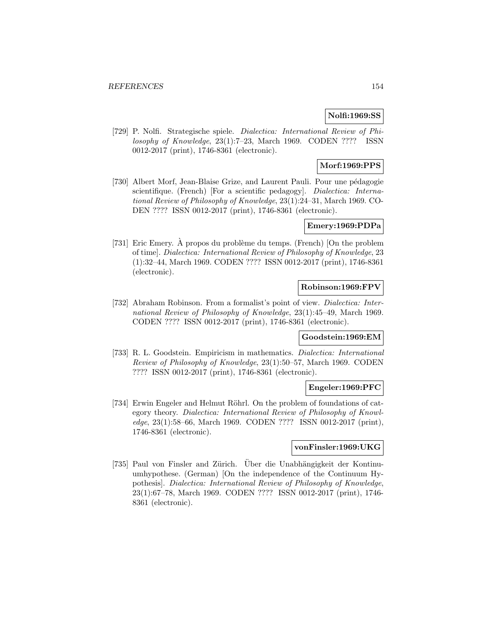# **Nolfi:1969:SS**

[729] P. Nolfi. Strategische spiele. Dialectica: International Review of Philosophy of Knowledge, 23(1):7–23, March 1969. CODEN ???? ISSN 0012-2017 (print), 1746-8361 (electronic).

# **Morf:1969:PPS**

[730] Albert Morf, Jean-Blaise Grize, and Laurent Pauli. Pour une pédagogie scientifique. (French) [For a scientific pedagogy]. *Dialectica: Interna*tional Review of Philosophy of Knowledge, 23(1):24–31, March 1969. CO-DEN ???? ISSN 0012-2017 (print), 1746-8361 (electronic).

### **Emery:1969:PDPa**

[731] Eric Emery. A propos du problème du temps. (French) [On the problem of time]. Dialectica: International Review of Philosophy of Knowledge, 23 (1):32–44, March 1969. CODEN ???? ISSN 0012-2017 (print), 1746-8361 (electronic).

### **Robinson:1969:FPV**

[732] Abraham Robinson. From a formalist's point of view. Dialectica: International Review of Philosophy of Knowledge, 23(1):45–49, March 1969. CODEN ???? ISSN 0012-2017 (print), 1746-8361 (electronic).

# **Goodstein:1969:EM**

[733] R. L. Goodstein. Empiricism in mathematics. Dialectica: International Review of Philosophy of Knowledge, 23(1):50–57, March 1969. CODEN ???? ISSN 0012-2017 (print), 1746-8361 (electronic).

## **Engeler:1969:PFC**

[734] Erwin Engeler and Helmut Röhrl. On the problem of foundations of category theory. Dialectica: International Review of Philosophy of Knowledge, 23(1):58–66, March 1969. CODEN ???? ISSN 0012-2017 (print), 1746-8361 (electronic).

#### **vonFinsler:1969:UKG**

[735] Paul von Finsler and Zürich. Über die Unabhängigkeit der Kontinuumhypothese. (German) [On the independence of the Continuum Hypothesis]. Dialectica: International Review of Philosophy of Knowledge, 23(1):67–78, March 1969. CODEN ???? ISSN 0012-2017 (print), 1746- 8361 (electronic).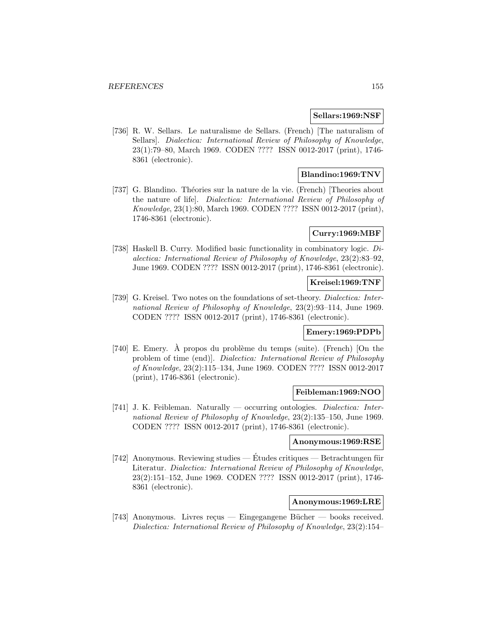### **Sellars:1969:NSF**

[736] R. W. Sellars. Le naturalisme de Sellars. (French) [The naturalism of Sellars]. Dialectica: International Review of Philosophy of Knowledge, 23(1):79–80, March 1969. CODEN ???? ISSN 0012-2017 (print), 1746- 8361 (electronic).

# **Blandino:1969:TNV**

[737] G. Blandino. Théories sur la nature de la vie. (French) [Theories about the nature of life]. Dialectica: International Review of Philosophy of Knowledge, 23(1):80, March 1969. CODEN ???? ISSN 0012-2017 (print), 1746-8361 (electronic).

# **Curry:1969:MBF**

[738] Haskell B. Curry. Modified basic functionality in combinatory logic. Dialectica: International Review of Philosophy of Knowledge, 23(2):83–92, June 1969. CODEN ???? ISSN 0012-2017 (print), 1746-8361 (electronic).

# **Kreisel:1969:TNF**

[739] G. Kreisel. Two notes on the foundations of set-theory. Dialectica: International Review of Philosophy of Knowledge, 23(2):93–114, June 1969. CODEN ???? ISSN 0012-2017 (print), 1746-8361 (electronic).

### **Emery:1969:PDPb**

[740] E. Emery. A propos du problème du temps (suite). (French) [On the problem of time (end)]. Dialectica: International Review of Philosophy of Knowledge, 23(2):115–134, June 1969. CODEN ???? ISSN 0012-2017 (print), 1746-8361 (electronic).

#### **Feibleman:1969:NOO**

[741] J. K. Feibleman. Naturally — occurring ontologies. Dialectica: International Review of Philosophy of Knowledge, 23(2):135–150, June 1969. CODEN ???? ISSN 0012-2017 (print), 1746-8361 (electronic).

#### **Anonymous:1969:RSE**

[742] Anonymous. Reviewing studies — Études critiques — Betrachtungen für Literatur. Dialectica: International Review of Philosophy of Knowledge, 23(2):151–152, June 1969. CODEN ???? ISSN 0012-2017 (print), 1746- 8361 (electronic).

# **Anonymous:1969:LRE**

[743] Anonymous. Livres reçus — Eingegangene Bücher — books received. Dialectica: International Review of Philosophy of Knowledge, 23(2):154–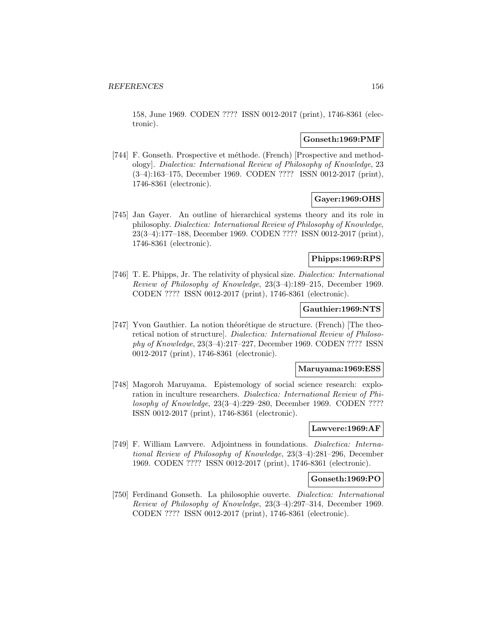158, June 1969. CODEN ???? ISSN 0012-2017 (print), 1746-8361 (electronic).

## **Gonseth:1969:PMF**

[744] F. Gonseth. Prospective et méthode. (French) [Prospective and methodology]. Dialectica: International Review of Philosophy of Knowledge, 23 (3–4):163–175, December 1969. CODEN ???? ISSN 0012-2017 (print), 1746-8361 (electronic).

# **Gayer:1969:OHS**

[745] Jan Gayer. An outline of hierarchical systems theory and its role in philosophy. Dialectica: International Review of Philosophy of Knowledge, 23(3–4):177–188, December 1969. CODEN ???? ISSN 0012-2017 (print), 1746-8361 (electronic).

# **Phipps:1969:RPS**

[746] T. E. Phipps, Jr. The relativity of physical size. Dialectica: International Review of Philosophy of Knowledge, 23(3–4):189–215, December 1969. CODEN ???? ISSN 0012-2017 (print), 1746-8361 (electronic).

## **Gauthier:1969:NTS**

[747] Yvon Gauthier. La notion théorétique de structure. (French) [The theoretical notion of structure]. Dialectica: International Review of Philosophy of Knowledge, 23(3–4):217–227, December 1969. CODEN ???? ISSN 0012-2017 (print), 1746-8361 (electronic).

## **Maruyama:1969:ESS**

[748] Magoroh Maruyama. Epistemology of social science research: exploration in inculture researchers. Dialectica: International Review of Philosophy of Knowledge, 23(3–4):229–280, December 1969. CODEN ???? ISSN 0012-2017 (print), 1746-8361 (electronic).

## **Lawvere:1969:AF**

[749] F. William Lawvere. Adjointness in foundations. Dialectica: International Review of Philosophy of Knowledge, 23(3–4):281–296, December 1969. CODEN ???? ISSN 0012-2017 (print), 1746-8361 (electronic).

### **Gonseth:1969:PO**

[750] Ferdinand Gonseth. La philosophie ouverte. Dialectica: International Review of Philosophy of Knowledge, 23(3–4):297–314, December 1969. CODEN ???? ISSN 0012-2017 (print), 1746-8361 (electronic).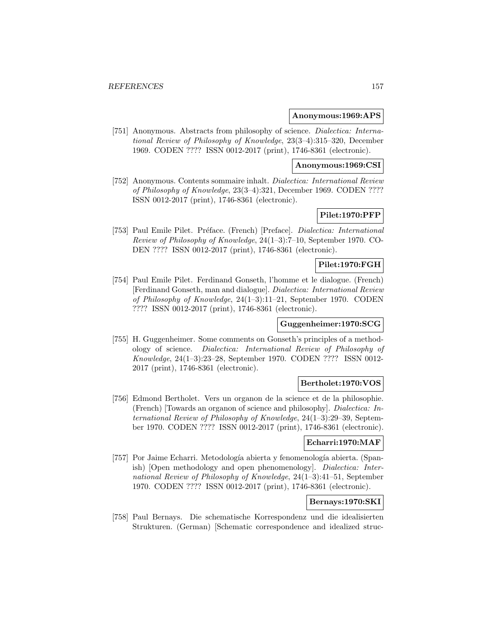### **Anonymous:1969:APS**

[751] Anonymous. Abstracts from philosophy of science. Dialectica: International Review of Philosophy of Knowledge, 23(3–4):315–320, December 1969. CODEN ???? ISSN 0012-2017 (print), 1746-8361 (electronic).

### **Anonymous:1969:CSI**

[752] Anonymous. Contents sommaire inhalt. Dialectica: International Review of Philosophy of Knowledge, 23(3–4):321, December 1969. CODEN ???? ISSN 0012-2017 (print), 1746-8361 (electronic).

# **Pilet:1970:PFP**

[753] Paul Emile Pilet. Préface. (French) [Preface]. Dialectica: International Review of Philosophy of Knowledge, 24(1–3):7–10, September 1970. CO-DEN ???? ISSN 0012-2017 (print), 1746-8361 (electronic).

# **Pilet:1970:FGH**

[754] Paul Emile Pilet. Ferdinand Gonseth, l'homme et le dialogue. (French) [Ferdinand Gonseth, man and dialogue]. Dialectica: International Review of Philosophy of Knowledge, 24(1–3):11–21, September 1970. CODEN ???? ISSN 0012-2017 (print), 1746-8361 (electronic).

# **Guggenheimer:1970:SCG**

[755] H. Guggenheimer. Some comments on Gonseth's principles of a methodology of science. Dialectica: International Review of Philosophy of Knowledge, 24(1–3):23–28, September 1970. CODEN ???? ISSN 0012- 2017 (print), 1746-8361 (electronic).

# **Bertholet:1970:VOS**

[756] Edmond Bertholet. Vers un organon de la science et de la philosophie. (French) [Towards an organon of science and philosophy]. Dialectica: International Review of Philosophy of Knowledge, 24(1–3):29–39, September 1970. CODEN ???? ISSN 0012-2017 (print), 1746-8361 (electronic).

# **Echarri:1970:MAF**

[757] Por Jaime Echarri. Metodología abierta y fenomenología abierta. (Spanish) [Open methodology and open phenomenology]. Dialectica: International Review of Philosophy of Knowledge, 24(1–3):41–51, September 1970. CODEN ???? ISSN 0012-2017 (print), 1746-8361 (electronic).

# **Bernays:1970:SKI**

[758] Paul Bernays. Die schematische Korrespondenz und die idealisierten Strukturen. (German) [Schematic correspondence and idealized struc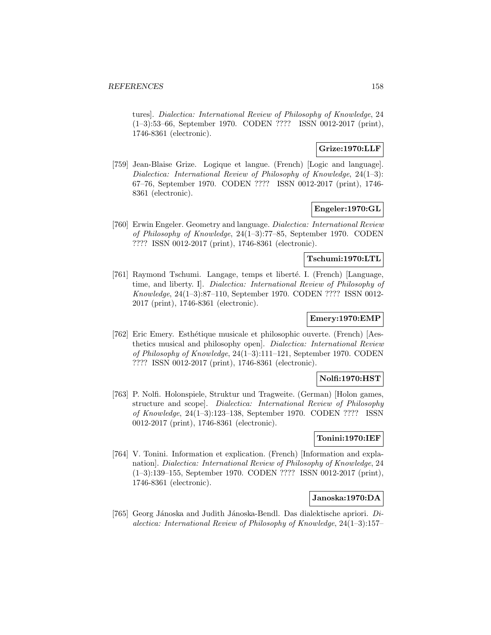tures]. Dialectica: International Review of Philosophy of Knowledge, 24 (1–3):53–66, September 1970. CODEN ???? ISSN 0012-2017 (print), 1746-8361 (electronic).

## **Grize:1970:LLF**

[759] Jean-Blaise Grize. Logique et langue. (French) [Logic and language]. Dialectica: International Review of Philosophy of Knowledge, 24(1–3): 67–76, September 1970. CODEN ???? ISSN 0012-2017 (print), 1746- 8361 (electronic).

## **Engeler:1970:GL**

[760] Erwin Engeler. Geometry and language. Dialectica: International Review of Philosophy of Knowledge, 24(1–3):77–85, September 1970. CODEN ???? ISSN 0012-2017 (print), 1746-8361 (electronic).

# **Tschumi:1970:LTL**

[761] Raymond Tschumi. Langage, temps et libert´e. I. (French) [Language, time, and liberty. I]. Dialectica: International Review of Philosophy of Knowledge, 24(1–3):87–110, September 1970. CODEN ???? ISSN 0012- 2017 (print), 1746-8361 (electronic).

# **Emery:1970:EMP**

[762] Eric Emery. Esthétique musicale et philosophic ouverte. (French) [Aesthetics musical and philosophy open]. Dialectica: International Review of Philosophy of Knowledge, 24(1–3):111–121, September 1970. CODEN ???? ISSN 0012-2017 (print), 1746-8361 (electronic).

#### **Nolfi:1970:HST**

[763] P. Nolfi. Holonspiele, Struktur und Tragweite. (German) [Holon games, structure and scope]. Dialectica: International Review of Philosophy of Knowledge, 24(1–3):123–138, September 1970. CODEN ???? ISSN 0012-2017 (print), 1746-8361 (electronic).

## **Tonini:1970:IEF**

[764] V. Tonini. Information et explication. (French) [Information and explanation]. Dialectica: International Review of Philosophy of Knowledge, 24 (1–3):139–155, September 1970. CODEN ???? ISSN 0012-2017 (print), 1746-8361 (electronic).

## **Janoska:1970:DA**

[765] Georg Jánoska and Judith Jánoska-Bendl. Das dialektische apriori.  $Di$ alectica: International Review of Philosophy of Knowledge, 24(1–3):157–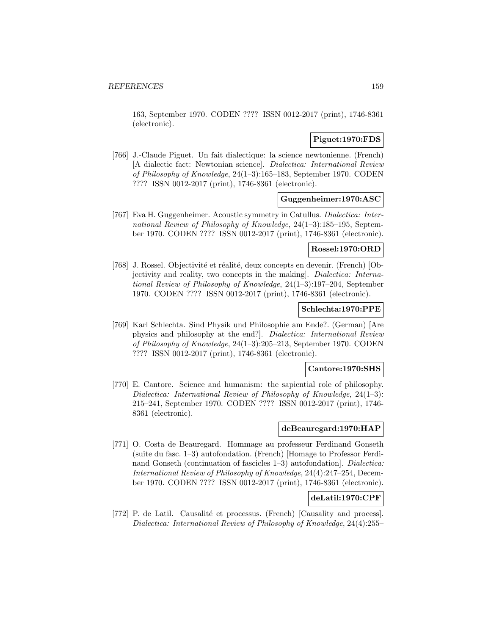163, September 1970. CODEN ???? ISSN 0012-2017 (print), 1746-8361 (electronic).

# **Piguet:1970:FDS**

[766] J.-Claude Piguet. Un fait dialectique: la science newtonienne. (French) [A dialectic fact: Newtonian science]. Dialectica: International Review of Philosophy of Knowledge, 24(1–3):165–183, September 1970. CODEN ???? ISSN 0012-2017 (print), 1746-8361 (electronic).

# **Guggenheimer:1970:ASC**

[767] Eva H. Guggenheimer. Acoustic symmetry in Catullus. Dialectica: International Review of Philosophy of Knowledge, 24(1–3):185–195, September 1970. CODEN ???? ISSN 0012-2017 (print), 1746-8361 (electronic).

### **Rossel:1970:ORD**

[768] J. Rossel. Objectivité et réalité, deux concepts en devenir. (French) [Objectivity and reality, two concepts in the making]. Dialectica: International Review of Philosophy of Knowledge, 24(1–3):197–204, September 1970. CODEN ???? ISSN 0012-2017 (print), 1746-8361 (electronic).

## **Schlechta:1970:PPE**

[769] Karl Schlechta. Sind Physik und Philosophie am Ende?. (German) [Are physics and philosophy at the end?]. Dialectica: International Review of Philosophy of Knowledge, 24(1–3):205–213, September 1970. CODEN ???? ISSN 0012-2017 (print), 1746-8361 (electronic).

# **Cantore:1970:SHS**

[770] E. Cantore. Science and humanism: the sapiential role of philosophy. Dialectica: International Review of Philosophy of Knowledge, 24(1–3): 215–241, September 1970. CODEN ???? ISSN 0012-2017 (print), 1746- 8361 (electronic).

### **deBeauregard:1970:HAP**

[771] O. Costa de Beauregard. Hommage au professeur Ferdinand Gonseth (suite du fasc. 1–3) autofondation. (French) [Homage to Professor Ferdinand Gonseth (continuation of fascicles 1–3) autofondation]. *Dialectica*: International Review of Philosophy of Knowledge, 24(4):247–254, December 1970. CODEN ???? ISSN 0012-2017 (print), 1746-8361 (electronic).

# **deLatil:1970:CPF**

[772] P. de Latil. Causalité et processus. (French) [Causality and process]. Dialectica: International Review of Philosophy of Knowledge, 24(4):255–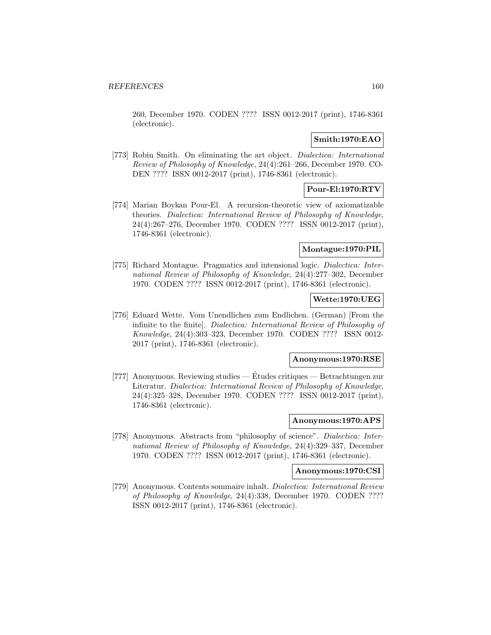260, December 1970. CODEN ???? ISSN 0012-2017 (print), 1746-8361 (electronic).

# **Smith:1970:EAO**

[773] Robin Smith. On eliminating the art object. Dialectica: International Review of Philosophy of Knowledge, 24(4):261–266, December 1970. CO-DEN ???? ISSN 0012-2017 (print), 1746-8361 (electronic).

# **Pour-El:1970:RTV**

[774] Marian Boykan Pour-El. A recursion-theoretic view of axiomatizable theories. Dialectica: International Review of Philosophy of Knowledge, 24(4):267–276, December 1970. CODEN ???? ISSN 0012-2017 (print), 1746-8361 (electronic).

### **Montague:1970:PIL**

[775] Richard Montague. Pragmatics and intensional logic. Dialectica: International Review of Philosophy of Knowledge, 24(4):277–302, December 1970. CODEN ???? ISSN 0012-2017 (print), 1746-8361 (electronic).

# **Wette:1970:UEG**

[776] Eduard Wette. Vom Unendlichen zum Endlichen. (German) [From the infinite to the finite]. Dialectica: International Review of Philosophy of Knowledge, 24(4):303–323, December 1970. CODEN ???? ISSN 0012- 2017 (print), 1746-8361 (electronic).

### **Anonymous:1970:RSE**

[777] Anonymous. Reviewing studies — Etudes critiques — Betrachtungen zur ´ Literatur. Dialectica: International Review of Philosophy of Knowledge, 24(4):325–328, December 1970. CODEN ???? ISSN 0012-2017 (print), 1746-8361 (electronic).

#### **Anonymous:1970:APS**

[778] Anonymous. Abstracts from "philosophy of science". Dialectica: International Review of Philosophy of Knowledge, 24(4):329–337, December 1970. CODEN ???? ISSN 0012-2017 (print), 1746-8361 (electronic).

## **Anonymous:1970:CSI**

[779] Anonymous. Contents sommaire inhalt. Dialectica: International Review of Philosophy of Knowledge, 24(4):338, December 1970. CODEN ???? ISSN 0012-2017 (print), 1746-8361 (electronic).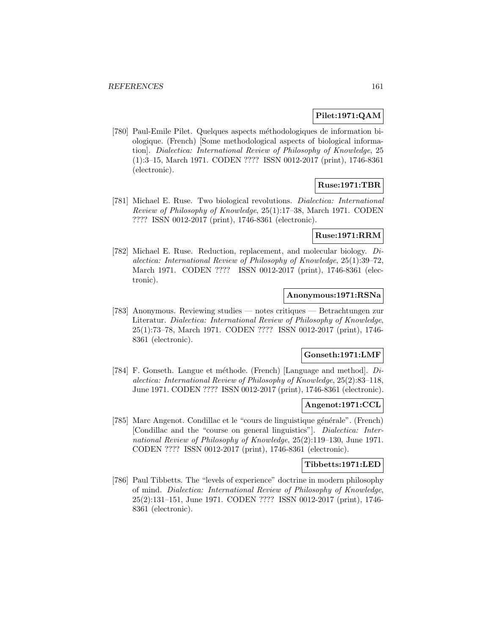# **Pilet:1971:QAM**

[780] Paul-Emile Pilet. Quelques aspects méthodologiques de information biologique. (French) [Some methodological aspects of biological information]. Dialectica: International Review of Philosophy of Knowledge, 25 (1):3–15, March 1971. CODEN ???? ISSN 0012-2017 (print), 1746-8361 (electronic).

# **Ruse:1971:TBR**

[781] Michael E. Ruse. Two biological revolutions. Dialectica: International Review of Philosophy of Knowledge, 25(1):17–38, March 1971. CODEN ???? ISSN 0012-2017 (print), 1746-8361 (electronic).

## **Ruse:1971:RRM**

[782] Michael E. Ruse. Reduction, replacement, and molecular biology. Dialectica: International Review of Philosophy of Knowledge, 25(1):39–72, March 1971. CODEN ???? ISSN 0012-2017 (print), 1746-8361 (electronic).

# **Anonymous:1971:RSNa**

[783] Anonymous. Reviewing studies — notes critiques — Betrachtungen zur Literatur. Dialectica: International Review of Philosophy of Knowledge, 25(1):73–78, March 1971. CODEN ???? ISSN 0012-2017 (print), 1746- 8361 (electronic).

## **Gonseth:1971:LMF**

[784] F. Gonseth. Langue et méthode. (French) [Language and method].  $Di$ alectica: International Review of Philosophy of Knowledge, 25(2):83–118, June 1971. CODEN ???? ISSN 0012-2017 (print), 1746-8361 (electronic).

# **Angenot:1971:CCL**

[785] Marc Angenot. Condillac et le "cours de linguistique générale". (French) [Condillac and the "course on general linguistics"]. Dialectica: International Review of Philosophy of Knowledge, 25(2):119–130, June 1971. CODEN ???? ISSN 0012-2017 (print), 1746-8361 (electronic).

#### **Tibbetts:1971:LED**

[786] Paul Tibbetts. The "levels of experience" doctrine in modern philosophy of mind. Dialectica: International Review of Philosophy of Knowledge, 25(2):131–151, June 1971. CODEN ???? ISSN 0012-2017 (print), 1746- 8361 (electronic).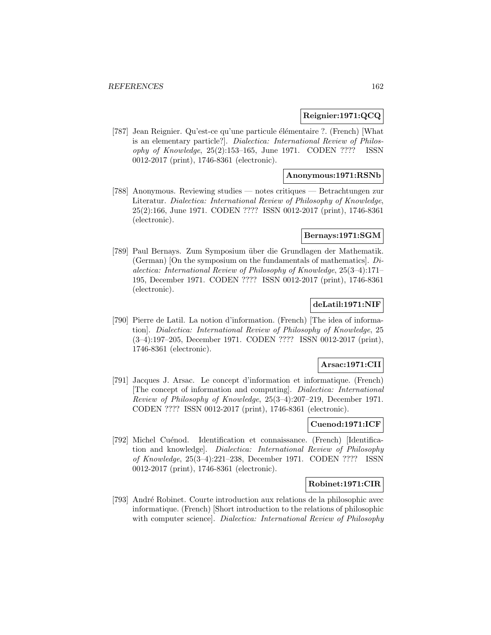# **Reignier:1971:QCQ**

[787] Jean Reignier. Qu'est-ce qu'une particule élémentaire ?. (French) [What is an elementary particle?]. Dialectica: International Review of Philosophy of Knowledge, 25(2):153–165, June 1971. CODEN ???? ISSN 0012-2017 (print), 1746-8361 (electronic).

# **Anonymous:1971:RSNb**

[788] Anonymous. Reviewing studies — notes critiques — Betrachtungen zur Literatur. Dialectica: International Review of Philosophy of Knowledge, 25(2):166, June 1971. CODEN ???? ISSN 0012-2017 (print), 1746-8361 (electronic).

# **Bernays:1971:SGM**

[789] Paul Bernays. Zum Symposium über die Grundlagen der Mathematik. (German) [On the symposium on the fundamentals of mathematics]. Dialectica: International Review of Philosophy of Knowledge, 25(3–4):171– 195, December 1971. CODEN ???? ISSN 0012-2017 (print), 1746-8361 (electronic).

# **deLatil:1971:NIF**

[790] Pierre de Latil. La notion d'information. (French) [The idea of information]. Dialectica: International Review of Philosophy of Knowledge, 25 (3–4):197–205, December 1971. CODEN ???? ISSN 0012-2017 (print), 1746-8361 (electronic).

## **Arsac:1971:CII**

[791] Jacques J. Arsac. Le concept d'information et informatique. (French) [The concept of information and computing]. Dialectica: International Review of Philosophy of Knowledge, 25(3–4):207–219, December 1971. CODEN ???? ISSN 0012-2017 (print), 1746-8361 (electronic).

# **Cuenod:1971:ICF**

[792] Michel Cuénod. Identification et connaissance. (French) [Identification and knowledge]. Dialectica: International Review of Philosophy of Knowledge, 25(3–4):221–238, December 1971. CODEN ???? ISSN 0012-2017 (print), 1746-8361 (electronic).

## **Robinet:1971:CIR**

[793] André Robinet. Courte introduction aux relations de la philosophic avec informatique. (French) [Short introduction to the relations of philosophic with computer science. Dialectica: International Review of Philosophy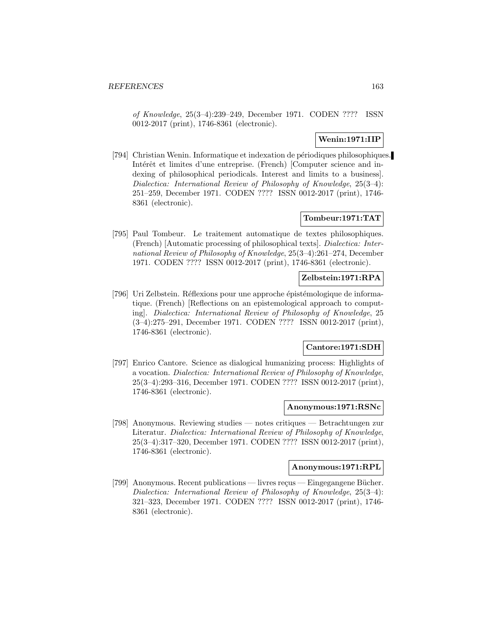of Knowledge, 25(3–4):239–249, December 1971. CODEN ???? ISSN 0012-2017 (print), 1746-8361 (electronic).

# **Wenin:1971:IIP**

[794] Christian Wenin. Informatique et indexation de périodiques philosophiques. Intérêt et limites d'une entreprise. (French) [Computer science and indexing of philosophical periodicals. Interest and limits to a business]. Dialectica: International Review of Philosophy of Knowledge, 25(3–4): 251–259, December 1971. CODEN ???? ISSN 0012-2017 (print), 1746- 8361 (electronic).

# **Tombeur:1971:TAT**

[795] Paul Tombeur. Le traitement automatique de textes philosophiques. (French) [Automatic processing of philosophical texts]. Dialectica: International Review of Philosophy of Knowledge, 25(3–4):261–274, December 1971. CODEN ???? ISSN 0012-2017 (print), 1746-8361 (electronic).

# **Zelbstein:1971:RPA**

[796] Uri Zelbstein. Réflexions pour une approche épistémologique de informatique. (French) [Reflections on an epistemological approach to computing]. Dialectica: International Review of Philosophy of Knowledge, 25 (3–4):275–291, December 1971. CODEN ???? ISSN 0012-2017 (print), 1746-8361 (electronic).

# **Cantore:1971:SDH**

[797] Enrico Cantore. Science as dialogical humanizing process: Highlights of a vocation. Dialectica: International Review of Philosophy of Knowledge, 25(3–4):293–316, December 1971. CODEN ???? ISSN 0012-2017 (print), 1746-8361 (electronic).

#### **Anonymous:1971:RSNc**

[798] Anonymous. Reviewing studies — notes critiques — Betrachtungen zur Literatur. Dialectica: International Review of Philosophy of Knowledge, 25(3–4):317–320, December 1971. CODEN ???? ISSN 0012-2017 (print), 1746-8361 (electronic).

# **Anonymous:1971:RPL**

[799] Anonymous. Recent publications — livres reçus — Eingegangene Bücher. Dialectica: International Review of Philosophy of Knowledge, 25(3–4): 321–323, December 1971. CODEN ???? ISSN 0012-2017 (print), 1746- 8361 (electronic).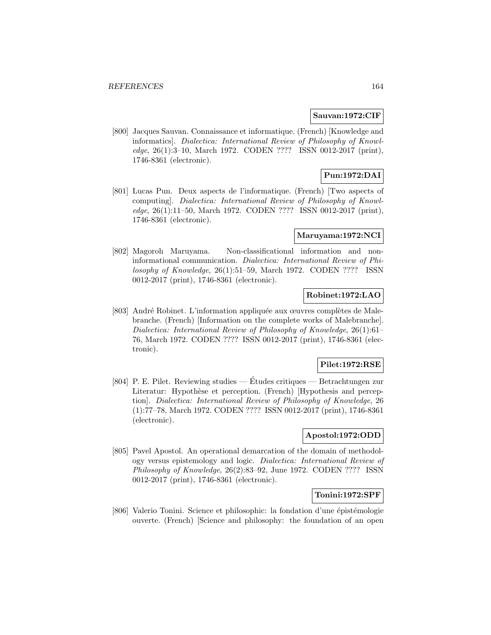#### **Sauvan:1972:CIF**

[800] Jacques Sauvan. Connaissance et informatique. (French) [Knowledge and informatics]. Dialectica: International Review of Philosophy of Knowledge, 26(1):3–10, March 1972. CODEN ???? ISSN 0012-2017 (print), 1746-8361 (electronic).

# **Pun:1972:DAI**

[801] Lucas Pun. Deux aspects de l'informatique. (French) [Two aspects of computing]. Dialectica: International Review of Philosophy of Knowledge, 26(1):11–50, March 1972. CODEN ???? ISSN 0012-2017 (print), 1746-8361 (electronic).

# **Maruyama:1972:NCI**

[802] Magoroh Maruyama. Non-classificational information and noninformational communication. Dialectica: International Review of Philosophy of Knowledge, 26(1):51–59, March 1972. CODEN ???? ISSN 0012-2017 (print), 1746-8361 (electronic).

# **Robinet:1972:LAO**

[803] André Robinet. L'information appliquée aux œuvres complètes de Malebranche. (French) [Information on the complete works of Malebranche]. Dialectica: International Review of Philosophy of Knowledge, 26(1):61– 76, March 1972. CODEN ???? ISSN 0012-2017 (print), 1746-8361 (electronic).

#### **Pilet:1972:RSE**

[804] P. E. Pilet. Reviewing studies — Études critiques — Betrachtungen zur Literatur: Hypothèse et perception. (French) [Hypothesis and perception]. Dialectica: International Review of Philosophy of Knowledge, 26 (1):77–78, March 1972. CODEN ???? ISSN 0012-2017 (print), 1746-8361 (electronic).

# **Apostol:1972:ODD**

[805] Pavel Apostol. An operational demarcation of the domain of methodology versus epistemology and logic. Dialectica: International Review of Philosophy of Knowledge, 26(2):83–92, June 1972. CODEN ???? ISSN 0012-2017 (print), 1746-8361 (electronic).

#### **Tonini:1972:SPF**

[806] Valerio Tonini. Science et philosophic: la fondation d'une épistémologie ouverte. (French) [Science and philosophy: the foundation of an open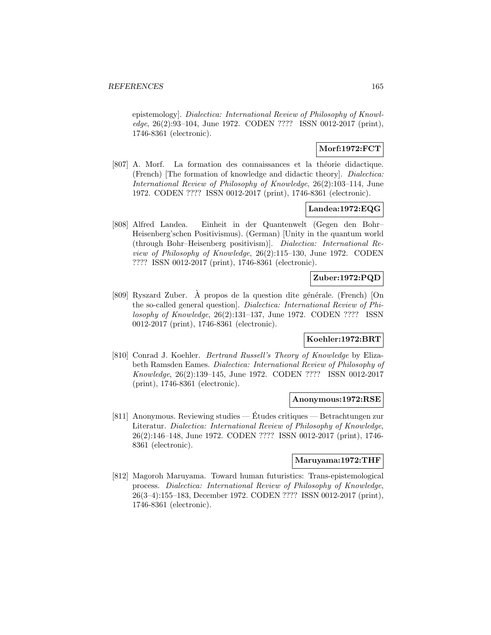epistemology]. Dialectica: International Review of Philosophy of Knowledge, 26(2):93–104, June 1972. CODEN ???? ISSN 0012-2017 (print), 1746-8361 (electronic).

## **Morf:1972:FCT**

[807] A. Morf. La formation des connaissances et la théorie didactique. (French) [The formation of knowledge and didactic theory]. Dialectica: International Review of Philosophy of Knowledge, 26(2):103–114, June 1972. CODEN ???? ISSN 0012-2017 (print), 1746-8361 (electronic).

# **Landea:1972:EQG**

[808] Alfred Landea. Einheit in der Quantenwelt (Gegen den Bohr– Heisenberg'schen Positivismus). (German) [Unity in the quantum world (through Bohr–Heisenberg positivism)]. Dialectica: International Review of Philosophy of Knowledge, 26(2):115–130, June 1972. CODEN ???? ISSN 0012-2017 (print), 1746-8361 (electronic).

# **Zuber:1972:PQD**

[809] Ryszard Zuber.  $\hat{A}$  propos de la question dite générale. (French) [On the so-called general question]. Dialectica: International Review of Philosophy of Knowledge, 26(2):131–137, June 1972. CODEN ???? ISSN 0012-2017 (print), 1746-8361 (electronic).

# **Koehler:1972:BRT**

[810] Conrad J. Koehler. Bertrand Russell's Theory of Knowledge by Elizabeth Ramsden Eames. Dialectica: International Review of Philosophy of Knowledge, 26(2):139–145, June 1972. CODEN ???? ISSN 0012-2017 (print), 1746-8361 (electronic).

### **Anonymous:1972:RSE**

[811] Anonymous. Reviewing studies — Études critiques — Betrachtungen zur Literatur. Dialectica: International Review of Philosophy of Knowledge, 26(2):146–148, June 1972. CODEN ???? ISSN 0012-2017 (print), 1746- 8361 (electronic).

#### **Maruyama:1972:THF**

[812] Magoroh Maruyama. Toward human futuristics: Trans-epistemological process. Dialectica: International Review of Philosophy of Knowledge, 26(3–4):155–183, December 1972. CODEN ???? ISSN 0012-2017 (print), 1746-8361 (electronic).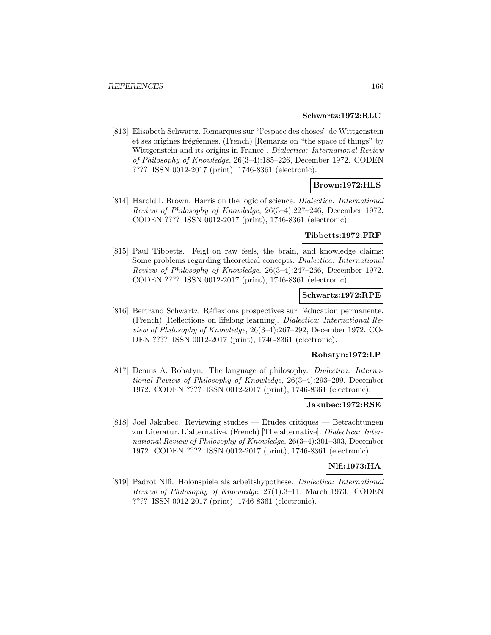#### **Schwartz:1972:RLC**

[813] Elisabeth Schwartz. Remarques sur "l'espace des choses" de Wittgenstein et ses origines frégéennes. (French) [Remarks on "the space of things" by Wittgenstein and its origins in France]. Dialectica: International Review of Philosophy of Knowledge, 26(3–4):185–226, December 1972. CODEN ???? ISSN 0012-2017 (print), 1746-8361 (electronic).

# **Brown:1972:HLS**

[814] Harold I. Brown. Harris on the logic of science. Dialectica: International Review of Philosophy of Knowledge, 26(3–4):227–246, December 1972. CODEN ???? ISSN 0012-2017 (print), 1746-8361 (electronic).

## **Tibbetts:1972:FRF**

[815] Paul Tibbetts. Feigl on raw feels, the brain, and knowledge claims: Some problems regarding theoretical concepts. Dialectica: International Review of Philosophy of Knowledge, 26(3–4):247–266, December 1972. CODEN ???? ISSN 0012-2017 (print), 1746-8361 (electronic).

# **Schwartz:1972:RPE**

[816] Bertrand Schwartz. Réflexions prospectives sur l'éducation permanente. (French) [Reflections on lifelong learning]. Dialectica: International Review of Philosophy of Knowledge, 26(3–4):267–292, December 1972. CO-DEN ???? ISSN 0012-2017 (print), 1746-8361 (electronic).

## **Rohatyn:1972:LP**

[817] Dennis A. Rohatyn. The language of philosophy. Dialectica: International Review of Philosophy of Knowledge, 26(3–4):293–299, December 1972. CODEN ???? ISSN 0012-2017 (print), 1746-8361 (electronic).

#### **Jakubec:1972:RSE**

[818] Joel Jakubec. Reviewing studies — Études critiques — Betrachtungen zur Literatur. L'alternative. (French) [The alternative]. Dialectica: International Review of Philosophy of Knowledge, 26(3–4):301–303, December 1972. CODEN ???? ISSN 0012-2017 (print), 1746-8361 (electronic).

#### **Nlfi:1973:HA**

[819] Padrot Nlfi. Holonspiele als arbeitshypothese. Dialectica: International Review of Philosophy of Knowledge, 27(1):3–11, March 1973. CODEN ???? ISSN 0012-2017 (print), 1746-8361 (electronic).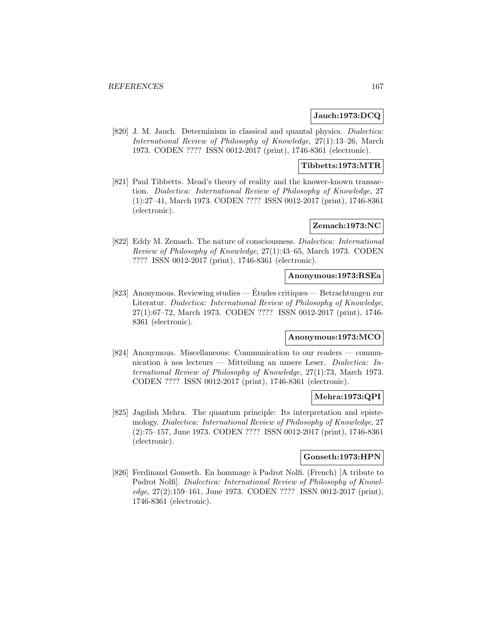## **Jauch:1973:DCQ**

[820] J. M. Jauch. Determinism in classical and quantal physics. *Dialectica:* International Review of Philosophy of Knowledge, 27(1):13–26, March 1973. CODEN ???? ISSN 0012-2017 (print), 1746-8361 (electronic).

# **Tibbetts:1973:MTR**

[821] Paul Tibbetts. Mead's theory of reality and the knower-known transaction. Dialectica: International Review of Philosophy of Knowledge, 27 (1):27–41, March 1973. CODEN ???? ISSN 0012-2017 (print), 1746-8361 (electronic).

## **Zemach:1973:NC**

[822] Eddy M. Zemach. The nature of consciousness. Dialectica: International Review of Philosophy of Knowledge, 27(1):43–65, March 1973. CODEN ???? ISSN 0012-2017 (print), 1746-8361 (electronic).

### **Anonymous:1973:RSEa**

[823] Anonymous. Reviewing studies — Etudes critiques — Betrachtungen zur ´ Literatur. Dialectica: International Review of Philosophy of Knowledge, 27(1):67–72, March 1973. CODEN ???? ISSN 0012-2017 (print), 1746- 8361 (electronic).

## **Anonymous:1973:MCO**

[824] Anonymous. Miscellaneous: Communication to our readers — communication à nos lecteurs — Mitteilung an unsere Leser. Dialectica: International Review of Philosophy of Knowledge, 27(1):73, March 1973. CODEN ???? ISSN 0012-2017 (print), 1746-8361 (electronic).

# **Mehra:1973:QPI**

[825] Jagdish Mehra. The quantum principle: Its interpretation and epistemology. Dialectica: International Review of Philosophy of Knowledge, 27 (2):75–157, June 1973. CODEN ???? ISSN 0012-2017 (print), 1746-8361 (electronic).

#### **Gonseth:1973:HPN**

[826] Ferdinand Gonseth. En hommage à Padrot Nolfi. (French) [A tribute to Padrot Nolfi]. Dialectica: International Review of Philosophy of Knowledge, 27(2):159–161, June 1973. CODEN ???? ISSN 0012-2017 (print), 1746-8361 (electronic).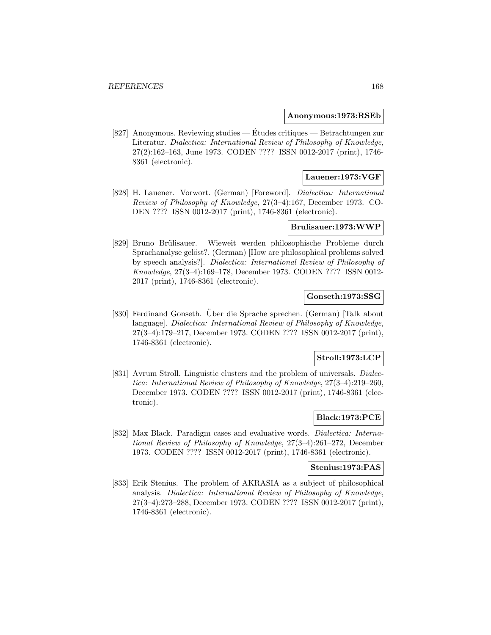### **Anonymous:1973:RSEb**

[827] Anonymous. Reviewing studies — Études critiques — Betrachtungen zur Literatur. Dialectica: International Review of Philosophy of Knowledge, 27(2):162–163, June 1973. CODEN ???? ISSN 0012-2017 (print), 1746- 8361 (electronic).

## **Lauener:1973:VGF**

[828] H. Lauener. Vorwort. (German) [Foreword]. Dialectica: International Review of Philosophy of Knowledge, 27(3–4):167, December 1973. CO-DEN ???? ISSN 0012-2017 (print), 1746-8361 (electronic).

## **Brulisauer:1973:WWP**

[829] Bruno Brülisauer. Wieweit werden philosophische Probleme durch Sprachanalyse gelöst?. (German) [How are philosophical problems solved by speech analysis?]. Dialectica: International Review of Philosophy of Knowledge, 27(3–4):169–178, December 1973. CODEN ???? ISSN 0012- 2017 (print), 1746-8361 (electronic).

### **Gonseth:1973:SSG**

[830] Ferdinand Gonseth. Über die Sprache sprechen. (German) [Talk about language]. Dialectica: International Review of Philosophy of Knowledge, 27(3–4):179–217, December 1973. CODEN ???? ISSN 0012-2017 (print), 1746-8361 (electronic).

# **Stroll:1973:LCP**

[831] Avrum Stroll. Linguistic clusters and the problem of universals. Dialectica: International Review of Philosophy of Knowledge, 27(3–4):219–260, December 1973. CODEN ???? ISSN 0012-2017 (print), 1746-8361 (electronic).

## **Black:1973:PCE**

[832] Max Black. Paradigm cases and evaluative words. Dialectica: International Review of Philosophy of Knowledge, 27(3–4):261–272, December 1973. CODEN ???? ISSN 0012-2017 (print), 1746-8361 (electronic).

## **Stenius:1973:PAS**

[833] Erik Stenius. The problem of AKRASIA as a subject of philosophical analysis. Dialectica: International Review of Philosophy of Knowledge, 27(3–4):273–288, December 1973. CODEN ???? ISSN 0012-2017 (print), 1746-8361 (electronic).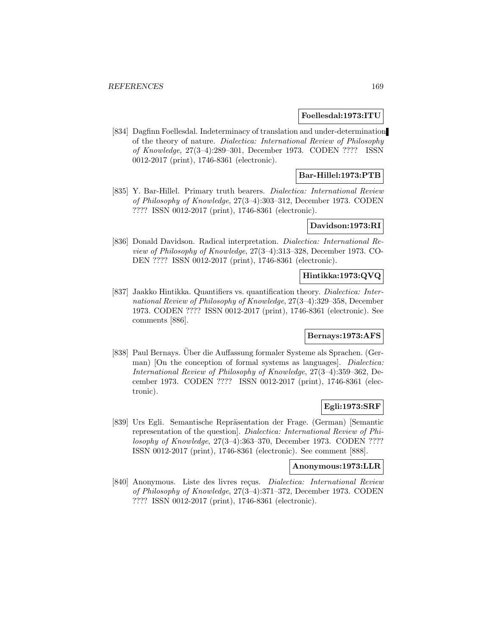### **Foellesdal:1973:ITU**

[834] Dagfinn Foellesdal. Indeterminacy of translation and under-determination of the theory of nature. Dialectica: International Review of Philosophy of Knowledge, 27(3–4):289–301, December 1973. CODEN ???? ISSN 0012-2017 (print), 1746-8361 (electronic).

# **Bar-Hillel:1973:PTB**

[835] Y. Bar-Hillel. Primary truth bearers. Dialectica: International Review of Philosophy of Knowledge, 27(3–4):303–312, December 1973. CODEN ???? ISSN 0012-2017 (print), 1746-8361 (electronic).

## **Davidson:1973:RI**

[836] Donald Davidson. Radical interpretation. Dialectica: International Review of Philosophy of Knowledge, 27(3–4):313–328, December 1973. CO-DEN ???? ISSN 0012-2017 (print), 1746-8361 (electronic).

# **Hintikka:1973:QVQ**

[837] Jaakko Hintikka. Quantifiers vs. quantification theory. Dialectica: International Review of Philosophy of Knowledge, 27(3–4):329–358, December 1973. CODEN ???? ISSN 0012-2017 (print), 1746-8361 (electronic). See comments [886].

#### **Bernays:1973:AFS**

[838] Paul Bernays. Uber die Auffassung formaler Systeme als Sprachen. (German) [On the conception of formal systems as languages]. *Dialectica:* International Review of Philosophy of Knowledge, 27(3–4):359–362, December 1973. CODEN ???? ISSN 0012-2017 (print), 1746-8361 (electronic).

## **Egli:1973:SRF**

[839] Urs Egli. Semantische Repräsentation der Frage. (German) [Semantic representation of the question]. Dialectica: International Review of Philosophy of Knowledge, 27(3–4):363–370, December 1973. CODEN ???? ISSN 0012-2017 (print), 1746-8361 (electronic). See comment [888].

# **Anonymous:1973:LLR**

[840] Anonymous. Liste des livres reçus. Dialectica: International Review of Philosophy of Knowledge, 27(3–4):371–372, December 1973. CODEN ???? ISSN 0012-2017 (print), 1746-8361 (electronic).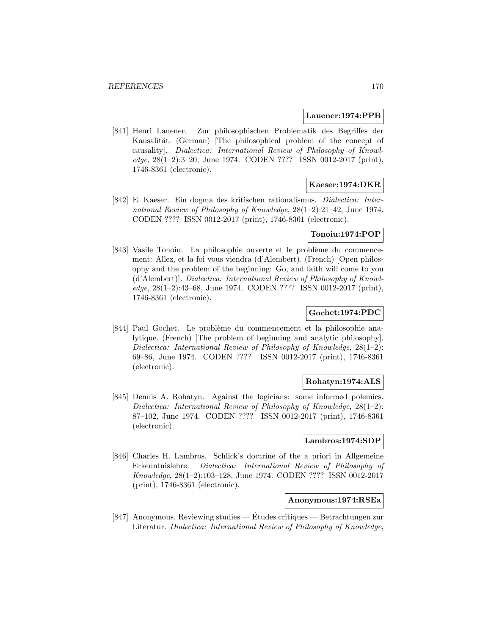### **Lauener:1974:PPB**

[841] Henri Lauener. Zur philosophischen Problematik des Begriffes der Kausalität. (German) [The philosophical problem of the concept of causality]. Dialectica: International Review of Philosophy of Knowledge, 28(1–2):3–20, June 1974. CODEN ???? ISSN 0012-2017 (print), 1746-8361 (electronic).

### **Kaeser:1974:DKR**

[842] E. Kaeser. Ein dogma des kritischen rationalismus. Dialectica: International Review of Philosophy of Knowledge, 28(1–2):21–42, June 1974. CODEN ???? ISSN 0012-2017 (print), 1746-8361 (electronic).

### **Tonoiu:1974:POP**

[843] Vasile Tonoiu. La philosophie ouverte et le problème du commencement: Allez, et la foi vous viendra (d'Alembert). (French) [Open philosophy and the problem of the beginning: Go, and faith will come to you (d'Alembert)]. Dialectica: International Review of Philosophy of Knowledge, 28(1–2):43–68, June 1974. CODEN ???? ISSN 0012-2017 (print), 1746-8361 (electronic).

### **Gochet:1974:PDC**

[844] Paul Gochet. Le problème du commencement et la philosophie analytique. (French) [The problem of beginning and analytic philosophy]. Dialectica: International Review of Philosophy of Knowledge, 28(1–2): 69–86, June 1974. CODEN ???? ISSN 0012-2017 (print), 1746-8361 (electronic).

## **Rohatyn:1974:ALS**

[845] Dennis A. Rohatyn. Against the logicians: some informed polemics. Dialectica: International Review of Philosophy of Knowledge, 28(1–2): 87–102, June 1974. CODEN ???? ISSN 0012-2017 (print), 1746-8361 (electronic).

# **Lambros:1974:SDP**

[846] Charles H. Lambros. Schlick's doctrine of the a priori in Allgemeine Erkenntnislehre. Dialectica: International Review of Philosophy of Knowledge, 28(1–2):103–128, June 1974. CODEN ???? ISSN 0012-2017 (print), 1746-8361 (electronic).

#### **Anonymous:1974:RSEa**

[847] Anonymous. Reviewing studies — Etudes critiques — Betrachtungen zur ´ Literatur. Dialectica: International Review of Philosophy of Knowledge,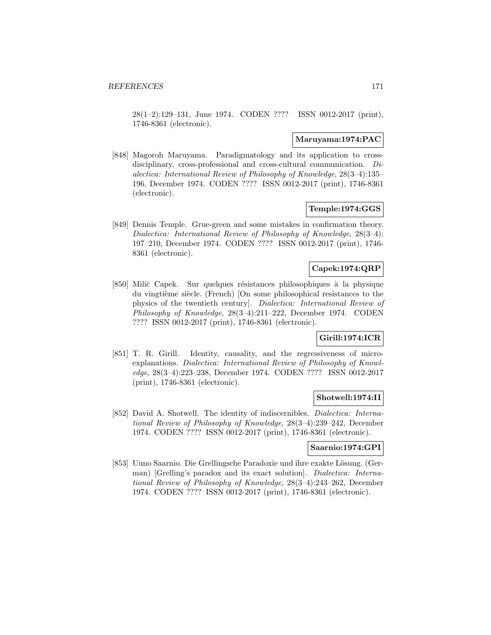28(1–2):129–131, June 1974. CODEN ???? ISSN 0012-2017 (print), 1746-8361 (electronic).

### **Maruyama:1974:PAC**

[848] Magoroh Maruyama. Paradigmatology and its application to crossdisciplinary, cross-professional and cross-cultural communication. Dialectica: International Review of Philosophy of Knowledge, 28(3–4):135– 196, December 1974. CODEN ???? ISSN 0012-2017 (print), 1746-8361 (electronic).

### **Temple:1974:GGS**

[849] Dennis Temple. Grue-green and some mistakes in confirmation theory. Dialectica: International Review of Philosophy of Knowledge, 28(3–4): 197–210, December 1974. CODEN ???? ISSN 0012-2017 (print), 1746- 8361 (electronic).

# **Capek:1974:QRP**

[850] Milič Capek. Sur quelques résistances philosophiques à la physique du vingtième siècle. (French) [On some philosophical resistances to the physics of the twentieth century]. Dialectica: International Review of Philosophy of Knowledge, 28(3–4):211–222, December 1974. CODEN ???? ISSN 0012-2017 (print), 1746-8361 (electronic).

# **Girill:1974:ICR**

[851] T. R. Girill. Identity, causality, and the regressiveness of microexplanations. Dialectica: International Review of Philosophy of Knowledge, 28(3–4):223–238, December 1974. CODEN ???? ISSN 0012-2017 (print), 1746-8361 (electronic).

# **Shotwell:1974:II**

[852] David A. Shotwell. The identity of indiscernibles. Dialectica: International Review of Philosophy of Knowledge, 28(3–4):239–242, December 1974. CODEN ???? ISSN 0012-2017 (print), 1746-8361 (electronic).

# **Saarnio:1974:GPI**

[853] Uuno Saarnio. Die Grellingsche Paradoxie und ihre exakte Lösung. (German) [Grelling's paradox and its exact solution]. Dialectica: International Review of Philosophy of Knowledge, 28(3–4):243–262, December 1974. CODEN ???? ISSN 0012-2017 (print), 1746-8361 (electronic).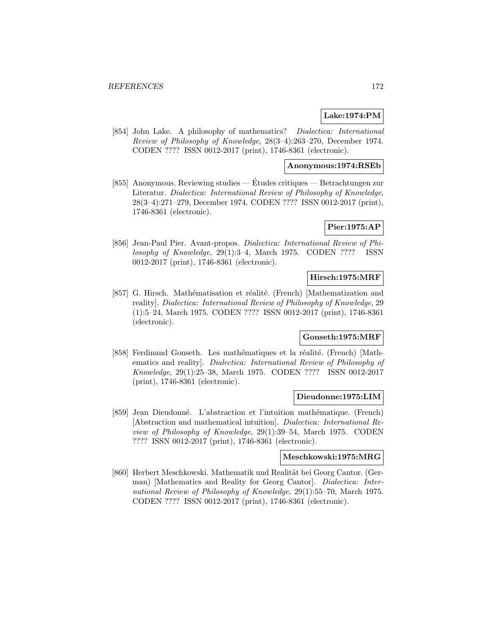# **Lake:1974:PM**

[854] John Lake. A philosophy of mathematics? Dialectica: International Review of Philosophy of Knowledge, 28(3–4):263–270, December 1974. CODEN ???? ISSN 0012-2017 (print), 1746-8361 (electronic).

### **Anonymous:1974:RSEb**

[855] Anonymous. Reviewing studies — Etudes critiques — Betrachtungen zur ´ Literatur. Dialectica: International Review of Philosophy of Knowledge, 28(3–4):271–279, December 1974. CODEN ???? ISSN 0012-2017 (print), 1746-8361 (electronic).

# **Pier:1975:AP**

[856] Jean-Paul Pier. Avant-propos. Dialectica: International Review of Philosophy of Knowledge, 29(1):3–4, March 1975. CODEN ???? ISSN 0012-2017 (print), 1746-8361 (electronic).

# **Hirsch:1975:MRF**

[857] G. Hirsch. Mathématisation et réalité. (French) [Mathematization and reality]. Dialectica: International Review of Philosophy of Knowledge, 29 (1):5–24, March 1975. CODEN ???? ISSN 0012-2017 (print), 1746-8361 (electronic).

## **Gonseth:1975:MRF**

[858] Ferdinand Gonseth. Les mathématiques et la réalité. (French) [Mathematics and reality]. Dialectica: International Review of Philosophy of Knowledge, 29(1):25–38, March 1975. CODEN ???? ISSN 0012-2017 (print), 1746-8361 (electronic).

### **Dieudonne:1975:LIM**

[859] Jean Dieudonn´e. L'abstraction et l'intuition math´ematique. (French) [Abstraction and mathematical intuition]. Dialectica: International Review of Philosophy of Knowledge, 29(1):39–54, March 1975. CODEN ???? ISSN 0012-2017 (print), 1746-8361 (electronic).

#### **Meschkowski:1975:MRG**

[860] Herbert Meschkowski. Mathematik und Realität bei Georg Cantor. (German) [Mathematics and Reality for Georg Cantor]. *Dialectica: Inter*national Review of Philosophy of Knowledge, 29(1):55–70, March 1975. CODEN ???? ISSN 0012-2017 (print), 1746-8361 (electronic).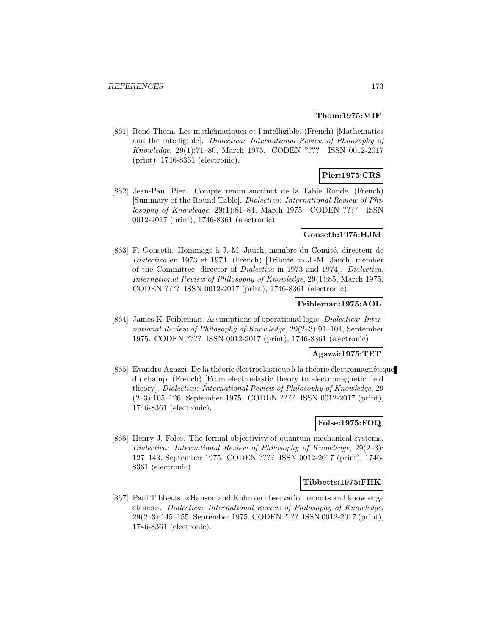### **Thom:1975:MIF**

[861] René Thom. Les mathématiques et l'intelligible. (French) [Mathematics and the intelligible]. Dialectica: International Review of Philosophy of Knowledge, 29(1):71–80, March 1975. CODEN ???? ISSN 0012-2017 (print), 1746-8361 (electronic).

# **Pier:1975:CRS**

[862] Jean-Paul Pier. Compte rendu succinct de la Table Ronde. (French) [Summary of the Round Table]. Dialectica: International Review of Philosophy of Knowledge, 29(1):81–84, March 1975. CODEN ???? ISSN 0012-2017 (print), 1746-8361 (electronic).

### **Gonseth:1975:HJM**

[863] F. Gonseth. Hommage à J.-M. Jauch, membre du Comité, directeur de Dialectica en 1973 et 1974. (French) [Tribute to J.-M. Jauch, member of the Committee, director of Dialectica in 1973 and 1974]. Dialectica: International Review of Philosophy of Knowledge, 29(1):85, March 1975. CODEN ???? ISSN 0012-2017 (print), 1746-8361 (electronic).

### **Feibleman:1975:AOL**

[864] James K. Feibleman. Assumptions of operational logic. Dialectica: International Review of Philosophy of Knowledge, 29(2–3):91–104, September 1975. CODEN ???? ISSN 0012-2017 (print), 1746-8361 (electronic).

## **Agazzi:1975:TET**

[865] Evandro Agazzi. De la théorie électroélastique à la théorie électromagnétique du champ. (French) [From electroelastic theory to electromagnetic field theory]. Dialectica: International Review of Philosophy of Knowledge, 29 (2–3):105–126, September 1975. CODEN ???? ISSN 0012-2017 (print), 1746-8361 (electronic).

# **Folse:1975:FOQ**

[866] Henry J. Folse. The formal objectivity of quantum mechanical systems. Dialectica: International Review of Philosophy of Knowledge, 29(2–3): 127–143, September 1975. CODEN ???? ISSN 0012-2017 (print), 1746- 8361 (electronic).

## **Tibbetts:1975:FHK**

[867] Paul Tibbetts. «Hanson and Kuhn on observation reports and knowledge claims. Dialectica: International Review of Philosophy of Knowledge, 29(2–3):145–155, September 1975. CODEN ???? ISSN 0012-2017 (print), 1746-8361 (electronic).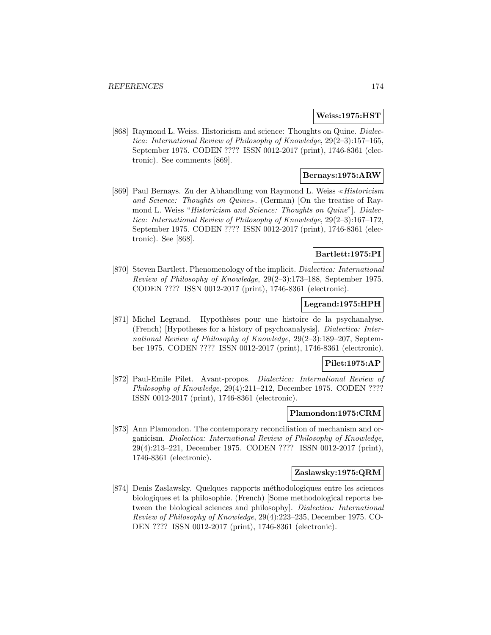### **Weiss:1975:HST**

[868] Raymond L. Weiss. Historicism and science: Thoughts on Quine. Dialectica: International Review of Philosophy of Knowledge, 29(2–3):157–165, September 1975. CODEN ???? ISSN 0012-2017 (print), 1746-8361 (electronic). See comments [869].

# **Bernays:1975:ARW**

[869] Paul Bernays. Zu der Abhandlung von Raymond L. Weiss «*Historicism* and Science: Thoughts on Quine». (German) [On the treatise of Raymond L. Weiss "Historicism and Science: Thoughts on Quine"]. Dialectica: International Review of Philosophy of Knowledge, 29(2–3):167–172, September 1975. CODEN ???? ISSN 0012-2017 (print), 1746-8361 (electronic). See [868].

# **Bartlett:1975:PI**

[870] Steven Bartlett. Phenomenology of the implicit. Dialectica: International Review of Philosophy of Knowledge, 29(2–3):173–188, September 1975. CODEN ???? ISSN 0012-2017 (print), 1746-8361 (electronic).

### **Legrand:1975:HPH**

[871] Michel Legrand. Hypoth`eses pour une histoire de la psychanalyse. (French) [Hypotheses for a history of psychoanalysis]. Dialectica: International Review of Philosophy of Knowledge, 29(2–3):189–207, September 1975. CODEN ???? ISSN 0012-2017 (print), 1746-8361 (electronic).

#### **Pilet:1975:AP**

[872] Paul-Emile Pilet. Avant-propos. Dialectica: International Review of Philosophy of Knowledge, 29(4):211–212, December 1975. CODEN ???? ISSN 0012-2017 (print), 1746-8361 (electronic).

### **Plamondon:1975:CRM**

[873] Ann Plamondon. The contemporary reconciliation of mechanism and organicism. Dialectica: International Review of Philosophy of Knowledge, 29(4):213–221, December 1975. CODEN ???? ISSN 0012-2017 (print), 1746-8361 (electronic).

#### **Zaslawsky:1975:QRM**

[874] Denis Zaslawsky. Quelques rapports méthodologiques entre les sciences biologiques et la philosophie. (French) [Some methodological reports between the biological sciences and philosophy]. Dialectica: International Review of Philosophy of Knowledge, 29(4):223–235, December 1975. CO-DEN ???? ISSN 0012-2017 (print), 1746-8361 (electronic).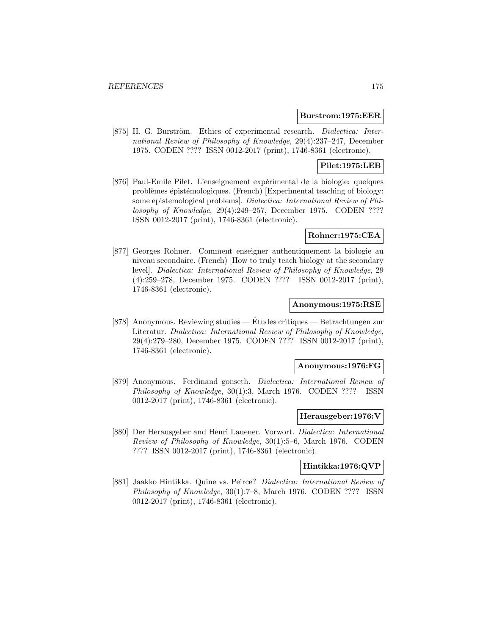### **Burstrom:1975:EER**

[875] H. G. Burström. Ethics of experimental research. Dialectica: International Review of Philosophy of Knowledge, 29(4):237–247, December 1975. CODEN ???? ISSN 0012-2017 (print), 1746-8361 (electronic).

# **Pilet:1975:LEB**

[876] Paul-Emile Pilet. L'enseignement expérimental de la biologie: quelques problèmes épistémologiques. (French) [Experimental teaching of biology: some epistemological problems]. Dialectica: International Review of Philosophy of Knowledge, 29(4):249–257, December 1975. CODEN ???? ISSN 0012-2017 (print), 1746-8361 (electronic).

### **Rohner:1975:CEA**

[877] Georges Rohner. Comment enseigner authentiquement la biologie au niveau secondaire. (French) [How to truly teach biology at the secondary level]. Dialectica: International Review of Philosophy of Knowledge, 29 (4):259–278, December 1975. CODEN ???? ISSN 0012-2017 (print), 1746-8361 (electronic).

## **Anonymous:1975:RSE**

[878] Anonymous. Reviewing studies — Etudes critiques — Betrachtungen zur ´ Literatur. Dialectica: International Review of Philosophy of Knowledge, 29(4):279–280, December 1975. CODEN ???? ISSN 0012-2017 (print), 1746-8361 (electronic).

### **Anonymous:1976:FG**

[879] Anonymous. Ferdinand gonseth. Dialectica: International Review of Philosophy of Knowledge, 30(1):3, March 1976. CODEN ???? ISSN 0012-2017 (print), 1746-8361 (electronic).

### **Herausgeber:1976:V**

[880] Der Herausgeber and Henri Lauener. Vorwort. Dialectica: International Review of Philosophy of Knowledge, 30(1):5–6, March 1976. CODEN ???? ISSN 0012-2017 (print), 1746-8361 (electronic).

# **Hintikka:1976:QVP**

[881] Jaakko Hintikka. Quine vs. Peirce? Dialectica: International Review of Philosophy of Knowledge, 30(1):7–8, March 1976. CODEN ???? ISSN 0012-2017 (print), 1746-8361 (electronic).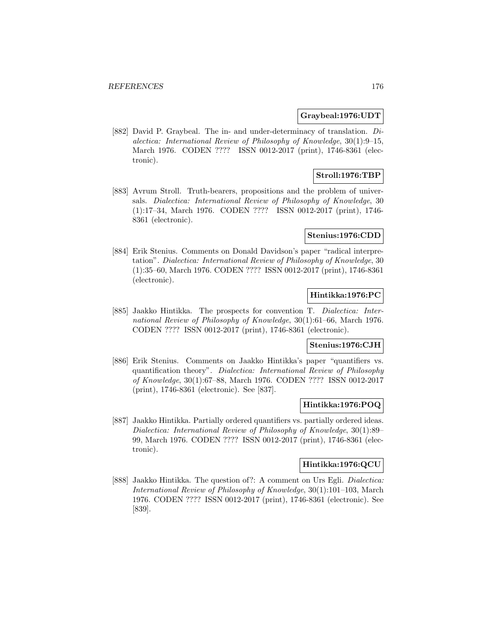### **Graybeal:1976:UDT**

[882] David P. Graybeal. The in- and under-determinacy of translation. Dialectica: International Review of Philosophy of Knowledge, 30(1):9–15, March 1976. CODEN ???? ISSN 0012-2017 (print), 1746-8361 (electronic).

# **Stroll:1976:TBP**

[883] Avrum Stroll. Truth-bearers, propositions and the problem of universals. Dialectica: International Review of Philosophy of Knowledge, 30 (1):17–34, March 1976. CODEN ???? ISSN 0012-2017 (print), 1746- 8361 (electronic).

### **Stenius:1976:CDD**

[884] Erik Stenius. Comments on Donald Davidson's paper "radical interpretation". Dialectica: International Review of Philosophy of Knowledge, 30 (1):35–60, March 1976. CODEN ???? ISSN 0012-2017 (print), 1746-8361 (electronic).

# **Hintikka:1976:PC**

[885] Jaakko Hintikka. The prospects for convention T. Dialectica: International Review of Philosophy of Knowledge, 30(1):61–66, March 1976. CODEN ???? ISSN 0012-2017 (print), 1746-8361 (electronic).

# **Stenius:1976:CJH**

[886] Erik Stenius. Comments on Jaakko Hintikka's paper "quantifiers vs. quantification theory". Dialectica: International Review of Philosophy of Knowledge, 30(1):67–88, March 1976. CODEN ???? ISSN 0012-2017 (print), 1746-8361 (electronic). See [837].

## **Hintikka:1976:POQ**

[887] Jaakko Hintikka. Partially ordered quantifiers vs. partially ordered ideas. Dialectica: International Review of Philosophy of Knowledge, 30(1):89– 99, March 1976. CODEN ???? ISSN 0012-2017 (print), 1746-8361 (electronic).

## **Hintikka:1976:QCU**

[888] Jaakko Hintikka. The question of?: A comment on Urs Egli. Dialectica: International Review of Philosophy of Knowledge, 30(1):101–103, March 1976. CODEN ???? ISSN 0012-2017 (print), 1746-8361 (electronic). See [839].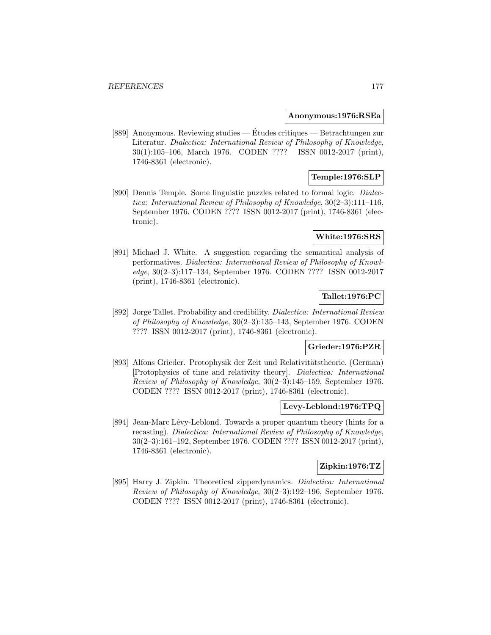#### **Anonymous:1976:RSEa**

[889] Anonymous. Reviewing studies — Études critiques — Betrachtungen zur Literatur. Dialectica: International Review of Philosophy of Knowledge, 30(1):105–106, March 1976. CODEN ???? ISSN 0012-2017 (print), 1746-8361 (electronic).

# **Temple:1976:SLP**

[890] Dennis Temple. Some linguistic puzzles related to formal logic. Dialectica: International Review of Philosophy of Knowledge, 30(2–3):111–116, September 1976. CODEN ???? ISSN 0012-2017 (print), 1746-8361 (electronic).

# **White:1976:SRS**

[891] Michael J. White. A suggestion regarding the semantical analysis of performatives. Dialectica: International Review of Philosophy of Knowledge, 30(2–3):117–134, September 1976. CODEN ???? ISSN 0012-2017 (print), 1746-8361 (electronic).

# **Tallet:1976:PC**

[892] Jorge Tallet. Probability and credibility. Dialectica: International Review of Philosophy of Knowledge, 30(2–3):135–143, September 1976. CODEN ???? ISSN 0012-2017 (print), 1746-8361 (electronic).

## **Grieder:1976:PZR**

[893] Alfons Grieder. Protophysik der Zeit und Relativitätstheorie. (German) [Protophysics of time and relativity theory]. Dialectica: International Review of Philosophy of Knowledge, 30(2–3):145–159, September 1976. CODEN ???? ISSN 0012-2017 (print), 1746-8361 (electronic).

## **Levy-Leblond:1976:TPQ**

[894] Jean-Marc Lévy-Leblond. Towards a proper quantum theory (hints for a recasting). Dialectica: International Review of Philosophy of Knowledge, 30(2–3):161–192, September 1976. CODEN ???? ISSN 0012-2017 (print), 1746-8361 (electronic).

# **Zipkin:1976:TZ**

[895] Harry J. Zipkin. Theoretical zipperdynamics. Dialectica: International Review of Philosophy of Knowledge, 30(2–3):192–196, September 1976. CODEN ???? ISSN 0012-2017 (print), 1746-8361 (electronic).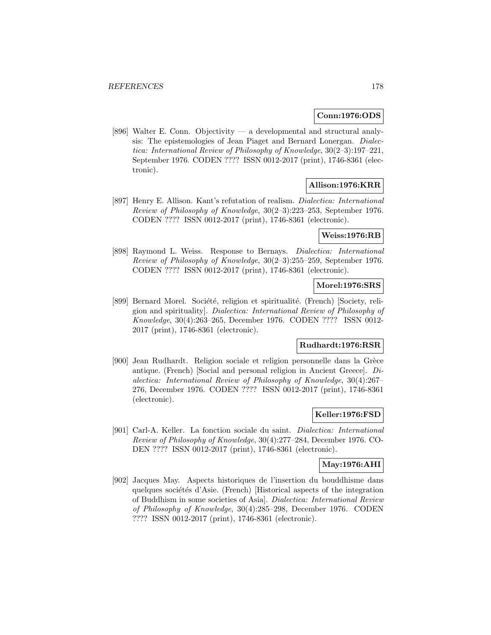## **Conn:1976:ODS**

[896] Walter E. Conn. Objectivity — a developmental and structural analysis: The epistemologies of Jean Piaget and Bernard Lonergan. Dialectica: International Review of Philosophy of Knowledge, 30(2–3):197–221, September 1976. CODEN ???? ISSN 0012-2017 (print), 1746-8361 (electronic).

# **Allison:1976:KRR**

[897] Henry E. Allison. Kant's refutation of realism. Dialectica: International Review of Philosophy of Knowledge, 30(2–3):223–253, September 1976. CODEN ???? ISSN 0012-2017 (print), 1746-8361 (electronic).

# **Weiss:1976:RB**

[898] Raymond L. Weiss. Response to Bernays. Dialectica: International Review of Philosophy of Knowledge, 30(2–3):255–259, September 1976. CODEN ???? ISSN 0012-2017 (print), 1746-8361 (electronic).

### **Morel:1976:SRS**

[899] Bernard Morel. Société, religion et spiritualité. (French) [Society, religion and spirituality]. Dialectica: International Review of Philosophy of Knowledge, 30(4):263–265, December 1976. CODEN ???? ISSN 0012- 2017 (print), 1746-8361 (electronic).

# **Rudhardt:1976:RSR**

[900] Jean Rudhardt. Religion sociale et religion personnelle dans la Grèce antique. (French) [Social and personal religion in Ancient Greece]. Dialectica: International Review of Philosophy of Knowledge, 30(4):267– 276, December 1976. CODEN ???? ISSN 0012-2017 (print), 1746-8361 (electronic).

## **Keller:1976:FSD**

[901] Carl-A. Keller. La fonction sociale du saint. Dialectica: International Review of Philosophy of Knowledge, 30(4):277–284, December 1976. CO-DEN ???? ISSN 0012-2017 (print), 1746-8361 (electronic).

#### **May:1976:AHI**

[902] Jacques May. Aspects historiques de l'insertion du bouddhisme dans quelques sociétés d'Asie. (French) [Historical aspects of the integration of Buddhism in some societies of Asia]. Dialectica: International Review of Philosophy of Knowledge, 30(4):285–298, December 1976. CODEN ???? ISSN 0012-2017 (print), 1746-8361 (electronic).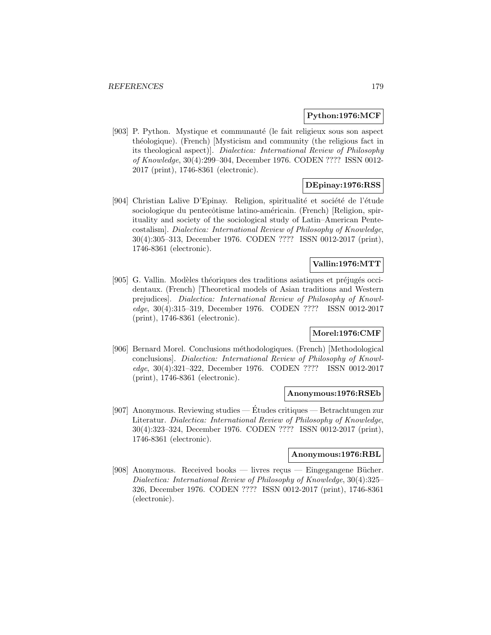## **Python:1976:MCF**

[903] P. Python. Mystique et communauté (le fait religieux sous son aspect théologique). (French) [Mysticism and community (the religious fact in its theological aspect)]. Dialectica: International Review of Philosophy of Knowledge, 30(4):299–304, December 1976. CODEN ???? ISSN 0012- 2017 (print), 1746-8361 (electronic).

# **DEpinay:1976:RSS**

[904] Christian Lalive D'Epinay. Religion, spiritualité et société de l'étude sociologique du pentecôtisme latino-américain. (French) [Religion, spirituality and society of the sociological study of Latin–American Pentecostalism]. Dialectica: International Review of Philosophy of Knowledge, 30(4):305–313, December 1976. CODEN ???? ISSN 0012-2017 (print), 1746-8361 (electronic).

# **Vallin:1976:MTT**

[905] G. Vallin. Modèles théoriques des traditions asiatiques et préjugés occidentaux. (French) [Theoretical models of Asian traditions and Western prejudices]. Dialectica: International Review of Philosophy of Knowledge, 30(4):315–319, December 1976. CODEN ???? ISSN 0012-2017 (print), 1746-8361 (electronic).

# **Morel:1976:CMF**

[906] Bernard Morel. Conclusions méthodologiques. (French) [Methodological conclusions]. Dialectica: International Review of Philosophy of Knowledge, 30(4):321–322, December 1976. CODEN ???? ISSN 0012-2017 (print), 1746-8361 (electronic).

#### **Anonymous:1976:RSEb**

[907] Anonymous. Reviewing studies — Études critiques — Betrachtungen zur Literatur. Dialectica: International Review of Philosophy of Knowledge, 30(4):323–324, December 1976. CODEN ???? ISSN 0012-2017 (print), 1746-8361 (electronic).

### **Anonymous:1976:RBL**

[908] Anonymous. Received books — livres reçus — Eingegangene Bücher. Dialectica: International Review of Philosophy of Knowledge, 30(4):325– 326, December 1976. CODEN ???? ISSN 0012-2017 (print), 1746-8361 (electronic).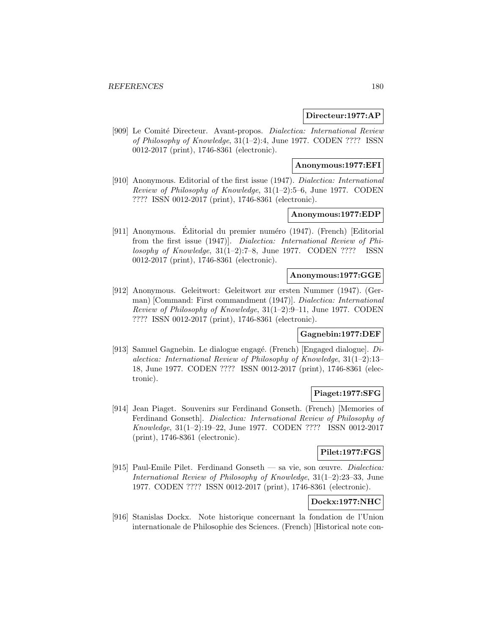## **Directeur:1977:AP**

[909] Le Comité Directeur. Avant-propos. Dialectica: International Review of Philosophy of Knowledge, 31(1–2):4, June 1977. CODEN ???? ISSN 0012-2017 (print), 1746-8361 (electronic).

# **Anonymous:1977:EFI**

[910] Anonymous. Editorial of the first issue (1947). Dialectica: International Review of Philosophy of Knowledge, 31(1–2):5–6, June 1977. CODEN ???? ISSN 0012-2017 (print), 1746-8361 (electronic).

# **Anonymous:1977:EDP**

[911] Anonymous. Editorial du premier numéro (1947). (French) [Editorial from the first issue (1947)]. Dialectica: International Review of Philosophy of Knowledge,  $31(1-2)$ :7-8, June 1977. CODEN ???? ISSN 0012-2017 (print), 1746-8361 (electronic).

## **Anonymous:1977:GGE**

[912] Anonymous. Geleitwort: Geleitwort zur ersten Nummer (1947). (German) [Command: First commandment (1947)]. Dialectica: International Review of Philosophy of Knowledge, 31(1–2):9–11, June 1977. CODEN ???? ISSN 0012-2017 (print), 1746-8361 (electronic).

# **Gagnebin:1977:DEF**

[913] Samuel Gagnebin. Le dialogue engagé. (French) [Engaged dialogue].  $Di$ alectica: International Review of Philosophy of Knowledge, 31(1–2):13– 18, June 1977. CODEN ???? ISSN 0012-2017 (print), 1746-8361 (electronic).

## **Piaget:1977:SFG**

[914] Jean Piaget. Souvenirs sur Ferdinand Gonseth. (French) [Memories of Ferdinand Gonseth]. Dialectica: International Review of Philosophy of Knowledge, 31(1–2):19–22, June 1977. CODEN ???? ISSN 0012-2017 (print), 1746-8361 (electronic).

# **Pilet:1977:FGS**

[915] Paul-Emile Pilet. Ferdinand Gonseth — sa vie, son œuvre. Dialectica: International Review of Philosophy of Knowledge, 31(1–2):23–33, June 1977. CODEN ???? ISSN 0012-2017 (print), 1746-8361 (electronic).

# **Dockx:1977:NHC**

[916] Stanislas Dockx. Note historique concernant la fondation de l'Union internationale de Philosophie des Sciences. (French) [Historical note con-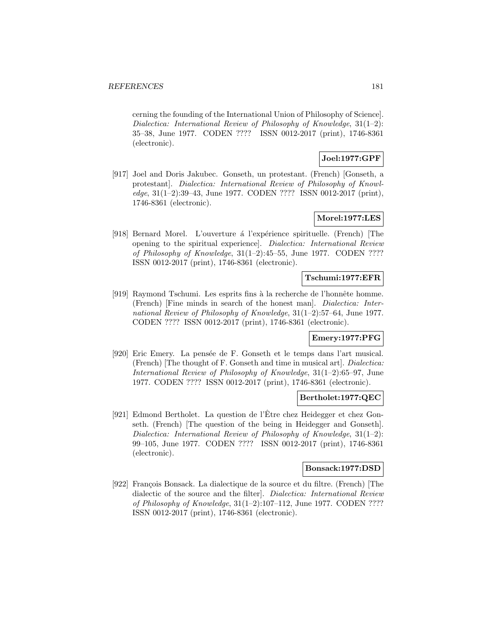cerning the founding of the International Union of Philosophy of Science]. Dialectica: International Review of Philosophy of Knowledge, 31(1–2): 35–38, June 1977. CODEN ???? ISSN 0012-2017 (print), 1746-8361 (electronic).

# **Joel:1977:GPF**

[917] Joel and Doris Jakubec. Gonseth, un protestant. (French) [Gonseth, a protestant]. Dialectica: International Review of Philosophy of Knowledge, 31(1–2):39–43, June 1977. CODEN ???? ISSN 0012-2017 (print), 1746-8361 (electronic).

## **Morel:1977:LES**

[918] Bernard Morel. L'ouverture à l'expérience spirituelle. (French) [The opening to the spiritual experience]. Dialectica: International Review of Philosophy of Knowledge, 31(1–2):45–55, June 1977. CODEN ???? ISSN 0012-2017 (print), 1746-8361 (electronic).

## **Tschumi:1977:EFR**

[919] Raymond Tschumi. Les esprits fins à la recherche de l'honnête homme. (French) [Fine minds in search of the honest man]. Dialectica: International Review of Philosophy of Knowledge, 31(1–2):57–64, June 1977. CODEN ???? ISSN 0012-2017 (print), 1746-8361 (electronic).

## **Emery:1977:PFG**

[920] Eric Emery. La pensée de F. Gonseth et le temps dans l'art musical. (French) [The thought of F. Gonseth and time in musical art]. Dialectica: International Review of Philosophy of Knowledge, 31(1–2):65–97, June 1977. CODEN ???? ISSN 0012-2017 (print), 1746-8361 (electronic).

## **Bertholet:1977:QEC**

[921] Edmond Bertholet. La question de l'Etre chez Heidegger et chez Gonseth. (French) [The question of the being in Heidegger and Gonseth]. Dialectica: International Review of Philosophy of Knowledge, 31(1–2): 99–105, June 1977. CODEN ???? ISSN 0012-2017 (print), 1746-8361 (electronic).

### **Bonsack:1977:DSD**

[922] François Bonsack. La dialectique de la source et du filtre. (French) [The dialectic of the source and the filter]. Dialectica: International Review of Philosophy of Knowledge, 31(1–2):107–112, June 1977. CODEN ???? ISSN 0012-2017 (print), 1746-8361 (electronic).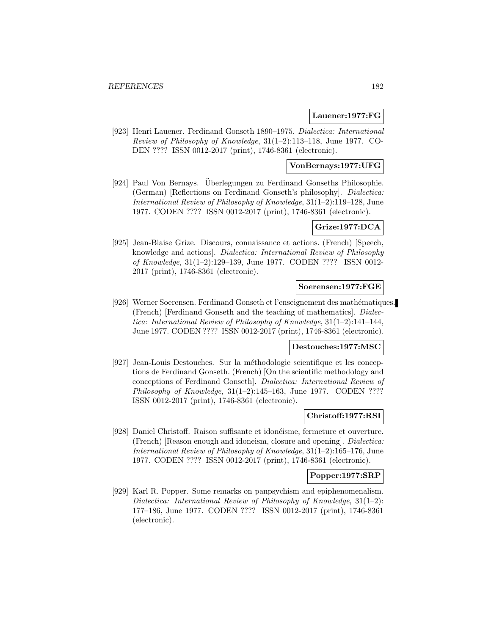## **Lauener:1977:FG**

[923] Henri Lauener. Ferdinand Gonseth 1890–1975. Dialectica: International Review of Philosophy of Knowledge, 31(1–2):113–118, June 1977. CO-DEN ???? ISSN 0012-2017 (print), 1746-8361 (electronic).

## **VonBernays:1977:UFG**

[924] Paul Von Bernays. Überlegungen zu Ferdinand Gonseths Philosophie. (German) [Reflections on Ferdinand Gonseth's philosophy]. Dialectica: International Review of Philosophy of Knowledge, 31(1–2):119–128, June 1977. CODEN ???? ISSN 0012-2017 (print), 1746-8361 (electronic).

## **Grize:1977:DCA**

[925] Jean-Biaise Grize. Discours, connaissance et actions. (French) [Speech, knowledge and actions]. Dialectica: International Review of Philosophy of Knowledge, 31(1–2):129–139, June 1977. CODEN ???? ISSN 0012- 2017 (print), 1746-8361 (electronic).

## **Soerensen:1977:FGE**

[926] Werner Soerensen. Ferdinand Gonseth et l'enseignement des mathématiques. (French) [Ferdinand Gonseth and the teaching of mathematics]. Dialectica: International Review of Philosophy of Knowledge, 31(1–2):141–144, June 1977. CODEN ???? ISSN 0012-2017 (print), 1746-8361 (electronic).

#### **Destouches:1977:MSC**

[927] Jean-Louis Destouches. Sur la méthodologie scientifique et les conceptions de Ferdinand Gonseth. (French) [On the scientific methodology and conceptions of Ferdinand Gonseth]. Dialectica: International Review of Philosophy of Knowledge,  $31(1-2):145-163$ , June 1977. CODEN ???? ISSN 0012-2017 (print), 1746-8361 (electronic).

### **Christoff:1977:RSI**

[928] Daniel Christoff. Raison suffisante et idonéisme, fermeture et ouverture. (French) [Reason enough and idoneism, closure and opening]. Dialectica: International Review of Philosophy of Knowledge, 31(1–2):165–176, June 1977. CODEN ???? ISSN 0012-2017 (print), 1746-8361 (electronic).

# **Popper:1977:SRP**

[929] Karl R. Popper. Some remarks on panpsychism and epiphenomenalism. Dialectica: International Review of Philosophy of Knowledge, 31(1–2): 177–186, June 1977. CODEN ???? ISSN 0012-2017 (print), 1746-8361 (electronic).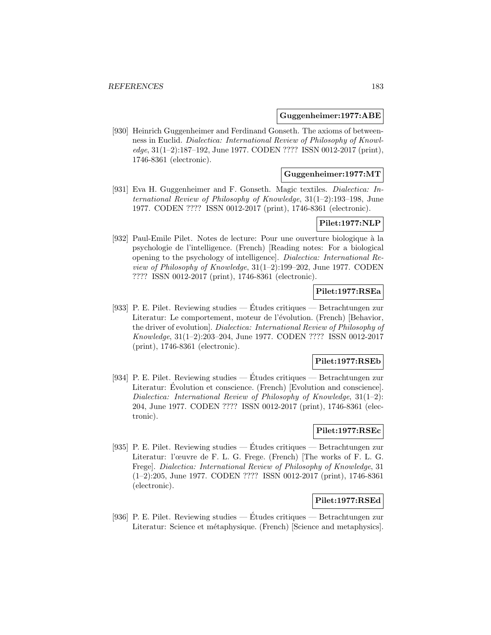### **Guggenheimer:1977:ABE**

[930] Heinrich Guggenheimer and Ferdinand Gonseth. The axioms of betweenness in Euclid. Dialectica: International Review of Philosophy of Knowledge, 31(1–2):187–192, June 1977. CODEN ???? ISSN 0012-2017 (print), 1746-8361 (electronic).

# **Guggenheimer:1977:MT**

[931] Eva H. Guggenheimer and F. Gonseth. Magic textiles. Dialectica: International Review of Philosophy of Knowledge, 31(1–2):193–198, June 1977. CODEN ???? ISSN 0012-2017 (print), 1746-8361 (electronic).

## **Pilet:1977:NLP**

[932] Paul-Emile Pilet. Notes de lecture: Pour une ouverture biologique à la psychologie de l'intelligence. (French) [Reading notes: For a biological opening to the psychology of intelligence]. Dialectica: International Review of Philosophy of Knowledge, 31(1–2):199–202, June 1977. CODEN ???? ISSN 0012-2017 (print), 1746-8361 (electronic).

# **Pilet:1977:RSEa**

[933] P. E. Pilet. Reviewing studies — Etudes critiques — Betrachtungen zur ´ Literatur: Le comportement, moteur de l'évolution. (French) [Behavior, the driver of evolution]. Dialectica: International Review of Philosophy of Knowledge, 31(1–2):203–204, June 1977. CODEN ???? ISSN 0012-2017 (print), 1746-8361 (electronic).

## **Pilet:1977:RSEb**

[934] P. E. Pilet. Reviewing studies — Etudes critiques — Betrachtungen zur ´ Literatur: Evolution et conscience. (French) [Evolution and conscience]. Dialectica: International Review of Philosophy of Knowledge, 31(1–2): 204, June 1977. CODEN ???? ISSN 0012-2017 (print), 1746-8361 (electronic).

## **Pilet:1977:RSEc**

[935] P. E. Pilet. Reviewing studies — Etudes critiques — Betrachtungen zur ´ Literatur: l'œuvre de F. L. G. Frege. (French) [The works of F. L. G. Frege]. Dialectica: International Review of Philosophy of Knowledge, 31 (1–2):205, June 1977. CODEN ???? ISSN 0012-2017 (print), 1746-8361 (electronic).

# **Pilet:1977:RSEd**

[936] P. E. Pilet. Reviewing studies — Études critiques — Betrachtungen zur Literatur: Science et métaphysique. (French) [Science and metaphysics].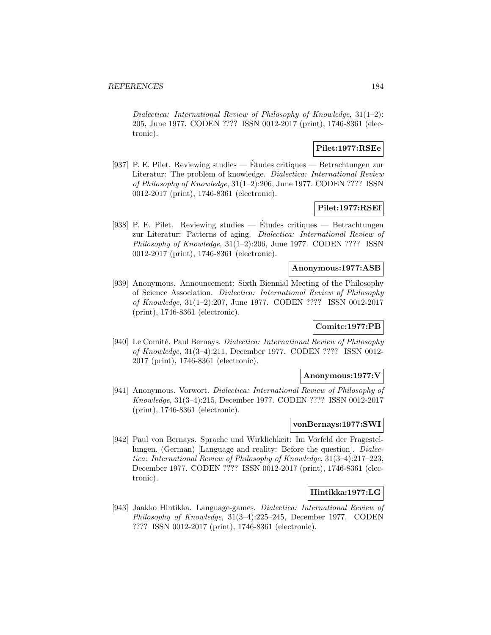Dialectica: International Review of Philosophy of Knowledge, 31(1–2): 205, June 1977. CODEN ???? ISSN 0012-2017 (print), 1746-8361 (electronic).

## **Pilet:1977:RSEe**

[937] P. E. Pilet. Reviewing studies — Etudes critiques — Betrachtungen zur ´ Literatur: The problem of knowledge. Dialectica: International Review of Philosophy of Knowledge, 31(1–2):206, June 1977. CODEN ???? ISSN 0012-2017 (print), 1746-8361 (electronic).

## **Pilet:1977:RSEf**

[938] P. E. Pilet. Reviewing studies — Études critiques — Betrachtungen zur Literatur: Patterns of aging. Dialectica: International Review of Philosophy of Knowledge, 31(1–2):206, June 1977. CODEN ???? ISSN 0012-2017 (print), 1746-8361 (electronic).

### **Anonymous:1977:ASB**

[939] Anonymous. Announcement: Sixth Biennial Meeting of the Philosophy of Science Association. Dialectica: International Review of Philosophy of Knowledge, 31(1–2):207, June 1977. CODEN ???? ISSN 0012-2017 (print), 1746-8361 (electronic).

# **Comite:1977:PB**

[940] Le Comité. Paul Bernays. *Dialectica: International Review of Philosophy* of Knowledge, 31(3–4):211, December 1977. CODEN ???? ISSN 0012- 2017 (print), 1746-8361 (electronic).

#### **Anonymous:1977:V**

[941] Anonymous. Vorwort. Dialectica: International Review of Philosophy of Knowledge, 31(3–4):215, December 1977. CODEN ???? ISSN 0012-2017 (print), 1746-8361 (electronic).

## **vonBernays:1977:SWI**

[942] Paul von Bernays. Sprache und Wirklichkeit: Im Vorfeld der Fragestellungen. (German) [Language and reality: Before the question]. Dialectica: International Review of Philosophy of Knowledge, 31(3–4):217–223, December 1977. CODEN ???? ISSN 0012-2017 (print), 1746-8361 (electronic).

## **Hintikka:1977:LG**

[943] Jaakko Hintikka. Language-games. Dialectica: International Review of Philosophy of Knowledge, 31(3–4):225–245, December 1977. CODEN ???? ISSN 0012-2017 (print), 1746-8361 (electronic).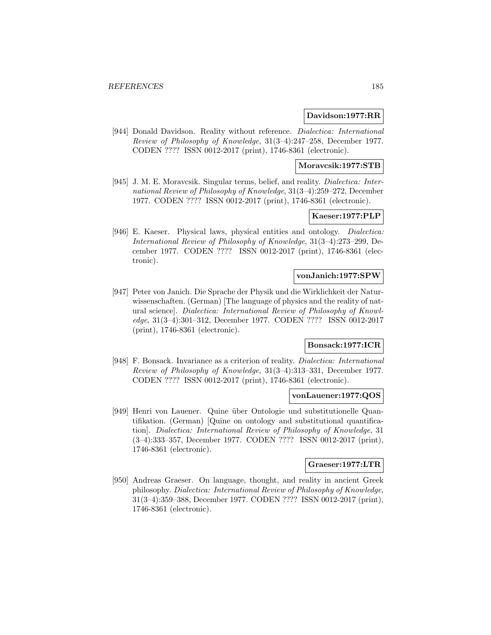#### **Davidson:1977:RR**

[944] Donald Davidson. Reality without reference. Dialectica: International Review of Philosophy of Knowledge, 31(3–4):247–258, December 1977. CODEN ???? ISSN 0012-2017 (print), 1746-8361 (electronic).

**Moravcsik:1977:STB**

[945] J. M. E. Moravcsik. Singular terms, belief, and reality. *Dialectica: Inter*national Review of Philosophy of Knowledge, 31(3–4):259–272, December 1977. CODEN ???? ISSN 0012-2017 (print), 1746-8361 (electronic).

## **Kaeser:1977:PLP**

[946] E. Kaeser. Physical laws, physical entities and ontology. Dialectica: International Review of Philosophy of Knowledge, 31(3–4):273–299, December 1977. CODEN ???? ISSN 0012-2017 (print), 1746-8361 (electronic).

#### **vonJanich:1977:SPW**

[947] Peter von Janich. Die Sprache der Physik und die Wirklichkeit der Naturwissenschaften. (German) [The language of physics and the reality of natural science]. Dialectica: International Review of Philosophy of Knowledge, 31(3–4):301–312, December 1977. CODEN ???? ISSN 0012-2017 (print), 1746-8361 (electronic).

# **Bonsack:1977:ICR**

[948] F. Bonsack. Invariance as a criterion of reality. Dialectica: International Review of Philosophy of Knowledge, 31(3–4):313–331, December 1977. CODEN ???? ISSN 0012-2017 (print), 1746-8361 (electronic).

### **vonLauener:1977:QOS**

[949] Henri von Lauener. Quine über Ontologie und substitutionelle Quantifikation. (German) [Quine on ontology and substitutional quantification]. Dialectica: International Review of Philosophy of Knowledge, 31 (3–4):333–357, December 1977. CODEN ???? ISSN 0012-2017 (print), 1746-8361 (electronic).

## **Graeser:1977:LTR**

[950] Andreas Graeser. On language, thought, and reality in ancient Greek philosophy. Dialectica: International Review of Philosophy of Knowledge, 31(3–4):359–388, December 1977. CODEN ???? ISSN 0012-2017 (print), 1746-8361 (electronic).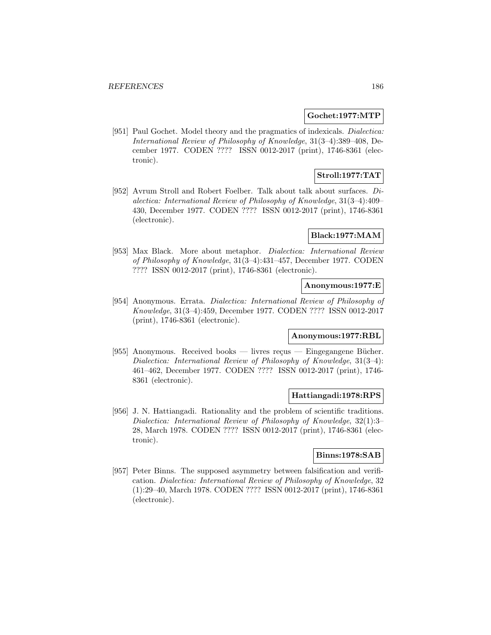### **Gochet:1977:MTP**

[951] Paul Gochet. Model theory and the pragmatics of indexicals. *Dialectica*: International Review of Philosophy of Knowledge, 31(3–4):389–408, December 1977. CODEN ???? ISSN 0012-2017 (print), 1746-8361 (electronic).

# **Stroll:1977:TAT**

[952] Avrum Stroll and Robert Foelber. Talk about talk about surfaces. Dialectica: International Review of Philosophy of Knowledge, 31(3–4):409– 430, December 1977. CODEN ???? ISSN 0012-2017 (print), 1746-8361 (electronic).

## **Black:1977:MAM**

[953] Max Black. More about metaphor. Dialectica: International Review of Philosophy of Knowledge, 31(3–4):431–457, December 1977. CODEN ???? ISSN 0012-2017 (print), 1746-8361 (electronic).

## **Anonymous:1977:E**

[954] Anonymous. Errata. Dialectica: International Review of Philosophy of Knowledge, 31(3–4):459, December 1977. CODEN ???? ISSN 0012-2017 (print), 1746-8361 (electronic).

#### **Anonymous:1977:RBL**

[955] Anonymous. Received books — livres reçus — Eingegangene Bücher. Dialectica: International Review of Philosophy of Knowledge, 31(3–4): 461–462, December 1977. CODEN ???? ISSN 0012-2017 (print), 1746- 8361 (electronic).

#### **Hattiangadi:1978:RPS**

[956] J. N. Hattiangadi. Rationality and the problem of scientific traditions. Dialectica: International Review of Philosophy of Knowledge, 32(1):3– 28, March 1978. CODEN ???? ISSN 0012-2017 (print), 1746-8361 (electronic).

## **Binns:1978:SAB**

[957] Peter Binns. The supposed asymmetry between falsification and verification. Dialectica: International Review of Philosophy of Knowledge, 32 (1):29–40, March 1978. CODEN ???? ISSN 0012-2017 (print), 1746-8361 (electronic).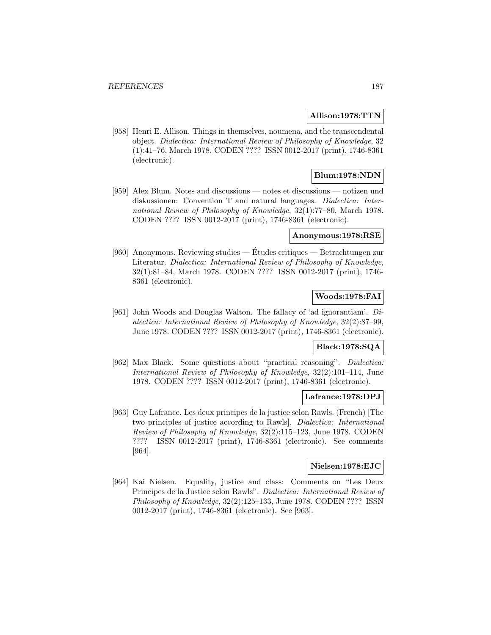### **Allison:1978:TTN**

[958] Henri E. Allison. Things in themselves, noumena, and the transcendental object. Dialectica: International Review of Philosophy of Knowledge, 32 (1):41–76, March 1978. CODEN ???? ISSN 0012-2017 (print), 1746-8361 (electronic).

# **Blum:1978:NDN**

[959] Alex Blum. Notes and discussions — notes et discussions — notizen und diskussionen: Convention T and natural languages. Dialectica: International Review of Philosophy of Knowledge, 32(1):77–80, March 1978. CODEN ???? ISSN 0012-2017 (print), 1746-8361 (electronic).

# **Anonymous:1978:RSE**

[960] Anonymous. Reviewing studies — Études critiques — Betrachtungen zur Literatur. Dialectica: International Review of Philosophy of Knowledge, 32(1):81–84, March 1978. CODEN ???? ISSN 0012-2017 (print), 1746- 8361 (electronic).

## **Woods:1978:FAI**

[961] John Woods and Douglas Walton. The fallacy of 'ad ignorantiam'. Dialectica: International Review of Philosophy of Knowledge, 32(2):87–99, June 1978. CODEN ???? ISSN 0012-2017 (print), 1746-8361 (electronic).

## **Black:1978:SQA**

[962] Max Black. Some questions about "practical reasoning". Dialectica: International Review of Philosophy of Knowledge, 32(2):101–114, June 1978. CODEN ???? ISSN 0012-2017 (print), 1746-8361 (electronic).

## **Lafrance:1978:DPJ**

[963] Guy Lafrance. Les deux principes de la justice selon Rawls. (French) [The two principles of justice according to Rawls]. Dialectica: International Review of Philosophy of Knowledge, 32(2):115–123, June 1978. CODEN ???? ISSN 0012-2017 (print), 1746-8361 (electronic). See comments [964].

## **Nielsen:1978:EJC**

[964] Kai Nielsen. Equality, justice and class: Comments on "Les Deux Principes de la Justice selon Rawls". Dialectica: International Review of Philosophy of Knowledge, 32(2):125–133, June 1978. CODEN ???? ISSN 0012-2017 (print), 1746-8361 (electronic). See [963].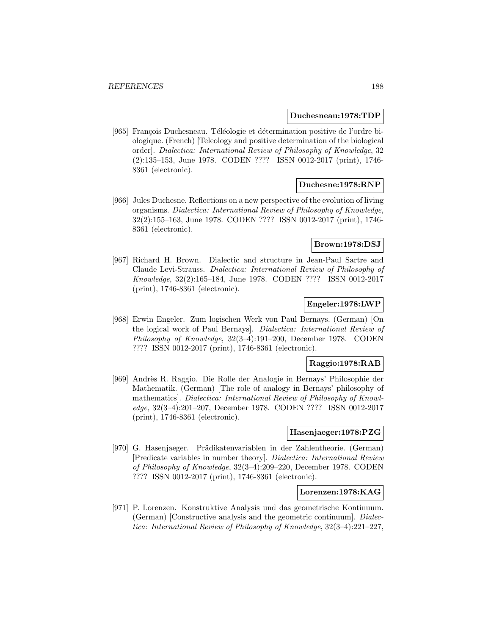#### **Duchesneau:1978:TDP**

[965] François Duchesneau. Téléologie et détermination positive de l'ordre biologique. (French) [Teleology and positive determination of the biological order]. Dialectica: International Review of Philosophy of Knowledge, 32 (2):135–153, June 1978. CODEN ???? ISSN 0012-2017 (print), 1746- 8361 (electronic).

#### **Duchesne:1978:RNP**

[966] Jules Duchesne. Reflections on a new perspective of the evolution of living organisms. Dialectica: International Review of Philosophy of Knowledge, 32(2):155–163, June 1978. CODEN ???? ISSN 0012-2017 (print), 1746- 8361 (electronic).

## **Brown:1978:DSJ**

[967] Richard H. Brown. Dialectic and structure in Jean-Paul Sartre and Claude Levi-Strauss. Dialectica: International Review of Philosophy of Knowledge, 32(2):165–184, June 1978. CODEN ???? ISSN 0012-2017 (print), 1746-8361 (electronic).

## **Engeler:1978:LWP**

[968] Erwin Engeler. Zum logischen Werk von Paul Bernays. (German) [On the logical work of Paul Bernays]. Dialectica: International Review of Philosophy of Knowledge, 32(3–4):191–200, December 1978. CODEN ???? ISSN 0012-2017 (print), 1746-8361 (electronic).

## **Raggio:1978:RAB**

[969] Andrès R. Raggio. Die Rolle der Analogie in Bernays' Philosophie der Mathematik. (German) [The role of analogy in Bernays' philosophy of mathematics]. Dialectica: International Review of Philosophy of Knowledge, 32(3–4):201–207, December 1978. CODEN ???? ISSN 0012-2017 (print), 1746-8361 (electronic).

## **Hasenjaeger:1978:PZG**

[970] G. Hasenjaeger. Prädikatenvariablen in der Zahlentheorie. (German) [Predicate variables in number theory]. Dialectica: International Review of Philosophy of Knowledge, 32(3–4):209–220, December 1978. CODEN ???? ISSN 0012-2017 (print), 1746-8361 (electronic).

## **Lorenzen:1978:KAG**

[971] P. Lorenzen. Konstruktive Analysis und das geometrische Kontinuum. (German) [Constructive analysis and the geometric continuum]. Dialectica: International Review of Philosophy of Knowledge, 32(3–4):221–227,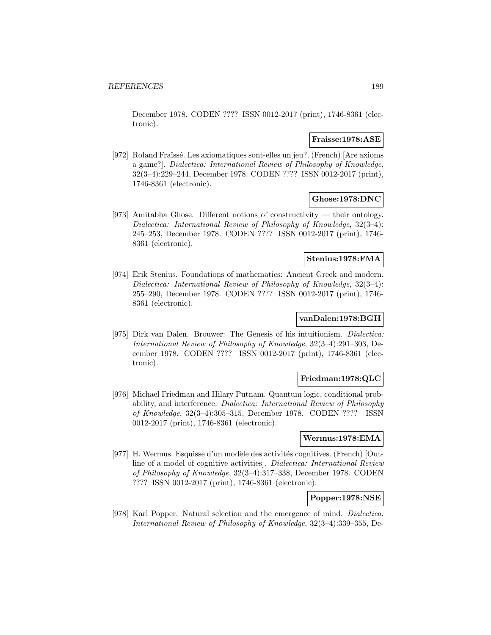December 1978. CODEN ???? ISSN 0012-2017 (print), 1746-8361 (electronic).

## **Fraisse:1978:ASE**

[972] Roland Fraïssé. Les axiomatiques sont-elles un jeu?. (French) [Are axioms a game?]. Dialectica: International Review of Philosophy of Knowledge, 32(3–4):229–244, December 1978. CODEN ???? ISSN 0012-2017 (print), 1746-8361 (electronic).

## **Ghose:1978:DNC**

[973] Amitabha Ghose. Different notions of constructivity — their ontology. Dialectica: International Review of Philosophy of Knowledge, 32(3–4): 245–253, December 1978. CODEN ???? ISSN 0012-2017 (print), 1746- 8361 (electronic).

### **Stenius:1978:FMA**

[974] Erik Stenius. Foundations of mathematics: Ancient Greek and modern. Dialectica: International Review of Philosophy of Knowledge, 32(3–4): 255–290, December 1978. CODEN ???? ISSN 0012-2017 (print), 1746- 8361 (electronic).

## **vanDalen:1978:BGH**

[975] Dirk van Dalen. Brouwer: The Genesis of his intuitionism. Dialectica: International Review of Philosophy of Knowledge, 32(3–4):291–303, December 1978. CODEN ???? ISSN 0012-2017 (print), 1746-8361 (electronic).

## **Friedman:1978:QLC**

[976] Michael Friedman and Hilary Putnam. Quantum logic, conditional probability, and interference. Dialectica: International Review of Philosophy of Knowledge, 32(3–4):305–315, December 1978. CODEN ???? ISSN 0012-2017 (print), 1746-8361 (electronic).

### **Wermus:1978:EMA**

[977] H. Wermus. Esquisse d'un modèle des activités cognitives. (French) [Outline of a model of cognitive activities]. Dialectica: International Review of Philosophy of Knowledge, 32(3–4):317–338, December 1978. CODEN ???? ISSN 0012-2017 (print), 1746-8361 (electronic).

## **Popper:1978:NSE**

[978] Karl Popper. Natural selection and the emergence of mind. Dialectica: International Review of Philosophy of Knowledge, 32(3–4):339–355, De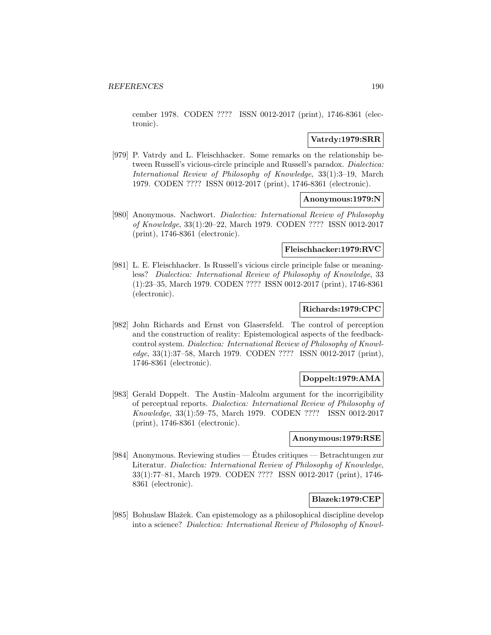cember 1978. CODEN ???? ISSN 0012-2017 (print), 1746-8361 (electronic).

## **Vatrdy:1979:SRR**

[979] P. Vatrdy and L. Fleischhacker. Some remarks on the relationship between Russell's vicious-circle principle and Russell's paradox. Dialectica: International Review of Philosophy of Knowledge, 33(1):3–19, March 1979. CODEN ???? ISSN 0012-2017 (print), 1746-8361 (electronic).

## **Anonymous:1979:N**

[980] Anonymous. Nachwort. Dialectica: International Review of Philosophy of Knowledge, 33(1):20–22, March 1979. CODEN ???? ISSN 0012-2017 (print), 1746-8361 (electronic).

#### **Fleischhacker:1979:RVC**

[981] L. E. Fleischhacker. Is Russell's vicious circle principle false or meaningless? Dialectica: International Review of Philosophy of Knowledge, 33 (1):23–35, March 1979. CODEN ???? ISSN 0012-2017 (print), 1746-8361 (electronic).

## **Richards:1979:CPC**

[982] John Richards and Ernst von Glasersfeld. The control of perception and the construction of reality: Epistemological aspects of the feedbackcontrol system. Dialectica: International Review of Philosophy of Knowledge, 33(1):37–58, March 1979. CODEN ???? ISSN 0012-2017 (print), 1746-8361 (electronic).

#### **Doppelt:1979:AMA**

[983] Gerald Doppelt. The Austin–Malcolm argument for the incorrigibility of perceptual reports. Dialectica: International Review of Philosophy of Knowledge, 33(1):59–75, March 1979. CODEN ???? ISSN 0012-2017 (print), 1746-8361 (electronic).

## **Anonymous:1979:RSE**

[984] Anonymous. Reviewing studies — Etudes critiques — Betrachtungen zur ´ Literatur. Dialectica: International Review of Philosophy of Knowledge, 33(1):77–81, March 1979. CODEN ???? ISSN 0012-2017 (print), 1746- 8361 (electronic).

#### **Blazek:1979:CEP**

[985] Bohuslaw Blažek. Can epistemology as a philosophical discipline develop into a science? Dialectica: International Review of Philosophy of Knowl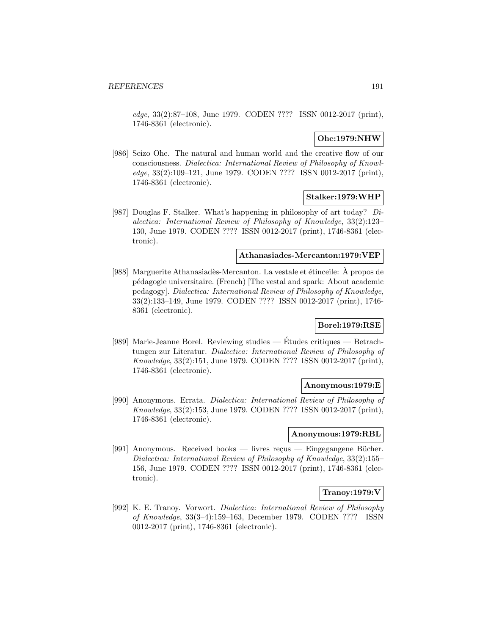edge, 33(2):87–108, June 1979. CODEN ???? ISSN 0012-2017 (print), 1746-8361 (electronic).

## **Ohe:1979:NHW**

[986] Seizo Ohe. The natural and human world and the creative flow of our consciousness. Dialectica: International Review of Philosophy of Knowledge, 33(2):109–121, June 1979. CODEN ???? ISSN 0012-2017 (print), 1746-8361 (electronic).

## **Stalker:1979:WHP**

[987] Douglas F. Stalker. What's happening in philosophy of art today? Dialectica: International Review of Philosophy of Knowledge, 33(2):123– 130, June 1979. CODEN ???? ISSN 0012-2017 (print), 1746-8361 (electronic).

## **Athanasiades-Mercanton:1979:VEP**

[988] Marguerite Athanasiadès-Mercanton. La vestale et étinceile: À propos de p´edagogie universitaire. (French) [The vestal and spark: About academic pedagogy]. Dialectica: International Review of Philosophy of Knowledge, 33(2):133–149, June 1979. CODEN ???? ISSN 0012-2017 (print), 1746- 8361 (electronic).

## **Borel:1979:RSE**

[989] Marie-Jeanne Borel. Reviewing studies — Etudes critiques — Betrach- ´ tungen zur Literatur. Dialectica: International Review of Philosophy of Knowledge, 33(2):151, June 1979. CODEN ???? ISSN 0012-2017 (print), 1746-8361 (electronic).

### **Anonymous:1979:E**

[990] Anonymous. Errata. Dialectica: International Review of Philosophy of Knowledge, 33(2):153, June 1979. CODEN ???? ISSN 0012-2017 (print), 1746-8361 (electronic).

## **Anonymous:1979:RBL**

[991] Anonymous. Received books — livres reçus — Eingegangene Bücher. Dialectica: International Review of Philosophy of Knowledge, 33(2):155– 156, June 1979. CODEN ???? ISSN 0012-2017 (print), 1746-8361 (electronic).

## **Tranoy:1979:V**

[992] K. E. Tranoy. Vorwort. Dialectica: International Review of Philosophy of Knowledge, 33(3–4):159–163, December 1979. CODEN ???? ISSN 0012-2017 (print), 1746-8361 (electronic).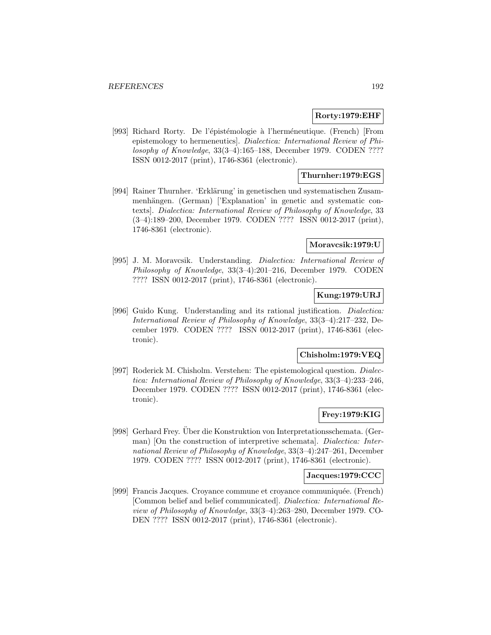## **Rorty:1979:EHF**

[993] Richard Rorty. De l'épistémologie à l'herméneutique. (French) [From epistemology to hermeneutics]. Dialectica: International Review of Philosophy of Knowledge, 33(3–4):165–188, December 1979. CODEN ???? ISSN 0012-2017 (print), 1746-8361 (electronic).

## **Thurnher:1979:EGS**

[994] Rainer Thurnher. 'Erklärung' in genetischen und systematischen Zusammenhängen. (German) ['Explanation' in genetic and systematic contexts]. Dialectica: International Review of Philosophy of Knowledge, 33 (3–4):189–200, December 1979. CODEN ???? ISSN 0012-2017 (print), 1746-8361 (electronic).

## **Moravcsik:1979:U**

[995] J. M. Moravcsik. Understanding. Dialectica: International Review of Philosophy of Knowledge, 33(3–4):201–216, December 1979. CODEN ???? ISSN 0012-2017 (print), 1746-8361 (electronic).

# **Kung:1979:URJ**

[996] Guido Kung. Understanding and its rational justification. Dialectica: International Review of Philosophy of Knowledge, 33(3–4):217–232, December 1979. CODEN ???? ISSN 0012-2017 (print), 1746-8361 (electronic).

## **Chisholm:1979:VEQ**

[997] Roderick M. Chisholm. Verstehen: The epistemological question. Dialectica: International Review of Philosophy of Knowledge, 33(3–4):233–246, December 1979. CODEN ???? ISSN 0012-2017 (print), 1746-8361 (electronic).

## **Frey:1979:KIG**

[998] Gerhard Frey. Uber die Konstruktion von Interpretationsschemata. (Ger- ¨ man) [On the construction of interpretive schemata]. Dialectica: International Review of Philosophy of Knowledge, 33(3–4):247–261, December 1979. CODEN ???? ISSN 0012-2017 (print), 1746-8361 (electronic).

## **Jacques:1979:CCC**

[999] Francis Jacques. Croyance commune et croyance communiquée. (French) [Common belief and belief communicated]. Dialectica: International Review of Philosophy of Knowledge, 33(3–4):263–280, December 1979. CO-DEN ???? ISSN 0012-2017 (print), 1746-8361 (electronic).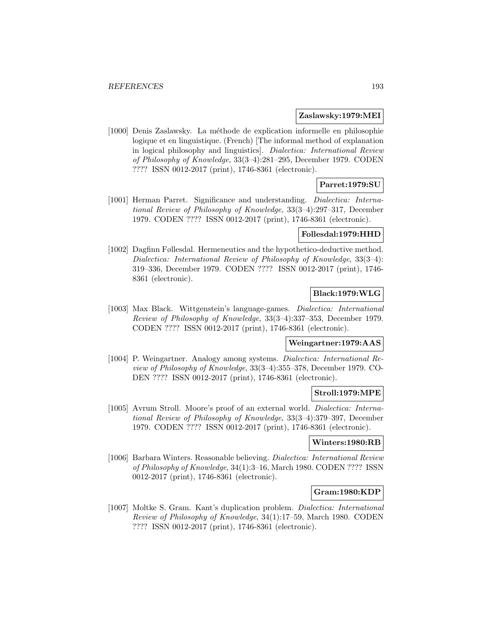#### **Zaslawsky:1979:MEI**

[1000] Denis Zaslawsky. La m´ethode de explication informelle en philosophie logique et en linguistique. (French) [The informal method of explanation in logical philosophy and linguistics]. Dialectica: International Review of Philosophy of Knowledge, 33(3–4):281–295, December 1979. CODEN ???? ISSN 0012-2017 (print), 1746-8361 (electronic).

## **Parret:1979:SU**

[1001] Herman Parret. Significance and understanding. Dialectica: International Review of Philosophy of Knowledge, 33(3–4):297–317, December 1979. CODEN ???? ISSN 0012-2017 (print), 1746-8361 (electronic).

### **Follesdal:1979:HHD**

[1002] Dagfinn Føllesdal. Hermeneutics and the hypothetico-deductive method. Dialectica: International Review of Philosophy of Knowledge, 33(3–4): 319–336, December 1979. CODEN ???? ISSN 0012-2017 (print), 1746- 8361 (electronic).

# **Black:1979:WLG**

[1003] Max Black. Wittgenstein's language-games. Dialectica: International Review of Philosophy of Knowledge, 33(3–4):337–353, December 1979. CODEN ???? ISSN 0012-2017 (print), 1746-8361 (electronic).

# **Weingartner:1979:AAS**

[1004] P. Weingartner. Analogy among systems. Dialectica: International Review of Philosophy of Knowledge, 33(3–4):355–378, December 1979. CO-DEN ???? ISSN 0012-2017 (print), 1746-8361 (electronic).

#### **Stroll:1979:MPE**

[1005] Avrum Stroll. Moore's proof of an external world. Dialectica: International Review of Philosophy of Knowledge, 33(3–4):379–397, December 1979. CODEN ???? ISSN 0012-2017 (print), 1746-8361 (electronic).

### **Winters:1980:RB**

[1006] Barbara Winters. Reasonable believing. Dialectica: International Review of Philosophy of Knowledge, 34(1):3–16, March 1980. CODEN ???? ISSN 0012-2017 (print), 1746-8361 (electronic).

## **Gram:1980:KDP**

[1007] Moltke S. Gram. Kant's duplication problem. Dialectica: International Review of Philosophy of Knowledge, 34(1):17–59, March 1980. CODEN ???? ISSN 0012-2017 (print), 1746-8361 (electronic).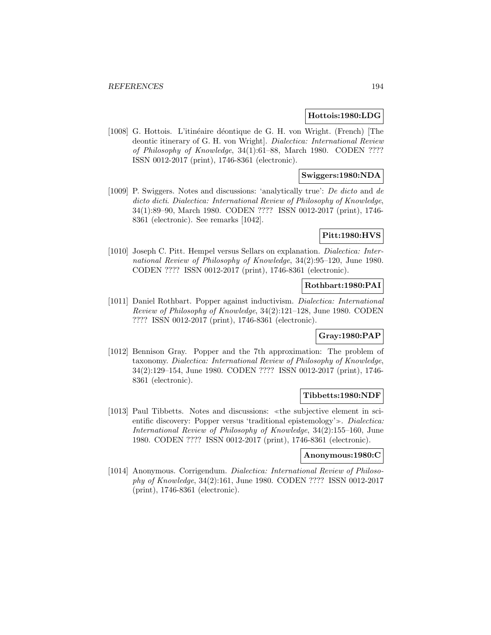#### **Hottois:1980:LDG**

[1008] G. Hottois. L'itinéaire déontique de G. H. von Wright. (French) [The deontic itinerary of G. H. von Wright]. Dialectica: International Review of Philosophy of Knowledge, 34(1):61–88, March 1980. CODEN ???? ISSN 0012-2017 (print), 1746-8361 (electronic).

## **Swiggers:1980:NDA**

[1009] P. Swiggers. Notes and discussions: 'analytically true': De dicto and de dicto dicti. Dialectica: International Review of Philosophy of Knowledge, 34(1):89–90, March 1980. CODEN ???? ISSN 0012-2017 (print), 1746- 8361 (electronic). See remarks [1042].

## **Pitt:1980:HVS**

[1010] Joseph C. Pitt. Hempel versus Sellars on explanation. Dialectica: International Review of Philosophy of Knowledge, 34(2):95–120, June 1980. CODEN ???? ISSN 0012-2017 (print), 1746-8361 (electronic).

### **Rothbart:1980:PAI**

[1011] Daniel Rothbart. Popper against inductivism. Dialectica: International Review of Philosophy of Knowledge, 34(2):121–128, June 1980. CODEN ???? ISSN 0012-2017 (print), 1746-8361 (electronic).

## **Gray:1980:PAP**

[1012] Bennison Gray. Popper and the 7th approximation: The problem of taxonomy. Dialectica: International Review of Philosophy of Knowledge, 34(2):129–154, June 1980. CODEN ???? ISSN 0012-2017 (print), 1746- 8361 (electronic).

#### **Tibbetts:1980:NDF**

[1013] Paul Tibbetts. Notes and discussions: «the subjective element in sci-entific discovery: Popper versus 'traditional epistemology'. Dialectica: International Review of Philosophy of Knowledge, 34(2):155–160, June 1980. CODEN ???? ISSN 0012-2017 (print), 1746-8361 (electronic).

#### **Anonymous:1980:C**

[1014] Anonymous. Corrigendum. Dialectica: International Review of Philosophy of Knowledge, 34(2):161, June 1980. CODEN ???? ISSN 0012-2017 (print), 1746-8361 (electronic).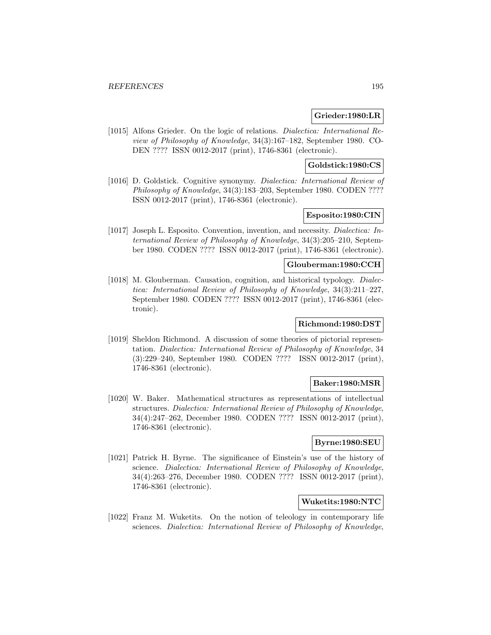## **Grieder:1980:LR**

[1015] Alfons Grieder. On the logic of relations. Dialectica: International Review of Philosophy of Knowledge, 34(3):167–182, September 1980. CO-DEN ???? ISSN 0012-2017 (print), 1746-8361 (electronic).

### **Goldstick:1980:CS**

[1016] D. Goldstick. Cognitive synonymy. Dialectica: International Review of Philosophy of Knowledge, 34(3):183–203, September 1980. CODEN ???? ISSN 0012-2017 (print), 1746-8361 (electronic).

## **Esposito:1980:CIN**

[1017] Joseph L. Esposito. Convention, invention, and necessity. Dialectica: International Review of Philosophy of Knowledge, 34(3):205–210, September 1980. CODEN ???? ISSN 0012-2017 (print), 1746-8361 (electronic).

# **Glouberman:1980:CCH**

[1018] M. Glouberman. Causation, cognition, and historical typology. *Dialec*tica: International Review of Philosophy of Knowledge, 34(3):211–227, September 1980. CODEN ???? ISSN 0012-2017 (print), 1746-8361 (electronic).

## **Richmond:1980:DST**

[1019] Sheldon Richmond. A discussion of some theories of pictorial representation. Dialectica: International Review of Philosophy of Knowledge, 34 (3):229–240, September 1980. CODEN ???? ISSN 0012-2017 (print), 1746-8361 (electronic).

## **Baker:1980:MSR**

[1020] W. Baker. Mathematical structures as representations of intellectual structures. Dialectica: International Review of Philosophy of Knowledge, 34(4):247–262, December 1980. CODEN ???? ISSN 0012-2017 (print), 1746-8361 (electronic).

## **Byrne:1980:SEU**

[1021] Patrick H. Byrne. The significance of Einstein's use of the history of science. Dialectica: International Review of Philosophy of Knowledge, 34(4):263–276, December 1980. CODEN ???? ISSN 0012-2017 (print), 1746-8361 (electronic).

# **Wuketits:1980:NTC**

[1022] Franz M. Wuketits. On the notion of teleology in contemporary life sciences. Dialectica: International Review of Philosophy of Knowledge,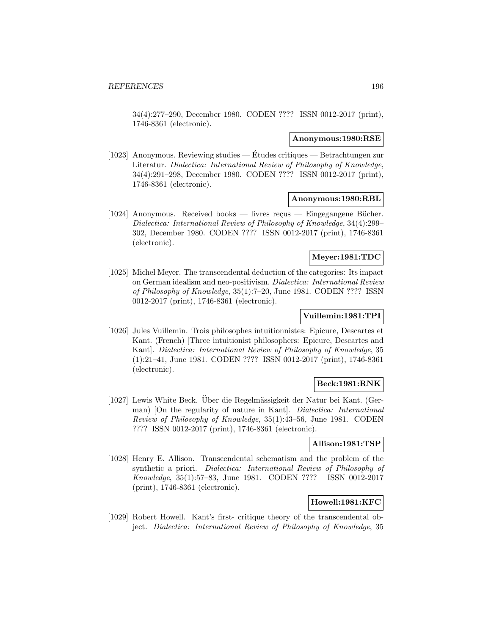34(4):277–290, December 1980. CODEN ???? ISSN 0012-2017 (print), 1746-8361 (electronic).

#### **Anonymous:1980:RSE**

[1023] Anonymous. Reviewing studies — Etudes critiques — Betrachtungen zur ´ Literatur. Dialectica: International Review of Philosophy of Knowledge, 34(4):291–298, December 1980. CODEN ???? ISSN 0012-2017 (print), 1746-8361 (electronic).

### **Anonymous:1980:RBL**

 $[1024]$  Anonymous. Received books — livres reçus — Eingegangene Bücher. Dialectica: International Review of Philosophy of Knowledge, 34(4):299– 302, December 1980. CODEN ???? ISSN 0012-2017 (print), 1746-8361 (electronic).

### **Meyer:1981:TDC**

[1025] Michel Meyer. The transcendental deduction of the categories: Its impact on German idealism and neo-positivism. Dialectica: International Review of Philosophy of Knowledge, 35(1):7–20, June 1981. CODEN ???? ISSN 0012-2017 (print), 1746-8361 (electronic).

### **Vuillemin:1981:TPI**

[1026] Jules Vuillemin. Trois philosophes intuitionnistes: Epicure, Descartes et Kant. (French) [Three intuitionist philosophers: Epicure, Descartes and Kant]. Dialectica: International Review of Philosophy of Knowledge, 35 (1):21–41, June 1981. CODEN ???? ISSN 0012-2017 (print), 1746-8361 (electronic).

# **Beck:1981:RNK**

[1027] Lewis White Beck. Uber die Regelmässigkeit der Natur bei Kant. (German) [On the regularity of nature in Kant]. Dialectica: International Review of Philosophy of Knowledge, 35(1):43–56, June 1981. CODEN ???? ISSN 0012-2017 (print), 1746-8361 (electronic).

## **Allison:1981:TSP**

[1028] Henry E. Allison. Transcendental schematism and the problem of the synthetic a priori. Dialectica: International Review of Philosophy of Knowledge, 35(1):57–83, June 1981. CODEN ???? ISSN 0012-2017 (print), 1746-8361 (electronic).

## **Howell:1981:KFC**

[1029] Robert Howell. Kant's first- critique theory of the transcendental object. Dialectica: International Review of Philosophy of Knowledge, 35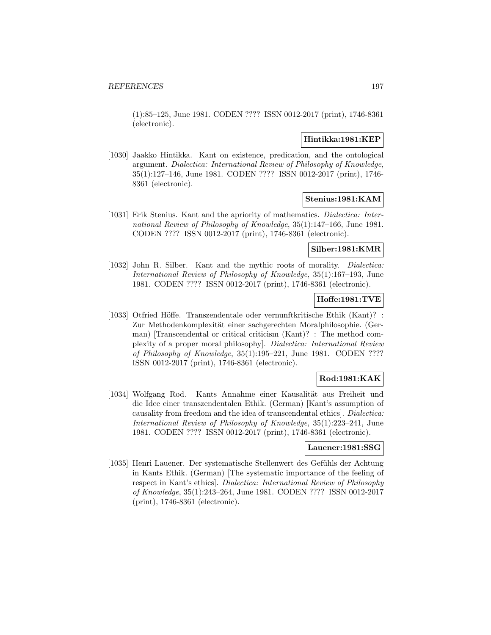(1):85–125, June 1981. CODEN ???? ISSN 0012-2017 (print), 1746-8361 (electronic).

### **Hintikka:1981:KEP**

[1030] Jaakko Hintikka. Kant on existence, predication, and the ontological argument. Dialectica: International Review of Philosophy of Knowledge, 35(1):127–146, June 1981. CODEN ???? ISSN 0012-2017 (print), 1746- 8361 (electronic).

## **Stenius:1981:KAM**

[1031] Erik Stenius. Kant and the apriority of mathematics. *Dialectica: Inter*national Review of Philosophy of Knowledge, 35(1):147–166, June 1981. CODEN ???? ISSN 0012-2017 (print), 1746-8361 (electronic).

### **Silber:1981:KMR**

[1032] John R. Silber. Kant and the mythic roots of morality. *Dialectica:* International Review of Philosophy of Knowledge, 35(1):167–193, June 1981. CODEN ???? ISSN 0012-2017 (print), 1746-8361 (electronic).

## **Hoffe:1981:TVE**

[1033] Otfried Höffe. Transzendentale oder vernunftkritische Ethik (Kant)? : Zur Methodenkomplexität einer sachgerechten Moralphilosophie. (German) [Transcendental or critical criticism (Kant)? : The method complexity of a proper moral philosophy]. Dialectica: International Review of Philosophy of Knowledge, 35(1):195–221, June 1981. CODEN ???? ISSN 0012-2017 (print), 1746-8361 (electronic).

## **Rod:1981:KAK**

[1034] Wolfgang Rod. Kants Annahme einer Kausalität aus Freiheit und die Idee einer transzendentalen Ethik. (German) [Kant's assumption of causality from freedom and the idea of transcendental ethics]. Dialectica: International Review of Philosophy of Knowledge, 35(1):223–241, June 1981. CODEN ???? ISSN 0012-2017 (print), 1746-8361 (electronic).

#### **Lauener:1981:SSG**

[1035] Henri Lauener. Der systematische Stellenwert des Gefühls der Achtung in Kants Ethik. (German) [The systematic importance of the feeling of respect in Kant's ethics]. Dialectica: International Review of Philosophy of Knowledge, 35(1):243–264, June 1981. CODEN ???? ISSN 0012-2017 (print), 1746-8361 (electronic).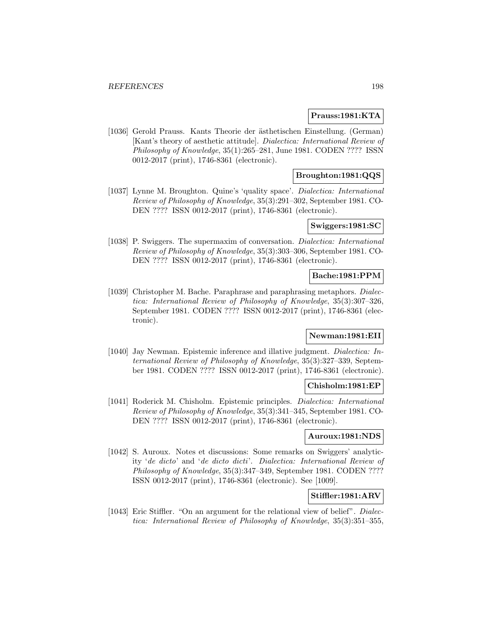### **Prauss:1981:KTA**

[1036] Gerold Prauss. Kants Theorie der ästhetischen Einstellung. (German) [Kant's theory of aesthetic attitude]. Dialectica: International Review of Philosophy of Knowledge, 35(1):265–281, June 1981. CODEN ???? ISSN 0012-2017 (print), 1746-8361 (electronic).

## **Broughton:1981:QQS**

[1037] Lynne M. Broughton. Quine's 'quality space'. Dialectica: International Review of Philosophy of Knowledge, 35(3):291–302, September 1981. CO-DEN ???? ISSN 0012-2017 (print), 1746-8361 (electronic).

### **Swiggers:1981:SC**

[1038] P. Swiggers. The supermaxim of conversation. Dialectica: International Review of Philosophy of Knowledge, 35(3):303–306, September 1981. CO-DEN ???? ISSN 0012-2017 (print), 1746-8361 (electronic).

## **Bache:1981:PPM**

[1039] Christopher M. Bache. Paraphrase and paraphrasing metaphors. *Dialec*tica: International Review of Philosophy of Knowledge, 35(3):307–326, September 1981. CODEN ???? ISSN 0012-2017 (print), 1746-8361 (electronic).

#### **Newman:1981:EII**

[1040] Jay Newman. Epistemic inference and illative judgment. Dialectica: International Review of Philosophy of Knowledge, 35(3):327–339, September 1981. CODEN ???? ISSN 0012-2017 (print), 1746-8361 (electronic).

#### **Chisholm:1981:EP**

[1041] Roderick M. Chisholm. Epistemic principles. Dialectica: International Review of Philosophy of Knowledge, 35(3):341–345, September 1981. CO-DEN ???? ISSN 0012-2017 (print), 1746-8361 (electronic).

## **Auroux:1981:NDS**

[1042] S. Auroux. Notes et discussions: Some remarks on Swiggers' analyticity 'de dicto' and 'de dicto dicti'. Dialectica: International Review of Philosophy of Knowledge, 35(3):347–349, September 1981. CODEN ???? ISSN 0012-2017 (print), 1746-8361 (electronic). See [1009].

## **Stiffler:1981:ARV**

[1043] Eric Stiffler. "On an argument for the relational view of belief". *Dialec*tica: International Review of Philosophy of Knowledge, 35(3):351–355,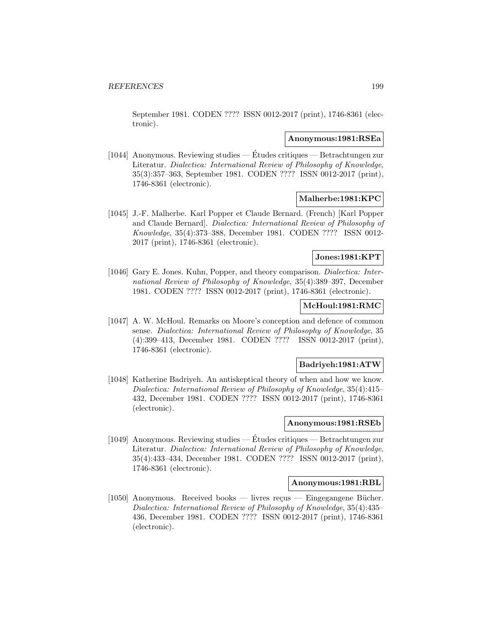September 1981. CODEN ???? ISSN 0012-2017 (print), 1746-8361 (electronic).

#### **Anonymous:1981:RSEa**

[1044] Anonymous. Reviewing studies — Etudes critiques — Betrachtungen zur ´ Literatur. Dialectica: International Review of Philosophy of Knowledge, 35(3):357–363, September 1981. CODEN ???? ISSN 0012-2017 (print), 1746-8361 (electronic).

### **Malherbe:1981:KPC**

[1045] J.-F. Malherbe. Karl Popper et Claude Bernard. (French) [Karl Popper and Claude Bernard]. Dialectica: International Review of Philosophy of Knowledge, 35(4):373–388, December 1981. CODEN ???? ISSN 0012- 2017 (print), 1746-8361 (electronic).

## **Jones:1981:KPT**

[1046] Gary E. Jones. Kuhn, Popper, and theory comparison. *Dialectica: Inter*national Review of Philosophy of Knowledge, 35(4):389–397, December 1981. CODEN ???? ISSN 0012-2017 (print), 1746-8361 (electronic).

## **McHoul:1981:RMC**

[1047] A. W. McHoul. Remarks on Moore's conception and defence of common sense. Dialectica: International Review of Philosophy of Knowledge, 35 (4):399–413, December 1981. CODEN ???? ISSN 0012-2017 (print), 1746-8361 (electronic).

## **Badriyeh:1981:ATW**

[1048] Katherine Badriyeh. An antiskeptical theory of when and how we know. Dialectica: International Review of Philosophy of Knowledge, 35(4):415– 432, December 1981. CODEN ???? ISSN 0012-2017 (print), 1746-8361 (electronic).

## **Anonymous:1981:RSEb**

[1049] Anonymous. Reviewing studies — Etudes critiques — Betrachtungen zur ´ Literatur. Dialectica: International Review of Philosophy of Knowledge, 35(4):433–434, December 1981. CODEN ???? ISSN 0012-2017 (print), 1746-8361 (electronic).

## **Anonymous:1981:RBL**

[1050] Anonymous. Received books — livres reçus — Eingegangene Bücher. Dialectica: International Review of Philosophy of Knowledge, 35(4):435– 436, December 1981. CODEN ???? ISSN 0012-2017 (print), 1746-8361 (electronic).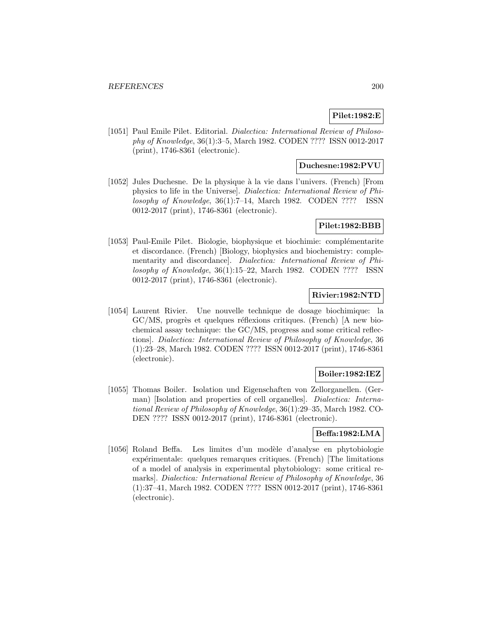# **Pilet:1982:E**

[1051] Paul Emile Pilet. Editorial. Dialectica: International Review of Philosophy of Knowledge, 36(1):3–5, March 1982. CODEN ???? ISSN 0012-2017 (print), 1746-8361 (electronic).

### **Duchesne:1982:PVU**

[1052] Jules Duchesne. De la physique à la vie dans l'univers. (French) [From physics to life in the Universe]. Dialectica: International Review of Philosophy of Knowledge, 36(1):7–14, March 1982. CODEN ???? ISSN 0012-2017 (print), 1746-8361 (electronic).

## **Pilet:1982:BBB**

[1053] Paul-Emile Pilet. Biologie, biophysique et biochimie: complémentarite et discordance. (French) [Biology, biophysics and biochemistry: complementarity and discordance]. Dialectica: International Review of Philosophy of Knowledge, 36(1):15–22, March 1982. CODEN ???? ISSN 0012-2017 (print), 1746-8361 (electronic).

# **Rivier:1982:NTD**

[1054] Laurent Rivier. Une nouvelle technique de dosage biochimique: la  $\text{GC/MS}$ , progrès et quelques réflexions critiques. (French) [A new biochemical assay technique: the GC/MS, progress and some critical reflections]. Dialectica: International Review of Philosophy of Knowledge, 36 (1):23–28, March 1982. CODEN ???? ISSN 0012-2017 (print), 1746-8361 (electronic).

# **Boiler:1982:IEZ**

[1055] Thomas Boiler. Isolation und Eigenschaften von Zellorganellen. (German) [Isolation and properties of cell organelles]. Dialectica: International Review of Philosophy of Knowledge, 36(1):29–35, March 1982. CO-DEN ???? ISSN 0012-2017 (print), 1746-8361 (electronic).

## **Beffa:1982:LMA**

[1056] Roland Beffa. Les limites d'un modèle d'analyse en phytobiologie expérimentale: quelques remarques critiques. (French) [The limitations of a model of analysis in experimental phytobiology: some critical remarks]. Dialectica: International Review of Philosophy of Knowledge, 36 (1):37–41, March 1982. CODEN ???? ISSN 0012-2017 (print), 1746-8361 (electronic).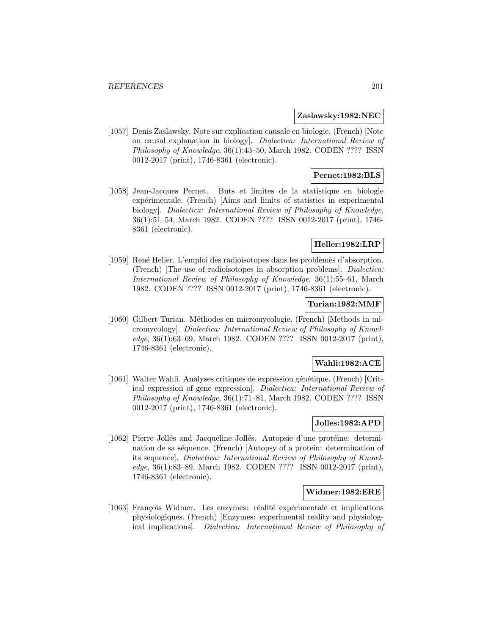### **Zaslawsky:1982:NEC**

[1057] Denis Zaslawsky. Note sur explication causale en biologie. (French) [Note on causal explanation in biology]. Dialectica: International Review of Philosophy of Knowledge, 36(1):43–50, March 1982. CODEN ???? ISSN 0012-2017 (print), 1746-8361 (electronic).

## **Pernet:1982:BLS**

[1058] Jean-Jacques Pernet. Buts et limites de la statistique en biologie expérimentale. (French) [Aims and limits of statistics in experimental biology]. Dialectica: International Review of Philosophy of Knowledge, 36(1):51–54, March 1982. CODEN ???? ISSN 0012-2017 (print), 1746- 8361 (electronic).

# **Heller:1982:LRP**

[1059] René Heller. L'emploi des radioisotopes dans les problèmes d'absorption. (French) [The use of radioisotopes in absorption problems]. Dialectica: International Review of Philosophy of Knowledge, 36(1):55–61, March 1982. CODEN ???? ISSN 0012-2017 (print), 1746-8361 (electronic).

## **Turian:1982:MMF**

[1060] Gilbert Turian. Méthodes en micromycologie. (French) [Methods in micromycology]. Dialectica: International Review of Philosophy of Knowledge, 36(1):63–69, March 1982. CODEN ???? ISSN 0012-2017 (print), 1746-8361 (electronic).

## **Wahli:1982:ACE**

[1061] Walter Wahli. Analyses critiques de expression génétique. (French) [Critical expression of gene expression]. Dialectica: International Review of Philosophy of Knowledge, 36(1):71–81, March 1982. CODEN ???? ISSN 0012-2017 (print), 1746-8361 (electronic).

# **Jolles:1982:APD**

[1062] Pierre Jollés and Jacqueline Jollés. Autopsie d'une protéine: determination de sa séquence. (French) [Autopsy of a protein: determination of its sequence]. Dialectica: International Review of Philosophy of Knowledge, 36(1):83–89, March 1982. CODEN ???? ISSN 0012-2017 (print), 1746-8361 (electronic).

## **Widmer:1982:ERE**

[1063] François Widmer. Les enzymes: réalité expérimentale et implications physiologiques. (French) [Enzymes: experimental reality and physiological implications]. Dialectica: International Review of Philosophy of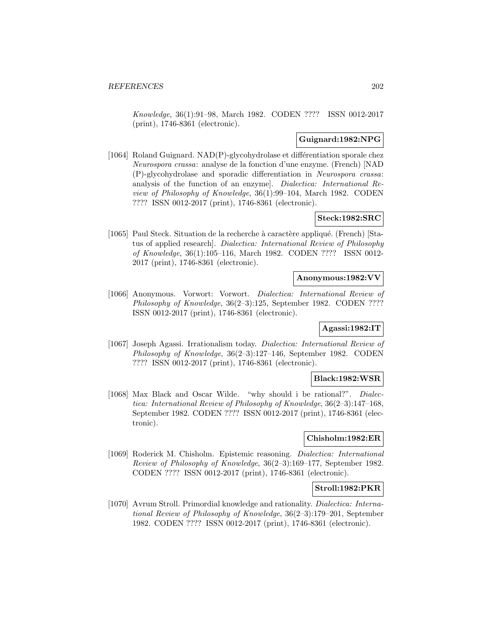Knowledge, 36(1):91–98, March 1982. CODEN ???? ISSN 0012-2017 (print), 1746-8361 (electronic).

## **Guignard:1982:NPG**

[1064] Roland Guignard.  $NAD(P)$ -glycohydrolase et différentiation sporale chez Neurospora crassa: analyse de la fonction d'une enzyme. (French) [NAD (P)-glycohydrolase and sporadic differentiation in Neurospora crassa: analysis of the function of an enzyme]. Dialectica: International Review of Philosophy of Knowledge, 36(1):99–104, March 1982. CODEN ???? ISSN 0012-2017 (print), 1746-8361 (electronic).

## **Steck:1982:SRC**

[1065] Paul Steck. Situation de la recherche à caractère appliqué. (French) [Status of applied research]. Dialectica: International Review of Philosophy of Knowledge, 36(1):105–116, March 1982. CODEN ???? ISSN 0012- 2017 (print), 1746-8361 (electronic).

### **Anonymous:1982:VV**

[1066] Anonymous. Vorwort: Vorwort. Dialectica: International Review of Philosophy of Knowledge, 36(2–3):125, September 1982. CODEN ???? ISSN 0012-2017 (print), 1746-8361 (electronic).

## **Agassi:1982:IT**

[1067] Joseph Agassi. Irrationalism today. Dialectica: International Review of Philosophy of Knowledge, 36(2–3):127–146, September 1982. CODEN ???? ISSN 0012-2017 (print), 1746-8361 (electronic).

#### **Black:1982:WSR**

[1068] Max Black and Oscar Wilde. "why should i be rational?". Dialectica: International Review of Philosophy of Knowledge, 36(2–3):147–168, September 1982. CODEN ???? ISSN 0012-2017 (print), 1746-8361 (electronic).

## **Chisholm:1982:ER**

[1069] Roderick M. Chisholm. Epistemic reasoning. Dialectica: International Review of Philosophy of Knowledge, 36(2–3):169–177, September 1982. CODEN ???? ISSN 0012-2017 (print), 1746-8361 (electronic).

### **Stroll:1982:PKR**

[1070] Avrum Stroll. Primordial knowledge and rationality. Dialectica: International Review of Philosophy of Knowledge, 36(2–3):179–201, September 1982. CODEN ???? ISSN 0012-2017 (print), 1746-8361 (electronic).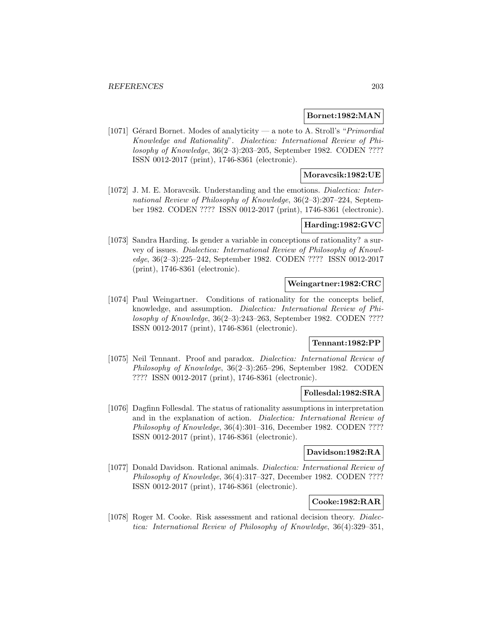#### **Bornet:1982:MAN**

[1071] Gérard Bornet. Modes of analyticity — a note to A. Stroll's "*Primordial*" Knowledge and Rationality". Dialectica: International Review of Philosophy of Knowledge, 36(2–3):203–205, September 1982. CODEN ???? ISSN 0012-2017 (print), 1746-8361 (electronic).

## **Moravcsik:1982:UE**

[1072] J. M. E. Moravcsik. Understanding and the emotions. Dialectica: International Review of Philosophy of Knowledge, 36(2–3):207–224, September 1982. CODEN ???? ISSN 0012-2017 (print), 1746-8361 (electronic).

# **Harding:1982:GVC**

[1073] Sandra Harding. Is gender a variable in conceptions of rationality? a survey of issues. Dialectica: International Review of Philosophy of Knowledge, 36(2–3):225–242, September 1982. CODEN ???? ISSN 0012-2017 (print), 1746-8361 (electronic).

## **Weingartner:1982:CRC**

[1074] Paul Weingartner. Conditions of rationality for the concepts belief, knowledge, and assumption. Dialectica: International Review of Philosophy of Knowledge, 36(2–3):243–263, September 1982. CODEN ???? ISSN 0012-2017 (print), 1746-8361 (electronic).

# **Tennant:1982:PP**

[1075] Neil Tennant. Proof and paradox. Dialectica: International Review of Philosophy of Knowledge, 36(2–3):265–296, September 1982. CODEN ???? ISSN 0012-2017 (print), 1746-8361 (electronic).

#### **Follesdal:1982:SRA**

[1076] Dagfinn Follesdal. The status of rationality assumptions in interpretation and in the explanation of action. Dialectica: International Review of Philosophy of Knowledge, 36(4):301–316, December 1982. CODEN ???? ISSN 0012-2017 (print), 1746-8361 (electronic).

## **Davidson:1982:RA**

[1077] Donald Davidson. Rational animals. Dialectica: International Review of Philosophy of Knowledge, 36(4):317–327, December 1982. CODEN ???? ISSN 0012-2017 (print), 1746-8361 (electronic).

## **Cooke:1982:RAR**

[1078] Roger M. Cooke. Risk assessment and rational decision theory. Dialectica: International Review of Philosophy of Knowledge, 36(4):329–351,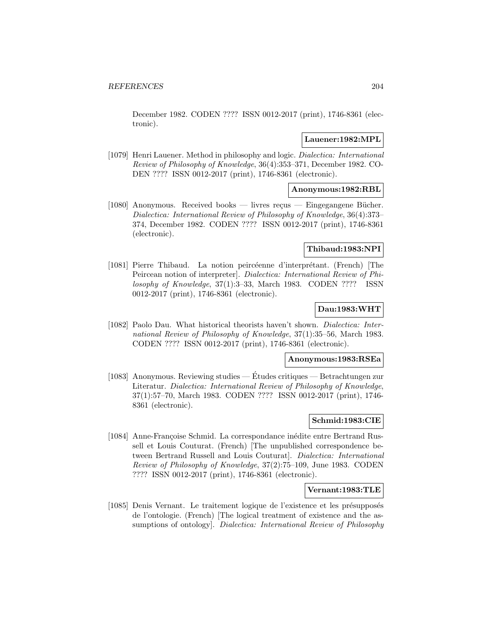December 1982. CODEN ???? ISSN 0012-2017 (print), 1746-8361 (electronic).

### **Lauener:1982:MPL**

[1079] Henri Lauener. Method in philosophy and logic. Dialectica: International Review of Philosophy of Knowledge, 36(4):353–371, December 1982. CO-DEN ???? ISSN 0012-2017 (print), 1746-8361 (electronic).

## **Anonymous:1982:RBL**

 $[1080]$  Anonymous. Received books — livres recus — Eingegangene Bücher. Dialectica: International Review of Philosophy of Knowledge, 36(4):373– 374, December 1982. CODEN ???? ISSN 0012-2017 (print), 1746-8361 (electronic).

## **Thibaud:1983:NPI**

[1081] Pierre Thibaud. La notion peircéenne d'interprétant. (French) [The Peircean notion of interpreter]. Dialectica: International Review of Philosophy of Knowledge, 37(1):3–33, March 1983. CODEN ???? ISSN 0012-2017 (print), 1746-8361 (electronic).

## **Dau:1983:WHT**

[1082] Paolo Dau. What historical theorists haven't shown. Dialectica: International Review of Philosophy of Knowledge, 37(1):35–56, March 1983. CODEN ???? ISSN 0012-2017 (print), 1746-8361 (electronic).

#### **Anonymous:1983:RSEa**

[1083] Anonymous. Reviewing studies — Etudes critiques — Betrachtungen zur ´ Literatur. Dialectica: International Review of Philosophy of Knowledge, 37(1):57–70, March 1983. CODEN ???? ISSN 0012-2017 (print), 1746- 8361 (electronic).

#### **Schmid:1983:CIE**

[1084] Anne-Françoise Schmid. La correspondance inédite entre Bertrand Russell et Louis Couturat. (French) [The unpublished correspondence between Bertrand Russell and Louis Couturat]. Dialectica: International Review of Philosophy of Knowledge, 37(2):75–109, June 1983. CODEN ???? ISSN 0012-2017 (print), 1746-8361 (electronic).

## **Vernant:1983:TLE**

[1085] Denis Vernant. Le traitement logique de l'existence et les présupposés de l'ontologie. (French) [The logical treatment of existence and the assumptions of ontology]. Dialectica: International Review of Philosophy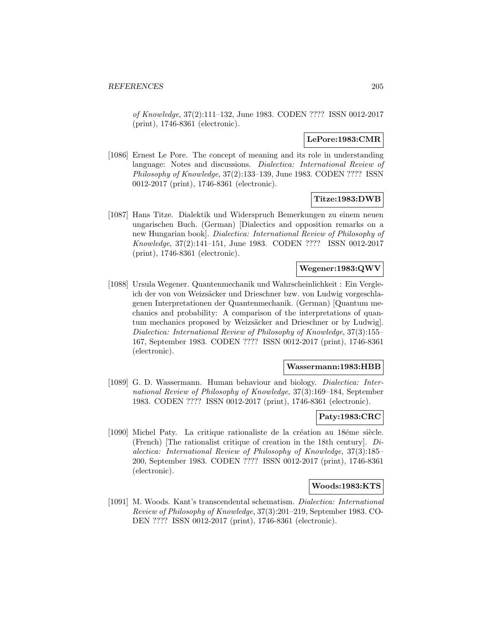of Knowledge, 37(2):111–132, June 1983. CODEN ???? ISSN 0012-2017 (print), 1746-8361 (electronic).

# **LePore:1983:CMR**

[1086] Ernest Le Pore. The concept of meaning and its role in understanding language: Notes and discussions. *Dialectica: International Review of* Philosophy of Knowledge, 37(2):133–139, June 1983. CODEN ???? ISSN 0012-2017 (print), 1746-8361 (electronic).

## **Titze:1983:DWB**

[1087] Hans Titze. Dialektik und Widerspruch Bemerkungen zu einem neuen ungarischen Buch. (German) [Dialectics and opposition remarks on a new Hungarian book]. Dialectica: International Review of Philosophy of Knowledge, 37(2):141–151, June 1983. CODEN ???? ISSN 0012-2017 (print), 1746-8361 (electronic).

## **Wegener:1983:QWV**

[1088] Ursula Wegener. Quantenmechanik und Wahrscheinlichkeit : Ein Vergleich der von von Weizsäcker und Drieschner bzw. von Ludwig vorgeschlagenen Interpretationen der Quantenmechanik. (German) [Quantum mechanics and probability: A comparison of the interpretations of quantum mechanics proposed by Weizsäcker and Drieschner or by Ludwig. Dialectica: International Review of Philosophy of Knowledge, 37(3):155– 167, September 1983. CODEN ???? ISSN 0012-2017 (print), 1746-8361 (electronic).

#### **Wassermann:1983:HBB**

[1089] G. D. Wassermann. Human behaviour and biology. *Dialectica: Inter*national Review of Philosophy of Knowledge, 37(3):169–184, September 1983. CODEN ???? ISSN 0012-2017 (print), 1746-8361 (electronic).

#### **Paty:1983:CRC**

[1090] Michel Paty. La critique rationaliste de la création au 18éme siècle. (French) [The rationalist critique of creation in the 18th century].  $Di$ alectica: International Review of Philosophy of Knowledge, 37(3):185– 200, September 1983. CODEN ???? ISSN 0012-2017 (print), 1746-8361 (electronic).

#### **Woods:1983:KTS**

[1091] M. Woods. Kant's transcendental schematism. Dialectica: International Review of Philosophy of Knowledge, 37(3):201–219, September 1983. CO-DEN ???? ISSN 0012-2017 (print), 1746-8361 (electronic).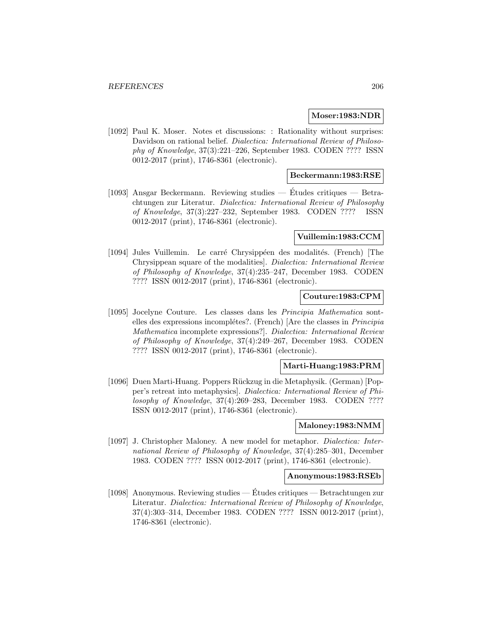### **Moser:1983:NDR**

[1092] Paul K. Moser. Notes et discussions: : Rationality without surprises: Davidson on rational belief. Dialectica: International Review of Philosophy of Knowledge, 37(3):221–226, September 1983. CODEN ???? ISSN 0012-2017 (print), 1746-8361 (electronic).

## **Beckermann:1983:RSE**

[1093] Ansgar Beckermann. Reviewing studies  $-$  Etudes critiques  $-$  Betrachtungen zur Literatur. Dialectica: International Review of Philosophy of Knowledge, 37(3):227–232, September 1983. CODEN ???? ISSN 0012-2017 (print), 1746-8361 (electronic).

### **Vuillemin:1983:CCM**

[1094] Jules Vuillemin. Le carré Chrysippéen des modalités. (French) [The Chrysippean square of the modalities]. Dialectica: International Review of Philosophy of Knowledge, 37(4):235–247, December 1983. CODEN ???? ISSN 0012-2017 (print), 1746-8361 (electronic).

### **Couture:1983:CPM**

[1095] Jocelyne Couture. Les classes dans les Principia Mathematica sontelles des expressions incomplétes?. (French) [Are the classes in *Principia* Mathematica incomplete expressions?]. Dialectica: International Review of Philosophy of Knowledge, 37(4):249–267, December 1983. CODEN ???? ISSN 0012-2017 (print), 1746-8361 (electronic).

#### **Marti-Huang:1983:PRM**

[1096] Duen Marti-Huang. Poppers Rückzug in die Metaphysik. (German) [Popper's retreat into metaphysics]. Dialectica: International Review of Philosophy of Knowledge, 37(4):269–283, December 1983. CODEN ???? ISSN 0012-2017 (print), 1746-8361 (electronic).

### **Maloney:1983:NMM**

[1097] J. Christopher Maloney. A new model for metaphor. *Dialectica: Inter*national Review of Philosophy of Knowledge, 37(4):285–301, December 1983. CODEN ???? ISSN 0012-2017 (print), 1746-8361 (electronic).

## **Anonymous:1983:RSEb**

[1098] Anonymous. Reviewing studies — Etudes critiques — Betrachtungen zur ´ Literatur. Dialectica: International Review of Philosophy of Knowledge, 37(4):303–314, December 1983. CODEN ???? ISSN 0012-2017 (print), 1746-8361 (electronic).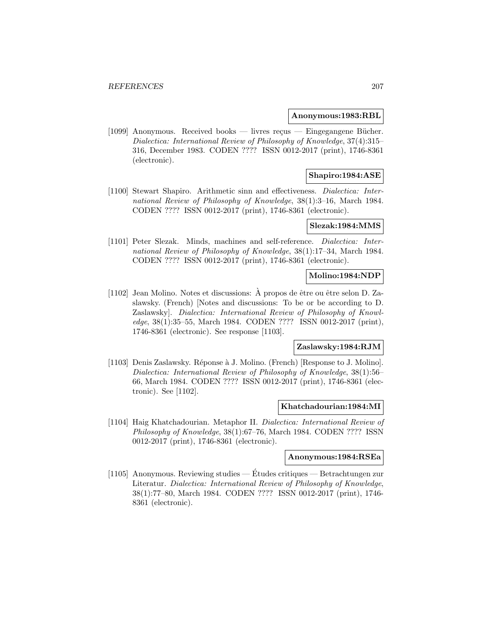#### **Anonymous:1983:RBL**

[1099] Anonymous. Received books — livres reçus — Eingegangene Bücher. Dialectica: International Review of Philosophy of Knowledge, 37(4):315– 316, December 1983. CODEN ???? ISSN 0012-2017 (print), 1746-8361 (electronic).

## **Shapiro:1984:ASE**

[1100] Stewart Shapiro. Arithmetic sinn and effectiveness. Dialectica: International Review of Philosophy of Knowledge, 38(1):3–16, March 1984. CODEN ???? ISSN 0012-2017 (print), 1746-8361 (electronic).

## **Slezak:1984:MMS**

[1101] Peter Slezak. Minds, machines and self-reference. *Dialectica: Inter*national Review of Philosophy of Knowledge, 38(1):17–34, March 1984. CODEN ???? ISSN 0012-2017 (print), 1746-8361 (electronic).

## **Molino:1984:NDP**

[1102] Jean Molino. Notes et discussions: A propos de être ou être selon D. Zaslawsky. (French) [Notes and discussions: To be or be according to D. Zaslawsky]. Dialectica: International Review of Philosophy of Knowledge, 38(1):35–55, March 1984. CODEN ???? ISSN 0012-2017 (print), 1746-8361 (electronic). See response [1103].

#### **Zaslawsky:1984:RJM**

[1103] Denis Zaslawsky. Réponse à J. Molino. (French) [Response to J. Molino]. Dialectica: International Review of Philosophy of Knowledge, 38(1):56– 66, March 1984. CODEN ???? ISSN 0012-2017 (print), 1746-8361 (electronic). See [1102].

#### **Khatchadourian:1984:MI**

[1104] Haig Khatchadourian. Metaphor II. Dialectica: International Review of Philosophy of Knowledge, 38(1):67–76, March 1984. CODEN ???? ISSN 0012-2017 (print), 1746-8361 (electronic).

#### **Anonymous:1984:RSEa**

[1105] Anonymous. Reviewing studies — Etudes critiques — Betrachtungen zur ´ Literatur. Dialectica: International Review of Philosophy of Knowledge, 38(1):77–80, March 1984. CODEN ???? ISSN 0012-2017 (print), 1746- 8361 (electronic).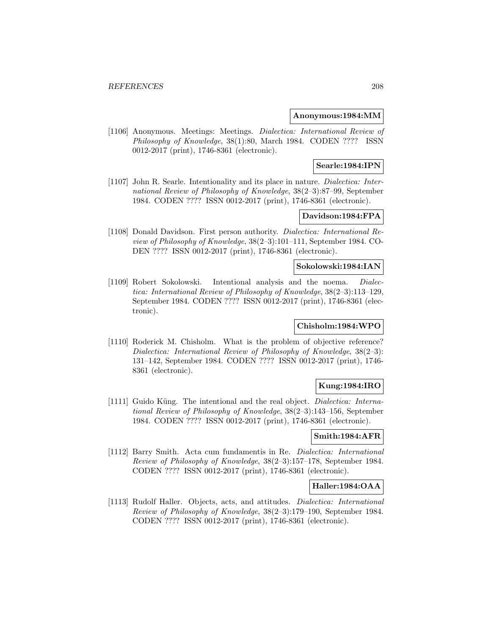### **Anonymous:1984:MM**

[1106] Anonymous. Meetings: Meetings. Dialectica: International Review of Philosophy of Knowledge, 38(1):80, March 1984. CODEN ???? ISSN 0012-2017 (print), 1746-8361 (electronic).

## **Searle:1984:IPN**

[1107] John R. Searle. Intentionality and its place in nature. Dialectica: International Review of Philosophy of Knowledge, 38(2–3):87–99, September 1984. CODEN ???? ISSN 0012-2017 (print), 1746-8361 (electronic).

## **Davidson:1984:FPA**

[1108] Donald Davidson. First person authority. Dialectica: International Review of Philosophy of Knowledge, 38(2–3):101–111, September 1984. CO-DEN ???? ISSN 0012-2017 (print), 1746-8361 (electronic).

### **Sokolowski:1984:IAN**

[1109] Robert Sokolowski. Intentional analysis and the noema. Dialectica: International Review of Philosophy of Knowledge, 38(2–3):113–129, September 1984. CODEN ???? ISSN 0012-2017 (print), 1746-8361 (electronic).

## **Chisholm:1984:WPO**

[1110] Roderick M. Chisholm. What is the problem of objective reference? Dialectica: International Review of Philosophy of Knowledge, 38(2-3): 131–142, September 1984. CODEN ???? ISSN 0012-2017 (print), 1746- 8361 (electronic).

# **Kung:1984:IRO**

[1111] Guido Küng. The intentional and the real object. *Dialectica: Interna*tional Review of Philosophy of Knowledge, 38(2–3):143–156, September 1984. CODEN ???? ISSN 0012-2017 (print), 1746-8361 (electronic).

## **Smith:1984:AFR**

[1112] Barry Smith. Acta cum fundamentis in Re. Dialectica: International Review of Philosophy of Knowledge, 38(2–3):157–178, September 1984. CODEN ???? ISSN 0012-2017 (print), 1746-8361 (electronic).

## **Haller:1984:OAA**

[1113] Rudolf Haller. Objects, acts, and attitudes. *Dialectica: International* Review of Philosophy of Knowledge, 38(2–3):179–190, September 1984. CODEN ???? ISSN 0012-2017 (print), 1746-8361 (electronic).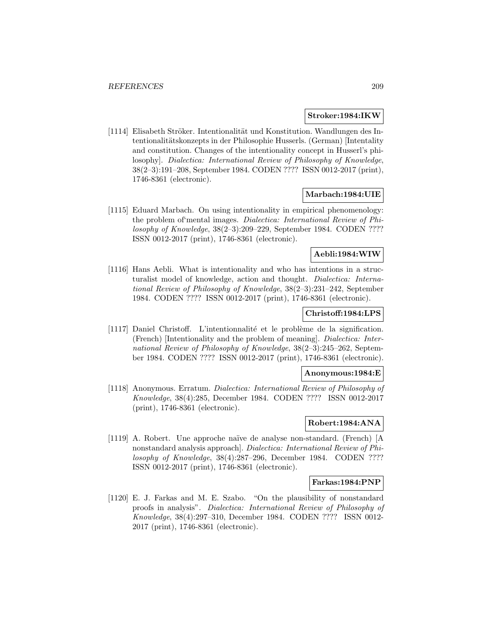#### **Stroker:1984:IKW**

[1114] Elisabeth Ströker. Intentionalität und Konstitution. Wandlungen des Intentionalitätskonzepts in der Philosophie Husserls. (German) [Intentality and constitution. Changes of the intentionality concept in Husserl's philosophy]. Dialectica: International Review of Philosophy of Knowledge, 38(2–3):191–208, September 1984. CODEN ???? ISSN 0012-2017 (print), 1746-8361 (electronic).

## **Marbach:1984:UIE**

[1115] Eduard Marbach. On using intentionality in empirical phenomenology: the problem of'mental images. Dialectica: International Review of Philosophy of Knowledge, 38(2–3):209–229, September 1984. CODEN ???? ISSN 0012-2017 (print), 1746-8361 (electronic).

## **Aebli:1984:WIW**

[1116] Hans Aebli. What is intentionality and who has intentions in a structuralist model of knowledge, action and thought. Dialectica: International Review of Philosophy of Knowledge, 38(2–3):231–242, September 1984. CODEN ???? ISSN 0012-2017 (print), 1746-8361 (electronic).

# **Christoff:1984:LPS**

[1117] Daniel Christoff. L'intentionnalité et le problème de la signification. (French) [Intentionality and the problem of meaning]. Dialectica: International Review of Philosophy of Knowledge, 38(2–3):245–262, September 1984. CODEN ???? ISSN 0012-2017 (print), 1746-8361 (electronic).

## **Anonymous:1984:E**

[1118] Anonymous. Erratum. Dialectica: International Review of Philosophy of Knowledge, 38(4):285, December 1984. CODEN ???? ISSN 0012-2017 (print), 1746-8361 (electronic).

# **Robert:1984:ANA**

[1119] A. Robert. Une approche na¨ıve de analyse non-standard. (French) [A nonstandard analysis approach]. Dialectica: International Review of Philosophy of Knowledge, 38(4):287–296, December 1984. CODEN ???? ISSN 0012-2017 (print), 1746-8361 (electronic).

### **Farkas:1984:PNP**

[1120] E. J. Farkas and M. E. Szabo. "On the plausibility of nonstandard proofs in analysis". Dialectica: International Review of Philosophy of Knowledge, 38(4):297–310, December 1984. CODEN ???? ISSN 0012- 2017 (print), 1746-8361 (electronic).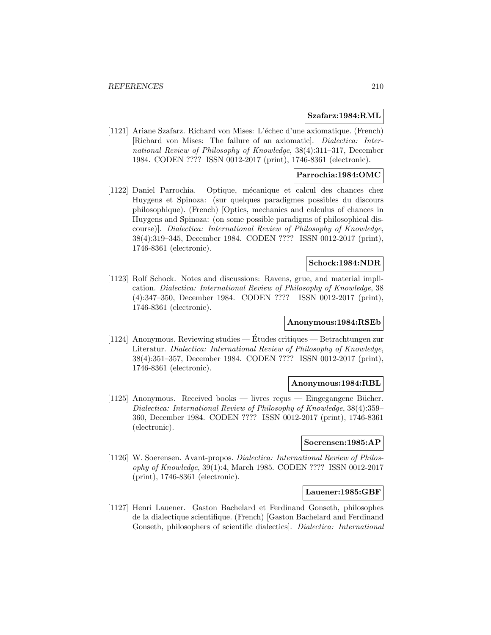#### **Szafarz:1984:RML**

[1121] Ariane Szafarz. Richard von Mises: L'échec d'une axiomatique. (French) [Richard von Mises: The failure of an axiomatic]. Dialectica: International Review of Philosophy of Knowledge, 38(4):311–317, December 1984. CODEN ???? ISSN 0012-2017 (print), 1746-8361 (electronic).

## **Parrochia:1984:OMC**

[1122] Daniel Parrochia. Optique, mécanique et calcul des chances chez Huygens et Spinoza: (sur quelques paradigmes possibles du discours philosophique). (French) [Optics, mechanics and calculus of chances in Huygens and Spinoza: (on some possible paradigms of philosophical discourse)]. Dialectica: International Review of Philosophy of Knowledge, 38(4):319–345, December 1984. CODEN ???? ISSN 0012-2017 (print), 1746-8361 (electronic).

## **Schock:1984:NDR**

[1123] Rolf Schock. Notes and discussions: Ravens, grue, and material implication. Dialectica: International Review of Philosophy of Knowledge, 38 (4):347–350, December 1984. CODEN ???? ISSN 0012-2017 (print), 1746-8361 (electronic).

## **Anonymous:1984:RSEb**

[1124] Anonymous. Reviewing studies — Etudes critiques — Betrachtungen zur ´ Literatur. Dialectica: International Review of Philosophy of Knowledge, 38(4):351–357, December 1984. CODEN ???? ISSN 0012-2017 (print), 1746-8361 (electronic).

## **Anonymous:1984:RBL**

[1125] Anonymous. Received books — livres reçus — Eingegangene Bücher. Dialectica: International Review of Philosophy of Knowledge, 38(4):359– 360, December 1984. CODEN ???? ISSN 0012-2017 (print), 1746-8361 (electronic).

## **Soerensen:1985:AP**

[1126] W. Soerensen. Avant-propos. Dialectica: International Review of Philosophy of Knowledge, 39(1):4, March 1985. CODEN ???? ISSN 0012-2017 (print), 1746-8361 (electronic).

## **Lauener:1985:GBF**

[1127] Henri Lauener. Gaston Bachelard et Ferdinand Gonseth, philosophes de la dialectique scientifique. (French) [Gaston Bachelard and Ferdinand Gonseth, philosophers of scientific dialectics]. Dialectica: International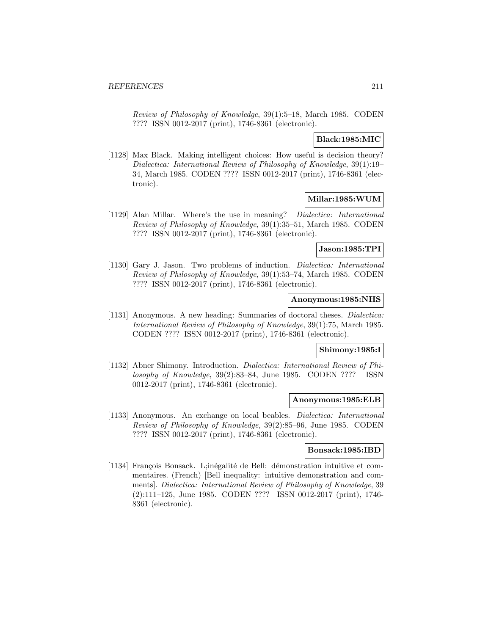Review of Philosophy of Knowledge, 39(1):5–18, March 1985. CODEN ???? ISSN 0012-2017 (print), 1746-8361 (electronic).

## **Black:1985:MIC**

[1128] Max Black. Making intelligent choices: How useful is decision theory? Dialectica: International Review of Philosophy of Knowledge, 39(1):19– 34, March 1985. CODEN ???? ISSN 0012-2017 (print), 1746-8361 (electronic).

## **Millar:1985:WUM**

[1129] Alan Millar. Where's the use in meaning? Dialectica: International Review of Philosophy of Knowledge, 39(1):35–51, March 1985. CODEN ???? ISSN 0012-2017 (print), 1746-8361 (electronic).

### **Jason:1985:TPI**

[1130] Gary J. Jason. Two problems of induction. *Dialectica: International* Review of Philosophy of Knowledge, 39(1):53–74, March 1985. CODEN ???? ISSN 0012-2017 (print), 1746-8361 (electronic).

### **Anonymous:1985:NHS**

[1131] Anonymous. A new heading: Summaries of doctoral theses. Dialectica: International Review of Philosophy of Knowledge, 39(1):75, March 1985. CODEN ???? ISSN 0012-2017 (print), 1746-8361 (electronic).

## **Shimony:1985:I**

[1132] Abner Shimony. Introduction. Dialectica: International Review of Philosophy of Knowledge, 39(2):83–84, June 1985. CODEN ???? ISSN 0012-2017 (print), 1746-8361 (electronic).

#### **Anonymous:1985:ELB**

[1133] Anonymous. An exchange on local beables. Dialectica: International Review of Philosophy of Knowledge, 39(2):85–96, June 1985. CODEN ???? ISSN 0012-2017 (print), 1746-8361 (electronic).

## **Bonsack:1985:IBD**

[1134] François Bonsack. L;inégalité de Bell: démonstration intuitive et commentaires. (French) [Bell inequality: intuitive demonstration and comments]. Dialectica: International Review of Philosophy of Knowledge, 39 (2):111–125, June 1985. CODEN ???? ISSN 0012-2017 (print), 1746- 8361 (electronic).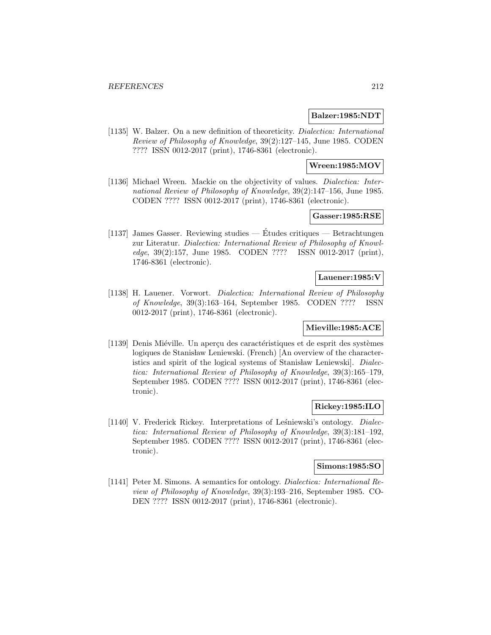### **Balzer:1985:NDT**

[1135] W. Balzer. On a new definition of theoreticity. *Dialectica: International* Review of Philosophy of Knowledge, 39(2):127–145, June 1985. CODEN ???? ISSN 0012-2017 (print), 1746-8361 (electronic).

## **Wreen:1985:MOV**

[1136] Michael Wreen. Mackie on the objectivity of values. *Dialectica: Inter*national Review of Philosophy of Knowledge, 39(2):147–156, June 1985. CODEN ???? ISSN 0012-2017 (print), 1746-8361 (electronic).

## **Gasser:1985:RSE**

[1137] James Gasser. Reviewing studies — Études critiques — Betrachtungen zur Literatur. Dialectica: International Review of Philosophy of Knowledge, 39(2):157, June 1985. CODEN ???? ISSN 0012-2017 (print), 1746-8361 (electronic).

## **Lauener:1985:V**

[1138] H. Lauener. Vorwort. Dialectica: International Review of Philosophy of Knowledge, 39(3):163–164, September 1985. CODEN ???? ISSN 0012-2017 (print), 1746-8361 (electronic).

#### **Mieville:1985:ACE**

[1139] Denis Miéville. Un aperçu des caractéristiques et de esprit des systèmes logiques de Stanisław Leniewski. (French) [An overview of the characteristics and spirit of the logical systems of Stanisław Leniewski. Dialectica: International Review of Philosophy of Knowledge, 39(3):165–179, September 1985. CODEN ???? ISSN 0012-2017 (print), 1746-8361 (electronic).

## **Rickey:1985:ILO**

[1140] V. Frederick Rickey. Interpretations of Leśniewski's ontology. Dialectica: International Review of Philosophy of Knowledge, 39(3):181–192, September 1985. CODEN ???? ISSN 0012-2017 (print), 1746-8361 (electronic).

## **Simons:1985:SO**

[1141] Peter M. Simons. A semantics for ontology. Dialectica: International Review of Philosophy of Knowledge, 39(3):193–216, September 1985. CO-DEN ???? ISSN 0012-2017 (print), 1746-8361 (electronic).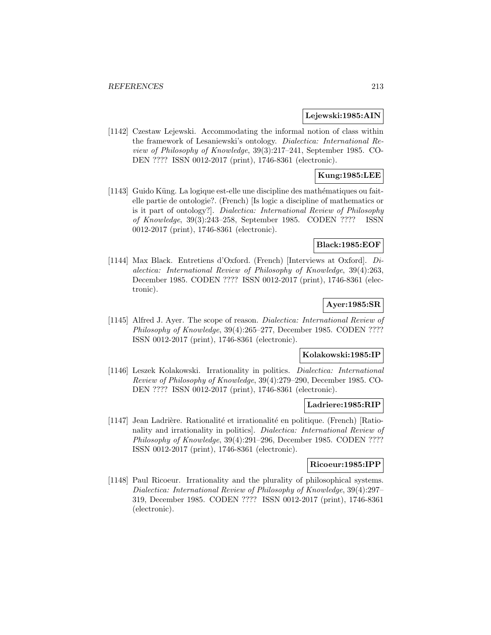### **Lejewski:1985:AIN**

[1142] Czestaw Lejewski. Accommodating the informal notion of class within the framework of Lesaniewski's ontology. Dialectica: International Review of Philosophy of Knowledge, 39(3):217–241, September 1985. CO-DEN ???? ISSN 0012-2017 (print), 1746-8361 (electronic).

## **Kung:1985:LEE**

[1143] Guido Küng. La logique est-elle une discipline des mathématiques ou faitelle partie de ontologie?. (French) [Is logic a discipline of mathematics or is it part of ontology?]. Dialectica: International Review of Philosophy of Knowledge, 39(3):243–258, September 1985. CODEN ???? ISSN 0012-2017 (print), 1746-8361 (electronic).

## **Black:1985:EOF**

[1144] Max Black. Entretiens d'Oxford. (French) [Interviews at Oxford]. Dialectica: International Review of Philosophy of Knowledge, 39(4):263, December 1985. CODEN ???? ISSN 0012-2017 (print), 1746-8361 (electronic).

# **Ayer:1985:SR**

[1145] Alfred J. Ayer. The scope of reason. Dialectica: International Review of Philosophy of Knowledge, 39(4):265–277, December 1985. CODEN ???? ISSN 0012-2017 (print), 1746-8361 (electronic).

#### **Kolakowski:1985:IP**

[1146] Leszek Kolakowski. Irrationality in politics. Dialectica: International Review of Philosophy of Knowledge, 39(4):279–290, December 1985. CO-DEN ???? ISSN 0012-2017 (print), 1746-8361 (electronic).

#### **Ladriere:1985:RIP**

[1147] Jean Ladrière. Rationalité et irrationalité en politique. (French) [Rationality and irrationality in politics]. Dialectica: International Review of Philosophy of Knowledge, 39(4):291–296, December 1985. CODEN ???? ISSN 0012-2017 (print), 1746-8361 (electronic).

#### **Ricoeur:1985:IPP**

[1148] Paul Ricoeur. Irrationality and the plurality of philosophical systems. Dialectica: International Review of Philosophy of Knowledge, 39(4):297– 319, December 1985. CODEN ???? ISSN 0012-2017 (print), 1746-8361 (electronic).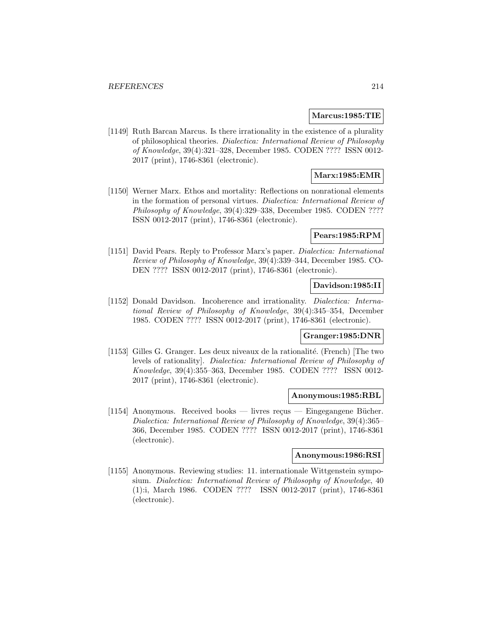### **Marcus:1985:TIE**

[1149] Ruth Barcan Marcus. Is there irrationality in the existence of a plurality of philosophical theories. Dialectica: International Review of Philosophy of Knowledge, 39(4):321–328, December 1985. CODEN ???? ISSN 0012- 2017 (print), 1746-8361 (electronic).

## **Marx:1985:EMR**

[1150] Werner Marx. Ethos and mortality: Reflections on nonrational elements in the formation of personal virtues. Dialectica: International Review of Philosophy of Knowledge, 39(4):329–338, December 1985. CODEN ???? ISSN 0012-2017 (print), 1746-8361 (electronic).

### **Pears:1985:RPM**

[1151] David Pears. Reply to Professor Marx's paper. Dialectica: International Review of Philosophy of Knowledge, 39(4):339–344, December 1985. CO-DEN ???? ISSN 0012-2017 (print), 1746-8361 (electronic).

## **Davidson:1985:II**

[1152] Donald Davidson. Incoherence and irrationality. *Dialectica: Interna*tional Review of Philosophy of Knowledge, 39(4):345–354, December 1985. CODEN ???? ISSN 0012-2017 (print), 1746-8361 (electronic).

#### **Granger:1985:DNR**

[1153] Gilles G. Granger. Les deux niveaux de la rationalité. (French) [The two levels of rationality]. Dialectica: International Review of Philosophy of Knowledge, 39(4):355–363, December 1985. CODEN ???? ISSN 0012- 2017 (print), 1746-8361 (electronic).

#### **Anonymous:1985:RBL**

[1154] Anonymous. Received books — livres reçus — Eingegangene Bücher. Dialectica: International Review of Philosophy of Knowledge, 39(4):365– 366, December 1985. CODEN ???? ISSN 0012-2017 (print), 1746-8361 (electronic).

### **Anonymous:1986:RSI**

[1155] Anonymous. Reviewing studies: 11. internationale Wittgenstein symposium. Dialectica: International Review of Philosophy of Knowledge, 40 (1):i, March 1986. CODEN ???? ISSN 0012-2017 (print), 1746-8361 (electronic).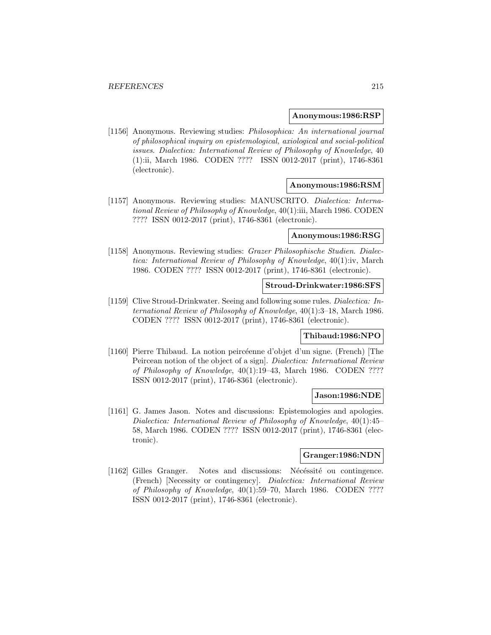#### **Anonymous:1986:RSP**

[1156] Anonymous. Reviewing studies: Philosophica: An international journal of philosophical inquiry on epistemological, axiological and social-political issues. Dialectica: International Review of Philosophy of Knowledge, 40 (1):ii, March 1986. CODEN ???? ISSN 0012-2017 (print), 1746-8361 (electronic).

### **Anonymous:1986:RSM**

[1157] Anonymous. Reviewing studies: MANUSCRITO. Dialectica: International Review of Philosophy of Knowledge, 40(1):iii, March 1986. CODEN ???? ISSN 0012-2017 (print), 1746-8361 (electronic).

#### **Anonymous:1986:RSG**

[1158] Anonymous. Reviewing studies: Grazer Philosophische Studien. Dialectica: International Review of Philosophy of Knowledge, 40(1):iv, March 1986. CODEN ???? ISSN 0012-2017 (print), 1746-8361 (electronic).

#### **Stroud-Drinkwater:1986:SFS**

[1159] Clive Stroud-Drinkwater. Seeing and following some rules. Dialectica: International Review of Philosophy of Knowledge, 40(1):3–18, March 1986. CODEN ???? ISSN 0012-2017 (print), 1746-8361 (electronic).

#### **Thibaud:1986:NPO**

[1160] Pierre Thibaud. La notion peircéenne d'objet d'un signe. (French) [The Peircean notion of the object of a sign]. Dialectica: International Review of Philosophy of Knowledge, 40(1):19–43, March 1986. CODEN ???? ISSN 0012-2017 (print), 1746-8361 (electronic).

#### **Jason:1986:NDE**

[1161] G. James Jason. Notes and discussions: Epistemologies and apologies. Dialectica: International Review of Philosophy of Knowledge, 40(1):45– 58, March 1986. CODEN ???? ISSN 0012-2017 (print), 1746-8361 (electronic).

### **Granger:1986:NDN**

[1162] Gilles Granger. Notes and discussions: Nécéssité ou contingence. (French) [Necessity or contingency]. Dialectica: International Review of Philosophy of Knowledge, 40(1):59–70, March 1986. CODEN ???? ISSN 0012-2017 (print), 1746-8361 (electronic).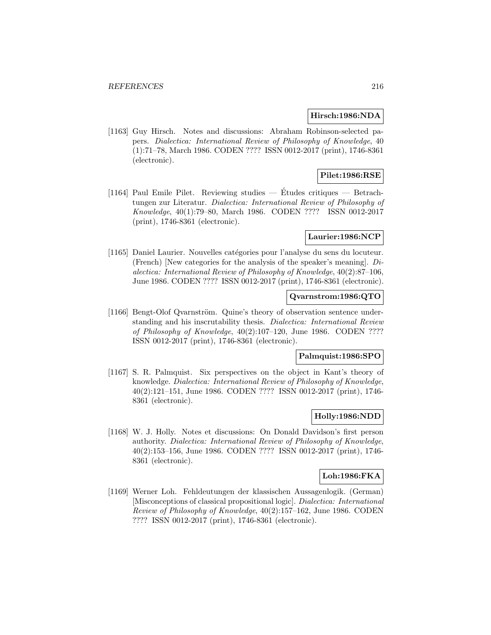### **Hirsch:1986:NDA**

[1163] Guy Hirsch. Notes and discussions: Abraham Robinson-selected papers. Dialectica: International Review of Philosophy of Knowledge, 40 (1):71–78, March 1986. CODEN ???? ISSN 0012-2017 (print), 1746-8361 (electronic).

## **Pilet:1986:RSE**

[1164] Paul Emile Pilet. Reviewing studies — Études critiques — Betrachtungen zur Literatur. Dialectica: International Review of Philosophy of Knowledge, 40(1):79–80, March 1986. CODEN ???? ISSN 0012-2017 (print), 1746-8361 (electronic).

## **Laurier:1986:NCP**

[1165] Daniel Laurier. Nouvelles catégories pour l'analyse du sens du locuteur. (French) [New categories for the analysis of the speaker's meaning].  $Di$ alectica: International Review of Philosophy of Knowledge, 40(2):87–106, June 1986. CODEN ???? ISSN 0012-2017 (print), 1746-8361 (electronic).

## **Qvarnstrom:1986:QTO**

[1166] Bengt-Olof Qvarnström. Quine's theory of observation sentence understanding and his inscrutability thesis. Dialectica: International Review of Philosophy of Knowledge, 40(2):107–120, June 1986. CODEN ???? ISSN 0012-2017 (print), 1746-8361 (electronic).

# **Palmquist:1986:SPO**

[1167] S. R. Palmquist. Six perspectives on the object in Kant's theory of knowledge. Dialectica: International Review of Philosophy of Knowledge, 40(2):121–151, June 1986. CODEN ???? ISSN 0012-2017 (print), 1746- 8361 (electronic).

## **Holly:1986:NDD**

[1168] W. J. Holly. Notes et discussions: On Donald Davidson's first person authority. Dialectica: International Review of Philosophy of Knowledge, 40(2):153–156, June 1986. CODEN ???? ISSN 0012-2017 (print), 1746- 8361 (electronic).

# **Loh:1986:FKA**

[1169] Werner Loh. Fehldeutungen der klassischen Aussagenlogik. (German) [Misconceptions of classical propositional logic]. Dialectica: International Review of Philosophy of Knowledge, 40(2):157–162, June 1986. CODEN ???? ISSN 0012-2017 (print), 1746-8361 (electronic).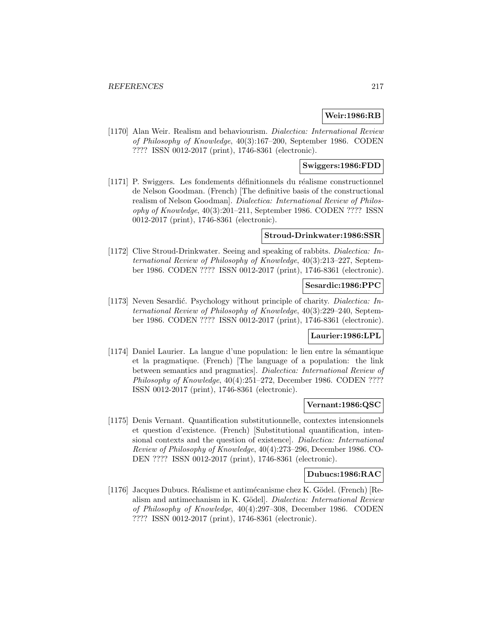# **Weir:1986:RB**

[1170] Alan Weir. Realism and behaviourism. Dialectica: International Review of Philosophy of Knowledge, 40(3):167–200, September 1986. CODEN ???? ISSN 0012-2017 (print), 1746-8361 (electronic).

# **Swiggers:1986:FDD**

[1171] P. Swiggers. Les fondements d´efinitionnels du r´ealisme constructionnel de Nelson Goodman. (French) [The definitive basis of the constructional realism of Nelson Goodman]. Dialectica: International Review of Philosophy of Knowledge, 40(3):201–211, September 1986. CODEN ???? ISSN 0012-2017 (print), 1746-8361 (electronic).

### **Stroud-Drinkwater:1986:SSR**

[1172] Clive Stroud-Drinkwater. Seeing and speaking of rabbits. Dialectica: International Review of Philosophy of Knowledge, 40(3):213–227, September 1986. CODEN ???? ISSN 0012-2017 (print), 1746-8361 (electronic).

### **Sesardic:1986:PPC**

[1173] Neven Sesardić. Psychology without principle of charity. Dialectica: International Review of Philosophy of Knowledge, 40(3):229–240, September 1986. CODEN ???? ISSN 0012-2017 (print), 1746-8361 (electronic).

## **Laurier:1986:LPL**

 $[1174]$  Daniel Laurier. La langue d'une population: le lien entre la sémantique et la pragmatique. (French) [The language of a population: the link between semantics and pragmatics]. Dialectica: International Review of Philosophy of Knowledge, 40(4):251–272, December 1986. CODEN ???? ISSN 0012-2017 (print), 1746-8361 (electronic).

#### **Vernant:1986:QSC**

[1175] Denis Vernant. Quantification substitutionnelle, contextes intensionnels et question d'existence. (French) [Substitutional quantification, intensional contexts and the question of existence]. Dialectica: International Review of Philosophy of Knowledge, 40(4):273–296, December 1986. CO-DEN ???? ISSN 0012-2017 (print), 1746-8361 (electronic).

### **Dubucs:1986:RAC**

[1176] Jacques Dubucs. Réalisme et antimécanisme chez K. Gödel. (French) [Realism and antimechanism in K. Gödel]. Dialectica: International Review of Philosophy of Knowledge, 40(4):297–308, December 1986. CODEN ???? ISSN 0012-2017 (print), 1746-8361 (electronic).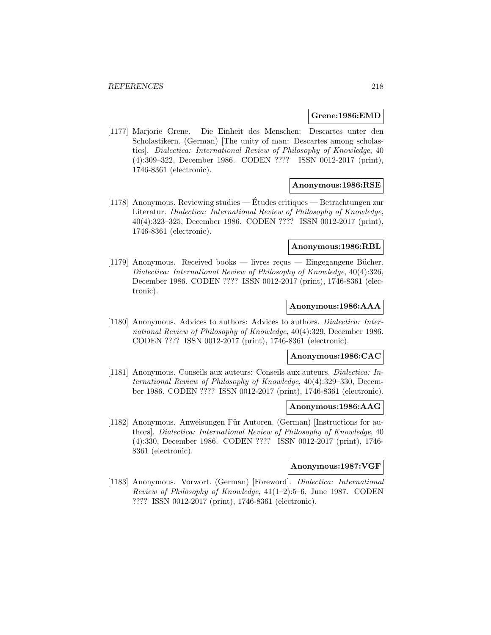### **Grene:1986:EMD**

[1177] Marjorie Grene. Die Einheit des Menschen: Descartes unter den Scholastikern. (German) [The unity of man: Descartes among scholastics]. Dialectica: International Review of Philosophy of Knowledge, 40 (4):309–322, December 1986. CODEN ???? ISSN 0012-2017 (print), 1746-8361 (electronic).

## **Anonymous:1986:RSE**

[1178] Anonymous. Reviewing studies — Etudes critiques — Betrachtungen zur ´ Literatur. Dialectica: International Review of Philosophy of Knowledge, 40(4):323–325, December 1986. CODEN ???? ISSN 0012-2017 (print), 1746-8361 (electronic).

# **Anonymous:1986:RBL**

[1179] Anonymous. Received books — livres recus — Eingegangene Bücher. Dialectica: International Review of Philosophy of Knowledge, 40(4):326, December 1986. CODEN ???? ISSN 0012-2017 (print), 1746-8361 (electronic).

### **Anonymous:1986:AAA**

[1180] Anonymous. Advices to authors: Advices to authors. *Dialectica: Inter*national Review of Philosophy of Knowledge, 40(4):329, December 1986. CODEN ???? ISSN 0012-2017 (print), 1746-8361 (electronic).

# **Anonymous:1986:CAC**

[1181] Anonymous. Conseils aux auteurs: Conseils aux auteurs. Dialectica: International Review of Philosophy of Knowledge, 40(4):329–330, December 1986. CODEN ???? ISSN 0012-2017 (print), 1746-8361 (electronic).

#### **Anonymous:1986:AAG**

[1182] Anonymous. Anweisungen Für Autoren. (German) [Instructions for authors]. Dialectica: International Review of Philosophy of Knowledge, 40 (4):330, December 1986. CODEN ???? ISSN 0012-2017 (print), 1746- 8361 (electronic).

### **Anonymous:1987:VGF**

[1183] Anonymous. Vorwort. (German) [Foreword]. Dialectica: International Review of Philosophy of Knowledge, 41(1–2):5–6, June 1987. CODEN ???? ISSN 0012-2017 (print), 1746-8361 (electronic).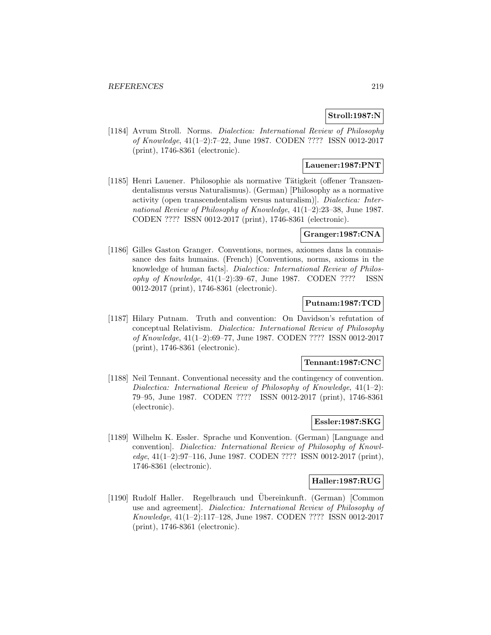# **Stroll:1987:N**

[1184] Avrum Stroll. Norms. Dialectica: International Review of Philosophy of Knowledge, 41(1–2):7–22, June 1987. CODEN ???? ISSN 0012-2017 (print), 1746-8361 (electronic).

## **Lauener:1987:PNT**

[1185] Henri Lauener. Philosophie als normative Tätigkeit (offener Transzendentalismus versus Naturalismus). (German) [Philosophy as a normative activity (open transcendentalism versus naturalism)]. Dialectica: International Review of Philosophy of Knowledge, 41(1–2):23–38, June 1987. CODEN ???? ISSN 0012-2017 (print), 1746-8361 (electronic).

# **Granger:1987:CNA**

[1186] Gilles Gaston Granger. Conventions, normes, axiomes dans la connaissance des faits humains. (French) [Conventions, norms, axioms in the knowledge of human facts]. Dialectica: International Review of Philosophy of Knowledge,  $41(1-2):39-67$ , June 1987. CODEN ???? ISSN 0012-2017 (print), 1746-8361 (electronic).

# **Putnam:1987:TCD**

[1187] Hilary Putnam. Truth and convention: On Davidson's refutation of conceptual Relativism. Dialectica: International Review of Philosophy of Knowledge, 41(1–2):69–77, June 1987. CODEN ???? ISSN 0012-2017 (print), 1746-8361 (electronic).

### **Tennant:1987:CNC**

[1188] Neil Tennant. Conventional necessity and the contingency of convention. Dialectica: International Review of Philosophy of Knowledge, 41(1–2): 79–95, June 1987. CODEN ???? ISSN 0012-2017 (print), 1746-8361 (electronic).

# **Essler:1987:SKG**

[1189] Wilhelm K. Essler. Sprache und Konvention. (German) [Language and convention]. Dialectica: International Review of Philosophy of Knowledge, 41(1–2):97–116, June 1987. CODEN ???? ISSN 0012-2017 (print), 1746-8361 (electronic).

### **Haller:1987:RUG**

[1190] Rudolf Haller. Regelbrauch und Ubereinkunft. (German) [Common ¨ use and agreement]. Dialectica: International Review of Philosophy of Knowledge, 41(1–2):117–128, June 1987. CODEN ???? ISSN 0012-2017 (print), 1746-8361 (electronic).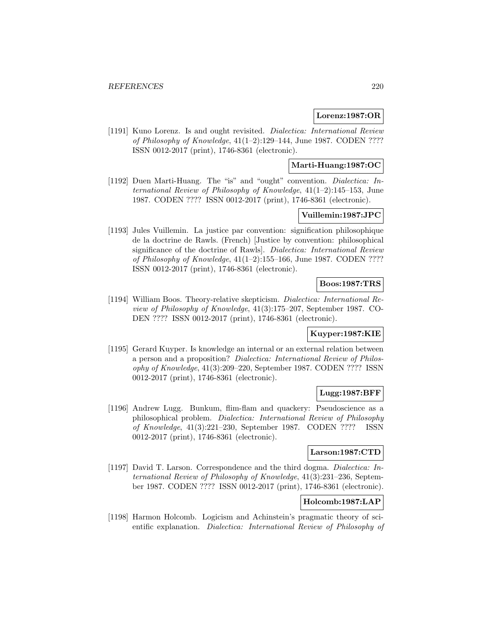## **Lorenz:1987:OR**

[1191] Kuno Lorenz. Is and ought revisited. Dialectica: International Review of Philosophy of Knowledge, 41(1–2):129–144, June 1987. CODEN ???? ISSN 0012-2017 (print), 1746-8361 (electronic).

# **Marti-Huang:1987:OC**

[1192] Duen Marti-Huang. The "is" and "ought" convention. Dialectica: International Review of Philosophy of Knowledge,  $41(1-2)$ :145-153, June 1987. CODEN ???? ISSN 0012-2017 (print), 1746-8361 (electronic).

# **Vuillemin:1987:JPC**

[1193] Jules Vuillemin. La justice par convention: signification philosophique de la doctrine de Rawls. (French) [Justice by convention: philosophical significance of the doctrine of Rawls. Dialectica: International Review of Philosophy of Knowledge, 41(1–2):155–166, June 1987. CODEN ???? ISSN 0012-2017 (print), 1746-8361 (electronic).

## **Boos:1987:TRS**

[1194] William Boos. Theory-relative skepticism. Dialectica: International Review of Philosophy of Knowledge, 41(3):175–207, September 1987. CO-DEN ???? ISSN 0012-2017 (print), 1746-8361 (electronic).

## **Kuyper:1987:KIE**

[1195] Gerard Kuyper. Is knowledge an internal or an external relation between a person and a proposition? Dialectica: International Review of Philosophy of Knowledge, 41(3):209–220, September 1987. CODEN ???? ISSN 0012-2017 (print), 1746-8361 (electronic).

# **Lugg:1987:BFF**

[1196] Andrew Lugg. Bunkum, flim-flam and quackery: Pseudoscience as a philosophical problem. Dialectica: International Review of Philosophy of Knowledge, 41(3):221–230, September 1987. CODEN ???? ISSN 0012-2017 (print), 1746-8361 (electronic).

# **Larson:1987:CTD**

[1197] David T. Larson. Correspondence and the third dogma. Dialectica: International Review of Philosophy of Knowledge, 41(3):231–236, September 1987. CODEN ???? ISSN 0012-2017 (print), 1746-8361 (electronic).

# **Holcomb:1987:LAP**

[1198] Harmon Holcomb. Logicism and Achinstein's pragmatic theory of scientific explanation. Dialectica: International Review of Philosophy of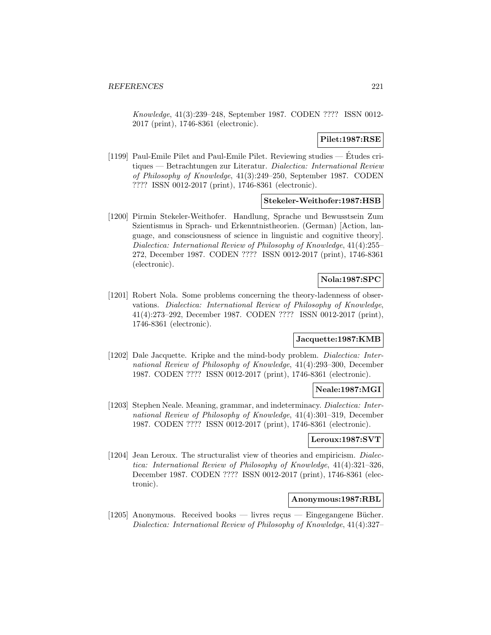Knowledge, 41(3):239–248, September 1987. CODEN ???? ISSN 0012- 2017 (print), 1746-8361 (electronic).

### **Pilet:1987:RSE**

[1199] Paul-Emile Pilet and Paul-Emile Pilet. Reviewing studies — Etudes cri- ´ tiques — Betrachtungen zur Literatur. Dialectica: International Review of Philosophy of Knowledge, 41(3):249–250, September 1987. CODEN ???? ISSN 0012-2017 (print), 1746-8361 (electronic).

### **Stekeler-Weithofer:1987:HSB**

[1200] Pirmin Stekeler-Weithofer. Handlung, Sprache und Bewusstsein Zum Szientismus in Sprach- und Erkenntnistheorien. (German) [Action, language, and consciousness of science in linguistic and cognitive theory]. Dialectica: International Review of Philosophy of Knowledge, 41(4):255– 272, December 1987. CODEN ???? ISSN 0012-2017 (print), 1746-8361 (electronic).

# **Nola:1987:SPC**

[1201] Robert Nola. Some problems concerning the theory-ladenness of observations. Dialectica: International Review of Philosophy of Knowledge, 41(4):273–292, December 1987. CODEN ???? ISSN 0012-2017 (print), 1746-8361 (electronic).

### **Jacquette:1987:KMB**

[1202] Dale Jacquette. Kripke and the mind-body problem. Dialectica: International Review of Philosophy of Knowledge, 41(4):293–300, December 1987. CODEN ???? ISSN 0012-2017 (print), 1746-8361 (electronic).

### **Neale:1987:MGI**

[1203] Stephen Neale. Meaning, grammar, and indeterminacy. Dialectica: International Review of Philosophy of Knowledge, 41(4):301–319, December 1987. CODEN ???? ISSN 0012-2017 (print), 1746-8361 (electronic).

### **Leroux:1987:SVT**

[1204] Jean Leroux. The structuralist view of theories and empiricism. *Dialec*tica: International Review of Philosophy of Knowledge, 41(4):321–326, December 1987. CODEN ???? ISSN 0012-2017 (print), 1746-8361 (electronic).

### **Anonymous:1987:RBL**

[1205] Anonymous. Received books — livres reçus — Eingegangene Bücher. Dialectica: International Review of Philosophy of Knowledge, 41(4):327–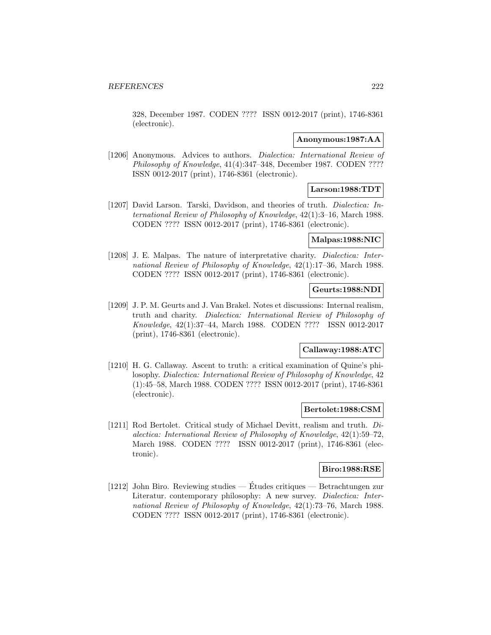328, December 1987. CODEN ???? ISSN 0012-2017 (print), 1746-8361 (electronic).

#### **Anonymous:1987:AA**

[1206] Anonymous. Advices to authors. *Dialectica: International Review of* Philosophy of Knowledge, 41(4):347–348, December 1987. CODEN ???? ISSN 0012-2017 (print), 1746-8361 (electronic).

# **Larson:1988:TDT**

[1207] David Larson. Tarski, Davidson, and theories of truth. Dialectica: International Review of Philosophy of Knowledge, 42(1):3–16, March 1988. CODEN ???? ISSN 0012-2017 (print), 1746-8361 (electronic).

# **Malpas:1988:NIC**

[1208] J. E. Malpas. The nature of interpretative charity. Dialectica: International Review of Philosophy of Knowledge, 42(1):17–36, March 1988. CODEN ???? ISSN 0012-2017 (print), 1746-8361 (electronic).

# **Geurts:1988:NDI**

[1209] J. P. M. Geurts and J. Van Brakel. Notes et discussions: Internal realism, truth and charity. Dialectica: International Review of Philosophy of Knowledge, 42(1):37–44, March 1988. CODEN ???? ISSN 0012-2017 (print), 1746-8361 (electronic).

# **Callaway:1988:ATC**

[1210] H. G. Callaway. Ascent to truth: a critical examination of Quine's philosophy. Dialectica: International Review of Philosophy of Knowledge, 42 (1):45–58, March 1988. CODEN ???? ISSN 0012-2017 (print), 1746-8361 (electronic).

# **Bertolet:1988:CSM**

[1211] Rod Bertolet. Critical study of Michael Devitt, realism and truth. Dialectica: International Review of Philosophy of Knowledge, 42(1):59–72, March 1988. CODEN ???? ISSN 0012-2017 (print), 1746-8361 (electronic).

### **Biro:1988:RSE**

[1212] John Biro. Reviewing studies — Etudes critiques — Betrachtungen zur ´ Literatur. contemporary philosophy: A new survey. Dialectica: International Review of Philosophy of Knowledge, 42(1):73–76, March 1988. CODEN ???? ISSN 0012-2017 (print), 1746-8361 (electronic).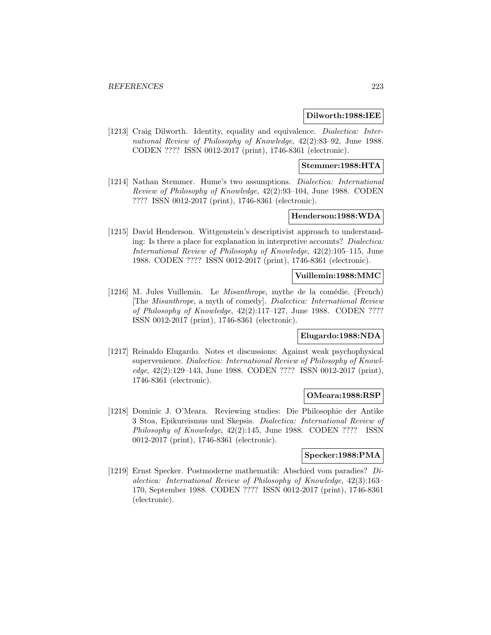### **Dilworth:1988:IEE**

[1213] Craig Dilworth. Identity, equality and equivalence. *Dialectica: Inter*national Review of Philosophy of Knowledge, 42(2):83–92, June 1988. CODEN ???? ISSN 0012-2017 (print), 1746-8361 (electronic).

### **Stemmer:1988:HTA**

[1214] Nathan Stemmer. Hume's two assumptions. Dialectica: International Review of Philosophy of Knowledge, 42(2):93–104, June 1988. CODEN ???? ISSN 0012-2017 (print), 1746-8361 (electronic).

## **Henderson:1988:WDA**

[1215] David Henderson. Wittgenstein's descriptivist approach to understanding: Is there a place for explanation in interpretive accounts? Dialectica: International Review of Philosophy of Knowledge, 42(2):105–115, June 1988. CODEN ???? ISSN 0012-2017 (print), 1746-8361 (electronic).

## **Vuillemin:1988:MMC**

[1216] M. Jules Vuillemin. Le Misanthrope, mythe de la comédie. (French) [The Misanthrope, a myth of comedy]. Dialectica: International Review of Philosophy of Knowledge,  $42(2):117-127$ , June 1988. CODEN ???? ISSN 0012-2017 (print), 1746-8361 (electronic).

#### **Elugardo:1988:NDA**

[1217] Reinaldo Elugardo. Notes et discussions: Against weak psychophysical supervenience. Dialectica: International Review of Philosophy of Knowledge, 42(2):129–143, June 1988. CODEN ???? ISSN 0012-2017 (print), 1746-8361 (electronic).

#### **OMeara:1988:RSP**

[1218] Dominic J. O'Meara. Reviewing studies: Die Philosophie der Antike 3 Stoa, Epikureismus und Skepsis. Dialectica: International Review of Philosophy of Knowledge, 42(2):145, June 1988. CODEN ???? ISSN 0012-2017 (print), 1746-8361 (electronic).

## **Specker:1988:PMA**

[1219] Ernst Specker. Postmoderne mathematik: Abschied vom paradies? Dialectica: International Review of Philosophy of Knowledge, 42(3):163– 170, September 1988. CODEN ???? ISSN 0012-2017 (print), 1746-8361 (electronic).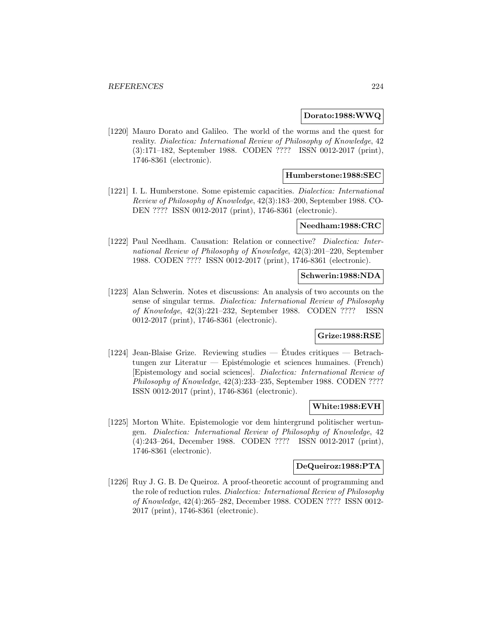### **Dorato:1988:WWQ**

[1220] Mauro Dorato and Galileo. The world of the worms and the quest for reality. Dialectica: International Review of Philosophy of Knowledge, 42 (3):171–182, September 1988. CODEN ???? ISSN 0012-2017 (print), 1746-8361 (electronic).

### **Humberstone:1988:SEC**

[1221] I. L. Humberstone. Some epistemic capacities. Dialectica: International Review of Philosophy of Knowledge, 42(3):183–200, September 1988. CO-DEN ???? ISSN 0012-2017 (print), 1746-8361 (electronic).

#### **Needham:1988:CRC**

[1222] Paul Needham. Causation: Relation or connective? Dialectica: International Review of Philosophy of Knowledge, 42(3):201–220, September 1988. CODEN ???? ISSN 0012-2017 (print), 1746-8361 (electronic).

# **Schwerin:1988:NDA**

[1223] Alan Schwerin. Notes et discussions: An analysis of two accounts on the sense of singular terms. Dialectica: International Review of Philosophy of Knowledge, 42(3):221–232, September 1988. CODEN ???? ISSN 0012-2017 (print), 1746-8361 (electronic).

## **Grize:1988:RSE**

[1224] Jean-Blaise Grize. Reviewing studies — Etudes critiques — Betrach- ´ tungen zur Literatur — Epistémologie et sciences humaines. (French) [Epistemology and social sciences]. Dialectica: International Review of Philosophy of Knowledge, 42(3):233–235, September 1988. CODEN ???? ISSN 0012-2017 (print), 1746-8361 (electronic).

#### **White:1988:EVH**

[1225] Morton White. Epistemologie vor dem hintergrund politischer wertungen. Dialectica: International Review of Philosophy of Knowledge, 42 (4):243–264, December 1988. CODEN ???? ISSN 0012-2017 (print), 1746-8361 (electronic).

# **DeQueiroz:1988:PTA**

[1226] Ruy J. G. B. De Queiroz. A proof-theoretic account of programming and the role of reduction rules. Dialectica: International Review of Philosophy of Knowledge, 42(4):265–282, December 1988. CODEN ???? ISSN 0012- 2017 (print), 1746-8361 (electronic).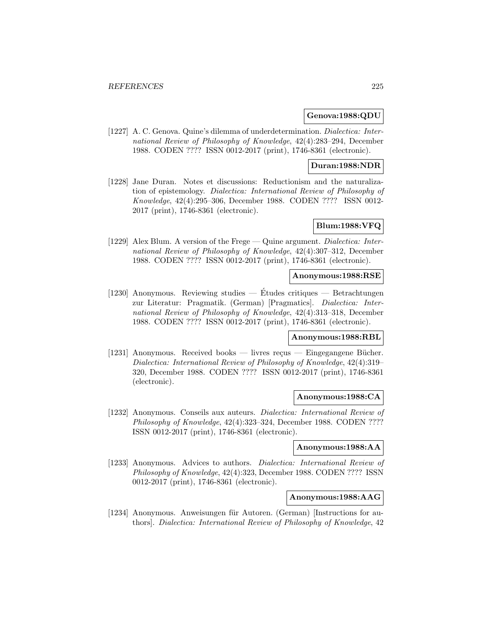### **Genova:1988:QDU**

[1227] A. C. Genova. Quine's dilemma of underdetermination. Dialectica: International Review of Philosophy of Knowledge, 42(4):283–294, December 1988. CODEN ???? ISSN 0012-2017 (print), 1746-8361 (electronic).

# **Duran:1988:NDR**

[1228] Jane Duran. Notes et discussions: Reductionism and the naturalization of epistemology. Dialectica: International Review of Philosophy of Knowledge, 42(4):295–306, December 1988. CODEN ???? ISSN 0012- 2017 (print), 1746-8361 (electronic).

# **Blum:1988:VFQ**

[1229] Alex Blum. A version of the Frege — Quine argument. Dialectica: International Review of Philosophy of Knowledge, 42(4):307–312, December 1988. CODEN ???? ISSN 0012-2017 (print), 1746-8361 (electronic).

## **Anonymous:1988:RSE**

[1230] Anonymous. Reviewing studies — Études critiques — Betrachtungen zur Literatur: Pragmatik. (German) [Pragmatics]. Dialectica: International Review of Philosophy of Knowledge, 42(4):313–318, December 1988. CODEN ???? ISSN 0012-2017 (print), 1746-8361 (electronic).

# **Anonymous:1988:RBL**

[1231] Anonymous. Received books — livres reçus — Eingegangene Bücher. Dialectica: International Review of Philosophy of Knowledge, 42(4):319– 320, December 1988. CODEN ???? ISSN 0012-2017 (print), 1746-8361 (electronic).

#### **Anonymous:1988:CA**

[1232] Anonymous. Conseils aux auteurs. Dialectica: International Review of Philosophy of Knowledge, 42(4):323–324, December 1988. CODEN ???? ISSN 0012-2017 (print), 1746-8361 (electronic).

#### **Anonymous:1988:AA**

[1233] Anonymous. Advices to authors. *Dialectica: International Review of* Philosophy of Knowledge, 42(4):323, December 1988. CODEN ???? ISSN 0012-2017 (print), 1746-8361 (electronic).

### **Anonymous:1988:AAG**

[1234] Anonymous. Anweisungen für Autoren. (German) [Instructions for authors]. Dialectica: International Review of Philosophy of Knowledge, 42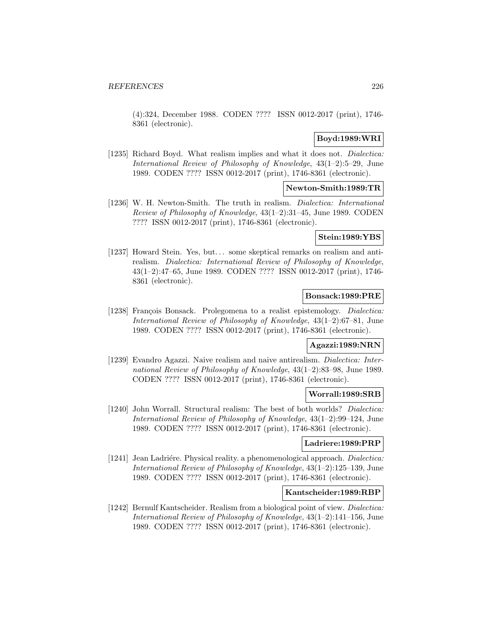(4):324, December 1988. CODEN ???? ISSN 0012-2017 (print), 1746- 8361 (electronic).

# **Boyd:1989:WRI**

[1235] Richard Boyd. What realism implies and what it does not. *Dialectica:* International Review of Philosophy of Knowledge, 43(1–2):5–29, June 1989. CODEN ???? ISSN 0012-2017 (print), 1746-8361 (electronic).

# **Newton-Smith:1989:TR**

[1236] W. H. Newton-Smith. The truth in realism. *Dialectica: International* Review of Philosophy of Knowledge, 43(1–2):31–45, June 1989. CODEN ???? ISSN 0012-2017 (print), 1746-8361 (electronic).

# **Stein:1989:YBS**

[1237] Howard Stein. Yes, but... some skeptical remarks on realism and antirealism. Dialectica: International Review of Philosophy of Knowledge, 43(1–2):47–65, June 1989. CODEN ???? ISSN 0012-2017 (print), 1746- 8361 (electronic).

### **Bonsack:1989:PRE**

[1238] François Bonsack. Prolegomena to a realist epistemology. *Dialectica:* International Review of Philosophy of Knowledge, 43(1–2):67–81, June 1989. CODEN ???? ISSN 0012-2017 (print), 1746-8361 (electronic).

# **Agazzi:1989:NRN**

[1239] Evandro Agazzi. Naive realism and naive antirealism. Dialectica: International Review of Philosophy of Knowledge, 43(1–2):83–98, June 1989. CODEN ???? ISSN 0012-2017 (print), 1746-8361 (electronic).

#### **Worrall:1989:SRB**

[1240] John Worrall. Structural realism: The best of both worlds? *Dialectica:* International Review of Philosophy of Knowledge, 43(1–2):99–124, June 1989. CODEN ???? ISSN 0012-2017 (print), 1746-8361 (electronic).

### **Ladriere:1989:PRP**

[1241] Jean Ladriére. Physical reality. a phenomenological approach. Dialectica: International Review of Philosophy of Knowledge, 43(1–2):125–139, June 1989. CODEN ???? ISSN 0012-2017 (print), 1746-8361 (electronic).

## **Kantscheider:1989:RBP**

[1242] Bernulf Kantscheider. Realism from a biological point of view. Dialectica: International Review of Philosophy of Knowledge, 43(1–2):141–156, June 1989. CODEN ???? ISSN 0012-2017 (print), 1746-8361 (electronic).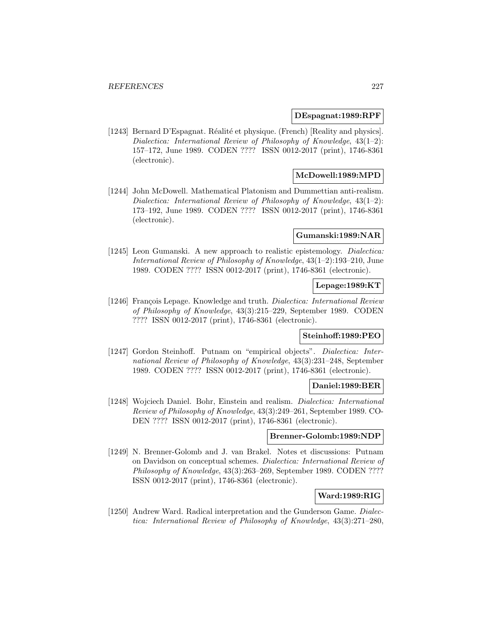#### **DEspagnat:1989:RPF**

[1243] Bernard D'Espagnat. Réalité et physique. (French) [Reality and physics]. Dialectica: International Review of Philosophy of Knowledge, 43(1–2): 157–172, June 1989. CODEN ???? ISSN 0012-2017 (print), 1746-8361 (electronic).

### **McDowell:1989:MPD**

[1244] John McDowell. Mathematical Platonism and Dummettian anti-realism. Dialectica: International Review of Philosophy of Knowledge,  $43(1-2)$ : 173–192, June 1989. CODEN ???? ISSN 0012-2017 (print), 1746-8361 (electronic).

### **Gumanski:1989:NAR**

[1245] Leon Gumanski. A new approach to realistic epistemology. *Dialectica:* International Review of Philosophy of Knowledge, 43(1–2):193–210, June 1989. CODEN ???? ISSN 0012-2017 (print), 1746-8361 (electronic).

## **Lepage:1989:KT**

[1246] François Lepage. Knowledge and truth. Dialectica: International Review of Philosophy of Knowledge, 43(3):215–229, September 1989. CODEN ???? ISSN 0012-2017 (print), 1746-8361 (electronic).

### **Steinhoff:1989:PEO**

[1247] Gordon Steinhoff. Putnam on "empirical objects". Dialectica: International Review of Philosophy of Knowledge, 43(3):231–248, September 1989. CODEN ???? ISSN 0012-2017 (print), 1746-8361 (electronic).

#### **Daniel:1989:BER**

[1248] Wojciech Daniel. Bohr, Einstein and realism. Dialectica: International Review of Philosophy of Knowledge, 43(3):249–261, September 1989. CO-DEN ???? ISSN 0012-2017 (print), 1746-8361 (electronic).

### **Brenner-Golomb:1989:NDP**

[1249] N. Brenner-Golomb and J. van Brakel. Notes et discussions: Putnam on Davidson on conceptual schemes. Dialectica: International Review of Philosophy of Knowledge, 43(3):263–269, September 1989. CODEN ???? ISSN 0012-2017 (print), 1746-8361 (electronic).

### **Ward:1989:RIG**

[1250] Andrew Ward. Radical interpretation and the Gunderson Game. Dialectica: International Review of Philosophy of Knowledge, 43(3):271–280,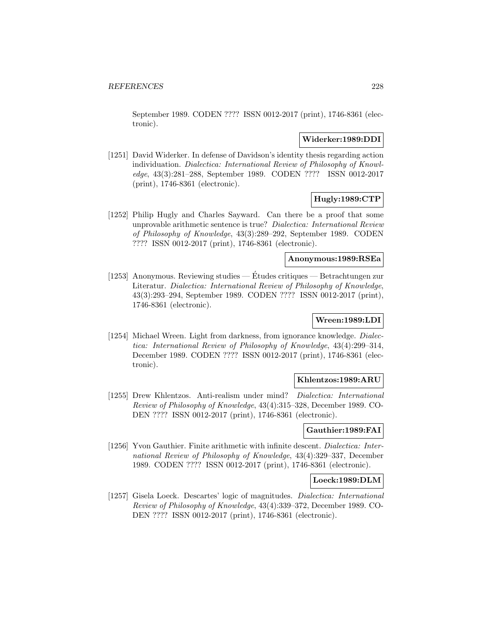September 1989. CODEN ???? ISSN 0012-2017 (print), 1746-8361 (electronic).

### **Widerker:1989:DDI**

[1251] David Widerker. In defense of Davidson's identity thesis regarding action individuation. Dialectica: International Review of Philosophy of Knowledge, 43(3):281–288, September 1989. CODEN ???? ISSN 0012-2017 (print), 1746-8361 (electronic).

# **Hugly:1989:CTP**

[1252] Philip Hugly and Charles Sayward. Can there be a proof that some unprovable arithmetic sentence is true? Dialectica: International Review of Philosophy of Knowledge, 43(3):289–292, September 1989. CODEN ???? ISSN 0012-2017 (print), 1746-8361 (electronic).

# **Anonymous:1989:RSEa**

[1253] Anonymous. Reviewing studies — Etudes critiques — Betrachtungen zur ´ Literatur. Dialectica: International Review of Philosophy of Knowledge, 43(3):293–294, September 1989. CODEN ???? ISSN 0012-2017 (print), 1746-8361 (electronic).

# **Wreen:1989:LDI**

[1254] Michael Wreen. Light from darkness, from ignorance knowledge. Dialectica: International Review of Philosophy of Knowledge, 43(4):299–314, December 1989. CODEN ???? ISSN 0012-2017 (print), 1746-8361 (electronic).

#### **Khlentzos:1989:ARU**

[1255] Drew Khlentzos. Anti-realism under mind? Dialectica: International Review of Philosophy of Knowledge, 43(4):315–328, December 1989. CO-DEN ???? ISSN 0012-2017 (print), 1746-8361 (electronic).

# **Gauthier:1989:FAI**

[1256] Yvon Gauthier. Finite arithmetic with infinite descent. Dialectica: International Review of Philosophy of Knowledge, 43(4):329–337, December 1989. CODEN ???? ISSN 0012-2017 (print), 1746-8361 (electronic).

### **Loeck:1989:DLM**

[1257] Gisela Loeck. Descartes' logic of magnitudes. Dialectica: International Review of Philosophy of Knowledge, 43(4):339–372, December 1989. CO-DEN ???? ISSN 0012-2017 (print), 1746-8361 (electronic).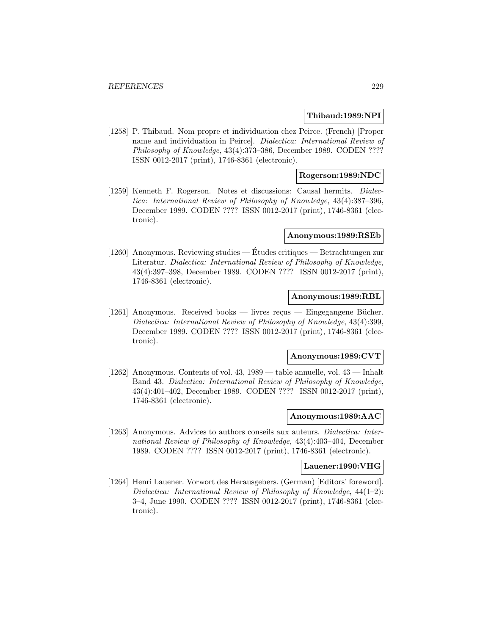### **Thibaud:1989:NPI**

[1258] P. Thibaud. Nom propre et individuation chez Peirce. (French) [Proper name and individuation in Peirce]. Dialectica: International Review of Philosophy of Knowledge, 43(4):373–386, December 1989. CODEN ???? ISSN 0012-2017 (print), 1746-8361 (electronic).

### **Rogerson:1989:NDC**

[1259] Kenneth F. Rogerson. Notes et discussions: Causal hermits. Dialectica: International Review of Philosophy of Knowledge, 43(4):387–396, December 1989. CODEN ???? ISSN 0012-2017 (print), 1746-8361 (electronic).

# **Anonymous:1989:RSEb**

[1260] Anonymous. Reviewing studies — Études critiques — Betrachtungen zur Literatur. Dialectica: International Review of Philosophy of Knowledge, 43(4):397–398, December 1989. CODEN ???? ISSN 0012-2017 (print), 1746-8361 (electronic).

#### **Anonymous:1989:RBL**

[1261] Anonymous. Received books — livres reçus — Eingegangene Bücher. Dialectica: International Review of Philosophy of Knowledge, 43(4):399, December 1989. CODEN ???? ISSN 0012-2017 (print), 1746-8361 (electronic).

## **Anonymous:1989:CVT**

[1262] Anonymous. Contents of vol. 43, 1989 — table annuelle, vol. 43 — Inhalt Band 43. Dialectica: International Review of Philosophy of Knowledge, 43(4):401–402, December 1989. CODEN ???? ISSN 0012-2017 (print), 1746-8361 (electronic).

#### **Anonymous:1989:AAC**

[1263] Anonymous. Advices to authors conseils aux auteurs. Dialectica: International Review of Philosophy of Knowledge, 43(4):403–404, December 1989. CODEN ???? ISSN 0012-2017 (print), 1746-8361 (electronic).

#### **Lauener:1990:VHG**

[1264] Henri Lauener. Vorwort des Herausgebers. (German) [Editors' foreword]. Dialectica: International Review of Philosophy of Knowledge, 44(1–2): 3–4, June 1990. CODEN ???? ISSN 0012-2017 (print), 1746-8361 (electronic).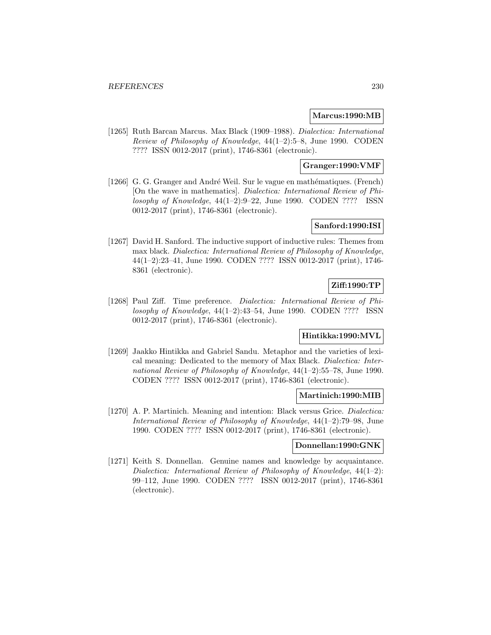### **Marcus:1990:MB**

[1265] Ruth Barcan Marcus. Max Black (1909–1988). Dialectica: International Review of Philosophy of Knowledge, 44(1–2):5–8, June 1990. CODEN ???? ISSN 0012-2017 (print), 1746-8361 (electronic).

# **Granger:1990:VMF**

[1266] G. G. Granger and André Weil. Sur le vague en mathématiques. (French) [On the wave in mathematics]. Dialectica: International Review of Philosophy of Knowledge,  $44(1-2):9-22$ , June 1990. CODEN ???? ISSN 0012-2017 (print), 1746-8361 (electronic).

### **Sanford:1990:ISI**

[1267] David H. Sanford. The inductive support of inductive rules: Themes from max black. Dialectica: International Review of Philosophy of Knowledge, 44(1–2):23–41, June 1990. CODEN ???? ISSN 0012-2017 (print), 1746- 8361 (electronic).

# **Ziff:1990:TP**

[1268] Paul Ziff. Time preference. Dialectica: International Review of Philosophy of Knowledge,  $44(1-2):43-54$ , June 1990. CODEN ???? ISSN 0012-2017 (print), 1746-8361 (electronic).

# **Hintikka:1990:MVL**

[1269] Jaakko Hintikka and Gabriel Sandu. Metaphor and the varieties of lexical meaning: Dedicated to the memory of Max Black. Dialectica: International Review of Philosophy of Knowledge, 44(1–2):55–78, June 1990. CODEN ???? ISSN 0012-2017 (print), 1746-8361 (electronic).

## **Martinich:1990:MIB**

[1270] A. P. Martinich. Meaning and intention: Black versus Grice. *Dialectica:* International Review of Philosophy of Knowledge, 44(1–2):79–98, June 1990. CODEN ???? ISSN 0012-2017 (print), 1746-8361 (electronic).

## **Donnellan:1990:GNK**

[1271] Keith S. Donnellan. Genuine names and knowledge by acquaintance. Dialectica: International Review of Philosophy of Knowledge, 44(1–2): 99–112, June 1990. CODEN ???? ISSN 0012-2017 (print), 1746-8361 (electronic).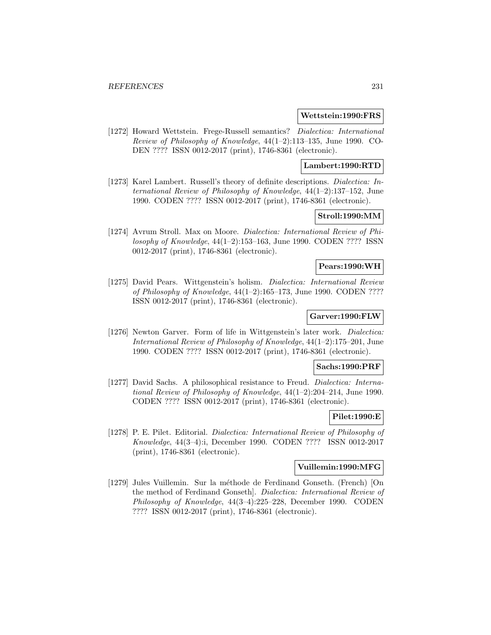#### **Wettstein:1990:FRS**

[1272] Howard Wettstein. Frege-Russell semantics? Dialectica: International Review of Philosophy of Knowledge, 44(1–2):113–135, June 1990. CO-DEN ???? ISSN 0012-2017 (print), 1746-8361 (electronic).

### **Lambert:1990:RTD**

[1273] Karel Lambert. Russell's theory of definite descriptions. Dialectica: International Review of Philosophy of Knowledge, 44(1–2):137–152, June 1990. CODEN ???? ISSN 0012-2017 (print), 1746-8361 (electronic).

# **Stroll:1990:MM**

[1274] Avrum Stroll. Max on Moore. Dialectica: International Review of Philosophy of Knowledge, 44(1–2):153–163, June 1990. CODEN ???? ISSN 0012-2017 (print), 1746-8361 (electronic).

# **Pears:1990:WH**

[1275] David Pears. Wittgenstein's holism. Dialectica: International Review of Philosophy of Knowledge, 44(1–2):165–173, June 1990. CODEN ???? ISSN 0012-2017 (print), 1746-8361 (electronic).

# **Garver:1990:FLW**

[1276] Newton Garver. Form of life in Wittgenstein's later work. Dialectica: International Review of Philosophy of Knowledge, 44(1–2):175–201, June 1990. CODEN ???? ISSN 0012-2017 (print), 1746-8361 (electronic).

#### **Sachs:1990:PRF**

[1277] David Sachs. A philosophical resistance to Freud. Dialectica: International Review of Philosophy of Knowledge, 44(1–2):204–214, June 1990. CODEN ???? ISSN 0012-2017 (print), 1746-8361 (electronic).

### **Pilet:1990:E**

[1278] P. E. Pilet. Editorial. Dialectica: International Review of Philosophy of Knowledge, 44(3–4):i, December 1990. CODEN ???? ISSN 0012-2017 (print), 1746-8361 (electronic).

# **Vuillemin:1990:MFG**

[1279] Jules Vuillemin. Sur la méthode de Ferdinand Gonseth. (French) [On the method of Ferdinand Gonseth]. Dialectica: International Review of Philosophy of Knowledge, 44(3–4):225–228, December 1990. CODEN ???? ISSN 0012-2017 (print), 1746-8361 (electronic).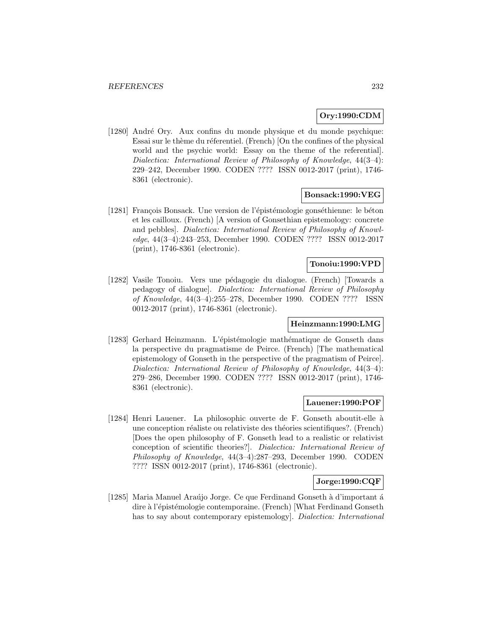# **Ory:1990:CDM**

[1280] André Ory. Aux confins du monde physique et du monde psychique: Essai sur le thème du réferentiel. (French) [On the confines of the physical world and the psychic world: Essay on the theme of the referential]. Dialectica: International Review of Philosophy of Knowledge, 44(3–4): 229–242, December 1990. CODEN ???? ISSN 0012-2017 (print), 1746- 8361 (electronic).

# **Bonsack:1990:VEG**

[1281] François Bonsack. Une version de l'épistémologie gonséthienne: le béton et les cailloux. (French) [A version of Gonsethian epistemology: concrete and pebbles]. Dialectica: International Review of Philosophy of Knowledge, 44(3–4):243–253, December 1990. CODEN ???? ISSN 0012-2017 (print), 1746-8361 (electronic).

# **Tonoiu:1990:VPD**

[1282] Vasile Tonoiu. Vers une pédagogie du dialogue. (French) [Towards a pedagogy of dialogue]. Dialectica: International Review of Philosophy of Knowledge, 44(3–4):255–278, December 1990. CODEN ???? ISSN 0012-2017 (print), 1746-8361 (electronic).

### **Heinzmann:1990:LMG**

[1283] Gerhard Heinzmann. L'épistémologie mathématique de Gonseth dans la perspective du pragmatisme de Peirce. (French) [The mathematical epistemology of Gonseth in the perspective of the pragmatism of Peirce]. Dialectica: International Review of Philosophy of Knowledge, 44(3–4): 279–286, December 1990. CODEN ???? ISSN 0012-2017 (print), 1746- 8361 (electronic).

### **Lauener:1990:POF**

[1284] Henri Lauener. La philosophic ouverte de F. Gonseth aboutit-elle à une conception réaliste ou relativiste des théories scientifiques?. (French) [Does the open philosophy of F. Gonseth lead to a realistic or relativist conception of scientific theories?]. Dialectica: International Review of Philosophy of Knowledge, 44(3–4):287–293, December 1990. CODEN ???? ISSN 0012-2017 (print), 1746-8361 (electronic).

# **Jorge:1990:CQF**

 $[1285]$  Maria Manuel Araújo Jorge. Ce que Ferdinand Gonseth à d'important á dire à l'épistémologie contemporaine. (French) [What Ferdinand Gonseth has to say about contemporary epistemology]. Dialectica: International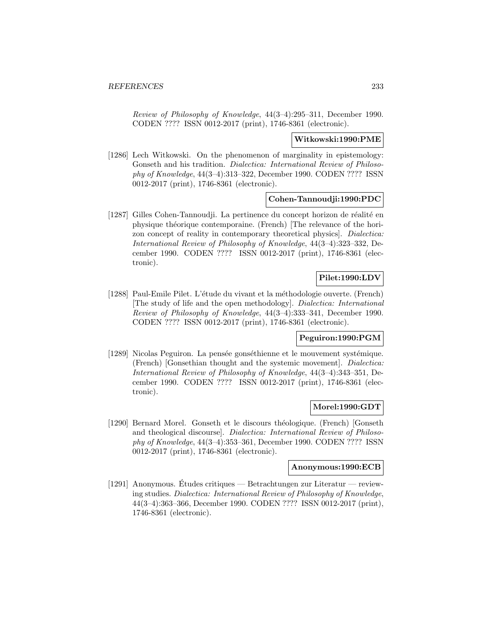Review of Philosophy of Knowledge, 44(3–4):295–311, December 1990. CODEN ???? ISSN 0012-2017 (print), 1746-8361 (electronic).

#### **Witkowski:1990:PME**

[1286] Lech Witkowski. On the phenomenon of marginality in epistemology: Gonseth and his tradition. Dialectica: International Review of Philosophy of Knowledge, 44(3–4):313–322, December 1990. CODEN ???? ISSN 0012-2017 (print), 1746-8361 (electronic).

### **Cohen-Tannoudji:1990:PDC**

[1287] Gilles Cohen-Tannoudji. La pertinence du concept horizon de réalité en physique théorique contemporaine. (French) [The relevance of the horizon concept of reality in contemporary theoretical physics]. Dialectica: International Review of Philosophy of Knowledge, 44(3–4):323–332, December 1990. CODEN ???? ISSN 0012-2017 (print), 1746-8361 (electronic).

# **Pilet:1990:LDV**

[1288] Paul-Emile Pilet. L'étude du vivant et la méthodologie ouverte. (French) [The study of life and the open methodology]. Dialectica: International Review of Philosophy of Knowledge, 44(3–4):333–341, December 1990. CODEN ???? ISSN 0012-2017 (print), 1746-8361 (electronic).

### **Peguiron:1990:PGM**

[1289] Nicolas Peguiron. La pensée gonséthienne et le mouvement systémique. (French) [Gonsethian thought and the systemic movement]. Dialectica: International Review of Philosophy of Knowledge, 44(3–4):343–351, December 1990. CODEN ???? ISSN 0012-2017 (print), 1746-8361 (electronic).

#### **Morel:1990:GDT**

[1290] Bernard Morel. Gonseth et le discours théologique. (French) [Gonseth and theological discourse]. Dialectica: International Review of Philosophy of Knowledge, 44(3–4):353–361, December 1990. CODEN ???? ISSN 0012-2017 (print), 1746-8361 (electronic).

# **Anonymous:1990:ECB**

[1291] Anonymous. Etudes critiques — Betrachtungen zur Literatur — review- ´ ing studies. Dialectica: International Review of Philosophy of Knowledge, 44(3–4):363–366, December 1990. CODEN ???? ISSN 0012-2017 (print), 1746-8361 (electronic).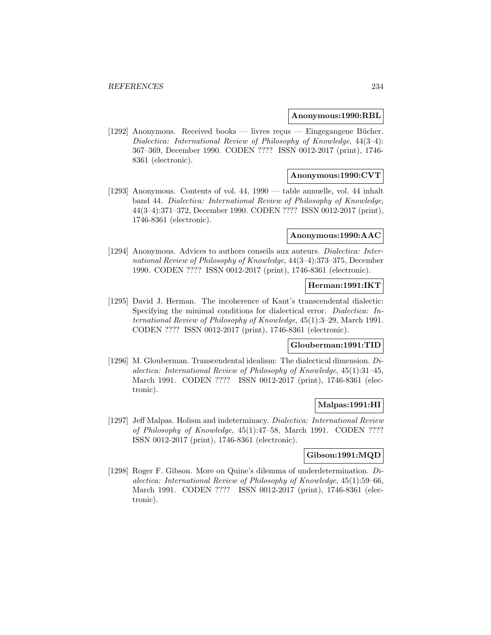#### **Anonymous:1990:RBL**

[1292] Anonymous. Received books — livres reçus — Eingegangene Bücher. Dialectica: International Review of Philosophy of Knowledge, 44(3–4): 367–369, December 1990. CODEN ???? ISSN 0012-2017 (print), 1746- 8361 (electronic).

### **Anonymous:1990:CVT**

[1293] Anonymous. Contents of vol. 44, 1990 — table annuelle, vol. 44 inhalt band 44. Dialectica: International Review of Philosophy of Knowledge, 44(3–4):371–372, December 1990. CODEN ???? ISSN 0012-2017 (print), 1746-8361 (electronic).

#### **Anonymous:1990:AAC**

[1294] Anonymous. Advices to authors conseils aux auteurs. *Dialectica: Inter*national Review of Philosophy of Knowledge, 44(3–4):373–375, December 1990. CODEN ???? ISSN 0012-2017 (print), 1746-8361 (electronic).

### **Herman:1991:IKT**

[1295] David J. Herman. The incoherence of Kant's transcendental dialectic: Specifying the minimal conditions for dialectical error. Dialectica: International Review of Philosophy of Knowledge, 45(1):3–29, March 1991. CODEN ???? ISSN 0012-2017 (print), 1746-8361 (electronic).

# **Glouberman:1991:TID**

[1296] M. Glouberman. Transcendental idealism: The dialectical dimension. Dialectica: International Review of Philosophy of Knowledge, 45(1):31–45, March 1991. CODEN ???? ISSN 0012-2017 (print), 1746-8361 (electronic).

### **Malpas:1991:HI**

[1297] Jeff Malpas. Holism and indeterminacy. Dialectica: International Review of Philosophy of Knowledge, 45(1):47–58, March 1991. CODEN ???? ISSN 0012-2017 (print), 1746-8361 (electronic).

### **Gibson:1991:MQD**

[1298] Roger F. Gibson. More on Quine's dilemma of underdetermination. Dialectica: International Review of Philosophy of Knowledge, 45(1):59–66, March 1991. CODEN ???? ISSN 0012-2017 (print), 1746-8361 (electronic).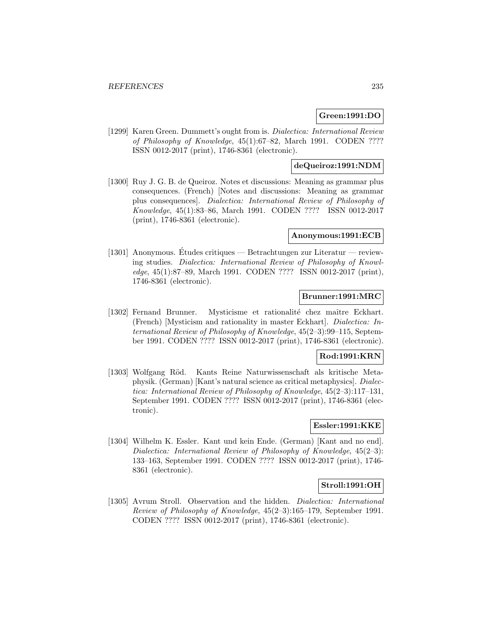### **Green:1991:DO**

[1299] Karen Green. Dummett's ought from is. Dialectica: International Review of Philosophy of Knowledge, 45(1):67–82, March 1991. CODEN ???? ISSN 0012-2017 (print), 1746-8361 (electronic).

# **deQueiroz:1991:NDM**

[1300] Ruy J. G. B. de Queiroz. Notes et discussions: Meaning as grammar plus consequences. (French) [Notes and discussions: Meaning as grammar plus consequences]. Dialectica: International Review of Philosophy of Knowledge, 45(1):83–86, March 1991. CODEN ???? ISSN 0012-2017 (print), 1746-8361 (electronic).

# **Anonymous:1991:ECB**

[1301] Anonymous. Etudes critiques — Betrachtungen zur Literatur — review- ´ ing studies. Dialectica: International Review of Philosophy of Knowledge, 45(1):87–89, March 1991. CODEN ???? ISSN 0012-2017 (print), 1746-8361 (electronic).

## **Brunner:1991:MRC**

[1302] Fernand Brunner. Mysticisme et rationalité chez maître Eckhart. (French) [Mysticism and rationality in master Eckhart]. Dialectica: International Review of Philosophy of Knowledge, 45(2–3):99–115, September 1991. CODEN ???? ISSN 0012-2017 (print), 1746-8361 (electronic).

# **Rod:1991:KRN**

[1303] Wolfgang Röd. Kants Reine Naturwissenschaft als kritische Metaphysik. (German) [Kant's natural science as critical metaphysics]. Dialectica: International Review of Philosophy of Knowledge, 45(2–3):117–131, September 1991. CODEN ???? ISSN 0012-2017 (print), 1746-8361 (electronic).

# **Essler:1991:KKE**

[1304] Wilhelm K. Essler. Kant und kein Ende. (German) [Kant and no end]. Dialectica: International Review of Philosophy of Knowledge, 45(2–3): 133–163, September 1991. CODEN ???? ISSN 0012-2017 (print), 1746- 8361 (electronic).

#### **Stroll:1991:OH**

[1305] Avrum Stroll. Observation and the hidden. Dialectica: International Review of Philosophy of Knowledge, 45(2–3):165–179, September 1991. CODEN ???? ISSN 0012-2017 (print), 1746-8361 (electronic).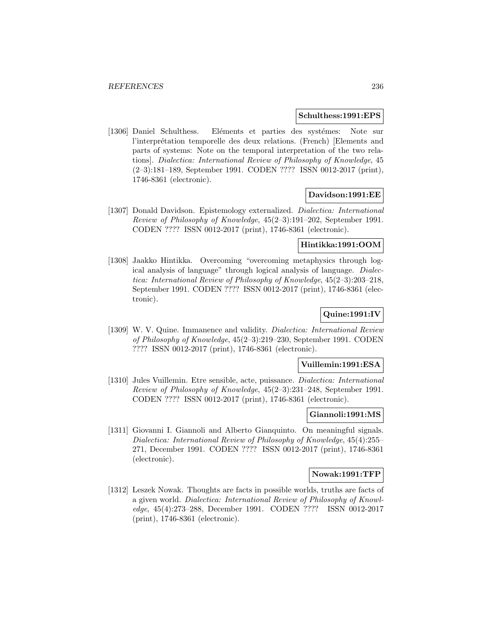#### **Schulthess:1991:EPS**

[1306] Daniel Schulthess. Eléments et parties des systémes: Note sur l'interprétation temporelle des deux relations. (French) [Elements and parts of systems: Note on the temporal interpretation of the two relations]. Dialectica: International Review of Philosophy of Knowledge, 45 (2–3):181–189, September 1991. CODEN ???? ISSN 0012-2017 (print), 1746-8361 (electronic).

### **Davidson:1991:EE**

[1307] Donald Davidson. Epistemology externalized. Dialectica: International Review of Philosophy of Knowledge, 45(2–3):191–202, September 1991. CODEN ???? ISSN 0012-2017 (print), 1746-8361 (electronic).

### **Hintikka:1991:OOM**

[1308] Jaakko Hintikka. Overcoming "overcoming metaphysics through logical analysis of language" through logical analysis of language. Dialectica: International Review of Philosophy of Knowledge, 45(2–3):203–218, September 1991. CODEN ???? ISSN 0012-2017 (print), 1746-8361 (electronic).

# **Quine:1991:IV**

[1309] W. V. Quine. Immanence and validity. Dialectica: International Review of Philosophy of Knowledge, 45(2–3):219–230, September 1991. CODEN ???? ISSN 0012-2017 (print), 1746-8361 (electronic).

### **Vuillemin:1991:ESA**

[1310] Jules Vuillemin. Etre sensible, acte, puissance. Dialectica: International Review of Philosophy of Knowledge, 45(2–3):231–248, September 1991. CODEN ???? ISSN 0012-2017 (print), 1746-8361 (electronic).

### **Giannoli:1991:MS**

[1311] Giovanni I. Giannoli and Alberto Gianquinto. On meaningful signals. Dialectica: International Review of Philosophy of Knowledge, 45(4):255– 271, December 1991. CODEN ???? ISSN 0012-2017 (print), 1746-8361 (electronic).

#### **Nowak:1991:TFP**

[1312] Leszek Nowak. Thoughts are facts in possible worlds, truths are facts of a given world. Dialectica: International Review of Philosophy of Knowledge, 45(4):273–288, December 1991. CODEN ???? ISSN 0012-2017 (print), 1746-8361 (electronic).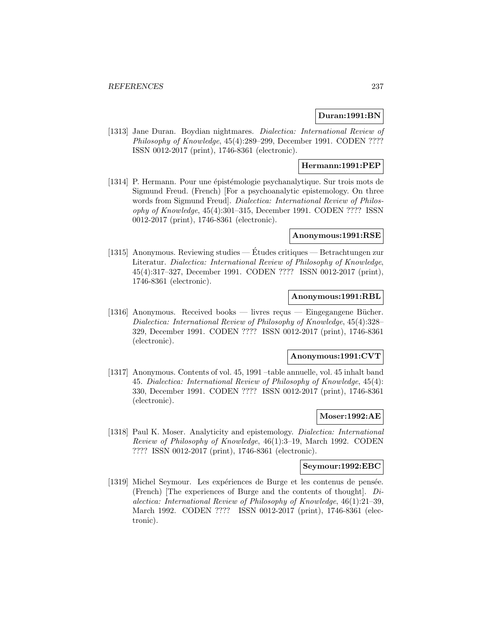## **Duran:1991:BN**

[1313] Jane Duran. Boydian nightmares. *Dialectica: International Review of* Philosophy of Knowledge, 45(4):289–299, December 1991. CODEN ???? ISSN 0012-2017 (print), 1746-8361 (electronic).

# **Hermann:1991:PEP**

[1314] P. Hermann. Pour une épistémologie psychanalytique. Sur trois mots de Sigmund Freud. (French) [For a psychoanalytic epistemology. On three words from Sigmund Freud. *Dialectica: International Review of Philos*ophy of Knowledge, 45(4):301–315, December 1991. CODEN ???? ISSN 0012-2017 (print), 1746-8361 (electronic).

# **Anonymous:1991:RSE**

[1315] Anonymous. Reviewing studies — Études critiques — Betrachtungen zur Literatur. Dialectica: International Review of Philosophy of Knowledge, 45(4):317–327, December 1991. CODEN ???? ISSN 0012-2017 (print), 1746-8361 (electronic).

### **Anonymous:1991:RBL**

[1316] Anonymous. Received books — livres reçus — Eingegangene Bücher. Dialectica: International Review of Philosophy of Knowledge, 45(4):328– 329, December 1991. CODEN ???? ISSN 0012-2017 (print), 1746-8361 (electronic).

## **Anonymous:1991:CVT**

[1317] Anonymous. Contents of vol. 45, 1991 –table annuelle, vol. 45 inhalt band 45. Dialectica: International Review of Philosophy of Knowledge, 45(4): 330, December 1991. CODEN ???? ISSN 0012-2017 (print), 1746-8361 (electronic).

### **Moser:1992:AE**

[1318] Paul K. Moser. Analyticity and epistemology. Dialectica: International Review of Philosophy of Knowledge, 46(1):3–19, March 1992. CODEN ???? ISSN 0012-2017 (print), 1746-8361 (electronic).

# **Seymour:1992:EBC**

[1319] Michel Seymour. Les expériences de Burge et les contenus de pensée. (French) [The experiences of Burge and the contents of thought]. Dialectica: International Review of Philosophy of Knowledge, 46(1):21–39, March 1992. CODEN ???? ISSN 0012-2017 (print), 1746-8361 (electronic).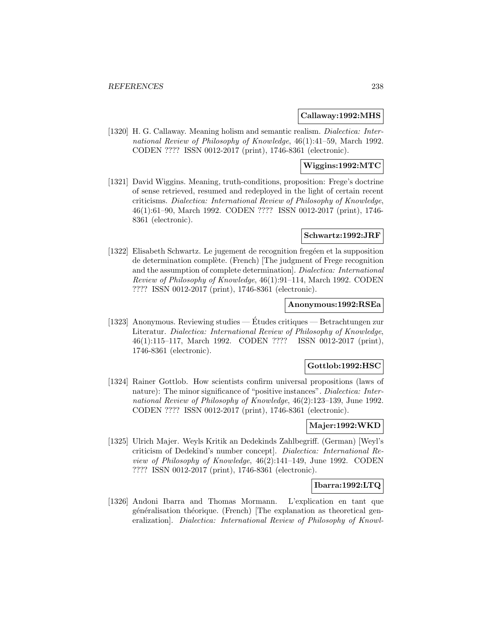### **Callaway:1992:MHS**

[1320] H. G. Callaway. Meaning holism and semantic realism. Dialectica: International Review of Philosophy of Knowledge, 46(1):41–59, March 1992. CODEN ???? ISSN 0012-2017 (print), 1746-8361 (electronic).

# **Wiggins:1992:MTC**

[1321] David Wiggins. Meaning, truth-conditions, proposition: Frege's doctrine of sense retrieved, resumed and redeployed in the light of certain recent criticisms. Dialectica: International Review of Philosophy of Knowledge, 46(1):61–90, March 1992. CODEN ???? ISSN 0012-2017 (print), 1746- 8361 (electronic).

### **Schwartz:1992:JRF**

[1322] Elisabeth Schwartz. Le jugement de recognition fregéen et la supposition de determination complète. (French) [The judgment of Frege recognition and the assumption of complete determination]. Dialectica: International Review of Philosophy of Knowledge, 46(1):91–114, March 1992. CODEN ???? ISSN 0012-2017 (print), 1746-8361 (electronic).

## **Anonymous:1992:RSEa**

[1323] Anonymous. Reviewing studies — Etudes critiques — Betrachtungen zur ´ Literatur. Dialectica: International Review of Philosophy of Knowledge, 46(1):115–117, March 1992. CODEN ???? ISSN 0012-2017 (print), 1746-8361 (electronic).

## **Gottlob:1992:HSC**

[1324] Rainer Gottlob. How scientists confirm universal propositions (laws of nature): The minor significance of "positive instances". *Dialectica: Inter*national Review of Philosophy of Knowledge, 46(2):123–139, June 1992. CODEN ???? ISSN 0012-2017 (print), 1746-8361 (electronic).

# **Majer:1992:WKD**

[1325] Ulrich Majer. Weyls Kritik an Dedekinds Zahlbegriff. (German) [Weyl's criticism of Dedekind's number concept]. Dialectica: International Review of Philosophy of Knowledge, 46(2):141–149, June 1992. CODEN ???? ISSN 0012-2017 (print), 1746-8361 (electronic).

### **Ibarra:1992:LTQ**

[1326] Andoni Ibarra and Thomas Mormann. L'explication en tant que généralisation théorique. (French) [The explanation as theoretical generalization]. Dialectica: International Review of Philosophy of Knowl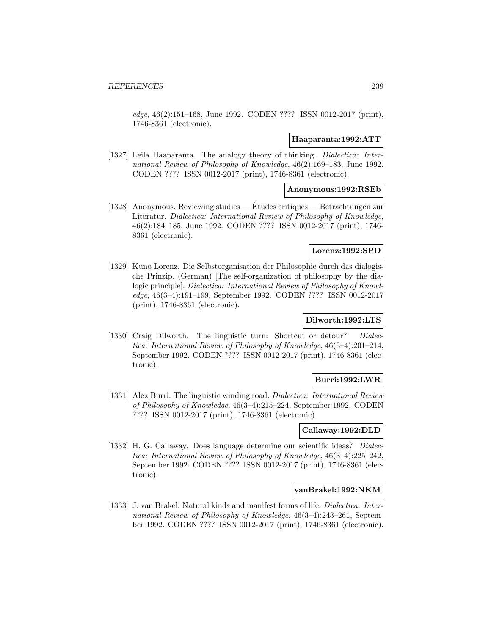edge, 46(2):151–168, June 1992. CODEN ???? ISSN 0012-2017 (print), 1746-8361 (electronic).

#### **Haaparanta:1992:ATT**

[1327] Leila Haaparanta. The analogy theory of thinking. *Dialectica: Inter*national Review of Philosophy of Knowledge, 46(2):169–183, June 1992. CODEN ???? ISSN 0012-2017 (print), 1746-8361 (electronic).

### **Anonymous:1992:RSEb**

[1328] Anonymous. Reviewing studies — Etudes critiques — Betrachtungen zur ´ Literatur. Dialectica: International Review of Philosophy of Knowledge, 46(2):184–185, June 1992. CODEN ???? ISSN 0012-2017 (print), 1746- 8361 (electronic).

# **Lorenz:1992:SPD**

[1329] Kuno Lorenz. Die Selbstorganisation der Philosophie durch das dialogische Prinzip. (German) [The self-organization of philosophy by the dialogic principle]. Dialectica: International Review of Philosophy of Knowledge, 46(3–4):191–199, September 1992. CODEN ???? ISSN 0012-2017 (print), 1746-8361 (electronic).

## **Dilworth:1992:LTS**

[1330] Craig Dilworth. The linguistic turn: Shortcut or detour? Dialectica: International Review of Philosophy of Knowledge, 46(3–4):201–214, September 1992. CODEN ???? ISSN 0012-2017 (print), 1746-8361 (electronic).

### **Burri:1992:LWR**

[1331] Alex Burri. The linguistic winding road. Dialectica: International Review of Philosophy of Knowledge, 46(3–4):215–224, September 1992. CODEN ???? ISSN 0012-2017 (print), 1746-8361 (electronic).

#### **Callaway:1992:DLD**

[1332] H. G. Callaway. Does language determine our scientific ideas? Dialectica: International Review of Philosophy of Knowledge, 46(3–4):225–242, September 1992. CODEN ???? ISSN 0012-2017 (print), 1746-8361 (electronic).

# **vanBrakel:1992:NKM**

[1333] J. van Brakel. Natural kinds and manifest forms of life. Dialectica: International Review of Philosophy of Knowledge, 46(3–4):243–261, September 1992. CODEN ???? ISSN 0012-2017 (print), 1746-8361 (electronic).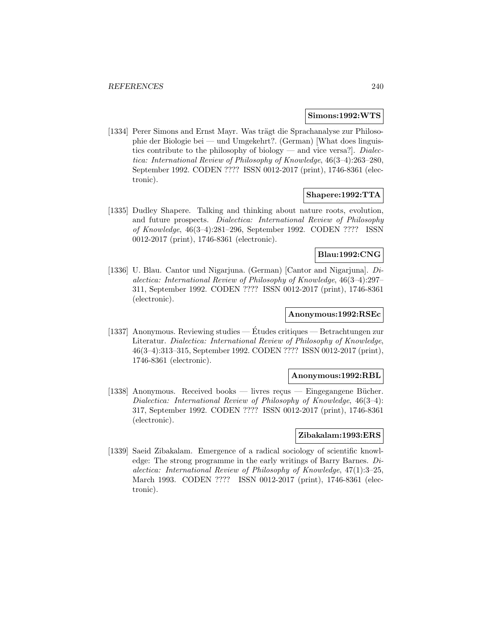### **Simons:1992:WTS**

[1334] Perer Simons and Ernst Mayr. Was trägt die Sprachanalyse zur Philosophie der Biologie bei — und Umgekehrt?. (German) [What does linguistics contribute to the philosophy of biology — and vice versa?. Dialectica: International Review of Philosophy of Knowledge, 46(3–4):263–280, September 1992. CODEN ???? ISSN 0012-2017 (print), 1746-8361 (electronic).

## **Shapere:1992:TTA**

[1335] Dudley Shapere. Talking and thinking about nature roots, evolution, and future prospects. Dialectica: International Review of Philosophy of Knowledge, 46(3–4):281–296, September 1992. CODEN ???? ISSN 0012-2017 (print), 1746-8361 (electronic).

# **Blau:1992:CNG**

[1336] U. Blau. Cantor und Nigarjuna. (German) [Cantor and Nigarjuna]. Dialectica: International Review of Philosophy of Knowledge, 46(3–4):297– 311, September 1992. CODEN ???? ISSN 0012-2017 (print), 1746-8361 (electronic).

#### **Anonymous:1992:RSEc**

[1337] Anonymous. Reviewing studies — Etudes critiques — Betrachtungen zur ´ Literatur. Dialectica: International Review of Philosophy of Knowledge, 46(3–4):313–315, September 1992. CODEN ???? ISSN 0012-2017 (print), 1746-8361 (electronic).

#### **Anonymous:1992:RBL**

 $[1338]$  Anonymous. Received books — livres reçus — Eingegangene Bücher. Dialectica: International Review of Philosophy of Knowledge, 46(3–4): 317, September 1992. CODEN ???? ISSN 0012-2017 (print), 1746-8361 (electronic).

# **Zibakalam:1993:ERS**

[1339] Saeid Zibakalam. Emergence of a radical sociology of scientific knowledge: The strong programme in the early writings of Barry Barnes. Dialectica: International Review of Philosophy of Knowledge, 47(1):3–25, March 1993. CODEN ???? ISSN 0012-2017 (print), 1746-8361 (electronic).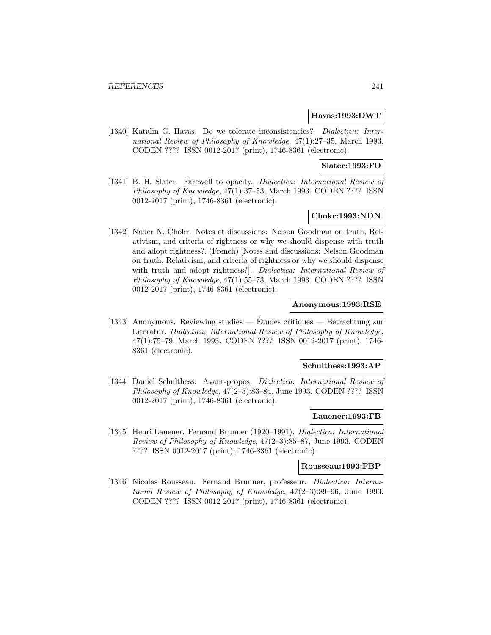### **Havas:1993:DWT**

[1340] Katalin G. Havas. Do we tolerate inconsistencies? Dialectica: International Review of Philosophy of Knowledge, 47(1):27–35, March 1993. CODEN ???? ISSN 0012-2017 (print), 1746-8361 (electronic).

### **Slater:1993:FO**

[1341] B. H. Slater. Farewell to opacity. Dialectica: International Review of Philosophy of Knowledge, 47(1):37–53, March 1993. CODEN ???? ISSN 0012-2017 (print), 1746-8361 (electronic).

# **Chokr:1993:NDN**

[1342] Nader N. Chokr. Notes et discussions: Nelson Goodman on truth, Relativism, and criteria of rightness or why we should dispense with truth and adopt rightness?. (French) [Notes and discussions: Nelson Goodman on truth, Relativism, and criteria of rightness or why we should dispense with truth and adopt rightness?. Dialectica: International Review of Philosophy of Knowledge, 47(1):55–73, March 1993. CODEN ???? ISSN 0012-2017 (print), 1746-8361 (electronic).

## **Anonymous:1993:RSE**

[1343] Anonymous. Reviewing studies — Etudes critiques — Betrachtung zur ´ Literatur. Dialectica: International Review of Philosophy of Knowledge, 47(1):75–79, March 1993. CODEN ???? ISSN 0012-2017 (print), 1746- 8361 (electronic).

### **Schulthess:1993:AP**

[1344] Daniel Schulthess. Avant-propos. Dialectica: International Review of Philosophy of Knowledge, 47(2–3):83–84, June 1993. CODEN ???? ISSN 0012-2017 (print), 1746-8361 (electronic).

### **Lauener:1993:FB**

[1345] Henri Lauener. Fernand Brunner (1920–1991). Dialectica: International Review of Philosophy of Knowledge, 47(2–3):85–87, June 1993. CODEN ???? ISSN 0012-2017 (print), 1746-8361 (electronic).

#### **Rousseau:1993:FBP**

[1346] Nicolas Rousseau. Fernand Brunner, professeur. Dialectica: International Review of Philosophy of Knowledge, 47(2–3):89–96, June 1993. CODEN ???? ISSN 0012-2017 (print), 1746-8361 (electronic).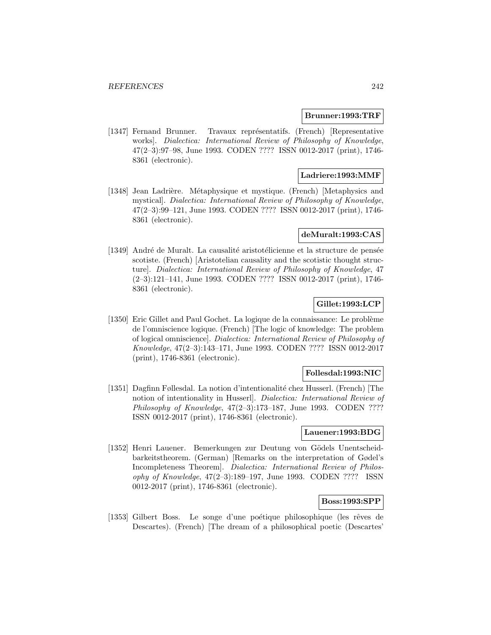#### **Brunner:1993:TRF**

[1347] Fernand Brunner. Travaux représentatifs. (French) [Representative works]. Dialectica: International Review of Philosophy of Knowledge, 47(2–3):97–98, June 1993. CODEN ???? ISSN 0012-2017 (print), 1746- 8361 (electronic).

### **Ladriere:1993:MMF**

[1348] Jean Ladrière. Métaphysique et mystique. (French) [Metaphysics and mystical]. Dialectica: International Review of Philosophy of Knowledge, 47(2–3):99–121, June 1993. CODEN ???? ISSN 0012-2017 (print), 1746- 8361 (electronic).

#### **deMuralt:1993:CAS**

[1349] André de Muralt. La causalité aristotélicienne et la structure de pensée scotiste. (French) [Aristotelian causality and the scotistic thought structure]. Dialectica: International Review of Philosophy of Knowledge, 47 (2–3):121–141, June 1993. CODEN ???? ISSN 0012-2017 (print), 1746- 8361 (electronic).

# **Gillet:1993:LCP**

[1350] Eric Gillet and Paul Gochet. La logique de la connaissance: Le probl`eme de l'omniscience logique. (French) [The logic of knowledge: The problem of logical omniscience]. Dialectica: International Review of Philosophy of Knowledge, 47(2–3):143–171, June 1993. CODEN ???? ISSN 0012-2017 (print), 1746-8361 (electronic).

# **Follesdal:1993:NIC**

[1351] Dagfinn Føllesdal. La notion d'intentionalité chez Husserl. (French) [The notion of intentionality in Husserl]. Dialectica: International Review of Philosophy of Knowledge,  $47(2-3):173-187$ , June 1993. CODEN ???? ISSN 0012-2017 (print), 1746-8361 (electronic).

### **Lauener:1993:BDG**

[1352] Henri Lauener. Bemerkungen zur Deutung von Gödels Unentscheidbarkeitstheorem. (German) [Remarks on the interpretation of Gødel's Incompleteness Theorem]. Dialectica: International Review of Philosophy of Knowledge, 47(2–3):189–197, June 1993. CODEN ???? ISSN 0012-2017 (print), 1746-8361 (electronic).

### **Boss:1993:SPP**

[1353] Gilbert Boss. Le songe d'une poétique philosophique (les rêves de Descartes). (French) [The dream of a philosophical poetic (Descartes'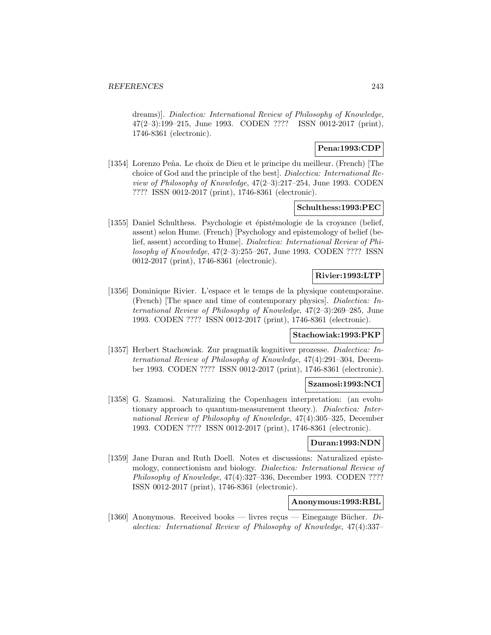dreams)]. Dialectica: International Review of Philosophy of Knowledge, 47(2–3):199–215, June 1993. CODEN ???? ISSN 0012-2017 (print), 1746-8361 (electronic).

# **Pena:1993:CDP**

[1354] Lorenzo Peña. Le choix de Dieu et le principe du meilleur. (French) [The choice of God and the principle of the best]. Dialectica: International Review of Philosophy of Knowledge, 47(2–3):217–254, June 1993. CODEN ???? ISSN 0012-2017 (print), 1746-8361 (electronic).

## **Schulthess:1993:PEC**

[1355] Daniel Schulthess. Psychologie et épistémologie de la croyance (belief, assent) selon Hume. (French) [Psychology and epistemology of belief (belief, assent) according to Hume]. Dialectica: International Review of Philosophy of Knowledge, 47(2–3):255–267, June 1993. CODEN ???? ISSN 0012-2017 (print), 1746-8361 (electronic).

# **Rivier:1993:LTP**

[1356] Dominique Rivier. L'espace et le temps de la physique contemporaine. (French) [The space and time of contemporary physics]. Dialectica: International Review of Philosophy of Knowledge, 47(2–3):269–285, June 1993. CODEN ???? ISSN 0012-2017 (print), 1746-8361 (electronic).

### **Stachowiak:1993:PKP**

[1357] Herbert Stachowiak. Zur pragmatik kognitiver prozesse. Dialectica: International Review of Philosophy of Knowledge, 47(4):291–304, December 1993. CODEN ???? ISSN 0012-2017 (print), 1746-8361 (electronic).

## **Szamosi:1993:NCI**

[1358] G. Szamosi. Naturalizing the Copenhagen interpretation: (an evolutionary approach to quantum-measurement theory.). Dialectica: International Review of Philosophy of Knowledge, 47(4):305–325, December 1993. CODEN ???? ISSN 0012-2017 (print), 1746-8361 (electronic).

### **Duran:1993:NDN**

[1359] Jane Duran and Ruth Doell. Notes et discussions: Naturalized epistemology, connectionism and biology. Dialectica: International Review of Philosophy of Knowledge, 47(4):327–336, December 1993. CODEN ???? ISSN 0012-2017 (print), 1746-8361 (electronic).

## **Anonymous:1993:RBL**

[1360] Anonymous. Received books — livres reçus — Einegange Bücher.  $Di$ alectica: International Review of Philosophy of Knowledge, 47(4):337–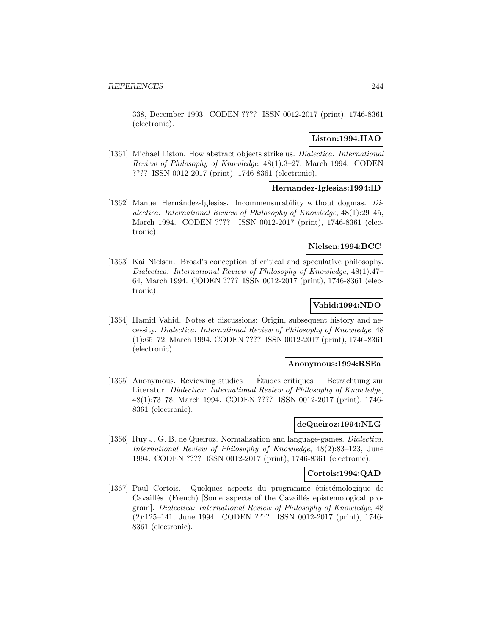338, December 1993. CODEN ???? ISSN 0012-2017 (print), 1746-8361 (electronic).

# **Liston:1994:HAO**

[1361] Michael Liston. How abstract objects strike us. *Dialectica: International* Review of Philosophy of Knowledge, 48(1):3–27, March 1994. CODEN ???? ISSN 0012-2017 (print), 1746-8361 (electronic).

### **Hernandez-Iglesias:1994:ID**

[1362] Manuel Hernández-Iglesias. Incommensurability without dogmas. Dialectica: International Review of Philosophy of Knowledge, 48(1):29–45, March 1994. CODEN ???? ISSN 0012-2017 (print), 1746-8361 (electronic).

# **Nielsen:1994:BCC**

[1363] Kai Nielsen. Broad's conception of critical and speculative philosophy. Dialectica: International Review of Philosophy of Knowledge, 48(1):47– 64, March 1994. CODEN ???? ISSN 0012-2017 (print), 1746-8361 (electronic).

# **Vahid:1994:NDO**

[1364] Hamid Vahid. Notes et discussions: Origin, subsequent history and necessity. Dialectica: International Review of Philosophy of Knowledge, 48 (1):65–72, March 1994. CODEN ???? ISSN 0012-2017 (print), 1746-8361 (electronic).

### **Anonymous:1994:RSEa**

[1365] Anonymous. Reviewing studies — Etudes critiques — Betrachtung zur ´ Literatur. Dialectica: International Review of Philosophy of Knowledge, 48(1):73–78, March 1994. CODEN ???? ISSN 0012-2017 (print), 1746- 8361 (electronic).

# **deQueiroz:1994:NLG**

[1366] Ruy J. G. B. de Queiroz. Normalisation and language-games. Dialectica: International Review of Philosophy of Knowledge, 48(2):83–123, June 1994. CODEN ???? ISSN 0012-2017 (print), 1746-8361 (electronic).

#### **Cortois:1994:QAD**

[1367] Paul Cortois. Quelques aspects du programme épistémologique de Cavaillés. (French) [Some aspects of the Cavaillés epistemological program]. Dialectica: International Review of Philosophy of Knowledge, 48 (2):125–141, June 1994. CODEN ???? ISSN 0012-2017 (print), 1746- 8361 (electronic).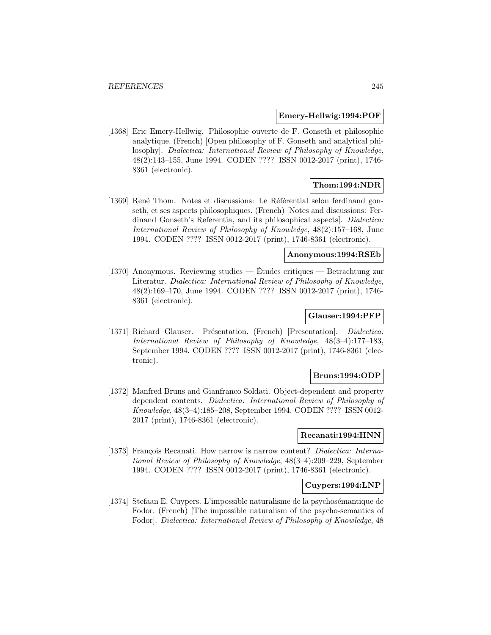#### **Emery-Hellwig:1994:POF**

[1368] Eric Emery-Hellwig. Philosophie ouverte de F. Gonseth et philosophie analytique. (French) [Open philosophy of F. Gonseth and analytical philosophy]. Dialectica: International Review of Philosophy of Knowledge, 48(2):143–155, June 1994. CODEN ???? ISSN 0012-2017 (print), 1746- 8361 (electronic).

# **Thom:1994:NDR**

[1369] René Thom. Notes et discussions: Le Référential selon ferdinand gonseth, et ses aspects philosophiques. (French) [Notes and discussions: Ferdinand Gonseth's Referentia, and its philosophical aspects]. Dialectica: International Review of Philosophy of Knowledge, 48(2):157–168, June 1994. CODEN ???? ISSN 0012-2017 (print), 1746-8361 (electronic).

# **Anonymous:1994:RSEb**

[1370] Anonymous. Reviewing studies — Etudes critiques — Betrachtung zur ´ Literatur. Dialectica: International Review of Philosophy of Knowledge, 48(2):169–170, June 1994. CODEN ???? ISSN 0012-2017 (print), 1746- 8361 (electronic).

## **Glauser:1994:PFP**

[1371] Richard Glauser. Présentation. (French) [Presentation]. *Dialectica:* International Review of Philosophy of Knowledge, 48(3–4):177–183, September 1994. CODEN ???? ISSN 0012-2017 (print), 1746-8361 (electronic).

### **Bruns:1994:ODP**

[1372] Manfred Bruns and Gianfranco Soldati. Object-dependent and property dependent contents. Dialectica: International Review of Philosophy of Knowledge, 48(3–4):185–208, September 1994. CODEN ???? ISSN 0012- 2017 (print), 1746-8361 (electronic).

## **Recanati:1994:HNN**

[1373] François Recanati. How narrow is narrow content? *Dialectica: Interna*tional Review of Philosophy of Knowledge, 48(3–4):209–229, September 1994. CODEN ???? ISSN 0012-2017 (print), 1746-8361 (electronic).

#### **Cuypers:1994:LNP**

[1374] Stefaan E. Cuypers. L'impossible naturalisme de la psychos´emantique de Fodor. (French) [The impossible naturalism of the psycho-semantics of Fodor]. Dialectica: International Review of Philosophy of Knowledge, 48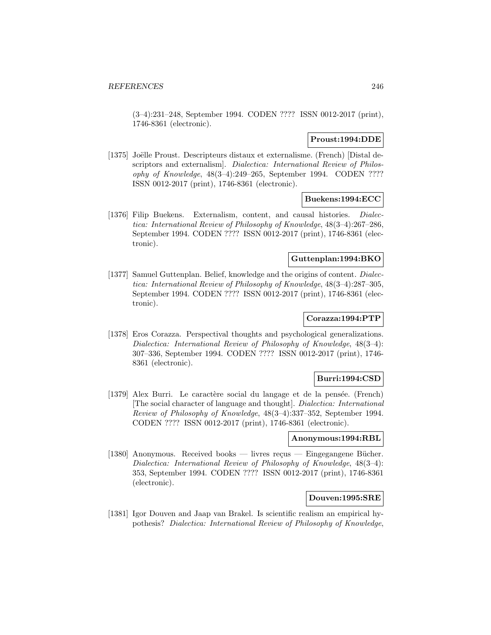(3–4):231–248, September 1994. CODEN ???? ISSN 0012-2017 (print), 1746-8361 (electronic).

### **Proust:1994:DDE**

[1375] Joëlle Proust. Descripteurs distaux et externalisme. (French) [Distal descriptors and externalism]. Dialectica: International Review of Philosophy of Knowledge, 48(3–4):249–265, September 1994. CODEN ???? ISSN 0012-2017 (print), 1746-8361 (electronic).

## **Buekens:1994:ECC**

[1376] Filip Buekens. Externalism, content, and causal histories. Dialectica: International Review of Philosophy of Knowledge, 48(3–4):267–286, September 1994. CODEN ???? ISSN 0012-2017 (print), 1746-8361 (electronic).

### **Guttenplan:1994:BKO**

[1377] Samuel Guttenplan. Belief, knowledge and the origins of content. Dialectica: International Review of Philosophy of Knowledge, 48(3–4):287–305, September 1994. CODEN ???? ISSN 0012-2017 (print), 1746-8361 (electronic).

# **Corazza:1994:PTP**

[1378] Eros Corazza. Perspectival thoughts and psychological generalizations. Dialectica: International Review of Philosophy of Knowledge, 48(3–4): 307–336, September 1994. CODEN ???? ISSN 0012-2017 (print), 1746- 8361 (electronic).

### **Burri:1994:CSD**

[1379] Alex Burri. Le caractère social du langage et de la pensée. (French) [The social character of language and thought]. Dialectica: International Review of Philosophy of Knowledge, 48(3–4):337–352, September 1994. CODEN ???? ISSN 0012-2017 (print), 1746-8361 (electronic).

### **Anonymous:1994:RBL**

[1380] Anonymous. Received books — livres reçus — Eingegangene Bücher. Dialectica: International Review of Philosophy of Knowledge, 48(3–4): 353, September 1994. CODEN ???? ISSN 0012-2017 (print), 1746-8361 (electronic).

# **Douven:1995:SRE**

[1381] Igor Douven and Jaap van Brakel. Is scientific realism an empirical hypothesis? Dialectica: International Review of Philosophy of Knowledge,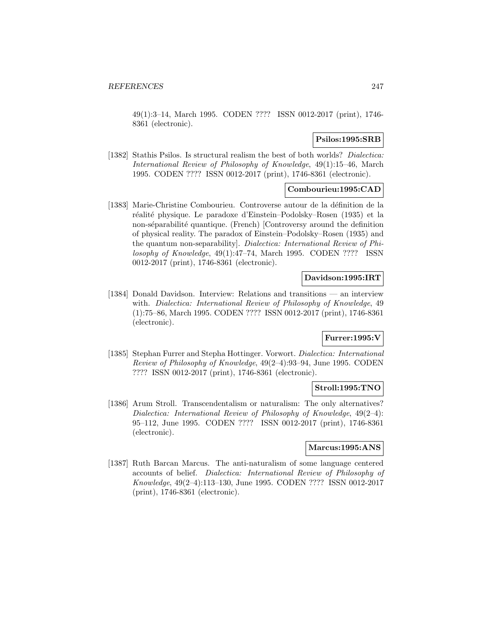49(1):3–14, March 1995. CODEN ???? ISSN 0012-2017 (print), 1746- 8361 (electronic).

# **Psilos:1995:SRB**

[1382] Stathis Psilos. Is structural realism the best of both worlds? *Dialectica:* International Review of Philosophy of Knowledge, 49(1):15–46, March 1995. CODEN ???? ISSN 0012-2017 (print), 1746-8361 (electronic).

# **Combourieu:1995:CAD**

[1383] Marie-Christine Combourieu. Controverse autour de la définition de la réalité physique. Le paradoxe d'Einstein–Podolsky–Rosen (1935) et la non-séparabilité quantique. (French) [Controversy around the definition of physical reality. The paradox of Einstein–Podolsky–Rosen (1935) and the quantum non-separability]. Dialectica: International Review of Philosophy of Knowledge, 49(1):47–74, March 1995. CODEN ???? ISSN 0012-2017 (print), 1746-8361 (electronic).

# **Davidson:1995:IRT**

[1384] Donald Davidson. Interview: Relations and transitions — an interview with. Dialectica: International Review of Philosophy of Knowledge, 49 (1):75–86, March 1995. CODEN ???? ISSN 0012-2017 (print), 1746-8361 (electronic).

# **Furrer:1995:V**

[1385] Stephan Furrer and Stepha Hottinger. Vorwort. Dialectica: International Review of Philosophy of Knowledge, 49(2–4):93–94, June 1995. CODEN ???? ISSN 0012-2017 (print), 1746-8361 (electronic).

# **Stroll:1995:TNO**

[1386] Arum Stroll. Transcendentalism or naturalism: The only alternatives? Dialectica: International Review of Philosophy of Knowledge, 49(2–4): 95–112, June 1995. CODEN ???? ISSN 0012-2017 (print), 1746-8361 (electronic).

### **Marcus:1995:ANS**

[1387] Ruth Barcan Marcus. The anti-naturalism of some language centered accounts of belief. Dialectica: International Review of Philosophy of Knowledge, 49(2–4):113–130, June 1995. CODEN ???? ISSN 0012-2017 (print), 1746-8361 (electronic).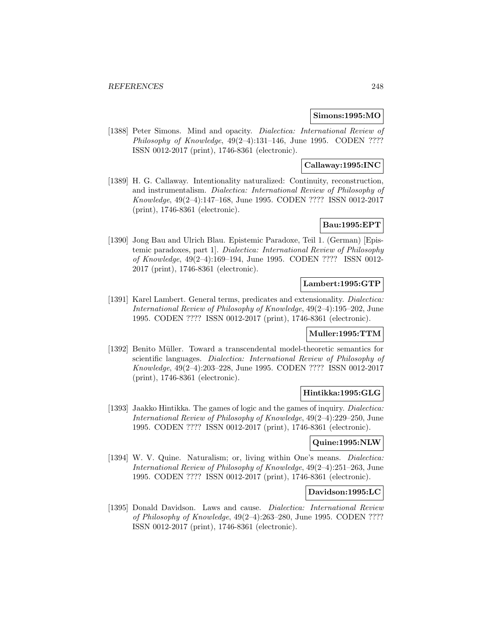### **Simons:1995:MO**

[1388] Peter Simons. Mind and opacity. *Dialectica: International Review of* Philosophy of Knowledge,  $49(2-4):131-146$ , June 1995. CODEN ???? ISSN 0012-2017 (print), 1746-8361 (electronic).

### **Callaway:1995:INC**

[1389] H. G. Callaway. Intentionality naturalized: Continuity, reconstruction, and instrumentalism. Dialectica: International Review of Philosophy of Knowledge, 49(2–4):147–168, June 1995. CODEN ???? ISSN 0012-2017 (print), 1746-8361 (electronic).

# **Bau:1995:EPT**

[1390] Jong Bau and Ulrich Blau. Epistemic Paradoxe, Teil 1. (German) [Epistemic paradoxes, part 1]. Dialectica: International Review of Philosophy of Knowledge, 49(2–4):169–194, June 1995. CODEN ???? ISSN 0012- 2017 (print), 1746-8361 (electronic).

# **Lambert:1995:GTP**

[1391] Karel Lambert. General terms, predicates and extensionality. *Dialectica:* International Review of Philosophy of Knowledge, 49(2–4):195–202, June 1995. CODEN ???? ISSN 0012-2017 (print), 1746-8361 (electronic).

## **Muller:1995:TTM**

[1392] Benito Müller. Toward a transcendental model-theoretic semantics for scientific languages. Dialectica: International Review of Philosophy of Knowledge, 49(2–4):203–228, June 1995. CODEN ???? ISSN 0012-2017 (print), 1746-8361 (electronic).

### **Hintikka:1995:GLG**

[1393] Jaakko Hintikka. The games of logic and the games of inquiry. Dialectica: International Review of Philosophy of Knowledge, 49(2–4):229–250, June 1995. CODEN ???? ISSN 0012-2017 (print), 1746-8361 (electronic).

### **Quine:1995:NLW**

[1394] W. V. Quine. Naturalism; or, living within One's means. *Dialectica:* International Review of Philosophy of Knowledge, 49(2–4):251–263, June 1995. CODEN ???? ISSN 0012-2017 (print), 1746-8361 (electronic).

### **Davidson:1995:LC**

[1395] Donald Davidson. Laws and cause. *Dialectica: International Review* of Philosophy of Knowledge, 49(2–4):263–280, June 1995. CODEN ???? ISSN 0012-2017 (print), 1746-8361 (electronic).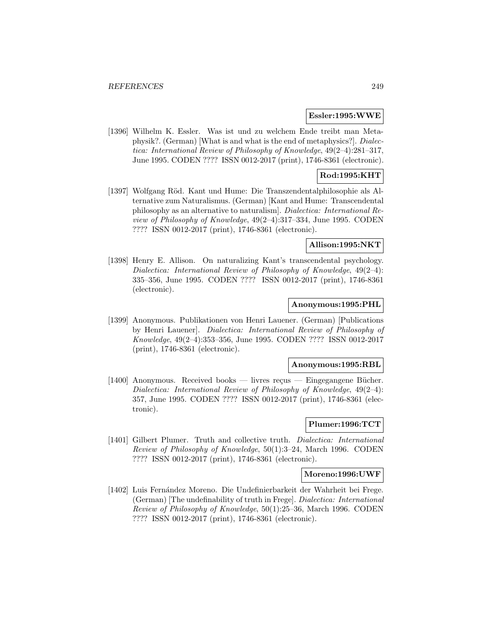#### **Essler:1995:WWE**

[1396] Wilhelm K. Essler. Was ist und zu welchem Ende treibt man Metaphysik?. (German) [What is and what is the end of metaphysics?]. Dialectica: International Review of Philosophy of Knowledge, 49(2–4):281–317, June 1995. CODEN ???? ISSN 0012-2017 (print), 1746-8361 (electronic).

# **Rod:1995:KHT**

[1397] Wolfgang Röd. Kant und Hume: Die Transzendentalphilosophie als Alternative zum Naturalismus. (German) [Kant and Hume: Transcendental philosophy as an alternative to naturalism]. Dialectica: International Review of Philosophy of Knowledge, 49(2–4):317–334, June 1995. CODEN ???? ISSN 0012-2017 (print), 1746-8361 (electronic).

### **Allison:1995:NKT**

[1398] Henry E. Allison. On naturalizing Kant's transcendental psychology. Dialectica: International Review of Philosophy of Knowledge, 49(2–4): 335–356, June 1995. CODEN ???? ISSN 0012-2017 (print), 1746-8361 (electronic).

# **Anonymous:1995:PHL**

[1399] Anonymous. Publikationen von Henri Lauener. (German) [Publications by Henri Lauener]. Dialectica: International Review of Philosophy of Knowledge, 49(2–4):353–356, June 1995. CODEN ???? ISSN 0012-2017 (print), 1746-8361 (electronic).

#### **Anonymous:1995:RBL**

[1400] Anonymous. Received books — livres reçus — Eingegangene Bücher. Dialectica: International Review of Philosophy of Knowledge, 49(2–4): 357, June 1995. CODEN ???? ISSN 0012-2017 (print), 1746-8361 (electronic).

# **Plumer:1996:TCT**

[1401] Gilbert Plumer. Truth and collective truth. Dialectica: International Review of Philosophy of Knowledge, 50(1):3–24, March 1996. CODEN ???? ISSN 0012-2017 (print), 1746-8361 (electronic).

#### **Moreno:1996:UWF**

[1402] Luis Fernández Moreno. Die Undefinierbarkeit der Wahrheit bei Frege. (German) [The undefinability of truth in Frege]. Dialectica: International Review of Philosophy of Knowledge, 50(1):25–36, March 1996. CODEN ???? ISSN 0012-2017 (print), 1746-8361 (electronic).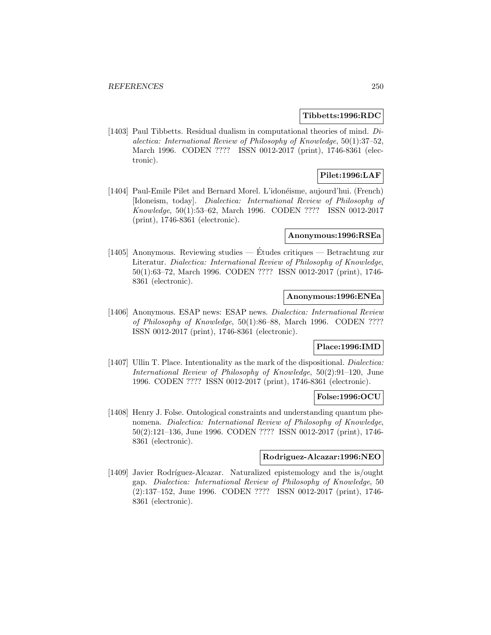### **Tibbetts:1996:RDC**

[1403] Paul Tibbetts. Residual dualism in computational theories of mind. Dialectica: International Review of Philosophy of Knowledge, 50(1):37–52, March 1996. CODEN ???? ISSN 0012-2017 (print), 1746-8361 (electronic).

# **Pilet:1996:LAF**

[1404] Paul-Emile Pilet and Bernard Morel. L'idonéisme, aujourd'hui. (French) [Idoneism, today]. Dialectica: International Review of Philosophy of Knowledge, 50(1):53–62, March 1996. CODEN ???? ISSN 0012-2017 (print), 1746-8361 (electronic).

# **Anonymous:1996:RSEa**

[1405] Anonymous. Reviewing studies — Études critiques — Betrachtung zur Literatur. Dialectica: International Review of Philosophy of Knowledge, 50(1):63–72, March 1996. CODEN ???? ISSN 0012-2017 (print), 1746- 8361 (electronic).

### **Anonymous:1996:ENEa**

[1406] Anonymous. ESAP news: ESAP news. Dialectica: International Review of Philosophy of Knowledge, 50(1):86–88, March 1996. CODEN ???? ISSN 0012-2017 (print), 1746-8361 (electronic).

# **Place:1996:IMD**

[1407] Ullin T. Place. Intentionality as the mark of the dispositional. *Dialectica*: International Review of Philosophy of Knowledge, 50(2):91–120, June 1996. CODEN ???? ISSN 0012-2017 (print), 1746-8361 (electronic).

# **Folse:1996:OCU**

[1408] Henry J. Folse. Ontological constraints and understanding quantum phenomena. Dialectica: International Review of Philosophy of Knowledge, 50(2):121–136, June 1996. CODEN ???? ISSN 0012-2017 (print), 1746- 8361 (electronic).

#### **Rodriguez-Alcazar:1996:NEO**

[1409] Javier Rodríguez-Alcazar. Naturalized epistemology and the is/ought gap. Dialectica: International Review of Philosophy of Knowledge, 50 (2):137–152, June 1996. CODEN ???? ISSN 0012-2017 (print), 1746- 8361 (electronic).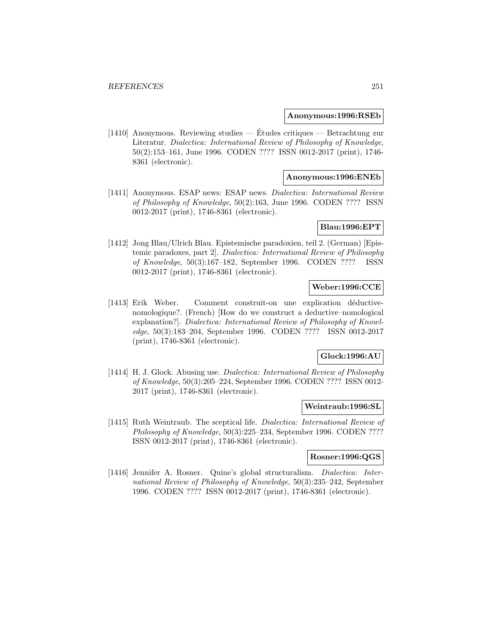#### **Anonymous:1996:RSEb**

[1410] Anonymous. Reviewing studies — Études critiques — Betrachtung zur Literatur. Dialectica: International Review of Philosophy of Knowledge, 50(2):153–161, June 1996. CODEN ???? ISSN 0012-2017 (print), 1746- 8361 (electronic).

#### **Anonymous:1996:ENEb**

[1411] Anonymous. ESAP news: ESAP news. Dialectica: International Review of Philosophy of Knowledge, 50(2):163, June 1996. CODEN ???? ISSN 0012-2017 (print), 1746-8361 (electronic).

# **Blau:1996:EPT**

[1412] Jong Blau/Ulrich Blau. Epistemische paradoxien, teil 2. (German) [Epistemic paradoxes, part 2]. Dialectica: International Review of Philosophy of Knowledge, 50(3):167–182, September 1996. CODEN ???? ISSN 0012-2017 (print), 1746-8361 (electronic).

### **Weber:1996:CCE**

[1413] Erik Weber. Comment construit-on une explication déductivenomologique?. (French) [How do we construct a deductive–nomological explanation?]. Dialectica: International Review of Philosophy of Knowledge, 50(3):183–204, September 1996. CODEN ???? ISSN 0012-2017 (print), 1746-8361 (electronic).

# **Glock:1996:AU**

[1414] H. J. Glock. Abusing use. Dialectica: International Review of Philosophy of Knowledge, 50(3):205–224, September 1996. CODEN ???? ISSN 0012- 2017 (print), 1746-8361 (electronic).

#### **Weintraub:1996:SL**

[1415] Ruth Weintraub. The sceptical life. *Dialectica: International Review of* Philosophy of Knowledge, 50(3):225–234, September 1996. CODEN ???? ISSN 0012-2017 (print), 1746-8361 (electronic).

#### **Rosner:1996:QGS**

[1416] Jennifer A. Rosner. Quine's global structuralism. Dialectica: International Review of Philosophy of Knowledge, 50(3):235–242, September 1996. CODEN ???? ISSN 0012-2017 (print), 1746-8361 (electronic).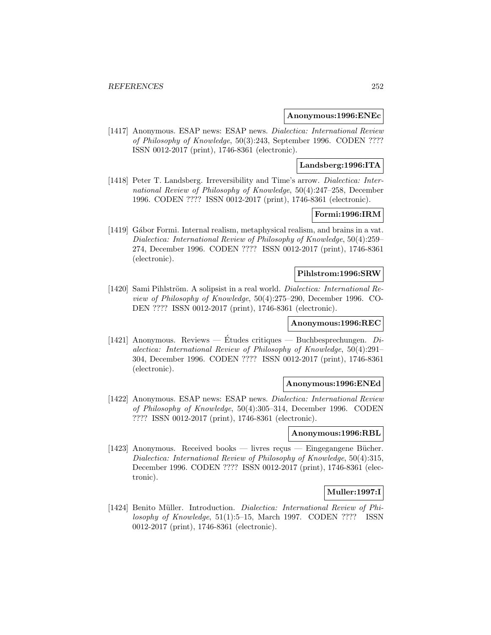#### **Anonymous:1996:ENEc**

[1417] Anonymous. ESAP news: ESAP news. Dialectica: International Review of Philosophy of Knowledge, 50(3):243, September 1996. CODEN ???? ISSN 0012-2017 (print), 1746-8361 (electronic).

### **Landsberg:1996:ITA**

[1418] Peter T. Landsberg. Irreversibility and Time's arrow. Dialectica: International Review of Philosophy of Knowledge, 50(4):247–258, December 1996. CODEN ???? ISSN 0012-2017 (print), 1746-8361 (electronic).

# **Formi:1996:IRM**

[1419] Gábor Formi. Internal realism, metaphysical realism, and brains in a vat. Dialectica: International Review of Philosophy of Knowledge, 50(4):259– 274, December 1996. CODEN ???? ISSN 0012-2017 (print), 1746-8361 (electronic).

# **Pihlstrom:1996:SRW**

[1420] Sami Pihlström. A solipsist in a real world. Dialectica: International Review of Philosophy of Knowledge, 50(4):275–290, December 1996. CO-DEN ???? ISSN 0012-2017 (print), 1746-8361 (electronic).

### **Anonymous:1996:REC**

[1421] Anonymous. Reviews — Études critiques — Buchbesprechungen.  $Di$ alectica: International Review of Philosophy of Knowledge, 50(4):291– 304, December 1996. CODEN ???? ISSN 0012-2017 (print), 1746-8361 (electronic).

### **Anonymous:1996:ENEd**

[1422] Anonymous. ESAP news: ESAP news. Dialectica: International Review of Philosophy of Knowledge, 50(4):305–314, December 1996. CODEN ???? ISSN 0012-2017 (print), 1746-8361 (electronic).

#### **Anonymous:1996:RBL**

[1423] Anonymous. Received books — livres reçus — Eingegangene Bücher. Dialectica: International Review of Philosophy of Knowledge, 50(4):315, December 1996. CODEN ???? ISSN 0012-2017 (print), 1746-8361 (electronic).

### **Muller:1997:I**

[1424] Benito Müller. Introduction. Dialectica: International Review of Philosophy of Knowledge, 51(1):5–15, March 1997. CODEN ???? ISSN 0012-2017 (print), 1746-8361 (electronic).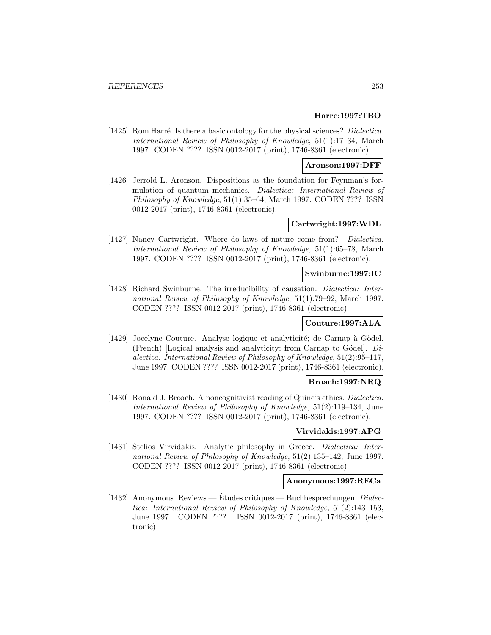## **Harre:1997:TBO**

[1425] Rom Harré. Is there a basic ontology for the physical sciences? *Dialectica:* International Review of Philosophy of Knowledge, 51(1):17–34, March 1997. CODEN ???? ISSN 0012-2017 (print), 1746-8361 (electronic).

### **Aronson:1997:DFF**

[1426] Jerrold L. Aronson. Dispositions as the foundation for Feynman's formulation of quantum mechanics. Dialectica: International Review of Philosophy of Knowledge, 51(1):35–64, March 1997. CODEN ???? ISSN 0012-2017 (print), 1746-8361 (electronic).

# **Cartwright:1997:WDL**

[1427] Nancy Cartwright. Where do laws of nature come from? Dialectica: International Review of Philosophy of Knowledge, 51(1):65–78, March 1997. CODEN ???? ISSN 0012-2017 (print), 1746-8361 (electronic).

# **Swinburne:1997:IC**

[1428] Richard Swinburne. The irreducibility of causation. Dialectica: International Review of Philosophy of Knowledge, 51(1):79–92, March 1997. CODEN ???? ISSN 0012-2017 (print), 1746-8361 (electronic).

## **Couture:1997:ALA**

[1429] Jocelyne Couture. Analyse logique et analyticité; de Carnap à Gödel. (French) [Logical analysis and analyticity; from Carnap to Gödel].  $Di$ alectica: International Review of Philosophy of Knowledge, 51(2):95–117, June 1997. CODEN ???? ISSN 0012-2017 (print), 1746-8361 (electronic).

## **Broach:1997:NRQ**

[1430] Ronald J. Broach. A noncognitivist reading of Quine's ethics. *Dialectica*: International Review of Philosophy of Knowledge, 51(2):119–134, June 1997. CODEN ???? ISSN 0012-2017 (print), 1746-8361 (electronic).

## **Virvidakis:1997:APG**

[1431] Stelios Virvidakis. Analytic philosophy in Greece. Dialectica: International Review of Philosophy of Knowledge, 51(2):135–142, June 1997. CODEN ???? ISSN 0012-2017 (print), 1746-8361 (electronic).

## **Anonymous:1997:RECa**

[1432] Anonymous. Reviews — Études critiques — Buchbesprechungen.  $Dialec$ tica: International Review of Philosophy of Knowledge, 51(2):143–153, June 1997. CODEN ???? ISSN 0012-2017 (print), 1746-8361 (electronic).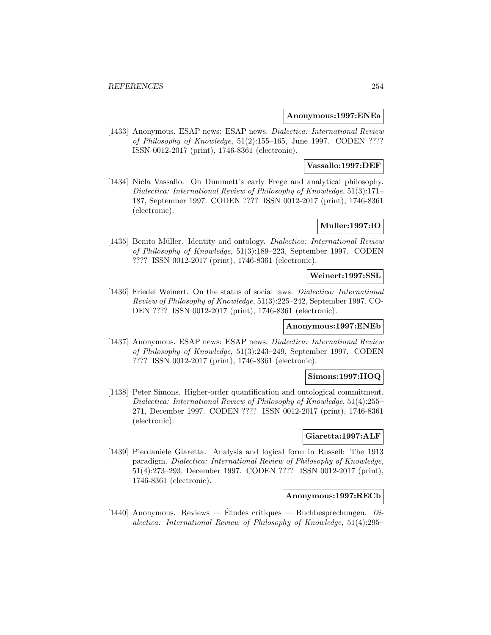### **Anonymous:1997:ENEa**

[1433] Anonymous. ESAP news: ESAP news. Dialectica: International Review of Philosophy of Knowledge, 51(2):155–165, June 1997. CODEN ???? ISSN 0012-2017 (print), 1746-8361 (electronic).

### **Vassallo:1997:DEF**

[1434] Nicla Vassallo. On Dummett's early Frege and analytical philosophy. Dialectica: International Review of Philosophy of Knowledge, 51(3):171– 187, September 1997. CODEN ???? ISSN 0012-2017 (print), 1746-8361 (electronic).

# **Muller:1997:IO**

[1435] Benito Müller. Identity and ontology. *Dialectica: International Review* of Philosophy of Knowledge, 51(3):189–223, September 1997. CODEN ???? ISSN 0012-2017 (print), 1746-8361 (electronic).

## **Weinert:1997:SSL**

[1436] Friedel Weinert. On the status of social laws. Dialectica: International Review of Philosophy of Knowledge, 51(3):225–242, September 1997. CO-DEN ???? ISSN 0012-2017 (print), 1746-8361 (electronic).

### **Anonymous:1997:ENEb**

[1437] Anonymous. ESAP news: ESAP news. Dialectica: International Review of Philosophy of Knowledge, 51(3):243–249, September 1997. CODEN ???? ISSN 0012-2017 (print), 1746-8361 (electronic).

#### **Simons:1997:HOQ**

[1438] Peter Simons. Higher-order quantification and ontological commitment. Dialectica: International Review of Philosophy of Knowledge, 51(4):255– 271, December 1997. CODEN ???? ISSN 0012-2017 (print), 1746-8361 (electronic).

# **Giaretta:1997:ALF**

[1439] Pierdaniele Giaretta. Analysis and logical form in Russell: The 1913 paradigm. Dialectica: International Review of Philosophy of Knowledge, 51(4):273–293, December 1997. CODEN ???? ISSN 0012-2017 (print), 1746-8361 (electronic).

#### **Anonymous:1997:RECb**

[1440] Anonymous. Reviews — Études critiques — Buchbesprechungen.  $Di$ alectica: International Review of Philosophy of Knowledge, 51(4):295–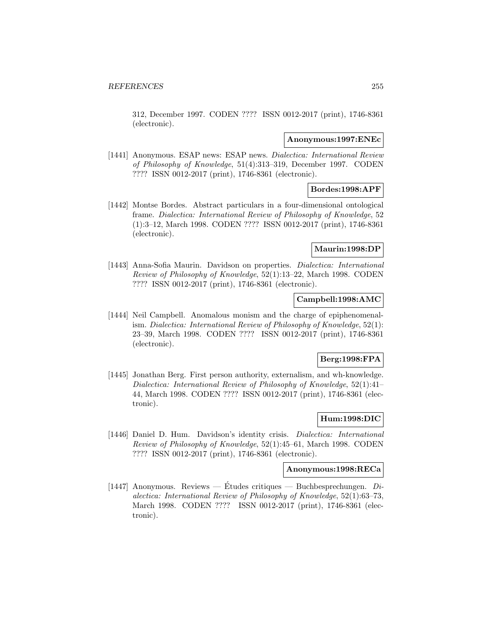312, December 1997. CODEN ???? ISSN 0012-2017 (print), 1746-8361 (electronic).

#### **Anonymous:1997:ENEc**

[1441] Anonymous. ESAP news: ESAP news. Dialectica: International Review of Philosophy of Knowledge, 51(4):313–319, December 1997. CODEN ???? ISSN 0012-2017 (print), 1746-8361 (electronic).

# **Bordes:1998:APF**

[1442] Montse Bordes. Abstract particulars in a four-dimensional ontological frame. Dialectica: International Review of Philosophy of Knowledge, 52 (1):3–12, March 1998. CODEN ???? ISSN 0012-2017 (print), 1746-8361 (electronic).

### **Maurin:1998:DP**

[1443] Anna-Sofia Maurin. Davidson on properties. Dialectica: International Review of Philosophy of Knowledge, 52(1):13–22, March 1998. CODEN ???? ISSN 0012-2017 (print), 1746-8361 (electronic).

### **Campbell:1998:AMC**

[1444] Neil Campbell. Anomalous monism and the charge of epiphenomenalism. Dialectica: International Review of Philosophy of Knowledge, 52(1): 23–39, March 1998. CODEN ???? ISSN 0012-2017 (print), 1746-8361 (electronic).

## **Berg:1998:FPA**

[1445] Jonathan Berg. First person authority, externalism, and wh-knowledge. Dialectica: International Review of Philosophy of Knowledge, 52(1):41– 44, March 1998. CODEN ???? ISSN 0012-2017 (print), 1746-8361 (electronic).

## **Hum:1998:DIC**

[1446] Daniel D. Hum. Davidson's identity crisis. Dialectica: International Review of Philosophy of Knowledge, 52(1):45–61, March 1998. CODEN ???? ISSN 0012-2017 (print), 1746-8361 (electronic).

#### **Anonymous:1998:RECa**

[1447] Anonymous. Reviews — Etudes critiques — Buchbesprechungen.  $Di$ alectica: International Review of Philosophy of Knowledge, 52(1):63–73, March 1998. CODEN ???? ISSN 0012-2017 (print), 1746-8361 (electronic).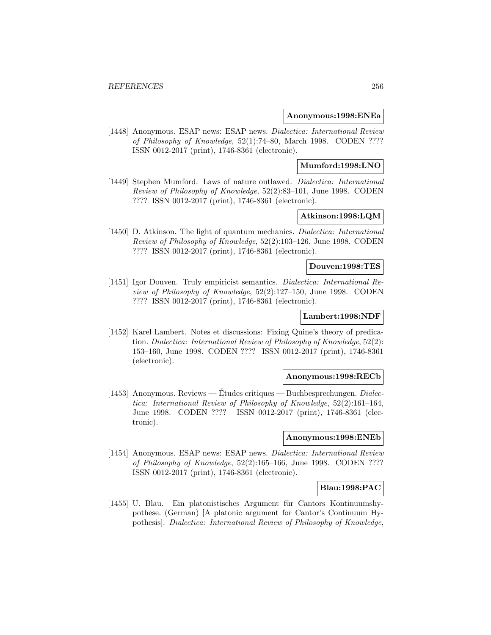#### **Anonymous:1998:ENEa**

[1448] Anonymous. ESAP news: ESAP news. Dialectica: International Review of Philosophy of Knowledge, 52(1):74–80, March 1998. CODEN ???? ISSN 0012-2017 (print), 1746-8361 (electronic).

### **Mumford:1998:LNO**

[1449] Stephen Mumford. Laws of nature outlawed. Dialectica: International Review of Philosophy of Knowledge, 52(2):83–101, June 1998. CODEN ???? ISSN 0012-2017 (print), 1746-8361 (electronic).

# **Atkinson:1998:LQM**

[1450] D. Atkinson. The light of quantum mechanics. Dialectica: International Review of Philosophy of Knowledge, 52(2):103–126, June 1998. CODEN ???? ISSN 0012-2017 (print), 1746-8361 (electronic).

#### **Douven:1998:TES**

[1451] Igor Douven. Truly empiricist semantics. Dialectica: International Review of Philosophy of Knowledge, 52(2):127–150, June 1998. CODEN ???? ISSN 0012-2017 (print), 1746-8361 (electronic).

# **Lambert:1998:NDF**

[1452] Karel Lambert. Notes et discussions: Fixing Quine's theory of predication. Dialectica: International Review of Philosophy of Knowledge, 52(2): 153–160, June 1998. CODEN ???? ISSN 0012-2017 (print), 1746-8361 (electronic).

#### **Anonymous:1998:RECb**

[1453] Anonymous. Reviews — Études critiques — Buchbesprechungen. *Dialec*tica: International Review of Philosophy of Knowledge, 52(2):161–164, June 1998. CODEN ???? ISSN 0012-2017 (print), 1746-8361 (electronic).

### **Anonymous:1998:ENEb**

[1454] Anonymous. ESAP news: ESAP news. Dialectica: International Review of Philosophy of Knowledge, 52(2):165–166, June 1998. CODEN ???? ISSN 0012-2017 (print), 1746-8361 (electronic).

#### **Blau:1998:PAC**

[1455] U. Blau. Ein platonistisches Argument für Cantors Kontinuumshypothese. (German) [A platonic argument for Cantor's Continuum Hypothesis]. Dialectica: International Review of Philosophy of Knowledge,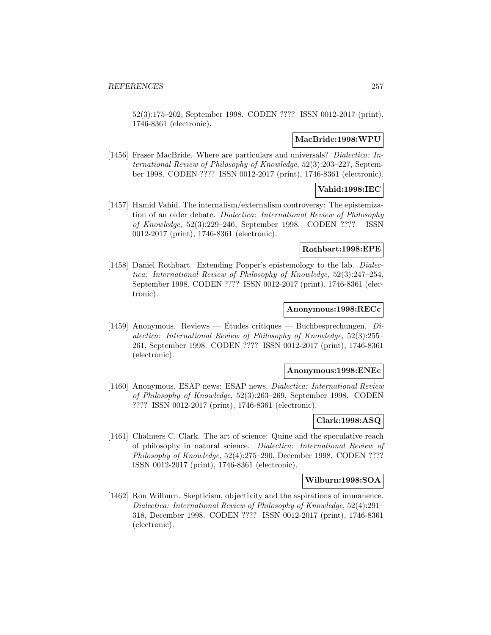52(3):175–202, September 1998. CODEN ???? ISSN 0012-2017 (print), 1746-8361 (electronic).

### **MacBride:1998:WPU**

[1456] Fraser MacBride. Where are particulars and universals? Dialectica: International Review of Philosophy of Knowledge, 52(3):203–227, September 1998. CODEN ???? ISSN 0012-2017 (print), 1746-8361 (electronic).

# **Vahid:1998:IEC**

[1457] Hamid Vahid. The internalism/externalism controversy: The epistemization of an older debate. Dialectica: International Review of Philosophy of Knowledge, 52(3):229–246, September 1998. CODEN ???? ISSN 0012-2017 (print), 1746-8361 (electronic).

#### **Rothbart:1998:EPE**

[1458] Daniel Rothbart. Extending Popper's epistemology to the lab. Dialectica: International Review of Philosophy of Knowledge, 52(3):247–254, September 1998. CODEN ???? ISSN 0012-2017 (print), 1746-8361 (electronic).

# **Anonymous:1998:RECc**

[1459] Anonymous. Reviews — Études critiques — Buchbesprechungen.  $Di$ alectica: International Review of Philosophy of Knowledge, 52(3):255– 261, September 1998. CODEN ???? ISSN 0012-2017 (print), 1746-8361 (electronic).

## **Anonymous:1998:ENEc**

[1460] Anonymous. ESAP news: ESAP news. Dialectica: International Review of Philosophy of Knowledge, 52(3):263–269, September 1998. CODEN ???? ISSN 0012-2017 (print), 1746-8361 (electronic).

## **Clark:1998:ASQ**

[1461] Chalmers C. Clark. The art of science: Quine and the speculative reach of philosophy in natural science. Dialectica: International Review of Philosophy of Knowledge, 52(4):275–290, December 1998. CODEN ???? ISSN 0012-2017 (print), 1746-8361 (electronic).

#### **Wilburn:1998:SOA**

[1462] Ron Wilburn. Skepticism, objectivity and the aspirations of immanence. Dialectica: International Review of Philosophy of Knowledge, 52(4):291– 318, December 1998. CODEN ???? ISSN 0012-2017 (print), 1746-8361 (electronic).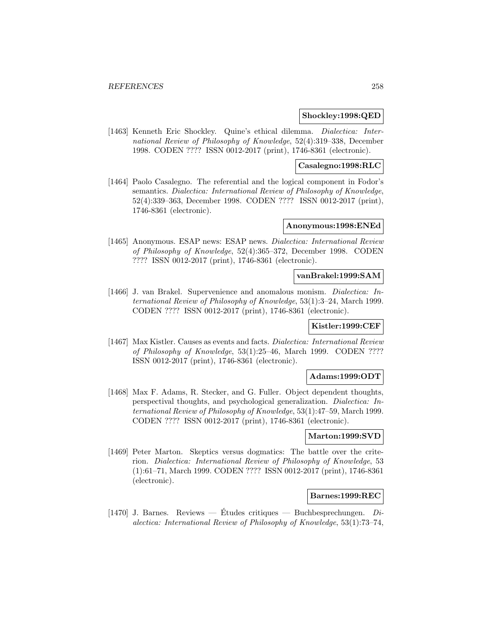#### **Shockley:1998:QED**

[1463] Kenneth Eric Shockley. Quine's ethical dilemma. Dialectica: International Review of Philosophy of Knowledge, 52(4):319–338, December 1998. CODEN ???? ISSN 0012-2017 (print), 1746-8361 (electronic).

### **Casalegno:1998:RLC**

[1464] Paolo Casalegno. The referential and the logical component in Fodor's semantics. Dialectica: International Review of Philosophy of Knowledge, 52(4):339–363, December 1998. CODEN ???? ISSN 0012-2017 (print), 1746-8361 (electronic).

## **Anonymous:1998:ENEd**

[1465] Anonymous. ESAP news: ESAP news. Dialectica: International Review of Philosophy of Knowledge, 52(4):365–372, December 1998. CODEN ???? ISSN 0012-2017 (print), 1746-8361 (electronic).

# **vanBrakel:1999:SAM**

[1466] J. van Brakel. Supervenience and anomalous monism. Dialectica: International Review of Philosophy of Knowledge, 53(1):3–24, March 1999. CODEN ???? ISSN 0012-2017 (print), 1746-8361 (electronic).

# **Kistler:1999:CEF**

[1467] Max Kistler. Causes as events and facts. Dialectica: International Review of Philosophy of Knowledge, 53(1):25–46, March 1999. CODEN ???? ISSN 0012-2017 (print), 1746-8361 (electronic).

#### **Adams:1999:ODT**

[1468] Max F. Adams, R. Stecker, and G. Fuller. Object dependent thoughts, perspectival thoughts, and psychological generalization. Dialectica: International Review of Philosophy of Knowledge, 53(1):47–59, March 1999. CODEN ???? ISSN 0012-2017 (print), 1746-8361 (electronic).

## **Marton:1999:SVD**

[1469] Peter Marton. Skeptics versus dogmatics: The battle over the criterion. Dialectica: International Review of Philosophy of Knowledge, 53 (1):61–71, March 1999. CODEN ???? ISSN 0012-2017 (print), 1746-8361 (electronic).

#### **Barnes:1999:REC**

[1470] J. Barnes. Reviews — Études critiques — Buchbesprechungen.  $Di$ alectica: International Review of Philosophy of Knowledge, 53(1):73–74,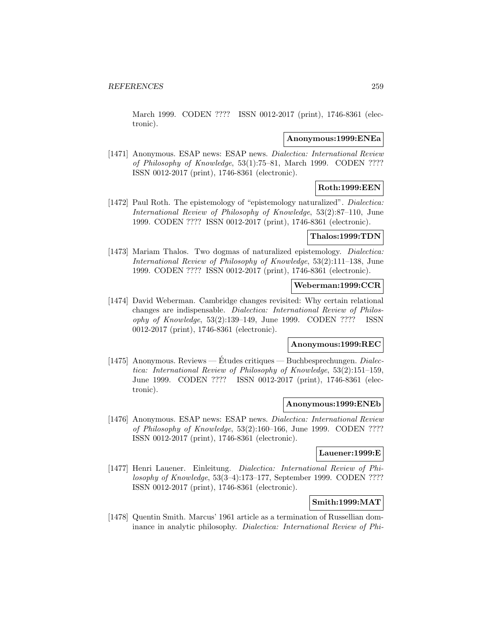March 1999. CODEN ???? ISSN 0012-2017 (print), 1746-8361 (electronic).

### **Anonymous:1999:ENEa**

[1471] Anonymous. ESAP news: ESAP news. Dialectica: International Review of Philosophy of Knowledge, 53(1):75–81, March 1999. CODEN ???? ISSN 0012-2017 (print), 1746-8361 (electronic).

# **Roth:1999:EEN**

[1472] Paul Roth. The epistemology of "epistemology naturalized". *Dialectica:* International Review of Philosophy of Knowledge, 53(2):87–110, June 1999. CODEN ???? ISSN 0012-2017 (print), 1746-8361 (electronic).

# **Thalos:1999:TDN**

[1473] Mariam Thalos. Two dogmas of naturalized epistemology. *Dialectica:* International Review of Philosophy of Knowledge, 53(2):111–138, June 1999. CODEN ???? ISSN 0012-2017 (print), 1746-8361 (electronic).

## **Weberman:1999:CCR**

[1474] David Weberman. Cambridge changes revisited: Why certain relational changes are indispensable. Dialectica: International Review of Philosophy of Knowledge, 53(2):139–149, June 1999. CODEN ???? ISSN 0012-2017 (print), 1746-8361 (electronic).

# **Anonymous:1999:REC**

[1475] Anonymous. Reviews — Études critiques — Buchbesprechungen. *Dialec*tica: International Review of Philosophy of Knowledge, 53(2):151–159, June 1999. CODEN ???? ISSN 0012-2017 (print), 1746-8361 (electronic).

## **Anonymous:1999:ENEb**

[1476] Anonymous. ESAP news: ESAP news. Dialectica: International Review of Philosophy of Knowledge, 53(2):160–166, June 1999. CODEN ???? ISSN 0012-2017 (print), 1746-8361 (electronic).

## **Lauener:1999:E**

[1477] Henri Lauener. Einleitung. Dialectica: International Review of Philosophy of Knowledge, 53(3–4):173–177, September 1999. CODEN ???? ISSN 0012-2017 (print), 1746-8361 (electronic).

# **Smith:1999:MAT**

[1478] Quentin Smith. Marcus' 1961 article as a termination of Russellian dominance in analytic philosophy. Dialectica: International Review of Phi-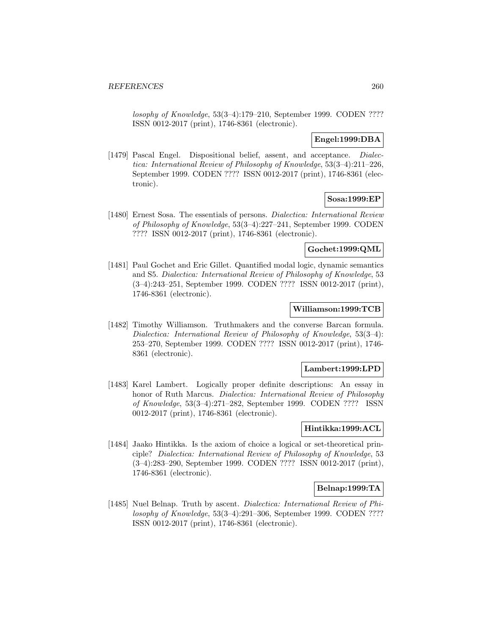losophy of Knowledge, 53(3–4):179–210, September 1999. CODEN ???? ISSN 0012-2017 (print), 1746-8361 (electronic).

# **Engel:1999:DBA**

[1479] Pascal Engel. Dispositional belief, assent, and acceptance. Dialectica: International Review of Philosophy of Knowledge, 53(3–4):211–226, September 1999. CODEN ???? ISSN 0012-2017 (print), 1746-8361 (electronic).

## **Sosa:1999:EP**

[1480] Ernest Sosa. The essentials of persons. Dialectica: International Review of Philosophy of Knowledge, 53(3–4):227–241, September 1999. CODEN ???? ISSN 0012-2017 (print), 1746-8361 (electronic).

### **Gochet:1999:QML**

[1481] Paul Gochet and Eric Gillet. Quantified modal logic, dynamic semantics and S5. Dialectica: International Review of Philosophy of Knowledge, 53 (3–4):243–251, September 1999. CODEN ???? ISSN 0012-2017 (print), 1746-8361 (electronic).

## **Williamson:1999:TCB**

[1482] Timothy Williamson. Truthmakers and the converse Barcan formula. Dialectica: International Review of Philosophy of Knowledge, 53(3–4): 253–270, September 1999. CODEN ???? ISSN 0012-2017 (print), 1746- 8361 (electronic).

## **Lambert:1999:LPD**

[1483] Karel Lambert. Logically proper definite descriptions: An essay in honor of Ruth Marcus. Dialectica: International Review of Philosophy of Knowledge, 53(3–4):271–282, September 1999. CODEN ???? ISSN 0012-2017 (print), 1746-8361 (electronic).

## **Hintikka:1999:ACL**

[1484] Jaako Hintikka. Is the axiom of choice a logical or set-theoretical principle? Dialectica: International Review of Philosophy of Knowledge, 53 (3–4):283–290, September 1999. CODEN ???? ISSN 0012-2017 (print), 1746-8361 (electronic).

## **Belnap:1999:TA**

[1485] Nuel Belnap. Truth by ascent. Dialectica: International Review of Philosophy of Knowledge, 53(3–4):291–306, September 1999. CODEN ???? ISSN 0012-2017 (print), 1746-8361 (electronic).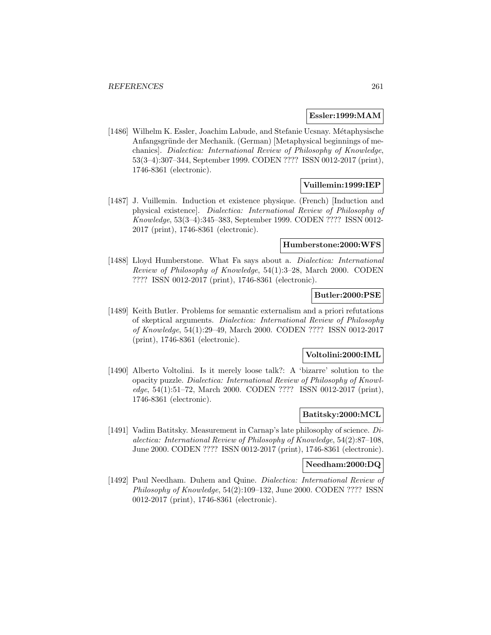#### **Essler:1999:MAM**

[1486] Wilhelm K. Essler, Joachim Labude, and Stefanie Ucsnay. Métaphysische Anfangsgründe der Mechanik. (German) [Metaphysical beginnings of mechanics]. Dialectica: International Review of Philosophy of Knowledge, 53(3–4):307–344, September 1999. CODEN ???? ISSN 0012-2017 (print), 1746-8361 (electronic).

# **Vuillemin:1999:IEP**

[1487] J. Vuillemin. Induction et existence physique. (French) [Induction and physical existence]. Dialectica: International Review of Philosophy of Knowledge, 53(3–4):345–383, September 1999. CODEN ???? ISSN 0012- 2017 (print), 1746-8361 (electronic).

### **Humberstone:2000:WFS**

[1488] Lloyd Humberstone. What Fa says about a. Dialectica: International Review of Philosophy of Knowledge, 54(1):3–28, March 2000. CODEN ???? ISSN 0012-2017 (print), 1746-8361 (electronic).

## **Butler:2000:PSE**

[1489] Keith Butler. Problems for semantic externalism and a priori refutations of skeptical arguments. Dialectica: International Review of Philosophy of Knowledge, 54(1):29–49, March 2000. CODEN ???? ISSN 0012-2017 (print), 1746-8361 (electronic).

#### **Voltolini:2000:IML**

[1490] Alberto Voltolini. Is it merely loose talk?: A 'bizarre' solution to the opacity puzzle. Dialectica: International Review of Philosophy of Knowledge, 54(1):51–72, March 2000. CODEN ???? ISSN 0012-2017 (print), 1746-8361 (electronic).

## **Batitsky:2000:MCL**

[1491] Vadim Batitsky. Measurement in Carnap's late philosophy of science. Dialectica: International Review of Philosophy of Knowledge, 54(2):87–108, June 2000. CODEN ???? ISSN 0012-2017 (print), 1746-8361 (electronic).

### **Needham:2000:DQ**

[1492] Paul Needham. Duhem and Quine. Dialectica: International Review of Philosophy of Knowledge, 54(2):109–132, June 2000. CODEN ???? ISSN 0012-2017 (print), 1746-8361 (electronic).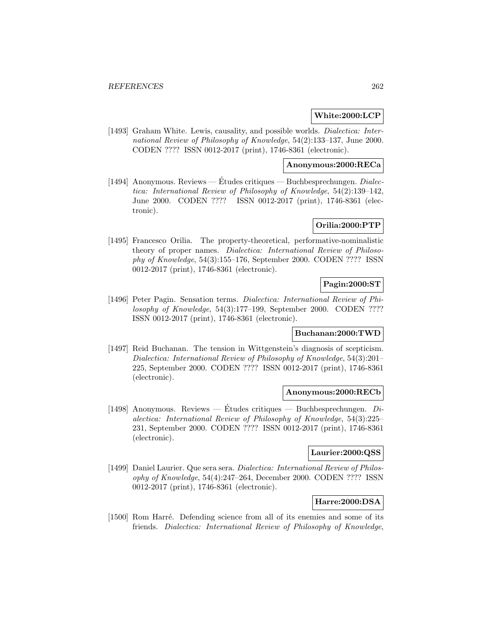## **White:2000:LCP**

[1493] Graham White. Lewis, causality, and possible worlds. Dialectica: International Review of Philosophy of Knowledge, 54(2):133–137, June 2000. CODEN ???? ISSN 0012-2017 (print), 1746-8361 (electronic).

# **Anonymous:2000:RECa**

[1494] Anonymous. Reviews — Études critiques — Buchbesprechungen.  $Dialec$ tica: International Review of Philosophy of Knowledge, 54(2):139–142, June 2000. CODEN ???? ISSN 0012-2017 (print), 1746-8361 (electronic).

# **Orilia:2000:PTP**

[1495] Francesco Orilia. The property-theoretical, performative-nominalistic theory of proper names. Dialectica: International Review of Philosophy of Knowledge, 54(3):155–176, September 2000. CODEN ???? ISSN 0012-2017 (print), 1746-8361 (electronic).

# **Pagin:2000:ST**

[1496] Peter Pagin. Sensation terms. Dialectica: International Review of Philosophy of Knowledge, 54(3):177–199, September 2000. CODEN ???? ISSN 0012-2017 (print), 1746-8361 (electronic).

# **Buchanan:2000:TWD**

[1497] Reid Buchanan. The tension in Wittgenstein's diagnosis of scepticism. Dialectica: International Review of Philosophy of Knowledge, 54(3):201– 225, September 2000. CODEN ???? ISSN 0012-2017 (print), 1746-8361 (electronic).

### **Anonymous:2000:RECb**

[1498] Anonymous. Reviews — Études critiques — Buchbesprechungen.  $Di$ alectica: International Review of Philosophy of Knowledge, 54(3):225– 231, September 2000. CODEN ???? ISSN 0012-2017 (print), 1746-8361 (electronic).

# **Laurier:2000:QSS**

[1499] Daniel Laurier. Que sera sera. Dialectica: International Review of Philosophy of Knowledge, 54(4):247–264, December 2000. CODEN ???? ISSN 0012-2017 (print), 1746-8361 (electronic).

# **Harre:2000:DSA**

[1500] Rom Harré. Defending science from all of its enemies and some of its friends. Dialectica: International Review of Philosophy of Knowledge,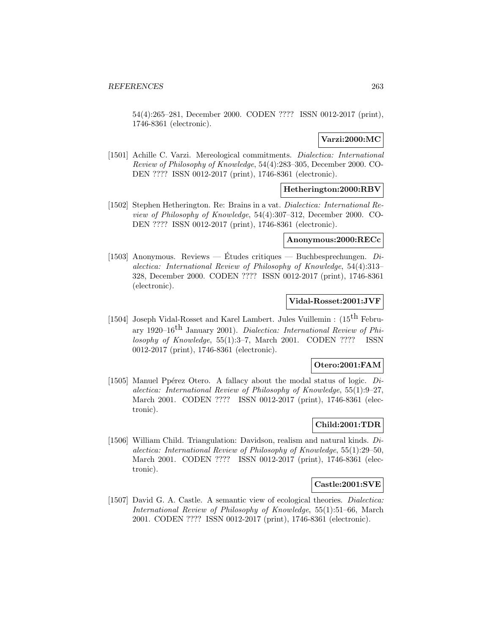54(4):265–281, December 2000. CODEN ???? ISSN 0012-2017 (print), 1746-8361 (electronic).

## **Varzi:2000:MC**

[1501] Achille C. Varzi. Mereological commitments. Dialectica: International Review of Philosophy of Knowledge, 54(4):283–305, December 2000. CO-DEN ???? ISSN 0012-2017 (print), 1746-8361 (electronic).

# **Hetherington:2000:RBV**

[1502] Stephen Hetherington. Re: Brains in a vat. Dialectica: International Review of Philosophy of Knowledge, 54(4):307–312, December 2000. CO-DEN ???? ISSN 0012-2017 (print), 1746-8361 (electronic).

## **Anonymous:2000:RECc**

[1503] Anonymous. Reviews — Etudes critiques — Buchbesprechungen.  $Di$ alectica: International Review of Philosophy of Knowledge, 54(4):313– 328, December 2000. CODEN ???? ISSN 0012-2017 (print), 1746-8361 (electronic).

## **Vidal-Rosset:2001:JVF**

[1504] Joseph Vidal-Rosset and Karel Lambert. Jules Vuillemin : (15<sup>th</sup> February 1920–16<sup>th</sup> January 2001). Dialectica: International Review of Philosophy of Knowledge, 55(1):3–7, March 2001. CODEN ???? ISSN 0012-2017 (print), 1746-8361 (electronic).

# **Otero:2001:FAM**

[1505] Manuel Ppérez Otero. A fallacy about the modal status of logic.  $Di$ alectica: International Review of Philosophy of Knowledge, 55(1):9–27, March 2001. CODEN ???? ISSN 0012-2017 (print), 1746-8361 (electronic).

# **Child:2001:TDR**

[1506] William Child. Triangulation: Davidson, realism and natural kinds. *Di*alectica: International Review of Philosophy of Knowledge, 55(1):29–50, March 2001. CODEN ???? ISSN 0012-2017 (print), 1746-8361 (electronic).

# **Castle:2001:SVE**

[1507] David G. A. Castle. A semantic view of ecological theories. Dialectica: International Review of Philosophy of Knowledge, 55(1):51–66, March 2001. CODEN ???? ISSN 0012-2017 (print), 1746-8361 (electronic).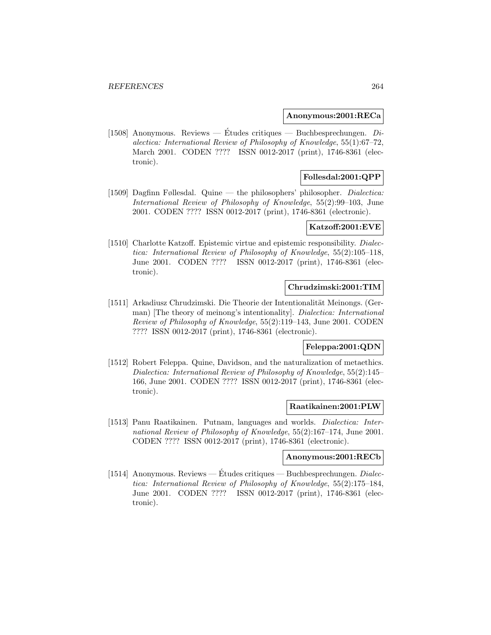#### **Anonymous:2001:RECa**

[1508] Anonymous. Reviews — Études critiques — Buchbesprechungen.  $Di$ alectica: International Review of Philosophy of Knowledge, 55(1):67–72, March 2001. CODEN ???? ISSN 0012-2017 (print), 1746-8361 (electronic).

# **Follesdal:2001:QPP**

[1509] Dagfinn Føllesdal. Quine — the philosophers' philosopher. Dialectica: International Review of Philosophy of Knowledge, 55(2):99–103, June 2001. CODEN ???? ISSN 0012-2017 (print), 1746-8361 (electronic).

## **Katzoff:2001:EVE**

[1510] Charlotte Katzoff. Epistemic virtue and epistemic responsibility. *Dialec*tica: International Review of Philosophy of Knowledge, 55(2):105–118, June 2001. CODEN ???? ISSN 0012-2017 (print), 1746-8361 (electronic).

### **Chrudzimski:2001:TIM**

[1511] Arkadiusz Chrudzimski. Die Theorie der Intentionalität Meinongs. (German) [The theory of meinong's intentionality]. Dialectica: International Review of Philosophy of Knowledge, 55(2):119–143, June 2001. CODEN ???? ISSN 0012-2017 (print), 1746-8361 (electronic).

## **Feleppa:2001:QDN**

[1512] Robert Feleppa. Quine, Davidson, and the naturalization of metaethics. Dialectica: International Review of Philosophy of Knowledge, 55(2):145– 166, June 2001. CODEN ???? ISSN 0012-2017 (print), 1746-8361 (electronic).

#### **Raatikainen:2001:PLW**

[1513] Panu Raatikainen. Putnam, languages and worlds. Dialectica: International Review of Philosophy of Knowledge, 55(2):167–174, June 2001. CODEN ???? ISSN 0012-2017 (print), 1746-8361 (electronic).

### **Anonymous:2001:RECb**

[1514] Anonymous. Reviews — Études critiques — Buchbesprechungen.  $Dialec$ tica: International Review of Philosophy of Knowledge, 55(2):175–184, June 2001. CODEN ???? ISSN 0012-2017 (print), 1746-8361 (electronic).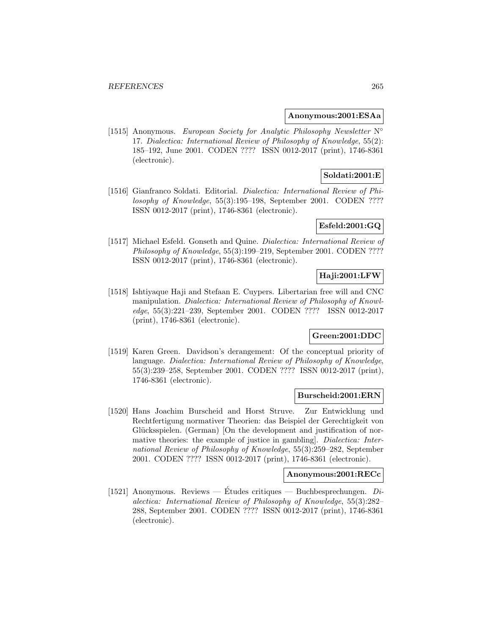#### **Anonymous:2001:ESAa**

[1515] Anonymous. European Society for Analytic Philosophy Newsletter N° 17. Dialectica: International Review of Philosophy of Knowledge, 55(2): 185–192, June 2001. CODEN ???? ISSN 0012-2017 (print), 1746-8361 (electronic).

# **Soldati:2001:E**

[1516] Gianfranco Soldati. Editorial. Dialectica: International Review of Philosophy of Knowledge, 55(3):195–198, September 2001. CODEN ???? ISSN 0012-2017 (print), 1746-8361 (electronic).

# **Esfeld:2001:GQ**

[1517] Michael Esfeld. Gonseth and Quine. *Dialectica: International Review of* Philosophy of Knowledge, 55(3):199–219, September 2001. CODEN ???? ISSN 0012-2017 (print), 1746-8361 (electronic).

## **Haji:2001:LFW**

[1518] Ishtiyaque Haji and Stefaan E. Cuypers. Libertarian free will and CNC manipulation. Dialectica: International Review of Philosophy of Knowledge, 55(3):221–239, September 2001. CODEN ???? ISSN 0012-2017 (print), 1746-8361 (electronic).

# **Green:2001:DDC**

[1519] Karen Green. Davidson's derangement: Of the conceptual priority of language. Dialectica: International Review of Philosophy of Knowledge, 55(3):239–258, September 2001. CODEN ???? ISSN 0012-2017 (print), 1746-8361 (electronic).

#### **Burscheid:2001:ERN**

[1520] Hans Joachim Burscheid and Horst Struve. Zur Entwicklung und Rechtfertigung normativer Theorien: das Beispiel der Gerechtigkeit von Glücksspielen. (German) [On the development and justification of normative theories: the example of justice in gambling]. Dialectica: International Review of Philosophy of Knowledge, 55(3):259–282, September 2001. CODEN ???? ISSN 0012-2017 (print), 1746-8361 (electronic).

#### **Anonymous:2001:RECc**

[1521] Anonymous. Reviews — Études critiques — Buchbesprechungen.  $Di$ alectica: International Review of Philosophy of Knowledge, 55(3):282– 288, September 2001. CODEN ???? ISSN 0012-2017 (print), 1746-8361 (electronic).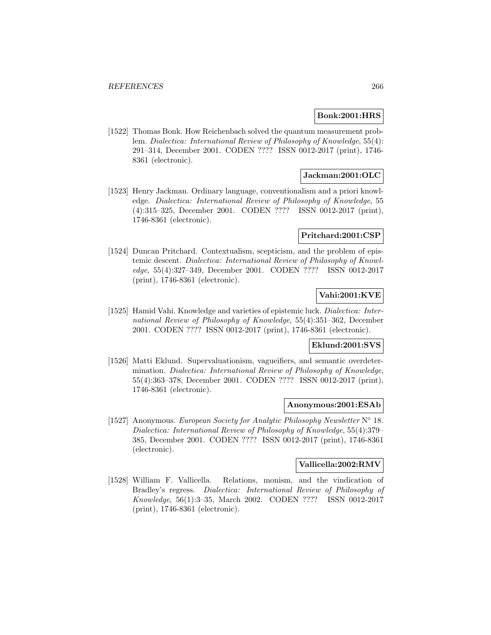### **Bonk:2001:HRS**

[1522] Thomas Bonk. How Reichenbach solved the quantum measurement problem. Dialectica: International Review of Philosophy of Knowledge, 55(4): 291–314, December 2001. CODEN ???? ISSN 0012-2017 (print), 1746- 8361 (electronic).

# **Jackman:2001:OLC**

[1523] Henry Jackman. Ordinary language, conventionalism and a priori knowledge. Dialectica: International Review of Philosophy of Knowledge, 55 (4):315–325, December 2001. CODEN ???? ISSN 0012-2017 (print), 1746-8361 (electronic).

# **Pritchard:2001:CSP**

[1524] Duncan Pritchard. Contextualism, scepticism, and the problem of epistemic descent. Dialectica: International Review of Philosophy of Knowledge, 55(4):327–349, December 2001. CODEN ???? ISSN 0012-2017 (print), 1746-8361 (electronic).

# **Vahi:2001:KVE**

[1525] Hamid Vahi. Knowledge and varieties of epistemic luck. Dialectica: International Review of Philosophy of Knowledge, 55(4):351–362, December 2001. CODEN ???? ISSN 0012-2017 (print), 1746-8361 (electronic).

# **Eklund:2001:SVS**

[1526] Matti Eklund. Supervaluationism, vagueifiers, and semantic overdetermination. Dialectica: International Review of Philosophy of Knowledge, 55(4):363–378, December 2001. CODEN ???? ISSN 0012-2017 (print), 1746-8361 (electronic).

#### **Anonymous:2001:ESAb**

[1527] Anonymous. European Society for Analytic Philosophy Newsletter  $N° 18$ . Dialectica: International Review of Philosophy of Knowledge, 55(4):379– 385, December 2001. CODEN ???? ISSN 0012-2017 (print), 1746-8361 (electronic).

### **Vallicella:2002:RMV**

[1528] William F. Vallicella. Relations, monism, and the vindication of Bradley's regress. Dialectica: International Review of Philosophy of Knowledge, 56(1):3–35, March 2002. CODEN ???? ISSN 0012-2017 (print), 1746-8361 (electronic).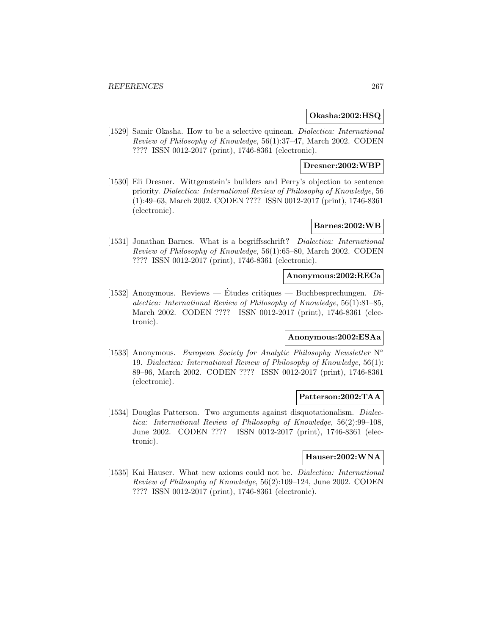## **Okasha:2002:HSQ**

[1529] Samir Okasha. How to be a selective quinean. Dialectica: International Review of Philosophy of Knowledge, 56(1):37–47, March 2002. CODEN ???? ISSN 0012-2017 (print), 1746-8361 (electronic).

## **Dresner:2002:WBP**

[1530] Eli Dresner. Wittgenstein's builders and Perry's objection to sentence priority. Dialectica: International Review of Philosophy of Knowledge, 56 (1):49–63, March 2002. CODEN ???? ISSN 0012-2017 (print), 1746-8361 (electronic).

# **Barnes:2002:WB**

[1531] Jonathan Barnes. What is a begriffsschrift? Dialectica: International Review of Philosophy of Knowledge, 56(1):65–80, March 2002. CODEN ???? ISSN 0012-2017 (print), 1746-8361 (electronic).

# **Anonymous:2002:RECa**

[1532] Anonymous. Reviews — Études critiques — Buchbesprechungen.  $Di$ alectica: International Review of Philosophy of Knowledge, 56(1):81–85, March 2002. CODEN ???? ISSN 0012-2017 (print), 1746-8361 (electronic).

## **Anonymous:2002:ESAa**

[1533] Anonymous. European Society for Analytic Philosophy Newsletter  $N^{\circ}$ 19. Dialectica: International Review of Philosophy of Knowledge, 56(1): 89–96, March 2002. CODEN ???? ISSN 0012-2017 (print), 1746-8361 (electronic).

## **Patterson:2002:TAA**

[1534] Douglas Patterson. Two arguments against disquotationalism. Dialectica: International Review of Philosophy of Knowledge, 56(2):99–108, June 2002. CODEN ???? ISSN 0012-2017 (print), 1746-8361 (electronic).

#### **Hauser:2002:WNA**

[1535] Kai Hauser. What new axioms could not be. Dialectica: International Review of Philosophy of Knowledge, 56(2):109–124, June 2002. CODEN ???? ISSN 0012-2017 (print), 1746-8361 (electronic).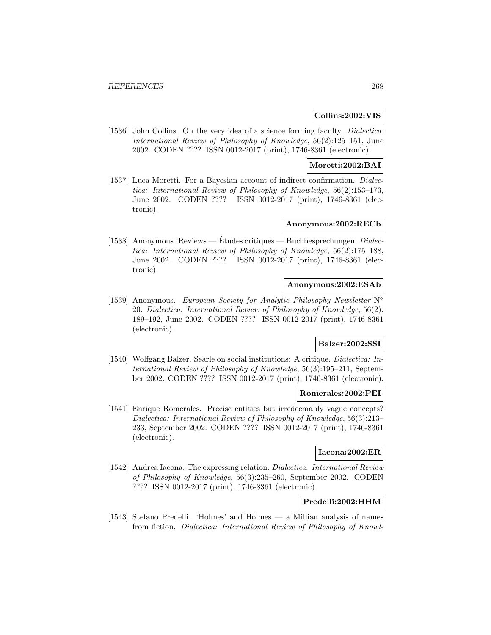## **Collins:2002:VIS**

[1536] John Collins. On the very idea of a science forming faculty. *Dialectica:* International Review of Philosophy of Knowledge, 56(2):125–151, June 2002. CODEN ???? ISSN 0012-2017 (print), 1746-8361 (electronic).

## **Moretti:2002:BAI**

[1537] Luca Moretti. For a Bayesian account of indirect confirmation. *Dialec*tica: International Review of Philosophy of Knowledge, 56(2):153–173, June 2002. CODEN ???? ISSN 0012-2017 (print), 1746-8361 (electronic).

## **Anonymous:2002:RECb**

[1538] Anonymous. Reviews — Études critiques — Buchbesprechungen. *Dialec*tica: International Review of Philosophy of Knowledge, 56(2):175–188, June 2002. CODEN ???? ISSN 0012-2017 (print), 1746-8361 (electronic).

# **Anonymous:2002:ESAb**

[1539] Anonymous. European Society for Analytic Philosophy Newsletter  $N^{\circ}$ 20. Dialectica: International Review of Philosophy of Knowledge, 56(2): 189–192, June 2002. CODEN ???? ISSN 0012-2017 (print), 1746-8361 (electronic).

# **Balzer:2002:SSI**

[1540] Wolfgang Balzer. Searle on social institutions: A critique. Dialectica: International Review of Philosophy of Knowledge, 56(3):195–211, September 2002. CODEN ???? ISSN 0012-2017 (print), 1746-8361 (electronic).

### **Romerales:2002:PEI**

[1541] Enrique Romerales. Precise entities but irredeemably vague concepts? Dialectica: International Review of Philosophy of Knowledge, 56(3):213– 233, September 2002. CODEN ???? ISSN 0012-2017 (print), 1746-8361 (electronic).

### **Iacona:2002:ER**

[1542] Andrea Iacona. The expressing relation. Dialectica: International Review of Philosophy of Knowledge, 56(3):235–260, September 2002. CODEN ???? ISSN 0012-2017 (print), 1746-8361 (electronic).

# **Predelli:2002:HHM**

[1543] Stefano Predelli. 'Holmes' and Holmes — a Millian analysis of names from fiction. Dialectica: International Review of Philosophy of Knowl-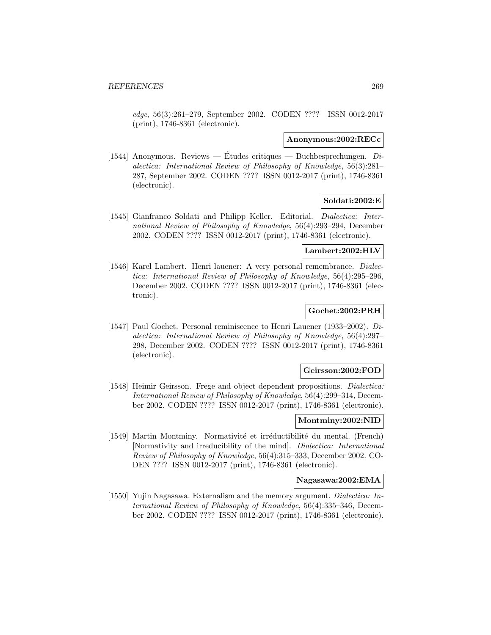edge, 56(3):261–279, September 2002. CODEN ???? ISSN 0012-2017 (print), 1746-8361 (electronic).

#### **Anonymous:2002:RECc**

[1544] Anonymous. Reviews — Études critiques — Buchbesprechungen.  $Di$ alectica: International Review of Philosophy of Knowledge, 56(3):281– 287, September 2002. CODEN ???? ISSN 0012-2017 (print), 1746-8361 (electronic).

## **Soldati:2002:E**

[1545] Gianfranco Soldati and Philipp Keller. Editorial. Dialectica: International Review of Philosophy of Knowledge, 56(4):293–294, December 2002. CODEN ???? ISSN 0012-2017 (print), 1746-8361 (electronic).

# **Lambert:2002:HLV**

[1546] Karel Lambert. Henri lauener: A very personal remembrance. Dialectica: International Review of Philosophy of Knowledge, 56(4):295–296, December 2002. CODEN ???? ISSN 0012-2017 (print), 1746-8361 (electronic).

# **Gochet:2002:PRH**

[1547] Paul Gochet. Personal reminiscence to Henri Lauener (1933–2002). Dialectica: International Review of Philosophy of Knowledge, 56(4):297– 298, December 2002. CODEN ???? ISSN 0012-2017 (print), 1746-8361 (electronic).

## **Geirsson:2002:FOD**

[1548] Heimir Geirsson. Frege and object dependent propositions. Dialectica: International Review of Philosophy of Knowledge, 56(4):299–314, December 2002. CODEN ???? ISSN 0012-2017 (print), 1746-8361 (electronic).

#### **Montminy:2002:NID**

[1549] Martin Montminy. Normativité et irréductibilité du mental. (French) [Normativity and irreducibility of the mind]. Dialectica: International Review of Philosophy of Knowledge, 56(4):315–333, December 2002. CO-DEN ???? ISSN 0012-2017 (print), 1746-8361 (electronic).

### **Nagasawa:2002:EMA**

[1550] Yujin Nagasawa. Externalism and the memory argument. Dialectica: International Review of Philosophy of Knowledge, 56(4):335–346, December 2002. CODEN ???? ISSN 0012-2017 (print), 1746-8361 (electronic).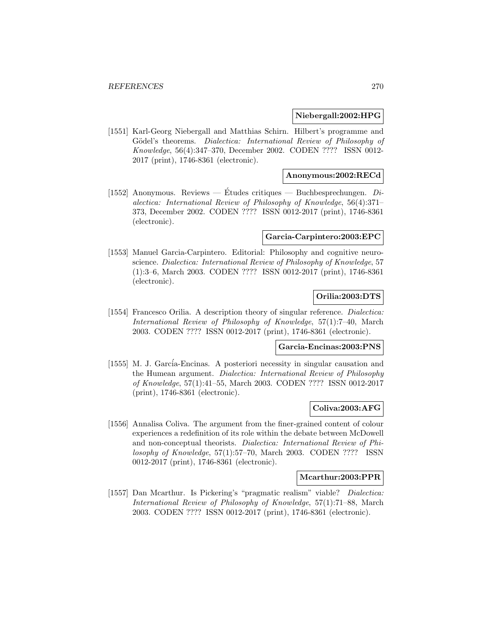### **Niebergall:2002:HPG**

[1551] Karl-Georg Niebergall and Matthias Schirn. Hilbert's programme and Gödel's theorems. Dialectica: International Review of Philosophy of Knowledge, 56(4):347–370, December 2002. CODEN ???? ISSN 0012- 2017 (print), 1746-8361 (electronic).

## **Anonymous:2002:RECd**

[1552] Anonymous. Reviews — Études critiques — Buchbesprechungen.  $Di$ alectica: International Review of Philosophy of Knowledge, 56(4):371– 373, December 2002. CODEN ???? ISSN 0012-2017 (print), 1746-8361 (electronic).

#### **Garcia-Carpintero:2003:EPC**

[1553] Manuel Garcia-Carpintero. Editorial: Philosophy and cognitive neuroscience. Dialectica: International Review of Philosophy of Knowledge, 57 (1):3–6, March 2003. CODEN ???? ISSN 0012-2017 (print), 1746-8361 (electronic).

# **Orilia:2003:DTS**

[1554] Francesco Orilia. A description theory of singular reference. *Dialectica:* International Review of Philosophy of Knowledge, 57(1):7–40, March 2003. CODEN ???? ISSN 0012-2017 (print), 1746-8361 (electronic).

# **Garcia-Encinas:2003:PNS**

[1555] M. J. García-Encinas. A posteriori necessity in singular causation and the Humean argument. Dialectica: International Review of Philosophy of Knowledge, 57(1):41–55, March 2003. CODEN ???? ISSN 0012-2017 (print), 1746-8361 (electronic).

### **Coliva:2003:AFG**

[1556] Annalisa Coliva. The argument from the finer-grained content of colour experiences a redefinition of its role within the debate between McDowell and non-conceptual theorists. Dialectica: International Review of Philosophy of Knowledge, 57(1):57–70, March 2003. CODEN ???? ISSN 0012-2017 (print), 1746-8361 (electronic).

## **Mcarthur:2003:PPR**

[1557] Dan Mcarthur. Is Pickering's "pragmatic realism" viable? Dialectica: International Review of Philosophy of Knowledge, 57(1):71–88, March 2003. CODEN ???? ISSN 0012-2017 (print), 1746-8361 (electronic).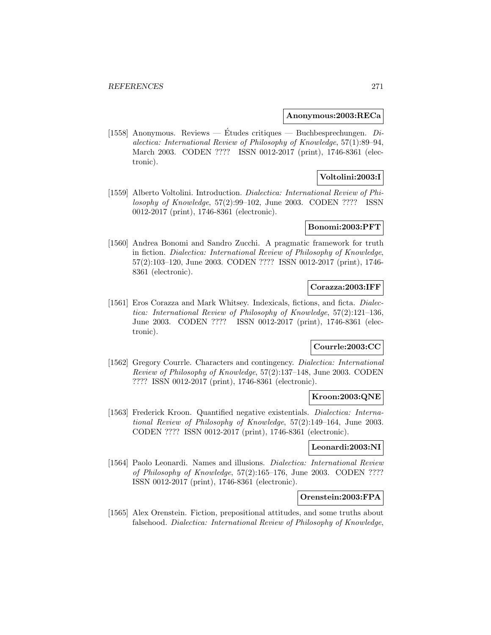### **Anonymous:2003:RECa**

[1558] Anonymous. Reviews — Études critiques — Buchbesprechungen.  $Di$ alectica: International Review of Philosophy of Knowledge, 57(1):89–94, March 2003. CODEN ???? ISSN 0012-2017 (print), 1746-8361 (electronic).

# **Voltolini:2003:I**

[1559] Alberto Voltolini. Introduction. Dialectica: International Review of Philosophy of Knowledge, 57(2):99–102, June 2003. CODEN ???? ISSN 0012-2017 (print), 1746-8361 (electronic).

# **Bonomi:2003:PFT**

[1560] Andrea Bonomi and Sandro Zucchi. A pragmatic framework for truth in fiction. Dialectica: International Review of Philosophy of Knowledge, 57(2):103–120, June 2003. CODEN ???? ISSN 0012-2017 (print), 1746- 8361 (electronic).

### **Corazza:2003:IFF**

[1561] Eros Corazza and Mark Whitsey. Indexicals, fictions, and ficta. *Dialec*tica: International Review of Philosophy of Knowledge, 57(2):121–136, June 2003. CODEN ???? ISSN 0012-2017 (print), 1746-8361 (electronic).

## **Courrle:2003:CC**

[1562] Gregory Courrle. Characters and contingency. Dialectica: International Review of Philosophy of Knowledge, 57(2):137–148, June 2003. CODEN ???? ISSN 0012-2017 (print), 1746-8361 (electronic).

# **Kroon:2003:QNE**

[1563] Frederick Kroon. Quantified negative existentials. Dialectica: International Review of Philosophy of Knowledge, 57(2):149–164, June 2003. CODEN ???? ISSN 0012-2017 (print), 1746-8361 (electronic).

### **Leonardi:2003:NI**

[1564] Paolo Leonardi. Names and illusions. Dialectica: International Review of Philosophy of Knowledge, 57(2):165–176, June 2003. CODEN ???? ISSN 0012-2017 (print), 1746-8361 (electronic).

### **Orenstein:2003:FPA**

[1565] Alex Orenstein. Fiction, prepositional attitudes, and some truths about falsehood. Dialectica: International Review of Philosophy of Knowledge,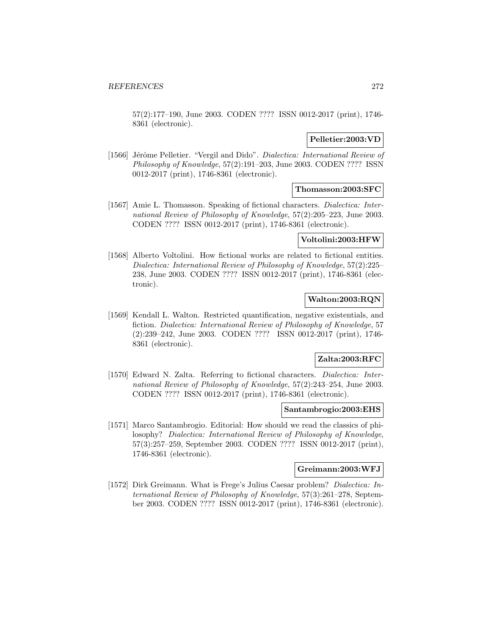57(2):177–190, June 2003. CODEN ???? ISSN 0012-2017 (print), 1746- 8361 (electronic).

## **Pelletier:2003:VD**

[1566] Jérôme Pelletier. "Vergil and Dido". *Dialectica: International Review of* Philosophy of Knowledge, 57(2):191–203, June 2003. CODEN ???? ISSN 0012-2017 (print), 1746-8361 (electronic).

## **Thomasson:2003:SFC**

[1567] Amie L. Thomasson. Speaking of fictional characters. Dialectica: International Review of Philosophy of Knowledge, 57(2):205–223, June 2003. CODEN ???? ISSN 0012-2017 (print), 1746-8361 (electronic).

## **Voltolini:2003:HFW**

[1568] Alberto Voltolini. How fictional works are related to fictional entities. Dialectica: International Review of Philosophy of Knowledge, 57(2):225– 238, June 2003. CODEN ???? ISSN 0012-2017 (print), 1746-8361 (electronic).

## **Walton:2003:RQN**

[1569] Kendall L. Walton. Restricted quantification, negative existentials, and fiction. Dialectica: International Review of Philosophy of Knowledge, 57 (2):239–242, June 2003. CODEN ???? ISSN 0012-2017 (print), 1746- 8361 (electronic).

# **Zalta:2003:RFC**

[1570] Edward N. Zalta. Referring to fictional characters. *Dialectica: Inter*national Review of Philosophy of Knowledge, 57(2):243–254, June 2003. CODEN ???? ISSN 0012-2017 (print), 1746-8361 (electronic).

## **Santambrogio:2003:EHS**

[1571] Marco Santambrogio. Editorial: How should we read the classics of philosophy? Dialectica: International Review of Philosophy of Knowledge, 57(3):257–259, September 2003. CODEN ???? ISSN 0012-2017 (print), 1746-8361 (electronic).

# **Greimann:2003:WFJ**

[1572] Dirk Greimann. What is Frege's Julius Caesar problem? Dialectica: International Review of Philosophy of Knowledge, 57(3):261–278, September 2003. CODEN ???? ISSN 0012-2017 (print), 1746-8361 (electronic).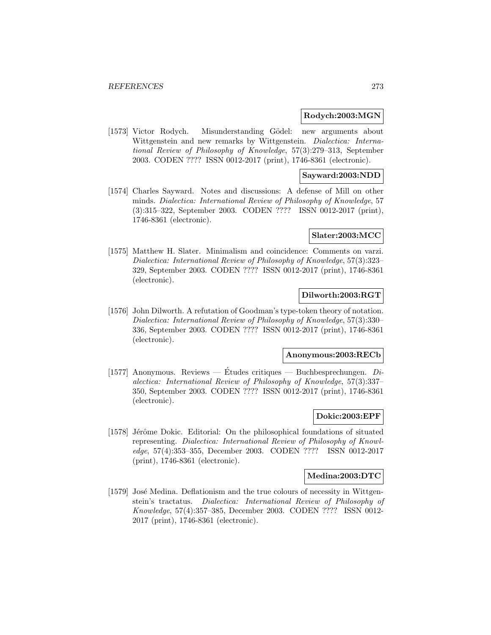#### **Rodych:2003:MGN**

[1573] Victor Rodych. Misunderstanding Gödel: new arguments about Wittgenstein and new remarks by Wittgenstein. Dialectica: International Review of Philosophy of Knowledge, 57(3):279–313, September 2003. CODEN ???? ISSN 0012-2017 (print), 1746-8361 (electronic).

## **Sayward:2003:NDD**

[1574] Charles Sayward. Notes and discussions: A defense of Mill on other minds. Dialectica: International Review of Philosophy of Knowledge, 57 (3):315–322, September 2003. CODEN ???? ISSN 0012-2017 (print), 1746-8361 (electronic).

### **Slater:2003:MCC**

[1575] Matthew H. Slater. Minimalism and coincidence: Comments on varzi. Dialectica: International Review of Philosophy of Knowledge, 57(3):323– 329, September 2003. CODEN ???? ISSN 0012-2017 (print), 1746-8361 (electronic).

## **Dilworth:2003:RGT**

[1576] John Dilworth. A refutation of Goodman's type-token theory of notation. Dialectica: International Review of Philosophy of Knowledge, 57(3):330– 336, September 2003. CODEN ???? ISSN 0012-2017 (print), 1746-8361 (electronic).

#### **Anonymous:2003:RECb**

[1577] Anonymous. Reviews — Etudes critiques — Buchbesprechungen.  $Di$ alectica: International Review of Philosophy of Knowledge, 57(3):337– 350, September 2003. CODEN ???? ISSN 0012-2017 (print), 1746-8361 (electronic).

### **Dokic:2003:EPF**

[1578] Jérôme Dokic. Editorial: On the philosophical foundations of situated representing. Dialectica: International Review of Philosophy of Knowledge, 57(4):353–355, December 2003. CODEN ???? ISSN 0012-2017 (print), 1746-8361 (electronic).

## **Medina:2003:DTC**

[1579] José Medina. Deflationism and the true colours of necessity in Wittgenstein's tractatus. Dialectica: International Review of Philosophy of Knowledge, 57(4):357–385, December 2003. CODEN ???? ISSN 0012- 2017 (print), 1746-8361 (electronic).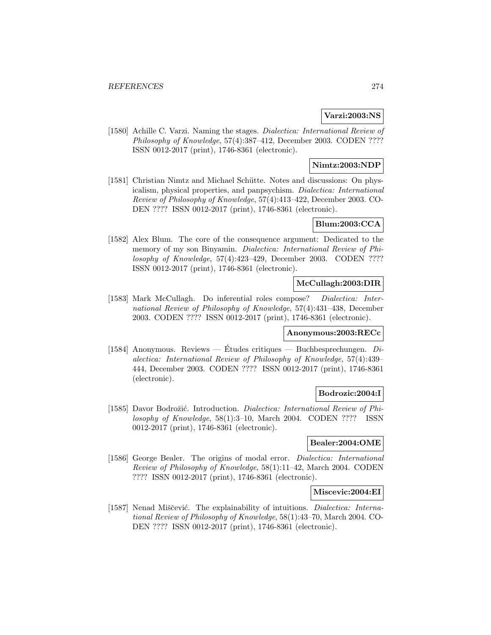# **Varzi:2003:NS**

[1580] Achille C. Varzi. Naming the stages. Dialectica: International Review of Philosophy of Knowledge, 57(4):387–412, December 2003. CODEN ???? ISSN 0012-2017 (print), 1746-8361 (electronic).

# **Nimtz:2003:NDP**

[1581] Christian Nimtz and Michael Schütte. Notes and discussions: On physicalism, physical properties, and panpsychism. Dialectica: International Review of Philosophy of Knowledge, 57(4):413–422, December 2003. CO-DEN ???? ISSN 0012-2017 (print), 1746-8361 (electronic).

# **Blum:2003:CCA**

[1582] Alex Blum. The core of the consequence argument: Dedicated to the memory of my son Binyamin. Dialectica: International Review of Philosophy of Knowledge, 57(4):423–429, December 2003. CODEN ???? ISSN 0012-2017 (print), 1746-8361 (electronic).

## **McCullagh:2003:DIR**

[1583] Mark McCullagh. Do inferential roles compose? Dialectica: International Review of Philosophy of Knowledge, 57(4):431–438, December 2003. CODEN ???? ISSN 0012-2017 (print), 1746-8361 (electronic).

## **Anonymous:2003:RECc**

[1584] Anonymous. Reviews — Etudes critiques — Buchbesprechungen.  $Di$ alectica: International Review of Philosophy of Knowledge, 57(4):439– 444, December 2003. CODEN ???? ISSN 0012-2017 (print), 1746-8361 (electronic).

## **Bodrozic:2004:I**

[1585] Davor Bodrožić. Introduction. *Dialectica: International Review of Phi*losophy of Knowledge, 58(1):3–10, March 2004. CODEN ???? ISSN 0012-2017 (print), 1746-8361 (electronic).

## **Bealer:2004:OME**

[1586] George Bealer. The origins of modal error. *Dialectica: International* Review of Philosophy of Knowledge, 58(1):11–42, March 2004. CODEN ???? ISSN 0012-2017 (print), 1746-8361 (electronic).

## **Miscevic:2004:EI**

[1587] Nenad Miščević. The explainability of intuitions. *Dialectica: Interna*tional Review of Philosophy of Knowledge, 58(1):43–70, March 2004. CO-DEN ???? ISSN 0012-2017 (print), 1746-8361 (electronic).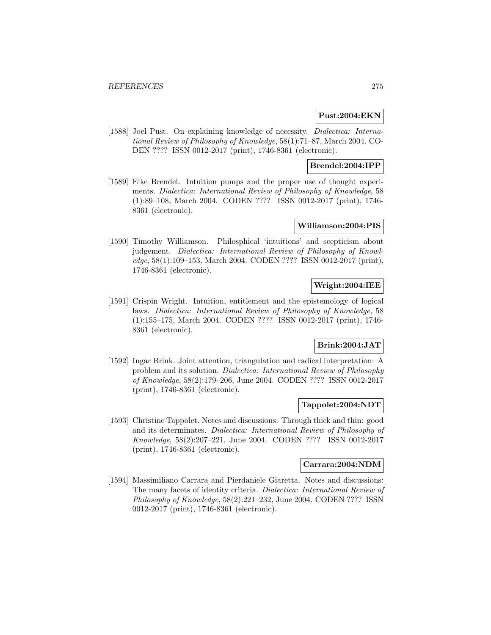## **Pust:2004:EKN**

[1588] Joel Pust. On explaining knowledge of necessity. *Dialectica: Interna*tional Review of Philosophy of Knowledge, 58(1):71–87, March 2004. CO-DEN ???? ISSN 0012-2017 (print), 1746-8361 (electronic).

# **Brendel:2004:IPP**

[1589] Elke Brendel. Intuition pumps and the proper use of thought experiments. Dialectica: International Review of Philosophy of Knowledge, 58 (1):89–108, March 2004. CODEN ???? ISSN 0012-2017 (print), 1746- 8361 (electronic).

# **Williamson:2004:PIS**

[1590] Timothy Williamson. Philosphical 'intuitions' and scepticism about judgement. Dialectica: International Review of Philosophy of Knowledge, 58(1):109–153, March 2004. CODEN ???? ISSN 0012-2017 (print), 1746-8361 (electronic).

# **Wright:2004:IEE**

[1591] Crispin Wright. Intuition, entitlement and the epistemology of logical laws. Dialectica: International Review of Philosophy of Knowledge, 58 (1):155–175, March 2004. CODEN ???? ISSN 0012-2017 (print), 1746- 8361 (electronic).

# **Brink:2004:JAT**

[1592] Ingar Brink. Joint attention, triangulation and radical interpretation: A problem and its solution. Dialectica: International Review of Philosophy of Knowledge, 58(2):179–206, June 2004. CODEN ???? ISSN 0012-2017 (print), 1746-8361 (electronic).

#### **Tappolet:2004:NDT**

[1593] Christine Tappolet. Notes and discussions: Through thick and thin: good and its determinates. Dialectica: International Review of Philosophy of Knowledge, 58(2):207–221, June 2004. CODEN ???? ISSN 0012-2017 (print), 1746-8361 (electronic).

### **Carrara:2004:NDM**

[1594] Massimiliano Carrara and Pierdaniele Giaretta. Notes and discussions: The many facets of identity criteria. Dialectica: International Review of Philosophy of Knowledge, 58(2):221–232, June 2004. CODEN ???? ISSN 0012-2017 (print), 1746-8361 (electronic).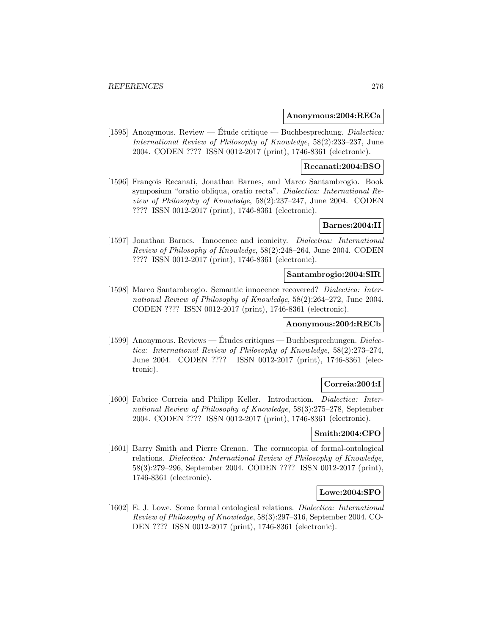### **Anonymous:2004:RECa**

[1595] Anonymous. Review — Étude critique — Buchbesprechung. *Dialectica:* International Review of Philosophy of Knowledge, 58(2):233–237, June 2004. CODEN ???? ISSN 0012-2017 (print), 1746-8361 (electronic).

### **Recanati:2004:BSO**

[1596] François Recanati, Jonathan Barnes, and Marco Santambrogio. Book symposium "oratio obliqua, oratio recta". Dialectica: International Review of Philosophy of Knowledge, 58(2):237–247, June 2004. CODEN ???? ISSN 0012-2017 (print), 1746-8361 (electronic).

# **Barnes:2004:II**

[1597] Jonathan Barnes. Innocence and iconicity. Dialectica: International Review of Philosophy of Knowledge, 58(2):248–264, June 2004. CODEN ???? ISSN 0012-2017 (print), 1746-8361 (electronic).

#### **Santambrogio:2004:SIR**

[1598] Marco Santambrogio. Semantic innocence recovered? Dialectica: International Review of Philosophy of Knowledge, 58(2):264–272, June 2004. CODEN ???? ISSN 0012-2017 (print), 1746-8361 (electronic).

# **Anonymous:2004:RECb**

[1599] Anonymous. Reviews — Etudes critiques — Buchbesprechungen.  $Dialec$ tica: International Review of Philosophy of Knowledge, 58(2):273–274, June 2004. CODEN ???? ISSN 0012-2017 (print), 1746-8361 (electronic).

# **Correia:2004:I**

[1600] Fabrice Correia and Philipp Keller. Introduction. Dialectica: International Review of Philosophy of Knowledge, 58(3):275–278, September 2004. CODEN ???? ISSN 0012-2017 (print), 1746-8361 (electronic).

## **Smith:2004:CFO**

[1601] Barry Smith and Pierre Grenon. The cornucopia of formal-ontological relations. Dialectica: International Review of Philosophy of Knowledge, 58(3):279–296, September 2004. CODEN ???? ISSN 0012-2017 (print), 1746-8361 (electronic).

### **Lowe:2004:SFO**

[1602] E. J. Lowe. Some formal ontological relations. Dialectica: International Review of Philosophy of Knowledge, 58(3):297–316, September 2004. CO-DEN ???? ISSN 0012-2017 (print), 1746-8361 (electronic).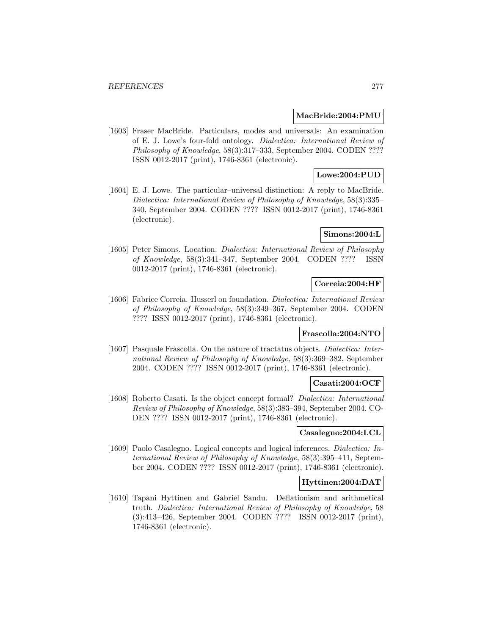### **MacBride:2004:PMU**

[1603] Fraser MacBride. Particulars, modes and universals: An examination of E. J. Lowe's four-fold ontology. Dialectica: International Review of Philosophy of Knowledge, 58(3):317–333, September 2004. CODEN ???? ISSN 0012-2017 (print), 1746-8361 (electronic).

# **Lowe:2004:PUD**

[1604] E. J. Lowe. The particular–universal distinction: A reply to MacBride. Dialectica: International Review of Philosophy of Knowledge, 58(3):335– 340, September 2004. CODEN ???? ISSN 0012-2017 (print), 1746-8361 (electronic).

### **Simons:2004:L**

[1605] Peter Simons. Location. Dialectica: International Review of Philosophy of Knowledge, 58(3):341–347, September 2004. CODEN ???? ISSN 0012-2017 (print), 1746-8361 (electronic).

# **Correia:2004:HF**

[1606] Fabrice Correia. Husserl on foundation. Dialectica: International Review of Philosophy of Knowledge, 58(3):349–367, September 2004. CODEN ???? ISSN 0012-2017 (print), 1746-8361 (electronic).

### **Frascolla:2004:NTO**

[1607] Pasquale Frascolla. On the nature of tractatus objects. Dialectica: International Review of Philosophy of Knowledge, 58(3):369–382, September 2004. CODEN ???? ISSN 0012-2017 (print), 1746-8361 (electronic).

## **Casati:2004:OCF**

[1608] Roberto Casati. Is the object concept formal? Dialectica: International Review of Philosophy of Knowledge, 58(3):383–394, September 2004. CO-DEN ???? ISSN 0012-2017 (print), 1746-8361 (electronic).

## **Casalegno:2004:LCL**

[1609] Paolo Casalegno. Logical concepts and logical inferences. Dialectica: International Review of Philosophy of Knowledge, 58(3):395–411, September 2004. CODEN ???? ISSN 0012-2017 (print), 1746-8361 (electronic).

## **Hyttinen:2004:DAT**

[1610] Tapani Hyttinen and Gabriel Sandu. Deflationism and arithmetical truth. Dialectica: International Review of Philosophy of Knowledge, 58 (3):413–426, September 2004. CODEN ???? ISSN 0012-2017 (print), 1746-8361 (electronic).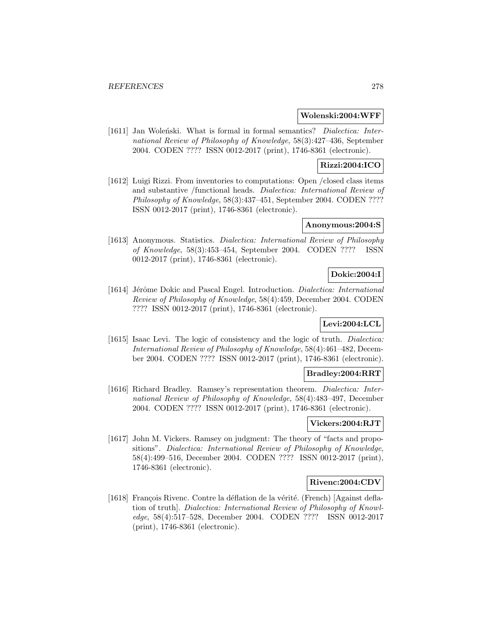### **Wolenski:2004:WFF**

[1611] Jan Wolenski. What is formal in formal semantics? *Dialectica: Inter*national Review of Philosophy of Knowledge, 58(3):427–436, September 2004. CODEN ???? ISSN 0012-2017 (print), 1746-8361 (electronic).

# **Rizzi:2004:ICO**

[1612] Luigi Rizzi. From inventories to computations: Open /closed class items and substantive /functional heads. Dialectica: International Review of Philosophy of Knowledge, 58(3):437–451, September 2004. CODEN ???? ISSN 0012-2017 (print), 1746-8361 (electronic).

# **Anonymous:2004:S**

[1613] Anonymous. Statistics. Dialectica: International Review of Philosophy of Knowledge, 58(3):453–454, September 2004. CODEN ???? ISSN 0012-2017 (print), 1746-8361 (electronic).

## **Dokic:2004:I**

[1614] Jérôme Dokic and Pascal Engel. Introduction. *Dialectica: International* Review of Philosophy of Knowledge, 58(4):459, December 2004. CODEN ???? ISSN 0012-2017 (print), 1746-8361 (electronic).

# **Levi:2004:LCL**

[1615] Isaac Levi. The logic of consistency and the logic of truth. *Dialectica:* International Review of Philosophy of Knowledge, 58(4):461–482, December 2004. CODEN ???? ISSN 0012-2017 (print), 1746-8361 (electronic).

### **Bradley:2004:RRT**

[1616] Richard Bradley. Ramsey's representation theorem. Dialectica: International Review of Philosophy of Knowledge, 58(4):483–497, December 2004. CODEN ???? ISSN 0012-2017 (print), 1746-8361 (electronic).

# **Vickers:2004:RJT**

[1617] John M. Vickers. Ramsey on judgment: The theory of "facts and propositions". Dialectica: International Review of Philosophy of Knowledge, 58(4):499–516, December 2004. CODEN ???? ISSN 0012-2017 (print), 1746-8361 (electronic).

## **Rivenc:2004:CDV**

[1618] François Rivenc. Contre la déflation de la vérité. (French) [Against deflation of truth]. Dialectica: International Review of Philosophy of Knowledge, 58(4):517–528, December 2004. CODEN ???? ISSN 0012-2017 (print), 1746-8361 (electronic).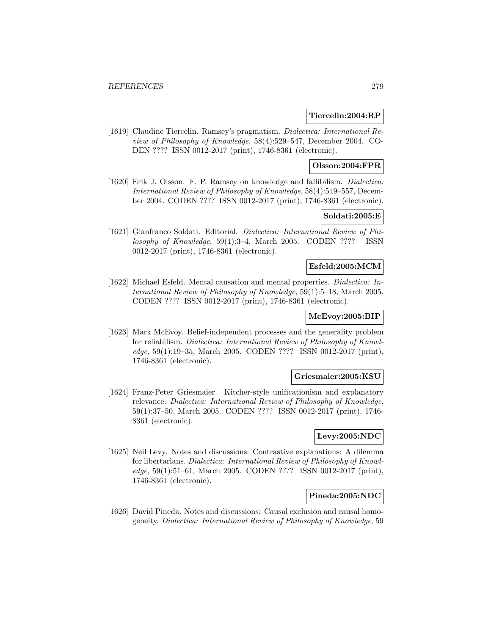### **Tiercelin:2004:RP**

[1619] Claudine Tiercelin. Ramsey's pragmatism. Dialectica: International Review of Philosophy of Knowledge, 58(4):529–547, December 2004. CO-DEN ???? ISSN 0012-2017 (print), 1746-8361 (electronic).

# **Olsson:2004:FPR**

[1620] Erik J. Olsson. F. P. Ramsey on knowledge and fallibilism. *Dialectica:* International Review of Philosophy of Knowledge, 58(4):549–557, December 2004. CODEN ???? ISSN 0012-2017 (print), 1746-8361 (electronic).

# **Soldati:2005:E**

[1621] Gianfranco Soldati. Editorial. Dialectica: International Review of Philosophy of Knowledge, 59(1):3–4, March 2005. CODEN ???? ISSN 0012-2017 (print), 1746-8361 (electronic).

## **Esfeld:2005:MCM**

[1622] Michael Esfeld. Mental causation and mental properties. Dialectica: International Review of Philosophy of Knowledge, 59(1):5–18, March 2005. CODEN ???? ISSN 0012-2017 (print), 1746-8361 (electronic).

# **McEvoy:2005:BIP**

[1623] Mark McEvoy. Belief-independent processes and the generality problem for reliabilism. Dialectica: International Review of Philosophy of Knowledge, 59(1):19–35, March 2005. CODEN ???? ISSN 0012-2017 (print), 1746-8361 (electronic).

#### **Griesmaier:2005:KSU**

[1624] Franz-Peter Griesmaier. Kitcher-style unificationism and explanatory relevance. Dialectica: International Review of Philosophy of Knowledge, 59(1):37–50, March 2005. CODEN ???? ISSN 0012-2017 (print), 1746- 8361 (electronic).

## **Levy:2005:NDC**

[1625] Neil Levy. Notes and discussions: Contrastive explanations: A dilemma for libertarians. Dialectica: International Review of Philosophy of Knowledge, 59(1):51–61, March 2005. CODEN ???? ISSN 0012-2017 (print), 1746-8361 (electronic).

### **Pineda:2005:NDC**

[1626] David Pineda. Notes and discussions: Causal exclusion and causal homogeneity. Dialectica: International Review of Philosophy of Knowledge, 59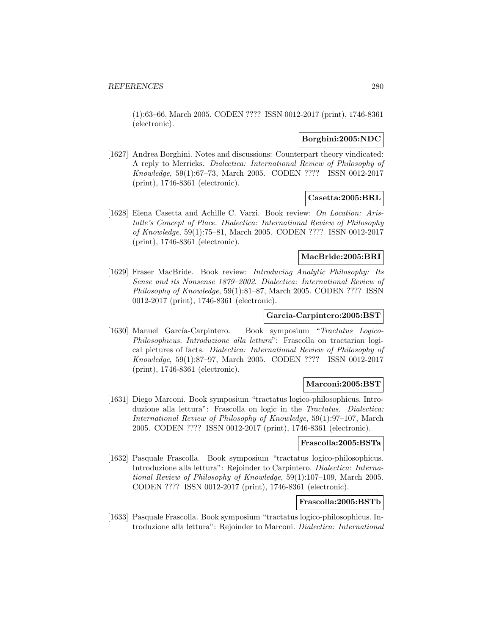(1):63–66, March 2005. CODEN ???? ISSN 0012-2017 (print), 1746-8361 (electronic).

# **Borghini:2005:NDC**

[1627] Andrea Borghini. Notes and discussions: Counterpart theory vindicated: A reply to Merricks. Dialectica: International Review of Philosophy of Knowledge, 59(1):67–73, March 2005. CODEN ???? ISSN 0012-2017 (print), 1746-8361 (electronic).

# **Casetta:2005:BRL**

[1628] Elena Casetta and Achille C. Varzi. Book review: On Location: Aristotle's Concept of Place. Dialectica: International Review of Philosophy of Knowledge, 59(1):75–81, March 2005. CODEN ???? ISSN 0012-2017 (print), 1746-8361 (electronic).

# **MacBride:2005:BRI**

[1629] Fraser MacBride. Book review: Introducing Analytic Philosophy: Its Sense and its Nonsense 1879–2002. Dialectica: International Review of Philosophy of Knowledge, 59(1):81–87, March 2005. CODEN ???? ISSN 0012-2017 (print), 1746-8361 (electronic).

### **Garcia-Carpintero:2005:BST**

[1630] Manuel García-Carpintero. Book symposium "Tractatus Logico-Philosophicus. Introduzione alla lettura": Frascolla on tractarian logical pictures of facts. Dialectica: International Review of Philosophy of Knowledge, 59(1):87–97, March 2005. CODEN ???? ISSN 0012-2017 (print), 1746-8361 (electronic).

### **Marconi:2005:BST**

[1631] Diego Marconi. Book symposium "tractatus logico-philosophicus. Introduzione alla lettura": Frascolla on logic in the Tractatus. Dialectica: International Review of Philosophy of Knowledge, 59(1):97–107, March 2005. CODEN ???? ISSN 0012-2017 (print), 1746-8361 (electronic).

#### **Frascolla:2005:BSTa**

[1632] Pasquale Frascolla. Book symposium "tractatus logico-philosophicus. Introduzione alla lettura": Rejoinder to Carpintero. Dialectica: International Review of Philosophy of Knowledge, 59(1):107–109, March 2005. CODEN ???? ISSN 0012-2017 (print), 1746-8361 (electronic).

# **Frascolla:2005:BSTb**

[1633] Pasquale Frascolla. Book symposium "tractatus logico-philosophicus. Introduzione alla lettura": Rejoinder to Marconi. Dialectica: International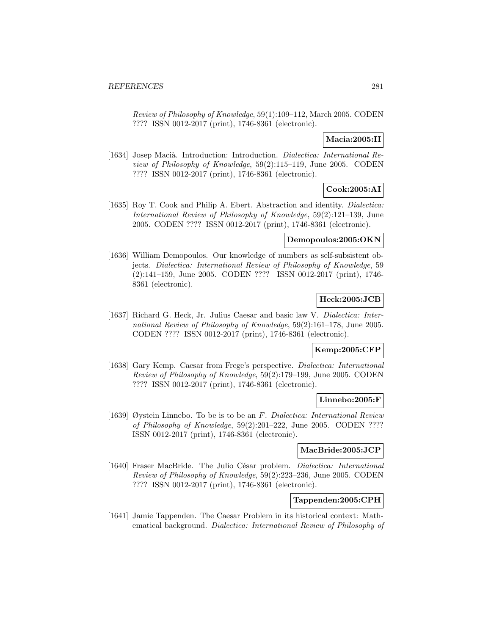Review of Philosophy of Knowledge, 59(1):109–112, March 2005. CODEN ???? ISSN 0012-2017 (print), 1746-8361 (electronic).

# **Macia:2005:II**

[1634] Josep Macià. Introduction: Introduction. Dialectica: International Review of Philosophy of Knowledge, 59(2):115–119, June 2005. CODEN ???? ISSN 0012-2017 (print), 1746-8361 (electronic).

# **Cook:2005:AI**

[1635] Roy T. Cook and Philip A. Ebert. Abstraction and identity. Dialectica: International Review of Philosophy of Knowledge, 59(2):121–139, June 2005. CODEN ???? ISSN 0012-2017 (print), 1746-8361 (electronic).

# **Demopoulos:2005:OKN**

[1636] William Demopoulos. Our knowledge of numbers as self-subsistent objects. Dialectica: International Review of Philosophy of Knowledge, 59 (2):141–159, June 2005. CODEN ???? ISSN 0012-2017 (print), 1746- 8361 (electronic).

# **Heck:2005:JCB**

[1637] Richard G. Heck, Jr. Julius Caesar and basic law V. Dialectica: International Review of Philosophy of Knowledge, 59(2):161–178, June 2005. CODEN ???? ISSN 0012-2017 (print), 1746-8361 (electronic).

## **Kemp:2005:CFP**

[1638] Gary Kemp. Caesar from Frege's perspective. Dialectica: International Review of Philosophy of Knowledge, 59(2):179–199, June 2005. CODEN ???? ISSN 0012-2017 (print), 1746-8361 (electronic).

### **Linnebo:2005:F**

[1639] Øystein Linnebo. To be is to be an F. Dialectica: International Review of Philosophy of Knowledge, 59(2):201–222, June 2005. CODEN ???? ISSN 0012-2017 (print), 1746-8361 (electronic).

# **MacBride:2005:JCP**

[1640] Fraser MacBride. The Julio César problem. *Dialectica: International* Review of Philosophy of Knowledge, 59(2):223–236, June 2005. CODEN ???? ISSN 0012-2017 (print), 1746-8361 (electronic).

## **Tappenden:2005:CPH**

[1641] Jamie Tappenden. The Caesar Problem in its historical context: Mathematical background. Dialectica: International Review of Philosophy of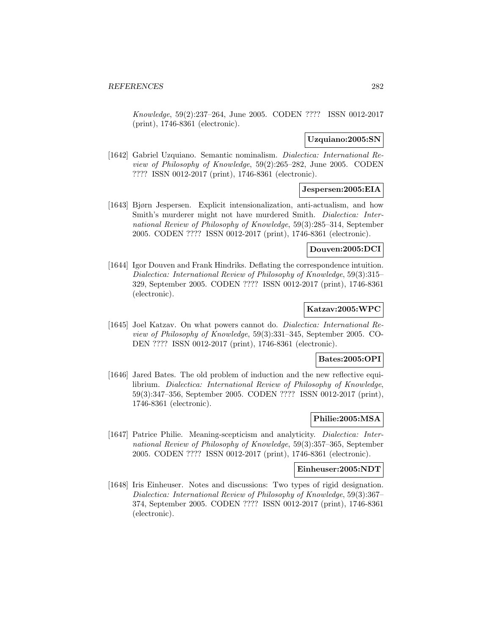Knowledge, 59(2):237–264, June 2005. CODEN ???? ISSN 0012-2017 (print), 1746-8361 (electronic).

## **Uzquiano:2005:SN**

[1642] Gabriel Uzquiano. Semantic nominalism. Dialectica: International Review of Philosophy of Knowledge, 59(2):265–282, June 2005. CODEN ???? ISSN 0012-2017 (print), 1746-8361 (electronic).

# **Jespersen:2005:EIA**

[1643] Bjørn Jespersen. Explicit intensionalization, anti-actualism, and how Smith's murderer might not have murdered Smith. Dialectica: International Review of Philosophy of Knowledge, 59(3):285–314, September 2005. CODEN ???? ISSN 0012-2017 (print), 1746-8361 (electronic).

## **Douven:2005:DCI**

[1644] Igor Douven and Frank Hindriks. Deflating the correspondence intuition. Dialectica: International Review of Philosophy of Knowledge, 59(3):315– 329, September 2005. CODEN ???? ISSN 0012-2017 (print), 1746-8361 (electronic).

# **Katzav:2005:WPC**

[1645] Joel Katzav. On what powers cannot do. Dialectica: International Review of Philosophy of Knowledge, 59(3):331–345, September 2005. CO-DEN ???? ISSN 0012-2017 (print), 1746-8361 (electronic).

## **Bates:2005:OPI**

[1646] Jared Bates. The old problem of induction and the new reflective equilibrium. Dialectica: International Review of Philosophy of Knowledge, 59(3):347–356, September 2005. CODEN ???? ISSN 0012-2017 (print), 1746-8361 (electronic).

## **Philie:2005:MSA**

[1647] Patrice Philie. Meaning-scepticism and analyticity. Dialectica: International Review of Philosophy of Knowledge, 59(3):357–365, September 2005. CODEN ???? ISSN 0012-2017 (print), 1746-8361 (electronic).

#### **Einheuser:2005:NDT**

[1648] Iris Einheuser. Notes and discussions: Two types of rigid designation. Dialectica: International Review of Philosophy of Knowledge, 59(3):367– 374, September 2005. CODEN ???? ISSN 0012-2017 (print), 1746-8361 (electronic).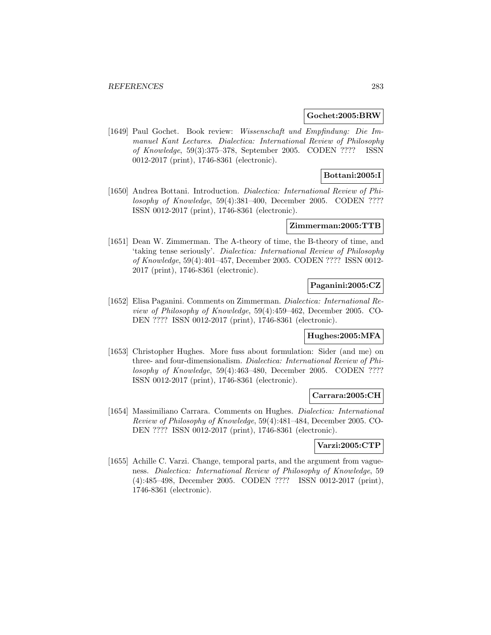### **Gochet:2005:BRW**

[1649] Paul Gochet. Book review: Wissenschaft und Empfindung: Die Immanuel Kant Lectures. Dialectica: International Review of Philosophy of Knowledge, 59(3):375–378, September 2005. CODEN ???? ISSN 0012-2017 (print), 1746-8361 (electronic).

# **Bottani:2005:I**

[1650] Andrea Bottani. Introduction. Dialectica: International Review of Philosophy of Knowledge, 59(4):381–400, December 2005. CODEN ???? ISSN 0012-2017 (print), 1746-8361 (electronic).

### **Zimmerman:2005:TTB**

[1651] Dean W. Zimmerman. The A-theory of time, the B-theory of time, and 'taking tense seriously'. Dialectica: International Review of Philosophy of Knowledge, 59(4):401–457, December 2005. CODEN ???? ISSN 0012- 2017 (print), 1746-8361 (electronic).

# **Paganini:2005:CZ**

[1652] Elisa Paganini. Comments on Zimmerman. Dialectica: International Review of Philosophy of Knowledge, 59(4):459–462, December 2005. CO-DEN ???? ISSN 0012-2017 (print), 1746-8361 (electronic).

### **Hughes:2005:MFA**

[1653] Christopher Hughes. More fuss about formulation: Sider (and me) on three- and four-dimensionalism. Dialectica: International Review of Philosophy of Knowledge, 59(4):463–480, December 2005. CODEN ???? ISSN 0012-2017 (print), 1746-8361 (electronic).

#### **Carrara:2005:CH**

[1654] Massimiliano Carrara. Comments on Hughes. Dialectica: International Review of Philosophy of Knowledge, 59(4):481–484, December 2005. CO-DEN ???? ISSN 0012-2017 (print), 1746-8361 (electronic).

## **Varzi:2005:CTP**

[1655] Achille C. Varzi. Change, temporal parts, and the argument from vagueness. Dialectica: International Review of Philosophy of Knowledge, 59 (4):485–498, December 2005. CODEN ???? ISSN 0012-2017 (print), 1746-8361 (electronic).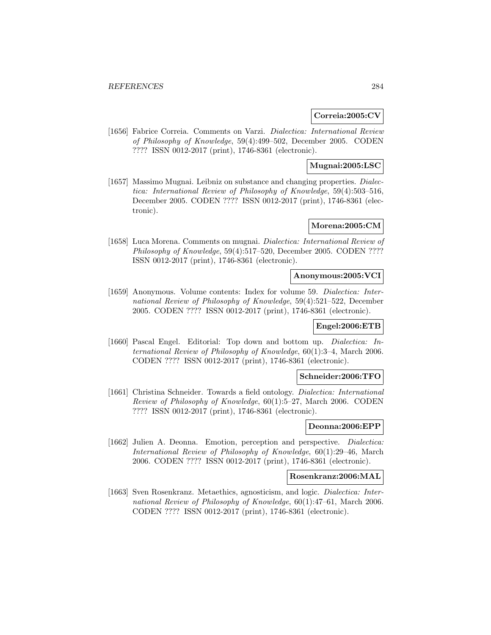### **Correia:2005:CV**

[1656] Fabrice Correia. Comments on Varzi. Dialectica: International Review of Philosophy of Knowledge, 59(4):499–502, December 2005. CODEN ???? ISSN 0012-2017 (print), 1746-8361 (electronic).

# **Mugnai:2005:LSC**

[1657] Massimo Mugnai. Leibniz on substance and changing properties. *Dialec*tica: International Review of Philosophy of Knowledge, 59(4):503–516, December 2005. CODEN ???? ISSN 0012-2017 (print), 1746-8361 (electronic).

## **Morena:2005:CM**

[1658] Luca Morena. Comments on mugnai. Dialectica: International Review of Philosophy of Knowledge, 59(4):517–520, December 2005. CODEN ???? ISSN 0012-2017 (print), 1746-8361 (electronic).

### **Anonymous:2005:VCI**

[1659] Anonymous. Volume contents: Index for volume 59. *Dialectica: Inter*national Review of Philosophy of Knowledge, 59(4):521–522, December 2005. CODEN ???? ISSN 0012-2017 (print), 1746-8361 (electronic).

# **Engel:2006:ETB**

[1660] Pascal Engel. Editorial: Top down and bottom up. Dialectica: International Review of Philosophy of Knowledge, 60(1):3–4, March 2006. CODEN ???? ISSN 0012-2017 (print), 1746-8361 (electronic).

#### **Schneider:2006:TFO**

[1661] Christina Schneider. Towards a field ontology. *Dialectica: International* Review of Philosophy of Knowledge, 60(1):5–27, March 2006. CODEN ???? ISSN 0012-2017 (print), 1746-8361 (electronic).

## **Deonna:2006:EPP**

[1662] Julien A. Deonna. Emotion, perception and perspective. *Dialectica:* International Review of Philosophy of Knowledge, 60(1):29–46, March 2006. CODEN ???? ISSN 0012-2017 (print), 1746-8361 (electronic).

## **Rosenkranz:2006:MAL**

[1663] Sven Rosenkranz. Metaethics, agnosticism, and logic. Dialectica: International Review of Philosophy of Knowledge, 60(1):47–61, March 2006. CODEN ???? ISSN 0012-2017 (print), 1746-8361 (electronic).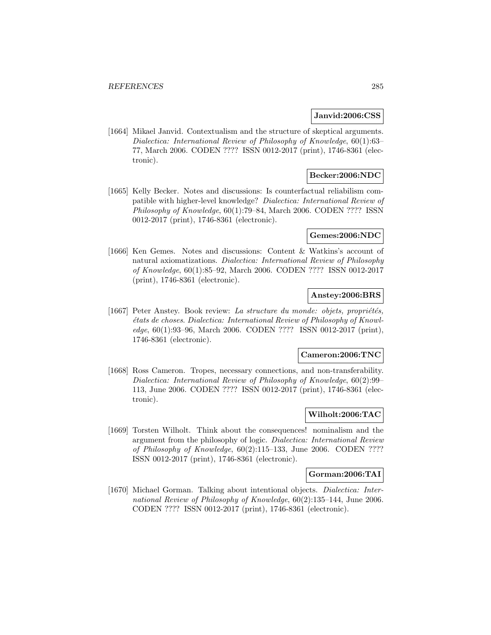### **Janvid:2006:CSS**

[1664] Mikael Janvid. Contextualism and the structure of skeptical arguments. Dialectica: International Review of Philosophy of Knowledge, 60(1):63– 77, March 2006. CODEN ???? ISSN 0012-2017 (print), 1746-8361 (electronic).

## **Becker:2006:NDC**

[1665] Kelly Becker. Notes and discussions: Is counterfactual reliabilism compatible with higher-level knowledge? Dialectica: International Review of Philosophy of Knowledge, 60(1):79–84, March 2006. CODEN ???? ISSN 0012-2017 (print), 1746-8361 (electronic).

### **Gemes:2006:NDC**

[1666] Ken Gemes. Notes and discussions: Content & Watkins's account of natural axiomatizations. Dialectica: International Review of Philosophy of Knowledge, 60(1):85–92, March 2006. CODEN ???? ISSN 0012-2017 (print), 1746-8361 (electronic).

## **Anstey:2006:BRS**

[1667] Peter Anstey. Book review: La structure du monde: objets, propriétés, ´etats de choses. Dialectica: International Review of Philosophy of Knowledge, 60(1):93–96, March 2006. CODEN ???? ISSN 0012-2017 (print), 1746-8361 (electronic).

#### **Cameron:2006:TNC**

[1668] Ross Cameron. Tropes, necessary connections, and non-transferability. Dialectica: International Review of Philosophy of Knowledge, 60(2):99– 113, June 2006. CODEN ???? ISSN 0012-2017 (print), 1746-8361 (electronic).

## **Wilholt:2006:TAC**

[1669] Torsten Wilholt. Think about the consequences! nominalism and the argument from the philosophy of logic. Dialectica: International Review of Philosophy of Knowledge, 60(2):115–133, June 2006. CODEN ???? ISSN 0012-2017 (print), 1746-8361 (electronic).

#### **Gorman:2006:TAI**

[1670] Michael Gorman. Talking about intentional objects. *Dialectica: Inter*national Review of Philosophy of Knowledge, 60(2):135–144, June 2006. CODEN ???? ISSN 0012-2017 (print), 1746-8361 (electronic).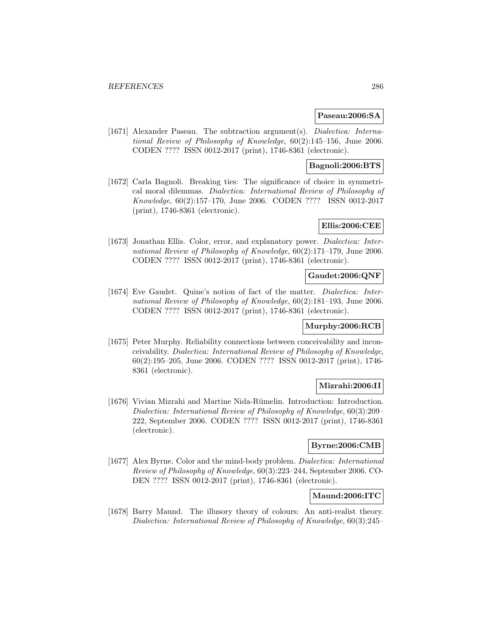### **Paseau:2006:SA**

[1671] Alexander Paseau. The subtraction argument(s). *Dialectica: Interna*tional Review of Philosophy of Knowledge, 60(2):145–156, June 2006. CODEN ???? ISSN 0012-2017 (print), 1746-8361 (electronic).

## **Bagnoli:2006:BTS**

[1672] Carla Bagnoli. Breaking ties: The significance of choice in symmetrical moral dilemmas. Dialectica: International Review of Philosophy of Knowledge, 60(2):157–170, June 2006. CODEN ???? ISSN 0012-2017 (print), 1746-8361 (electronic).

# **Ellis:2006:CEE**

[1673] Jonathan Ellis. Color, error, and explanatory power. *Dialectica: Inter*national Review of Philosophy of Knowledge, 60(2):171–179, June 2006. CODEN ???? ISSN 0012-2017 (print), 1746-8361 (electronic).

# **Gaudet:2006:QNF**

[1674] Eve Gaudet. Quine's notion of fact of the matter. Dialectica: International Review of Philosophy of Knowledge, 60(2):181–193, June 2006. CODEN ???? ISSN 0012-2017 (print), 1746-8361 (electronic).

## **Murphy:2006:RCB**

[1675] Peter Murphy. Reliability connections between conceivability and inconceivability. Dialectica: International Review of Philosophy of Knowledge, 60(2):195–205, June 2006. CODEN ???? ISSN 0012-2017 (print), 1746- 8361 (electronic).

## **Mizrahi:2006:II**

[1676] Vivian Mizrahi and Martine Nida-Rümelin. Introduction: Introduction. Dialectica: International Review of Philosophy of Knowledge, 60(3):209– 222, September 2006. CODEN ???? ISSN 0012-2017 (print), 1746-8361 (electronic).

#### **Byrne:2006:CMB**

[1677] Alex Byrne. Color and the mind-body problem. Dialectica: International Review of Philosophy of Knowledge, 60(3):223–244, September 2006. CO-DEN ???? ISSN 0012-2017 (print), 1746-8361 (electronic).

## **Maund:2006:ITC**

[1678] Barry Maund. The illusory theory of colours: An anti-realist theory. Dialectica: International Review of Philosophy of Knowledge, 60(3):245–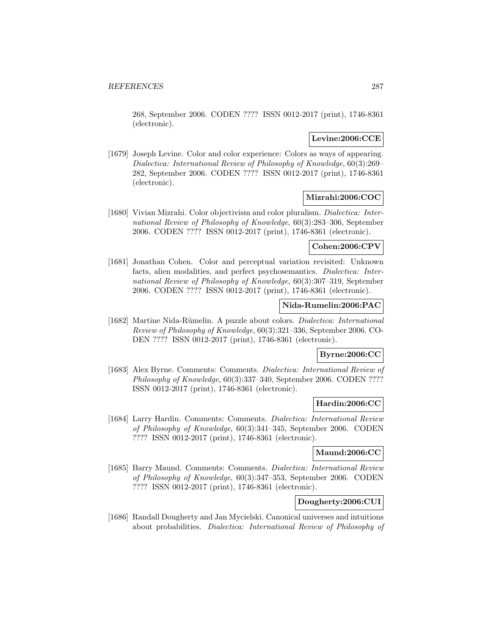268, September 2006. CODEN ???? ISSN 0012-2017 (print), 1746-8361 (electronic).

# **Levine:2006:CCE**

[1679] Joseph Levine. Color and color experience: Colors as ways of appearing. Dialectica: International Review of Philosophy of Knowledge, 60(3):269– 282, September 2006. CODEN ???? ISSN 0012-2017 (print), 1746-8361 (electronic).

# **Mizrahi:2006:COC**

[1680] Vivian Mizrahi. Color objectivism and color pluralism. Dialectica: International Review of Philosophy of Knowledge, 60(3):283–306, September 2006. CODEN ???? ISSN 0012-2017 (print), 1746-8361 (electronic).

# **Cohen:2006:CPV**

[1681] Jonathan Cohen. Color and perceptual variation revisited: Unknown facts, alien modalities, and perfect psychosemantics. Dialectica: International Review of Philosophy of Knowledge, 60(3):307–319, September 2006. CODEN ???? ISSN 0012-2017 (print), 1746-8361 (electronic).

## **Nida-Rumelin:2006:PAC**

[1682] Martine Nida-Rümelin. A puzzle about colors. *Dialectica: International* Review of Philosophy of Knowledge, 60(3):321–336, September 2006. CO-DEN ???? ISSN 0012-2017 (print), 1746-8361 (electronic).

## **Byrne:2006:CC**

[1683] Alex Byrne. Comments: Comments. Dialectica: International Review of Philosophy of Knowledge, 60(3):337–340, September 2006. CODEN ???? ISSN 0012-2017 (print), 1746-8361 (electronic).

# **Hardin:2006:CC**

[1684] Larry Hardin. Comments: Comments. Dialectica: International Review of Philosophy of Knowledge, 60(3):341–345, September 2006. CODEN ???? ISSN 0012-2017 (print), 1746-8361 (electronic).

# **Maund:2006:CC**

[1685] Barry Maund. Comments: Comments. Dialectica: International Review of Philosophy of Knowledge, 60(3):347–353, September 2006. CODEN ???? ISSN 0012-2017 (print), 1746-8361 (electronic).

# **Dougherty:2006:CUI**

[1686] Randall Dougherty and Jan Mycielski. Canonical universes and intuitions about probabilities. Dialectica: International Review of Philosophy of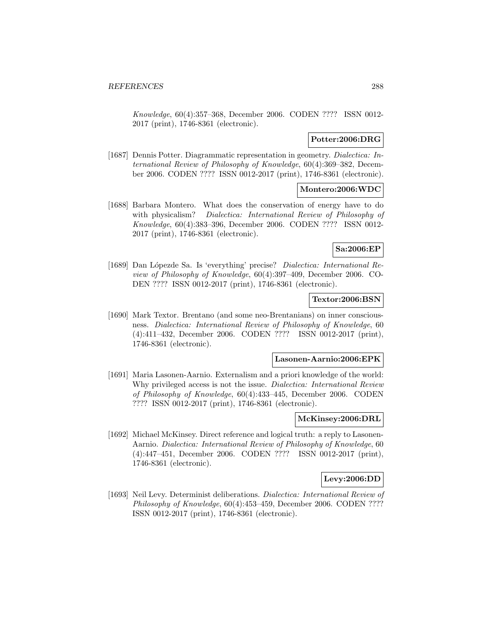Knowledge, 60(4):357–368, December 2006. CODEN ???? ISSN 0012- 2017 (print), 1746-8361 (electronic).

# **Potter:2006:DRG**

[1687] Dennis Potter. Diagrammatic representation in geometry. Dialectica: International Review of Philosophy of Knowledge, 60(4):369–382, December 2006. CODEN ???? ISSN 0012-2017 (print), 1746-8361 (electronic).

## **Montero:2006:WDC**

[1688] Barbara Montero. What does the conservation of energy have to do with physicalism? Dialectica: International Review of Philosophy of Knowledge, 60(4):383–396, December 2006. CODEN ???? ISSN 0012- 2017 (print), 1746-8361 (electronic).

## **Sa:2006:EP**

[1689] Dan Lópezde Sa. Is 'everything' precise? *Dialectica: International Re*view of Philosophy of Knowledge, 60(4):397–409, December 2006. CO-DEN ???? ISSN 0012-2017 (print), 1746-8361 (electronic).

### **Textor:2006:BSN**

[1690] Mark Textor. Brentano (and some neo-Brentanians) on inner consciousness. Dialectica: International Review of Philosophy of Knowledge, 60 (4):411–432, December 2006. CODEN ???? ISSN 0012-2017 (print), 1746-8361 (electronic).

#### **Lasonen-Aarnio:2006:EPK**

[1691] Maria Lasonen-Aarnio. Externalism and a priori knowledge of the world: Why privileged access is not the issue. Dialectica: International Review of Philosophy of Knowledge, 60(4):433–445, December 2006. CODEN ???? ISSN 0012-2017 (print), 1746-8361 (electronic).

### **McKinsey:2006:DRL**

[1692] Michael McKinsey. Direct reference and logical truth: a reply to Lasonen-Aarnio. Dialectica: International Review of Philosophy of Knowledge, 60 (4):447–451, December 2006. CODEN ???? ISSN 0012-2017 (print), 1746-8361 (electronic).

## **Levy:2006:DD**

[1693] Neil Levy. Determinist deliberations. Dialectica: International Review of Philosophy of Knowledge, 60(4):453–459, December 2006. CODEN ???? ISSN 0012-2017 (print), 1746-8361 (electronic).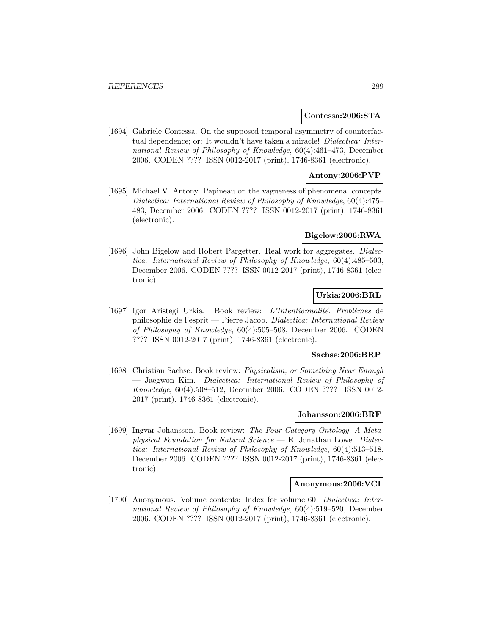## **Contessa:2006:STA**

[1694] Gabriele Contessa. On the supposed temporal asymmetry of counterfactual dependence; or: It wouldn't have taken a miracle! *Dialectica: Inter*national Review of Philosophy of Knowledge, 60(4):461–473, December 2006. CODEN ???? ISSN 0012-2017 (print), 1746-8361 (electronic).

## **Antony:2006:PVP**

[1695] Michael V. Antony. Papineau on the vagueness of phenomenal concepts. Dialectica: International Review of Philosophy of Knowledge, 60(4):475– 483, December 2006. CODEN ???? ISSN 0012-2017 (print), 1746-8361 (electronic).

#### **Bigelow:2006:RWA**

[1696] John Bigelow and Robert Pargetter. Real work for aggregates. *Dialec*tica: International Review of Philosophy of Knowledge, 60(4):485–503, December 2006. CODEN ???? ISSN 0012-2017 (print), 1746-8361 (electronic).

## **Urkia:2006:BRL**

[1697] Igor Aristegi Urkia. Book review:  $L'Internationalité.$  Problèmes de philosophie de l'esprit — Pierre Jacob. Dialectica: International Review of Philosophy of Knowledge, 60(4):505–508, December 2006. CODEN ???? ISSN 0012-2017 (print), 1746-8361 (electronic).

#### **Sachse:2006:BRP**

[1698] Christian Sachse. Book review: Physicalism, or Something Near Enough — Jaegwon Kim. Dialectica: International Review of Philosophy of Knowledge, 60(4):508–512, December 2006. CODEN ???? ISSN 0012- 2017 (print), 1746-8361 (electronic).

## **Johansson:2006:BRF**

[1699] Ingvar Johansson. Book review: The Four-Category Ontology. A Metaphysical Foundation for Natural Science  $-$  E. Jonathan Lowe. Dialectica: International Review of Philosophy of Knowledge, 60(4):513–518, December 2006. CODEN ???? ISSN 0012-2017 (print), 1746-8361 (electronic).

## **Anonymous:2006:VCI**

[1700] Anonymous. Volume contents: Index for volume 60. Dialectica: International Review of Philosophy of Knowledge, 60(4):519–520, December 2006. CODEN ???? ISSN 0012-2017 (print), 1746-8361 (electronic).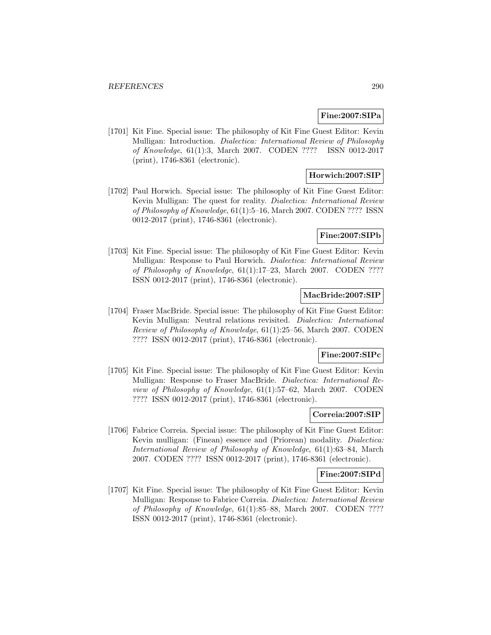## **Fine:2007:SIPa**

[1701] Kit Fine. Special issue: The philosophy of Kit Fine Guest Editor: Kevin Mulligan: Introduction. Dialectica: International Review of Philosophy of Knowledge, 61(1):3, March 2007. CODEN ???? ISSN 0012-2017 (print), 1746-8361 (electronic).

## **Horwich:2007:SIP**

[1702] Paul Horwich. Special issue: The philosophy of Kit Fine Guest Editor: Kevin Mulligan: The quest for reality. Dialectica: International Review of Philosophy of Knowledge, 61(1):5–16, March 2007. CODEN ???? ISSN 0012-2017 (print), 1746-8361 (electronic).

#### **Fine:2007:SIPb**

[1703] Kit Fine. Special issue: The philosophy of Kit Fine Guest Editor: Kevin Mulligan: Response to Paul Horwich. Dialectica: International Review of Philosophy of Knowledge, 61(1):17–23, March 2007. CODEN ???? ISSN 0012-2017 (print), 1746-8361 (electronic).

## **MacBride:2007:SIP**

[1704] Fraser MacBride. Special issue: The philosophy of Kit Fine Guest Editor: Kevin Mulligan: Neutral relations revisited. Dialectica: International Review of Philosophy of Knowledge, 61(1):25–56, March 2007. CODEN ???? ISSN 0012-2017 (print), 1746-8361 (electronic).

#### **Fine:2007:SIPc**

[1705] Kit Fine. Special issue: The philosophy of Kit Fine Guest Editor: Kevin Mulligan: Response to Fraser MacBride. Dialectica: International Review of Philosophy of Knowledge, 61(1):57–62, March 2007. CODEN ???? ISSN 0012-2017 (print), 1746-8361 (electronic).

## **Correia:2007:SIP**

[1706] Fabrice Correia. Special issue: The philosophy of Kit Fine Guest Editor: Kevin mulligan: (Finean) essence and (Priorean) modality. Dialectica: International Review of Philosophy of Knowledge, 61(1):63–84, March 2007. CODEN ???? ISSN 0012-2017 (print), 1746-8361 (electronic).

## **Fine:2007:SIPd**

[1707] Kit Fine. Special issue: The philosophy of Kit Fine Guest Editor: Kevin Mulligan: Response to Fabrice Correia. Dialectica: International Review of Philosophy of Knowledge, 61(1):85–88, March 2007. CODEN ???? ISSN 0012-2017 (print), 1746-8361 (electronic).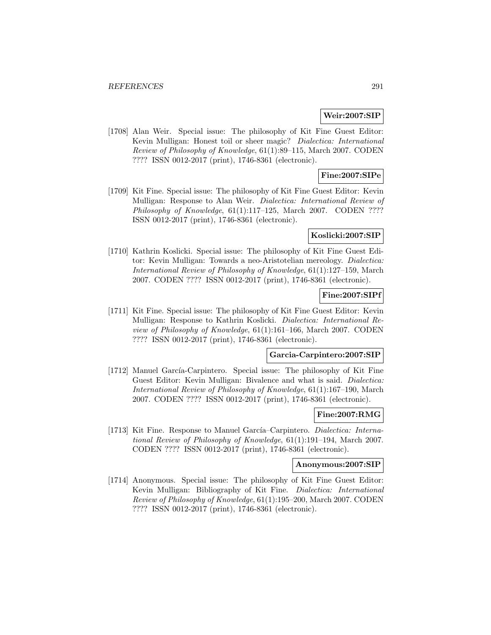## **Weir:2007:SIP**

[1708] Alan Weir. Special issue: The philosophy of Kit Fine Guest Editor: Kevin Mulligan: Honest toil or sheer magic? Dialectica: International Review of Philosophy of Knowledge, 61(1):89–115, March 2007. CODEN ???? ISSN 0012-2017 (print), 1746-8361 (electronic).

## **Fine:2007:SIPe**

[1709] Kit Fine. Special issue: The philosophy of Kit Fine Guest Editor: Kevin Mulligan: Response to Alan Weir. Dialectica: International Review of Philosophy of Knowledge, 61(1):117-125, March 2007. CODEN ???? ISSN 0012-2017 (print), 1746-8361 (electronic).

### **Koslicki:2007:SIP**

[1710] Kathrin Koslicki. Special issue: The philosophy of Kit Fine Guest Editor: Kevin Mulligan: Towards a neo-Aristotelian mereology. Dialectica: International Review of Philosophy of Knowledge, 61(1):127–159, March 2007. CODEN ???? ISSN 0012-2017 (print), 1746-8361 (electronic).

## **Fine:2007:SIPf**

[1711] Kit Fine. Special issue: The philosophy of Kit Fine Guest Editor: Kevin Mulligan: Response to Kathrin Koslicki. Dialectica: International Review of Philosophy of Knowledge, 61(1):161–166, March 2007. CODEN ???? ISSN 0012-2017 (print), 1746-8361 (electronic).

#### **Garcia-Carpintero:2007:SIP**

[1712] Manuel García-Carpintero. Special issue: The philosophy of Kit Fine Guest Editor: Kevin Mulligan: Bivalence and what is said. Dialectica: International Review of Philosophy of Knowledge, 61(1):167–190, March 2007. CODEN ???? ISSN 0012-2017 (print), 1746-8361 (electronic).

### **Fine:2007:RMG**

[1713] Kit Fine. Response to Manuel García–Carpintero. Dialectica: International Review of Philosophy of Knowledge, 61(1):191–194, March 2007. CODEN ???? ISSN 0012-2017 (print), 1746-8361 (electronic).

#### **Anonymous:2007:SIP**

[1714] Anonymous. Special issue: The philosophy of Kit Fine Guest Editor: Kevin Mulligan: Bibliography of Kit Fine. Dialectica: International Review of Philosophy of Knowledge, 61(1):195–200, March 2007. CODEN ???? ISSN 0012-2017 (print), 1746-8361 (electronic).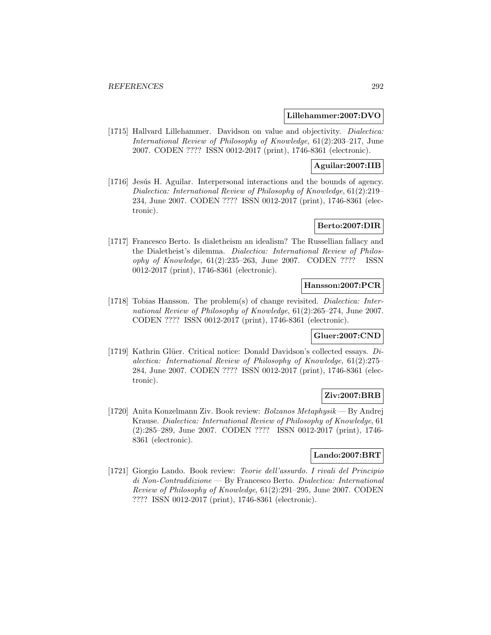## **Lillehammer:2007:DVO**

[1715] Hallvard Lillehammer. Davidson on value and objectivity. *Dialectica:* International Review of Philosophy of Knowledge, 61(2):203–217, June 2007. CODEN ???? ISSN 0012-2017 (print), 1746-8361 (electronic).

## **Aguilar:2007:IIB**

[1716] Jesús H. Aguilar. Interpersonal interactions and the bounds of agency. Dialectica: International Review of Philosophy of Knowledge, 61(2):219– 234, June 2007. CODEN ???? ISSN 0012-2017 (print), 1746-8361 (electronic).

## **Berto:2007:DIR**

[1717] Francesco Berto. Is dialetheism an idealism? The Russellian fallacy and the Dialetheist's dilemma. Dialectica: International Review of Philosophy of Knowledge, 61(2):235–263, June 2007. CODEN ???? ISSN 0012-2017 (print), 1746-8361 (electronic).

## **Hansson:2007:PCR**

[1718] Tobias Hansson. The problem(s) of change revisited. Dialectica: International Review of Philosophy of Knowledge, 61(2):265–274, June 2007. CODEN ???? ISSN 0012-2017 (print), 1746-8361 (electronic).

#### **Gluer:2007:CND**

[1719] Kathrin Glüer. Critical notice: Donald Davidson's collected essays.  $Di$ alectica: International Review of Philosophy of Knowledge, 61(2):275– 284, June 2007. CODEN ???? ISSN 0012-2017 (print), 1746-8361 (electronic).

## **Ziv:2007:BRB**

[1720] Anita Konzelmann Ziv. Book review: Bolzanos Metaphysik — By Andrej Krause. Dialectica: International Review of Philosophy of Knowledge, 61 (2):285–289, June 2007. CODEN ???? ISSN 0012-2017 (print), 1746- 8361 (electronic).

## **Lando:2007:BRT**

[1721] Giorgio Lando. Book review: Teorie dell'assurdo. I rivali del Principio di Non-Contraddizione — By Francesco Berto. Dialectica: International Review of Philosophy of Knowledge, 61(2):291–295, June 2007. CODEN ???? ISSN 0012-2017 (print), 1746-8361 (electronic).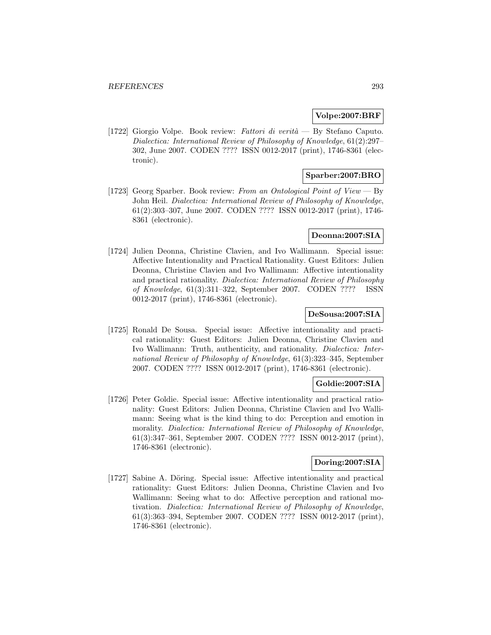## **Volpe:2007:BRF**

[1722] Giorgio Volpe. Book review: Fattori di verità — By Stefano Caputo. Dialectica: International Review of Philosophy of Knowledge, 61(2):297– 302, June 2007. CODEN ???? ISSN 0012-2017 (print), 1746-8361 (electronic).

## **Sparber:2007:BRO**

[1723] Georg Sparber. Book review: From an Ontological Point of View — By John Heil. Dialectica: International Review of Philosophy of Knowledge, 61(2):303–307, June 2007. CODEN ???? ISSN 0012-2017 (print), 1746- 8361 (electronic).

## **Deonna:2007:SIA**

[1724] Julien Deonna, Christine Clavien, and Ivo Wallimann. Special issue: Affective Intentionality and Practical Rationality. Guest Editors: Julien Deonna, Christine Clavien and Ivo Wallimann: Affective intentionality and practical rationality. Dialectica: International Review of Philosophy of Knowledge, 61(3):311–322, September 2007. CODEN ???? ISSN 0012-2017 (print), 1746-8361 (electronic).

## **DeSousa:2007:SIA**

[1725] Ronald De Sousa. Special issue: Affective intentionality and practical rationality: Guest Editors: Julien Deonna, Christine Clavien and Ivo Wallimann: Truth, authenticity, and rationality. Dialectica: International Review of Philosophy of Knowledge, 61(3):323–345, September 2007. CODEN ???? ISSN 0012-2017 (print), 1746-8361 (electronic).

## **Goldie:2007:SIA**

[1726] Peter Goldie. Special issue: Affective intentionality and practical rationality: Guest Editors: Julien Deonna, Christine Clavien and Ivo Wallimann: Seeing what is the kind thing to do: Perception and emotion in morality. Dialectica: International Review of Philosophy of Knowledge, 61(3):347–361, September 2007. CODEN ???? ISSN 0012-2017 (print), 1746-8361 (electronic).

## **Doring:2007:SIA**

[1727] Sabine A. Döring. Special issue: Affective intentionality and practical rationality: Guest Editors: Julien Deonna, Christine Clavien and Ivo Wallimann: Seeing what to do: Affective perception and rational motivation. Dialectica: International Review of Philosophy of Knowledge, 61(3):363–394, September 2007. CODEN ???? ISSN 0012-2017 (print), 1746-8361 (electronic).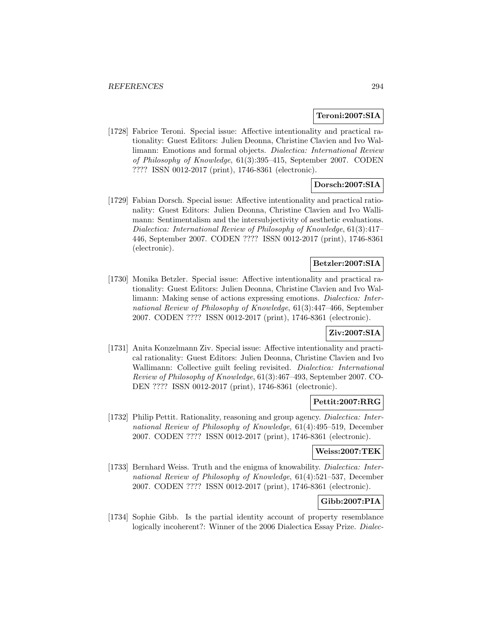### **Teroni:2007:SIA**

[1728] Fabrice Teroni. Special issue: Affective intentionality and practical rationality: Guest Editors: Julien Deonna, Christine Clavien and Ivo Wallimann: Emotions and formal objects. Dialectica: International Review of Philosophy of Knowledge, 61(3):395–415, September 2007. CODEN ???? ISSN 0012-2017 (print), 1746-8361 (electronic).

## **Dorsch:2007:SIA**

[1729] Fabian Dorsch. Special issue: Affective intentionality and practical rationality: Guest Editors: Julien Deonna, Christine Clavien and Ivo Wallimann: Sentimentalism and the intersubjectivity of aesthetic evaluations. Dialectica: International Review of Philosophy of Knowledge, 61(3):417– 446, September 2007. CODEN ???? ISSN 0012-2017 (print), 1746-8361 (electronic).

## **Betzler:2007:SIA**

[1730] Monika Betzler. Special issue: Affective intentionality and practical rationality: Guest Editors: Julien Deonna, Christine Clavien and Ivo Wallimann: Making sense of actions expressing emotions. Dialectica: International Review of Philosophy of Knowledge, 61(3):447–466, September 2007. CODEN ???? ISSN 0012-2017 (print), 1746-8361 (electronic).

## **Ziv:2007:SIA**

[1731] Anita Konzelmann Ziv. Special issue: Affective intentionality and practical rationality: Guest Editors: Julien Deonna, Christine Clavien and Ivo Wallimann: Collective guilt feeling revisited. Dialectica: International Review of Philosophy of Knowledge, 61(3):467–493, September 2007. CO-DEN ???? ISSN 0012-2017 (print), 1746-8361 (electronic).

## **Pettit:2007:RRG**

[1732] Philip Pettit. Rationality, reasoning and group agency. Dialectica: International Review of Philosophy of Knowledge, 61(4):495–519, December 2007. CODEN ???? ISSN 0012-2017 (print), 1746-8361 (electronic).

## **Weiss:2007:TEK**

[1733] Bernhard Weiss. Truth and the enigma of knowability. *Dialectica: Inter*national Review of Philosophy of Knowledge, 61(4):521–537, December 2007. CODEN ???? ISSN 0012-2017 (print), 1746-8361 (electronic).

# **Gibb:2007:PIA**

[1734] Sophie Gibb. Is the partial identity account of property resemblance logically incoherent?: Winner of the 2006 Dialectica Essay Prize. Dialec-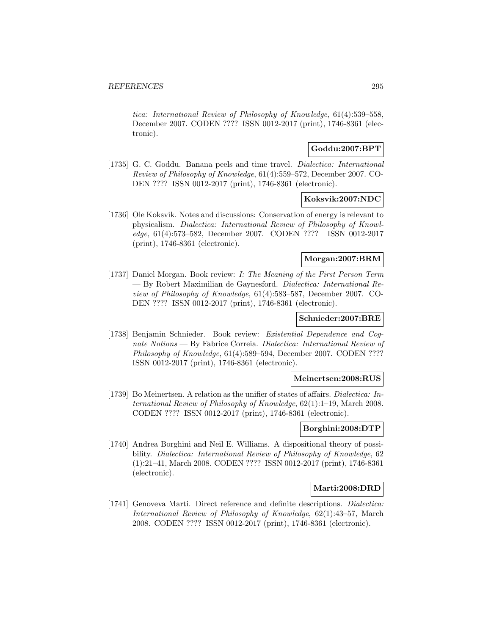tica: International Review of Philosophy of Knowledge, 61(4):539–558, December 2007. CODEN ???? ISSN 0012-2017 (print), 1746-8361 (electronic).

## **Goddu:2007:BPT**

[1735] G. C. Goddu. Banana peels and time travel. Dialectica: International Review of Philosophy of Knowledge, 61(4):559–572, December 2007. CO-DEN ???? ISSN 0012-2017 (print), 1746-8361 (electronic).

## **Koksvik:2007:NDC**

[1736] Ole Koksvik. Notes and discussions: Conservation of energy is relevant to physicalism. Dialectica: International Review of Philosophy of Knowledge, 61(4):573–582, December 2007. CODEN ???? ISSN 0012-2017 (print), 1746-8361 (electronic).

## **Morgan:2007:BRM**

[1737] Daniel Morgan. Book review: I: The Meaning of the First Person Term — By Robert Maximilian de Gaynesford. Dialectica: International Review of Philosophy of Knowledge, 61(4):583–587, December 2007. CO-DEN ???? ISSN 0012-2017 (print), 1746-8361 (electronic).

## **Schnieder:2007:BRE**

[1738] Benjamin Schnieder. Book review: Existential Dependence and Cognate Notions — By Fabrice Correia. Dialectica: International Review of Philosophy of Knowledge, 61(4):589–594, December 2007. CODEN ???? ISSN 0012-2017 (print), 1746-8361 (electronic).

#### **Meinertsen:2008:RUS**

[1739] Bo Meinertsen. A relation as the unifier of states of affairs. Dialectica: International Review of Philosophy of Knowledge, 62(1):1–19, March 2008. CODEN ???? ISSN 0012-2017 (print), 1746-8361 (electronic).

## **Borghini:2008:DTP**

[1740] Andrea Borghini and Neil E. Williams. A dispositional theory of possibility. Dialectica: International Review of Philosophy of Knowledge, 62 (1):21–41, March 2008. CODEN ???? ISSN 0012-2017 (print), 1746-8361 (electronic).

#### **Marti:2008:DRD**

[1741] Genoveva Marti. Direct reference and definite descriptions. Dialectica: International Review of Philosophy of Knowledge, 62(1):43–57, March 2008. CODEN ???? ISSN 0012-2017 (print), 1746-8361 (electronic).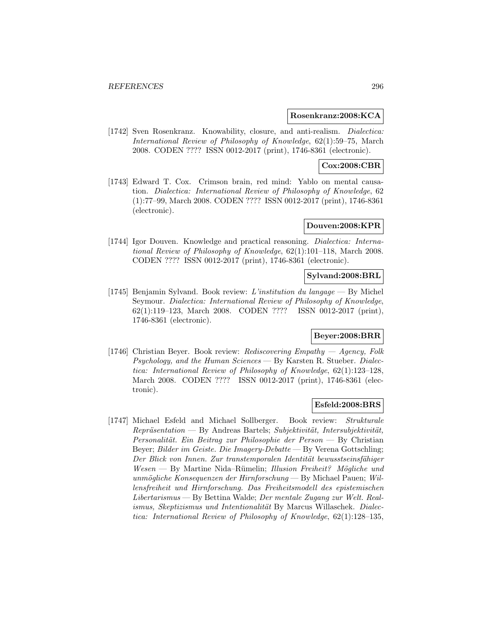### **Rosenkranz:2008:KCA**

[1742] Sven Rosenkranz. Knowability, closure, and anti-realism. *Dialectica:* International Review of Philosophy of Knowledge, 62(1):59–75, March 2008. CODEN ???? ISSN 0012-2017 (print), 1746-8361 (electronic).

## **Cox:2008:CBR**

[1743] Edward T. Cox. Crimson brain, red mind: Yablo on mental causation. Dialectica: International Review of Philosophy of Knowledge, 62 (1):77–99, March 2008. CODEN ???? ISSN 0012-2017 (print), 1746-8361 (electronic).

## **Douven:2008:KPR**

[1744] Igor Douven. Knowledge and practical reasoning. *Dialectica: Interna*tional Review of Philosophy of Knowledge, 62(1):101–118, March 2008. CODEN ???? ISSN 0012-2017 (print), 1746-8361 (electronic).

## **Sylvand:2008:BRL**

[1745] Benjamin Sylvand. Book review: L'institution du langage — By Michel Seymour. Dialectica: International Review of Philosophy of Knowledge, 62(1):119–123, March 2008. CODEN ???? ISSN 0012-2017 (print), 1746-8361 (electronic).

## **Beyer:2008:BRR**

[1746] Christian Beyer. Book review: Rediscovering Empathy — Agency, Folk Psychology, and the Human Sciences — By Karsten R. Stueber. Dialectica: International Review of Philosophy of Knowledge, 62(1):123–128, March 2008. CODEN ???? ISSN 0012-2017 (print), 1746-8361 (electronic).

## **Esfeld:2008:BRS**

[1747] Michael Esfeld and Michael Sollberger. Book review: Strukturale  $Repräsentation$  — By Andreas Bartels; Subjektivität, Intersubjektivität, Personalität. Ein Beitrag zur Philosophie der Person — By Christian Beyer; Bilder im Geiste. Die Imagery-Debatte — By Verena Gottschling; Der Blick von Innen. Zur transtemporalen Identität bewusstseinsfähiger  $Wesen$  — By Martine Nida–Rümelin; Illusion Freiheit? Mögliche und unmögliche Konsequenzen der Hirnforschung — By Michael Pauen; Willensfreiheit und Hirnforschung. Das Freiheitsmodell des epistemischen Libertarismus — By Bettina Walde; Der mentale Zugang zur Welt. Realismus, Skeptizismus und Intentionalität By Marcus Willaschek. Dialectica: International Review of Philosophy of Knowledge, 62(1):128–135,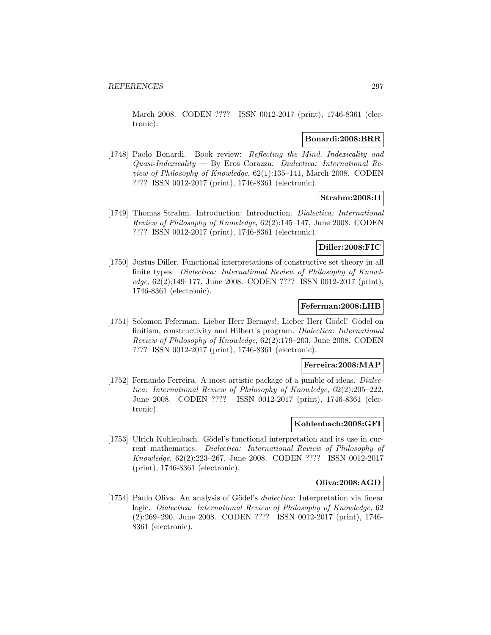March 2008. CODEN ???? ISSN 0012-2017 (print), 1746-8361 (electronic).

### **Bonardi:2008:BRR**

[1748] Paolo Bonardi. Book review: Reflecting the Mind. Indexicality and  $Quasi-Indexicality$  — By Eros Corazza. Dialectica: International Review of Philosophy of Knowledge, 62(1):135–141, March 2008. CODEN ???? ISSN 0012-2017 (print), 1746-8361 (electronic).

## **Strahm:2008:II**

[1749] Thomas Strahm. Introduction: Introduction. Dialectica: International Review of Philosophy of Knowledge, 62(2):145–147, June 2008. CODEN ???? ISSN 0012-2017 (print), 1746-8361 (electronic).

## **Diller:2008:FIC**

[1750] Justus Diller. Functional interpretations of constructive set theory in all finite types. Dialectica: International Review of Philosophy of Knowledge, 62(2):149–177, June 2008. CODEN ???? ISSN 0012-2017 (print), 1746-8361 (electronic).

#### **Feferman:2008:LHB**

[1751] Solomon Feferman. Lieber Herr Bernays!, Lieber Herr Gödel! Gödel on finitism, constructivity and Hilbert's program. Dialectica: International Review of Philosophy of Knowledge, 62(2):179–203, June 2008. CODEN ???? ISSN 0012-2017 (print), 1746-8361 (electronic).

### **Ferreira:2008:MAP**

[1752] Fernando Ferreira. A most artistic package of a jumble of ideas. *Dialec*tica: International Review of Philosophy of Knowledge, 62(2):205–222, June 2008. CODEN ???? ISSN 0012-2017 (print), 1746-8361 (electronic).

## **Kohlenbach:2008:GFI**

[1753] Ulrich Kohlenbach. Gödel's functional interpretation and its use in current mathematics. Dialectica: International Review of Philosophy of Knowledge, 62(2):223–267, June 2008. CODEN ???? ISSN 0012-2017 (print), 1746-8361 (electronic).

## **Oliva:2008:AGD**

[1754] Paulo Oliva. An analysis of Gödel's *dialectica*: Interpretation via linear logic. Dialectica: International Review of Philosophy of Knowledge, 62 (2):269–290, June 2008. CODEN ???? ISSN 0012-2017 (print), 1746- 8361 (electronic).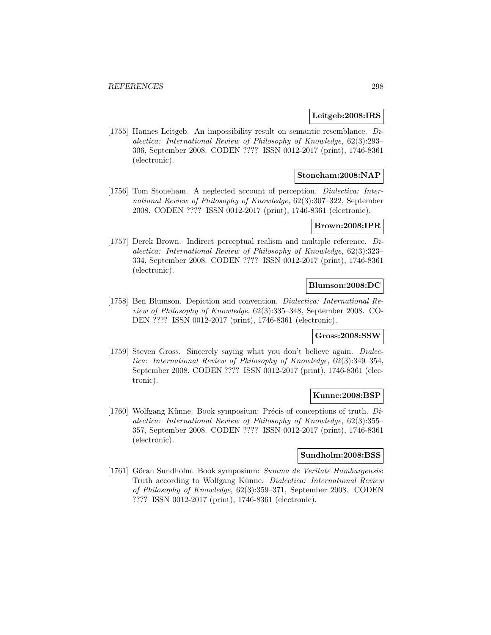#### **Leitgeb:2008:IRS**

[1755] Hannes Leitgeb. An impossibility result on semantic resemblance. Dialectica: International Review of Philosophy of Knowledge, 62(3):293– 306, September 2008. CODEN ???? ISSN 0012-2017 (print), 1746-8361 (electronic).

## **Stoneham:2008:NAP**

[1756] Tom Stoneham. A neglected account of perception. Dialectica: International Review of Philosophy of Knowledge, 62(3):307–322, September 2008. CODEN ???? ISSN 0012-2017 (print), 1746-8361 (electronic).

### **Brown:2008:IPR**

[1757] Derek Brown. Indirect perceptual realism and multiple reference. Dialectica: International Review of Philosophy of Knowledge, 62(3):323– 334, September 2008. CODEN ???? ISSN 0012-2017 (print), 1746-8361 (electronic).

## **Blumson:2008:DC**

[1758] Ben Blumson. Depiction and convention. Dialectica: International Review of Philosophy of Knowledge, 62(3):335–348, September 2008. CO-DEN ???? ISSN 0012-2017 (print), 1746-8361 (electronic).

## **Gross:2008:SSW**

[1759] Steven Gross. Sincerely saying what you don't believe again. *Dialec*tica: International Review of Philosophy of Knowledge, 62(3):349–354, September 2008. CODEN ???? ISSN 0012-2017 (print), 1746-8361 (electronic).

#### **Kunne:2008:BSP**

[1760] Wolfgang Künne. Book symposium: Précis of conceptions of truth.  $Di$ alectica: International Review of Philosophy of Knowledge, 62(3):355– 357, September 2008. CODEN ???? ISSN 0012-2017 (print), 1746-8361 (electronic).

## **Sundholm:2008:BSS**

[1761] Göran Sundholm. Book symposium: Summa de Veritate Hamburgensis: Truth according to Wolfgang Künne. Dialectica: International Review of Philosophy of Knowledge, 62(3):359–371, September 2008. CODEN ???? ISSN 0012-2017 (print), 1746-8361 (electronic).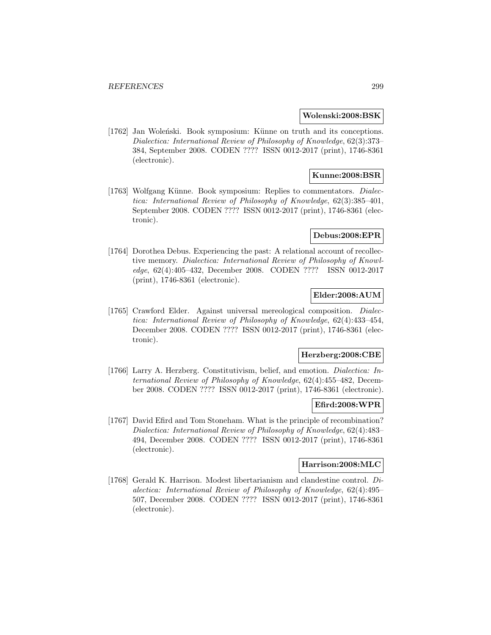#### **Wolenski:2008:BSK**

[1762] Jan Woleński. Book symposium: Künne on truth and its conceptions. Dialectica: International Review of Philosophy of Knowledge, 62(3):373– 384, September 2008. CODEN ???? ISSN 0012-2017 (print), 1746-8361 (electronic).

## **Kunne:2008:BSR**

[1763] Wolfgang Künne. Book symposium: Replies to commentators. *Dialec*tica: International Review of Philosophy of Knowledge, 62(3):385–401, September 2008. CODEN ???? ISSN 0012-2017 (print), 1746-8361 (electronic).

#### **Debus:2008:EPR**

[1764] Dorothea Debus. Experiencing the past: A relational account of recollective memory. Dialectica: International Review of Philosophy of Knowledge, 62(4):405–432, December 2008. CODEN ???? ISSN 0012-2017 (print), 1746-8361 (electronic).

## **Elder:2008:AUM**

[1765] Crawford Elder. Against universal mereological composition. Dialectica: International Review of Philosophy of Knowledge, 62(4):433–454, December 2008. CODEN ???? ISSN 0012-2017 (print), 1746-8361 (electronic).

#### **Herzberg:2008:CBE**

[1766] Larry A. Herzberg. Constitutivism, belief, and emotion. Dialectica: International Review of Philosophy of Knowledge, 62(4):455–482, December 2008. CODEN ???? ISSN 0012-2017 (print), 1746-8361 (electronic).

## **Efird:2008:WPR**

[1767] David Efird and Tom Stoneham. What is the principle of recombination? Dialectica: International Review of Philosophy of Knowledge, 62(4):483– 494, December 2008. CODEN ???? ISSN 0012-2017 (print), 1746-8361 (electronic).

### **Harrison:2008:MLC**

[1768] Gerald K. Harrison. Modest libertarianism and clandestine control. Dialectica: International Review of Philosophy of Knowledge, 62(4):495– 507, December 2008. CODEN ???? ISSN 0012-2017 (print), 1746-8361 (electronic).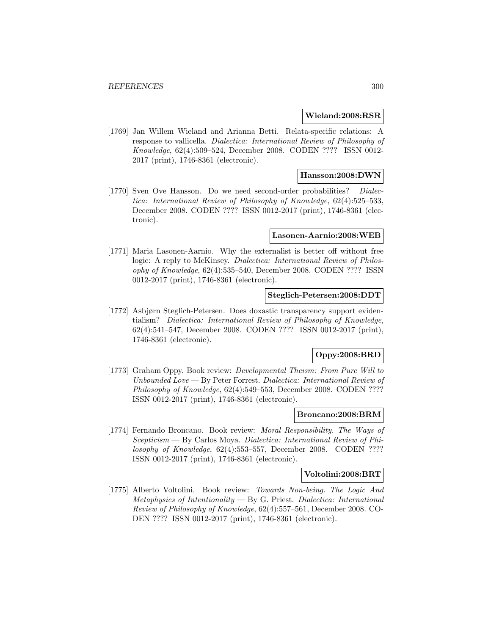#### **Wieland:2008:RSR**

[1769] Jan Willem Wieland and Arianna Betti. Relata-specific relations: A response to vallicella. Dialectica: International Review of Philosophy of Knowledge, 62(4):509–524, December 2008. CODEN ???? ISSN 0012- 2017 (print), 1746-8361 (electronic).

### **Hansson:2008:DWN**

[1770] Sven Ove Hansson. Do we need second-order probabilities? Dialectica: International Review of Philosophy of Knowledge, 62(4):525–533, December 2008. CODEN ???? ISSN 0012-2017 (print), 1746-8361 (electronic).

#### **Lasonen-Aarnio:2008:WEB**

[1771] Maria Lasonen-Aarnio. Why the externalist is better off without free logic: A reply to McKinsey. Dialectica: International Review of Philosophy of Knowledge, 62(4):535–540, December 2008. CODEN ???? ISSN 0012-2017 (print), 1746-8361 (electronic).

### **Steglich-Petersen:2008:DDT**

[1772] Asbjørn Steglich-Petersen. Does doxastic transparency support evidentialism? Dialectica: International Review of Philosophy of Knowledge, 62(4):541–547, December 2008. CODEN ???? ISSN 0012-2017 (print), 1746-8361 (electronic).

## **Oppy:2008:BRD**

[1773] Graham Oppy. Book review: Developmental Theism: From Pure Will to Unbounded Love — By Peter Forrest. Dialectica: International Review of Philosophy of Knowledge, 62(4):549–553, December 2008. CODEN ???? ISSN 0012-2017 (print), 1746-8361 (electronic).

### **Broncano:2008:BRM**

[1774] Fernando Broncano. Book review: Moral Responsibility. The Ways of Scepticism — By Carlos Moya. Dialectica: International Review of Philosophy of Knowledge, 62(4):553-557, December 2008. CODEN ???? ISSN 0012-2017 (print), 1746-8361 (electronic).

#### **Voltolini:2008:BRT**

[1775] Alberto Voltolini. Book review: Towards Non-being. The Logic And  $Metaphysics$  of Intentionality  $-$  By G. Priest. Dialectica: International Review of Philosophy of Knowledge, 62(4):557–561, December 2008. CO-DEN ???? ISSN 0012-2017 (print), 1746-8361 (electronic).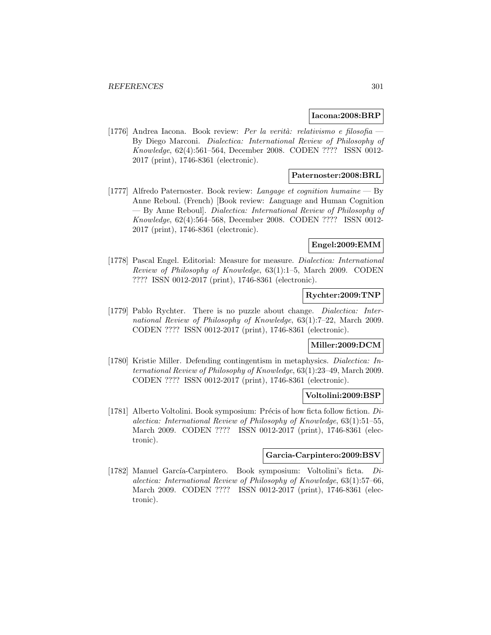#### **Iacona:2008:BRP**

[1776] Andrea Iacona. Book review: Per la verità: relativismo e filosofia — By Diego Marconi. Dialectica: International Review of Philosophy of Knowledge, 62(4):561–564, December 2008. CODEN ???? ISSN 0012- 2017 (print), 1746-8361 (electronic).

## **Paternoster:2008:BRL**

[1777] Alfredo Paternoster. Book review: Langage et cognition humaine — By Anne Reboul. (French) [Book review: Language and Human Cognition — By Anne Reboul]. Dialectica: International Review of Philosophy of Knowledge, 62(4):564–568, December 2008. CODEN ???? ISSN 0012- 2017 (print), 1746-8361 (electronic).

## **Engel:2009:EMM**

[1778] Pascal Engel. Editorial: Measure for measure. Dialectica: International Review of Philosophy of Knowledge, 63(1):1–5, March 2009. CODEN ???? ISSN 0012-2017 (print), 1746-8361 (electronic).

## **Rychter:2009:TNP**

[1779] Pablo Rychter. There is no puzzle about change. Dialectica: International Review of Philosophy of Knowledge, 63(1):7–22, March 2009. CODEN ???? ISSN 0012-2017 (print), 1746-8361 (electronic).

## **Miller:2009:DCM**

[1780] Kristie Miller. Defending contingentism in metaphysics. Dialectica: International Review of Philosophy of Knowledge, 63(1):23–49, March 2009. CODEN ???? ISSN 0012-2017 (print), 1746-8361 (electronic).

### **Voltolini:2009:BSP**

[1781] Alberto Voltolini. Book symposium: Précis of how ficta follow fiction.  $Di$ alectica: International Review of Philosophy of Knowledge, 63(1):51–55, March 2009. CODEN ???? ISSN 0012-2017 (print), 1746-8361 (electronic).

### **Garcia-Carpintero:2009:BSV**

[1782] Manuel García-Carpintero. Book symposium: Voltolini's ficta.  $Di$ alectica: International Review of Philosophy of Knowledge, 63(1):57–66, March 2009. CODEN ???? ISSN 0012-2017 (print), 1746-8361 (electronic).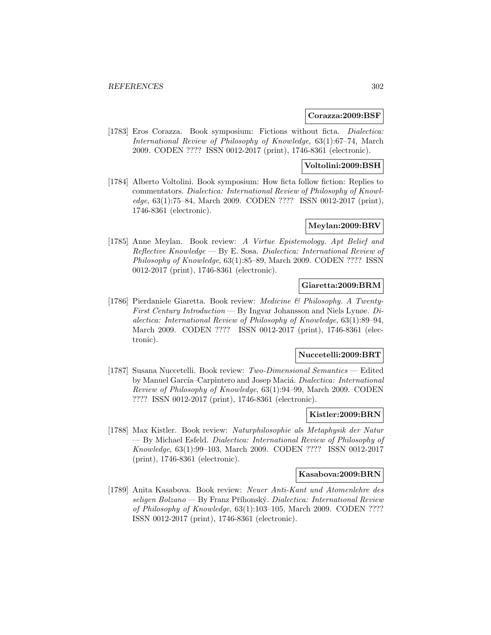#### **Corazza:2009:BSF**

[1783] Eros Corazza. Book symposium: Fictions without ficta. Dialectica: International Review of Philosophy of Knowledge, 63(1):67–74, March 2009. CODEN ???? ISSN 0012-2017 (print), 1746-8361 (electronic).

## **Voltolini:2009:BSH**

[1784] Alberto Voltolini. Book symposium: How ficta follow fiction: Replies to commentators. Dialectica: International Review of Philosophy of Knowledge, 63(1):75–84, March 2009. CODEN ???? ISSN 0012-2017 (print), 1746-8361 (electronic).

## **Meylan:2009:BRV**

[1785] Anne Meylan. Book review: A Virtue Epistemology. Apt Belief and Reflective Knowledge — By E. Sosa. Dialectica: International Review of Philosophy of Knowledge, 63(1):85–89, March 2009. CODEN ???? ISSN 0012-2017 (print), 1746-8361 (electronic).

## **Giaretta:2009:BRM**

[1786] Pierdaniele Giaretta. Book review: Medicine & Philosophy. A Twenty-First Century Introduction — By Ingvar Johansson and Niels Lynøe. Dialectica: International Review of Philosophy of Knowledge, 63(1):89–94, March 2009. CODEN ???? ISSN 0012-2017 (print), 1746-8361 (electronic).

#### **Nuccetelli:2009:BRT**

[1787] Susana Nuccetelli. Book review: Two-Dimensional Semantics — Edited by Manuel García–Carpintero and Josep Maciá. Dialectica: International Review of Philosophy of Knowledge, 63(1):94–99, March 2009. CODEN ???? ISSN 0012-2017 (print), 1746-8361 (electronic).

### **Kistler:2009:BRN**

[1788] Max Kistler. Book review: Naturphilosophie als Metaphysik der Natur — By Michael Esfeld. Dialectica: International Review of Philosophy of Knowledge, 63(1):99–103, March 2009. CODEN ???? ISSN 0012-2017 (print), 1746-8361 (electronic).

## **Kasabova:2009:BRN**

[1789] Anita Kasabova. Book review: Neuer Anti-Kant und Atomenlehre des  $seligen Bolzano$  — By Franz Příhonský. Dialectica: International Review of Philosophy of Knowledge, 63(1):103–105, March 2009. CODEN ???? ISSN 0012-2017 (print), 1746-8361 (electronic).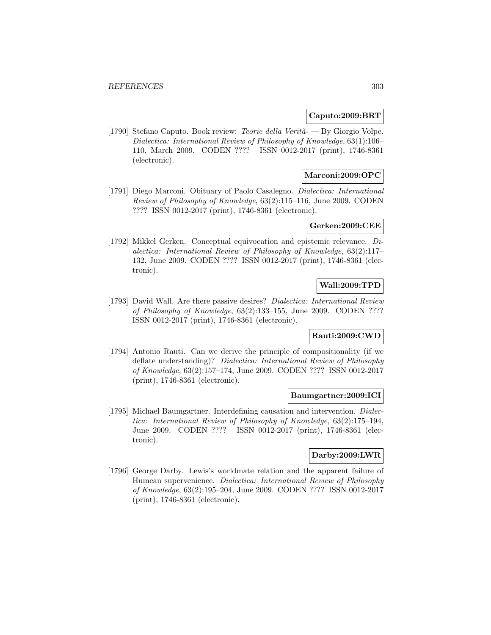#### **Caputo:2009:BRT**

[1790] Stefano Caputo. Book review: Teorie della Verità- — By Giorgio Volpe. Dialectica: International Review of Philosophy of Knowledge, 63(1):106– 110, March 2009. CODEN ???? ISSN 0012-2017 (print), 1746-8361 (electronic).

## **Marconi:2009:OPC**

[1791] Diego Marconi. Obituary of Paolo Casalegno. Dialectica: International Review of Philosophy of Knowledge, 63(2):115–116, June 2009. CODEN ???? ISSN 0012-2017 (print), 1746-8361 (electronic).

### **Gerken:2009:CEE**

[1792] Mikkel Gerken. Conceptual equivocation and epistemic relevance. Dialectica: International Review of Philosophy of Knowledge, 63(2):117– 132, June 2009. CODEN ???? ISSN 0012-2017 (print), 1746-8361 (electronic).

## **Wall:2009:TPD**

[1793] David Wall. Are there passive desires? Dialectica: International Review of Philosophy of Knowledge, 63(2):133–155, June 2009. CODEN ???? ISSN 0012-2017 (print), 1746-8361 (electronic).

## **Rauti:2009:CWD**

[1794] Antonio Rauti. Can we derive the principle of compositionality (if we deflate understanding)? Dialectica: International Review of Philosophy of Knowledge, 63(2):157–174, June 2009. CODEN ???? ISSN 0012-2017 (print), 1746-8361 (electronic).

#### **Baumgartner:2009:ICI**

[1795] Michael Baumgartner. Interdefining causation and intervention. Dialectica: International Review of Philosophy of Knowledge, 63(2):175–194, June 2009. CODEN ???? ISSN 0012-2017 (print), 1746-8361 (electronic).

## **Darby:2009:LWR**

[1796] George Darby. Lewis's worldmate relation and the apparent failure of Humean supervenience. Dialectica: International Review of Philosophy of Knowledge, 63(2):195–204, June 2009. CODEN ???? ISSN 0012-2017 (print), 1746-8361 (electronic).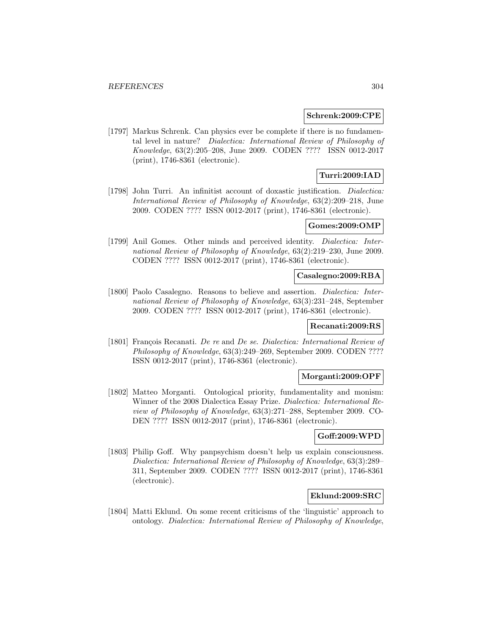#### **Schrenk:2009:CPE**

[1797] Markus Schrenk. Can physics ever be complete if there is no fundamental level in nature? Dialectica: International Review of Philosophy of Knowledge, 63(2):205–208, June 2009. CODEN ???? ISSN 0012-2017 (print), 1746-8361 (electronic).

## **Turri:2009:IAD**

[1798] John Turri. An infinitist account of doxastic justification. *Dialectica:* International Review of Philosophy of Knowledge, 63(2):209–218, June 2009. CODEN ???? ISSN 0012-2017 (print), 1746-8361 (electronic).

## **Gomes:2009:OMP**

[1799] Anil Gomes. Other minds and perceived identity. *Dialectica: Inter*national Review of Philosophy of Knowledge, 63(2):219–230, June 2009. CODEN ???? ISSN 0012-2017 (print), 1746-8361 (electronic).

### **Casalegno:2009:RBA**

[1800] Paolo Casalegno. Reasons to believe and assertion. Dialectica: International Review of Philosophy of Knowledge, 63(3):231–248, September 2009. CODEN ???? ISSN 0012-2017 (print), 1746-8361 (electronic).

## **Recanati:2009:RS**

[1801] François Recanati. De re and De se. Dialectica: International Review of Philosophy of Knowledge, 63(3):249–269, September 2009. CODEN ???? ISSN 0012-2017 (print), 1746-8361 (electronic).

#### **Morganti:2009:OPF**

[1802] Matteo Morganti. Ontological priority, fundamentality and monism: Winner of the 2008 Dialectica Essay Prize. Dialectica: International Review of Philosophy of Knowledge, 63(3):271–288, September 2009. CO-DEN ???? ISSN 0012-2017 (print), 1746-8361 (electronic).

## **Goff:2009:WPD**

[1803] Philip Goff. Why panpsychism doesn't help us explain consciousness. Dialectica: International Review of Philosophy of Knowledge, 63(3):289– 311, September 2009. CODEN ???? ISSN 0012-2017 (print), 1746-8361 (electronic).

## **Eklund:2009:SRC**

[1804] Matti Eklund. On some recent criticisms of the 'linguistic' approach to ontology. Dialectica: International Review of Philosophy of Knowledge,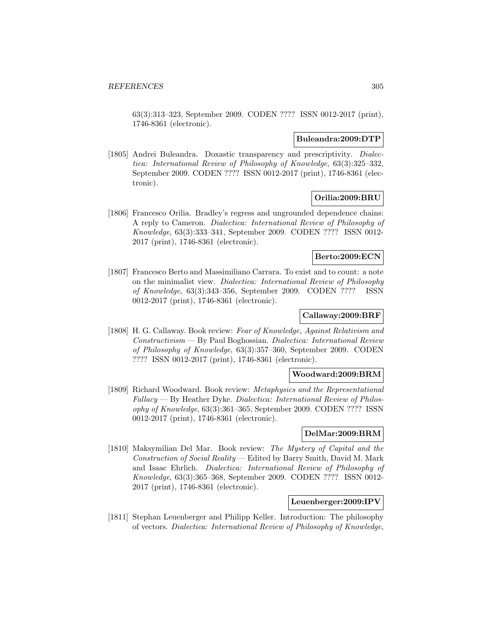63(3):313–323, September 2009. CODEN ???? ISSN 0012-2017 (print), 1746-8361 (electronic).

#### **Buleandra:2009:DTP**

[1805] Andrei Buleandra. Doxastic transparency and prescriptivity. *Dialec*tica: International Review of Philosophy of Knowledge, 63(3):325–332, September 2009. CODEN ???? ISSN 0012-2017 (print), 1746-8361 (electronic).

## **Orilia:2009:BRU**

[1806] Francesco Orilia. Bradley's regress and ungrounded dependence chains: A reply to Cameron. Dialectica: International Review of Philosophy of Knowledge, 63(3):333–341, September 2009. CODEN ???? ISSN 0012- 2017 (print), 1746-8361 (electronic).

## **Berto:2009:ECN**

[1807] Francesco Berto and Massimiliano Carrara. To exist and to count: a note on the minimalist view. Dialectica: International Review of Philosophy of Knowledge, 63(3):343–356, September 2009. CODEN ???? ISSN 0012-2017 (print), 1746-8361 (electronic).

## **Callaway:2009:BRF**

[1808] H. G. Callaway. Book review: Fear of Knowledge, Against Relativism and Constructivism — By Paul Boghossian. Dialectica: International Review of Philosophy of Knowledge, 63(3):357–360, September 2009. CODEN ???? ISSN 0012-2017 (print), 1746-8361 (electronic).

#### **Woodward:2009:BRM**

[1809] Richard Woodward. Book review: Metaphysics and the Representational Fallacy — By Heather Dyke. Dialectica: International Review of Philosophy of Knowledge, 63(3):361–365, September 2009. CODEN ???? ISSN 0012-2017 (print), 1746-8361 (electronic).

## **DelMar:2009:BRM**

[1810] Maksymilian Del Mar. Book review: The Mystery of Capital and the Construction of Social Reality — Edited by Barry Smith, David M. Mark and Isaac Ehrlich. Dialectica: International Review of Philosophy of Knowledge, 63(3):365–368, September 2009. CODEN ???? ISSN 0012- 2017 (print), 1746-8361 (electronic).

## **Leuenberger:2009:IPV**

[1811] Stephan Leuenberger and Philipp Keller. Introduction: The philosophy of vectors. Dialectica: International Review of Philosophy of Knowledge,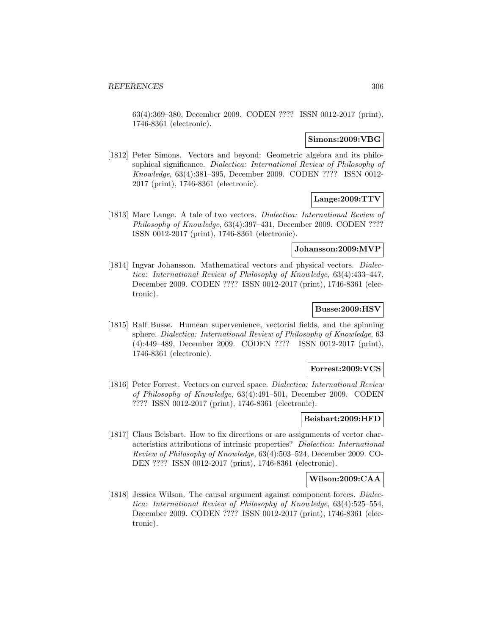63(4):369–380, December 2009. CODEN ???? ISSN 0012-2017 (print), 1746-8361 (electronic).

#### **Simons:2009:VBG**

[1812] Peter Simons. Vectors and beyond: Geometric algebra and its philosophical significance. Dialectica: International Review of Philosophy of Knowledge, 63(4):381–395, December 2009. CODEN ???? ISSN 0012- 2017 (print), 1746-8361 (electronic).

## **Lange:2009:TTV**

[1813] Marc Lange. A tale of two vectors. Dialectica: International Review of Philosophy of Knowledge, 63(4):397–431, December 2009. CODEN ???? ISSN 0012-2017 (print), 1746-8361 (electronic).

#### **Johansson:2009:MVP**

[1814] Ingvar Johansson. Mathematical vectors and physical vectors. *Dialec*tica: International Review of Philosophy of Knowledge, 63(4):433–447, December 2009. CODEN ???? ISSN 0012-2017 (print), 1746-8361 (electronic).

## **Busse:2009:HSV**

[1815] Ralf Busse. Humean supervenience, vectorial fields, and the spinning sphere. Dialectica: International Review of Philosophy of Knowledge, 63 (4):449–489, December 2009. CODEN ???? ISSN 0012-2017 (print), 1746-8361 (electronic).

### **Forrest:2009:VCS**

[1816] Peter Forrest. Vectors on curved space. Dialectica: International Review of Philosophy of Knowledge, 63(4):491–501, December 2009. CODEN ???? ISSN 0012-2017 (print), 1746-8361 (electronic).

#### **Beisbart:2009:HFD**

[1817] Claus Beisbart. How to fix directions or are assignments of vector characteristics attributions of intrinsic properties? Dialectica: International Review of Philosophy of Knowledge, 63(4):503–524, December 2009. CO-DEN ???? ISSN 0012-2017 (print), 1746-8361 (electronic).

### **Wilson:2009:CAA**

[1818] Jessica Wilson. The causal argument against component forces. Dialectica: International Review of Philosophy of Knowledge, 63(4):525–554, December 2009. CODEN ???? ISSN 0012-2017 (print), 1746-8361 (electronic).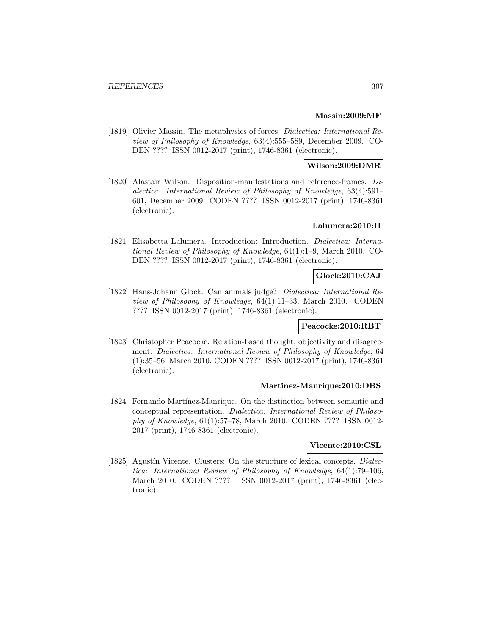## **Massin:2009:MF**

[1819] Olivier Massin. The metaphysics of forces. *Dialectica: International Re*view of Philosophy of Knowledge, 63(4):555–589, December 2009. CO-DEN ???? ISSN 0012-2017 (print), 1746-8361 (electronic).

## **Wilson:2009:DMR**

[1820] Alastair Wilson. Disposition-manifestations and reference-frames. Dialectica: International Review of Philosophy of Knowledge, 63(4):591– 601, December 2009. CODEN ???? ISSN 0012-2017 (print), 1746-8361 (electronic).

## **Lalumera:2010:II**

[1821] Elisabetta Lalumera. Introduction: Introduction. Dialectica: International Review of Philosophy of Knowledge, 64(1):1–9, March 2010. CO-DEN ???? ISSN 0012-2017 (print), 1746-8361 (electronic).

## **Glock:2010:CAJ**

[1822] Hans-Johann Glock. Can animals judge? Dialectica: International Review of Philosophy of Knowledge, 64(1):11–33, March 2010. CODEN ???? ISSN 0012-2017 (print), 1746-8361 (electronic).

## **Peacocke:2010:RBT**

[1823] Christopher Peacocke. Relation-based thought, objectivity and disagreement. Dialectica: International Review of Philosophy of Knowledge, 64 (1):35–56, March 2010. CODEN ???? ISSN 0012-2017 (print), 1746-8361 (electronic).

## **Martinez-Manrique:2010:DBS**

[1824] Fernando Martínez-Manrique. On the distinction between semantic and conceptual representation. Dialectica: International Review of Philosophy of Knowledge, 64(1):57–78, March 2010. CODEN ???? ISSN 0012- 2017 (print), 1746-8361 (electronic).

## **Vicente:2010:CSL**

[1825] Agustín Vicente. Clusters: On the structure of lexical concepts. *Dialec*tica: International Review of Philosophy of Knowledge, 64(1):79–106, March 2010. CODEN ???? ISSN 0012-2017 (print), 1746-8361 (electronic).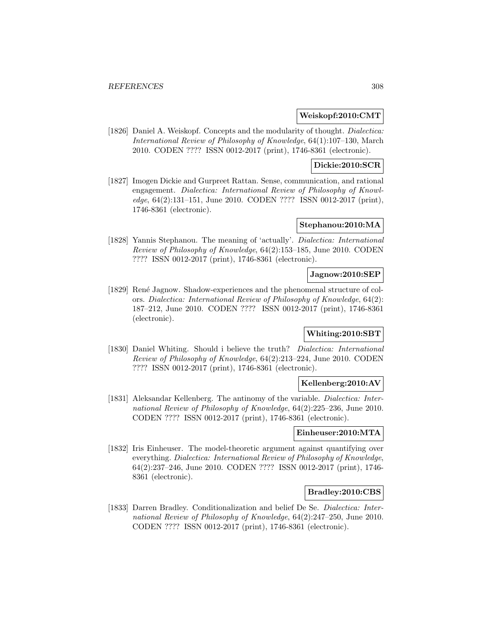## **Weiskopf:2010:CMT**

[1826] Daniel A. Weiskopf. Concepts and the modularity of thought. *Dialectica:* International Review of Philosophy of Knowledge, 64(1):107–130, March 2010. CODEN ???? ISSN 0012-2017 (print), 1746-8361 (electronic).

## **Dickie:2010:SCR**

[1827] Imogen Dickie and Gurpreet Rattan. Sense, communication, and rational engagement. Dialectica: International Review of Philosophy of Knowledge, 64(2):131–151, June 2010. CODEN ???? ISSN 0012-2017 (print), 1746-8361 (electronic).

## **Stephanou:2010:MA**

[1828] Yannis Stephanou. The meaning of 'actually'. Dialectica: International Review of Philosophy of Knowledge, 64(2):153–185, June 2010. CODEN ???? ISSN 0012-2017 (print), 1746-8361 (electronic).

#### **Jagnow:2010:SEP**

[1829] René Jagnow. Shadow-experiences and the phenomenal structure of colors. Dialectica: International Review of Philosophy of Knowledge, 64(2): 187–212, June 2010. CODEN ???? ISSN 0012-2017 (print), 1746-8361 (electronic).

## **Whiting:2010:SBT**

[1830] Daniel Whiting. Should i believe the truth? Dialectica: International Review of Philosophy of Knowledge, 64(2):213–224, June 2010. CODEN ???? ISSN 0012-2017 (print), 1746-8361 (electronic).

## **Kellenberg:2010:AV**

[1831] Aleksandar Kellenberg. The antinomy of the variable. Dialectica: International Review of Philosophy of Knowledge, 64(2):225–236, June 2010. CODEN ???? ISSN 0012-2017 (print), 1746-8361 (electronic).

#### **Einheuser:2010:MTA**

[1832] Iris Einheuser. The model-theoretic argument against quantifying over everything. Dialectica: International Review of Philosophy of Knowledge, 64(2):237–246, June 2010. CODEN ???? ISSN 0012-2017 (print), 1746- 8361 (electronic).

## **Bradley:2010:CBS**

[1833] Darren Bradley. Conditionalization and belief De Se. Dialectica: International Review of Philosophy of Knowledge, 64(2):247–250, June 2010. CODEN ???? ISSN 0012-2017 (print), 1746-8361 (electronic).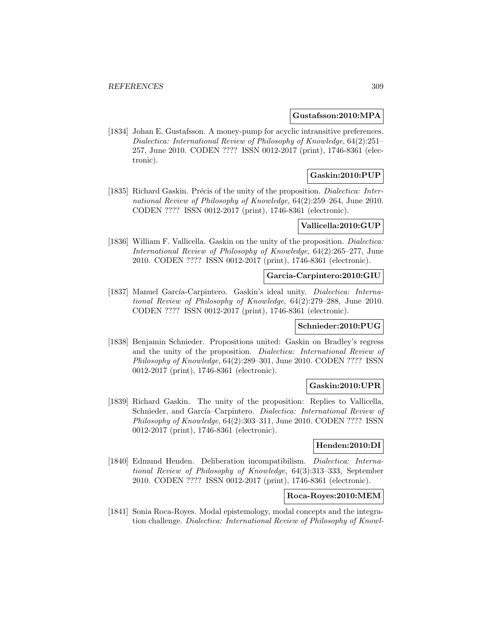#### **Gustafsson:2010:MPA**

[1834] Johan E. Gustafsson. A money-pump for acyclic intransitive preferences. Dialectica: International Review of Philosophy of Knowledge, 64(2):251– 257, June 2010. CODEN ???? ISSN 0012-2017 (print), 1746-8361 (electronic).

## **Gaskin:2010:PUP**

[1835] Richard Gaskin. Précis of the unity of the proposition. Dialectica: International Review of Philosophy of Knowledge, 64(2):259–264, June 2010. CODEN ???? ISSN 0012-2017 (print), 1746-8361 (electronic).

## **Vallicella:2010:GUP**

[1836] William F. Vallicella. Gaskin on the unity of the proposition. *Dialectica*: International Review of Philosophy of Knowledge, 64(2):265–277, June 2010. CODEN ???? ISSN 0012-2017 (print), 1746-8361 (electronic).

#### **Garcia-Carpintero:2010:GIU**

[1837] Manuel García-Carpintero. Gaskin's ideal unity. *Dialectica: Interna*tional Review of Philosophy of Knowledge, 64(2):279–288, June 2010. CODEN ???? ISSN 0012-2017 (print), 1746-8361 (electronic).

## **Schnieder:2010:PUG**

[1838] Benjamin Schnieder. Propositions united: Gaskin on Bradley's regress and the unity of the proposition. Dialectica: International Review of Philosophy of Knowledge, 64(2):289–301, June 2010. CODEN ???? ISSN 0012-2017 (print), 1746-8361 (electronic).

## **Gaskin:2010:UPR**

[1839] Richard Gaskin. The unity of the proposition: Replies to Vallicella, Schnieder, and García–Carpintero. Dialectica: International Review of Philosophy of Knowledge, 64(2):303–311, June 2010. CODEN ???? ISSN 0012-2017 (print), 1746-8361 (electronic).

## **Henden:2010:DI**

[1840] Edmund Henden. Deliberation incompatibilism. Dialectica: International Review of Philosophy of Knowledge, 64(3):313–333, September 2010. CODEN ???? ISSN 0012-2017 (print), 1746-8361 (electronic).

## **Roca-Royes:2010:MEM**

[1841] Sonia Roca-Royes. Modal epistemology, modal concepts and the integration challenge. Dialectica: International Review of Philosophy of Knowl-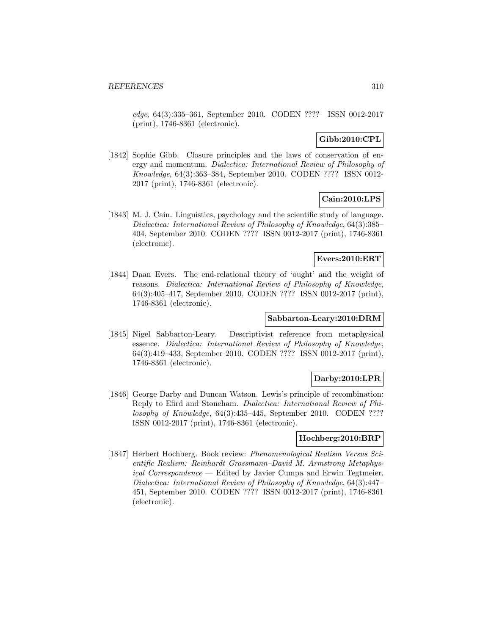edge, 64(3):335–361, September 2010. CODEN ???? ISSN 0012-2017 (print), 1746-8361 (electronic).

### **Gibb:2010:CPL**

[1842] Sophie Gibb. Closure principles and the laws of conservation of energy and momentum. Dialectica: International Review of Philosophy of Knowledge, 64(3):363–384, September 2010. CODEN ???? ISSN 0012- 2017 (print), 1746-8361 (electronic).

## **Cain:2010:LPS**

[1843] M. J. Cain. Linguistics, psychology and the scientific study of language. Dialectica: International Review of Philosophy of Knowledge, 64(3):385– 404, September 2010. CODEN ???? ISSN 0012-2017 (print), 1746-8361 (electronic).

#### **Evers:2010:ERT**

[1844] Daan Evers. The end-relational theory of 'ought' and the weight of reasons. Dialectica: International Review of Philosophy of Knowledge, 64(3):405–417, September 2010. CODEN ???? ISSN 0012-2017 (print), 1746-8361 (electronic).

## **Sabbarton-Leary:2010:DRM**

[1845] Nigel Sabbarton-Leary. Descriptivist reference from metaphysical essence. Dialectica: International Review of Philosophy of Knowledge, 64(3):419–433, September 2010. CODEN ???? ISSN 0012-2017 (print), 1746-8361 (electronic).

## **Darby:2010:LPR**

[1846] George Darby and Duncan Watson. Lewis's principle of recombination: Reply to Efird and Stoneham. Dialectica: International Review of Philosophy of Knowledge, 64(3):435–445, September 2010. CODEN ???? ISSN 0012-2017 (print), 1746-8361 (electronic).

## **Hochberg:2010:BRP**

[1847] Herbert Hochberg. Book review: Phenomenological Realism Versus Scientific Realism: Reinhardt Grossmann–David M. Armstrong Metaphysical Correspondence — Edited by Javier Cumpa and Erwin Tegtmeier. Dialectica: International Review of Philosophy of Knowledge, 64(3):447– 451, September 2010. CODEN ???? ISSN 0012-2017 (print), 1746-8361 (electronic).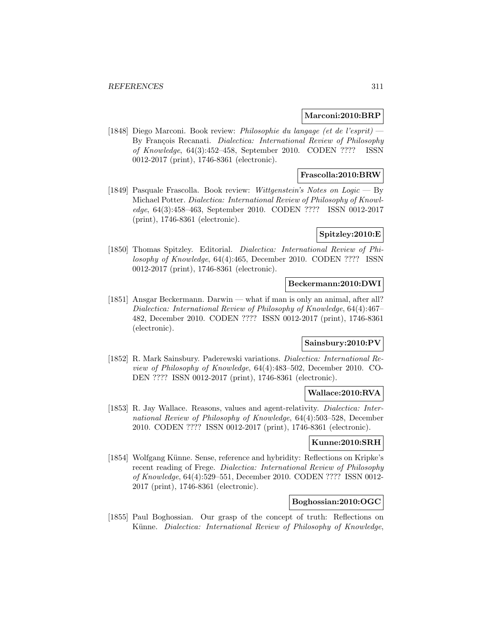## **Marconi:2010:BRP**

[1848] Diego Marconi. Book review: Philosophie du langage (et de l'esprit) — By François Recanati. Dialectica: International Review of Philosophy of Knowledge, 64(3):452–458, September 2010. CODEN ???? ISSN 0012-2017 (print), 1746-8361 (electronic).

## **Frascolla:2010:BRW**

[1849] Pasquale Frascolla. Book review: Wittgenstein's Notes on Logic — By Michael Potter. Dialectica: International Review of Philosophy of Knowledge, 64(3):458–463, September 2010. CODEN ???? ISSN 0012-2017 (print), 1746-8361 (electronic).

### **Spitzley:2010:E**

[1850] Thomas Spitzley. Editorial. Dialectica: International Review of Philosophy of Knowledge, 64(4):465, December 2010. CODEN ???? ISSN 0012-2017 (print), 1746-8361 (electronic).

## **Beckermann:2010:DWI**

[1851] Ansgar Beckermann. Darwin — what if man is only an animal, after all? Dialectica: International Review of Philosophy of Knowledge, 64(4):467– 482, December 2010. CODEN ???? ISSN 0012-2017 (print), 1746-8361 (electronic).

## **Sainsbury:2010:PV**

[1852] R. Mark Sainsbury. Paderewski variations. Dialectica: International Review of Philosophy of Knowledge, 64(4):483–502, December 2010. CO-DEN ???? ISSN 0012-2017 (print), 1746-8361 (electronic).

#### **Wallace:2010:RVA**

[1853] R. Jay Wallace. Reasons, values and agent-relativity. Dialectica: International Review of Philosophy of Knowledge, 64(4):503–528, December 2010. CODEN ???? ISSN 0012-2017 (print), 1746-8361 (electronic).

#### **Kunne:2010:SRH**

[1854] Wolfgang Künne. Sense, reference and hybridity: Reflections on Kripke's recent reading of Frege. Dialectica: International Review of Philosophy of Knowledge, 64(4):529–551, December 2010. CODEN ???? ISSN 0012- 2017 (print), 1746-8361 (electronic).

## **Boghossian:2010:OGC**

[1855] Paul Boghossian. Our grasp of the concept of truth: Reflections on Künne. Dialectica: International Review of Philosophy of Knowledge,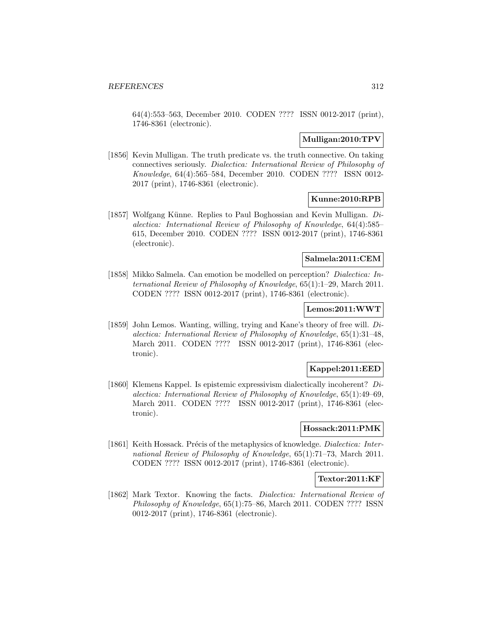64(4):553–563, December 2010. CODEN ???? ISSN 0012-2017 (print), 1746-8361 (electronic).

## **Mulligan:2010:TPV**

[1856] Kevin Mulligan. The truth predicate vs. the truth connective. On taking connectives seriously. Dialectica: International Review of Philosophy of Knowledge, 64(4):565–584, December 2010. CODEN ???? ISSN 0012- 2017 (print), 1746-8361 (electronic).

## **Kunne:2010:RPB**

[1857] Wolfgang Künne. Replies to Paul Boghossian and Kevin Mulligan.  $Di$ alectica: International Review of Philosophy of Knowledge, 64(4):585– 615, December 2010. CODEN ???? ISSN 0012-2017 (print), 1746-8361 (electronic).

#### **Salmela:2011:CEM**

[1858] Mikko Salmela. Can emotion be modelled on perception? Dialectica: International Review of Philosophy of Knowledge, 65(1):1–29, March 2011. CODEN ???? ISSN 0012-2017 (print), 1746-8361 (electronic).

## **Lemos:2011:WWT**

[1859] John Lemos. Wanting, willing, trying and Kane's theory of free will. Dialectica: International Review of Philosophy of Knowledge, 65(1):31–48, March 2011. CODEN ???? ISSN 0012-2017 (print), 1746-8361 (electronic).

## **Kappel:2011:EED**

[1860] Klemens Kappel. Is epistemic expressivism dialectically incoherent?  $Di$ alectica: International Review of Philosophy of Knowledge, 65(1):49–69, March 2011. CODEN ???? ISSN 0012-2017 (print), 1746-8361 (electronic).

## **Hossack:2011:PMK**

[1861] Keith Hossack. Précis of the metaphysics of knowledge. *Dialectica: Inter*national Review of Philosophy of Knowledge, 65(1):71–73, March 2011. CODEN ???? ISSN 0012-2017 (print), 1746-8361 (electronic).

## **Textor:2011:KF**

[1862] Mark Textor. Knowing the facts. Dialectica: International Review of Philosophy of Knowledge, 65(1):75–86, March 2011. CODEN ???? ISSN 0012-2017 (print), 1746-8361 (electronic).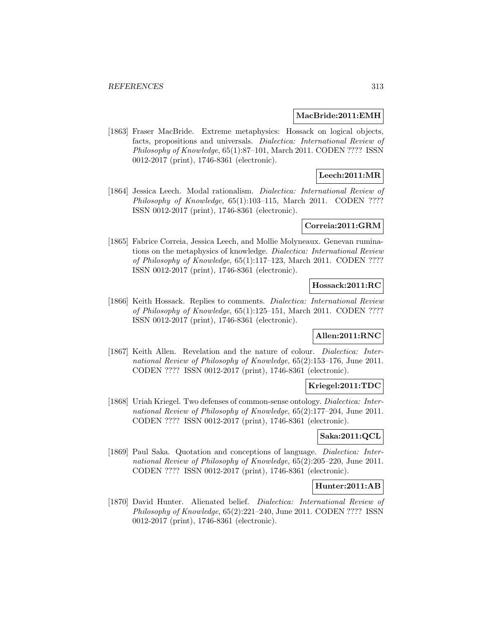### **MacBride:2011:EMH**

[1863] Fraser MacBride. Extreme metaphysics: Hossack on logical objects, facts, propositions and universals. Dialectica: International Review of Philosophy of Knowledge, 65(1):87–101, March 2011. CODEN ???? ISSN 0012-2017 (print), 1746-8361 (electronic).

## **Leech:2011:MR**

[1864] Jessica Leech. Modal rationalism. *Dialectica: International Review of* Philosophy of Knowledge,  $65(1):103-115$ , March 2011. CODEN ???? ISSN 0012-2017 (print), 1746-8361 (electronic).

## **Correia:2011:GRM**

[1865] Fabrice Correia, Jessica Leech, and Mollie Molyneaux. Genevan ruminations on the metaphysics of knowledge. Dialectica: International Review of Philosophy of Knowledge, 65(1):117–123, March 2011. CODEN ???? ISSN 0012-2017 (print), 1746-8361 (electronic).

## **Hossack:2011:RC**

[1866] Keith Hossack. Replies to comments. *Dialectica: International Review* of Philosophy of Knowledge, 65(1):125–151, March 2011. CODEN ???? ISSN 0012-2017 (print), 1746-8361 (electronic).

## **Allen:2011:RNC**

[1867] Keith Allen. Revelation and the nature of colour. *Dialectica: Inter*national Review of Philosophy of Knowledge, 65(2):153–176, June 2011. CODEN ???? ISSN 0012-2017 (print), 1746-8361 (electronic).

## **Kriegel:2011:TDC**

[1868] Uriah Kriegel. Two defenses of common-sense ontology. Dialectica: International Review of Philosophy of Knowledge, 65(2):177–204, June 2011. CODEN ???? ISSN 0012-2017 (print), 1746-8361 (electronic).

## **Saka:2011:QCL**

[1869] Paul Saka. Quotation and conceptions of language. Dialectica: International Review of Philosophy of Knowledge, 65(2):205–220, June 2011. CODEN ???? ISSN 0012-2017 (print), 1746-8361 (electronic).

## **Hunter:2011:AB**

[1870] David Hunter. Alienated belief. Dialectica: International Review of Philosophy of Knowledge, 65(2):221–240, June 2011. CODEN ???? ISSN 0012-2017 (print), 1746-8361 (electronic).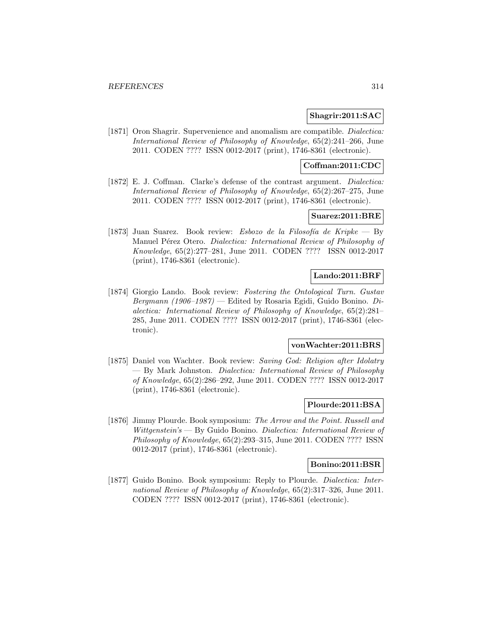### **Shagrir:2011:SAC**

[1871] Oron Shagrir. Supervenience and anomalism are compatible. *Dialectica:* International Review of Philosophy of Knowledge, 65(2):241–266, June 2011. CODEN ???? ISSN 0012-2017 (print), 1746-8361 (electronic).

## **Coffman:2011:CDC**

[1872] E. J. Coffman. Clarke's defense of the contrast argument. Dialectica: International Review of Philosophy of Knowledge, 65(2):267–275, June 2011. CODEN ???? ISSN 0012-2017 (print), 1746-8361 (electronic).

## **Suarez:2011:BRE**

[1873] Juan Suarez. Book review: Esbozo de la Filosofía de Kripke — By Manuel Pérez Otero. Dialectica: International Review of Philosophy of Knowledge, 65(2):277–281, June 2011. CODEN ???? ISSN 0012-2017 (print), 1746-8361 (electronic).

## **Lando:2011:BRF**

[1874] Giorgio Lando. Book review: Fostering the Ontological Turn. Gustav Bergmann (1906–1987) — Edited by Rosaria Egidi, Guido Bonino. Dialectica: International Review of Philosophy of Knowledge, 65(2):281– 285, June 2011. CODEN ???? ISSN 0012-2017 (print), 1746-8361 (electronic).

## **vonWachter:2011:BRS**

[1875] Daniel von Wachter. Book review: Saving God: Religion after Idolatry — By Mark Johnston. Dialectica: International Review of Philosophy of Knowledge, 65(2):286–292, June 2011. CODEN ???? ISSN 0012-2017 (print), 1746-8361 (electronic).

#### **Plourde:2011:BSA**

[1876] Jimmy Plourde. Book symposium: The Arrow and the Point. Russell and Wittgenstein's — By Guido Bonino. Dialectica: International Review of Philosophy of Knowledge, 65(2):293–315, June 2011. CODEN ???? ISSN 0012-2017 (print), 1746-8361 (electronic).

### **Bonino:2011:BSR**

[1877] Guido Bonino. Book symposium: Reply to Plourde. Dialectica: International Review of Philosophy of Knowledge, 65(2):317–326, June 2011. CODEN ???? ISSN 0012-2017 (print), 1746-8361 (electronic).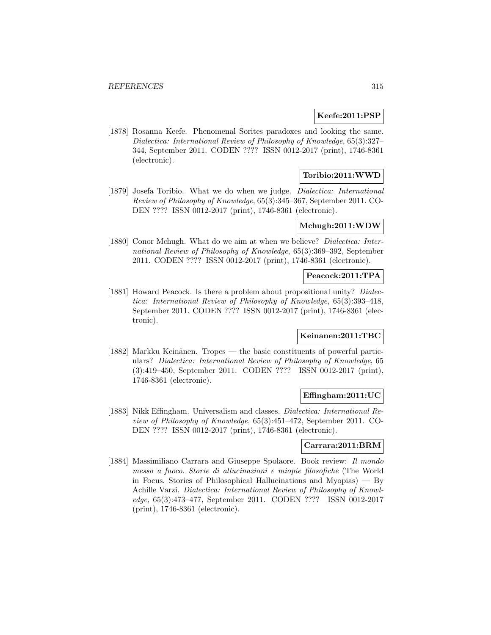### **Keefe:2011:PSP**

[1878] Rosanna Keefe. Phenomenal Sorites paradoxes and looking the same. Dialectica: International Review of Philosophy of Knowledge, 65(3):327– 344, September 2011. CODEN ???? ISSN 0012-2017 (print), 1746-8361 (electronic).

## **Toribio:2011:WWD**

[1879] Josefa Toribio. What we do when we judge. Dialectica: International Review of Philosophy of Knowledge, 65(3):345–367, September 2011. CO-DEN ???? ISSN 0012-2017 (print), 1746-8361 (electronic).

#### **Mchugh:2011:WDW**

[1880] Conor Mchugh. What do we aim at when we believe? *Dialectica: Inter*national Review of Philosophy of Knowledge, 65(3):369–392, September 2011. CODEN ???? ISSN 0012-2017 (print), 1746-8361 (electronic).

## **Peacock:2011:TPA**

[1881] Howard Peacock. Is there a problem about propositional unity? Dialectica: International Review of Philosophy of Knowledge, 65(3):393–418, September 2011. CODEN ???? ISSN 0012-2017 (print), 1746-8361 (electronic).

## **Keinanen:2011:TBC**

[1882] Markku Keinänen. Tropes — the basic constituents of powerful particulars? Dialectica: International Review of Philosophy of Knowledge, 65 (3):419–450, September 2011. CODEN ???? ISSN 0012-2017 (print), 1746-8361 (electronic).

## **Effingham:2011:UC**

[1883] Nikk Effingham. Universalism and classes. Dialectica: International Review of Philosophy of Knowledge, 65(3):451–472, September 2011. CO-DEN ???? ISSN 0012-2017 (print), 1746-8361 (electronic).

### **Carrara:2011:BRM**

[1884] Massimiliano Carrara and Giuseppe Spolaore. Book review: Il mondo messo a fuoco. Storie di allucinazioni e miopie filosofiche (The World in Focus. Stories of Philosophical Hallucinations and Myopias) — By Achille Varzi. Dialectica: International Review of Philosophy of Knowledge, 65(3):473–477, September 2011. CODEN ???? ISSN 0012-2017 (print), 1746-8361 (electronic).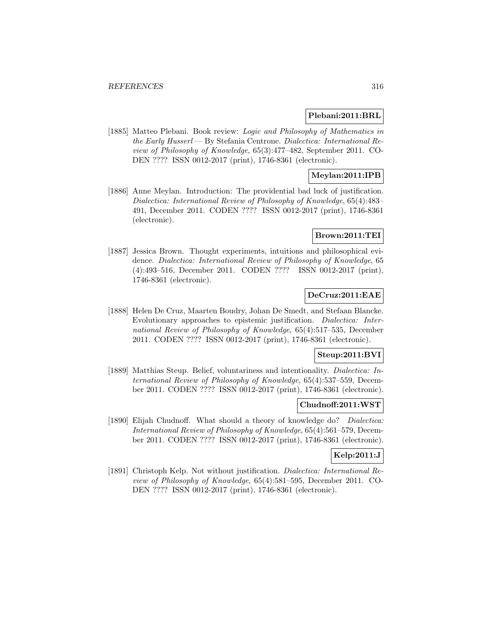#### **Plebani:2011:BRL**

[1885] Matteo Plebani. Book review: Logic and Philosophy of Mathematics in the Early Husserl — By Stefania Centrone. Dialectica: International Review of Philosophy of Knowledge, 65(3):477–482, September 2011. CO-DEN ???? ISSN 0012-2017 (print), 1746-8361 (electronic).

## **Meylan:2011:IPB**

[1886] Anne Meylan. Introduction: The providential bad luck of justification. Dialectica: International Review of Philosophy of Knowledge, 65(4):483– 491, December 2011. CODEN ???? ISSN 0012-2017 (print), 1746-8361 (electronic).

#### **Brown:2011:TEI**

[1887] Jessica Brown. Thought experiments, intuitions and philosophical evidence. Dialectica: International Review of Philosophy of Knowledge, 65 (4):493–516, December 2011. CODEN ???? ISSN 0012-2017 (print), 1746-8361 (electronic).

## **DeCruz:2011:EAE**

[1888] Helen De Cruz, Maarten Boudry, Johan De Smedt, and Stefaan Blancke. Evolutionary approaches to epistemic justification. Dialectica: International Review of Philosophy of Knowledge, 65(4):517–535, December 2011. CODEN ???? ISSN 0012-2017 (print), 1746-8361 (electronic).

## **Steup:2011:BVI**

[1889] Matthias Steup. Belief, voluntariness and intentionality. Dialectica: International Review of Philosophy of Knowledge, 65(4):537–559, December 2011. CODEN ???? ISSN 0012-2017 (print), 1746-8361 (electronic).

#### **Chudnoff:2011:WST**

[1890] Elijah Chudnoff. What should a theory of knowledge do? Dialectica: International Review of Philosophy of Knowledge, 65(4):561–579, December 2011. CODEN ???? ISSN 0012-2017 (print), 1746-8361 (electronic).

## **Kelp:2011:J**

[1891] Christoph Kelp. Not without justification. Dialectica: International Review of Philosophy of Knowledge, 65(4):581–595, December 2011. CO-DEN ???? ISSN 0012-2017 (print), 1746-8361 (electronic).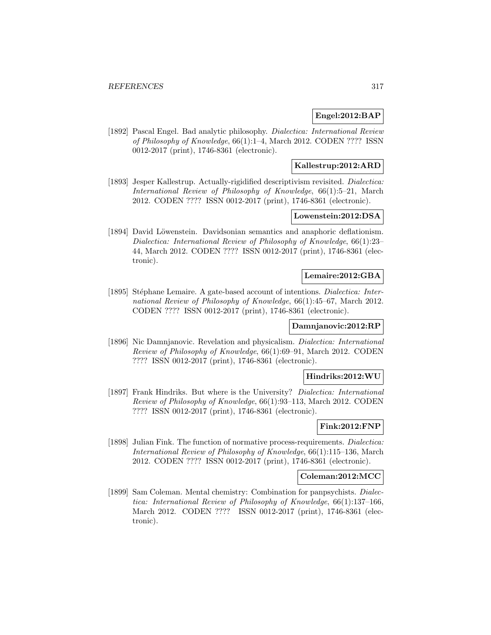## **Engel:2012:BAP**

[1892] Pascal Engel. Bad analytic philosophy. *Dialectica: International Review* of Philosophy of Knowledge, 66(1):1–4, March 2012. CODEN ???? ISSN 0012-2017 (print), 1746-8361 (electronic).

## **Kallestrup:2012:ARD**

[1893] Jesper Kallestrup. Actually-rigidified descriptivism revisited. *Dialectica:* International Review of Philosophy of Knowledge, 66(1):5–21, March 2012. CODEN ???? ISSN 0012-2017 (print), 1746-8361 (electronic).

## **Lowenstein:2012:DSA**

[1894] David Löwenstein. Davidsonian semantics and anaphoric deflationism. Dialectica: International Review of Philosophy of Knowledge, 66(1):23– 44, March 2012. CODEN ???? ISSN 0012-2017 (print), 1746-8361 (electronic).

## **Lemaire:2012:GBA**

[1895] Stéphane Lemaire. A gate-based account of intentions. *Dialectica: Inter*national Review of Philosophy of Knowledge, 66(1):45–67, March 2012. CODEN ???? ISSN 0012-2017 (print), 1746-8361 (electronic).

## **Damnjanovic:2012:RP**

[1896] Nic Damnjanovic. Revelation and physicalism. Dialectica: International Review of Philosophy of Knowledge, 66(1):69–91, March 2012. CODEN ???? ISSN 0012-2017 (print), 1746-8361 (electronic).

## **Hindriks:2012:WU**

[1897] Frank Hindriks. But where is the University? Dialectica: International Review of Philosophy of Knowledge, 66(1):93–113, March 2012. CODEN ???? ISSN 0012-2017 (print), 1746-8361 (electronic).

## **Fink:2012:FNP**

[1898] Julian Fink. The function of normative process-requirements. Dialectica: International Review of Philosophy of Knowledge, 66(1):115–136, March 2012. CODEN ???? ISSN 0012-2017 (print), 1746-8361 (electronic).

### **Coleman:2012:MCC**

[1899] Sam Coleman. Mental chemistry: Combination for panpsychists. Dialectica: International Review of Philosophy of Knowledge, 66(1):137–166, March 2012. CODEN ???? ISSN 0012-2017 (print), 1746-8361 (electronic).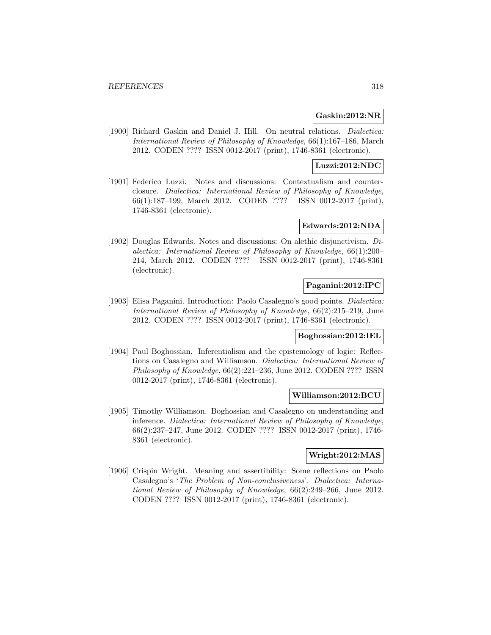## **Gaskin:2012:NR**

[1900] Richard Gaskin and Daniel J. Hill. On neutral relations. *Dialectica:* International Review of Philosophy of Knowledge, 66(1):167–186, March 2012. CODEN ???? ISSN 0012-2017 (print), 1746-8361 (electronic).

## **Luzzi:2012:NDC**

[1901] Federico Luzzi. Notes and discussions: Contextualism and counterclosure. Dialectica: International Review of Philosophy of Knowledge, 66(1):187–199, March 2012. CODEN ???? ISSN 0012-2017 (print), 1746-8361 (electronic).

### **Edwards:2012:NDA**

[1902] Douglas Edwards. Notes and discussions: On alethic disjunctivism. Dialectica: International Review of Philosophy of Knowledge, 66(1):200– 214, March 2012. CODEN ???? ISSN 0012-2017 (print), 1746-8361 (electronic).

## **Paganini:2012:IPC**

[1903] Elisa Paganini. Introduction: Paolo Casalegno's good points. Dialectica: International Review of Philosophy of Knowledge, 66(2):215–219, June 2012. CODEN ???? ISSN 0012-2017 (print), 1746-8361 (electronic).

#### **Boghossian:2012:IEL**

[1904] Paul Boghossian. Inferentialism and the epistemology of logic: Reflections on Casalegno and Williamson. Dialectica: International Review of Philosophy of Knowledge, 66(2):221–236, June 2012. CODEN ???? ISSN 0012-2017 (print), 1746-8361 (electronic).

#### **Williamson:2012:BCU**

[1905] Timothy Williamson. Boghossian and Casalegno on understanding and inference. Dialectica: International Review of Philosophy of Knowledge, 66(2):237–247, June 2012. CODEN ???? ISSN 0012-2017 (print), 1746- 8361 (electronic).

## **Wright:2012:MAS**

[1906] Crispin Wright. Meaning and assertibility: Some reflections on Paolo Casalegno's 'The Problem of Non-conclusiveness'. Dialectica: International Review of Philosophy of Knowledge, 66(2):249–266, June 2012. CODEN ???? ISSN 0012-2017 (print), 1746-8361 (electronic).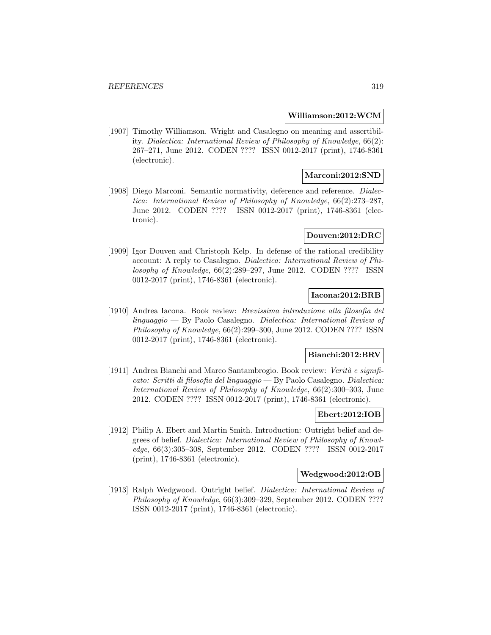#### **Williamson:2012:WCM**

[1907] Timothy Williamson. Wright and Casalegno on meaning and assertibility. Dialectica: International Review of Philosophy of Knowledge, 66(2): 267–271, June 2012. CODEN ???? ISSN 0012-2017 (print), 1746-8361 (electronic).

## **Marconi:2012:SND**

[1908] Diego Marconi. Semantic normativity, deference and reference. *Dialec*tica: International Review of Philosophy of Knowledge, 66(2):273–287, June 2012. CODEN ???? ISSN 0012-2017 (print), 1746-8361 (electronic).

#### **Douven:2012:DRC**

[1909] Igor Douven and Christoph Kelp. In defense of the rational credibility account: A reply to Casalegno. Dialectica: International Review of Philosophy of Knowledge, 66(2):289–297, June 2012. CODEN ???? ISSN 0012-2017 (print), 1746-8361 (electronic).

## **Iacona:2012:BRB**

[1910] Andrea Iacona. Book review: Brevissima introduzione alla filosofia del linguaggio — By Paolo Casalegno. Dialectica: International Review of Philosophy of Knowledge, 66(2):299–300, June 2012. CODEN ???? ISSN 0012-2017 (print), 1746-8361 (electronic).

#### **Bianchi:2012:BRV**

[1911] Andrea Bianchi and Marco Santambrogio. Book review: Verità e significato: Scritti di filosofia del linguaggio — By Paolo Casalegno. Dialectica: International Review of Philosophy of Knowledge, 66(2):300–303, June 2012. CODEN ???? ISSN 0012-2017 (print), 1746-8361 (electronic).

#### **Ebert:2012:IOB**

[1912] Philip A. Ebert and Martin Smith. Introduction: Outright belief and degrees of belief. Dialectica: International Review of Philosophy of Knowledge, 66(3):305–308, September 2012. CODEN ???? ISSN 0012-2017 (print), 1746-8361 (electronic).

### **Wedgwood:2012:OB**

[1913] Ralph Wedgwood. Outright belief. Dialectica: International Review of Philosophy of Knowledge, 66(3):309–329, September 2012. CODEN ???? ISSN 0012-2017 (print), 1746-8361 (electronic).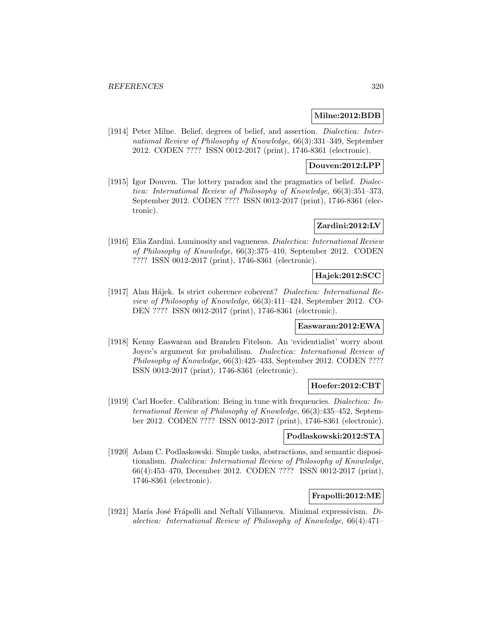## **Milne:2012:BDB**

[1914] Peter Milne. Belief, degrees of belief, and assertion. *Dialectica: Inter*national Review of Philosophy of Knowledge, 66(3):331–349, September 2012. CODEN ???? ISSN 0012-2017 (print), 1746-8361 (electronic).

## **Douven:2012:LPP**

[1915] Igor Douven. The lottery paradox and the pragmatics of belief. *Dialec*tica: International Review of Philosophy of Knowledge, 66(3):351–373, September 2012. CODEN ???? ISSN 0012-2017 (print), 1746-8361 (electronic).

## **Zardini:2012:LV**

[1916] Elia Zardini. Luminosity and vagueness. Dialectica: International Review of Philosophy of Knowledge, 66(3):375–410, September 2012. CODEN ???? ISSN 0012-2017 (print), 1746-8361 (electronic).

## **Hajek:2012:SCC**

[1917] Alan Hájek. Is strict coherence coherent? Dialectica: International Review of Philosophy of Knowledge, 66(3):411–424, September 2012. CO-DEN ???? ISSN 0012-2017 (print), 1746-8361 (electronic).

### **Easwaran:2012:EWA**

[1918] Kenny Easwaran and Branden Fitelson. An 'evidentialist' worry about Joyce's argument for probabilism. Dialectica: International Review of Philosophy of Knowledge, 66(3):425–433, September 2012. CODEN ???? ISSN 0012-2017 (print), 1746-8361 (electronic).

## **Hoefer:2012:CBT**

[1919] Carl Hoefer. Calibration: Being in tune with frequencies. Dialectica: International Review of Philosophy of Knowledge, 66(3):435–452, September 2012. CODEN ???? ISSN 0012-2017 (print), 1746-8361 (electronic).

## **Podlaskowski:2012:STA**

[1920] Adam C. Podlaskowski. Simple tasks, abstractions, and semantic dispositionalism. Dialectica: International Review of Philosophy of Knowledge, 66(4):453–470, December 2012. CODEN ???? ISSN 0012-2017 (print), 1746-8361 (electronic).

## **Frapolli:2012:ME**

[1921] María José Frápolli and Neftalí Villanueva. Minimal expressivism.  $Di$ alectica: International Review of Philosophy of Knowledge, 66(4):471–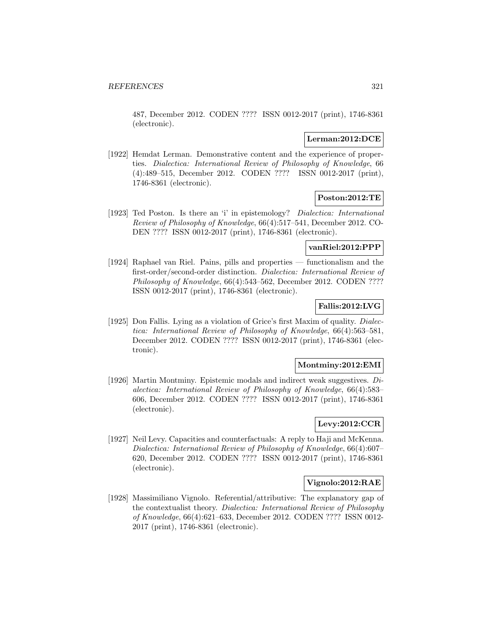487, December 2012. CODEN ???? ISSN 0012-2017 (print), 1746-8361 (electronic).

## **Lerman:2012:DCE**

[1922] Hemdat Lerman. Demonstrative content and the experience of properties. Dialectica: International Review of Philosophy of Knowledge, 66 (4):489–515, December 2012. CODEN ???? ISSN 0012-2017 (print), 1746-8361 (electronic).

## **Poston:2012:TE**

[1923] Ted Poston. Is there an 'i' in epistemology? Dialectica: International Review of Philosophy of Knowledge, 66(4):517–541, December 2012. CO-DEN ???? ISSN 0012-2017 (print), 1746-8361 (electronic).

## **vanRiel:2012:PPP**

[1924] Raphael van Riel. Pains, pills and properties — functionalism and the first-order/second-order distinction. Dialectica: International Review of Philosophy of Knowledge, 66(4):543–562, December 2012. CODEN ???? ISSN 0012-2017 (print), 1746-8361 (electronic).

## **Fallis:2012:LVG**

[1925] Don Fallis. Lying as a violation of Grice's first Maxim of quality. Dialectica: International Review of Philosophy of Knowledge, 66(4):563–581, December 2012. CODEN ???? ISSN 0012-2017 (print), 1746-8361 (electronic).

#### **Montminy:2012:EMI**

[1926] Martin Montminy. Epistemic modals and indirect weak suggestives. Dialectica: International Review of Philosophy of Knowledge, 66(4):583– 606, December 2012. CODEN ???? ISSN 0012-2017 (print), 1746-8361 (electronic).

## **Levy:2012:CCR**

[1927] Neil Levy. Capacities and counterfactuals: A reply to Haji and McKenna. Dialectica: International Review of Philosophy of Knowledge, 66(4):607– 620, December 2012. CODEN ???? ISSN 0012-2017 (print), 1746-8361 (electronic).

## **Vignolo:2012:RAE**

[1928] Massimiliano Vignolo. Referential/attributive: The explanatory gap of the contextualist theory. Dialectica: International Review of Philosophy of Knowledge, 66(4):621–633, December 2012. CODEN ???? ISSN 0012- 2017 (print), 1746-8361 (electronic).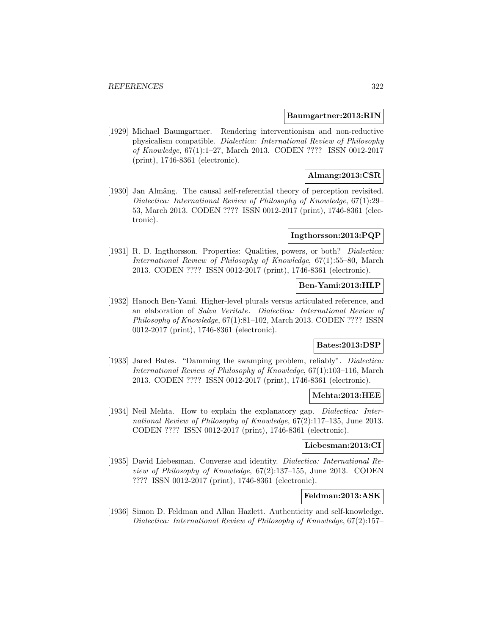#### **Baumgartner:2013:RIN**

[1929] Michael Baumgartner. Rendering interventionism and non-reductive physicalism compatible. Dialectica: International Review of Philosophy of Knowledge, 67(1):1–27, March 2013. CODEN ???? ISSN 0012-2017 (print), 1746-8361 (electronic).

## **Almang:2013:CSR**

[1930] Jan Almäng. The causal self-referential theory of perception revisited. Dialectica: International Review of Philosophy of Knowledge, 67(1):29– 53, March 2013. CODEN ???? ISSN 0012-2017 (print), 1746-8361 (electronic).

#### **Ingthorsson:2013:PQP**

[1931] R. D. Ingthorsson. Properties: Qualities, powers, or both? Dialectica: International Review of Philosophy of Knowledge, 67(1):55–80, March 2013. CODEN ???? ISSN 0012-2017 (print), 1746-8361 (electronic).

### **Ben-Yami:2013:HLP**

[1932] Hanoch Ben-Yami. Higher-level plurals versus articulated reference, and an elaboration of Salva Veritate. Dialectica: International Review of Philosophy of Knowledge, 67(1):81–102, March 2013. CODEN ???? ISSN 0012-2017 (print), 1746-8361 (electronic).

## **Bates:2013:DSP**

[1933] Jared Bates. "Damming the swamping problem, reliably". *Dialectica:* International Review of Philosophy of Knowledge, 67(1):103–116, March 2013. CODEN ???? ISSN 0012-2017 (print), 1746-8361 (electronic).

#### **Mehta:2013:HEE**

[1934] Neil Mehta. How to explain the explanatory gap. *Dialectica: Inter*national Review of Philosophy of Knowledge, 67(2):117–135, June 2013. CODEN ???? ISSN 0012-2017 (print), 1746-8361 (electronic).

#### **Liebesman:2013:CI**

[1935] David Liebesman. Converse and identity. Dialectica: International Review of Philosophy of Knowledge, 67(2):137–155, June 2013. CODEN ???? ISSN 0012-2017 (print), 1746-8361 (electronic).

## **Feldman:2013:ASK**

[1936] Simon D. Feldman and Allan Hazlett. Authenticity and self-knowledge. Dialectica: International Review of Philosophy of Knowledge, 67(2):157–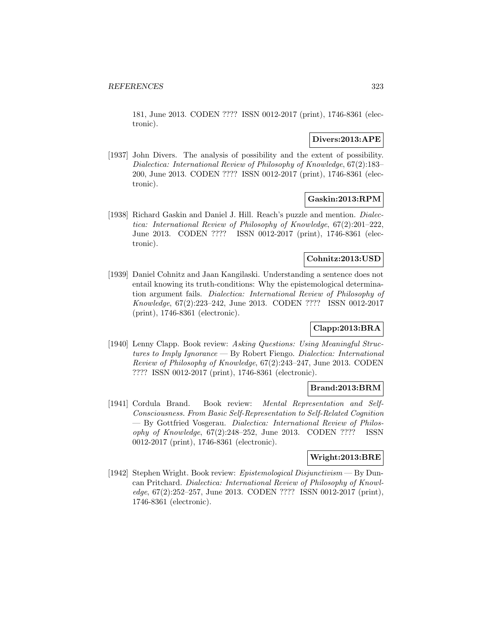181, June 2013. CODEN ???? ISSN 0012-2017 (print), 1746-8361 (electronic).

## **Divers:2013:APE**

[1937] John Divers. The analysis of possibility and the extent of possibility. Dialectica: International Review of Philosophy of Knowledge, 67(2):183– 200, June 2013. CODEN ???? ISSN 0012-2017 (print), 1746-8361 (electronic).

## **Gaskin:2013:RPM**

[1938] Richard Gaskin and Daniel J. Hill. Reach's puzzle and mention. Dialectica: International Review of Philosophy of Knowledge, 67(2):201–222, June 2013. CODEN ???? ISSN 0012-2017 (print), 1746-8361 (electronic).

## **Cohnitz:2013:USD**

[1939] Daniel Cohnitz and Jaan Kangilaski. Understanding a sentence does not entail knowing its truth-conditions: Why the epistemological determination argument fails. Dialectica: International Review of Philosophy of Knowledge, 67(2):223–242, June 2013. CODEN ???? ISSN 0012-2017 (print), 1746-8361 (electronic).

## **Clapp:2013:BRA**

[1940] Lenny Clapp. Book review: Asking Questions: Using Meaningful Structures to Imply Ignorance — By Robert Fiengo. Dialectica: International Review of Philosophy of Knowledge, 67(2):243–247, June 2013. CODEN ???? ISSN 0012-2017 (print), 1746-8361 (electronic).

## **Brand:2013:BRM**

[1941] Cordula Brand. Book review: Mental Representation and Self-Consciousness. From Basic Self-Representation to Self-Related Cognition — By Gottfried Vosgerau. Dialectica: International Review of Philosophy of Knowledge, 67(2):248–252, June 2013. CODEN ???? ISSN 0012-2017 (print), 1746-8361 (electronic).

## **Wright:2013:BRE**

[1942] Stephen Wright. Book review: Epistemological Disjunctivism — By Duncan Pritchard. Dialectica: International Review of Philosophy of Knowledge, 67(2):252–257, June 2013. CODEN ???? ISSN 0012-2017 (print), 1746-8361 (electronic).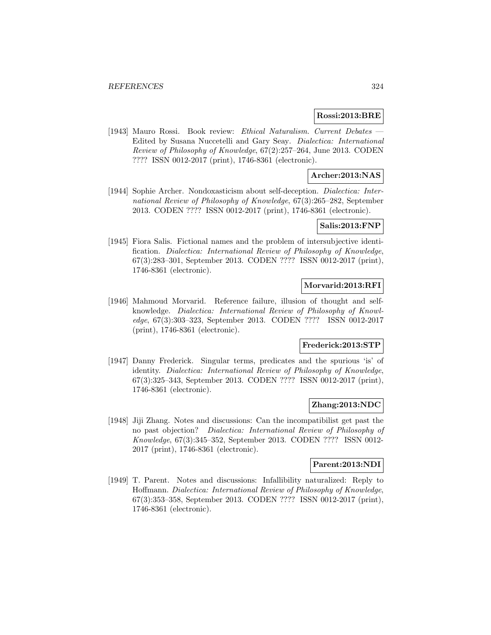### **Rossi:2013:BRE**

[1943] Mauro Rossi. Book review: Ethical Naturalism. Current Debates — Edited by Susana Nuccetelli and Gary Seay. Dialectica: International Review of Philosophy of Knowledge, 67(2):257–264, June 2013. CODEN ???? ISSN 0012-2017 (print), 1746-8361 (electronic).

## **Archer:2013:NAS**

[1944] Sophie Archer. Nondoxasticism about self-deception. Dialectica: International Review of Philosophy of Knowledge, 67(3):265–282, September 2013. CODEN ???? ISSN 0012-2017 (print), 1746-8361 (electronic).

## **Salis:2013:FNP**

[1945] Fiora Salis. Fictional names and the problem of intersubjective identification. Dialectica: International Review of Philosophy of Knowledge, 67(3):283–301, September 2013. CODEN ???? ISSN 0012-2017 (print), 1746-8361 (electronic).

## **Morvarid:2013:RFI**

[1946] Mahmoud Morvarid. Reference failure, illusion of thought and selfknowledge. Dialectica: International Review of Philosophy of Knowledge, 67(3):303–323, September 2013. CODEN ???? ISSN 0012-2017 (print), 1746-8361 (electronic).

## **Frederick:2013:STP**

[1947] Danny Frederick. Singular terms, predicates and the spurious 'is' of identity. Dialectica: International Review of Philosophy of Knowledge, 67(3):325–343, September 2013. CODEN ???? ISSN 0012-2017 (print), 1746-8361 (electronic).

#### **Zhang:2013:NDC**

[1948] Jiji Zhang. Notes and discussions: Can the incompatibilist get past the no past objection? Dialectica: International Review of Philosophy of Knowledge, 67(3):345–352, September 2013. CODEN ???? ISSN 0012- 2017 (print), 1746-8361 (electronic).

#### **Parent:2013:NDI**

[1949] T. Parent. Notes and discussions: Infallibility naturalized: Reply to Hoffmann. Dialectica: International Review of Philosophy of Knowledge, 67(3):353–358, September 2013. CODEN ???? ISSN 0012-2017 (print), 1746-8361 (electronic).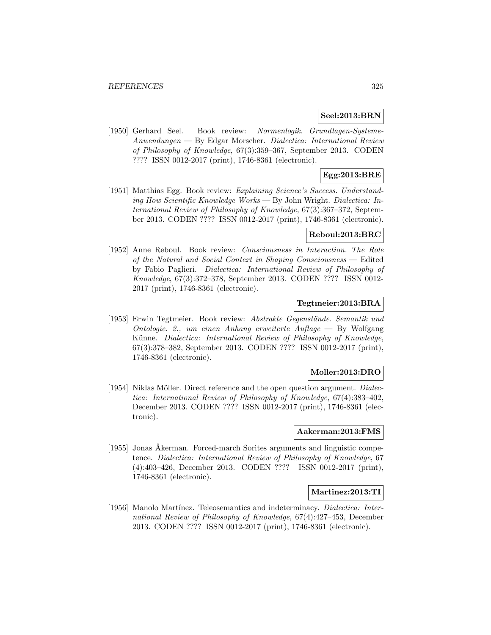### **Seel:2013:BRN**

[1950] Gerhard Seel. Book review: Normenlogik. Grundlagen-Systeme-Anwendungen — By Edgar Morscher. Dialectica: International Review of Philosophy of Knowledge, 67(3):359–367, September 2013. CODEN ???? ISSN 0012-2017 (print), 1746-8361 (electronic).

## **Egg:2013:BRE**

[1951] Matthias Egg. Book review: Explaining Science's Success. Understanding How Scientific Knowledge Works — By John Wright. Dialectica: International Review of Philosophy of Knowledge, 67(3):367–372, September 2013. CODEN ???? ISSN 0012-2017 (print), 1746-8361 (electronic).

#### **Reboul:2013:BRC**

[1952] Anne Reboul. Book review: Consciousness in Interaction. The Role of the Natural and Social Context in Shaping Consciousness — Edited by Fabio Paglieri. Dialectica: International Review of Philosophy of Knowledge, 67(3):372–378, September 2013. CODEN ???? ISSN 0012- 2017 (print), 1746-8361 (electronic).

#### **Tegtmeier:2013:BRA**

[1953] Erwin Tegtmeier. Book review: Abstrakte Gegenstände. Semantik und Ontologie. 2., um einen Anhang erweiterte Auflage — By Wolfgang Künne. Dialectica: International Review of Philosophy of Knowledge, 67(3):378–382, September 2013. CODEN ???? ISSN 0012-2017 (print), 1746-8361 (electronic).

## **Moller:2013:DRO**

[1954] Niklas Möller. Direct reference and the open question argument. *Dialec*tica: International Review of Philosophy of Knowledge, 67(4):383–402, December 2013. CODEN ???? ISSN 0012-2017 (print), 1746-8361 (electronic).

#### **Aakerman:2013:FMS**

[1955] Jonas Åkerman. Forced-march Sorites arguments and linguistic competence. Dialectica: International Review of Philosophy of Knowledge, 67 (4):403–426, December 2013. CODEN ???? ISSN 0012-2017 (print), 1746-8361 (electronic).

### **Martinez:2013:TI**

[1956] Manolo Martínez. Teleosemantics and indeterminacy. *Dialectica: Inter*national Review of Philosophy of Knowledge, 67(4):427–453, December 2013. CODEN ???? ISSN 0012-2017 (print), 1746-8361 (electronic).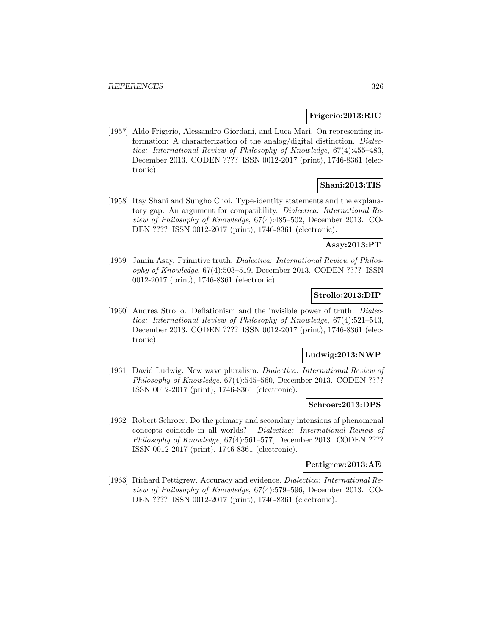#### **Frigerio:2013:RIC**

[1957] Aldo Frigerio, Alessandro Giordani, and Luca Mari. On representing information: A characterization of the analog/digital distinction. Dialectica: International Review of Philosophy of Knowledge, 67(4):455–483, December 2013. CODEN ???? ISSN 0012-2017 (print), 1746-8361 (electronic).

## **Shani:2013:TIS**

[1958] Itay Shani and Sungho Choi. Type-identity statements and the explanatory gap: An argument for compatibility. Dialectica: International Review of Philosophy of Knowledge, 67(4):485–502, December 2013. CO-DEN ???? ISSN 0012-2017 (print), 1746-8361 (electronic).

#### **Asay:2013:PT**

[1959] Jamin Asay. Primitive truth. *Dialectica: International Review of Philos*ophy of Knowledge, 67(4):503–519, December 2013. CODEN ???? ISSN 0012-2017 (print), 1746-8361 (electronic).

# **Strollo:2013:DIP**

[1960] Andrea Strollo. Deflationism and the invisible power of truth. Dialectica: International Review of Philosophy of Knowledge, 67(4):521–543, December 2013. CODEN ???? ISSN 0012-2017 (print), 1746-8361 (electronic).

### **Ludwig:2013:NWP**

[1961] David Ludwig. New wave pluralism. Dialectica: International Review of Philosophy of Knowledge, 67(4):545–560, December 2013. CODEN ???? ISSN 0012-2017 (print), 1746-8361 (electronic).

#### **Schroer:2013:DPS**

[1962] Robert Schroer. Do the primary and secondary intensions of phenomenal concepts coincide in all worlds? Dialectica: International Review of Philosophy of Knowledge, 67(4):561–577, December 2013. CODEN ???? ISSN 0012-2017 (print), 1746-8361 (electronic).

#### **Pettigrew:2013:AE**

[1963] Richard Pettigrew. Accuracy and evidence. Dialectica: International Review of Philosophy of Knowledge, 67(4):579–596, December 2013. CO-DEN ???? ISSN 0012-2017 (print), 1746-8361 (electronic).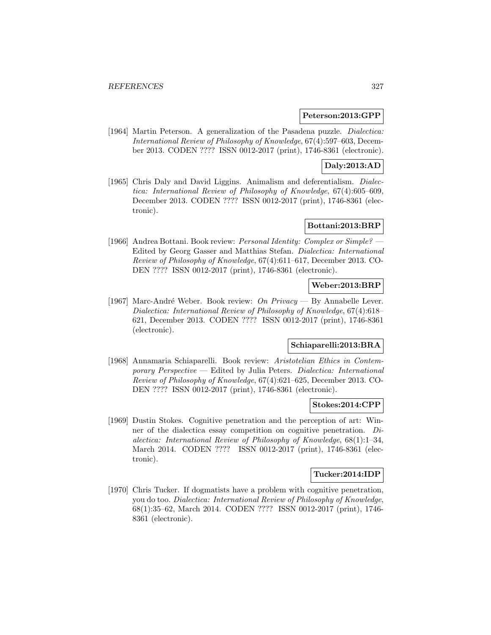#### **Peterson:2013:GPP**

[1964] Martin Peterson. A generalization of the Pasadena puzzle. *Dialectica:* International Review of Philosophy of Knowledge, 67(4):597–603, December 2013. CODEN ???? ISSN 0012-2017 (print), 1746-8361 (electronic).

# **Daly:2013:AD**

[1965] Chris Daly and David Liggins. Animalism and deferentialism. Dialectica: International Review of Philosophy of Knowledge, 67(4):605–609, December 2013. CODEN ???? ISSN 0012-2017 (print), 1746-8361 (electronic).

# **Bottani:2013:BRP**

[1966] Andrea Bottani. Book review: Personal Identity: Complex or Simple? — Edited by Georg Gasser and Matthias Stefan. Dialectica: International Review of Philosophy of Knowledge, 67(4):611–617, December 2013. CO-DEN ???? ISSN 0012-2017 (print), 1746-8361 (electronic).

### **Weber:2013:BRP**

[1967] Marc-André Weber. Book review: On Privacy — By Annabelle Lever. Dialectica: International Review of Philosophy of Knowledge, 67(4):618– 621, December 2013. CODEN ???? ISSN 0012-2017 (print), 1746-8361 (electronic).

# **Schiaparelli:2013:BRA**

[1968] Annamaria Schiaparelli. Book review: Aristotelian Ethics in Contemporary  $Perspective$  — Edited by Julia Peters. Dialectica: International Review of Philosophy of Knowledge, 67(4):621–625, December 2013. CO-DEN ???? ISSN 0012-2017 (print), 1746-8361 (electronic).

#### **Stokes:2014:CPP**

[1969] Dustin Stokes. Cognitive penetration and the perception of art: Winner of the dialectica essay competition on cognitive penetration. Dialectica: International Review of Philosophy of Knowledge, 68(1):1–34, March 2014. CODEN ???? ISSN 0012-2017 (print), 1746-8361 (electronic).

### **Tucker:2014:IDP**

[1970] Chris Tucker. If dogmatists have a problem with cognitive penetration, you do too. Dialectica: International Review of Philosophy of Knowledge, 68(1):35–62, March 2014. CODEN ???? ISSN 0012-2017 (print), 1746- 8361 (electronic).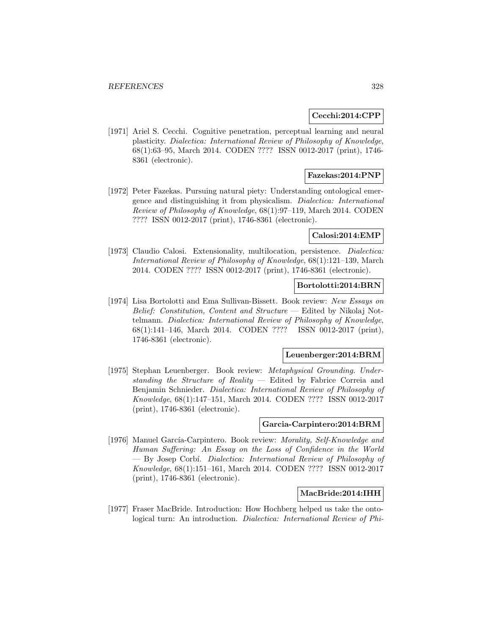#### **Cecchi:2014:CPP**

[1971] Ariel S. Cecchi. Cognitive penetration, perceptual learning and neural plasticity. Dialectica: International Review of Philosophy of Knowledge, 68(1):63–95, March 2014. CODEN ???? ISSN 0012-2017 (print), 1746- 8361 (electronic).

## **Fazekas:2014:PNP**

[1972] Peter Fazekas. Pursuing natural piety: Understanding ontological emergence and distinguishing it from physicalism. Dialectica: International Review of Philosophy of Knowledge, 68(1):97–119, March 2014. CODEN ???? ISSN 0012-2017 (print), 1746-8361 (electronic).

#### **Calosi:2014:EMP**

[1973] Claudio Calosi. Extensionality, multilocation, persistence. *Dialectica:* International Review of Philosophy of Knowledge, 68(1):121–139, March 2014. CODEN ???? ISSN 0012-2017 (print), 1746-8361 (electronic).

#### **Bortolotti:2014:BRN**

[1974] Lisa Bortolotti and Ema Sullivan-Bissett. Book review: New Essays on Belief: Constitution, Content and Structure — Edited by Nikolaj Nottelmann. Dialectica: International Review of Philosophy of Knowledge, 68(1):141–146, March 2014. CODEN ???? ISSN 0012-2017 (print), 1746-8361 (electronic).

#### **Leuenberger:2014:BRM**

[1975] Stephan Leuenberger. Book review: Metaphysical Grounding. Understanding the Structure of Reality  $-$  Edited by Fabrice Correia and Benjamin Schnieder. Dialectica: International Review of Philosophy of Knowledge, 68(1):147–151, March 2014. CODEN ???? ISSN 0012-2017 (print), 1746-8361 (electronic).

#### **Garcia-Carpintero:2014:BRM**

[1976] Manuel García-Carpintero. Book review: *Morality, Self-Knowledge and* Human Suffering: An Essay on the Loss of Confidence in the World — By Josep Corb´ı. Dialectica: International Review of Philosophy of Knowledge, 68(1):151–161, March 2014. CODEN ???? ISSN 0012-2017 (print), 1746-8361 (electronic).

#### **MacBride:2014:IHH**

[1977] Fraser MacBride. Introduction: How Hochberg helped us take the ontological turn: An introduction. *Dialectica: International Review of Phi-*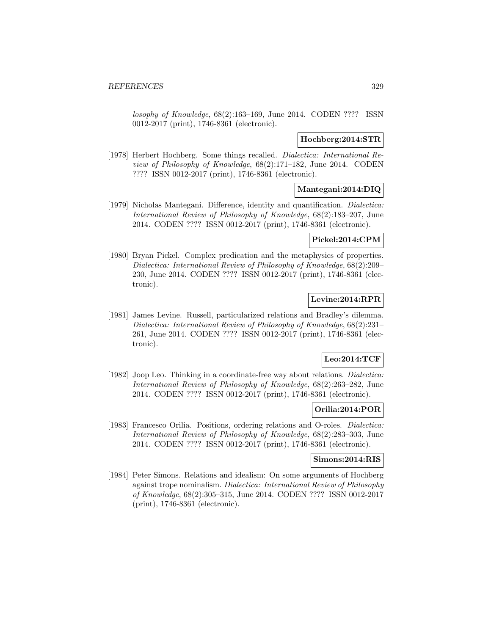losophy of Knowledge, 68(2):163–169, June 2014. CODEN ???? ISSN 0012-2017 (print), 1746-8361 (electronic).

### **Hochberg:2014:STR**

[1978] Herbert Hochberg. Some things recalled. Dialectica: International Review of Philosophy of Knowledge, 68(2):171–182, June 2014. CODEN ???? ISSN 0012-2017 (print), 1746-8361 (electronic).

## **Mantegani:2014:DIQ**

[1979] Nicholas Mantegani. Difference, identity and quantification. Dialectica: International Review of Philosophy of Knowledge, 68(2):183–207, June 2014. CODEN ???? ISSN 0012-2017 (print), 1746-8361 (electronic).

## **Pickel:2014:CPM**

[1980] Bryan Pickel. Complex predication and the metaphysics of properties. Dialectica: International Review of Philosophy of Knowledge, 68(2):209– 230, June 2014. CODEN ???? ISSN 0012-2017 (print), 1746-8361 (electronic).

## **Levine:2014:RPR**

[1981] James Levine. Russell, particularized relations and Bradley's dilemma. Dialectica: International Review of Philosophy of Knowledge, 68(2):231– 261, June 2014. CODEN ???? ISSN 0012-2017 (print), 1746-8361 (electronic).

## **Leo:2014:TCF**

[1982] Joop Leo. Thinking in a coordinate-free way about relations. *Dialectica*: International Review of Philosophy of Knowledge, 68(2):263–282, June 2014. CODEN ???? ISSN 0012-2017 (print), 1746-8361 (electronic).

## **Orilia:2014:POR**

[1983] Francesco Orilia. Positions, ordering relations and O-roles. Dialectica: International Review of Philosophy of Knowledge, 68(2):283–303, June 2014. CODEN ???? ISSN 0012-2017 (print), 1746-8361 (electronic).

#### **Simons:2014:RIS**

[1984] Peter Simons. Relations and idealism: On some arguments of Hochberg against trope nominalism. Dialectica: International Review of Philosophy of Knowledge, 68(2):305–315, June 2014. CODEN ???? ISSN 0012-2017 (print), 1746-8361 (electronic).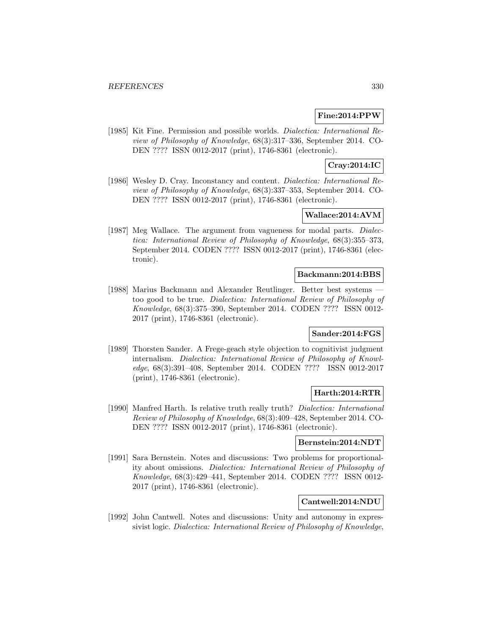## **Fine:2014:PPW**

[1985] Kit Fine. Permission and possible worlds. Dialectica: International Review of Philosophy of Knowledge, 68(3):317–336, September 2014. CO-DEN ???? ISSN 0012-2017 (print), 1746-8361 (electronic).

## **Cray:2014:IC**

[1986] Wesley D. Cray. Inconstancy and content. *Dialectica: International Re*view of Philosophy of Knowledge, 68(3):337–353, September 2014. CO-DEN ???? ISSN 0012-2017 (print), 1746-8361 (electronic).

# **Wallace:2014:AVM**

[1987] Meg Wallace. The argument from vagueness for modal parts. Dialectica: International Review of Philosophy of Knowledge, 68(3):355–373, September 2014. CODEN ???? ISSN 0012-2017 (print), 1746-8361 (electronic).

#### **Backmann:2014:BBS**

[1988] Marius Backmann and Alexander Reutlinger. Better best systems too good to be true. Dialectica: International Review of Philosophy of Knowledge, 68(3):375–390, September 2014. CODEN ???? ISSN 0012- 2017 (print), 1746-8361 (electronic).

## **Sander:2014:FGS**

[1989] Thorsten Sander. A Frege-geach style objection to cognitivist judgment internalism. Dialectica: International Review of Philosophy of Knowledge, 68(3):391–408, September 2014. CODEN ???? ISSN 0012-2017 (print), 1746-8361 (electronic).

### **Harth:2014:RTR**

[1990] Manfred Harth. Is relative truth really truth? Dialectica: International Review of Philosophy of Knowledge, 68(3):409–428, September 2014. CO-DEN ???? ISSN 0012-2017 (print), 1746-8361 (electronic).

#### **Bernstein:2014:NDT**

[1991] Sara Bernstein. Notes and discussions: Two problems for proportionality about omissions. Dialectica: International Review of Philosophy of Knowledge, 68(3):429–441, September 2014. CODEN ???? ISSN 0012- 2017 (print), 1746-8361 (electronic).

## **Cantwell:2014:NDU**

[1992] John Cantwell. Notes and discussions: Unity and autonomy in expressivist logic. Dialectica: International Review of Philosophy of Knowledge,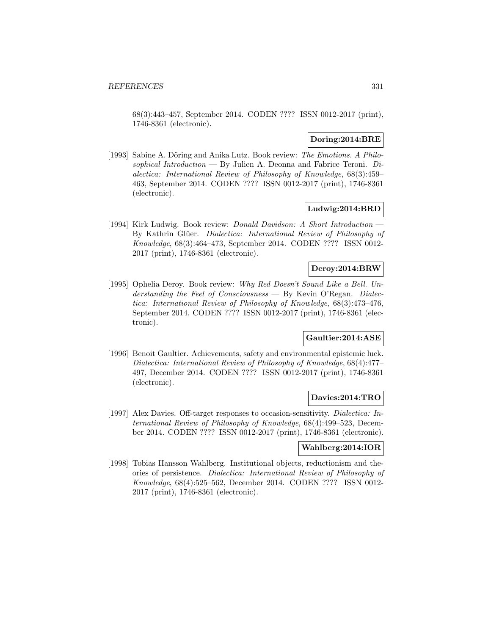68(3):443–457, September 2014. CODEN ???? ISSN 0012-2017 (print), 1746-8361 (electronic).

## **Doring:2014:BRE**

[1993] Sabine A. Döring and Anika Lutz. Book review: The Emotions. A Philosophical Introduction — By Julien A. Deonna and Fabrice Teroni.  $Di$ alectica: International Review of Philosophy of Knowledge, 68(3):459– 463, September 2014. CODEN ???? ISSN 0012-2017 (print), 1746-8361 (electronic).

### **Ludwig:2014:BRD**

[1994] Kirk Ludwig. Book review: Donald Davidson: A Short Introduction — By Kathrin Glüer. Dialectica: International Review of Philosophy of Knowledge, 68(3):464–473, September 2014. CODEN ???? ISSN 0012- 2017 (print), 1746-8361 (electronic).

### **Deroy:2014:BRW**

[1995] Ophelia Deroy. Book review: Why Red Doesn't Sound Like a Bell. Understanding the Feel of Consciousness — By Kevin O'Regan. Dialectica: International Review of Philosophy of Knowledge, 68(3):473–476, September 2014. CODEN ???? ISSN 0012-2017 (print), 1746-8361 (electronic).

### **Gaultier:2014:ASE**

[1996] Benoit Gaultier. Achievements, safety and environmental epistemic luck. Dialectica: International Review of Philosophy of Knowledge, 68(4):477– 497, December 2014. CODEN ???? ISSN 0012-2017 (print), 1746-8361 (electronic).

## **Davies:2014:TRO**

[1997] Alex Davies. Off-target responses to occasion-sensitivity. Dialectica: International Review of Philosophy of Knowledge, 68(4):499–523, December 2014. CODEN ???? ISSN 0012-2017 (print), 1746-8361 (electronic).

#### **Wahlberg:2014:IOR**

[1998] Tobias Hansson Wahlberg. Institutional objects, reductionism and theories of persistence. Dialectica: International Review of Philosophy of Knowledge, 68(4):525–562, December 2014. CODEN ???? ISSN 0012- 2017 (print), 1746-8361 (electronic).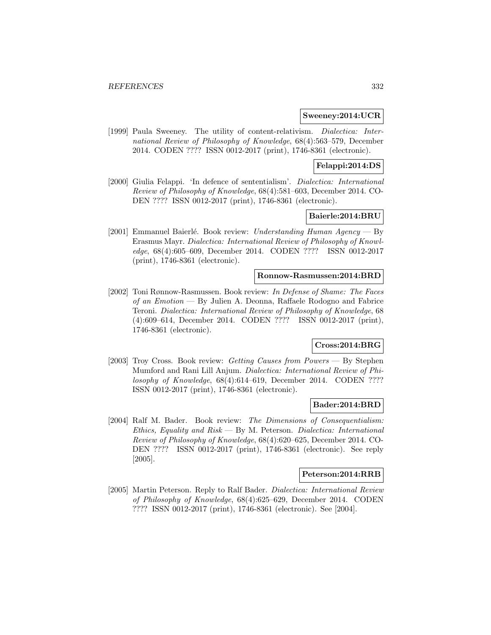#### **Sweeney:2014:UCR**

[1999] Paula Sweeney. The utility of content-relativism. Dialectica: International Review of Philosophy of Knowledge, 68(4):563–579, December 2014. CODEN ???? ISSN 0012-2017 (print), 1746-8361 (electronic).

## **Felappi:2014:DS**

[2000] Giulia Felappi. 'In defence of sententialism'. Dialectica: International Review of Philosophy of Knowledge, 68(4):581–603, December 2014. CO-DEN ???? ISSN 0012-2017 (print), 1746-8361 (electronic).

### **Baierle:2014:BRU**

[2001] Emmanuel Baierlé. Book review: Understanding Human Agency — By Erasmus Mayr. Dialectica: International Review of Philosophy of Knowledge, 68(4):605–609, December 2014. CODEN ???? ISSN 0012-2017 (print), 1746-8361 (electronic).

#### **Ronnow-Rasmussen:2014:BRD**

[2002] Toni Rønnow-Rasmussen. Book review: In Defense of Shame: The Faces of an Emotion — By Julien A. Deonna, Raffaele Rodogno and Fabrice Teroni. Dialectica: International Review of Philosophy of Knowledge, 68 (4):609–614, December 2014. CODEN ???? ISSN 0012-2017 (print), 1746-8361 (electronic).

# **Cross:2014:BRG**

[2003] Troy Cross. Book review: Getting Causes from Powers — By Stephen Mumford and Rani Lill Anjum. Dialectica: International Review of Philosophy of Knowledge, 68(4):614–619, December 2014. CODEN ???? ISSN 0012-2017 (print), 1746-8361 (electronic).

### **Bader:2014:BRD**

[2004] Ralf M. Bader. Book review: The Dimensions of Consequentialism: Ethics, Equality and Risk — By M. Peterson. Dialectica: International Review of Philosophy of Knowledge, 68(4):620–625, December 2014. CO-DEN ???? ISSN 0012-2017 (print), 1746-8361 (electronic). See reply [2005].

#### **Peterson:2014:RRB**

[2005] Martin Peterson. Reply to Ralf Bader. Dialectica: International Review of Philosophy of Knowledge, 68(4):625–629, December 2014. CODEN ???? ISSN 0012-2017 (print), 1746-8361 (electronic). See [2004].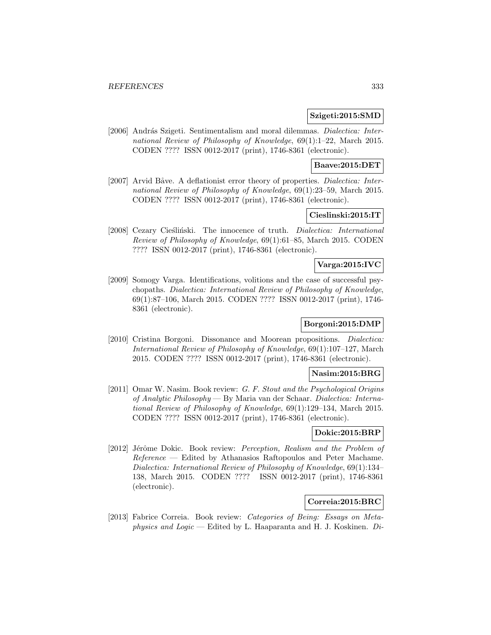#### **Szigeti:2015:SMD**

[2006] András Szigeti. Sentimentalism and moral dilemmas. *Dialectica: Inter*national Review of Philosophy of Knowledge, 69(1):1–22, March 2015. CODEN ???? ISSN 0012-2017 (print), 1746-8361 (electronic).

### **Baave:2015:DET**

[2007] Arvid Båve. A deflationist error theory of properties. Dialectica: International Review of Philosophy of Knowledge, 69(1):23–59, March 2015. CODEN ???? ISSN 0012-2017 (print), 1746-8361 (electronic).

# **Cieslinski:2015:IT**

[2008] Cezary Cieśliński. The innocence of truth. *Dialectica: International* Review of Philosophy of Knowledge, 69(1):61–85, March 2015. CODEN ???? ISSN 0012-2017 (print), 1746-8361 (electronic).

# **Varga:2015:IVC**

[2009] Somogy Varga. Identifications, volitions and the case of successful psychopaths. Dialectica: International Review of Philosophy of Knowledge, 69(1):87–106, March 2015. CODEN ???? ISSN 0012-2017 (print), 1746- 8361 (electronic).

## **Borgoni:2015:DMP**

[2010] Cristina Borgoni. Dissonance and Moorean propositions. Dialectica: International Review of Philosophy of Knowledge, 69(1):107–127, March 2015. CODEN ???? ISSN 0012-2017 (print), 1746-8361 (electronic).

#### **Nasim:2015:BRG**

[2011] Omar W. Nasim. Book review: G. F. Stout and the Psychological Origins of Analytic Philosophy — By Maria van der Schaar. Dialectica: International Review of Philosophy of Knowledge, 69(1):129–134, March 2015. CODEN ???? ISSN 0012-2017 (print), 1746-8361 (electronic).

### **Dokic:2015:BRP**

[2012] Jérôme Dokic. Book review: Perception, Realism and the Problem of Reference — Edited by Athanasios Raftopoulos and Peter Machame. Dialectica: International Review of Philosophy of Knowledge, 69(1):134– 138, March 2015. CODEN ???? ISSN 0012-2017 (print), 1746-8361 (electronic).

## **Correia:2015:BRC**

[2013] Fabrice Correia. Book review: Categories of Being: Essays on Metaphysics and Logic — Edited by L. Haaparanta and H. J. Koskinen.  $Di$ -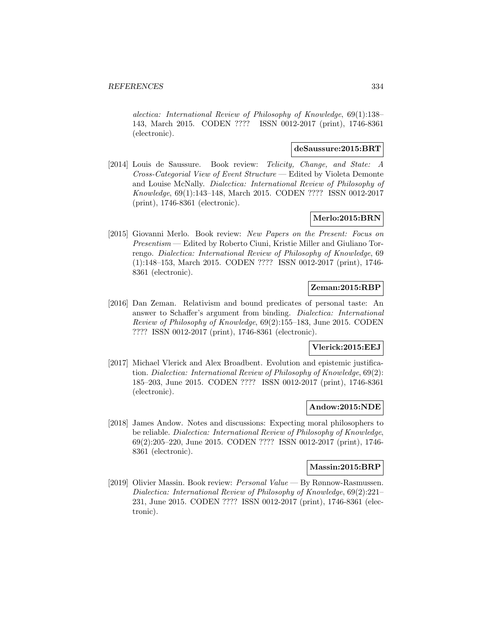alectica: International Review of Philosophy of Knowledge, 69(1):138– 143, March 2015. CODEN ???? ISSN 0012-2017 (print), 1746-8361 (electronic).

# **deSaussure:2015:BRT**

[2014] Louis de Saussure. Book review: Telicity, Change, and State: A Cross-Categorial View of Event Structure — Edited by Violeta Demonte and Louise McNally. Dialectica: International Review of Philosophy of Knowledge, 69(1):143–148, March 2015. CODEN ???? ISSN 0012-2017 (print), 1746-8361 (electronic).

## **Merlo:2015:BRN**

[2015] Giovanni Merlo. Book review: New Papers on the Present: Focus on Presentism — Edited by Roberto Ciuni, Kristie Miller and Giuliano Torrengo. Dialectica: International Review of Philosophy of Knowledge, 69 (1):148–153, March 2015. CODEN ???? ISSN 0012-2017 (print), 1746- 8361 (electronic).

## **Zeman:2015:RBP**

[2016] Dan Zeman. Relativism and bound predicates of personal taste: An answer to Schaffer's argument from binding. Dialectica: International Review of Philosophy of Knowledge, 69(2):155–183, June 2015. CODEN ???? ISSN 0012-2017 (print), 1746-8361 (electronic).

## **Vlerick:2015:EEJ**

[2017] Michael Vlerick and Alex Broadbent. Evolution and epistemic justification. Dialectica: International Review of Philosophy of Knowledge, 69(2): 185–203, June 2015. CODEN ???? ISSN 0012-2017 (print), 1746-8361 (electronic).

#### **Andow:2015:NDE**

[2018] James Andow. Notes and discussions: Expecting moral philosophers to be reliable. Dialectica: International Review of Philosophy of Knowledge, 69(2):205–220, June 2015. CODEN ???? ISSN 0012-2017 (print), 1746- 8361 (electronic).

#### **Massin:2015:BRP**

[2019] Olivier Massin. Book review: Personal Value — By Rønnow-Rasmussen. Dialectica: International Review of Philosophy of Knowledge, 69(2):221– 231, June 2015. CODEN ???? ISSN 0012-2017 (print), 1746-8361 (electronic).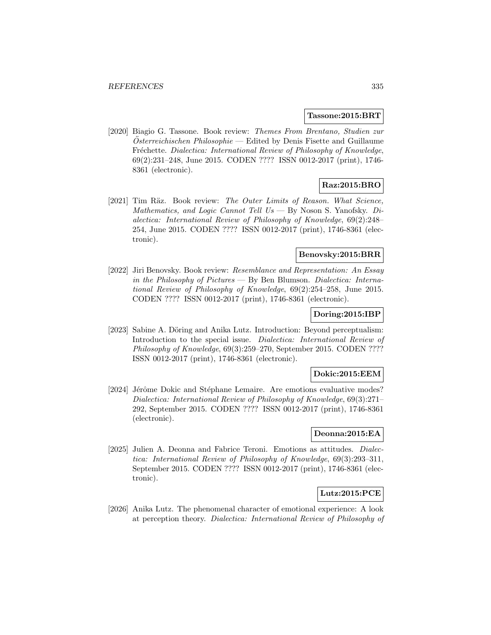#### **Tassone:2015:BRT**

[2020] Biagio G. Tassone. Book review: Themes From Brentano, Studien zur  $Osterreichischen Philosophie — Edited by Denis Fisette and Guillaume$ Fréchette. Dialectica: International Review of Philosophy of Knowledge, 69(2):231–248, June 2015. CODEN ???? ISSN 0012-2017 (print), 1746- 8361 (electronic).

# **Raz:2015:BRO**

[2021] Tim Räz. Book review: The Outer Limits of Reason. What Science, Mathematics, and Logic Cannot Tell  $Us$   $\rightarrow$  By Noson S. Yanofsky. Dialectica: International Review of Philosophy of Knowledge, 69(2):248– 254, June 2015. CODEN ???? ISSN 0012-2017 (print), 1746-8361 (electronic).

## **Benovsky:2015:BRR**

[2022] Jiri Benovsky. Book review: Resemblance and Representation: An Essay in the Philosophy of Pictures — By Ben Blumson. Dialectica: International Review of Philosophy of Knowledge, 69(2):254–258, June 2015. CODEN ???? ISSN 0012-2017 (print), 1746-8361 (electronic).

#### **Doring:2015:IBP**

[2023] Sabine A. Döring and Anika Lutz. Introduction: Beyond perceptualism: Introduction to the special issue. Dialectica: International Review of Philosophy of Knowledge, 69(3):259–270, September 2015. CODEN ???? ISSN 0012-2017 (print), 1746-8361 (electronic).

### **Dokic:2015:EEM**

[2024] Jérôme Dokic and Stéphane Lemaire. Are emotions evaluative modes? Dialectica: International Review of Philosophy of Knowledge, 69(3):271– 292, September 2015. CODEN ???? ISSN 0012-2017 (print), 1746-8361 (electronic).

#### **Deonna:2015:EA**

[2025] Julien A. Deonna and Fabrice Teroni. Emotions as attitudes. Dialectica: International Review of Philosophy of Knowledge, 69(3):293–311, September 2015. CODEN ???? ISSN 0012-2017 (print), 1746-8361 (electronic).

## **Lutz:2015:PCE**

[2026] Anika Lutz. The phenomenal character of emotional experience: A look at perception theory. Dialectica: International Review of Philosophy of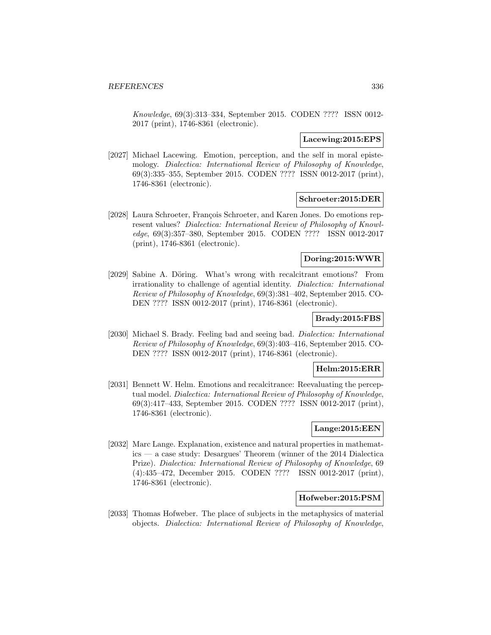Knowledge, 69(3):313–334, September 2015. CODEN ???? ISSN 0012- 2017 (print), 1746-8361 (electronic).

#### **Lacewing:2015:EPS**

[2027] Michael Lacewing. Emotion, perception, and the self in moral epistemology. Dialectica: International Review of Philosophy of Knowledge, 69(3):335–355, September 2015. CODEN ???? ISSN 0012-2017 (print), 1746-8361 (electronic).

#### **Schroeter:2015:DER**

[2028] Laura Schroeter, François Schroeter, and Karen Jones. Do emotions represent values? Dialectica: International Review of Philosophy of Knowledge, 69(3):357–380, September 2015. CODEN ???? ISSN 0012-2017 (print), 1746-8361 (electronic).

#### **Doring:2015:WWR**

[2029] Sabine A. Döring. What's wrong with recalcitrant emotions? From irrationality to challenge of agential identity. Dialectica: International Review of Philosophy of Knowledge, 69(3):381–402, September 2015. CO-DEN ???? ISSN 0012-2017 (print), 1746-8361 (electronic).

## **Brady:2015:FBS**

[2030] Michael S. Brady. Feeling bad and seeing bad. Dialectica: International Review of Philosophy of Knowledge, 69(3):403–416, September 2015. CO-DEN ???? ISSN 0012-2017 (print), 1746-8361 (electronic).

### **Helm:2015:ERR**

[2031] Bennett W. Helm. Emotions and recalcitrance: Reevaluating the perceptual model. Dialectica: International Review of Philosophy of Knowledge, 69(3):417–433, September 2015. CODEN ???? ISSN 0012-2017 (print), 1746-8361 (electronic).

### **Lange:2015:EEN**

[2032] Marc Lange. Explanation, existence and natural properties in mathematics — a case study: Desargues' Theorem (winner of the 2014 Dialectica Prize). Dialectica: International Review of Philosophy of Knowledge, 69 (4):435–472, December 2015. CODEN ???? ISSN 0012-2017 (print), 1746-8361 (electronic).

### **Hofweber:2015:PSM**

[2033] Thomas Hofweber. The place of subjects in the metaphysics of material objects. Dialectica: International Review of Philosophy of Knowledge,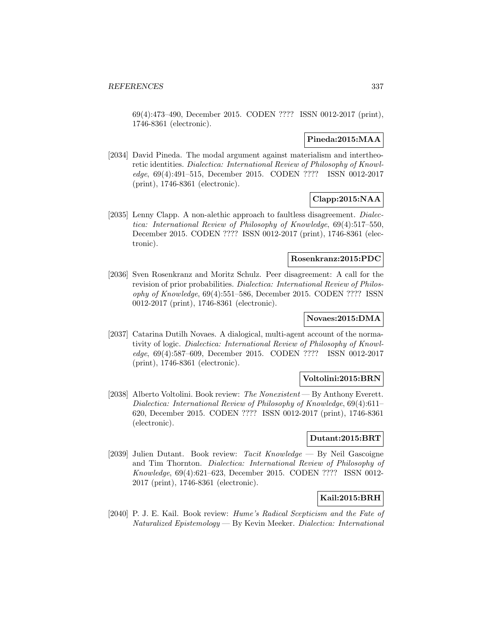69(4):473–490, December 2015. CODEN ???? ISSN 0012-2017 (print), 1746-8361 (electronic).

### **Pineda:2015:MAA**

[2034] David Pineda. The modal argument against materialism and intertheoretic identities. Dialectica: International Review of Philosophy of Knowledge, 69(4):491–515, December 2015. CODEN ???? ISSN 0012-2017 (print), 1746-8361 (electronic).

# **Clapp:2015:NAA**

[2035] Lenny Clapp. A non-alethic approach to faultless disagreement. Dialectica: International Review of Philosophy of Knowledge, 69(4):517–550, December 2015. CODEN ???? ISSN 0012-2017 (print), 1746-8361 (electronic).

#### **Rosenkranz:2015:PDC**

[2036] Sven Rosenkranz and Moritz Schulz. Peer disagreement: A call for the revision of prior probabilities. Dialectica: International Review of Philosophy of Knowledge, 69(4):551–586, December 2015. CODEN ???? ISSN 0012-2017 (print), 1746-8361 (electronic).

# **Novaes:2015:DMA**

[2037] Catarina Dutilh Novaes. A dialogical, multi-agent account of the normativity of logic. Dialectica: International Review of Philosophy of Knowledge, 69(4):587–609, December 2015. CODEN ???? ISSN 0012-2017 (print), 1746-8361 (electronic).

### **Voltolini:2015:BRN**

[2038] Alberto Voltolini. Book review: The Nonexistent — By Anthony Everett. Dialectica: International Review of Philosophy of Knowledge, 69(4):611– 620, December 2015. CODEN ???? ISSN 0012-2017 (print), 1746-8361 (electronic).

## **Dutant:2015:BRT**

[2039] Julien Dutant. Book review: Tacit Knowledge — By Neil Gascoigne and Tim Thornton. Dialectica: International Review of Philosophy of Knowledge, 69(4):621–623, December 2015. CODEN ???? ISSN 0012- 2017 (print), 1746-8361 (electronic).

## **Kail:2015:BRH**

[2040] P. J. E. Kail. Book review: Hume's Radical Scepticism and the Fate of Naturalized Epistemology — By Kevin Meeker. Dialectica: International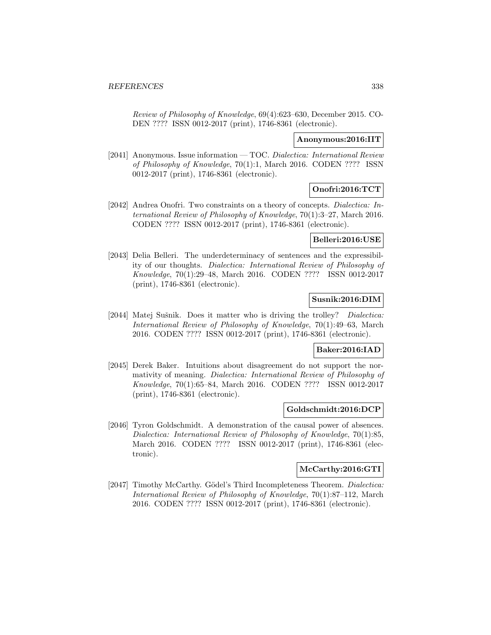Review of Philosophy of Knowledge, 69(4):623–630, December 2015. CO-DEN ???? ISSN 0012-2017 (print), 1746-8361 (electronic).

#### **Anonymous:2016:IIT**

[2041] Anonymous. Issue information — TOC. Dialectica: International Review of Philosophy of Knowledge, 70(1):1, March 2016. CODEN ???? ISSN 0012-2017 (print), 1746-8361 (electronic).

# **Onofri:2016:TCT**

[2042] Andrea Onofri. Two constraints on a theory of concepts. Dialectica: International Review of Philosophy of Knowledge, 70(1):3–27, March 2016. CODEN ???? ISSN 0012-2017 (print), 1746-8361 (electronic).

## **Belleri:2016:USE**

[2043] Delia Belleri. The underdeterminacy of sentences and the expressibility of our thoughts. Dialectica: International Review of Philosophy of Knowledge, 70(1):29–48, March 2016. CODEN ???? ISSN 0012-2017 (print), 1746-8361 (electronic).

## **Susnik:2016:DIM**

[2044] Matej Sušnik. Does it matter who is driving the trolley? *Dialectica:* International Review of Philosophy of Knowledge, 70(1):49–63, March 2016. CODEN ???? ISSN 0012-2017 (print), 1746-8361 (electronic).

### **Baker:2016:IAD**

[2045] Derek Baker. Intuitions about disagreement do not support the normativity of meaning. Dialectica: International Review of Philosophy of Knowledge, 70(1):65–84, March 2016. CODEN ???? ISSN 0012-2017 (print), 1746-8361 (electronic).

### **Goldschmidt:2016:DCP**

[2046] Tyron Goldschmidt. A demonstration of the causal power of absences. Dialectica: International Review of Philosophy of Knowledge, 70(1):85, March 2016. CODEN ???? ISSN 0012-2017 (print), 1746-8361 (electronic).

### **McCarthy:2016:GTI**

[2047] Timothy McCarthy. Gödel's Third Incompleteness Theorem. Dialectica: International Review of Philosophy of Knowledge, 70(1):87–112, March 2016. CODEN ???? ISSN 0012-2017 (print), 1746-8361 (electronic).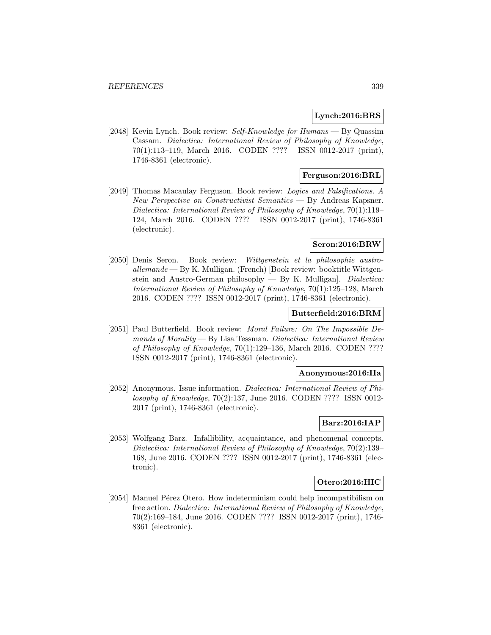### **Lynch:2016:BRS**

[2048] Kevin Lynch. Book review: Self-Knowledge for Humans — By Quassim Cassam. Dialectica: International Review of Philosophy of Knowledge, 70(1):113–119, March 2016. CODEN ???? ISSN 0012-2017 (print), 1746-8361 (electronic).

## **Ferguson:2016:BRL**

[2049] Thomas Macaulay Ferguson. Book review: Logics and Falsifications. A New Perspective on Constructivist Semantics — By Andreas Kapsner. Dialectica: International Review of Philosophy of Knowledge, 70(1):119– 124, March 2016. CODEN ???? ISSN 0012-2017 (print), 1746-8361 (electronic).

#### **Seron:2016:BRW**

[2050] Denis Seron. Book review: Wittgenstein et la philosophie austro- $\alpha$ llemande — By K. Mulligan. (French) [Book review: booktitle Wittgenstein and Austro-German philosophy — By K. Mulligan]. Dialectica: International Review of Philosophy of Knowledge, 70(1):125–128, March 2016. CODEN ???? ISSN 0012-2017 (print), 1746-8361 (electronic).

#### **Butterfield:2016:BRM**

[2051] Paul Butterfield. Book review: Moral Failure: On The Impossible De $mands of Morality$   $\rightarrow$  By Lisa Tessman. Dialectica: International Review of Philosophy of Knowledge, 70(1):129–136, March 2016. CODEN ???? ISSN 0012-2017 (print), 1746-8361 (electronic).

### **Anonymous:2016:IIa**

[2052] Anonymous. Issue information. Dialectica: International Review of Philosophy of Knowledge, 70(2):137, June 2016. CODEN ???? ISSN 0012- 2017 (print), 1746-8361 (electronic).

## **Barz:2016:IAP**

[2053] Wolfgang Barz. Infallibility, acquaintance, and phenomenal concepts. Dialectica: International Review of Philosophy of Knowledge, 70(2):139– 168, June 2016. CODEN ???? ISSN 0012-2017 (print), 1746-8361 (electronic).

### **Otero:2016:HIC**

[2054] Manuel Pérez Otero. How indeterminism could help incompatibilism on free action. Dialectica: International Review of Philosophy of Knowledge, 70(2):169–184, June 2016. CODEN ???? ISSN 0012-2017 (print), 1746- 8361 (electronic).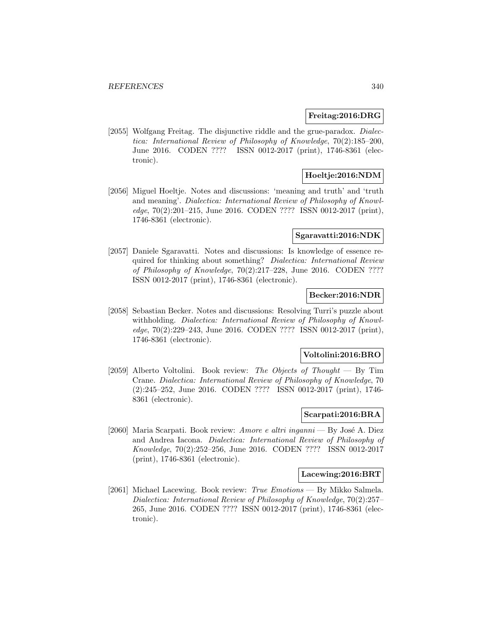#### **Freitag:2016:DRG**

[2055] Wolfgang Freitag. The disjunctive riddle and the grue-paradox. *Dialec*tica: International Review of Philosophy of Knowledge, 70(2):185–200, June 2016. CODEN ???? ISSN 0012-2017 (print), 1746-8361 (electronic).

# **Hoeltje:2016:NDM**

[2056] Miguel Hoeltje. Notes and discussions: 'meaning and truth' and 'truth and meaning'. Dialectica: International Review of Philosophy of Knowledge, 70(2):201–215, June 2016. CODEN ???? ISSN 0012-2017 (print), 1746-8361 (electronic).

#### **Sgaravatti:2016:NDK**

[2057] Daniele Sgaravatti. Notes and discussions: Is knowledge of essence required for thinking about something? Dialectica: International Review of Philosophy of Knowledge, 70(2):217–228, June 2016. CODEN ???? ISSN 0012-2017 (print), 1746-8361 (electronic).

### **Becker:2016:NDR**

[2058] Sebastian Becker. Notes and discussions: Resolving Turri's puzzle about withholding. Dialectica: International Review of Philosophy of Knowledge, 70(2):229–243, June 2016. CODEN ???? ISSN 0012-2017 (print), 1746-8361 (electronic).

### **Voltolini:2016:BRO**

[2059] Alberto Voltolini. Book review: The Objects of Thought  $-$  By Tim Crane. Dialectica: International Review of Philosophy of Knowledge, 70 (2):245–252, June 2016. CODEN ???? ISSN 0012-2017 (print), 1746- 8361 (electronic).

### **Scarpati:2016:BRA**

[2060] Maria Scarpati. Book review: Amore e altri inganni — By José A. Diez and Andrea Iacona. Dialectica: International Review of Philosophy of Knowledge, 70(2):252–256, June 2016. CODEN ???? ISSN 0012-2017 (print), 1746-8361 (electronic).

### **Lacewing:2016:BRT**

[2061] Michael Lacewing. Book review: True Emotions — By Mikko Salmela. Dialectica: International Review of Philosophy of Knowledge, 70(2):257– 265, June 2016. CODEN ???? ISSN 0012-2017 (print), 1746-8361 (electronic).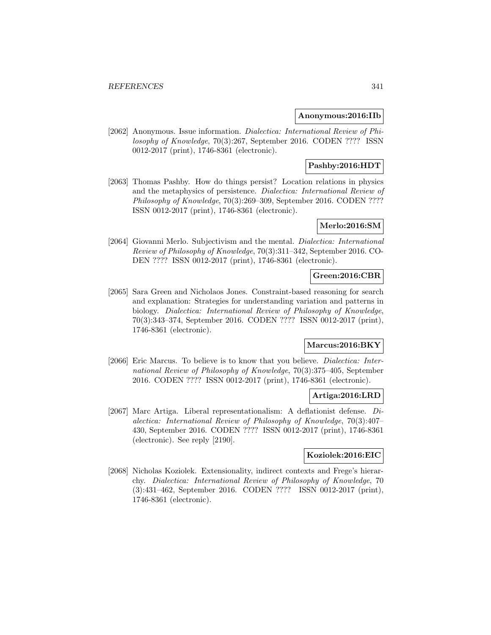### **Anonymous:2016:IIb**

[2062] Anonymous. Issue information. Dialectica: International Review of Philosophy of Knowledge, 70(3):267, September 2016. CODEN ???? ISSN 0012-2017 (print), 1746-8361 (electronic).

## **Pashby:2016:HDT**

[2063] Thomas Pashby. How do things persist? Location relations in physics and the metaphysics of persistence. Dialectica: International Review of Philosophy of Knowledge, 70(3):269–309, September 2016. CODEN ???? ISSN 0012-2017 (print), 1746-8361 (electronic).

### **Merlo:2016:SM**

[2064] Giovanni Merlo. Subjectivism and the mental. Dialectica: International Review of Philosophy of Knowledge, 70(3):311–342, September 2016. CO-DEN ???? ISSN 0012-2017 (print), 1746-8361 (electronic).

## **Green:2016:CBR**

[2065] Sara Green and Nicholaos Jones. Constraint-based reasoning for search and explanation: Strategies for understanding variation and patterns in biology. Dialectica: International Review of Philosophy of Knowledge, 70(3):343–374, September 2016. CODEN ???? ISSN 0012-2017 (print), 1746-8361 (electronic).

# **Marcus:2016:BKY**

[2066] Eric Marcus. To believe is to know that you believe. *Dialectica: Inter*national Review of Philosophy of Knowledge, 70(3):375–405, September 2016. CODEN ???? ISSN 0012-2017 (print), 1746-8361 (electronic).

### **Artiga:2016:LRD**

[2067] Marc Artiga. Liberal representationalism: A deflationist defense. Dialectica: International Review of Philosophy of Knowledge, 70(3):407– 430, September 2016. CODEN ???? ISSN 0012-2017 (print), 1746-8361 (electronic). See reply [2190].

#### **Koziolek:2016:EIC**

[2068] Nicholas Koziolek. Extensionality, indirect contexts and Frege's hierarchy. Dialectica: International Review of Philosophy of Knowledge, 70 (3):431–462, September 2016. CODEN ???? ISSN 0012-2017 (print), 1746-8361 (electronic).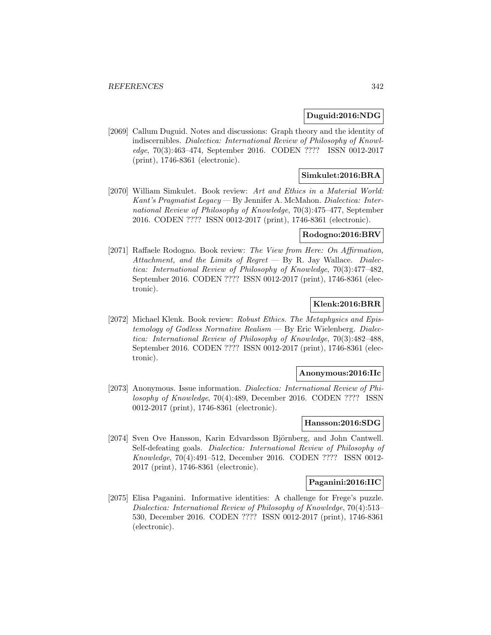### **Duguid:2016:NDG**

[2069] Callum Duguid. Notes and discussions: Graph theory and the identity of indiscernibles. Dialectica: International Review of Philosophy of Knowledge, 70(3):463–474, September 2016. CODEN ???? ISSN 0012-2017 (print), 1746-8361 (electronic).

## **Simkulet:2016:BRA**

[2070] William Simkulet. Book review: Art and Ethics in a Material World: Kant's Pragmatist Legacy — By Jennifer A. McMahon. Dialectica: International Review of Philosophy of Knowledge, 70(3):475–477, September 2016. CODEN ???? ISSN 0012-2017 (print), 1746-8361 (electronic).

#### **Rodogno:2016:BRV**

[2071] Raffaele Rodogno. Book review: The View from Here: On Affirmation, Attachment, and the Limits of Regret  $-$  By R. Jay Wallace. Dialectica: International Review of Philosophy of Knowledge, 70(3):477–482, September 2016. CODEN ???? ISSN 0012-2017 (print), 1746-8361 (electronic).

## **Klenk:2016:BRR**

[2072] Michael Klenk. Book review: Robust Ethics. The Metaphysics and Epistemology of Godless Normative Realism — By Eric Wielenberg. Dialectica: International Review of Philosophy of Knowledge, 70(3):482–488, September 2016. CODEN ???? ISSN 0012-2017 (print), 1746-8361 (electronic).

#### **Anonymous:2016:IIc**

[2073] Anonymous. Issue information. *Dialectica: International Review of Phi*losophy of Knowledge, 70(4):489, December 2016. CODEN ???? ISSN 0012-2017 (print), 1746-8361 (electronic).

## **Hansson:2016:SDG**

[2074] Sven Ove Hansson, Karin Edvardsson Björnberg, and John Cantwell. Self-defeating goals. Dialectica: International Review of Philosophy of Knowledge, 70(4):491–512, December 2016. CODEN ???? ISSN 0012- 2017 (print), 1746-8361 (electronic).

#### **Paganini:2016:IIC**

[2075] Elisa Paganini. Informative identities: A challenge for Frege's puzzle. Dialectica: International Review of Philosophy of Knowledge, 70(4):513– 530, December 2016. CODEN ???? ISSN 0012-2017 (print), 1746-8361 (electronic).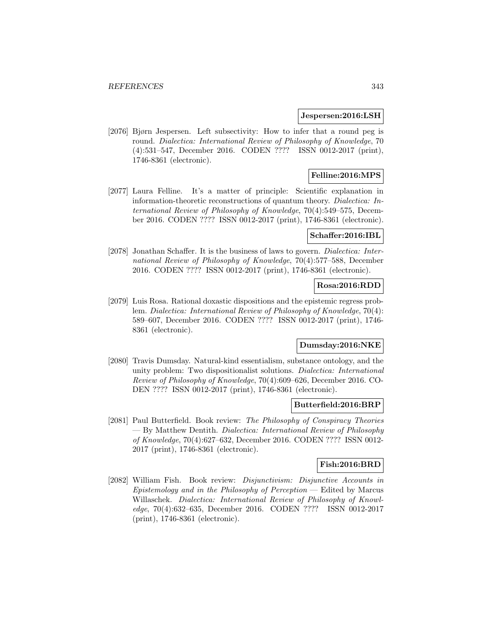#### **Jespersen:2016:LSH**

[2076] Bjørn Jespersen. Left subsectivity: How to infer that a round peg is round. Dialectica: International Review of Philosophy of Knowledge, 70 (4):531–547, December 2016. CODEN ???? ISSN 0012-2017 (print), 1746-8361 (electronic).

## **Felline:2016:MPS**

[2077] Laura Felline. It's a matter of principle: Scientific explanation in information-theoretic reconstructions of quantum theory. Dialectica: International Review of Philosophy of Knowledge, 70(4):549–575, December 2016. CODEN ???? ISSN 0012-2017 (print), 1746-8361 (electronic).

### **Schaffer:2016:IBL**

[2078] Jonathan Schaffer. It is the business of laws to govern. *Dialectica: Inter*national Review of Philosophy of Knowledge, 70(4):577–588, December 2016. CODEN ???? ISSN 0012-2017 (print), 1746-8361 (electronic).

#### **Rosa:2016:RDD**

[2079] Luis Rosa. Rational doxastic dispositions and the epistemic regress problem. Dialectica: International Review of Philosophy of Knowledge, 70(4): 589–607, December 2016. CODEN ???? ISSN 0012-2017 (print), 1746- 8361 (electronic).

# **Dumsday:2016:NKE**

[2080] Travis Dumsday. Natural-kind essentialism, substance ontology, and the unity problem: Two dispositionalist solutions. Dialectica: International Review of Philosophy of Knowledge, 70(4):609–626, December 2016. CO-DEN ???? ISSN 0012-2017 (print), 1746-8361 (electronic).

#### **Butterfield:2016:BRP**

[2081] Paul Butterfield. Book review: The Philosophy of Conspiracy Theories — By Matthew Dentith. Dialectica: International Review of Philosophy of Knowledge, 70(4):627–632, December 2016. CODEN ???? ISSN 0012- 2017 (print), 1746-8361 (electronic).

#### **Fish:2016:BRD**

[2082] William Fish. Book review: Disjunctivism: Disjunctive Accounts in  $Epistemology$  and in the Philosophy of Perception — Edited by Marcus Willaschek. Dialectica: International Review of Philosophy of Knowledge, 70(4):632–635, December 2016. CODEN ???? ISSN 0012-2017 (print), 1746-8361 (electronic).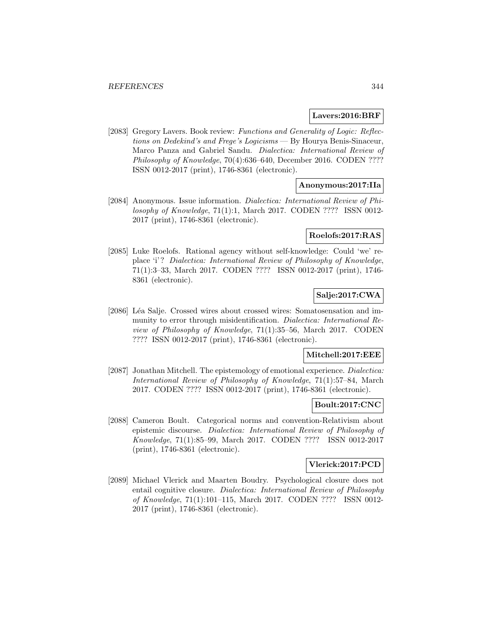#### **Lavers:2016:BRF**

[2083] Gregory Lavers. Book review: Functions and Generality of Logic: Reflections on Dedekind's and Frege's Logicisms — By Hourya Benis-Sinaceur, Marco Panza and Gabriel Sandu. Dialectica: International Review of Philosophy of Knowledge, 70(4):636–640, December 2016. CODEN ???? ISSN 0012-2017 (print), 1746-8361 (electronic).

### **Anonymous:2017:IIa**

[2084] Anonymous. Issue information. Dialectica: International Review of Philosophy of Knowledge, 71(1):1, March 2017. CODEN ???? ISSN 0012- 2017 (print), 1746-8361 (electronic).

### **Roelofs:2017:RAS**

[2085] Luke Roelofs. Rational agency without self-knowledge: Could 'we' replace 'i'? Dialectica: International Review of Philosophy of Knowledge, 71(1):3–33, March 2017. CODEN ???? ISSN 0012-2017 (print), 1746- 8361 (electronic).

# **Salje:2017:CWA**

[2086] Léa Salje. Crossed wires about crossed wires: Somatosensation and immunity to error through misidentification. Dialectica: International Review of Philosophy of Knowledge, 71(1):35–56, March 2017. CODEN ???? ISSN 0012-2017 (print), 1746-8361 (electronic).

#### **Mitchell:2017:EEE**

[2087] Jonathan Mitchell. The epistemology of emotional experience. Dialectica: International Review of Philosophy of Knowledge, 71(1):57–84, March 2017. CODEN ???? ISSN 0012-2017 (print), 1746-8361 (electronic).

#### **Boult:2017:CNC**

[2088] Cameron Boult. Categorical norms and convention-Relativism about epistemic discourse. Dialectica: International Review of Philosophy of Knowledge, 71(1):85–99, March 2017. CODEN ???? ISSN 0012-2017 (print), 1746-8361 (electronic).

#### **Vlerick:2017:PCD**

[2089] Michael Vlerick and Maarten Boudry. Psychological closure does not entail cognitive closure. Dialectica: International Review of Philosophy of Knowledge, 71(1):101–115, March 2017. CODEN ???? ISSN 0012- 2017 (print), 1746-8361 (electronic).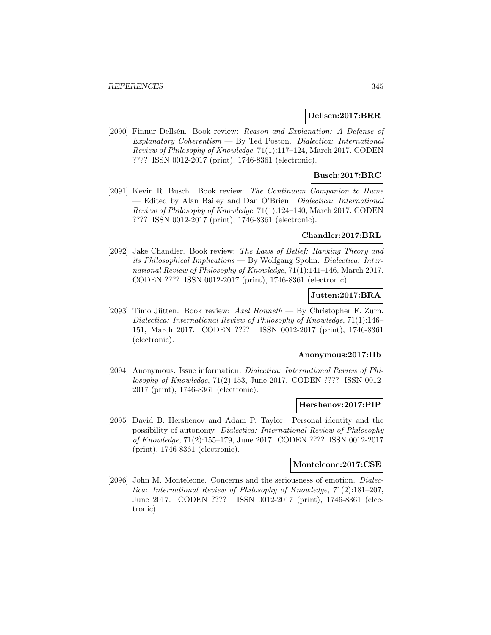#### **Dellsen:2017:BRR**

[2090] Finnur Dellsén. Book review: Reason and Explanation: A Defense of  $Explanatory Coherentism$   $\longrightarrow$  By Ted Poston. Dialectica: International Review of Philosophy of Knowledge, 71(1):117–124, March 2017. CODEN ???? ISSN 0012-2017 (print), 1746-8361 (electronic).

## **Busch:2017:BRC**

[2091] Kevin R. Busch. Book review: The Continuum Companion to Hume — Edited by Alan Bailey and Dan O'Brien. Dialectica: International Review of Philosophy of Knowledge, 71(1):124–140, March 2017. CODEN ???? ISSN 0012-2017 (print), 1746-8361 (electronic).

### **Chandler:2017:BRL**

[2092] Jake Chandler. Book review: The Laws of Belief: Ranking Theory and its Philosophical Implications — By Wolfgang Spohn. Dialectica: International Review of Philosophy of Knowledge, 71(1):141–146, March 2017. CODEN ???? ISSN 0012-2017 (print), 1746-8361 (electronic).

## **Jutten:2017:BRA**

[2093] Timo Jütten. Book review: Axel Honneth — By Christopher F. Zurn. Dialectica: International Review of Philosophy of Knowledge, 71(1):146– 151, March 2017. CODEN ???? ISSN 0012-2017 (print), 1746-8361 (electronic).

#### **Anonymous:2017:IIb**

[2094] Anonymous. Issue information. Dialectica: International Review of Philosophy of Knowledge, 71(2):153, June 2017. CODEN ???? ISSN 0012- 2017 (print), 1746-8361 (electronic).

#### **Hershenov:2017:PIP**

[2095] David B. Hershenov and Adam P. Taylor. Personal identity and the possibility of autonomy. Dialectica: International Review of Philosophy of Knowledge, 71(2):155–179, June 2017. CODEN ???? ISSN 0012-2017 (print), 1746-8361 (electronic).

#### **Monteleone:2017:CSE**

[2096] John M. Monteleone. Concerns and the seriousness of emotion. Dialectica: International Review of Philosophy of Knowledge, 71(2):181–207, June 2017. CODEN ???? ISSN 0012-2017 (print), 1746-8361 (electronic).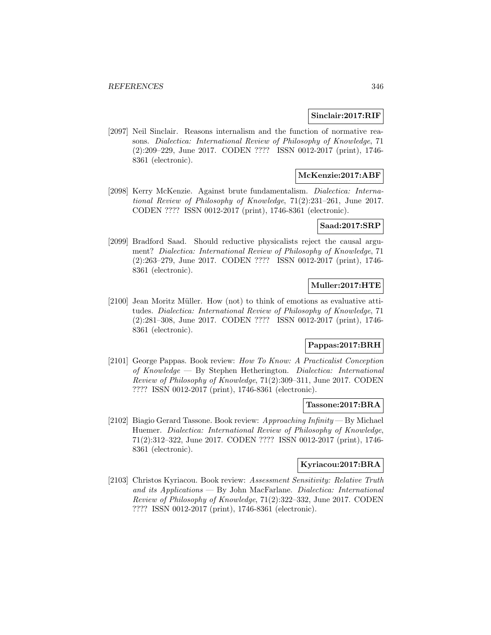#### **Sinclair:2017:RIF**

[2097] Neil Sinclair. Reasons internalism and the function of normative reasons. Dialectica: International Review of Philosophy of Knowledge, 71 (2):209–229, June 2017. CODEN ???? ISSN 0012-2017 (print), 1746- 8361 (electronic).

## **McKenzie:2017:ABF**

[2098] Kerry McKenzie. Against brute fundamentalism. Dialectica: International Review of Philosophy of Knowledge, 71(2):231–261, June 2017. CODEN ???? ISSN 0012-2017 (print), 1746-8361 (electronic).

### **Saad:2017:SRP**

[2099] Bradford Saad. Should reductive physicalists reject the causal argument? Dialectica: International Review of Philosophy of Knowledge, 71 (2):263–279, June 2017. CODEN ???? ISSN 0012-2017 (print), 1746- 8361 (electronic).

## **Muller:2017:HTE**

[2100] Jean Moritz Müller. How (not) to think of emotions as evaluative attitudes. Dialectica: International Review of Philosophy of Knowledge, 71 (2):281–308, June 2017. CODEN ???? ISSN 0012-2017 (print), 1746- 8361 (electronic).

# **Pappas:2017:BRH**

[2101] George Pappas. Book review: How To Know: A Practicalist Conception of Knowledge — By Stephen Hetherington. Dialectica: International Review of Philosophy of Knowledge, 71(2):309–311, June 2017. CODEN ???? ISSN 0012-2017 (print), 1746-8361 (electronic).

#### **Tassone:2017:BRA**

[2102] Biagio Gerard Tassone. Book review:  $Approaching Infinity - By Michael$ Huemer. Dialectica: International Review of Philosophy of Knowledge, 71(2):312–322, June 2017. CODEN ???? ISSN 0012-2017 (print), 1746- 8361 (electronic).

# **Kyriacou:2017:BRA**

[2103] Christos Kyriacou. Book review: Assessment Sensitivity: Relative Truth and its Applications — By John MacFarlane. Dialectica: International Review of Philosophy of Knowledge, 71(2):322–332, June 2017. CODEN ???? ISSN 0012-2017 (print), 1746-8361 (electronic).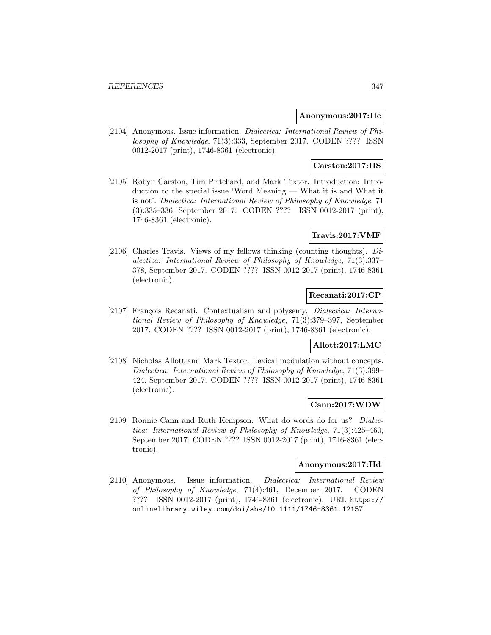#### **Anonymous:2017:IIc**

[2104] Anonymous. Issue information. Dialectica: International Review of Philosophy of Knowledge, 71(3):333, September 2017. CODEN ???? ISSN 0012-2017 (print), 1746-8361 (electronic).

# **Carston:2017:IIS**

[2105] Robyn Carston, Tim Pritchard, and Mark Textor. Introduction: Introduction to the special issue 'Word Meaning — What it is and What it is not'. Dialectica: International Review of Philosophy of Knowledge, 71 (3):335–336, September 2017. CODEN ???? ISSN 0012-2017 (print), 1746-8361 (electronic).

### **Travis:2017:VMF**

[2106] Charles Travis. Views of my fellows thinking (counting thoughts). Dialectica: International Review of Philosophy of Knowledge, 71(3):337– 378, September 2017. CODEN ???? ISSN 0012-2017 (print), 1746-8361 (electronic).

## **Recanati:2017:CP**

[2107] François Recanati. Contextualism and polysemy. *Dialectica: Interna*tional Review of Philosophy of Knowledge, 71(3):379–397, September 2017. CODEN ???? ISSN 0012-2017 (print), 1746-8361 (electronic).

## **Allott:2017:LMC**

[2108] Nicholas Allott and Mark Textor. Lexical modulation without concepts. Dialectica: International Review of Philosophy of Knowledge, 71(3):399– 424, September 2017. CODEN ???? ISSN 0012-2017 (print), 1746-8361 (electronic).

#### **Cann:2017:WDW**

[2109] Ronnie Cann and Ruth Kempson. What do words do for us? Dialectica: International Review of Philosophy of Knowledge, 71(3):425–460, September 2017. CODEN ???? ISSN 0012-2017 (print), 1746-8361 (electronic).

#### **Anonymous:2017:IId**

[2110] Anonymous. Issue information. Dialectica: International Review of Philosophy of Knowledge, 71(4):461, December 2017. CODEN ???? ISSN 0012-2017 (print), 1746-8361 (electronic). URL https:// onlinelibrary.wiley.com/doi/abs/10.1111/1746-8361.12157.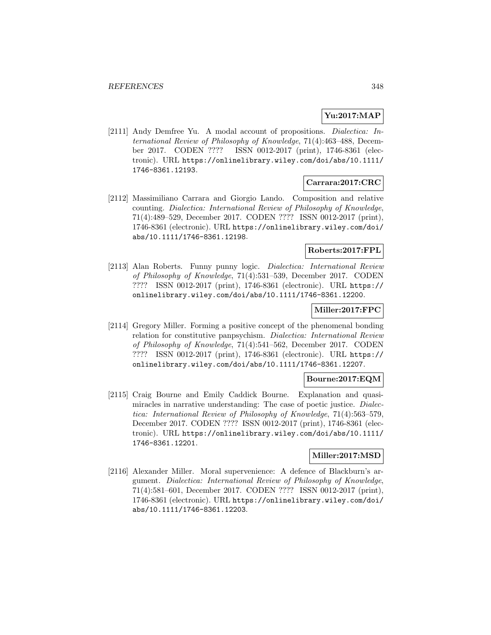## **Yu:2017:MAP**

[2111] Andy Demfree Yu. A modal account of propositions. Dialectica: International Review of Philosophy of Knowledge, 71(4):463–488, December 2017. CODEN ???? ISSN 0012-2017 (print), 1746-8361 (electronic). URL https://onlinelibrary.wiley.com/doi/abs/10.1111/ 1746-8361.12193.

### **Carrara:2017:CRC**

[2112] Massimiliano Carrara and Giorgio Lando. Composition and relative counting. Dialectica: International Review of Philosophy of Knowledge, 71(4):489–529, December 2017. CODEN ???? ISSN 0012-2017 (print), 1746-8361 (electronic). URL https://onlinelibrary.wiley.com/doi/ abs/10.1111/1746-8361.12198.

## **Roberts:2017:FPL**

[2113] Alan Roberts. Funny punny logic. Dialectica: International Review of Philosophy of Knowledge, 71(4):531–539, December 2017. CODEN ???? ISSN 0012-2017 (print), 1746-8361 (electronic). URL https:// onlinelibrary.wiley.com/doi/abs/10.1111/1746-8361.12200.

## **Miller:2017:FPC**

[2114] Gregory Miller. Forming a positive concept of the phenomenal bonding relation for constitutive panpsychism. Dialectica: International Review of Philosophy of Knowledge, 71(4):541–562, December 2017. CODEN ???? ISSN 0012-2017 (print), 1746-8361 (electronic). URL https:// onlinelibrary.wiley.com/doi/abs/10.1111/1746-8361.12207.

### **Bourne:2017:EQM**

[2115] Craig Bourne and Emily Caddick Bourne. Explanation and quasimiracles in narrative understanding: The case of poetic justice. Dialectica: International Review of Philosophy of Knowledge, 71(4):563–579, December 2017. CODEN ???? ISSN 0012-2017 (print), 1746-8361 (electronic). URL https://onlinelibrary.wiley.com/doi/abs/10.1111/ 1746-8361.12201.

### **Miller:2017:MSD**

[2116] Alexander Miller. Moral supervenience: A defence of Blackburn's argument. Dialectica: International Review of Philosophy of Knowledge, 71(4):581–601, December 2017. CODEN ???? ISSN 0012-2017 (print), 1746-8361 (electronic). URL https://onlinelibrary.wiley.com/doi/ abs/10.1111/1746-8361.12203.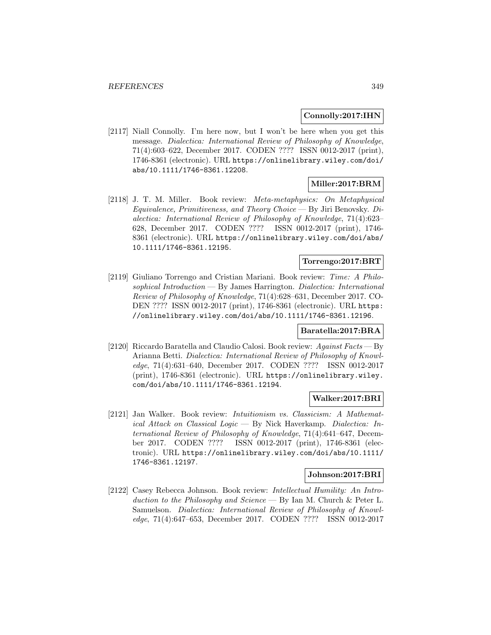#### **Connolly:2017:IHN**

[2117] Niall Connolly. I'm here now, but I won't be here when you get this message. Dialectica: International Review of Philosophy of Knowledge, 71(4):603–622, December 2017. CODEN ???? ISSN 0012-2017 (print), 1746-8361 (electronic). URL https://onlinelibrary.wiley.com/doi/ abs/10.1111/1746-8361.12208.

### **Miller:2017:BRM**

[2118] J. T. M. Miller. Book review: Meta-metaphysics: On Metaphysical Equivalence, Primitiveness, and Theory Choice — By Jiri Benovsky. Dialectica: International Review of Philosophy of Knowledge, 71(4):623– 628, December 2017. CODEN ???? ISSN 0012-2017 (print), 1746- 8361 (electronic). URL https://onlinelibrary.wiley.com/doi/abs/ 10.1111/1746-8361.12195.

## **Torrengo:2017:BRT**

[2119] Giuliano Torrengo and Cristian Mariani. Book review: Time: A Philosophical Introduction — By James Harrington. Dialectica: International Review of Philosophy of Knowledge, 71(4):628–631, December 2017. CO-DEN ???? ISSN 0012-2017 (print), 1746-8361 (electronic). URL https: //onlinelibrary.wiley.com/doi/abs/10.1111/1746-8361.12196.

## **Baratella:2017:BRA**

[2120] Riccardo Baratella and Claudio Calosi. Book review: Against Facts — By Arianna Betti. Dialectica: International Review of Philosophy of Knowledge, 71(4):631–640, December 2017. CODEN ???? ISSN 0012-2017 (print), 1746-8361 (electronic). URL https://onlinelibrary.wiley. com/doi/abs/10.1111/1746-8361.12194.

## **Walker:2017:BRI**

[2121] Jan Walker. Book review: Intuitionism vs. Classicism: A Mathematical Attack on Classical Logic — By Nick Haverkamp. Dialectica: International Review of Philosophy of Knowledge, 71(4):641–647, December 2017. CODEN ???? ISSN 0012-2017 (print), 1746-8361 (electronic). URL https://onlinelibrary.wiley.com/doi/abs/10.1111/ 1746-8361.12197.

#### **Johnson:2017:BRI**

[2122] Casey Rebecca Johnson. Book review: Intellectual Humility: An Introduction to the Philosophy and Science — By Ian M. Church & Peter L. Samuelson. Dialectica: International Review of Philosophy of Knowledge, 71(4):647–653, December 2017. CODEN ???? ISSN 0012-2017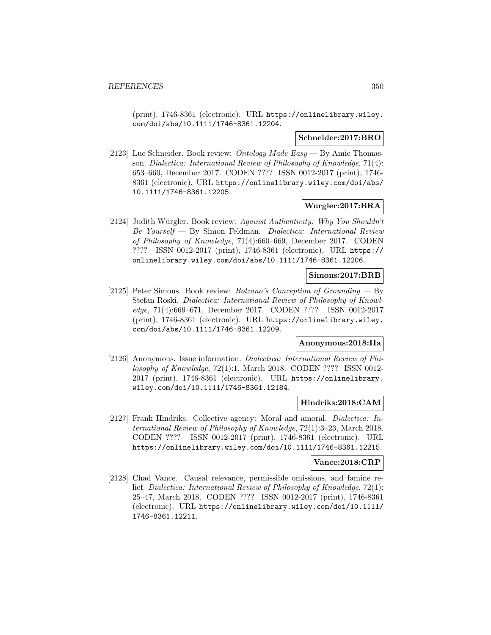(print), 1746-8361 (electronic). URL https://onlinelibrary.wiley. com/doi/abs/10.1111/1746-8361.12204.

#### **Schneider:2017:BRO**

[2123] Luc Schneider. Book review: Ontology Made Easy — By Amie Thomasson. Dialectica: International Review of Philosophy of Knowledge, 71(4): 653–660, December 2017. CODEN ???? ISSN 0012-2017 (print), 1746- 8361 (electronic). URL https://onlinelibrary.wiley.com/doi/abs/ 10.1111/1746-8361.12205.

### **Wurgler:2017:BRA**

[2124] Judith Würgler. Book review: Against Authenticity: Why You Shouldn't Be Yourself — By Simon Feldman. Dialectica: International Review of Philosophy of Knowledge, 71(4):660–669, December 2017. CODEN ???? ISSN 0012-2017 (print), 1746-8361 (electronic). URL https:// onlinelibrary.wiley.com/doi/abs/10.1111/1746-8361.12206.

#### **Simons:2017:BRB**

[2125] Peter Simons. Book review: Bolzano's Conception of Grounding — By Stefan Roski. Dialectica: International Review of Philosophy of Knowledge, 71(4):669–671, December 2017. CODEN ???? ISSN 0012-2017 (print), 1746-8361 (electronic). URL https://onlinelibrary.wiley. com/doi/abs/10.1111/1746-8361.12209.

## **Anonymous:2018:IIa**

[2126] Anonymous. Issue information. Dialectica: International Review of Philosophy of Knowledge, 72(1):1, March 2018. CODEN ???? ISSN 0012- 2017 (print), 1746-8361 (electronic). URL https://onlinelibrary. wiley.com/doi/10.1111/1746-8361.12184.

### **Hindriks:2018:CAM**

[2127] Frank Hindriks. Collective agency: Moral and amoral. *Dialectica: In*ternational Review of Philosophy of Knowledge, 72(1):3–23, March 2018. CODEN ???? ISSN 0012-2017 (print), 1746-8361 (electronic). URL https://onlinelibrary.wiley.com/doi/10.1111/1746-8361.12215.

## **Vance:2018:CRP**

[2128] Chad Vance. Causal relevance, permissible omissions, and famine relief. Dialectica: International Review of Philosophy of Knowledge, 72(1): 25–47, March 2018. CODEN ???? ISSN 0012-2017 (print), 1746-8361 (electronic). URL https://onlinelibrary.wiley.com/doi/10.1111/ 1746-8361.12211.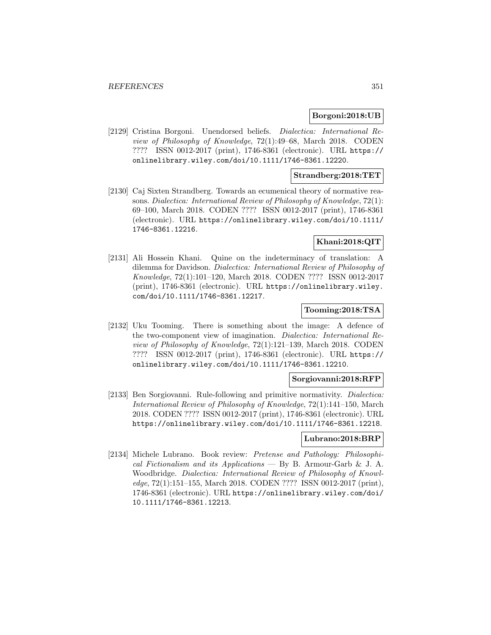#### **Borgoni:2018:UB**

[2129] Cristina Borgoni. Unendorsed beliefs. Dialectica: International Review of Philosophy of Knowledge, 72(1):49–68, March 2018. CODEN ???? ISSN 0012-2017 (print), 1746-8361 (electronic). URL https:// onlinelibrary.wiley.com/doi/10.1111/1746-8361.12220.

### **Strandberg:2018:TET**

[2130] Caj Sixten Strandberg. Towards an ecumenical theory of normative reasons. Dialectica: International Review of Philosophy of Knowledge, 72(1): 69–100, March 2018. CODEN ???? ISSN 0012-2017 (print), 1746-8361 (electronic). URL https://onlinelibrary.wiley.com/doi/10.1111/ 1746-8361.12216.

## **Khani:2018:QIT**

[2131] Ali Hossein Khani. Quine on the indeterminacy of translation: A dilemma for Davidson. Dialectica: International Review of Philosophy of Knowledge, 72(1):101–120, March 2018. CODEN ???? ISSN 0012-2017 (print), 1746-8361 (electronic). URL https://onlinelibrary.wiley. com/doi/10.1111/1746-8361.12217.

### **Tooming:2018:TSA**

[2132] Uku Tooming. There is something about the image: A defence of the two-component view of imagination. Dialectica: International Review of Philosophy of Knowledge, 72(1):121–139, March 2018. CODEN ???? ISSN 0012-2017 (print), 1746-8361 (electronic). URL https:// onlinelibrary.wiley.com/doi/10.1111/1746-8361.12210.

### **Sorgiovanni:2018:RFP**

[2133] Ben Sorgiovanni. Rule-following and primitive normativity. Dialectica: International Review of Philosophy of Knowledge, 72(1):141–150, March 2018. CODEN ???? ISSN 0012-2017 (print), 1746-8361 (electronic). URL https://onlinelibrary.wiley.com/doi/10.1111/1746-8361.12218.

### **Lubrano:2018:BRP**

[2134] Michele Lubrano. Book review: Pretense and Pathology: Philosophical Fictionalism and its Applications — By B. Armour-Garb & J. A. Woodbridge. Dialectica: International Review of Philosophy of Knowledge, 72(1):151–155, March 2018. CODEN ???? ISSN 0012-2017 (print), 1746-8361 (electronic). URL https://onlinelibrary.wiley.com/doi/ 10.1111/1746-8361.12213.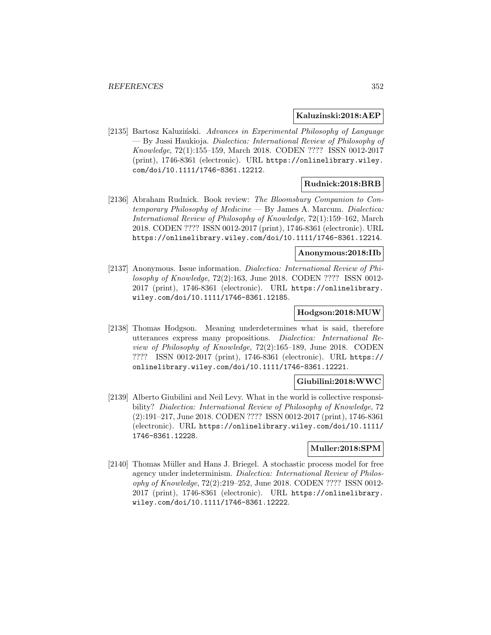#### **Kaluzinski:2018:AEP**

[2135] Bartosz Kaluziński. Advances in Experimental Philosophy of Language — By Jussi Haukioja. Dialectica: International Review of Philosophy of Knowledge, 72(1):155–159, March 2018. CODEN ???? ISSN 0012-2017 (print), 1746-8361 (electronic). URL https://onlinelibrary.wiley. com/doi/10.1111/1746-8361.12212.

### **Rudnick:2018:BRB**

[2136] Abraham Rudnick. Book review: The Bloomsbury Companion to Contemporary Philosophy of Medicine  $-$  By James A. Marcum. Dialectica: International Review of Philosophy of Knowledge, 72(1):159–162, March 2018. CODEN ???? ISSN 0012-2017 (print), 1746-8361 (electronic). URL https://onlinelibrary.wiley.com/doi/10.1111/1746-8361.12214.

#### **Anonymous:2018:IIb**

[2137] Anonymous. Issue information. Dialectica: International Review of Philosophy of Knowledge, 72(2):163, June 2018. CODEN ???? ISSN 0012- 2017 (print), 1746-8361 (electronic). URL https://onlinelibrary. wiley.com/doi/10.1111/1746-8361.12185.

### **Hodgson:2018:MUW**

[2138] Thomas Hodgson. Meaning underdetermines what is said, therefore utterances express many propositions. Dialectica: International Review of Philosophy of Knowledge, 72(2):165–189, June 2018. CODEN ???? ISSN 0012-2017 (print), 1746-8361 (electronic). URL https:// onlinelibrary.wiley.com/doi/10.1111/1746-8361.12221.

## **Giubilini:2018:WWC**

[2139] Alberto Giubilini and Neil Levy. What in the world is collective responsibility? Dialectica: International Review of Philosophy of Knowledge, 72 (2):191–217, June 2018. CODEN ???? ISSN 0012-2017 (print), 1746-8361 (electronic). URL https://onlinelibrary.wiley.com/doi/10.1111/ 1746-8361.12228.

### **Muller:2018:SPM**

[2140] Thomas Müller and Hans J. Briegel. A stochastic process model for free agency under indeterminism. Dialectica: International Review of Philosophy of Knowledge, 72(2):219–252, June 2018. CODEN ???? ISSN 0012- 2017 (print), 1746-8361 (electronic). URL https://onlinelibrary. wiley.com/doi/10.1111/1746-8361.12222.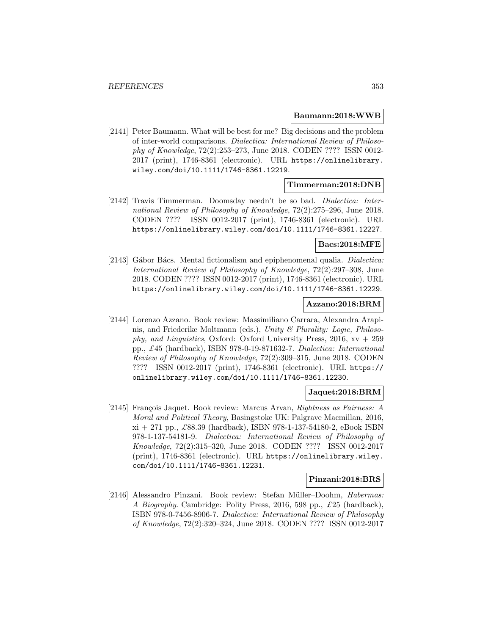#### **Baumann:2018:WWB**

[2141] Peter Baumann. What will be best for me? Big decisions and the problem of inter-world comparisons. Dialectica: International Review of Philosophy of Knowledge, 72(2):253–273, June 2018. CODEN ???? ISSN 0012- 2017 (print), 1746-8361 (electronic). URL https://onlinelibrary. wiley.com/doi/10.1111/1746-8361.12219.

### **Timmerman:2018:DNB**

[2142] Travis Timmerman. Doomsday needn't be so bad. Dialectica: International Review of Philosophy of Knowledge, 72(2):275–296, June 2018. CODEN ???? ISSN 0012-2017 (print), 1746-8361 (electronic). URL https://onlinelibrary.wiley.com/doi/10.1111/1746-8361.12227.

#### **Bacs:2018:MFE**

[2143] Gábor Bács. Mental fictionalism and epiphenomenal qualia. *Dialectica:* International Review of Philosophy of Knowledge, 72(2):297–308, June 2018. CODEN ???? ISSN 0012-2017 (print), 1746-8361 (electronic). URL https://onlinelibrary.wiley.com/doi/10.1111/1746-8361.12229.

#### **Azzano:2018:BRM**

[2144] Lorenzo Azzano. Book review: Massimiliano Carrara, Alexandra Arapinis, and Friederike Moltmann (eds.), Unity & Plurality: Logic, Philosophy, and Linguistics, Oxford: Oxford University Press, 2016,  $xv + 259$ pp., £45 (hardback), ISBN 978-0-19-871632-7. Dialectica: International Review of Philosophy of Knowledge, 72(2):309–315, June 2018. CODEN ???? ISSN 0012-2017 (print), 1746-8361 (electronic). URL https:// onlinelibrary.wiley.com/doi/10.1111/1746-8361.12230.

#### **Jaquet:2018:BRM**

[2145] François Jaquet. Book review: Marcus Arvan, Rightness as Fairness: A Moral and Political Theory, Basingstoke UK: Palgrave Macmillan, 2016,  $x_i + 271$  pp.,  $\pounds 88.39$  (hardback), ISBN 978-1-137-54180-2, eBook ISBN 978-1-137-54181-9. Dialectica: International Review of Philosophy of Knowledge, 72(2):315–320, June 2018. CODEN ???? ISSN 0012-2017 (print), 1746-8361 (electronic). URL https://onlinelibrary.wiley. com/doi/10.1111/1746-8361.12231.

#### **Pinzani:2018:BRS**

[2146] Alessandro Pinzani. Book review: Stefan Müller–Doohm, Habermas: A Biography. Cambridge: Polity Press, 2016, 598 pp., £25 (hardback), ISBN 978-0-7456-8906-7. Dialectica: International Review of Philosophy of Knowledge, 72(2):320–324, June 2018. CODEN ???? ISSN 0012-2017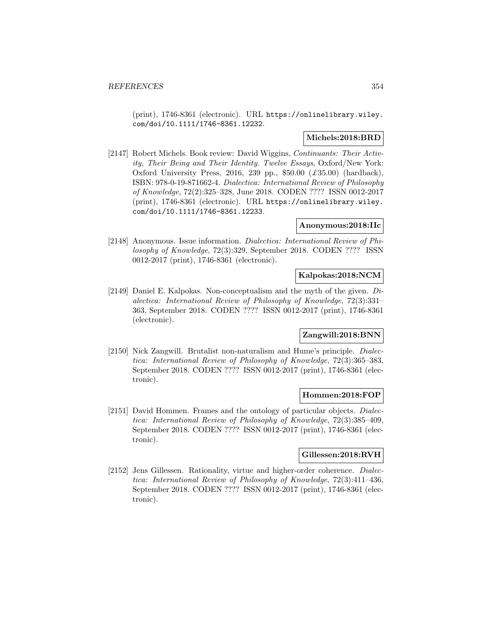(print), 1746-8361 (electronic). URL https://onlinelibrary.wiley. com/doi/10.1111/1746-8361.12232.

### **Michels:2018:BRD**

[2147] Robert Michels. Book review: David Wiggins, Continuants: Their Activity, Their Being and Their Identity. Twelve Essays, Oxford/New York: Oxford University Press, 2016, 239 pp.,  $$50.00$   $(\text{\textsterling}35.00)$  (hardback), ISBN: 978-0-19-871662-4. Dialectica: International Review of Philosophy of Knowledge, 72(2):325–328, June 2018. CODEN ???? ISSN 0012-2017 (print), 1746-8361 (electronic). URL https://onlinelibrary.wiley. com/doi/10.1111/1746-8361.12233.

## **Anonymous:2018:IIc**

[2148] Anonymous. Issue information. Dialectica: International Review of Philosophy of Knowledge, 72(3):329, September 2018. CODEN ???? ISSN 0012-2017 (print), 1746-8361 (electronic).

### **Kalpokas:2018:NCM**

[2149] Daniel E. Kalpokas. Non-conceptualism and the myth of the given. Dialectica: International Review of Philosophy of Knowledge, 72(3):331– 363, September 2018. CODEN ???? ISSN 0012-2017 (print), 1746-8361 (electronic).

### **Zangwill:2018:BNN**

[2150] Nick Zangwill. Brutalist non-naturalism and Hume's principle. Dialectica: International Review of Philosophy of Knowledge, 72(3):365–383, September 2018. CODEN ???? ISSN 0012-2017 (print), 1746-8361 (electronic).

### **Hommen:2018:FOP**

[2151] David Hommen. Frames and the ontology of particular objects. *Dialec*tica: International Review of Philosophy of Knowledge, 72(3):385–409, September 2018. CODEN ???? ISSN 0012-2017 (print), 1746-8361 (electronic).

# **Gillessen:2018:RVH**

[2152] Jens Gillessen. Rationality, virtue and higher-order coherence. *Dialec*tica: International Review of Philosophy of Knowledge, 72(3):411–436, September 2018. CODEN ???? ISSN 0012-2017 (print), 1746-8361 (electronic).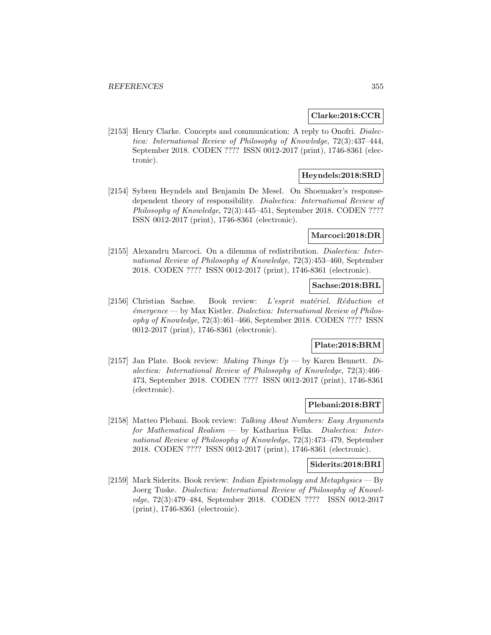#### **Clarke:2018:CCR**

[2153] Henry Clarke. Concepts and communication: A reply to Onofri. Dialectica: International Review of Philosophy of Knowledge, 72(3):437–444, September 2018. CODEN ???? ISSN 0012-2017 (print), 1746-8361 (electronic).

## **Heyndels:2018:SRD**

[2154] Sybren Heyndels and Benjamin De Mesel. On Shoemaker's responsedependent theory of responsibility. Dialectica: International Review of Philosophy of Knowledge, 72(3):445–451, September 2018. CODEN ???? ISSN 0012-2017 (print), 1746-8361 (electronic).

#### **Marcoci:2018:DR**

[2155] Alexandru Marcoci. On a dilemma of redistribution. Dialectica: International Review of Philosophy of Knowledge, 72(3):453–460, September 2018. CODEN ???? ISSN 0012-2017 (print), 1746-8361 (electronic).

### **Sachse:2018:BRL**

[2156] Christian Sachse. Book review: L'esprit matériel. Réduction et  $\acute{e}$ mergence — by Max Kistler. Dialectica: International Review of Philosophy of Knowledge, 72(3):461–466, September 2018. CODEN ???? ISSN 0012-2017 (print), 1746-8361 (electronic).

# **Plate:2018:BRM**

[2157] Jan Plate. Book review: *Making Things Up* — by Karen Bennett. *Di*alectica: International Review of Philosophy of Knowledge, 72(3):466– 473, September 2018. CODEN ???? ISSN 0012-2017 (print), 1746-8361 (electronic).

### **Plebani:2018:BRT**

[2158] Matteo Plebani. Book review: Talking About Numbers: Easy Arguments for Mathematical Realism — by Katharina Felka. Dialectica: International Review of Philosophy of Knowledge, 72(3):473–479, September 2018. CODEN ???? ISSN 0012-2017 (print), 1746-8361 (electronic).

#### **Siderits:2018:BRI**

[2159] Mark Siderits. Book review: Indian Epistemology and Metaphysics — By Joerg Tuske. Dialectica: International Review of Philosophy of Knowledge, 72(3):479–484, September 2018. CODEN ???? ISSN 0012-2017 (print), 1746-8361 (electronic).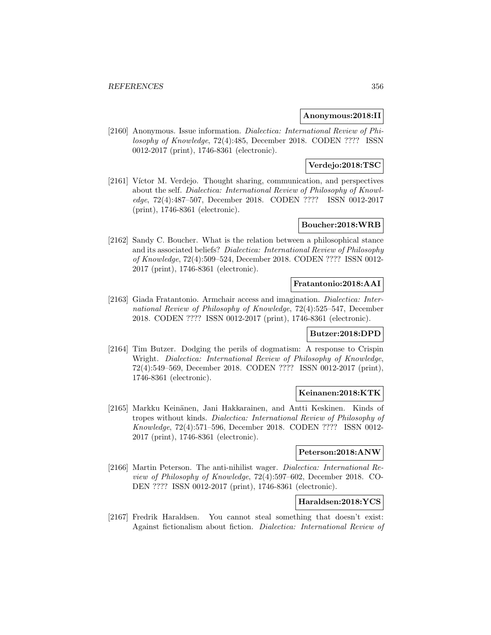### **Anonymous:2018:II**

[2160] Anonymous. Issue information. Dialectica: International Review of Philosophy of Knowledge, 72(4):485, December 2018. CODEN ???? ISSN 0012-2017 (print), 1746-8361 (electronic).

## **Verdejo:2018:TSC**

[2161] Víctor M. Verdejo. Thought sharing, communication, and perspectives about the self. Dialectica: International Review of Philosophy of Knowledge, 72(4):487–507, December 2018. CODEN ???? ISSN 0012-2017 (print), 1746-8361 (electronic).

# **Boucher:2018:WRB**

[2162] Sandy C. Boucher. What is the relation between a philosophical stance and its associated beliefs? Dialectica: International Review of Philosophy of Knowledge, 72(4):509–524, December 2018. CODEN ???? ISSN 0012- 2017 (print), 1746-8361 (electronic).

### **Fratantonio:2018:AAI**

[2163] Giada Fratantonio. Armchair access and imagination. Dialectica: International Review of Philosophy of Knowledge, 72(4):525–547, December 2018. CODEN ???? ISSN 0012-2017 (print), 1746-8361 (electronic).

### **Butzer:2018:DPD**

[2164] Tim Butzer. Dodging the perils of dogmatism: A response to Crispin Wright. Dialectica: International Review of Philosophy of Knowledge, 72(4):549–569, December 2018. CODEN ???? ISSN 0012-2017 (print), 1746-8361 (electronic).

#### **Keinanen:2018:KTK**

[2165] Markku Keinänen, Jani Hakkarainen, and Antti Keskinen. Kinds of tropes without kinds. Dialectica: International Review of Philosophy of Knowledge, 72(4):571–596, December 2018. CODEN ???? ISSN 0012- 2017 (print), 1746-8361 (electronic).

## **Peterson:2018:ANW**

[2166] Martin Peterson. The anti-nihilist wager. Dialectica: International Review of Philosophy of Knowledge, 72(4):597–602, December 2018. CO-DEN ???? ISSN 0012-2017 (print), 1746-8361 (electronic).

# **Haraldsen:2018:YCS**

[2167] Fredrik Haraldsen. You cannot steal something that doesn't exist: Against fictionalism about fiction. Dialectica: International Review of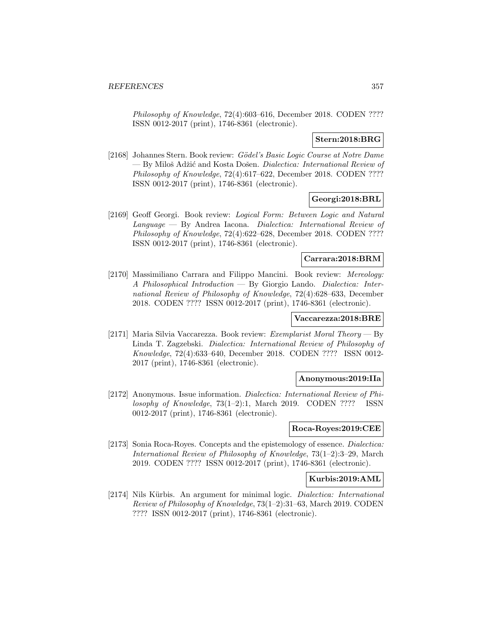Philosophy of Knowledge, 72(4):603–616, December 2018. CODEN ???? ISSN 0012-2017 (print), 1746-8361 (electronic).

## **Stern:2018:BRG**

[2168] Johannes Stern. Book review: Gödel's Basic Logic Course at Notre Dame  $-$  By Miloš Adžić and Kosta Došen. *Dialectica: International Review of* Philosophy of Knowledge, 72(4):617–622, December 2018. CODEN ???? ISSN 0012-2017 (print), 1746-8361 (electronic).

## **Georgi:2018:BRL**

[2169] Geoff Georgi. Book review: Logical Form: Between Logic and Natural Language — By Andrea Iacona. Dialectica: International Review of Philosophy of Knowledge, 72(4):622–628, December 2018. CODEN ???? ISSN 0012-2017 (print), 1746-8361 (electronic).

### **Carrara:2018:BRM**

[2170] Massimiliano Carrara and Filippo Mancini. Book review: Mereology: A Philosophical Introduction — By Giorgio Lando. Dialectica: International Review of Philosophy of Knowledge, 72(4):628–633, December 2018. CODEN ???? ISSN 0012-2017 (print), 1746-8361 (electronic).

# **Vaccarezza:2018:BRE**

[2171] Maria Silvia Vaccarezza. Book review: Exemplarist Moral Theory — By Linda T. Zagzebski. Dialectica: International Review of Philosophy of Knowledge, 72(4):633–640, December 2018. CODEN ???? ISSN 0012- 2017 (print), 1746-8361 (electronic).

#### **Anonymous:2019:IIa**

[2172] Anonymous. Issue information. Dialectica: International Review of Philosophy of Knowledge,  $73(1-2)$ :1, March 2019. CODEN ???? ISSN 0012-2017 (print), 1746-8361 (electronic).

#### **Roca-Royes:2019:CEE**

[2173] Sonia Roca-Royes. Concepts and the epistemology of essence. Dialectica: International Review of Philosophy of Knowledge, 73(1–2):3–29, March 2019. CODEN ???? ISSN 0012-2017 (print), 1746-8361 (electronic).

#### **Kurbis:2019:AML**

[2174] Nils Kürbis. An argument for minimal logic. *Dialectica: International* Review of Philosophy of Knowledge, 73(1–2):31–63, March 2019. CODEN ???? ISSN 0012-2017 (print), 1746-8361 (electronic).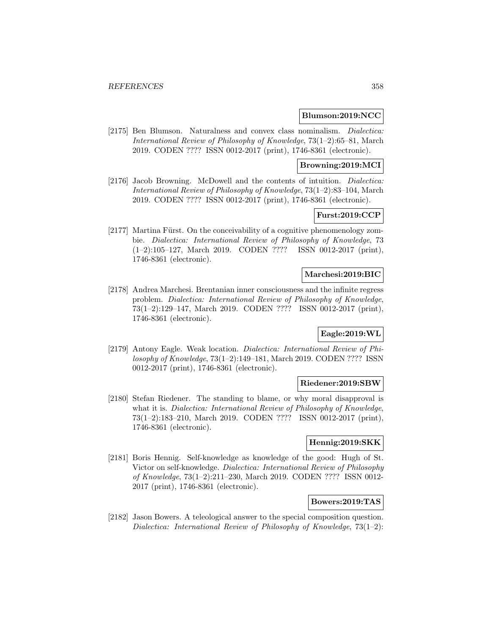#### **Blumson:2019:NCC**

[2175] Ben Blumson. Naturalness and convex class nominalism. Dialectica: International Review of Philosophy of Knowledge, 73(1–2):65–81, March 2019. CODEN ???? ISSN 0012-2017 (print), 1746-8361 (electronic).

### **Browning:2019:MCI**

[2176] Jacob Browning. McDowell and the contents of intuition. *Dialectica:* International Review of Philosophy of Knowledge, 73(1–2):83–104, March 2019. CODEN ???? ISSN 0012-2017 (print), 1746-8361 (electronic).

## **Furst:2019:CCP**

[2177] Martina Fürst. On the conceivability of a cognitive phenomenology zombie. Dialectica: International Review of Philosophy of Knowledge, 73 (1–2):105–127, March 2019. CODEN ???? ISSN 0012-2017 (print), 1746-8361 (electronic).

#### **Marchesi:2019:BIC**

[2178] Andrea Marchesi. Brentanian inner consciousness and the infinite regress problem. Dialectica: International Review of Philosophy of Knowledge, 73(1–2):129–147, March 2019. CODEN ???? ISSN 0012-2017 (print), 1746-8361 (electronic).

### **Eagle:2019:WL**

[2179] Antony Eagle. Weak location. Dialectica: International Review of Philosophy of Knowledge, 73(1–2):149–181, March 2019. CODEN ???? ISSN 0012-2017 (print), 1746-8361 (electronic).

## **Riedener:2019:SBW**

[2180] Stefan Riedener. The standing to blame, or why moral disapproval is what it is. *Dialectica: International Review of Philosophy of Knowledge*, 73(1–2):183–210, March 2019. CODEN ???? ISSN 0012-2017 (print), 1746-8361 (electronic).

### **Hennig:2019:SKK**

[2181] Boris Hennig. Self-knowledge as knowledge of the good: Hugh of St. Victor on self-knowledge. Dialectica: International Review of Philosophy of Knowledge, 73(1–2):211–230, March 2019. CODEN ???? ISSN 0012- 2017 (print), 1746-8361 (electronic).

## **Bowers:2019:TAS**

[2182] Jason Bowers. A teleological answer to the special composition question. Dialectica: International Review of Philosophy of Knowledge,  $73(1-2)$ :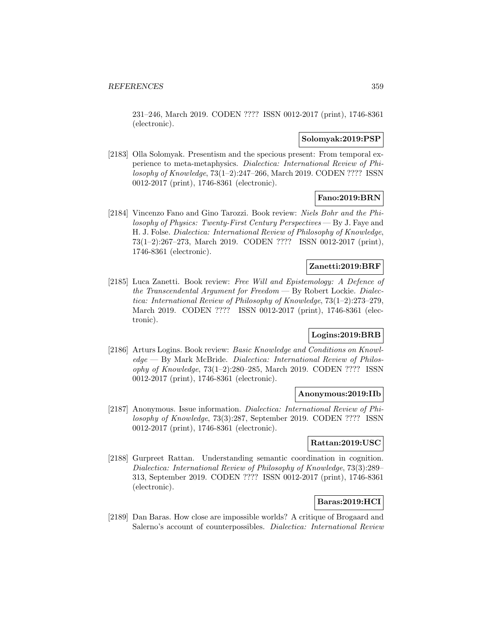231–246, March 2019. CODEN ???? ISSN 0012-2017 (print), 1746-8361 (electronic).

### **Solomyak:2019:PSP**

[2183] Olla Solomyak. Presentism and the specious present: From temporal experience to meta-metaphysics. Dialectica: International Review of Philosophy of Knowledge, 73(1–2):247–266, March 2019. CODEN ???? ISSN 0012-2017 (print), 1746-8361 (electronic).

# **Fano:2019:BRN**

[2184] Vincenzo Fano and Gino Tarozzi. Book review: Niels Bohr and the Philosophy of Physics: Twenty-First Century Perspectives — By J. Faye and H. J. Folse. Dialectica: International Review of Philosophy of Knowledge, 73(1–2):267–273, March 2019. CODEN ???? ISSN 0012-2017 (print), 1746-8361 (electronic).

## **Zanetti:2019:BRF**

[2185] Luca Zanetti. Book review: Free Will and Epistemology: A Defence of the Transcendental Argument for Freedom — By Robert Lockie. Dialectica: International Review of Philosophy of Knowledge, 73(1–2):273–279, March 2019. CODEN ???? ISSN 0012-2017 (print), 1746-8361 (electronic).

# **Logins:2019:BRB**

[2186] Arturs Logins. Book review: Basic Knowledge and Conditions on Knowledge — By Mark McBride. Dialectica: International Review of Philosophy of Knowledge, 73(1–2):280–285, March 2019. CODEN ???? ISSN 0012-2017 (print), 1746-8361 (electronic).

#### **Anonymous:2019:IIb**

[2187] Anonymous. Issue information. Dialectica: International Review of Philosophy of Knowledge, 73(3):287, September 2019. CODEN ???? ISSN 0012-2017 (print), 1746-8361 (electronic).

### **Rattan:2019:USC**

[2188] Gurpreet Rattan. Understanding semantic coordination in cognition. Dialectica: International Review of Philosophy of Knowledge, 73(3):289– 313, September 2019. CODEN ???? ISSN 0012-2017 (print), 1746-8361 (electronic).

# **Baras:2019:HCI**

[2189] Dan Baras. How close are impossible worlds? A critique of Brogaard and Salerno's account of counterpossibles. Dialectica: International Review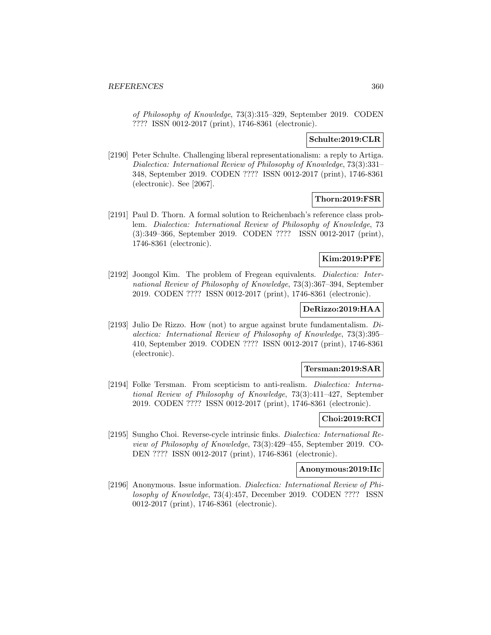of Philosophy of Knowledge, 73(3):315–329, September 2019. CODEN ???? ISSN 0012-2017 (print), 1746-8361 (electronic).

#### **Schulte:2019:CLR**

[2190] Peter Schulte. Challenging liberal representationalism: a reply to Artiga. Dialectica: International Review of Philosophy of Knowledge, 73(3):331– 348, September 2019. CODEN ???? ISSN 0012-2017 (print), 1746-8361 (electronic). See [2067].

### **Thorn:2019:FSR**

[2191] Paul D. Thorn. A formal solution to Reichenbach's reference class problem. Dialectica: International Review of Philosophy of Knowledge, 73 (3):349–366, September 2019. CODEN ???? ISSN 0012-2017 (print), 1746-8361 (electronic).

### **Kim:2019:PFE**

[2192] Joongol Kim. The problem of Fregean equivalents. Dialectica: International Review of Philosophy of Knowledge, 73(3):367–394, September 2019. CODEN ???? ISSN 0012-2017 (print), 1746-8361 (electronic).

### **DeRizzo:2019:HAA**

[2193] Julio De Rizzo. How (not) to argue against brute fundamentalism. Dialectica: International Review of Philosophy of Knowledge, 73(3):395– 410, September 2019. CODEN ???? ISSN 0012-2017 (print), 1746-8361 (electronic).

### **Tersman:2019:SAR**

[2194] Folke Tersman. From scepticism to anti-realism. Dialectica: International Review of Philosophy of Knowledge, 73(3):411–427, September 2019. CODEN ???? ISSN 0012-2017 (print), 1746-8361 (electronic).

## **Choi:2019:RCI**

[2195] Sungho Choi. Reverse-cycle intrinsic finks. Dialectica: International Review of Philosophy of Knowledge, 73(3):429–455, September 2019. CO-DEN ???? ISSN 0012-2017 (print), 1746-8361 (electronic).

#### **Anonymous:2019:IIc**

[2196] Anonymous. Issue information. Dialectica: International Review of Philosophy of Knowledge, 73(4):457, December 2019. CODEN ???? ISSN 0012-2017 (print), 1746-8361 (electronic).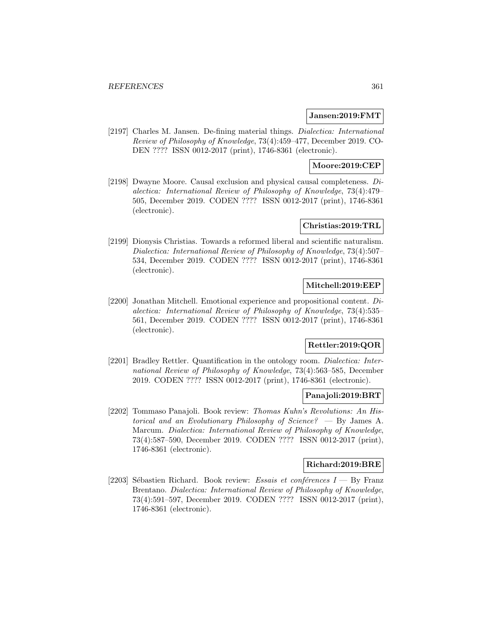#### **Jansen:2019:FMT**

[2197] Charles M. Jansen. De-fining material things. Dialectica: International Review of Philosophy of Knowledge, 73(4):459–477, December 2019. CO-DEN ???? ISSN 0012-2017 (print), 1746-8361 (electronic).

## **Moore:2019:CEP**

[2198] Dwayne Moore. Causal exclusion and physical causal completeness. Dialectica: International Review of Philosophy of Knowledge, 73(4):479– 505, December 2019. CODEN ???? ISSN 0012-2017 (print), 1746-8361 (electronic).

## **Christias:2019:TRL**

[2199] Dionysis Christias. Towards a reformed liberal and scientific naturalism. Dialectica: International Review of Philosophy of Knowledge, 73(4):507– 534, December 2019. CODEN ???? ISSN 0012-2017 (print), 1746-8361 (electronic).

## **Mitchell:2019:EEP**

[2200] Jonathan Mitchell. Emotional experience and propositional content. Dialectica: International Review of Philosophy of Knowledge, 73(4):535– 561, December 2019. CODEN ???? ISSN 0012-2017 (print), 1746-8361 (electronic).

# **Rettler:2019:QOR**

[2201] Bradley Rettler. Quantification in the ontology room. Dialectica: International Review of Philosophy of Knowledge, 73(4):563–585, December 2019. CODEN ???? ISSN 0012-2017 (print), 1746-8361 (electronic).

## **Panajoli:2019:BRT**

[2202] Tommaso Panajoli. Book review: Thomas Kuhn's Revolutions: An Historical and an Evolutionary Philosophy of Science? — By James A. Marcum. Dialectica: International Review of Philosophy of Knowledge, 73(4):587–590, December 2019. CODEN ???? ISSN 0012-2017 (print), 1746-8361 (electronic).

## **Richard:2019:BRE**

[2203] Sébastien Richard. Book review: Essais et conférences  $I - By$  Franz Brentano. Dialectica: International Review of Philosophy of Knowledge, 73(4):591–597, December 2019. CODEN ???? ISSN 0012-2017 (print), 1746-8361 (electronic).